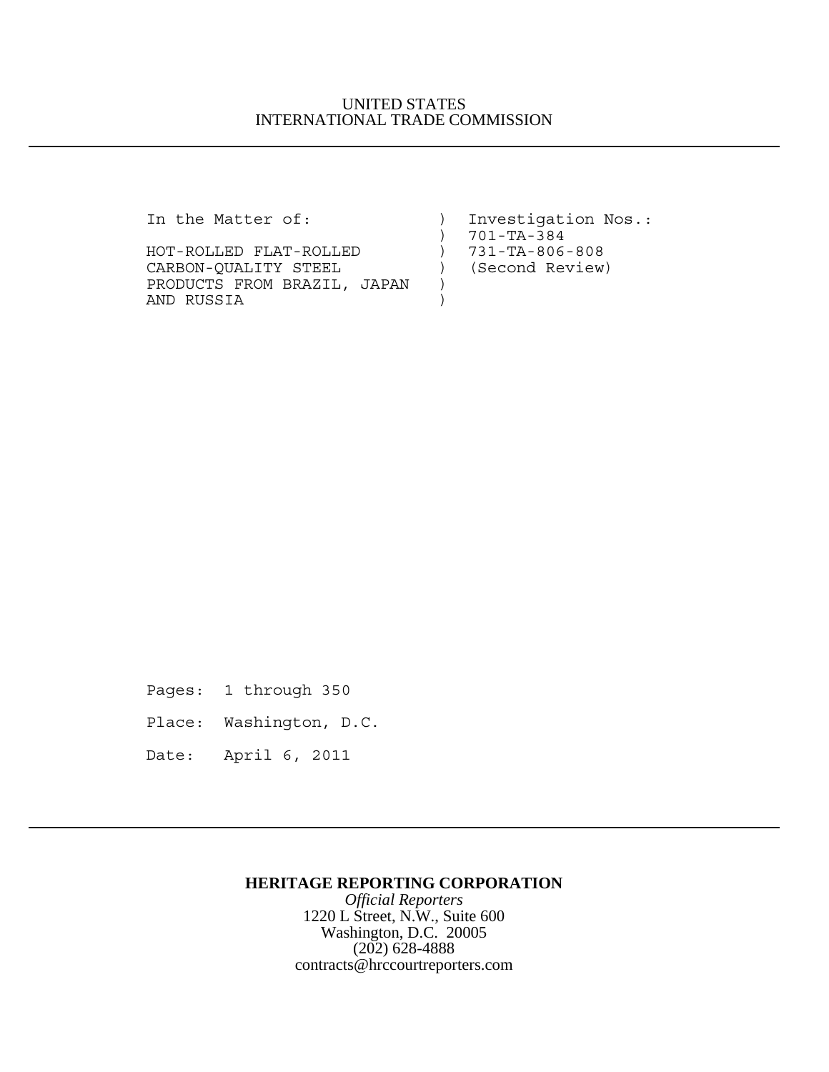## UNITED STATES INTERNATIONAL TRADE COMMISSION

HOT-ROLLED FLAT-ROLLED ) 731-TA-806-808 CARBON-QUALITY STEEL ) (Second Review) PRODUCTS FROM BRAZIL, JAPAN ) AND RUSSIA )

In the Matter of: ) Investigation Nos.: ) 701-TA-384

Pages: 1 through 350

Place: Washington, D.C.

Date: April 6, 2011

#### **HERITAGE REPORTING CORPORATION**

*Official Reporters* 1220 L Street, N.W., Suite 600 Washington, D.C. 20005 (202) 628-4888 contracts@hrccourtreporters.com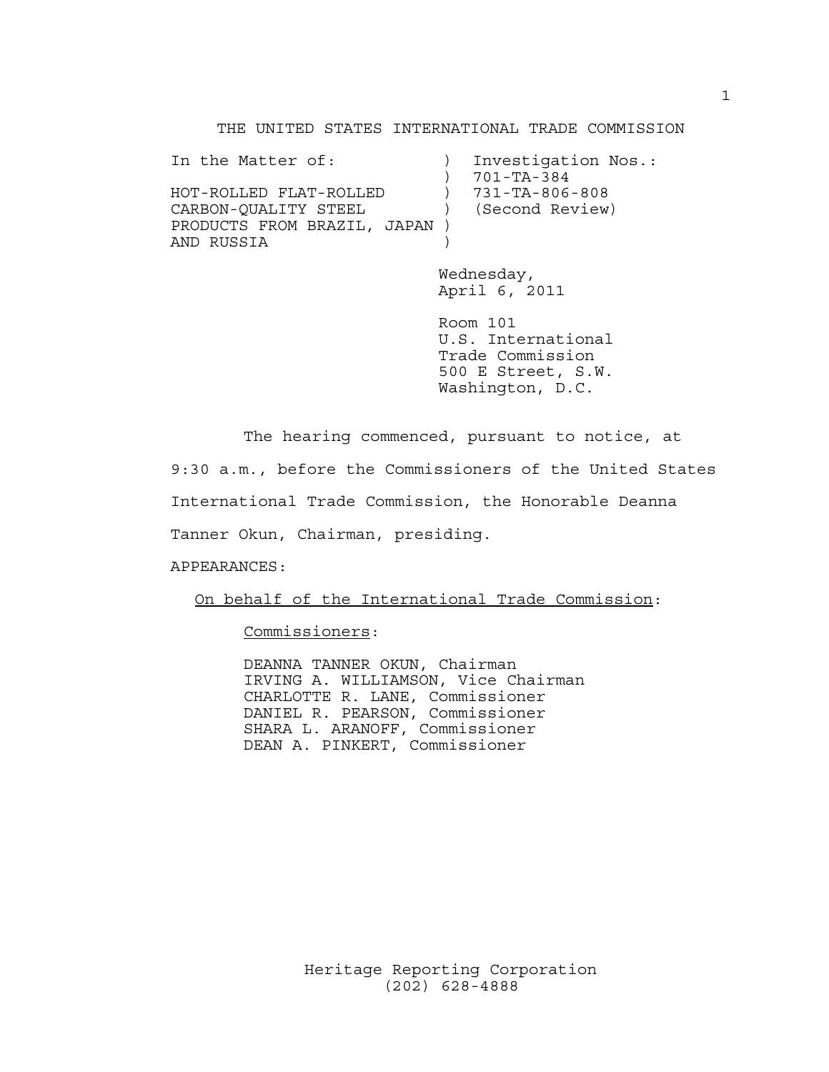#### THE UNITED STATES INTERNATIONAL TRADE COMMISSION

| In the Matter of:            | ) Investigation Nos.: |
|------------------------------|-----------------------|
|                              | 701-TA-384            |
| HOT-ROLLED FLAT-ROLLED       | 731-TA-806-808        |
| CARBON-QUALITY STEEL         | (Second Review)       |
| PRODUCTS FROM BRAZIL, JAPAN) |                       |
| AND RUSSIA                   |                       |

Wednesday, April 6, 2011

Room 101 U.S. International Trade Commission 500 E Street, S.W. Washington, D.C.

The hearing commenced, pursuant to notice, at

9:30 a.m., before the Commissioners of the United States

International Trade Commission, the Honorable Deanna

Tanner Okun, Chairman, presiding.

APPEARANCES:

On behalf of the International Trade Commission:

Commissioners:

DEANNA TANNER OKUN, Chairman IRVING A. WILLIAMSON, Vice Chairman CHARLOTTE R. LANE, Commissioner DANIEL R. PEARSON, Commissioner SHARA L. ARANOFF, Commissioner DEAN A. PINKERT, Commissioner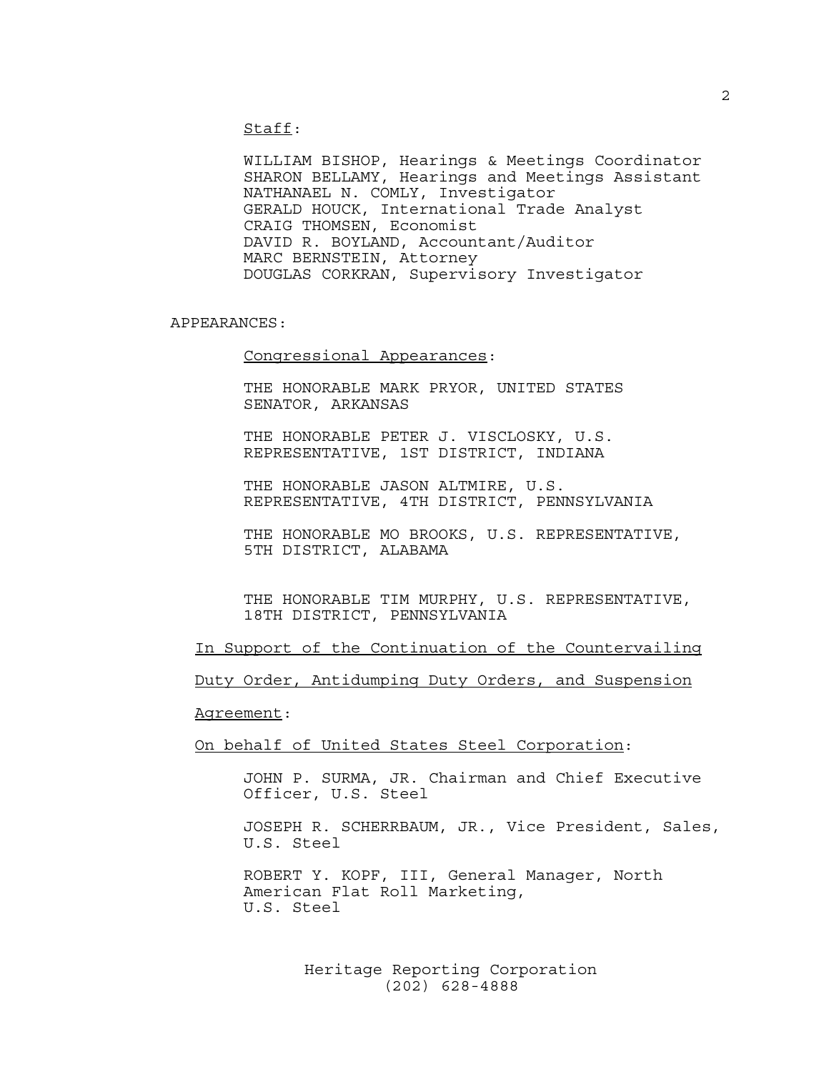Staff:

WILLIAM BISHOP, Hearings & Meetings Coordinator SHARON BELLAMY, Hearings and Meetings Assistant NATHANAEL N. COMLY, Investigator GERALD HOUCK, International Trade Analyst CRAIG THOMSEN, Economist DAVID R. BOYLAND, Accountant/Auditor MARC BERNSTEIN, Attorney DOUGLAS CORKRAN, Supervisory Investigator

APPEARANCES:

Congressional Appearances:

THE HONORABLE MARK PRYOR, UNITED STATES SENATOR, ARKANSAS

THE HONORABLE PETER J. VISCLOSKY, U.S. REPRESENTATIVE, 1ST DISTRICT, INDIANA

THE HONORABLE JASON ALTMIRE, U.S. REPRESENTATIVE, 4TH DISTRICT, PENNSYLVANIA

THE HONORABLE MO BROOKS, U.S. REPRESENTATIVE, 5TH DISTRICT, ALABAMA

THE HONORABLE TIM MURPHY, U.S. REPRESENTATIVE, 18TH DISTRICT, PENNSYLVANIA

In Support of the Continuation of the Countervailing

Duty Order, Antidumping Duty Orders, and Suspension

Agreement:

On behalf of United States Steel Corporation:

JOHN P. SURMA, JR. Chairman and Chief Executive Officer, U.S. Steel

JOSEPH R. SCHERRBAUM, JR., Vice President, Sales, U.S. Steel

ROBERT Y. KOPF, III, General Manager, North American Flat Roll Marketing, U.S. Steel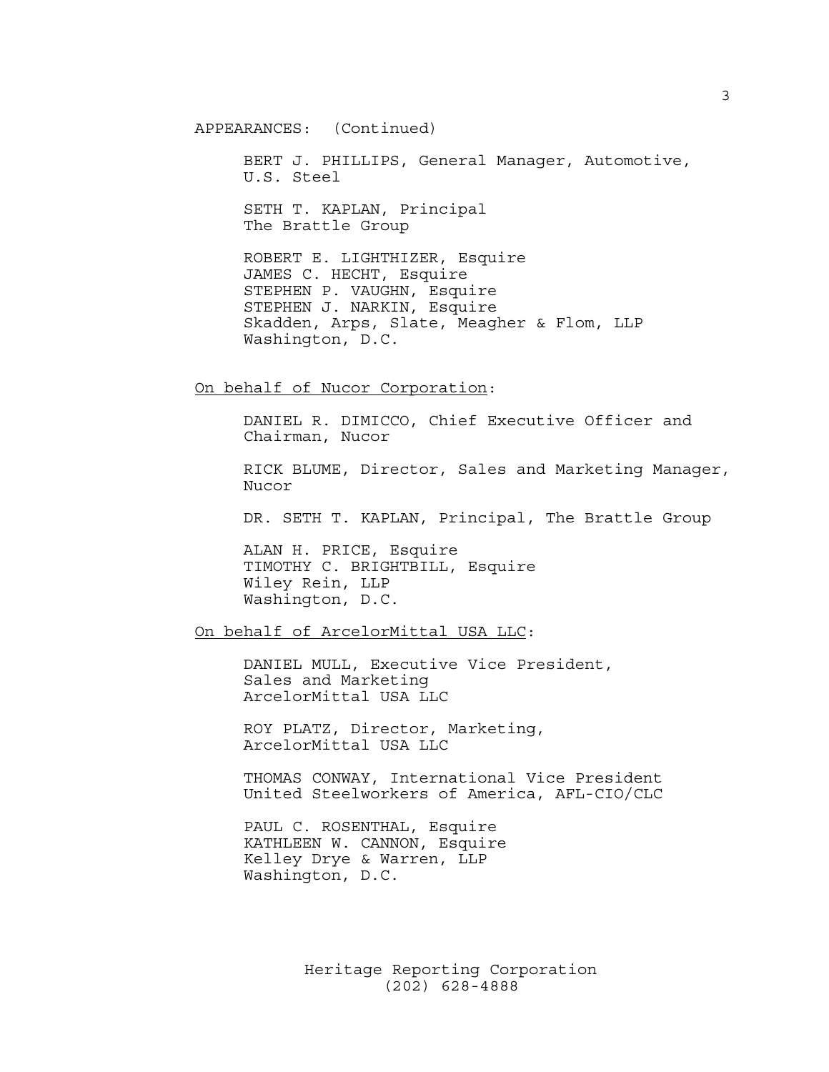APPEARANCES: (Continued)

BERT J. PHILLIPS, General Manager, Automotive, U.S. Steel

SETH T. KAPLAN, Principal The Brattle Group

ROBERT E. LIGHTHIZER, Esquire JAMES C. HECHT, Esquire STEPHEN P. VAUGHN, Esquire STEPHEN J. NARKIN, Esquire Skadden, Arps, Slate, Meagher & Flom, LLP Washington, D.C.

On behalf of Nucor Corporation:

DANIEL R. DIMICCO, Chief Executive Officer and Chairman, Nucor

RICK BLUME, Director, Sales and Marketing Manager, Nucor

DR. SETH T. KAPLAN, Principal, The Brattle Group

ALAN H. PRICE, Esquire TIMOTHY C. BRIGHTBILL, Esquire Wiley Rein, LLP Washington, D.C.

On behalf of ArcelorMittal USA LLC:

DANIEL MULL, Executive Vice President, Sales and Marketing ArcelorMittal USA LLC

ROY PLATZ, Director, Marketing, ArcelorMittal USA LLC

THOMAS CONWAY, International Vice President United Steelworkers of America, AFL-CIO/CLC

PAUL C. ROSENTHAL, Esquire KATHLEEN W. CANNON, Esquire Kelley Drye & Warren, LLP Washington, D.C.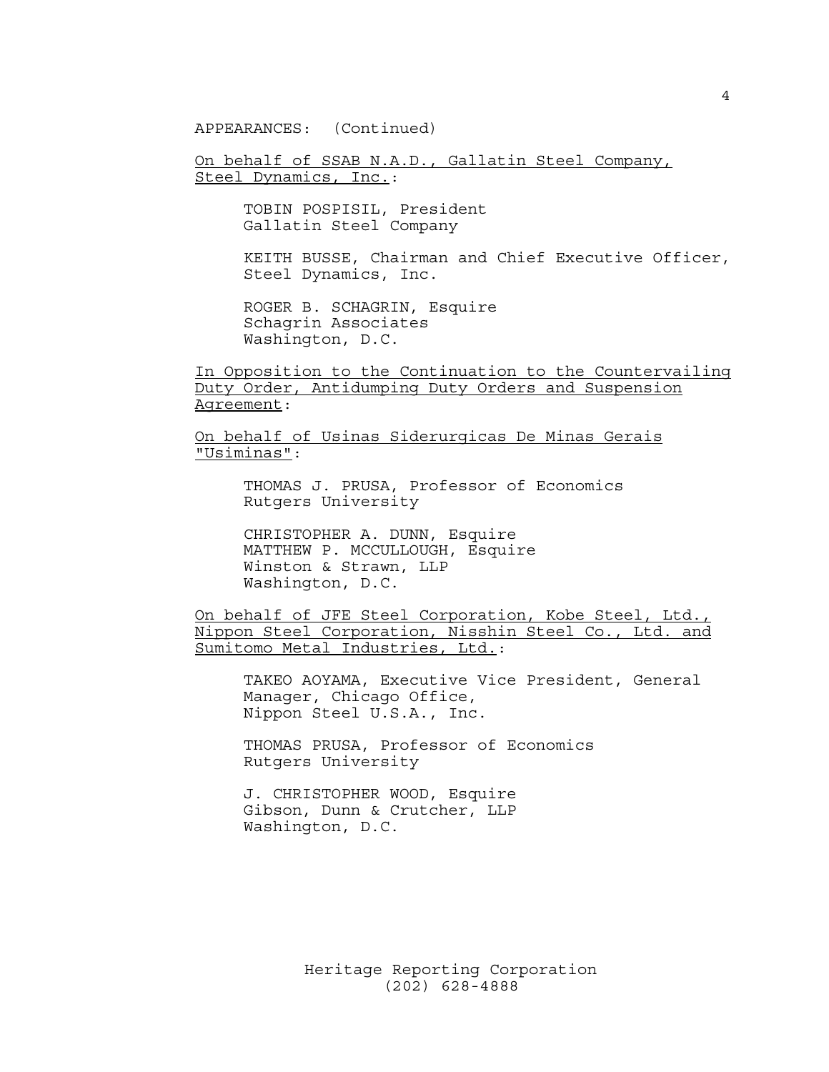APPEARANCES: (Continued)

On behalf of SSAB N.A.D., Gallatin Steel Company, Steel Dynamics, Inc.:

> TOBIN POSPISIL, President Gallatin Steel Company

KEITH BUSSE, Chairman and Chief Executive Officer, Steel Dynamics, Inc.

ROGER B. SCHAGRIN, Esquire Schagrin Associates Washington, D.C.

In Opposition to the Continuation to the Countervailing Duty Order, Antidumping Duty Orders and Suspension Agreement:

On behalf of Usinas Siderurgicas De Minas Gerais "Usiminas":

> THOMAS J. PRUSA, Professor of Economics Rutgers University

CHRISTOPHER A. DUNN, Esquire MATTHEW P. MCCULLOUGH, Esquire Winston & Strawn, LLP Washington, D.C.

On behalf of JFE Steel Corporation, Kobe Steel, Ltd., Nippon Steel Corporation, Nisshin Steel Co., Ltd. and Sumitomo Metal Industries, Ltd.:

TAKEO AOYAMA, Executive Vice President, General Manager, Chicago Office, Nippon Steel U.S.A., Inc.

THOMAS PRUSA, Professor of Economics Rutgers University

J. CHRISTOPHER WOOD, Esquire Gibson, Dunn & Crutcher, LLP Washington, D.C.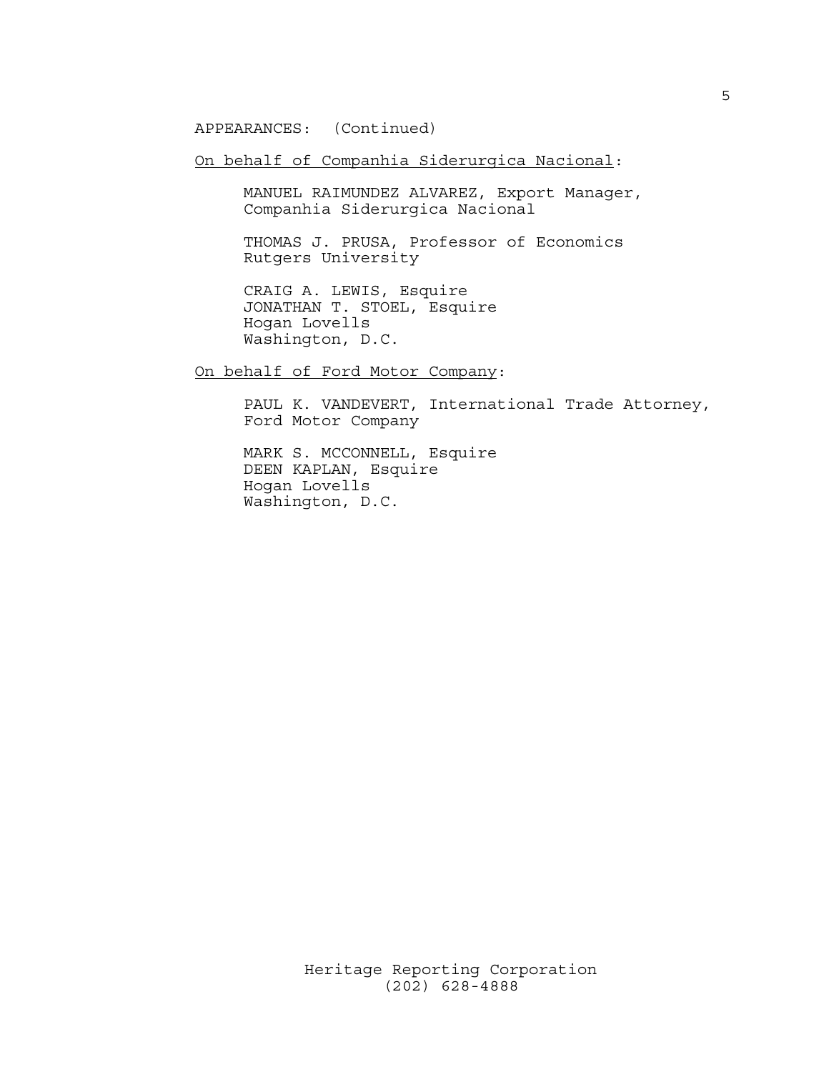APPEARANCES: (Continued)

On behalf of Companhia Siderurgica Nacional:

MANUEL RAIMUNDEZ ALVAREZ, Export Manager, Companhia Siderurgica Nacional

THOMAS J. PRUSA, Professor of Economics Rutgers University

CRAIG A. LEWIS, Esquire JONATHAN T. STOEL, Esquire Hogan Lovells Washington, D.C.

On behalf of Ford Motor Company:

PAUL K. VANDEVERT, International Trade Attorney, Ford Motor Company

MARK S. MCCONNELL, Esquire DEEN KAPLAN, Esquire Hogan Lovells Washington, D.C.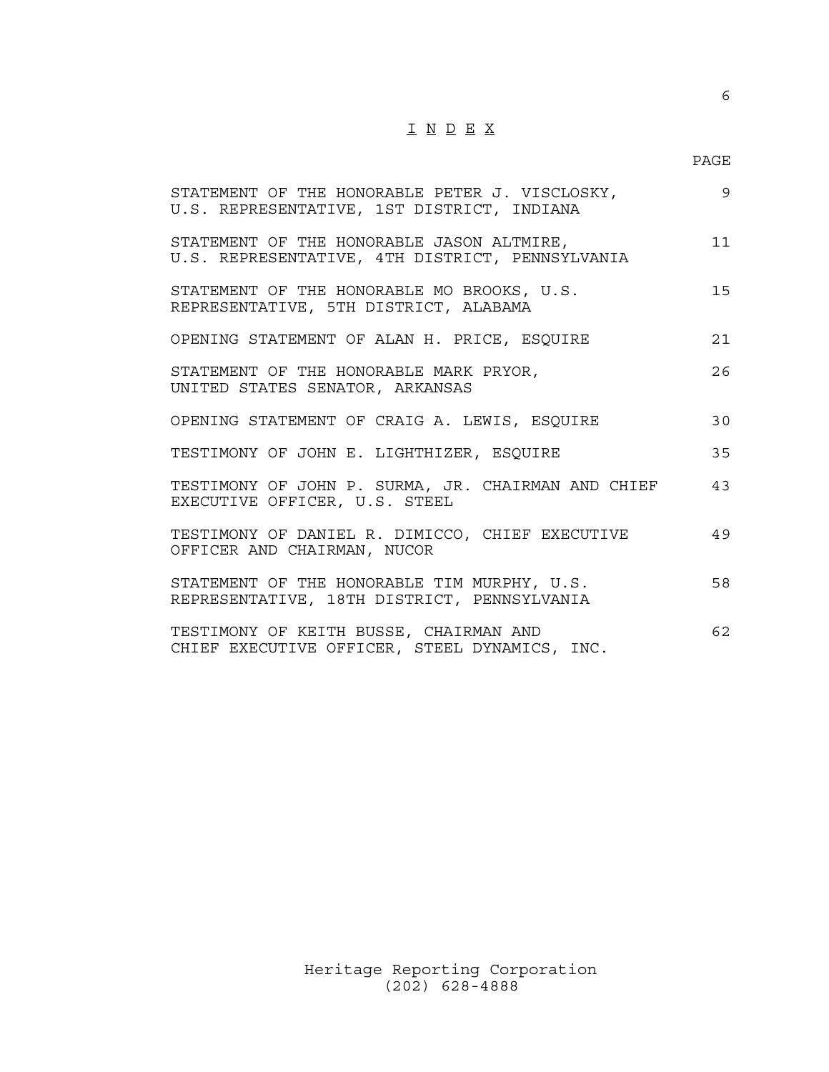# I N D E X

### PAGE

| STATEMENT OF THE HONORABLE PETER J. VISCLOSKY,<br>U.S. REPRESENTATIVE, 1ST DISTRICT, INDIANA | 9  |
|----------------------------------------------------------------------------------------------|----|
| STATEMENT OF THE HONORABLE JASON ALTMIRE,<br>U.S. REPRESENTATIVE, 4TH DISTRICT, PENNSYLVANIA | 11 |
| STATEMENT OF THE HONORABLE MO BROOKS, U.S.<br>REPRESENTATIVE, 5TH DISTRICT, ALABAMA          | 15 |
| OPENING STATEMENT OF ALAN H. PRICE, ESQUIRE                                                  | 21 |
| STATEMENT OF THE HONORABLE MARK PRYOR,<br>UNITED STATES SENATOR, ARKANSAS                    | 26 |
| OPENING STATEMENT OF CRAIG A. LEWIS, ESQUIRE                                                 | 30 |
| TESTIMONY OF JOHN E. LIGHTHIZER, ESQUIRE                                                     | 35 |
| TESTIMONY OF JOHN P. SURMA, JR. CHAIRMAN AND CHIEF<br>EXECUTIVE OFFICER, U.S. STEEL          | 43 |
| TESTIMONY OF DANIEL R. DIMICCO, CHIEF EXECUTIVE<br>OFFICER AND CHAIRMAN, NUCOR               | 49 |
| STATEMENT OF THE HONORABLE TIM MURPHY, U.S.<br>REPRESENTATIVE, 18TH DISTRICT, PENNSYLVANIA   | 58 |
| TESTIMONY OF KEITH BUSSE, CHAIRMAN AND<br>CHIEF EXECUTIVE OFFICER, STEEL DYNAMICS, INC.      | 62 |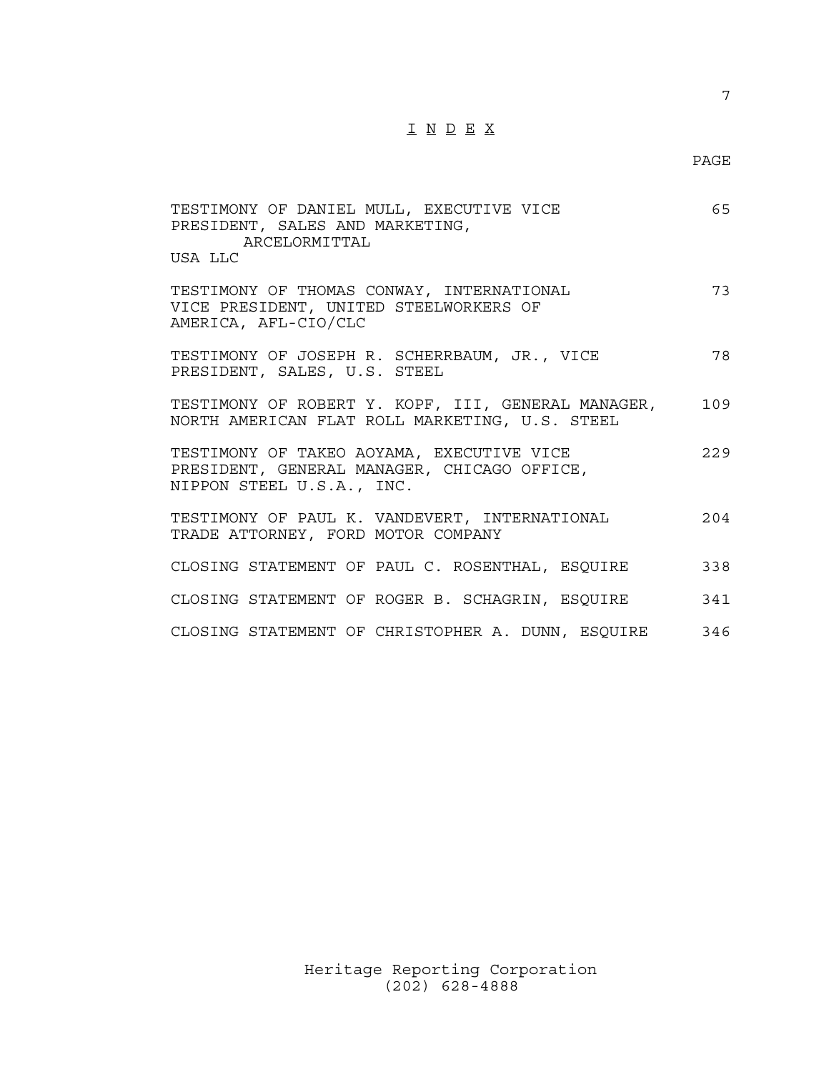# I N D E X

## PAGE

| TESTIMONY OF DANIEL MULL, EXECUTIVE VICE<br>PRESIDENT, SALES AND MARKETING,<br>ARCELORMITTAL                          | 65  |
|-----------------------------------------------------------------------------------------------------------------------|-----|
| USA LLC                                                                                                               |     |
| TESTIMONY OF THOMAS CONWAY, INTERNATIONAL<br>VICE PRESIDENT, UNITED STEELWORKERS OF<br>AMERICA, AFL-CIO/CLC           | 73  |
| TESTIMONY OF JOSEPH R. SCHERRBAUM, JR., VICE<br>PRESIDENT, SALES, U.S. STEEL                                          | 78  |
| TESTIMONY OF ROBERT Y. KOPF, III, GENERAL MANAGER,<br>NORTH AMERICAN FLAT ROLL MARKETING, U.S. STEEL                  | 109 |
| TESTIMONY OF TAKEO AOYAMA, EXECUTIVE VICE<br>PRESIDENT, GENERAL MANAGER, CHICAGO OFFICE,<br>NIPPON STEEL U.S.A., INC. | 229 |
| TESTIMONY OF PAUL K. VANDEVERT, INTERNATIONAL<br>TRADE ATTORNEY, FORD MOTOR COMPANY                                   | 204 |
| CLOSING STATEMENT OF PAUL C. ROSENTHAL, ESQUIRE                                                                       | 338 |
| CLOSING STATEMENT OF ROGER B. SCHAGRIN, ESQUIRE                                                                       | 341 |
| CLOSING STATEMENT OF CHRISTOPHER A. DUNN, ESQUIRE 346                                                                 |     |

Heritage Reporting Corporation (202) 628-4888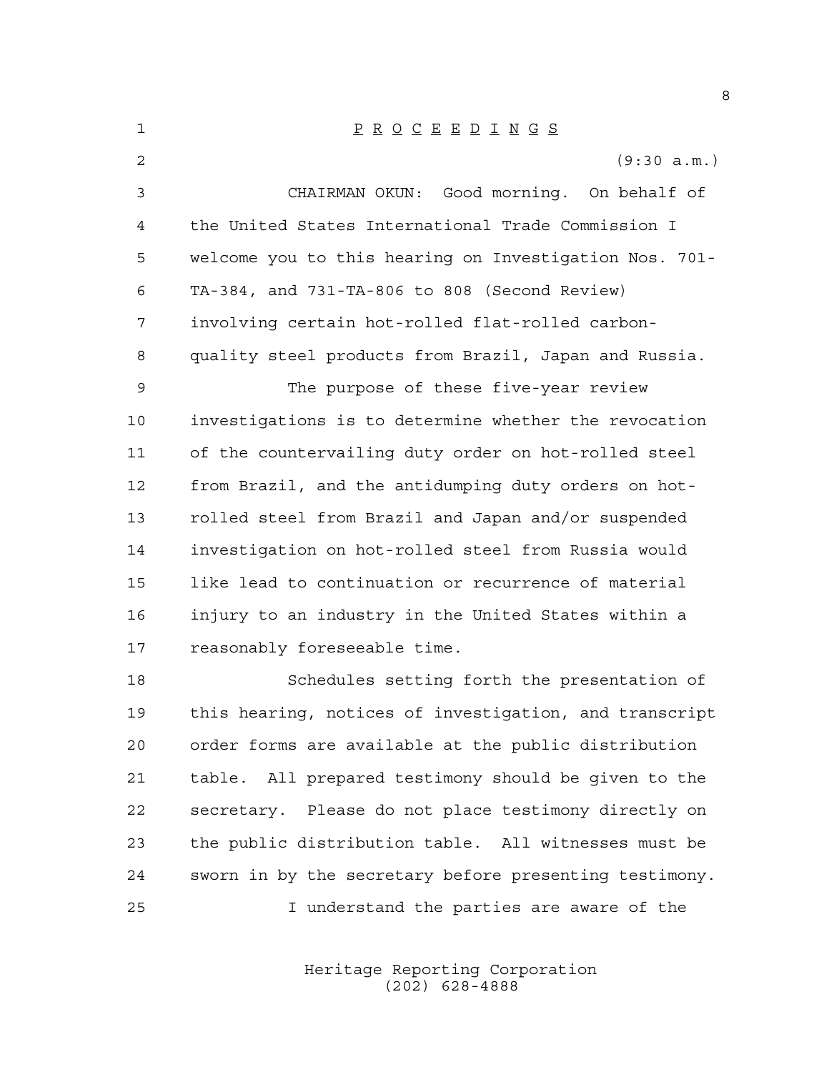| 1  | $\underline{P} \underline{R} \underline{O} \underline{C} \underline{E} \underline{E} \underline{D} \underline{I} \underline{N} \underline{G} \underline{S}$ |
|----|-------------------------------------------------------------------------------------------------------------------------------------------------------------|
| 2  | (9:30 a.m.)                                                                                                                                                 |
| 3  | CHAIRMAN OKUN: Good morning. On behalf of                                                                                                                   |
| 4  | the United States International Trade Commission I                                                                                                          |
| 5  | welcome you to this hearing on Investigation Nos. 701-                                                                                                      |
| 6  | TA-384, and 731-TA-806 to 808 (Second Review)                                                                                                               |
| 7  | involving certain hot-rolled flat-rolled carbon-                                                                                                            |
| 8  | quality steel products from Brazil, Japan and Russia.                                                                                                       |
| 9  | The purpose of these five-year review                                                                                                                       |
| 10 | investigations is to determine whether the revocation                                                                                                       |
| 11 | of the countervailing duty order on hot-rolled steel                                                                                                        |
| 12 | from Brazil, and the antidumping duty orders on hot-                                                                                                        |
| 13 | rolled steel from Brazil and Japan and/or suspended                                                                                                         |
| 14 | investigation on hot-rolled steel from Russia would                                                                                                         |
| 15 | like lead to continuation or recurrence of material                                                                                                         |
| 16 | injury to an industry in the United States within a                                                                                                         |
| 17 | reasonably foreseeable time.                                                                                                                                |
| 18 | Schedules setting forth the presentation of                                                                                                                 |
| 19 | this hearing, notices of investigation, and transcript                                                                                                      |
| 20 | order forms are available at the public distribution                                                                                                        |
| 21 | table. All prepared testimony should be given to the                                                                                                        |
| 22 | secretary. Please do not place testimony directly on                                                                                                        |
| 23 | the public distribution table. All witnesses must be                                                                                                        |
| 24 | sworn in by the secretary before presenting testimony.                                                                                                      |
| 25 | I understand the parties are aware of the                                                                                                                   |

Heritage Reporting Corporation (202) 628-4888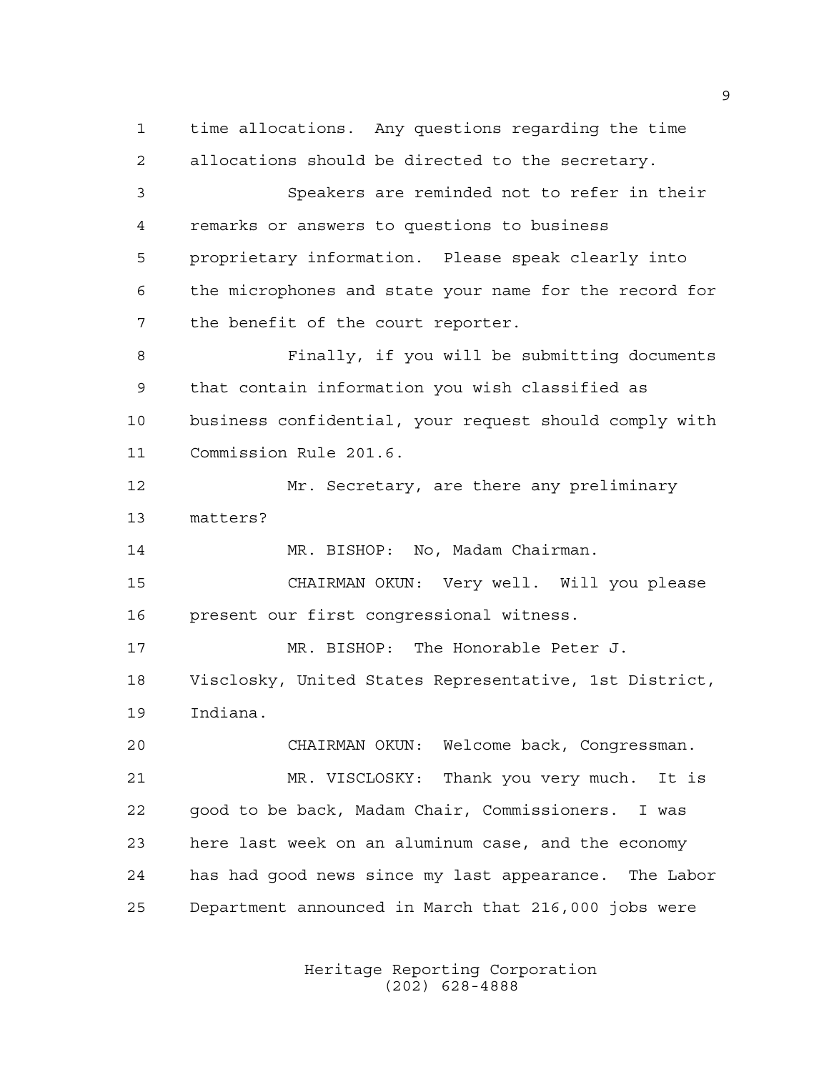time allocations. Any questions regarding the time allocations should be directed to the secretary. Speakers are reminded not to refer in their remarks or answers to questions to business proprietary information. Please speak clearly into the microphones and state your name for the record for the benefit of the court reporter. Finally, if you will be submitting documents that contain information you wish classified as business confidential, your request should comply with Commission Rule 201.6. Mr. Secretary, are there any preliminary matters? 14 MR. BISHOP: No, Madam Chairman. CHAIRMAN OKUN: Very well. Will you please present our first congressional witness. MR. BISHOP: The Honorable Peter J. Visclosky, United States Representative, 1st District, Indiana. CHAIRMAN OKUN: Welcome back, Congressman. MR. VISCLOSKY: Thank you very much. It is good to be back, Madam Chair, Commissioners. I was here last week on an aluminum case, and the economy has had good news since my last appearance. The Labor Department announced in March that 216,000 jobs were

> Heritage Reporting Corporation (202) 628-4888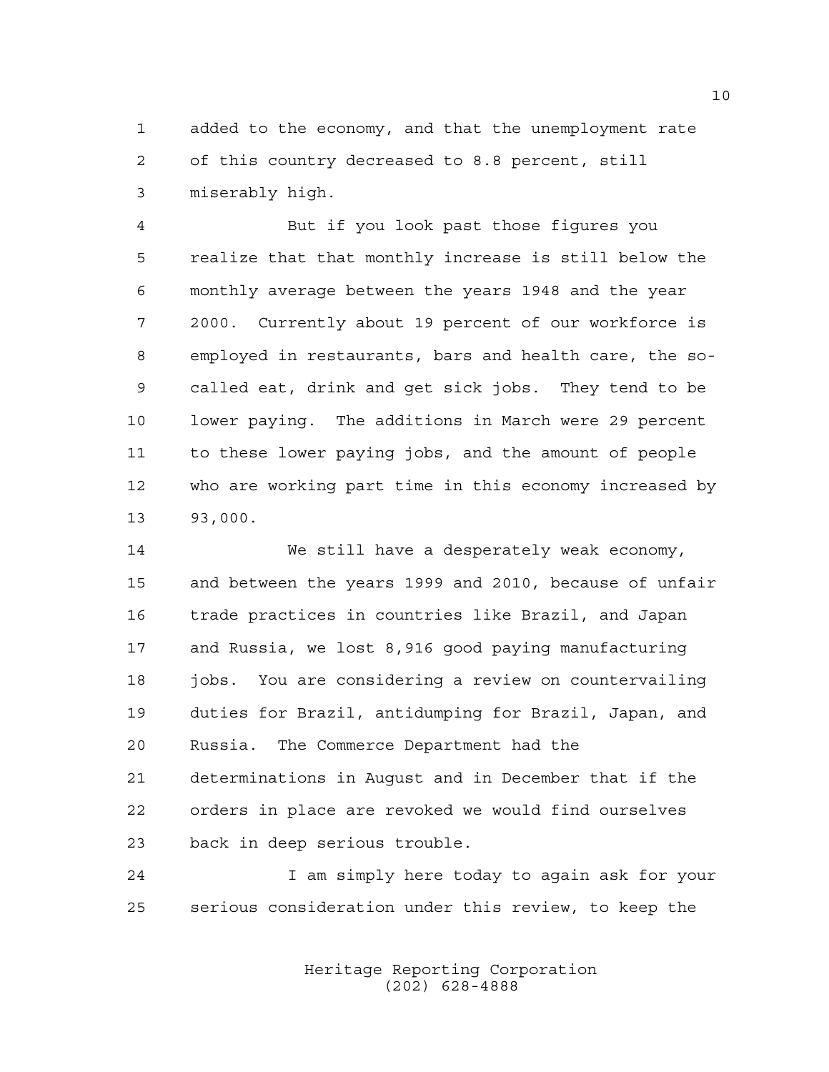added to the economy, and that the unemployment rate of this country decreased to 8.8 percent, still miserably high.

 But if you look past those figures you realize that that monthly increase is still below the monthly average between the years 1948 and the year 2000. Currently about 19 percent of our workforce is employed in restaurants, bars and health care, the so- called eat, drink and get sick jobs. They tend to be lower paying. The additions in March were 29 percent to these lower paying jobs, and the amount of people who are working part time in this economy increased by 93,000.

 We still have a desperately weak economy, and between the years 1999 and 2010, because of unfair trade practices in countries like Brazil, and Japan and Russia, we lost 8,916 good paying manufacturing 18 jobs. You are considering a review on countervailing duties for Brazil, antidumping for Brazil, Japan, and Russia. The Commerce Department had the determinations in August and in December that if the orders in place are revoked we would find ourselves back in deep serious trouble.

 I am simply here today to again ask for your serious consideration under this review, to keep the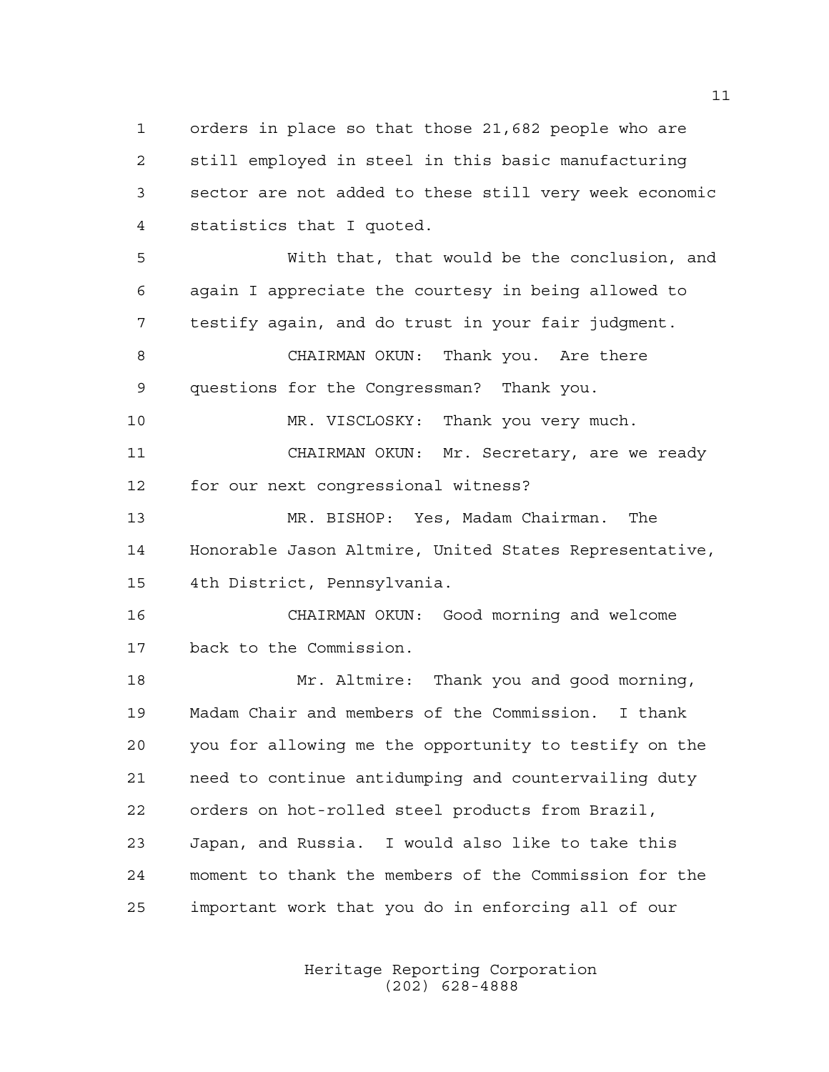orders in place so that those 21,682 people who are still employed in steel in this basic manufacturing sector are not added to these still very week economic statistics that I quoted. With that, that would be the conclusion, and again I appreciate the courtesy in being allowed to testify again, and do trust in your fair judgment. CHAIRMAN OKUN: Thank you. Are there questions for the Congressman? Thank you. MR. VISCLOSKY: Thank you very much. CHAIRMAN OKUN: Mr. Secretary, are we ready for our next congressional witness? MR. BISHOP: Yes, Madam Chairman. The Honorable Jason Altmire, United States Representative, 4th District, Pennsylvania. CHAIRMAN OKUN: Good morning and welcome back to the Commission. 18 Mr. Altmire: Thank you and good morning, Madam Chair and members of the Commission. I thank you for allowing me the opportunity to testify on the need to continue antidumping and countervailing duty orders on hot-rolled steel products from Brazil, Japan, and Russia. I would also like to take this moment to thank the members of the Commission for the important work that you do in enforcing all of our

> Heritage Reporting Corporation (202) 628-4888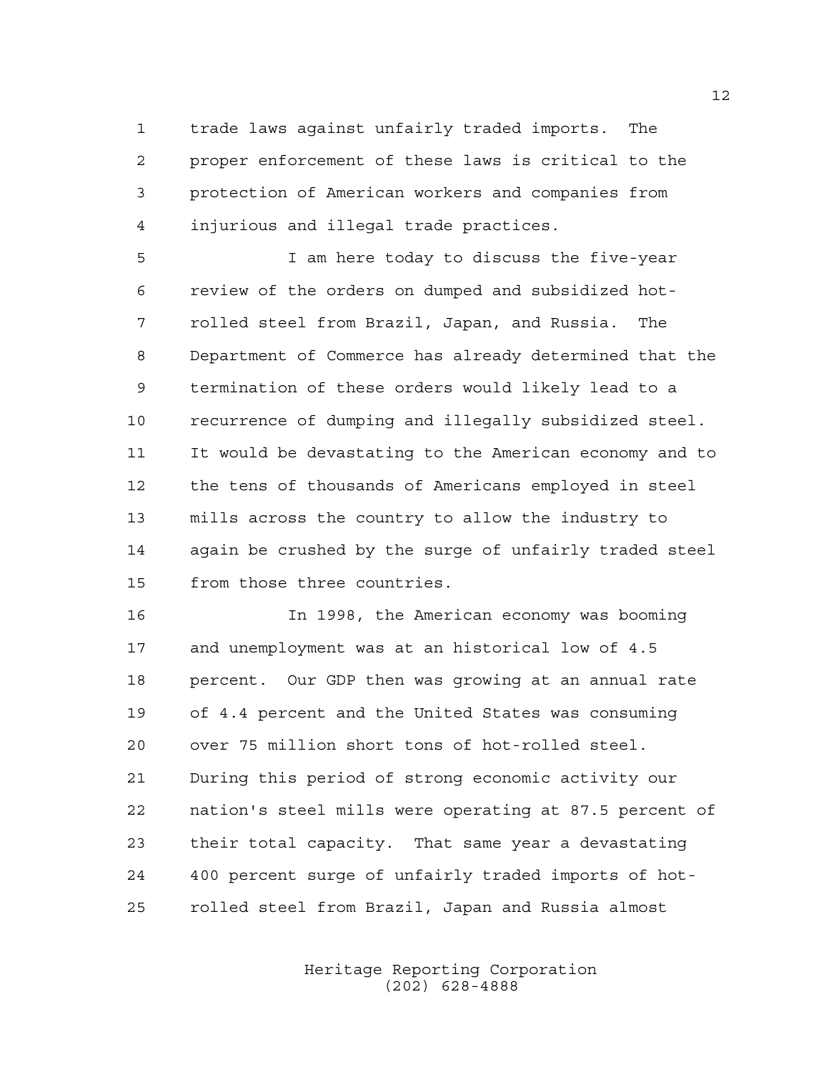trade laws against unfairly traded imports. The proper enforcement of these laws is critical to the protection of American workers and companies from injurious and illegal trade practices.

 I am here today to discuss the five-year review of the orders on dumped and subsidized hot- rolled steel from Brazil, Japan, and Russia. The Department of Commerce has already determined that the termination of these orders would likely lead to a recurrence of dumping and illegally subsidized steel. It would be devastating to the American economy and to the tens of thousands of Americans employed in steel mills across the country to allow the industry to again be crushed by the surge of unfairly traded steel from those three countries.

 In 1998, the American economy was booming and unemployment was at an historical low of 4.5 percent. Our GDP then was growing at an annual rate of 4.4 percent and the United States was consuming over 75 million short tons of hot-rolled steel. During this period of strong economic activity our nation's steel mills were operating at 87.5 percent of their total capacity. That same year a devastating 400 percent surge of unfairly traded imports of hot-rolled steel from Brazil, Japan and Russia almost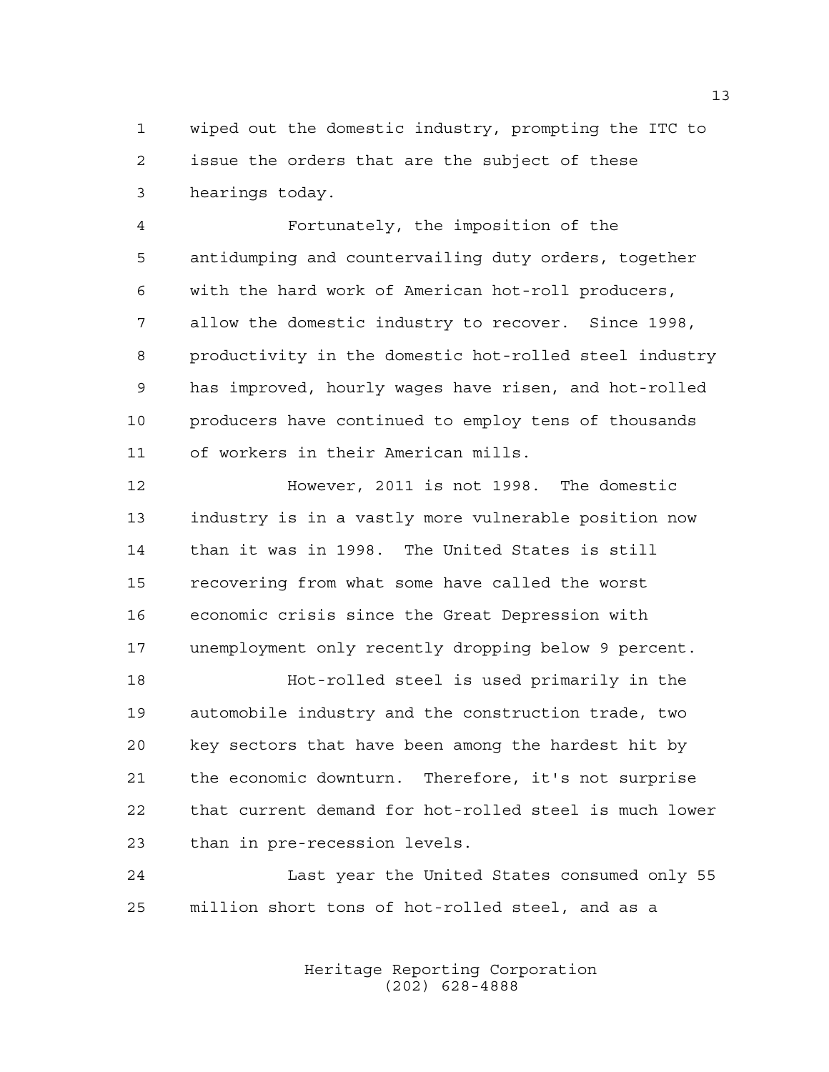wiped out the domestic industry, prompting the ITC to issue the orders that are the subject of these hearings today.

 Fortunately, the imposition of the antidumping and countervailing duty orders, together with the hard work of American hot-roll producers, allow the domestic industry to recover. Since 1998, productivity in the domestic hot-rolled steel industry has improved, hourly wages have risen, and hot-rolled producers have continued to employ tens of thousands of workers in their American mills.

 However, 2011 is not 1998. The domestic industry is in a vastly more vulnerable position now than it was in 1998. The United States is still recovering from what some have called the worst economic crisis since the Great Depression with unemployment only recently dropping below 9 percent.

 Hot-rolled steel is used primarily in the automobile industry and the construction trade, two key sectors that have been among the hardest hit by the economic downturn. Therefore, it's not surprise that current demand for hot-rolled steel is much lower than in pre-recession levels.

 Last year the United States consumed only 55 million short tons of hot-rolled steel, and as a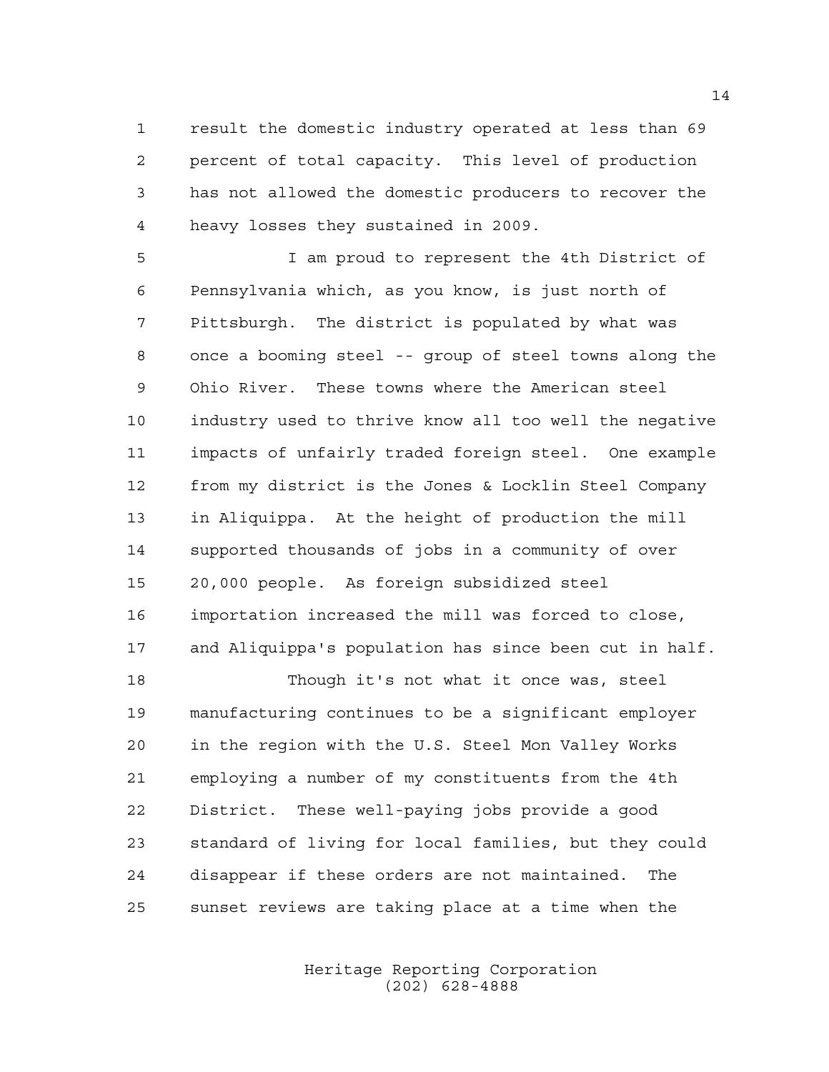result the domestic industry operated at less than 69 percent of total capacity. This level of production has not allowed the domestic producers to recover the heavy losses they sustained in 2009.

 I am proud to represent the 4th District of Pennsylvania which, as you know, is just north of Pittsburgh. The district is populated by what was once a booming steel -- group of steel towns along the Ohio River. These towns where the American steel industry used to thrive know all too well the negative impacts of unfairly traded foreign steel. One example from my district is the Jones & Locklin Steel Company in Aliquippa. At the height of production the mill supported thousands of jobs in a community of over 20,000 people. As foreign subsidized steel importation increased the mill was forced to close, and Aliquippa's population has since been cut in half.

 Though it's not what it once was, steel manufacturing continues to be a significant employer in the region with the U.S. Steel Mon Valley Works employing a number of my constituents from the 4th District. These well-paying jobs provide a good standard of living for local families, but they could disappear if these orders are not maintained. The sunset reviews are taking place at a time when the

> Heritage Reporting Corporation (202) 628-4888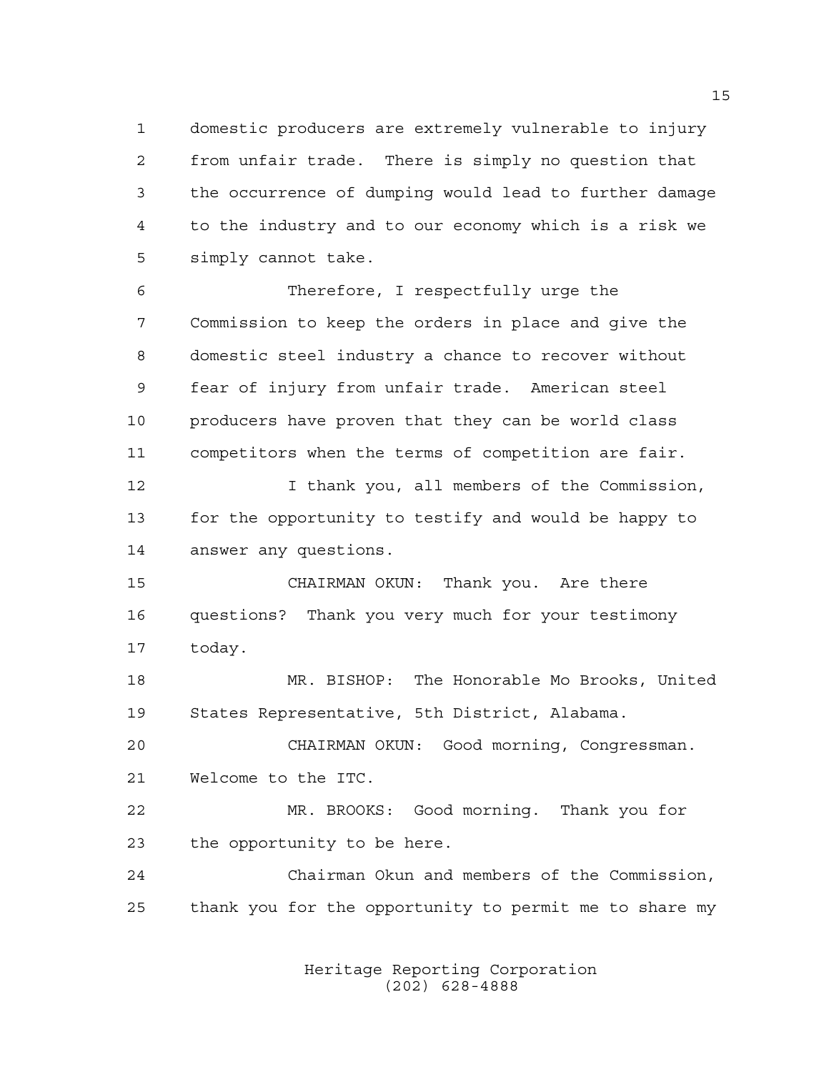domestic producers are extremely vulnerable to injury from unfair trade. There is simply no question that the occurrence of dumping would lead to further damage to the industry and to our economy which is a risk we simply cannot take.

 Therefore, I respectfully urge the Commission to keep the orders in place and give the domestic steel industry a chance to recover without fear of injury from unfair trade. American steel producers have proven that they can be world class competitors when the terms of competition are fair.

 I thank you, all members of the Commission, for the opportunity to testify and would be happy to answer any questions.

 CHAIRMAN OKUN: Thank you. Are there questions? Thank you very much for your testimony today.

 MR. BISHOP: The Honorable Mo Brooks, United States Representative, 5th District, Alabama.

 CHAIRMAN OKUN: Good morning, Congressman. Welcome to the ITC.

 MR. BROOKS: Good morning. Thank you for the opportunity to be here.

 Chairman Okun and members of the Commission, thank you for the opportunity to permit me to share my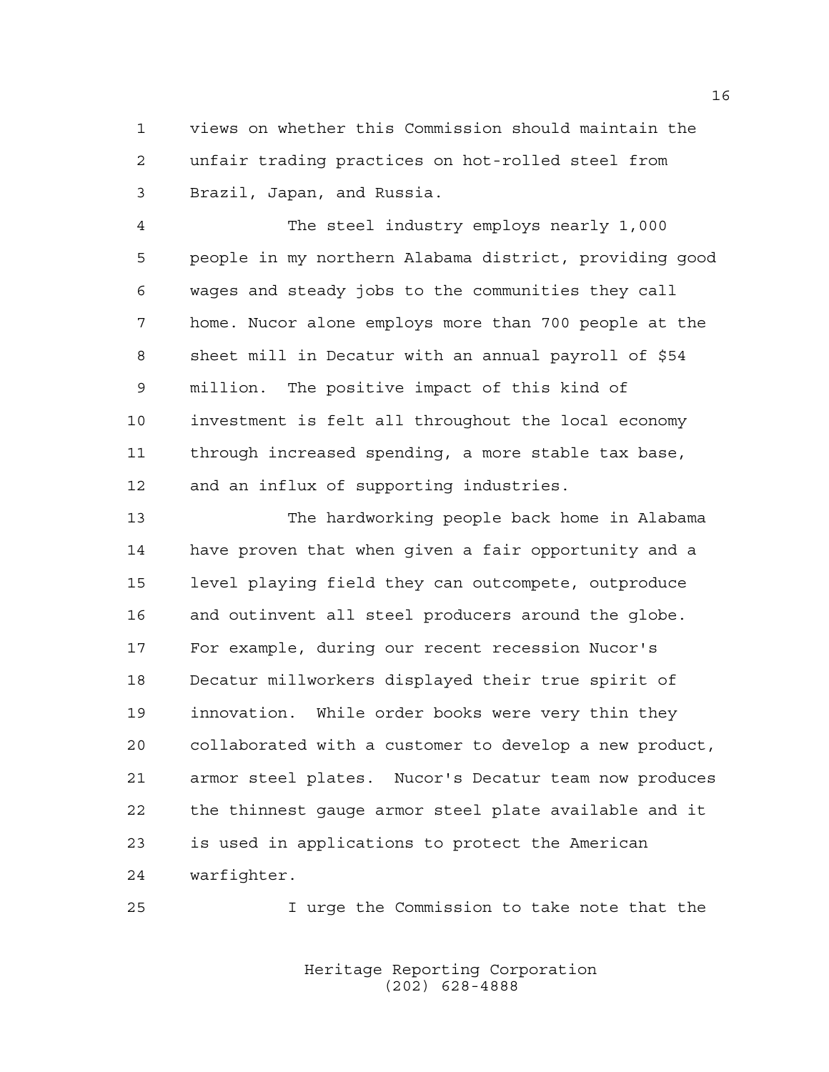views on whether this Commission should maintain the unfair trading practices on hot-rolled steel from Brazil, Japan, and Russia.

 The steel industry employs nearly 1,000 people in my northern Alabama district, providing good wages and steady jobs to the communities they call home. Nucor alone employs more than 700 people at the sheet mill in Decatur with an annual payroll of \$54 million. The positive impact of this kind of investment is felt all throughout the local economy through increased spending, a more stable tax base, and an influx of supporting industries.

 The hardworking people back home in Alabama have proven that when given a fair opportunity and a level playing field they can outcompete, outproduce and outinvent all steel producers around the globe. For example, during our recent recession Nucor's Decatur millworkers displayed their true spirit of innovation. While order books were very thin they collaborated with a customer to develop a new product, armor steel plates. Nucor's Decatur team now produces the thinnest gauge armor steel plate available and it is used in applications to protect the American warfighter.

I urge the Commission to take note that the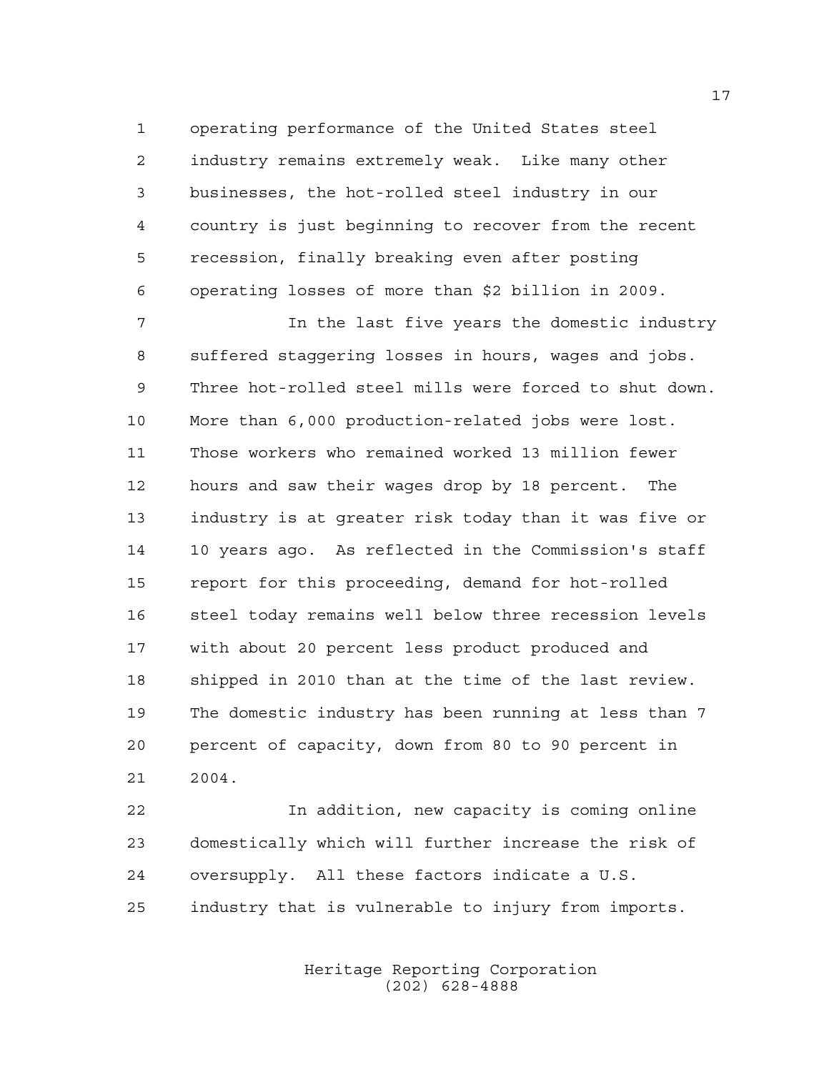operating performance of the United States steel industry remains extremely weak. Like many other businesses, the hot-rolled steel industry in our country is just beginning to recover from the recent recession, finally breaking even after posting operating losses of more than \$2 billion in 2009.

 In the last five years the domestic industry suffered staggering losses in hours, wages and jobs. Three hot-rolled steel mills were forced to shut down. More than 6,000 production-related jobs were lost. Those workers who remained worked 13 million fewer hours and saw their wages drop by 18 percent. The industry is at greater risk today than it was five or 10 years ago. As reflected in the Commission's staff report for this proceeding, demand for hot-rolled steel today remains well below three recession levels with about 20 percent less product produced and shipped in 2010 than at the time of the last review. The domestic industry has been running at less than 7 percent of capacity, down from 80 to 90 percent in 2004.

 In addition, new capacity is coming online domestically which will further increase the risk of oversupply. All these factors indicate a U.S. industry that is vulnerable to injury from imports.

> Heritage Reporting Corporation (202) 628-4888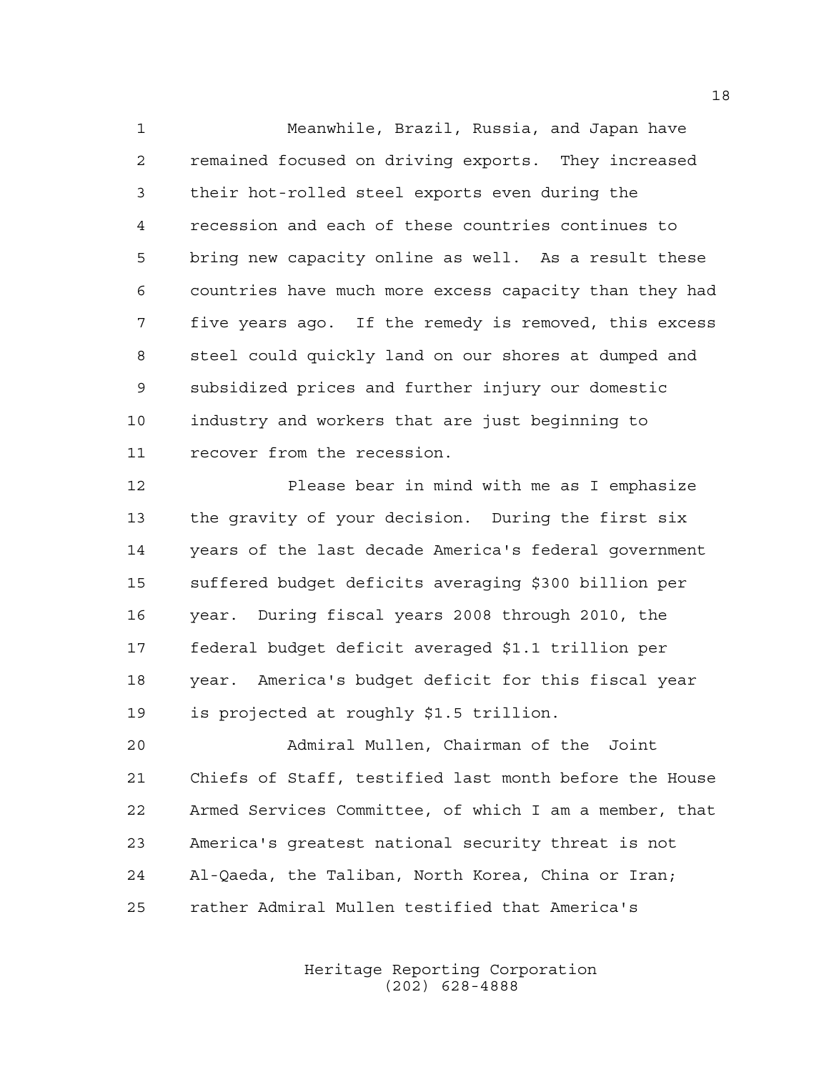Meanwhile, Brazil, Russia, and Japan have remained focused on driving exports. They increased their hot-rolled steel exports even during the recession and each of these countries continues to bring new capacity online as well. As a result these countries have much more excess capacity than they had five years ago. If the remedy is removed, this excess steel could quickly land on our shores at dumped and subsidized prices and further injury our domestic industry and workers that are just beginning to recover from the recession.

 Please bear in mind with me as I emphasize the gravity of your decision. During the first six years of the last decade America's federal government suffered budget deficits averaging \$300 billion per year. During fiscal years 2008 through 2010, the federal budget deficit averaged \$1.1 trillion per year. America's budget deficit for this fiscal year is projected at roughly \$1.5 trillion.

 Admiral Mullen, Chairman of the Joint Chiefs of Staff, testified last month before the House Armed Services Committee, of which I am a member, that America's greatest national security threat is not Al-Qaeda, the Taliban, North Korea, China or Iran; rather Admiral Mullen testified that America's

> Heritage Reporting Corporation (202) 628-4888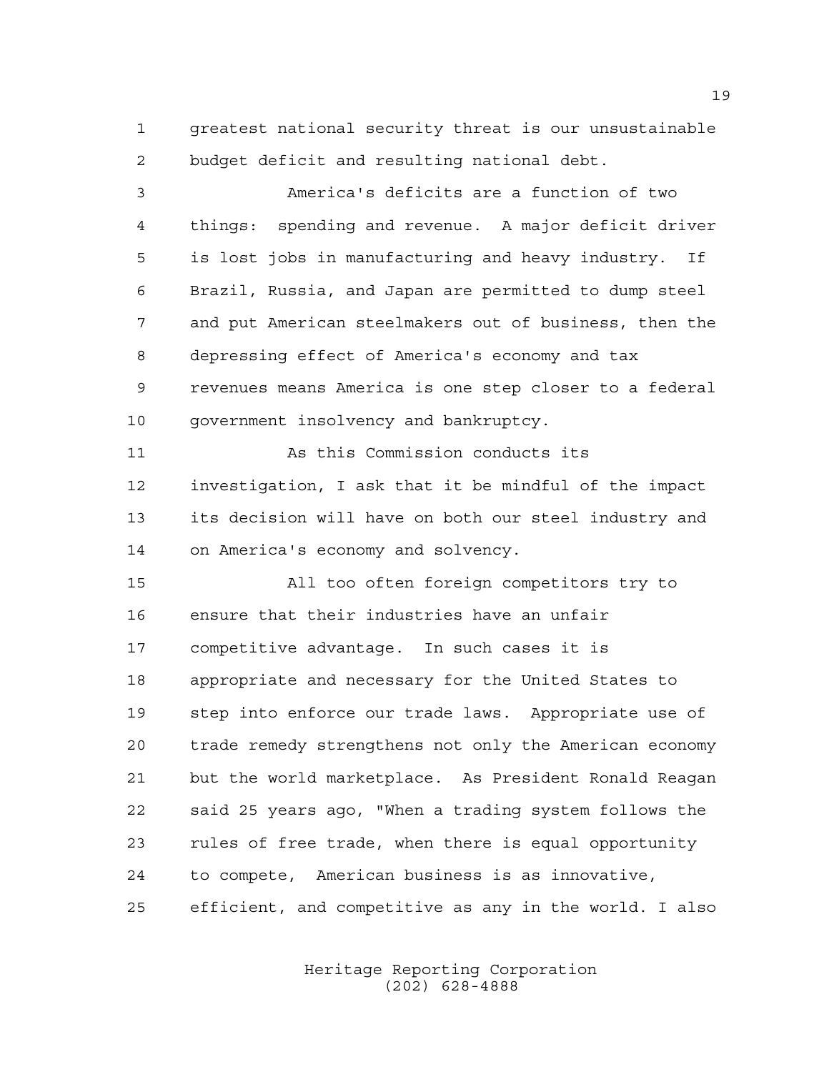greatest national security threat is our unsustainable budget deficit and resulting national debt.

 America's deficits are a function of two things: spending and revenue. A major deficit driver is lost jobs in manufacturing and heavy industry. If Brazil, Russia, and Japan are permitted to dump steel and put American steelmakers out of business, then the depressing effect of America's economy and tax revenues means America is one step closer to a federal government insolvency and bankruptcy. As this Commission conducts its investigation, I ask that it be mindful of the impact its decision will have on both our steel industry and on America's economy and solvency. All too often foreign competitors try to ensure that their industries have an unfair competitive advantage. In such cases it is appropriate and necessary for the United States to step into enforce our trade laws. Appropriate use of trade remedy strengthens not only the American economy but the world marketplace. As President Ronald Reagan said 25 years ago, "When a trading system follows the rules of free trade, when there is equal opportunity to compete, American business is as innovative, efficient, and competitive as any in the world. I also

> Heritage Reporting Corporation (202) 628-4888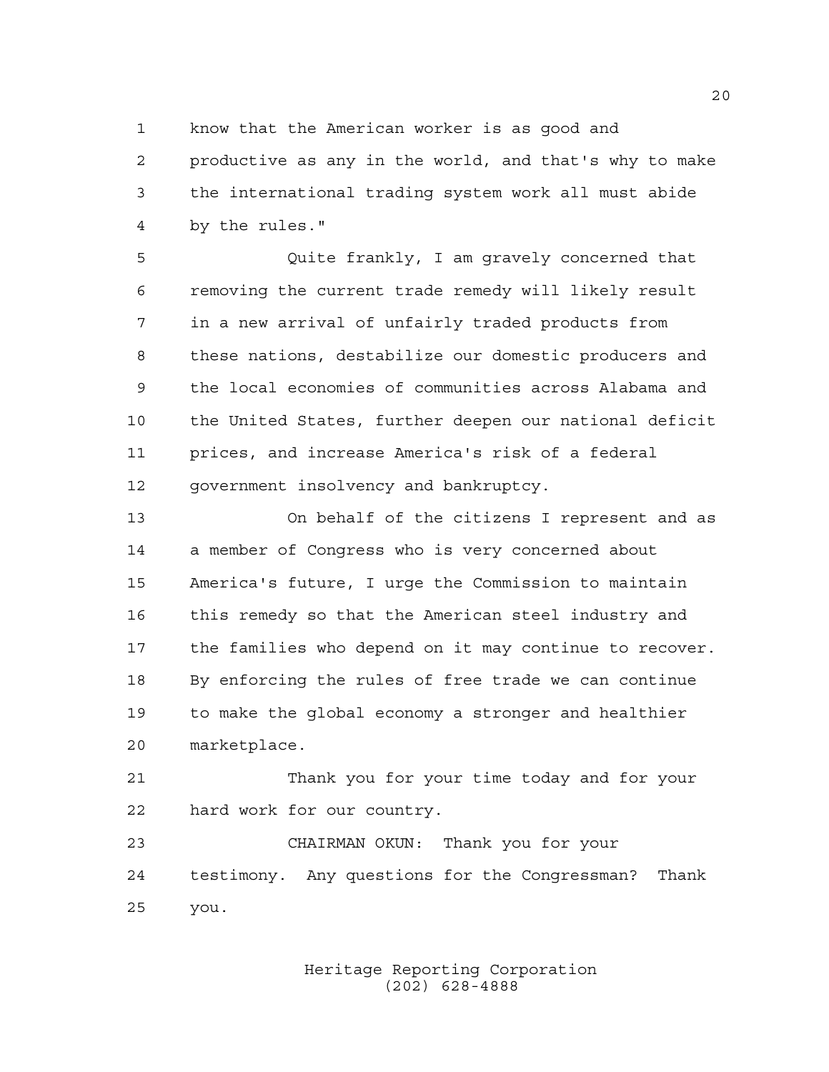know that the American worker is as good and

 productive as any in the world, and that's why to make the international trading system work all must abide by the rules."

 Quite frankly, I am gravely concerned that removing the current trade remedy will likely result in a new arrival of unfairly traded products from these nations, destabilize our domestic producers and the local economies of communities across Alabama and the United States, further deepen our national deficit prices, and increase America's risk of a federal government insolvency and bankruptcy.

 On behalf of the citizens I represent and as a member of Congress who is very concerned about America's future, I urge the Commission to maintain this remedy so that the American steel industry and the families who depend on it may continue to recover. By enforcing the rules of free trade we can continue to make the global economy a stronger and healthier marketplace.

 Thank you for your time today and for your hard work for our country.

 CHAIRMAN OKUN: Thank you for your testimony. Any questions for the Congressman? Thank you.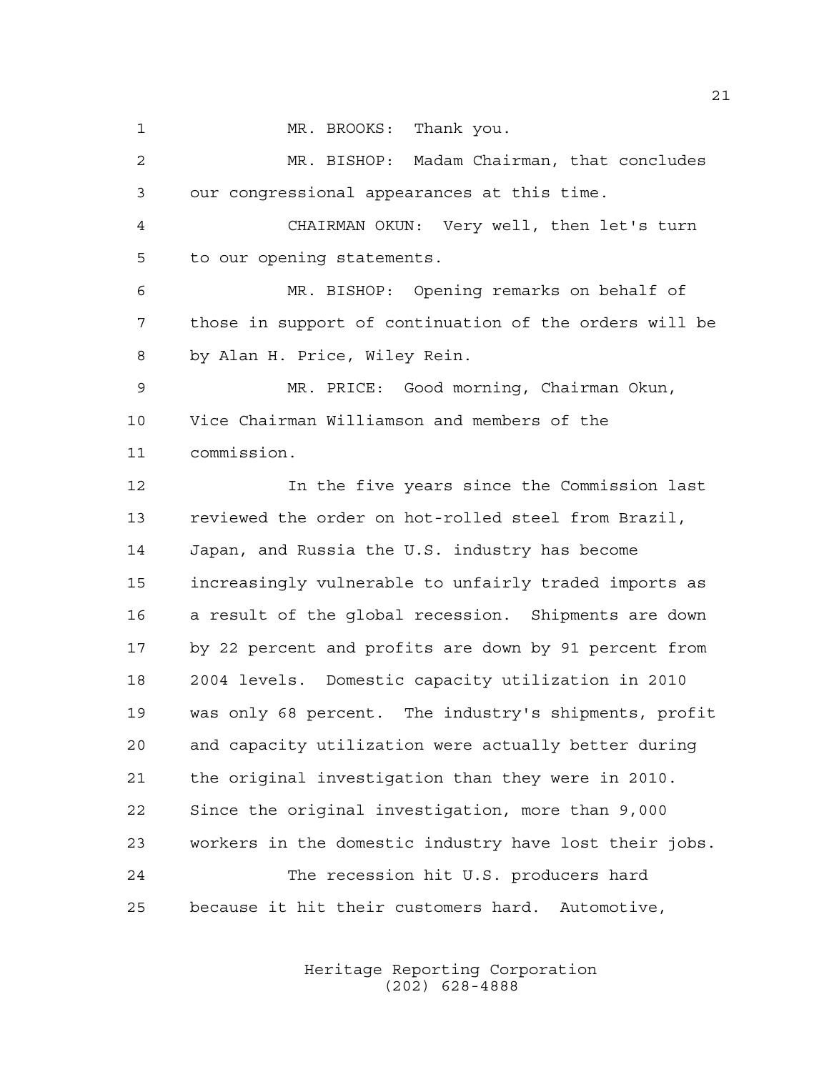1 MR. BROOKS: Thank you. MR. BISHOP: Madam Chairman, that concludes our congressional appearances at this time. CHAIRMAN OKUN: Very well, then let's turn to our opening statements. MR. BISHOP: Opening remarks on behalf of those in support of continuation of the orders will be by Alan H. Price, Wiley Rein. MR. PRICE: Good morning, Chairman Okun, Vice Chairman Williamson and members of the commission. In the five years since the Commission last reviewed the order on hot-rolled steel from Brazil, Japan, and Russia the U.S. industry has become increasingly vulnerable to unfairly traded imports as a result of the global recession. Shipments are down by 22 percent and profits are down by 91 percent from 2004 levels. Domestic capacity utilization in 2010 was only 68 percent. The industry's shipments, profit and capacity utilization were actually better during the original investigation than they were in 2010. Since the original investigation, more than 9,000 workers in the domestic industry have lost their jobs. The recession hit U.S. producers hard because it hit their customers hard. Automotive,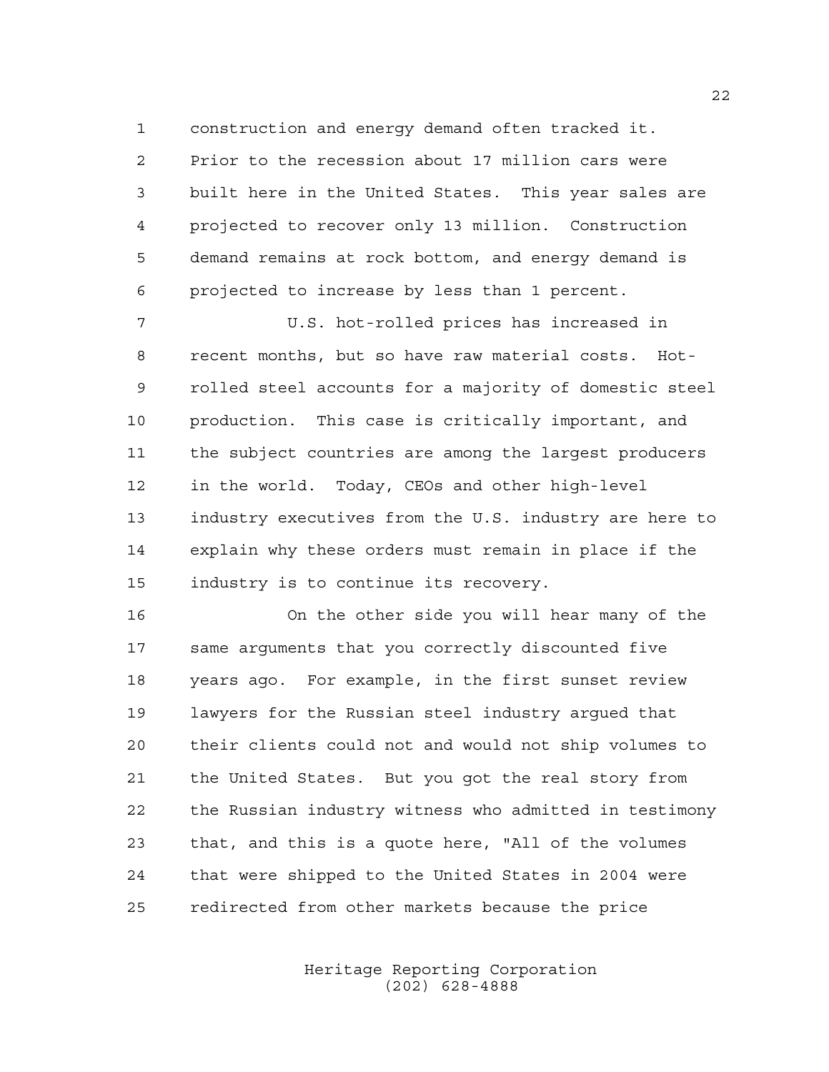construction and energy demand often tracked it. Prior to the recession about 17 million cars were built here in the United States. This year sales are projected to recover only 13 million. Construction demand remains at rock bottom, and energy demand is projected to increase by less than 1 percent.

 U.S. hot-rolled prices has increased in recent months, but so have raw material costs. Hot- rolled steel accounts for a majority of domestic steel production. This case is critically important, and the subject countries are among the largest producers in the world. Today, CEOs and other high-level industry executives from the U.S. industry are here to explain why these orders must remain in place if the industry is to continue its recovery.

 On the other side you will hear many of the same arguments that you correctly discounted five years ago. For example, in the first sunset review lawyers for the Russian steel industry argued that their clients could not and would not ship volumes to the United States. But you got the real story from the Russian industry witness who admitted in testimony that, and this is a quote here, "All of the volumes that were shipped to the United States in 2004 were redirected from other markets because the price

> Heritage Reporting Corporation (202) 628-4888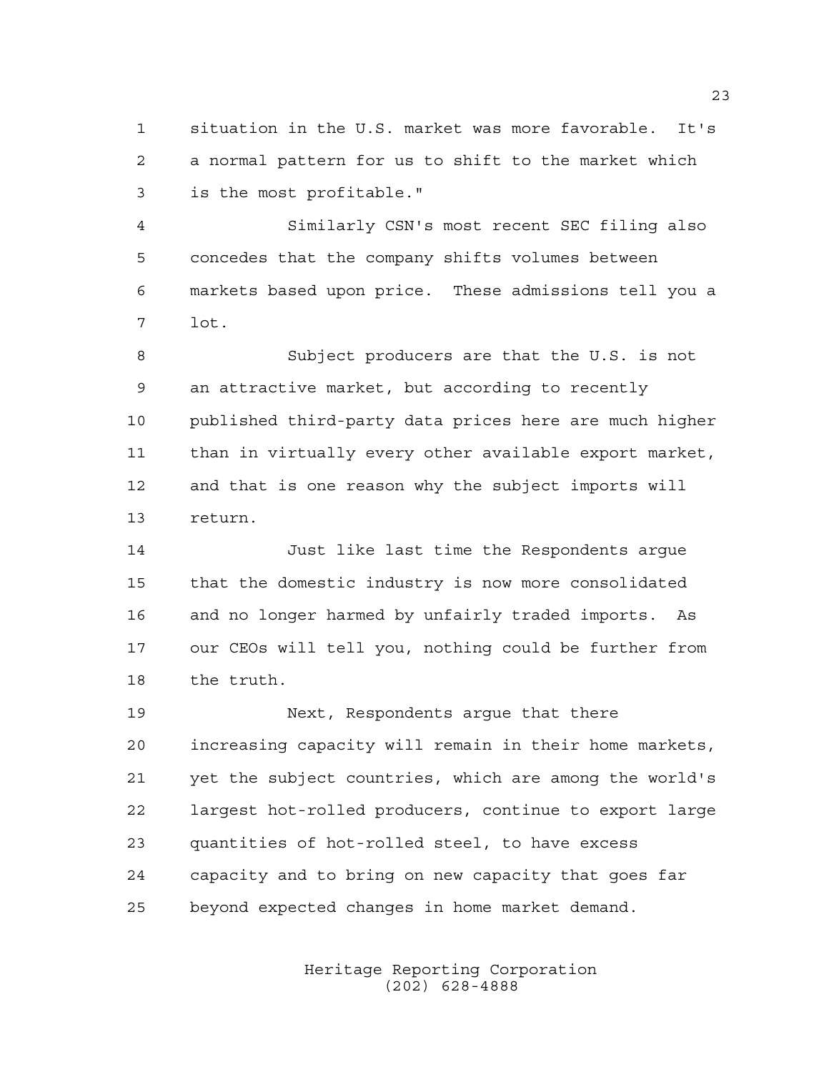situation in the U.S. market was more favorable. It's a normal pattern for us to shift to the market which is the most profitable."

 Similarly CSN's most recent SEC filing also concedes that the company shifts volumes between markets based upon price. These admissions tell you a lot.

 Subject producers are that the U.S. is not an attractive market, but according to recently published third-party data prices here are much higher than in virtually every other available export market, and that is one reason why the subject imports will return.

 Just like last time the Respondents argue that the domestic industry is now more consolidated and no longer harmed by unfairly traded imports. As our CEOs will tell you, nothing could be further from the truth.

 Next, Respondents argue that there increasing capacity will remain in their home markets, yet the subject countries, which are among the world's largest hot-rolled producers, continue to export large quantities of hot-rolled steel, to have excess capacity and to bring on new capacity that goes far beyond expected changes in home market demand.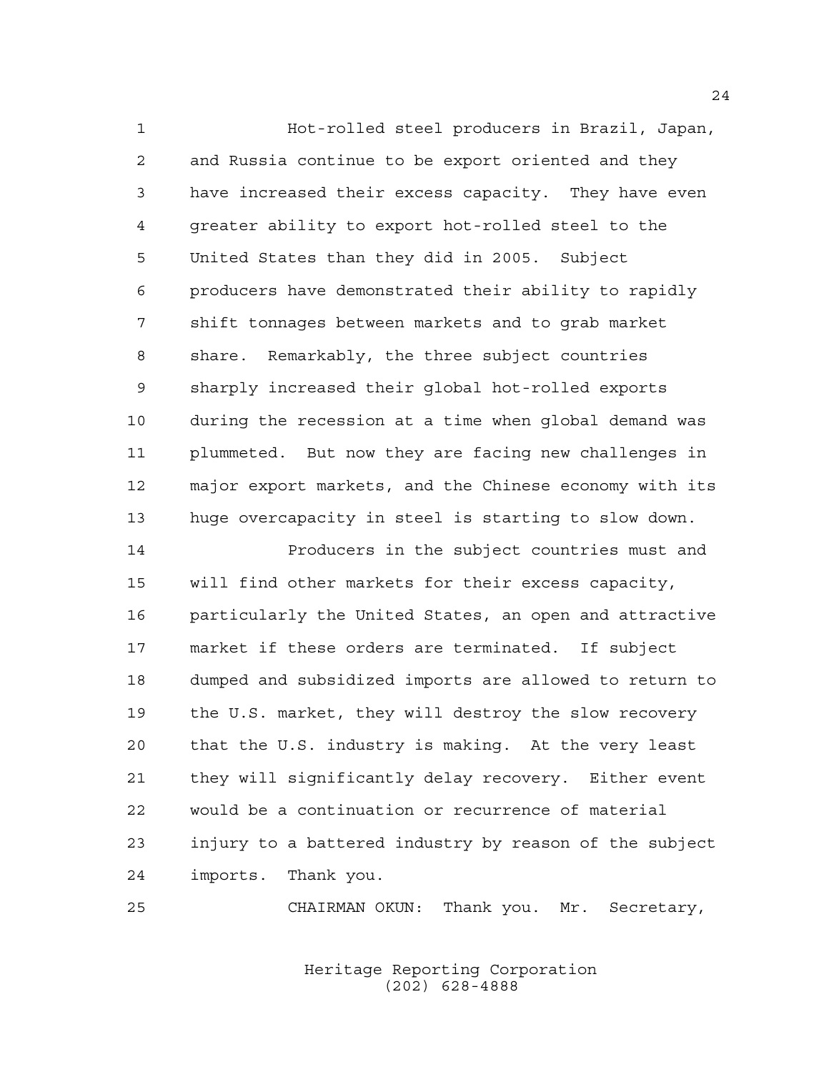Hot-rolled steel producers in Brazil, Japan, and Russia continue to be export oriented and they have increased their excess capacity. They have even greater ability to export hot-rolled steel to the United States than they did in 2005. Subject producers have demonstrated their ability to rapidly shift tonnages between markets and to grab market share. Remarkably, the three subject countries sharply increased their global hot-rolled exports during the recession at a time when global demand was plummeted. But now they are facing new challenges in major export markets, and the Chinese economy with its huge overcapacity in steel is starting to slow down.

 Producers in the subject countries must and will find other markets for their excess capacity, particularly the United States, an open and attractive market if these orders are terminated. If subject dumped and subsidized imports are allowed to return to the U.S. market, they will destroy the slow recovery that the U.S. industry is making. At the very least they will significantly delay recovery. Either event would be a continuation or recurrence of material injury to a battered industry by reason of the subject imports. Thank you.

CHAIRMAN OKUN: Thank you. Mr. Secretary,

Heritage Reporting Corporation (202) 628-4888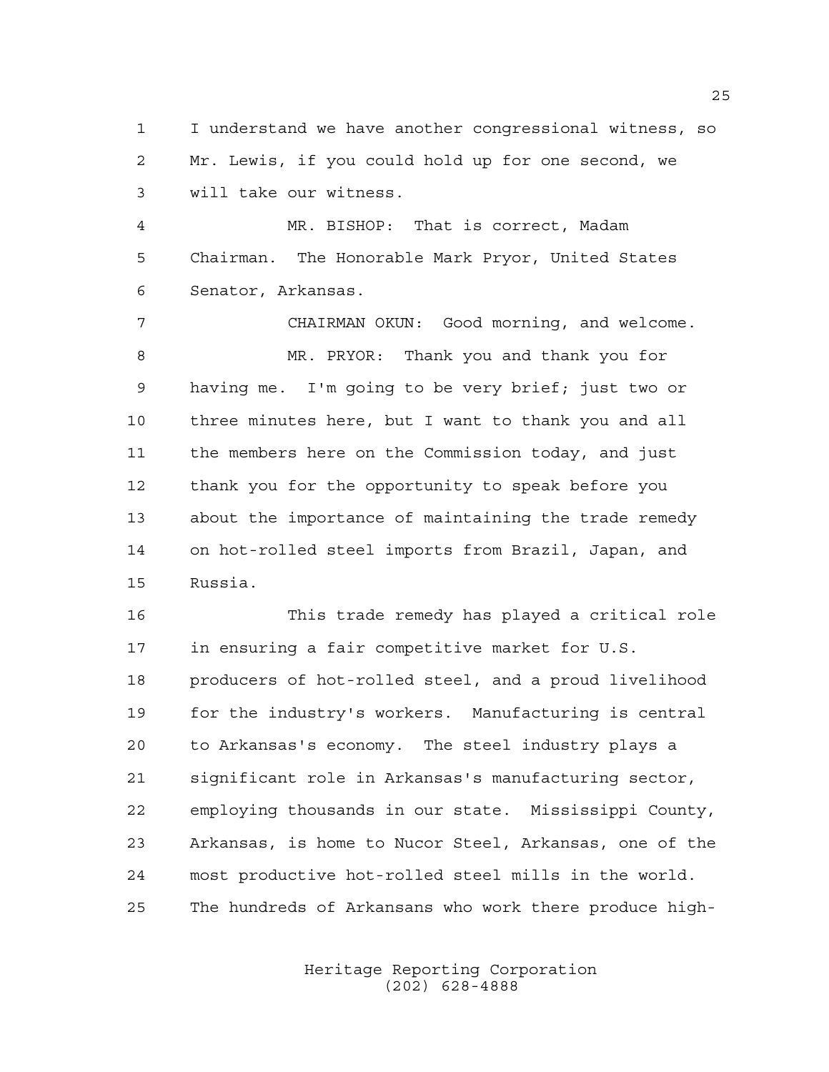I understand we have another congressional witness, so Mr. Lewis, if you could hold up for one second, we will take our witness.

 MR. BISHOP: That is correct, Madam Chairman. The Honorable Mark Pryor, United States Senator, Arkansas.

 CHAIRMAN OKUN: Good morning, and welcome. MR. PRYOR: Thank you and thank you for having me. I'm going to be very brief; just two or three minutes here, but I want to thank you and all the members here on the Commission today, and just thank you for the opportunity to speak before you about the importance of maintaining the trade remedy on hot-rolled steel imports from Brazil, Japan, and Russia.

 This trade remedy has played a critical role in ensuring a fair competitive market for U.S. producers of hot-rolled steel, and a proud livelihood for the industry's workers. Manufacturing is central to Arkansas's economy. The steel industry plays a significant role in Arkansas's manufacturing sector, employing thousands in our state. Mississippi County, Arkansas, is home to Nucor Steel, Arkansas, one of the most productive hot-rolled steel mills in the world. The hundreds of Arkansans who work there produce high-

> Heritage Reporting Corporation (202) 628-4888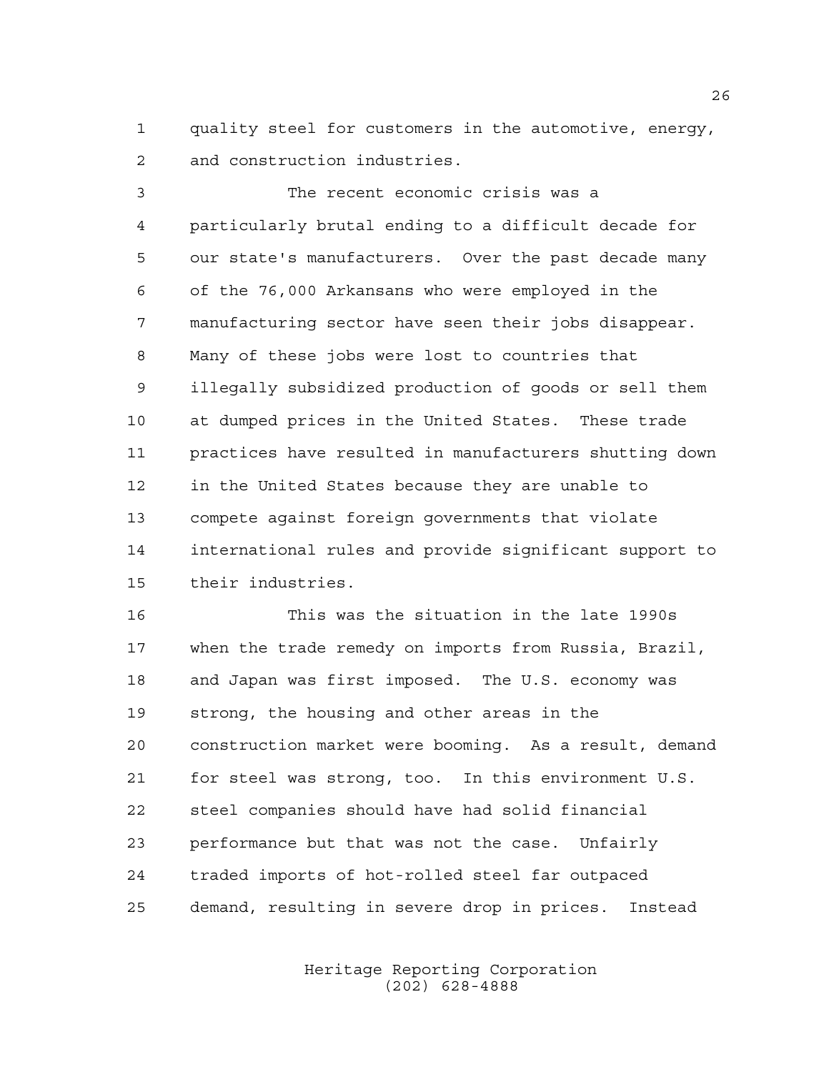quality steel for customers in the automotive, energy, and construction industries.

 The recent economic crisis was a particularly brutal ending to a difficult decade for our state's manufacturers. Over the past decade many of the 76,000 Arkansans who were employed in the manufacturing sector have seen their jobs disappear. Many of these jobs were lost to countries that illegally subsidized production of goods or sell them at dumped prices in the United States. These trade practices have resulted in manufacturers shutting down in the United States because they are unable to compete against foreign governments that violate international rules and provide significant support to their industries.

 This was the situation in the late 1990s when the trade remedy on imports from Russia, Brazil, and Japan was first imposed. The U.S. economy was strong, the housing and other areas in the construction market were booming. As a result, demand for steel was strong, too. In this environment U.S. steel companies should have had solid financial performance but that was not the case. Unfairly traded imports of hot-rolled steel far outpaced demand, resulting in severe drop in prices. Instead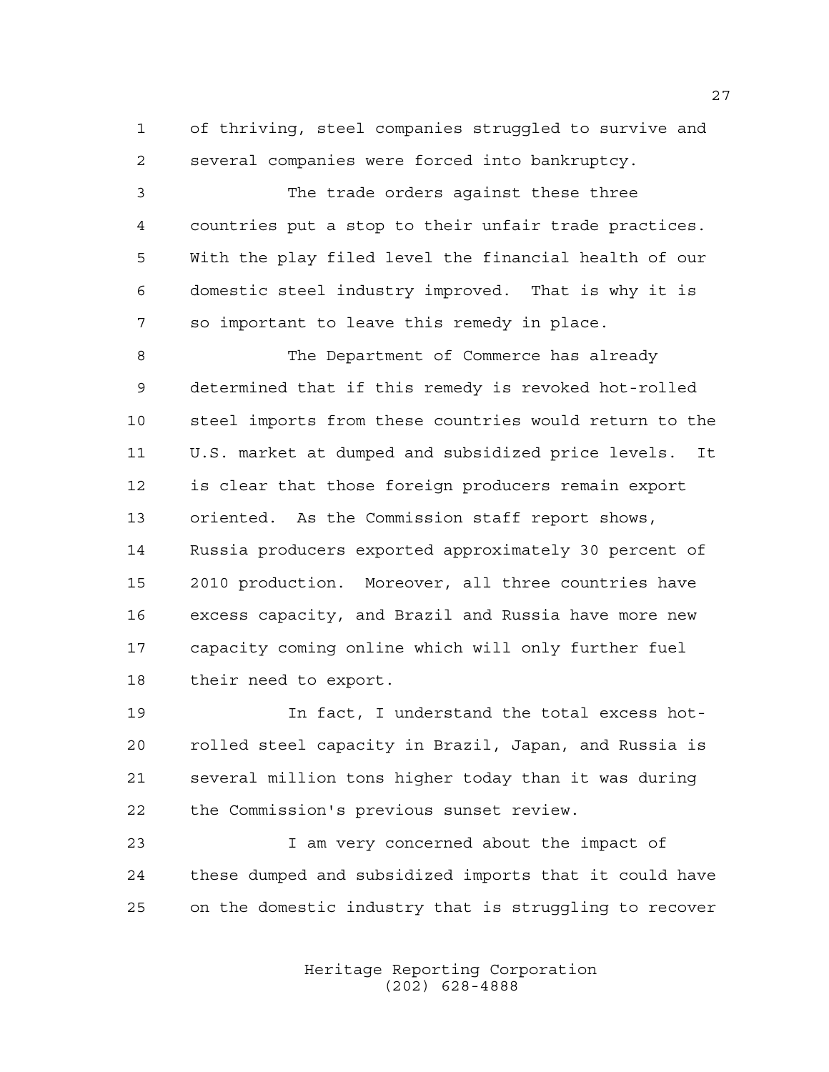of thriving, steel companies struggled to survive and several companies were forced into bankruptcy.

 The trade orders against these three countries put a stop to their unfair trade practices. With the play filed level the financial health of our domestic steel industry improved. That is why it is so important to leave this remedy in place.

 The Department of Commerce has already determined that if this remedy is revoked hot-rolled steel imports from these countries would return to the U.S. market at dumped and subsidized price levels. It is clear that those foreign producers remain export oriented. As the Commission staff report shows, Russia producers exported approximately 30 percent of 2010 production. Moreover, all three countries have excess capacity, and Brazil and Russia have more new capacity coming online which will only further fuel their need to export.

 In fact, I understand the total excess hot- rolled steel capacity in Brazil, Japan, and Russia is several million tons higher today than it was during the Commission's previous sunset review.

 I am very concerned about the impact of these dumped and subsidized imports that it could have on the domestic industry that is struggling to recover

> Heritage Reporting Corporation (202) 628-4888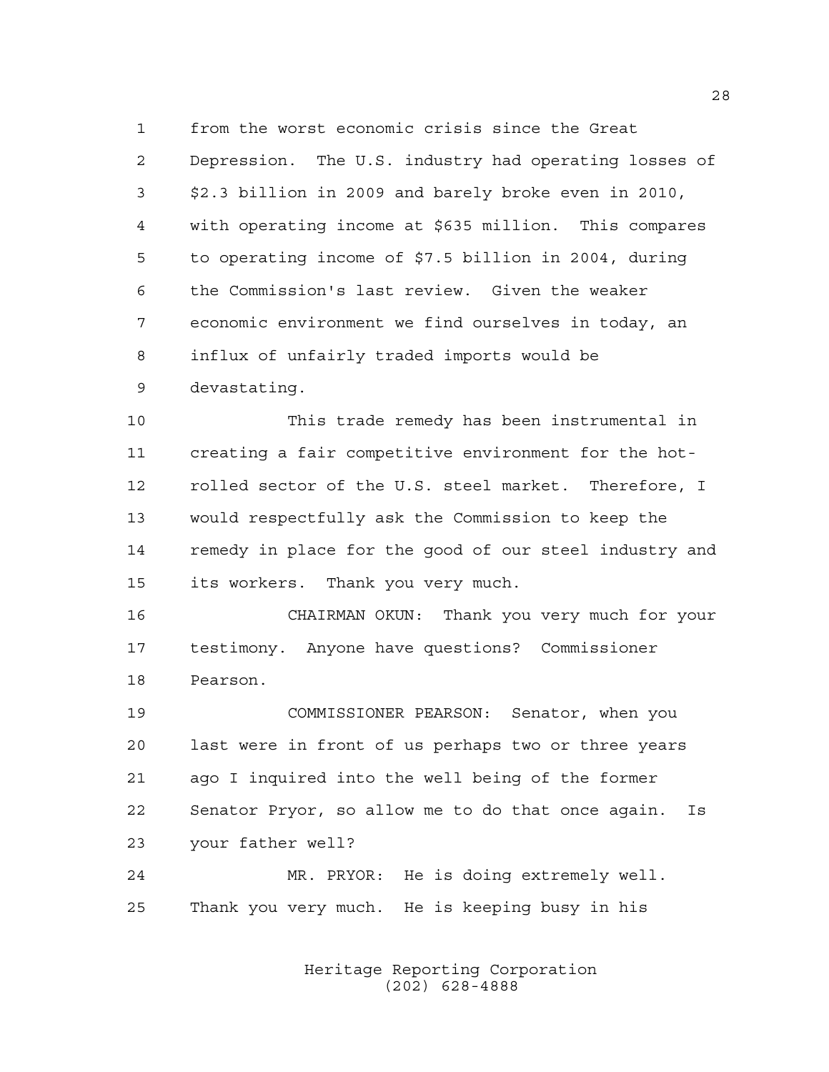from the worst economic crisis since the Great Depression. The U.S. industry had operating losses of \$2.3 billion in 2009 and barely broke even in 2010, with operating income at \$635 million. This compares to operating income of \$7.5 billion in 2004, during the Commission's last review. Given the weaker economic environment we find ourselves in today, an influx of unfairly traded imports would be devastating.

 This trade remedy has been instrumental in creating a fair competitive environment for the hot- rolled sector of the U.S. steel market. Therefore, I would respectfully ask the Commission to keep the remedy in place for the good of our steel industry and its workers. Thank you very much.

 CHAIRMAN OKUN: Thank you very much for your testimony. Anyone have questions? Commissioner Pearson.

 COMMISSIONER PEARSON: Senator, when you last were in front of us perhaps two or three years ago I inquired into the well being of the former Senator Pryor, so allow me to do that once again. Is your father well?

 MR. PRYOR: He is doing extremely well. Thank you very much. He is keeping busy in his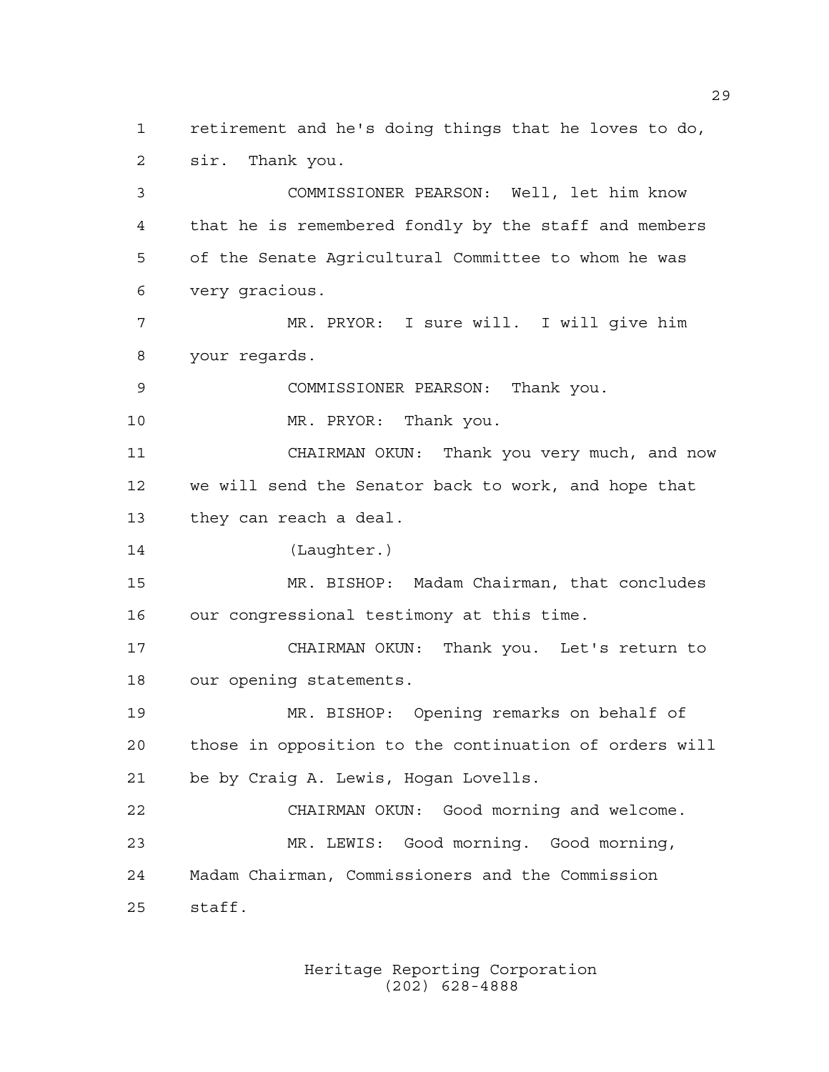retirement and he's doing things that he loves to do, sir. Thank you.

 COMMISSIONER PEARSON: Well, let him know that he is remembered fondly by the staff and members of the Senate Agricultural Committee to whom he was very gracious.

 MR. PRYOR: I sure will. I will give him your regards.

COMMISSIONER PEARSON: Thank you.

MR. PRYOR: Thank you.

 CHAIRMAN OKUN: Thank you very much, and now we will send the Senator back to work, and hope that they can reach a deal.

(Laughter.)

 MR. BISHOP: Madam Chairman, that concludes our congressional testimony at this time.

 CHAIRMAN OKUN: Thank you. Let's return to our opening statements.

 MR. BISHOP: Opening remarks on behalf of those in opposition to the continuation of orders will be by Craig A. Lewis, Hogan Lovells.

 CHAIRMAN OKUN: Good morning and welcome. MR. LEWIS: Good morning. Good morning, Madam Chairman, Commissioners and the Commission staff.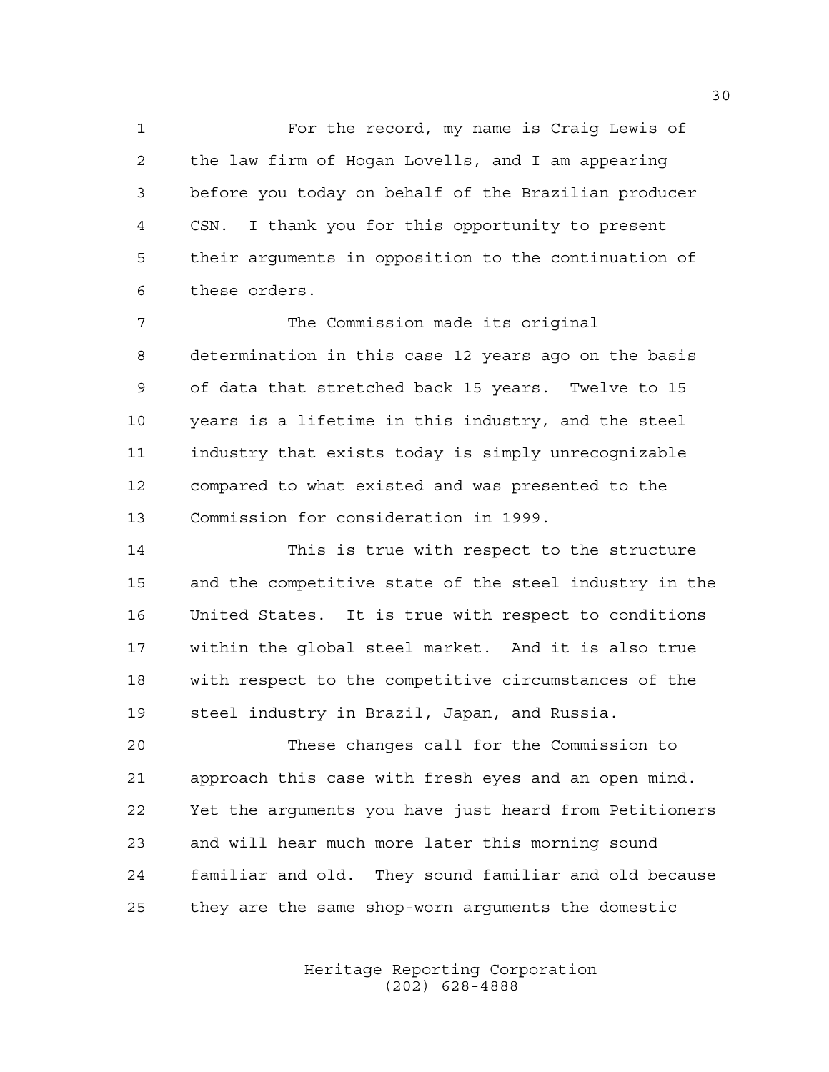For the record, my name is Craig Lewis of the law firm of Hogan Lovells, and I am appearing before you today on behalf of the Brazilian producer CSN. I thank you for this opportunity to present their arguments in opposition to the continuation of these orders.

 The Commission made its original determination in this case 12 years ago on the basis of data that stretched back 15 years. Twelve to 15 years is a lifetime in this industry, and the steel industry that exists today is simply unrecognizable compared to what existed and was presented to the Commission for consideration in 1999.

 This is true with respect to the structure and the competitive state of the steel industry in the United States. It is true with respect to conditions within the global steel market. And it is also true with respect to the competitive circumstances of the steel industry in Brazil, Japan, and Russia.

 These changes call for the Commission to approach this case with fresh eyes and an open mind. Yet the arguments you have just heard from Petitioners and will hear much more later this morning sound familiar and old. They sound familiar and old because they are the same shop-worn arguments the domestic

> Heritage Reporting Corporation (202) 628-4888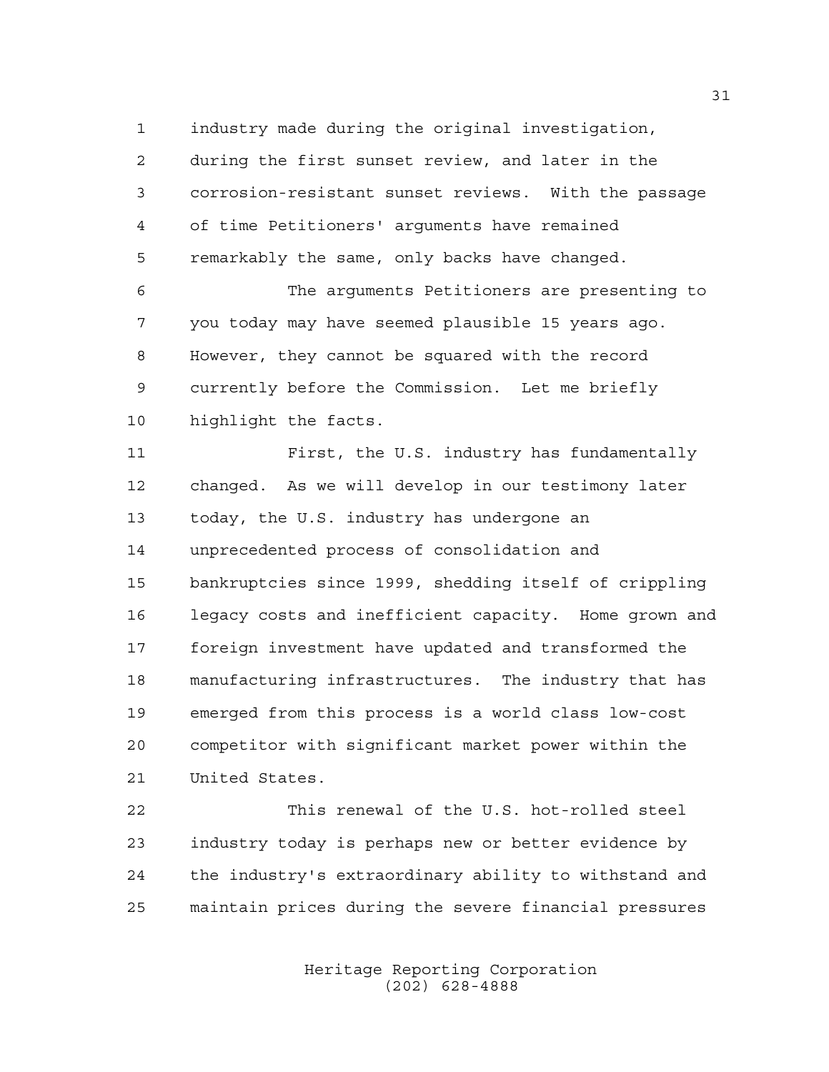industry made during the original investigation,

 during the first sunset review, and later in the corrosion-resistant sunset reviews. With the passage of time Petitioners' arguments have remained remarkably the same, only backs have changed.

 The arguments Petitioners are presenting to you today may have seemed plausible 15 years ago. However, they cannot be squared with the record currently before the Commission. Let me briefly highlight the facts.

 First, the U.S. industry has fundamentally changed. As we will develop in our testimony later today, the U.S. industry has undergone an unprecedented process of consolidation and bankruptcies since 1999, shedding itself of crippling legacy costs and inefficient capacity. Home grown and foreign investment have updated and transformed the manufacturing infrastructures. The industry that has emerged from this process is a world class low-cost competitor with significant market power within the United States.

 This renewal of the U.S. hot-rolled steel industry today is perhaps new or better evidence by the industry's extraordinary ability to withstand and maintain prices during the severe financial pressures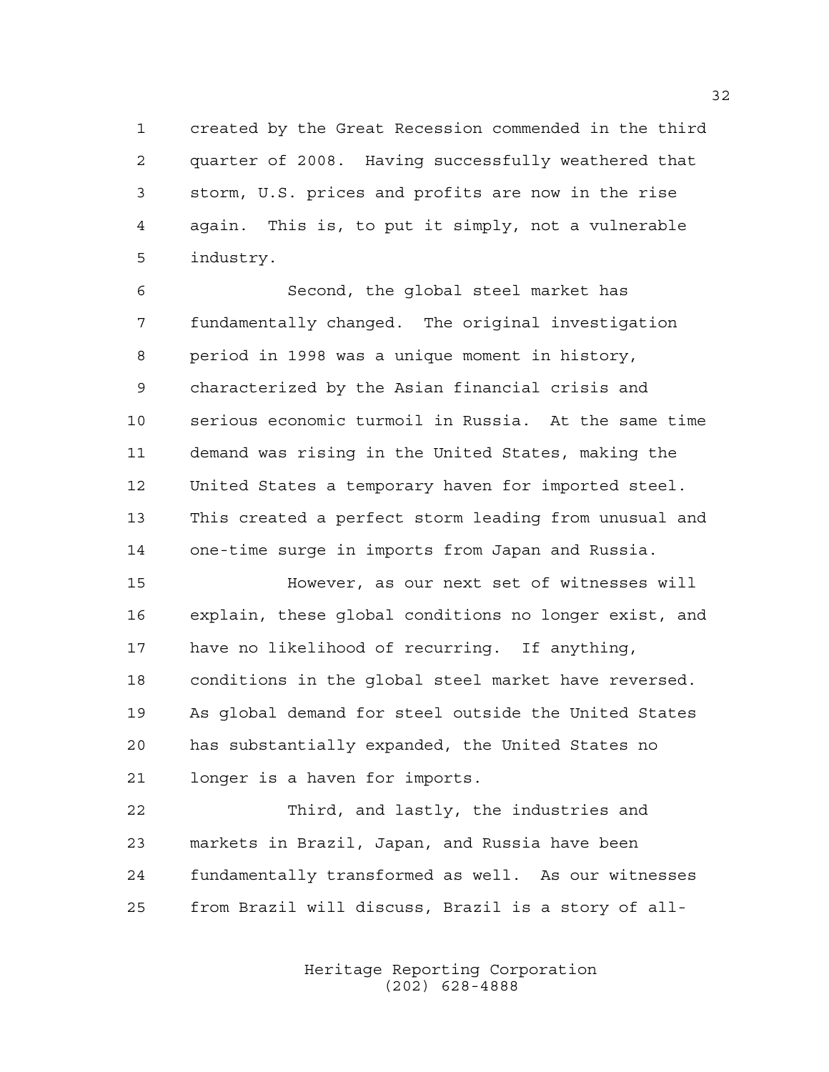created by the Great Recession commended in the third quarter of 2008. Having successfully weathered that storm, U.S. prices and profits are now in the rise again. This is, to put it simply, not a vulnerable industry.

 Second, the global steel market has fundamentally changed. The original investigation period in 1998 was a unique moment in history, characterized by the Asian financial crisis and serious economic turmoil in Russia. At the same time demand was rising in the United States, making the United States a temporary haven for imported steel. This created a perfect storm leading from unusual and one-time surge in imports from Japan and Russia.

 However, as our next set of witnesses will explain, these global conditions no longer exist, and have no likelihood of recurring. If anything, conditions in the global steel market have reversed. As global demand for steel outside the United States has substantially expanded, the United States no longer is a haven for imports.

 Third, and lastly, the industries and markets in Brazil, Japan, and Russia have been fundamentally transformed as well. As our witnesses from Brazil will discuss, Brazil is a story of all-

> Heritage Reporting Corporation (202) 628-4888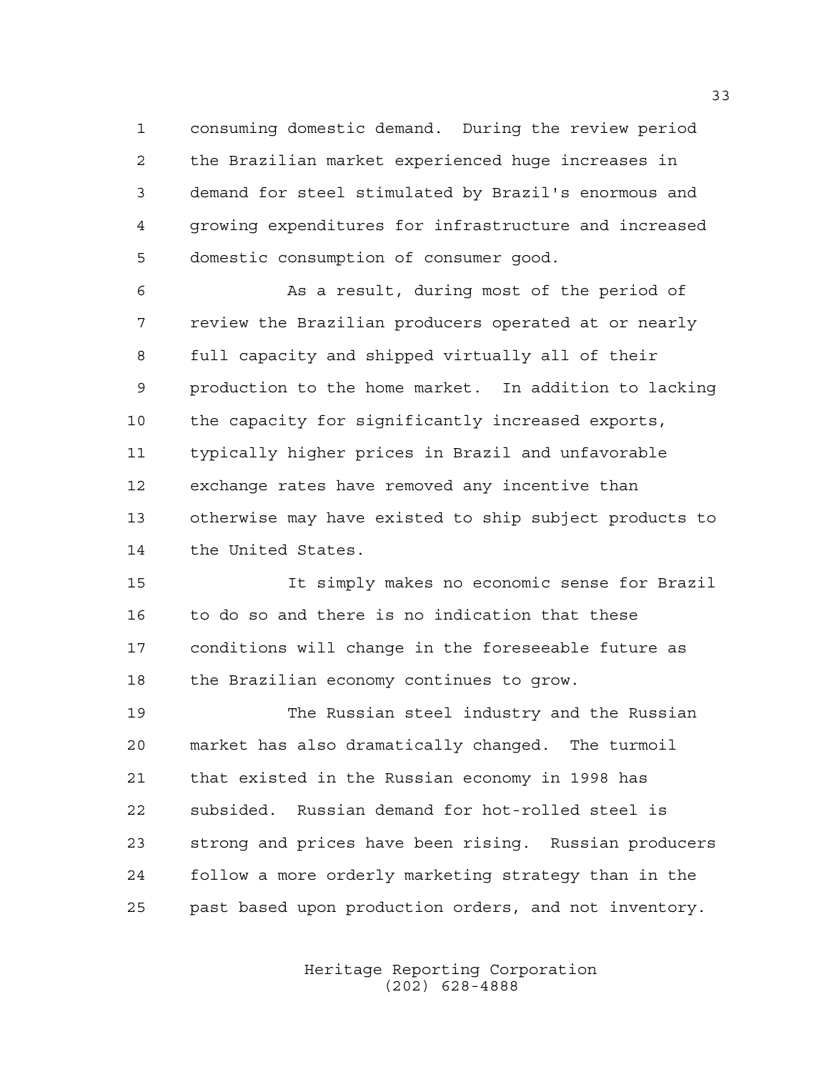consuming domestic demand. During the review period the Brazilian market experienced huge increases in demand for steel stimulated by Brazil's enormous and growing expenditures for infrastructure and increased domestic consumption of consumer good.

 As a result, during most of the period of review the Brazilian producers operated at or nearly full capacity and shipped virtually all of their production to the home market. In addition to lacking the capacity for significantly increased exports, typically higher prices in Brazil and unfavorable exchange rates have removed any incentive than otherwise may have existed to ship subject products to the United States.

 It simply makes no economic sense for Brazil to do so and there is no indication that these conditions will change in the foreseeable future as the Brazilian economy continues to grow.

 The Russian steel industry and the Russian market has also dramatically changed. The turmoil that existed in the Russian economy in 1998 has subsided. Russian demand for hot-rolled steel is strong and prices have been rising. Russian producers follow a more orderly marketing strategy than in the past based upon production orders, and not inventory.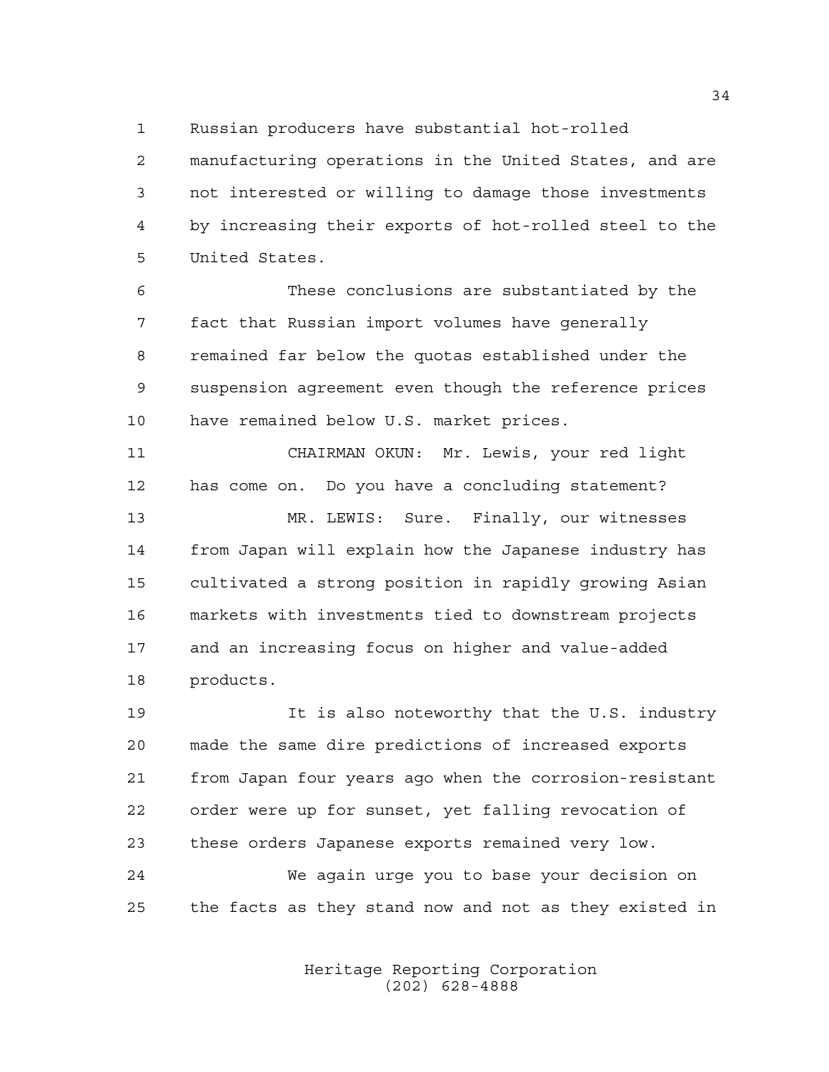Russian producers have substantial hot-rolled

 manufacturing operations in the United States, and are not interested or willing to damage those investments by increasing their exports of hot-rolled steel to the United States.

 These conclusions are substantiated by the fact that Russian import volumes have generally remained far below the quotas established under the suspension agreement even though the reference prices have remained below U.S. market prices.

 CHAIRMAN OKUN: Mr. Lewis, your red light has come on. Do you have a concluding statement? MR. LEWIS: Sure. Finally, our witnesses from Japan will explain how the Japanese industry has cultivated a strong position in rapidly growing Asian markets with investments tied to downstream projects and an increasing focus on higher and value-added products.

 It is also noteworthy that the U.S. industry made the same dire predictions of increased exports from Japan four years ago when the corrosion-resistant order were up for sunset, yet falling revocation of these orders Japanese exports remained very low.

 We again urge you to base your decision on the facts as they stand now and not as they existed in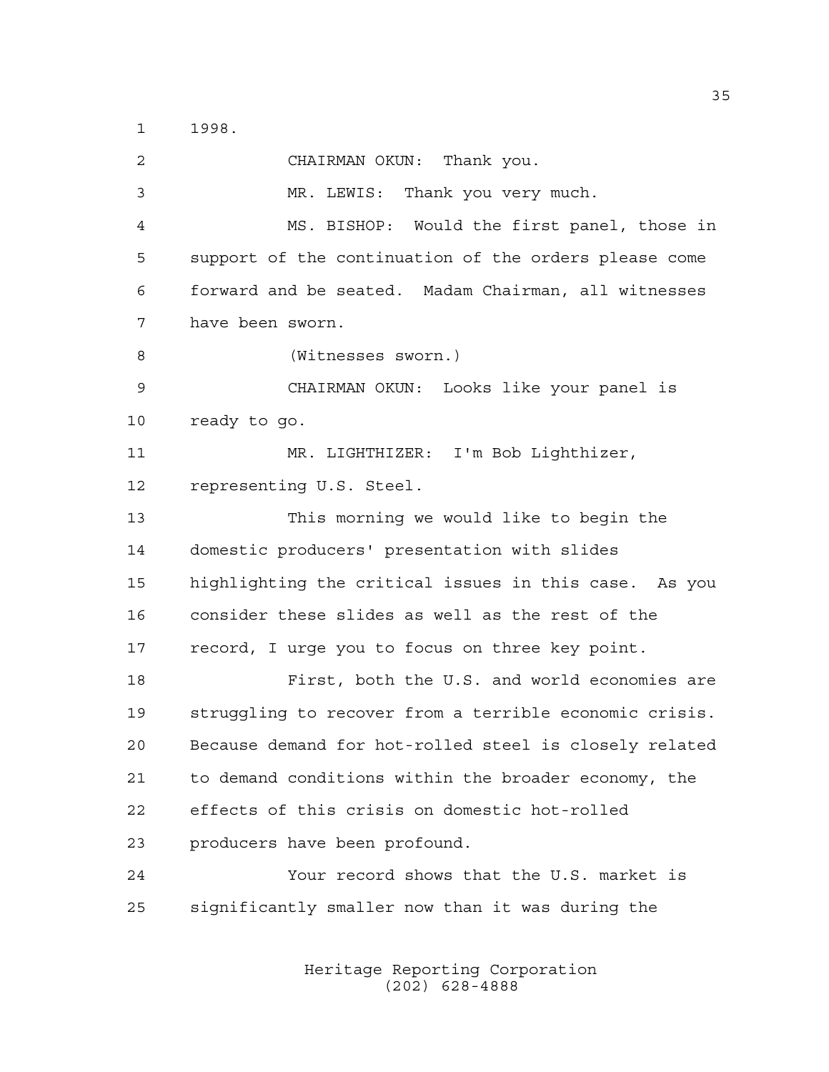1998.

| $\overline{a}$ | CHAIRMAN OKUN: Thank you.                              |
|----------------|--------------------------------------------------------|
| 3              | MR. LEWIS: Thank you very much.                        |
| 4              | MS. BISHOP: Would the first panel, those in            |
| 5              | support of the continuation of the orders please come  |
| 6              | forward and be seated. Madam Chairman, all witnesses   |
| 7              | have been sworn.                                       |
| 8              | (Witnesses sworn.)                                     |
| $\mathsf 9$    | CHAIRMAN OKUN: Looks like your panel is                |
| 10             | ready to go.                                           |
| 11             | MR. LIGHTHIZER: I'm Bob Lighthizer,                    |
| 12             | representing U.S. Steel.                               |
| 13             | This morning we would like to begin the                |
| 14             | domestic producers' presentation with slides           |
| 15             | highlighting the critical issues in this case. As you  |
| 16             | consider these slides as well as the rest of the       |
| 17             | record, I urge you to focus on three key point.        |
| 18             | First, both the U.S. and world economies are           |
| 19             | struggling to recover from a terrible economic crisis. |
| 20             | Because demand for hot-rolled steel is closely related |
| 21             | to demand conditions within the broader economy, the   |
| 22             | effects of this crisis on domestic hot-rolled          |
| 23             | producers have been profound.                          |
| 24             | Your record shows that the U.S. market is              |
| 25             | significantly smaller now than it was during the       |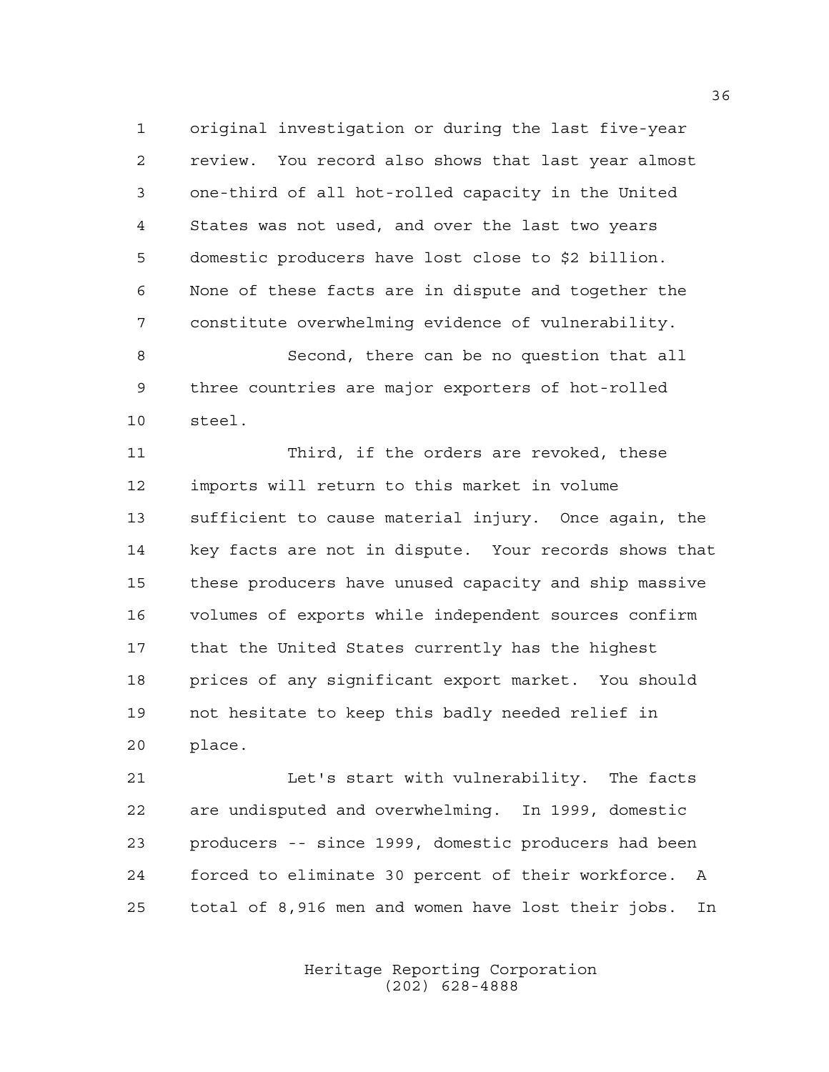original investigation or during the last five-year review. You record also shows that last year almost one-third of all hot-rolled capacity in the United States was not used, and over the last two years domestic producers have lost close to \$2 billion. None of these facts are in dispute and together the constitute overwhelming evidence of vulnerability.

 Second, there can be no question that all three countries are major exporters of hot-rolled steel.

 Third, if the orders are revoked, these imports will return to this market in volume sufficient to cause material injury. Once again, the key facts are not in dispute. Your records shows that these producers have unused capacity and ship massive volumes of exports while independent sources confirm that the United States currently has the highest prices of any significant export market. You should not hesitate to keep this badly needed relief in place.

21 Let's start with vulnerability. The facts are undisputed and overwhelming. In 1999, domestic producers -- since 1999, domestic producers had been forced to eliminate 30 percent of their workforce. A total of 8,916 men and women have lost their jobs. In

> Heritage Reporting Corporation (202) 628-4888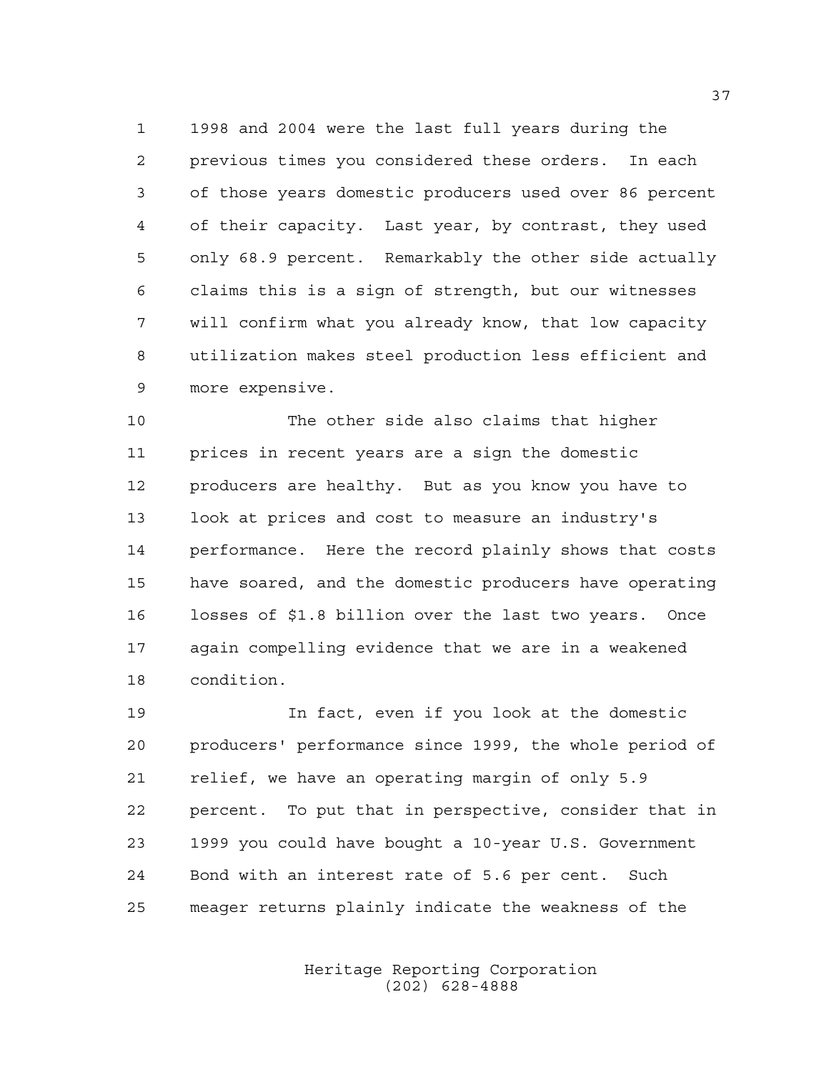1998 and 2004 were the last full years during the previous times you considered these orders. In each of those years domestic producers used over 86 percent of their capacity. Last year, by contrast, they used only 68.9 percent. Remarkably the other side actually claims this is a sign of strength, but our witnesses will confirm what you already know, that low capacity utilization makes steel production less efficient and more expensive.

 The other side also claims that higher prices in recent years are a sign the domestic producers are healthy. But as you know you have to look at prices and cost to measure an industry's performance. Here the record plainly shows that costs have soared, and the domestic producers have operating losses of \$1.8 billion over the last two years. Once again compelling evidence that we are in a weakened condition.

 In fact, even if you look at the domestic producers' performance since 1999, the whole period of relief, we have an operating margin of only 5.9 percent. To put that in perspective, consider that in 1999 you could have bought a 10-year U.S. Government Bond with an interest rate of 5.6 per cent. Such meager returns plainly indicate the weakness of the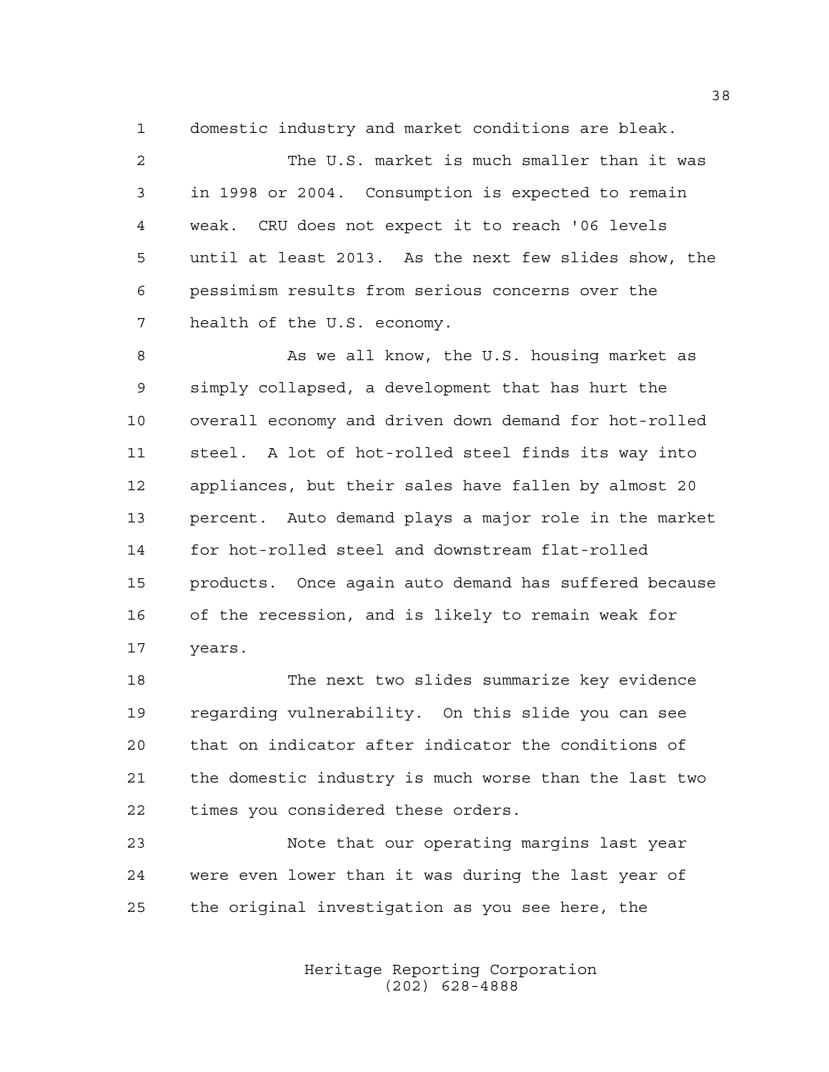domestic industry and market conditions are bleak.

 The U.S. market is much smaller than it was in 1998 or 2004. Consumption is expected to remain weak. CRU does not expect it to reach '06 levels until at least 2013. As the next few slides show, the pessimism results from serious concerns over the health of the U.S. economy.

8 As we all know, the U.S. housing market as simply collapsed, a development that has hurt the overall economy and driven down demand for hot-rolled steel. A lot of hot-rolled steel finds its way into appliances, but their sales have fallen by almost 20 percent. Auto demand plays a major role in the market for hot-rolled steel and downstream flat-rolled products. Once again auto demand has suffered because of the recession, and is likely to remain weak for years.

 The next two slides summarize key evidence regarding vulnerability. On this slide you can see that on indicator after indicator the conditions of the domestic industry is much worse than the last two times you considered these orders.

 Note that our operating margins last year were even lower than it was during the last year of the original investigation as you see here, the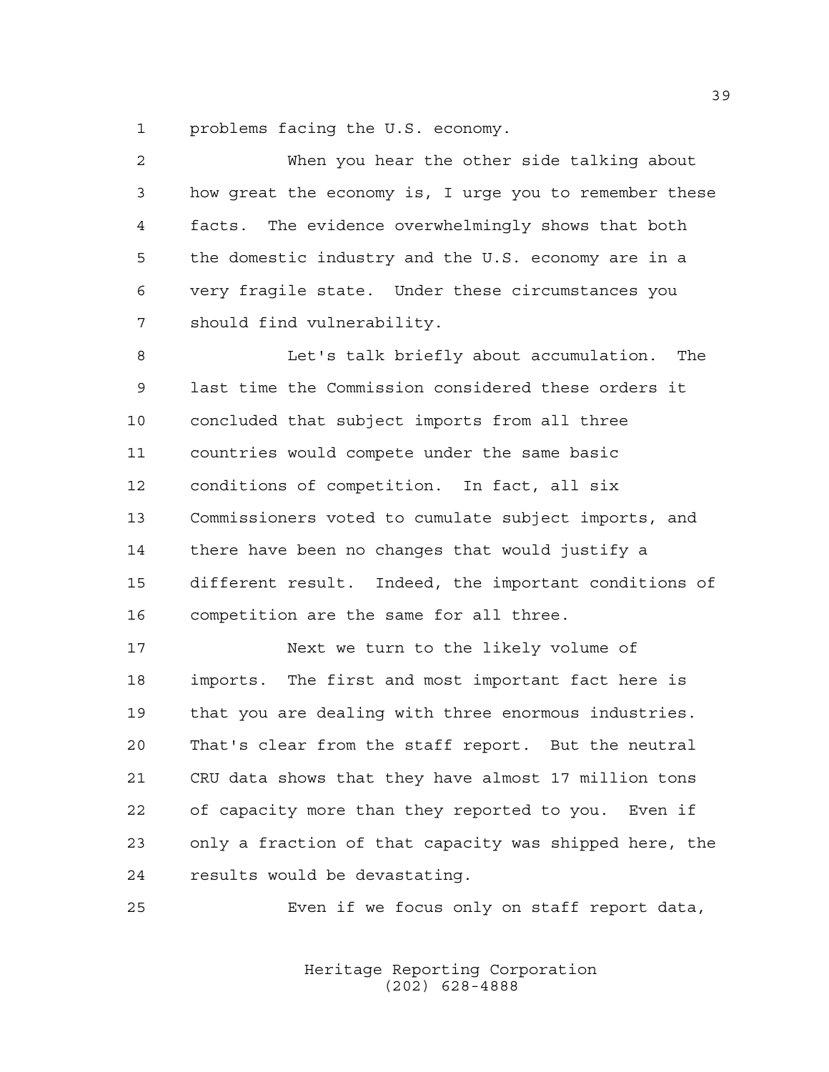problems facing the U.S. economy.

| $\overline{2}$ | When you hear the other side talking about             |
|----------------|--------------------------------------------------------|
| 3              | how great the economy is, I urge you to remember these |
| 4              | The evidence overwhelmingly shows that both<br>facts.  |
| 5              | the domestic industry and the U.S. economy are in a    |
| 6              | very fragile state. Under these circumstances you      |
| 7              | should find vulnerability.                             |
| 8              | Let's talk briefly about accumulation. The             |
| 9              | last time the Commission considered these orders it    |
| 10             | concluded that subject imports from all three          |
| 11             | countries would compete under the same basic           |
| 12             | conditions of competition. In fact, all six            |
| 13             | Commissioners voted to cumulate subject imports, and   |
| 14             | there have been no changes that would justify a        |
| 15             | different result. Indeed, the important conditions of  |
| 16             | competition are the same for all three.                |
| 17             | Next we turn to the likely volume of                   |
| 18             | imports. The first and most important fact here is     |
| 19             | that you are dealing with three enormous industries.   |
| 20             | That's clear from the staff report. But the neutral    |
| 21             | CRU data shows that they have almost 17 million tons   |
| 22             | of capacity more than they reported to you.<br>Even if |
| 23             | only a fraction of that capacity was shipped here, the |
| 24             | results would be devastating.                          |

Even if we focus only on staff report data,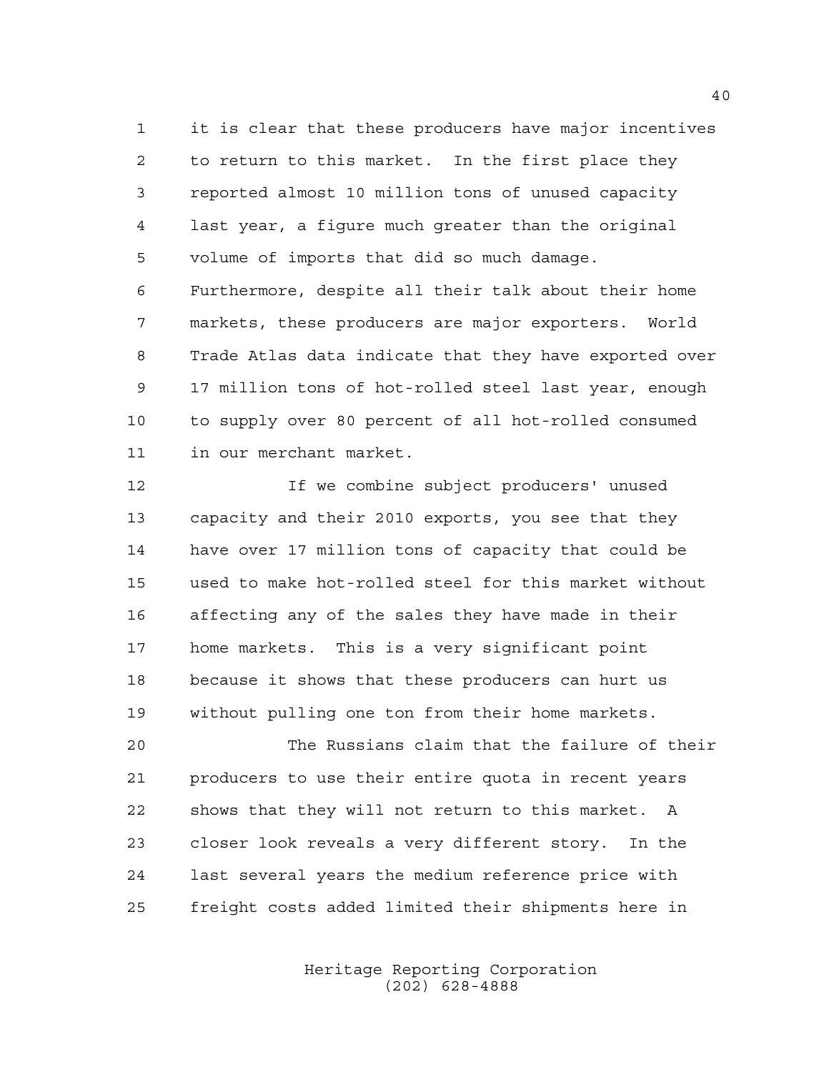it is clear that these producers have major incentives to return to this market. In the first place they reported almost 10 million tons of unused capacity last year, a figure much greater than the original volume of imports that did so much damage. Furthermore, despite all their talk about their home markets, these producers are major exporters. World Trade Atlas data indicate that they have exported over 17 million tons of hot-rolled steel last year, enough to supply over 80 percent of all hot-rolled consumed in our merchant market.

 If we combine subject producers' unused capacity and their 2010 exports, you see that they have over 17 million tons of capacity that could be used to make hot-rolled steel for this market without affecting any of the sales they have made in their home markets. This is a very significant point because it shows that these producers can hurt us without pulling one ton from their home markets.

 The Russians claim that the failure of their producers to use their entire quota in recent years shows that they will not return to this market. A closer look reveals a very different story. In the last several years the medium reference price with freight costs added limited their shipments here in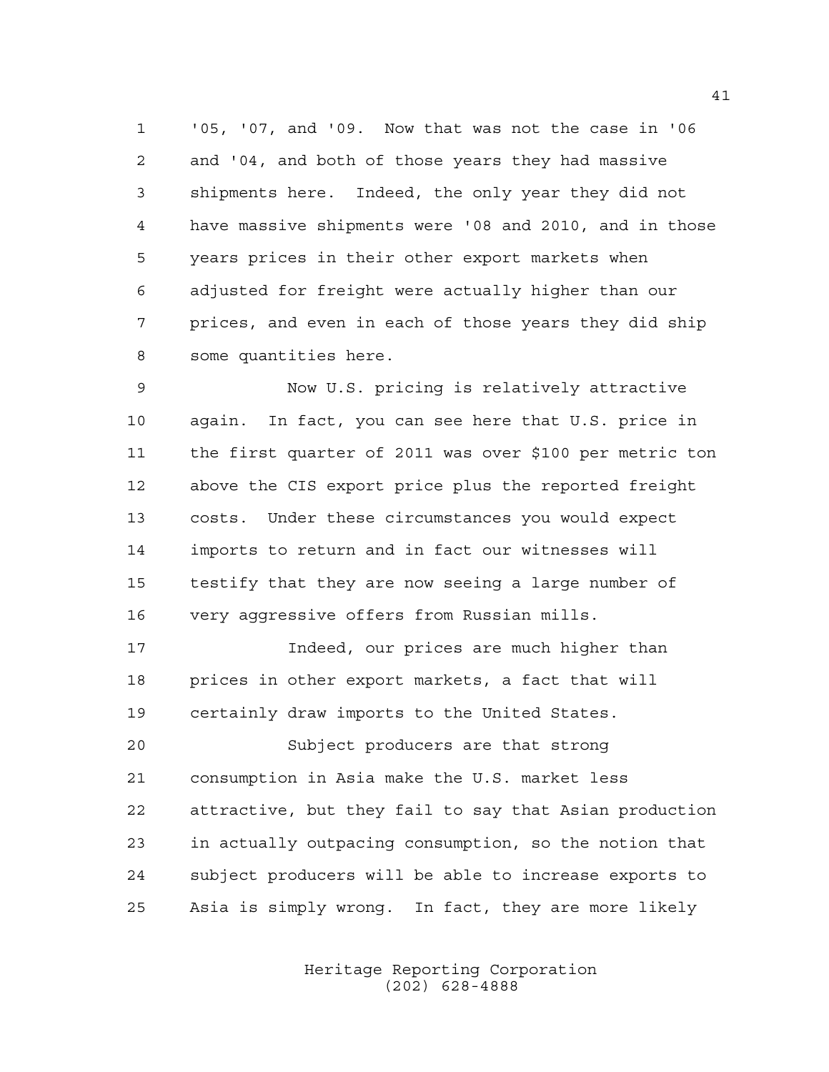'05, '07, and '09. Now that was not the case in '06 and '04, and both of those years they had massive shipments here. Indeed, the only year they did not have massive shipments were '08 and 2010, and in those years prices in their other export markets when adjusted for freight were actually higher than our prices, and even in each of those years they did ship some quantities here.

 Now U.S. pricing is relatively attractive again. In fact, you can see here that U.S. price in the first quarter of 2011 was over \$100 per metric ton above the CIS export price plus the reported freight costs. Under these circumstances you would expect imports to return and in fact our witnesses will testify that they are now seeing a large number of very aggressive offers from Russian mills.

 Indeed, our prices are much higher than prices in other export markets, a fact that will certainly draw imports to the United States.

 Subject producers are that strong consumption in Asia make the U.S. market less attractive, but they fail to say that Asian production in actually outpacing consumption, so the notion that subject producers will be able to increase exports to Asia is simply wrong. In fact, they are more likely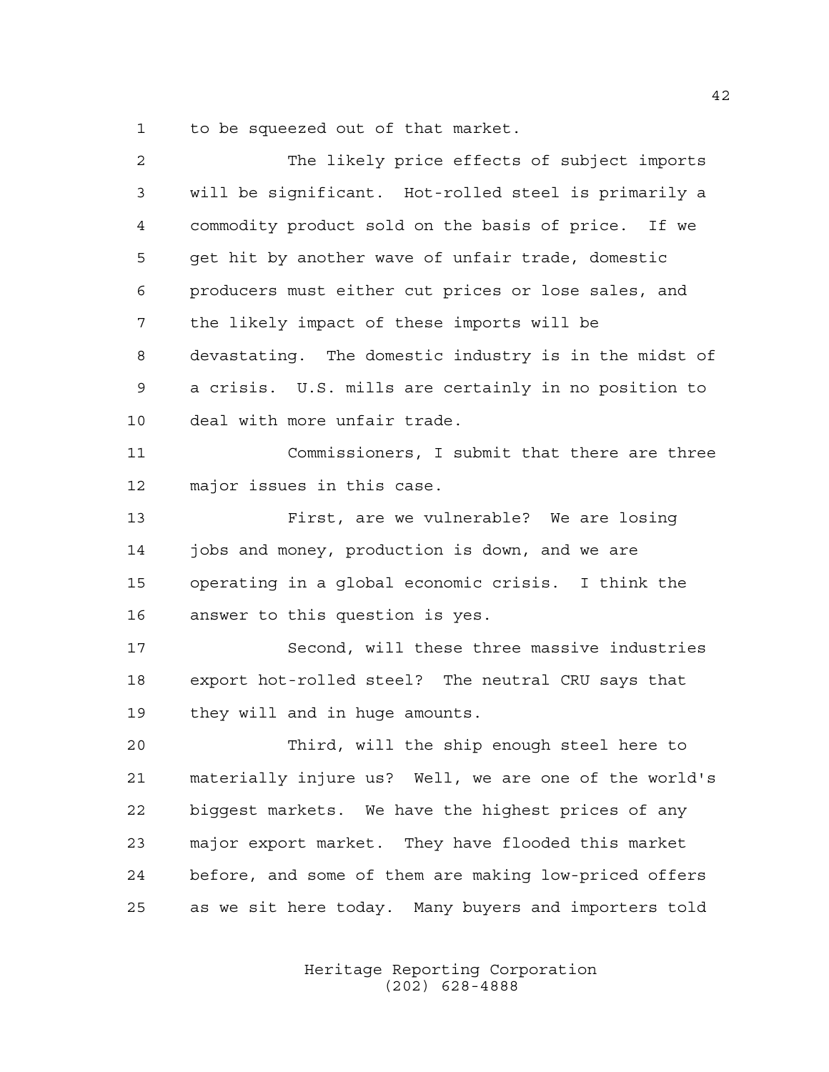to be squeezed out of that market.

| $\overline{2}$ | The likely price effects of subject imports           |
|----------------|-------------------------------------------------------|
| 3              | will be significant. Hot-rolled steel is primarily a  |
| 4              | commodity product sold on the basis of price. If we   |
| 5              | get hit by another wave of unfair trade, domestic     |
| 6              | producers must either cut prices or lose sales, and   |
| 7              | the likely impact of these imports will be            |
| 8              | devastating. The domestic industry is in the midst of |
| 9              | a crisis. U.S. mills are certainly in no position to  |
| 10             | deal with more unfair trade.                          |
| 11             | Commissioners, I submit that there are three          |
| 12             | major issues in this case.                            |
| 13             | First, are we vulnerable? We are losing               |
| 14             | jobs and money, production is down, and we are        |
| 15             | operating in a global economic crisis. I think the    |
| 16             | answer to this question is yes.                       |
| 17             | Second, will these three massive industries           |
| 18             | export hot-rolled steel? The neutral CRU says that    |
| 19             | they will and in huge amounts.                        |
| 20             | Third, will the ship enough steel here to             |
| 21             | materially injure us? Well, we are one of the world's |
| 22             | biggest markets. We have the highest prices of any    |
| 23             | major export market. They have flooded this market    |
| 24             | before, and some of them are making low-priced offers |
| 25             | as we sit here today. Many buyers and importers told  |
|                |                                                       |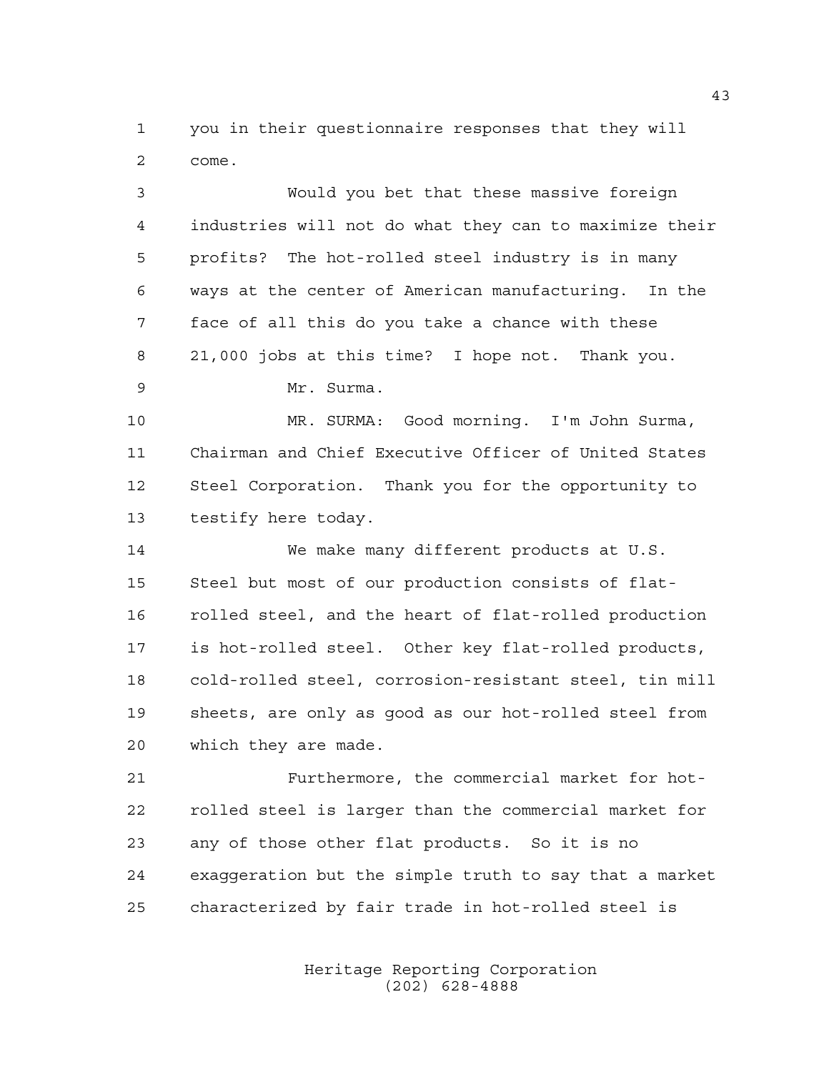you in their questionnaire responses that they will come.

 Would you bet that these massive foreign industries will not do what they can to maximize their profits? The hot-rolled steel industry is in many ways at the center of American manufacturing. In the face of all this do you take a chance with these 21,000 jobs at this time? I hope not. Thank you. Mr. Surma.

 MR. SURMA: Good morning. I'm John Surma, Chairman and Chief Executive Officer of United States Steel Corporation. Thank you for the opportunity to testify here today.

 We make many different products at U.S. Steel but most of our production consists of flat- rolled steel, and the heart of flat-rolled production is hot-rolled steel. Other key flat-rolled products, cold-rolled steel, corrosion-resistant steel, tin mill sheets, are only as good as our hot-rolled steel from which they are made.

 Furthermore, the commercial market for hot- rolled steel is larger than the commercial market for any of those other flat products. So it is no exaggeration but the simple truth to say that a market characterized by fair trade in hot-rolled steel is

> Heritage Reporting Corporation (202) 628-4888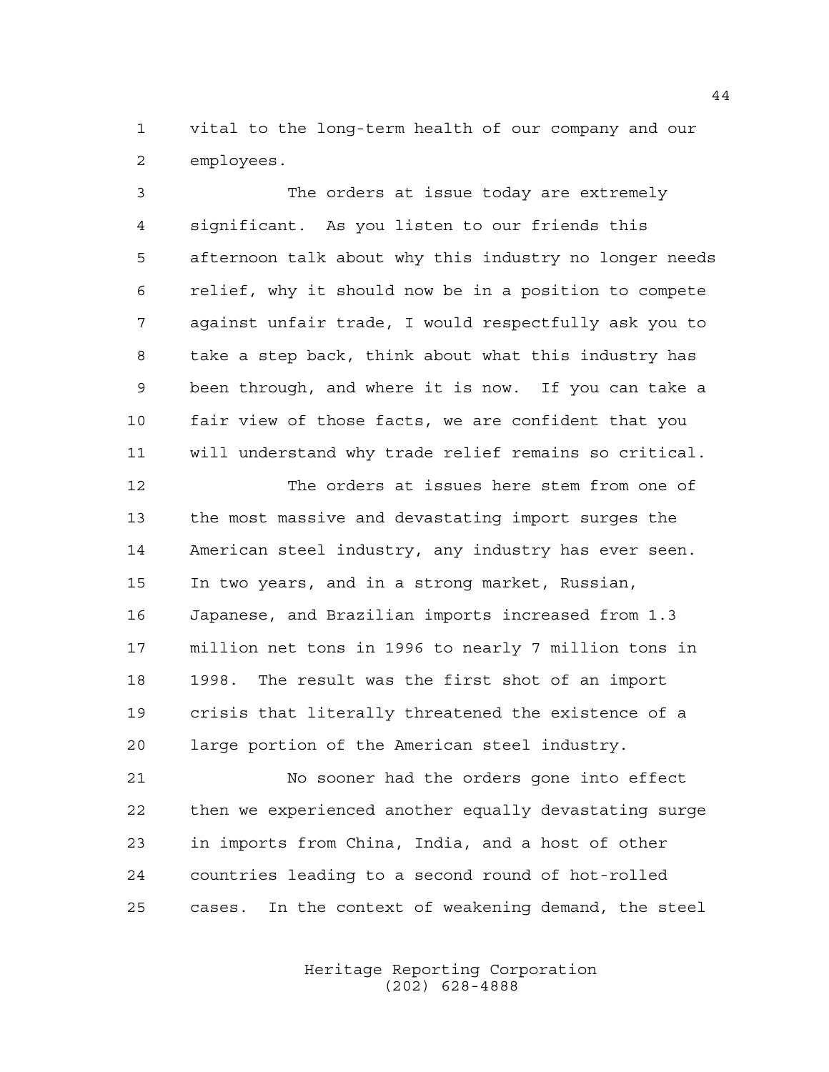vital to the long-term health of our company and our employees.

 The orders at issue today are extremely significant. As you listen to our friends this afternoon talk about why this industry no longer needs relief, why it should now be in a position to compete against unfair trade, I would respectfully ask you to take a step back, think about what this industry has been through, and where it is now. If you can take a fair view of those facts, we are confident that you will understand why trade relief remains so critical. The orders at issues here stem from one of the most massive and devastating import surges the American steel industry, any industry has ever seen. In two years, and in a strong market, Russian, Japanese, and Brazilian imports increased from 1.3 million net tons in 1996 to nearly 7 million tons in

 crisis that literally threatened the existence of a large portion of the American steel industry.

1998. The result was the first shot of an import

 No sooner had the orders gone into effect then we experienced another equally devastating surge in imports from China, India, and a host of other countries leading to a second round of hot-rolled cases. In the context of weakening demand, the steel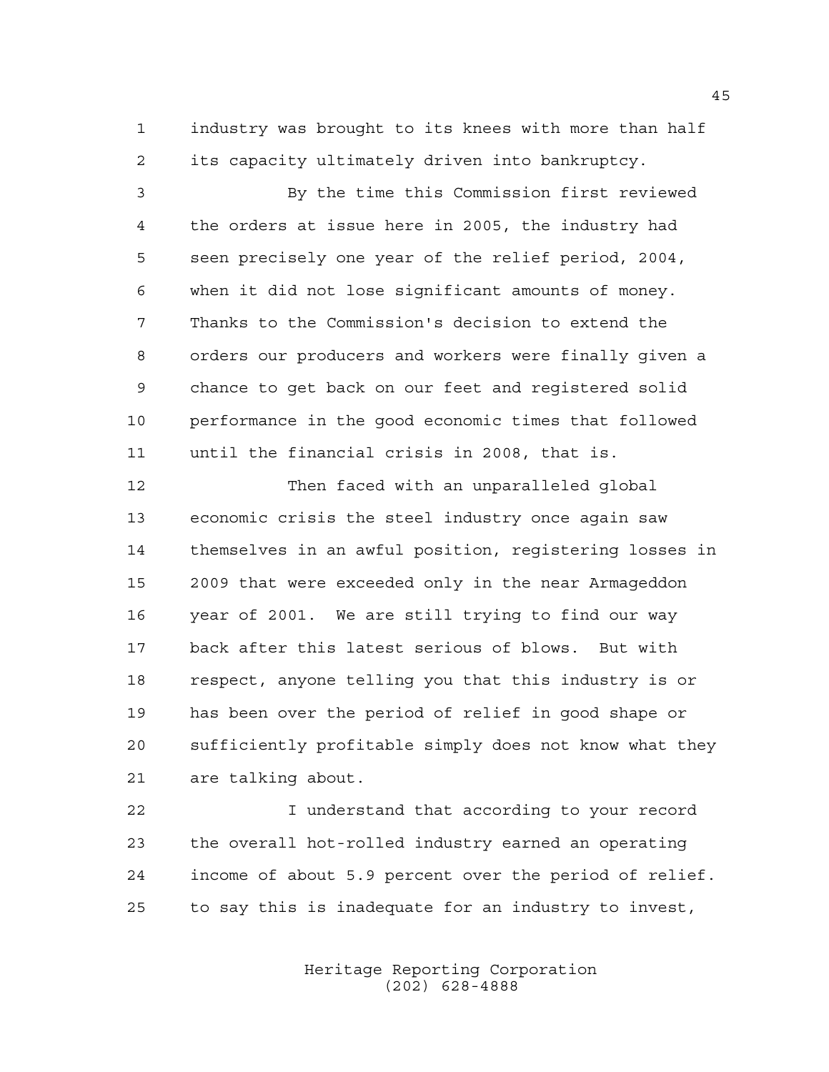industry was brought to its knees with more than half its capacity ultimately driven into bankruptcy.

 By the time this Commission first reviewed the orders at issue here in 2005, the industry had seen precisely one year of the relief period, 2004, when it did not lose significant amounts of money. Thanks to the Commission's decision to extend the orders our producers and workers were finally given a chance to get back on our feet and registered solid performance in the good economic times that followed until the financial crisis in 2008, that is.

 Then faced with an unparalleled global economic crisis the steel industry once again saw themselves in an awful position, registering losses in 2009 that were exceeded only in the near Armageddon year of 2001. We are still trying to find our way back after this latest serious of blows. But with respect, anyone telling you that this industry is or has been over the period of relief in good shape or sufficiently profitable simply does not know what they are talking about.

 I understand that according to your record the overall hot-rolled industry earned an operating income of about 5.9 percent over the period of relief. to say this is inadequate for an industry to invest,

> Heritage Reporting Corporation (202) 628-4888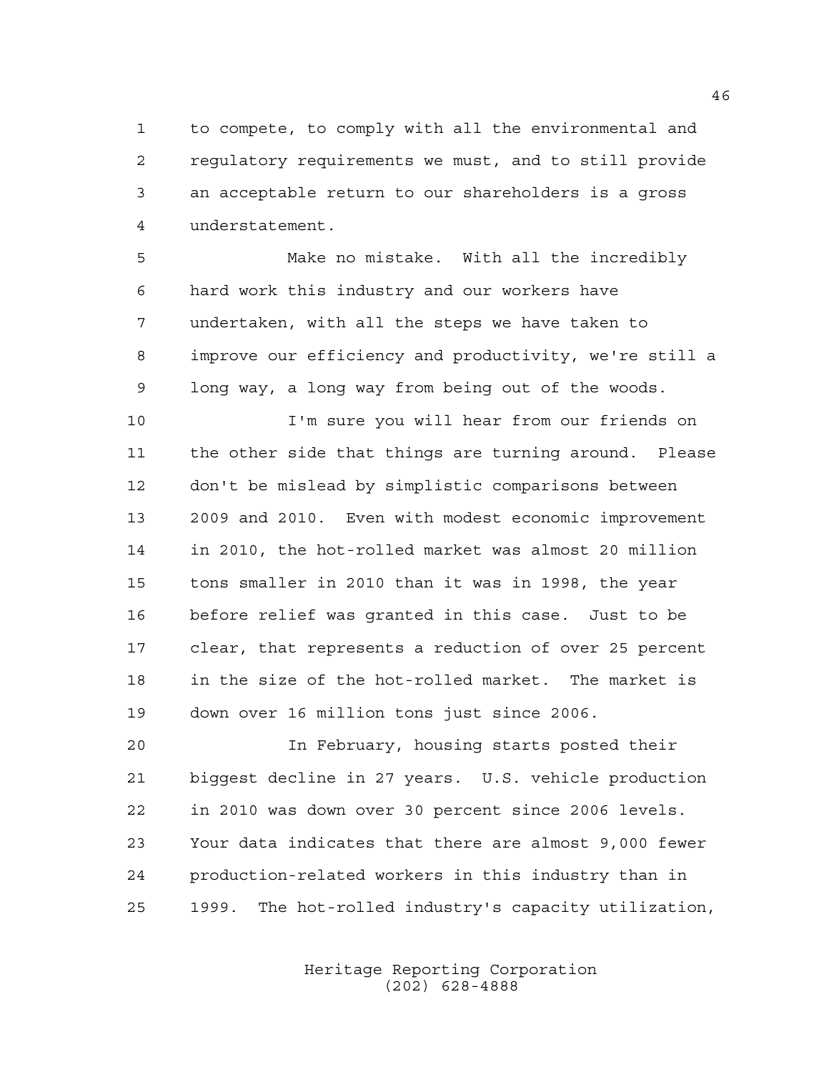to compete, to comply with all the environmental and regulatory requirements we must, and to still provide an acceptable return to our shareholders is a gross understatement.

 Make no mistake. With all the incredibly hard work this industry and our workers have undertaken, with all the steps we have taken to improve our efficiency and productivity, we're still a long way, a long way from being out of the woods.

 I'm sure you will hear from our friends on the other side that things are turning around. Please don't be mislead by simplistic comparisons between 2009 and 2010. Even with modest economic improvement in 2010, the hot-rolled market was almost 20 million tons smaller in 2010 than it was in 1998, the year before relief was granted in this case. Just to be clear, that represents a reduction of over 25 percent in the size of the hot-rolled market. The market is down over 16 million tons just since 2006.

 In February, housing starts posted their biggest decline in 27 years. U.S. vehicle production in 2010 was down over 30 percent since 2006 levels. Your data indicates that there are almost 9,000 fewer production-related workers in this industry than in 1999. The hot-rolled industry's capacity utilization,

> Heritage Reporting Corporation (202) 628-4888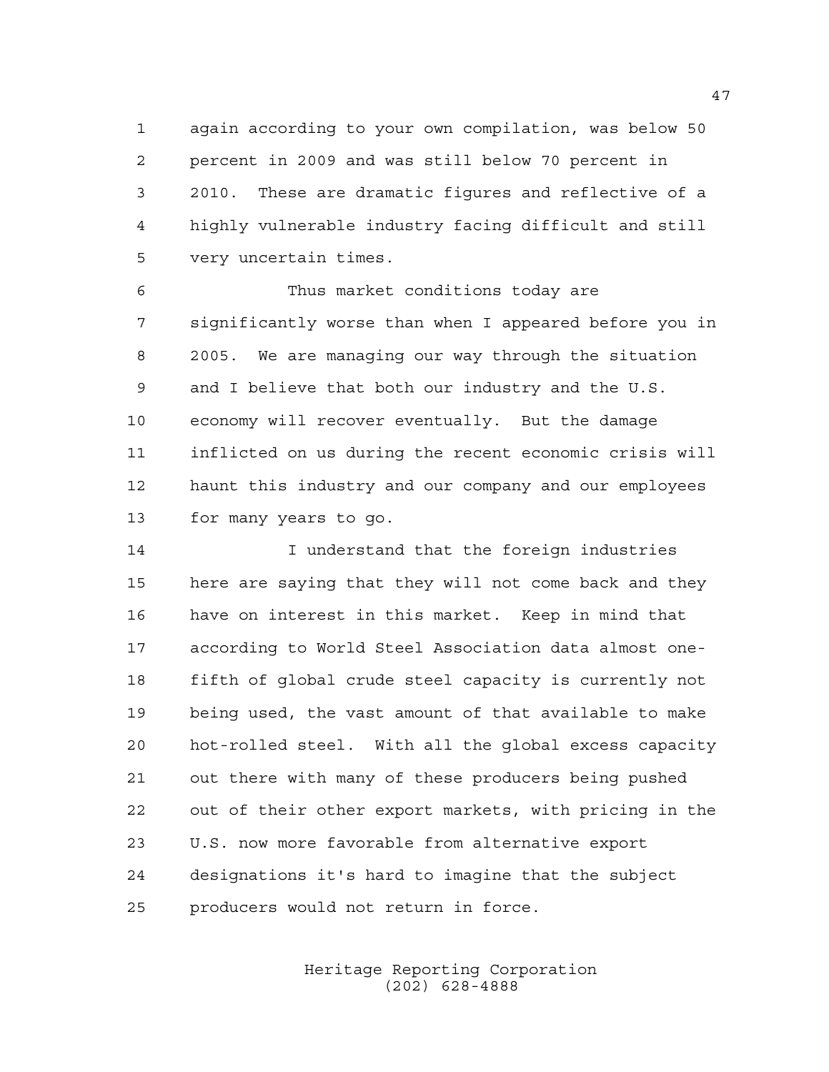again according to your own compilation, was below 50 percent in 2009 and was still below 70 percent in 2010. These are dramatic figures and reflective of a highly vulnerable industry facing difficult and still very uncertain times.

 Thus market conditions today are significantly worse than when I appeared before you in 2005. We are managing our way through the situation and I believe that both our industry and the U.S. economy will recover eventually. But the damage inflicted on us during the recent economic crisis will haunt this industry and our company and our employees for many years to go.

 I understand that the foreign industries here are saying that they will not come back and they have on interest in this market. Keep in mind that according to World Steel Association data almost one- fifth of global crude steel capacity is currently not being used, the vast amount of that available to make hot-rolled steel. With all the global excess capacity out there with many of these producers being pushed out of their other export markets, with pricing in the U.S. now more favorable from alternative export designations it's hard to imagine that the subject producers would not return in force.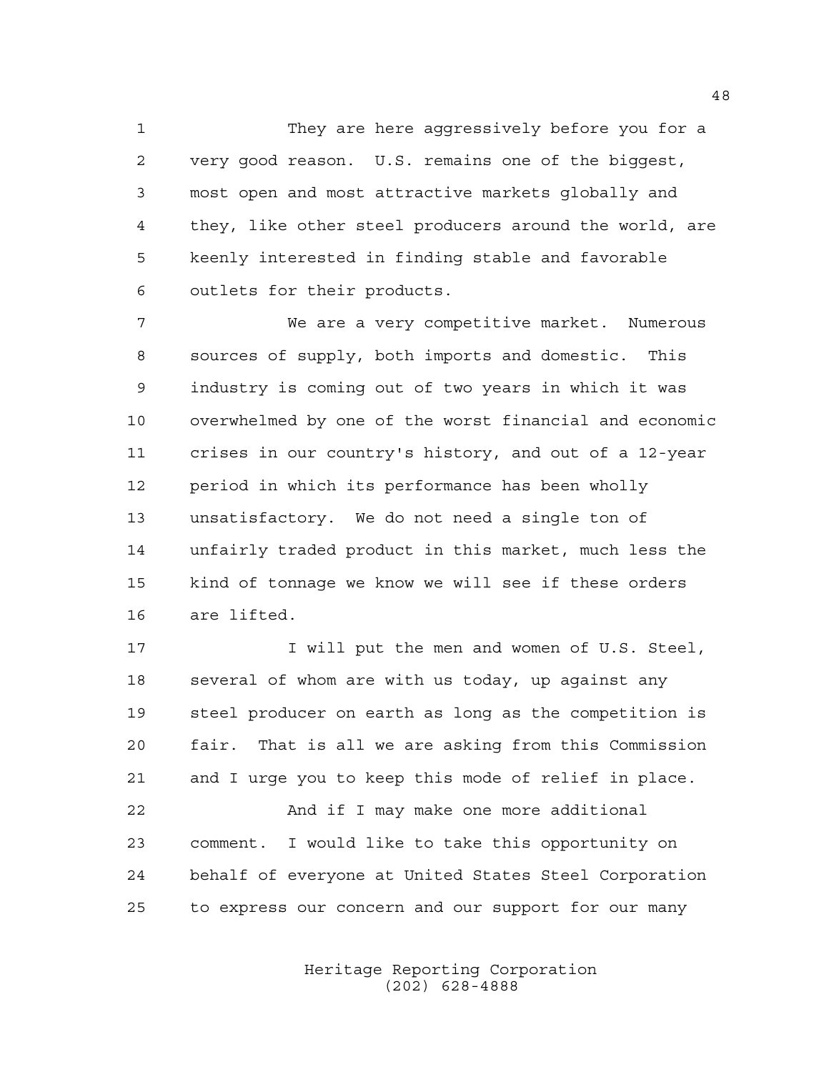They are here aggressively before you for a very good reason. U.S. remains one of the biggest, most open and most attractive markets globally and they, like other steel producers around the world, are keenly interested in finding stable and favorable outlets for their products.

 We are a very competitive market. Numerous sources of supply, both imports and domestic. This industry is coming out of two years in which it was overwhelmed by one of the worst financial and economic crises in our country's history, and out of a 12-year period in which its performance has been wholly unsatisfactory. We do not need a single ton of unfairly traded product in this market, much less the kind of tonnage we know we will see if these orders are lifted.

17 I will put the men and women of U.S. Steel, several of whom are with us today, up against any steel producer on earth as long as the competition is fair. That is all we are asking from this Commission and I urge you to keep this mode of relief in place. And if I may make one more additional comment. I would like to take this opportunity on behalf of everyone at United States Steel Corporation to express our concern and our support for our many

> Heritage Reporting Corporation (202) 628-4888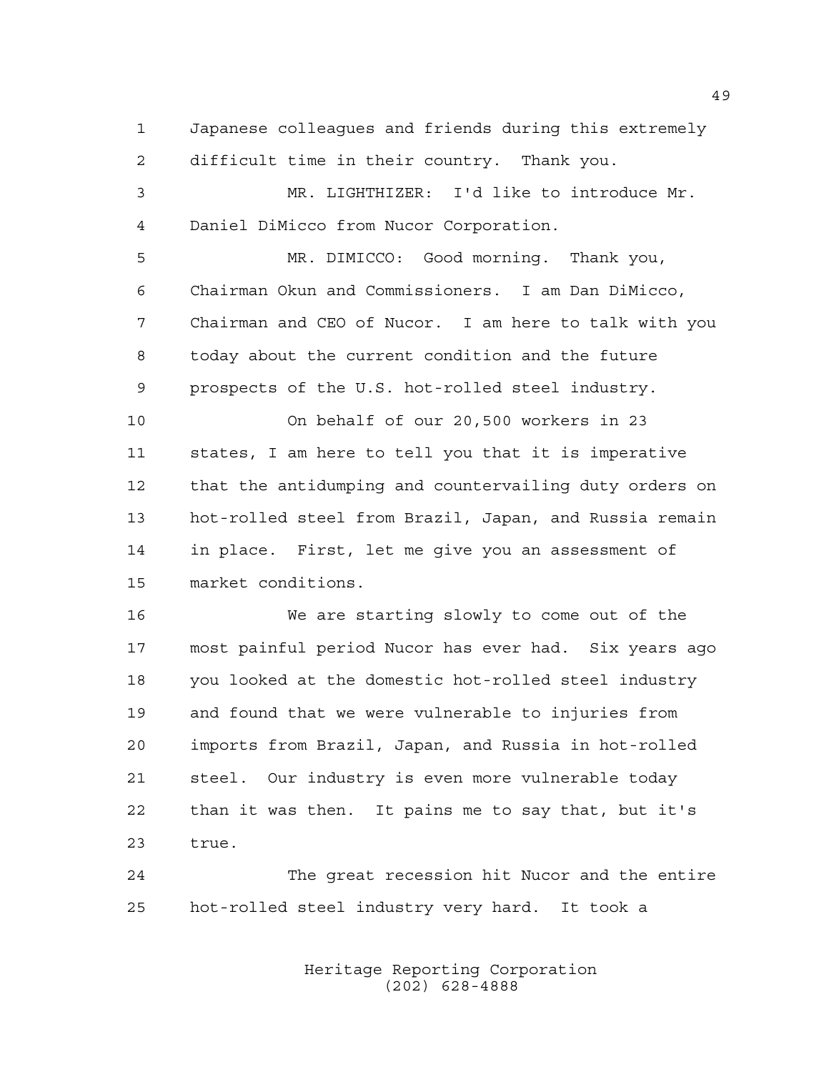Japanese colleagues and friends during this extremely difficult time in their country. Thank you.

 MR. LIGHTHIZER: I'd like to introduce Mr. Daniel DiMicco from Nucor Corporation.

 MR. DIMICCO: Good morning. Thank you, Chairman Okun and Commissioners. I am Dan DiMicco, Chairman and CEO of Nucor. I am here to talk with you today about the current condition and the future prospects of the U.S. hot-rolled steel industry.

 On behalf of our 20,500 workers in 23 states, I am here to tell you that it is imperative that the antidumping and countervailing duty orders on hot-rolled steel from Brazil, Japan, and Russia remain in place. First, let me give you an assessment of market conditions.

 We are starting slowly to come out of the most painful period Nucor has ever had. Six years ago you looked at the domestic hot-rolled steel industry and found that we were vulnerable to injuries from imports from Brazil, Japan, and Russia in hot-rolled steel. Our industry is even more vulnerable today than it was then. It pains me to say that, but it's true.

 The great recession hit Nucor and the entire hot-rolled steel industry very hard. It took a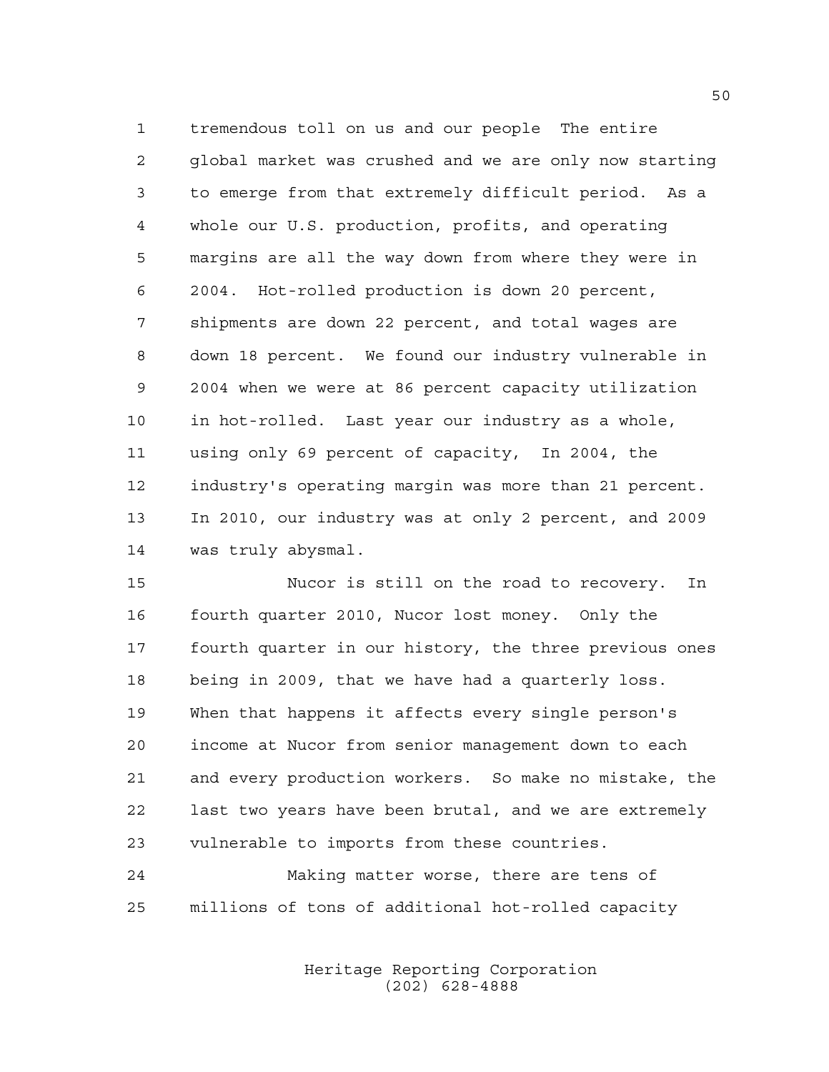tremendous toll on us and our people The entire global market was crushed and we are only now starting to emerge from that extremely difficult period. As a whole our U.S. production, profits, and operating margins are all the way down from where they were in 2004. Hot-rolled production is down 20 percent, shipments are down 22 percent, and total wages are down 18 percent. We found our industry vulnerable in 2004 when we were at 86 percent capacity utilization in hot-rolled. Last year our industry as a whole, using only 69 percent of capacity, In 2004, the industry's operating margin was more than 21 percent. In 2010, our industry was at only 2 percent, and 2009 was truly abysmal.

 Nucor is still on the road to recovery. In fourth quarter 2010, Nucor lost money. Only the fourth quarter in our history, the three previous ones being in 2009, that we have had a quarterly loss. When that happens it affects every single person's income at Nucor from senior management down to each and every production workers. So make no mistake, the last two years have been brutal, and we are extremely vulnerable to imports from these countries.

 Making matter worse, there are tens of millions of tons of additional hot-rolled capacity

> Heritage Reporting Corporation (202) 628-4888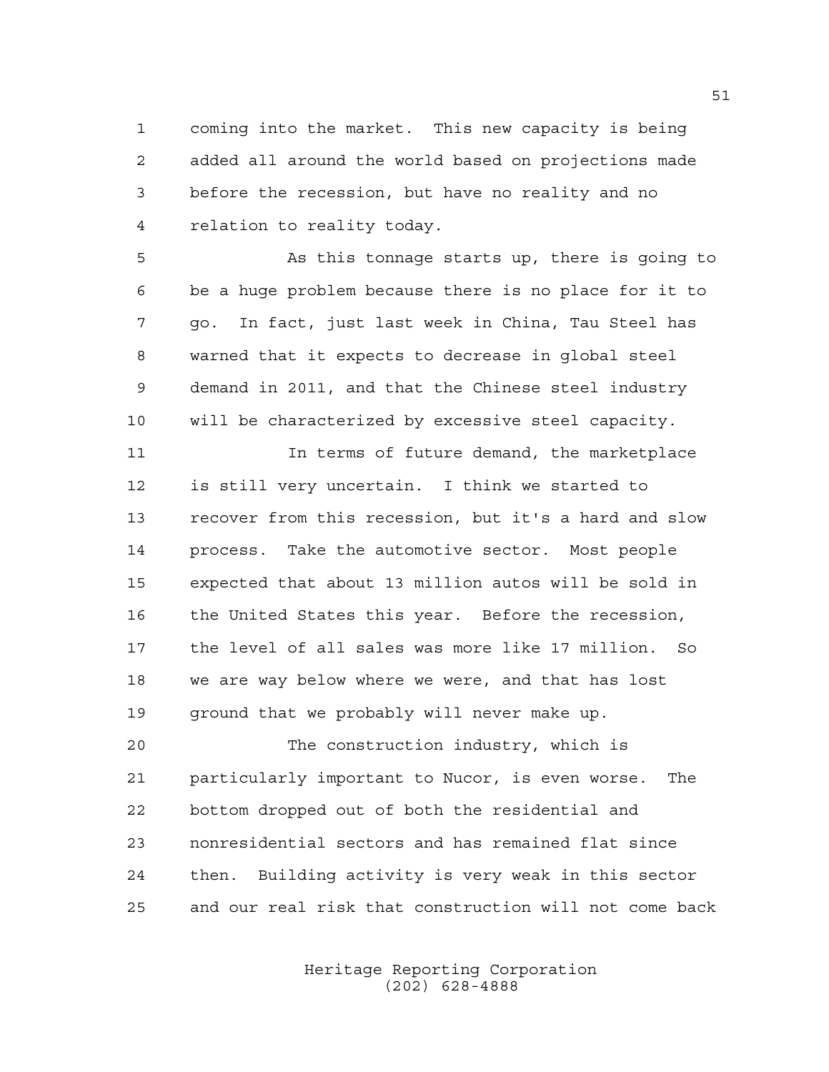coming into the market. This new capacity is being added all around the world based on projections made before the recession, but have no reality and no relation to reality today.

 As this tonnage starts up, there is going to be a huge problem because there is no place for it to go. In fact, just last week in China, Tau Steel has warned that it expects to decrease in global steel demand in 2011, and that the Chinese steel industry will be characterized by excessive steel capacity.

 In terms of future demand, the marketplace is still very uncertain. I think we started to recover from this recession, but it's a hard and slow process. Take the automotive sector. Most people expected that about 13 million autos will be sold in the United States this year. Before the recession, the level of all sales was more like 17 million. So we are way below where we were, and that has lost ground that we probably will never make up.

 The construction industry, which is particularly important to Nucor, is even worse. The bottom dropped out of both the residential and nonresidential sectors and has remained flat since then. Building activity is very weak in this sector and our real risk that construction will not come back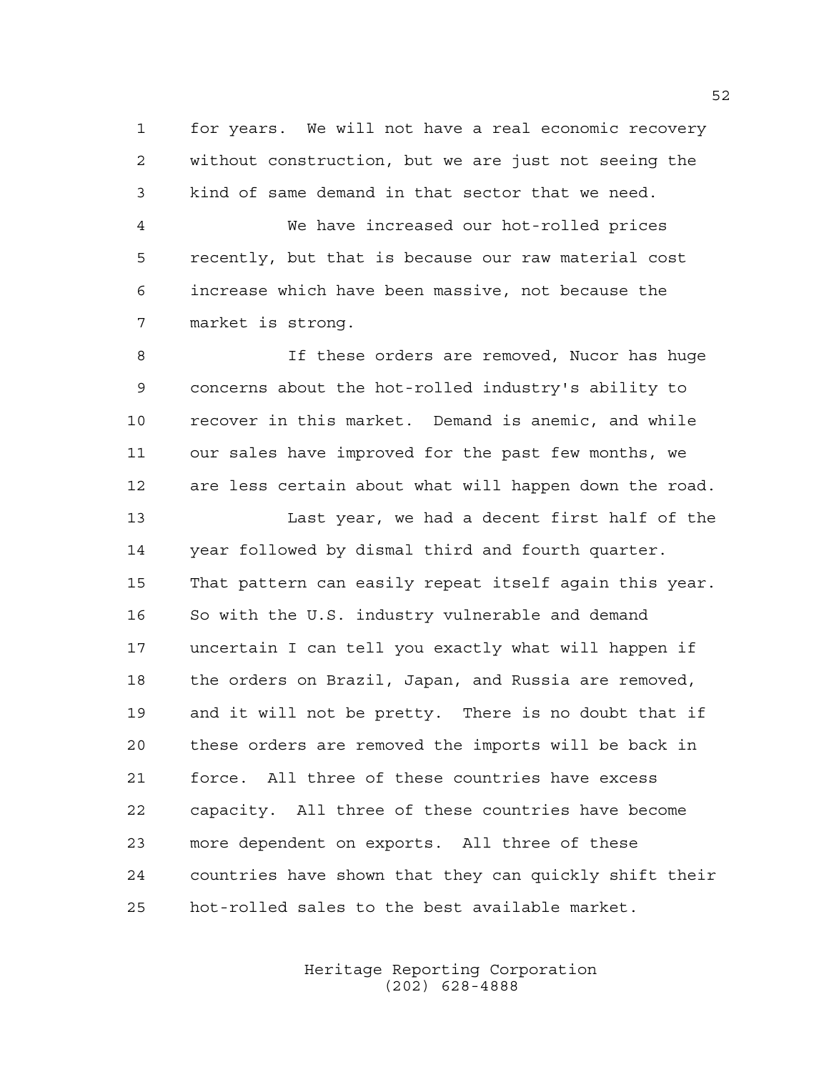for years. We will not have a real economic recovery without construction, but we are just not seeing the kind of same demand in that sector that we need.

 We have increased our hot-rolled prices recently, but that is because our raw material cost increase which have been massive, not because the market is strong.

 If these orders are removed, Nucor has huge concerns about the hot-rolled industry's ability to recover in this market. Demand is anemic, and while our sales have improved for the past few months, we are less certain about what will happen down the road.

 Last year, we had a decent first half of the year followed by dismal third and fourth quarter. That pattern can easily repeat itself again this year. 16 So with the U.S. industry vulnerable and demand uncertain I can tell you exactly what will happen if the orders on Brazil, Japan, and Russia are removed, and it will not be pretty. There is no doubt that if these orders are removed the imports will be back in force. All three of these countries have excess capacity. All three of these countries have become more dependent on exports. All three of these countries have shown that they can quickly shift their hot-rolled sales to the best available market.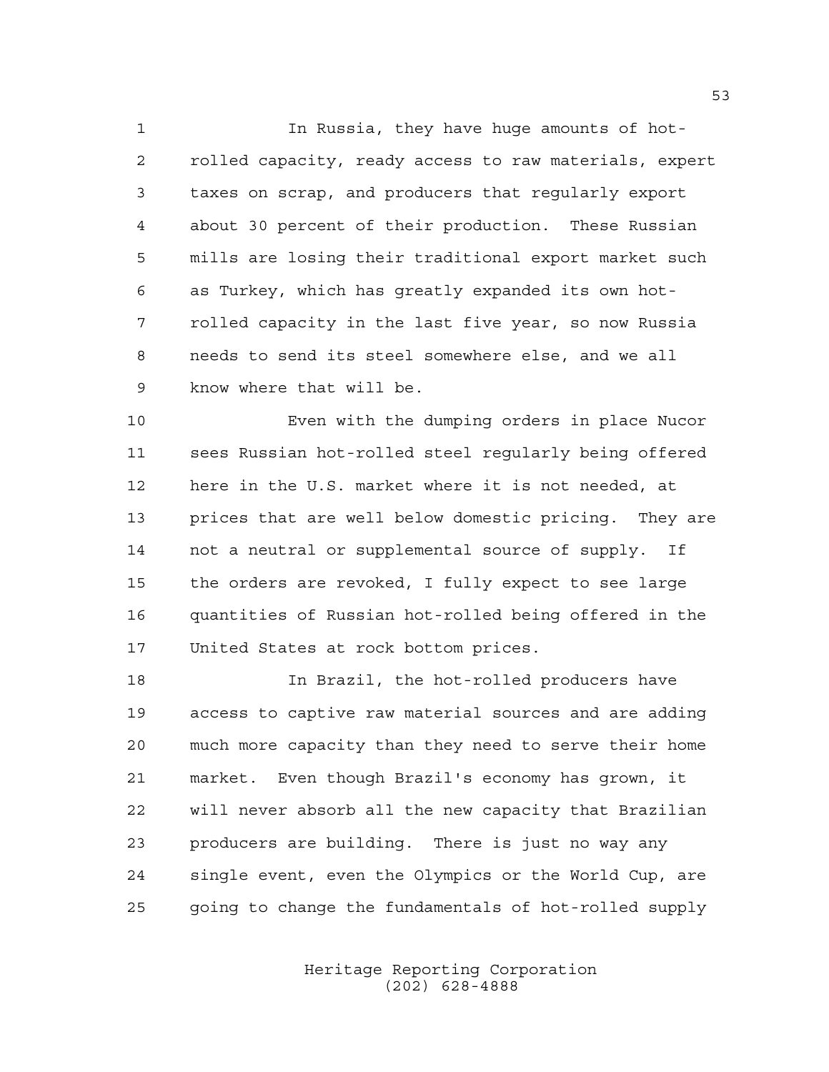In Russia, they have huge amounts of hot- rolled capacity, ready access to raw materials, expert taxes on scrap, and producers that regularly export about 30 percent of their production. These Russian mills are losing their traditional export market such as Turkey, which has greatly expanded its own hot- rolled capacity in the last five year, so now Russia needs to send its steel somewhere else, and we all know where that will be.

 Even with the dumping orders in place Nucor sees Russian hot-rolled steel regularly being offered here in the U.S. market where it is not needed, at prices that are well below domestic pricing. They are not a neutral or supplemental source of supply. If the orders are revoked, I fully expect to see large quantities of Russian hot-rolled being offered in the United States at rock bottom prices.

 In Brazil, the hot-rolled producers have access to captive raw material sources and are adding much more capacity than they need to serve their home market. Even though Brazil's economy has grown, it will never absorb all the new capacity that Brazilian producers are building. There is just no way any single event, even the Olympics or the World Cup, are going to change the fundamentals of hot-rolled supply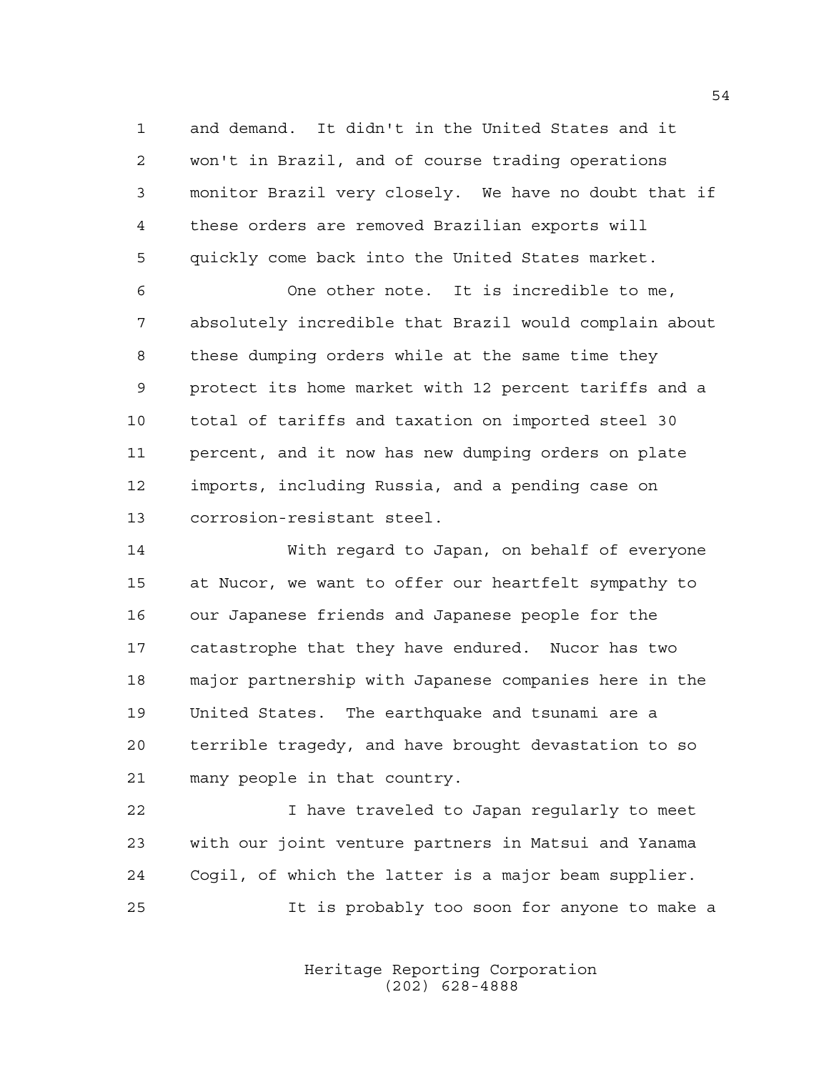and demand. It didn't in the United States and it won't in Brazil, and of course trading operations monitor Brazil very closely. We have no doubt that if these orders are removed Brazilian exports will quickly come back into the United States market.

 One other note. It is incredible to me, absolutely incredible that Brazil would complain about these dumping orders while at the same time they protect its home market with 12 percent tariffs and a total of tariffs and taxation on imported steel 30 percent, and it now has new dumping orders on plate imports, including Russia, and a pending case on corrosion-resistant steel.

 With regard to Japan, on behalf of everyone at Nucor, we want to offer our heartfelt sympathy to our Japanese friends and Japanese people for the catastrophe that they have endured. Nucor has two major partnership with Japanese companies here in the United States. The earthquake and tsunami are a terrible tragedy, and have brought devastation to so many people in that country.

 I have traveled to Japan regularly to meet with our joint venture partners in Matsui and Yanama Cogil, of which the latter is a major beam supplier. It is probably too soon for anyone to make a

> Heritage Reporting Corporation (202) 628-4888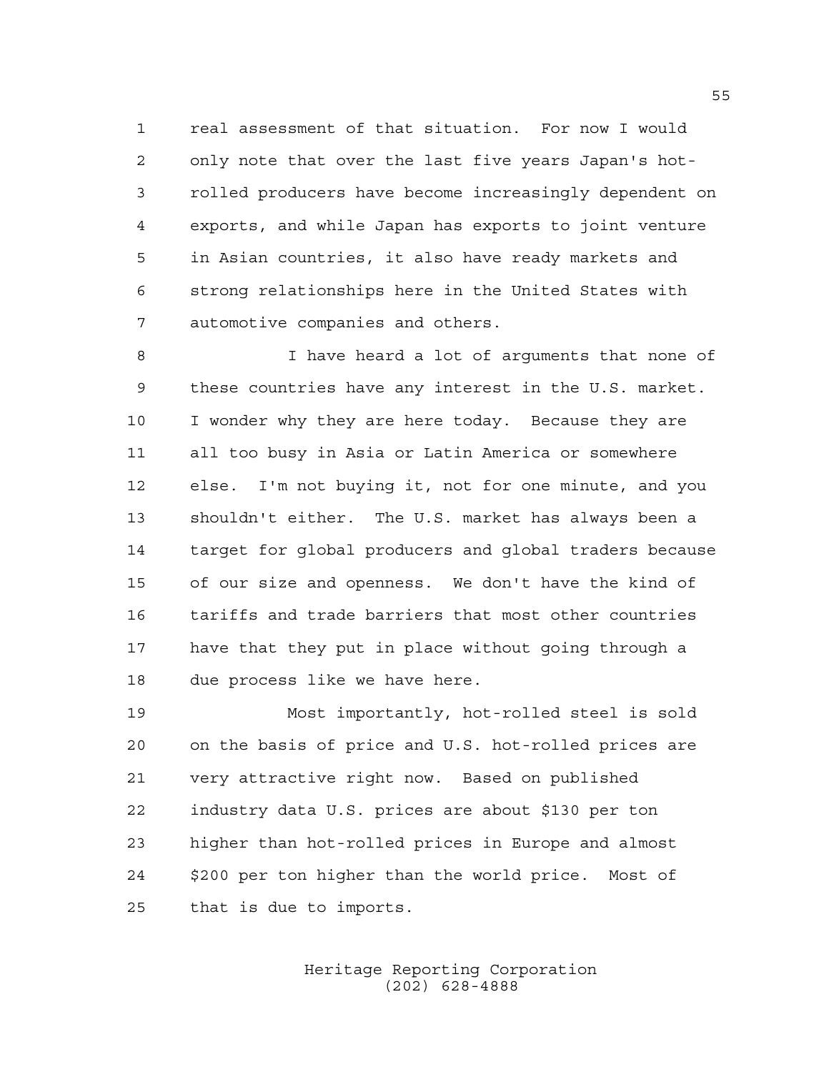real assessment of that situation. For now I would only note that over the last five years Japan's hot- rolled producers have become increasingly dependent on exports, and while Japan has exports to joint venture in Asian countries, it also have ready markets and strong relationships here in the United States with automotive companies and others.

 I have heard a lot of arguments that none of these countries have any interest in the U.S. market. I wonder why they are here today. Because they are all too busy in Asia or Latin America or somewhere else. I'm not buying it, not for one minute, and you shouldn't either. The U.S. market has always been a target for global producers and global traders because of our size and openness. We don't have the kind of tariffs and trade barriers that most other countries have that they put in place without going through a due process like we have here.

 Most importantly, hot-rolled steel is sold on the basis of price and U.S. hot-rolled prices are very attractive right now. Based on published industry data U.S. prices are about \$130 per ton higher than hot-rolled prices in Europe and almost \$200 per ton higher than the world price. Most of that is due to imports.

> Heritage Reporting Corporation (202) 628-4888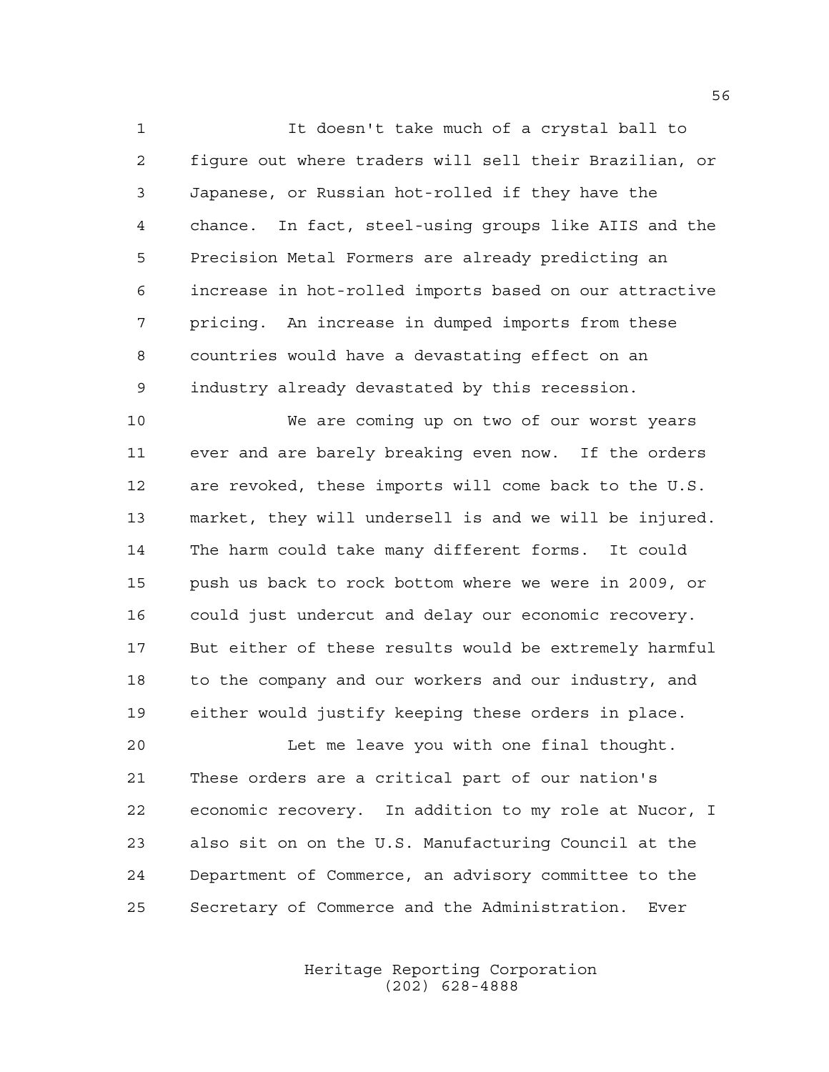It doesn't take much of a crystal ball to figure out where traders will sell their Brazilian, or Japanese, or Russian hot-rolled if they have the chance. In fact, steel-using groups like AIIS and the Precision Metal Formers are already predicting an increase in hot-rolled imports based on our attractive pricing. An increase in dumped imports from these countries would have a devastating effect on an industry already devastated by this recession.

 We are coming up on two of our worst years ever and are barely breaking even now. If the orders are revoked, these imports will come back to the U.S. market, they will undersell is and we will be injured. The harm could take many different forms. It could push us back to rock bottom where we were in 2009, or could just undercut and delay our economic recovery. But either of these results would be extremely harmful to the company and our workers and our industry, and either would justify keeping these orders in place.

 Let me leave you with one final thought. These orders are a critical part of our nation's economic recovery. In addition to my role at Nucor, I also sit on on the U.S. Manufacturing Council at the Department of Commerce, an advisory committee to the Secretary of Commerce and the Administration. Ever

> Heritage Reporting Corporation (202) 628-4888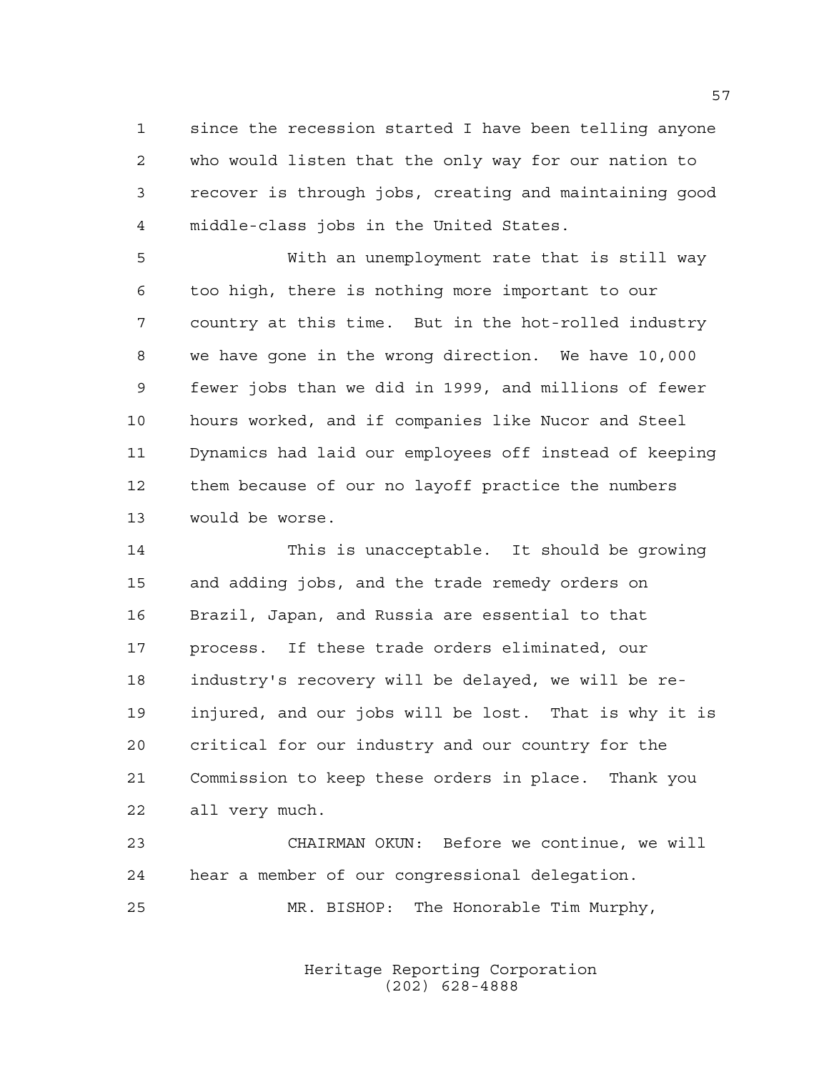since the recession started I have been telling anyone who would listen that the only way for our nation to recover is through jobs, creating and maintaining good middle-class jobs in the United States.

 With an unemployment rate that is still way too high, there is nothing more important to our country at this time. But in the hot-rolled industry we have gone in the wrong direction. We have 10,000 fewer jobs than we did in 1999, and millions of fewer hours worked, and if companies like Nucor and Steel Dynamics had laid our employees off instead of keeping them because of our no layoff practice the numbers would be worse.

 This is unacceptable. It should be growing and adding jobs, and the trade remedy orders on Brazil, Japan, and Russia are essential to that process. If these trade orders eliminated, our industry's recovery will be delayed, we will be re- injured, and our jobs will be lost. That is why it is critical for our industry and our country for the Commission to keep these orders in place. Thank you all very much.

 CHAIRMAN OKUN: Before we continue, we will hear a member of our congressional delegation. MR. BISHOP: The Honorable Tim Murphy,

> Heritage Reporting Corporation (202) 628-4888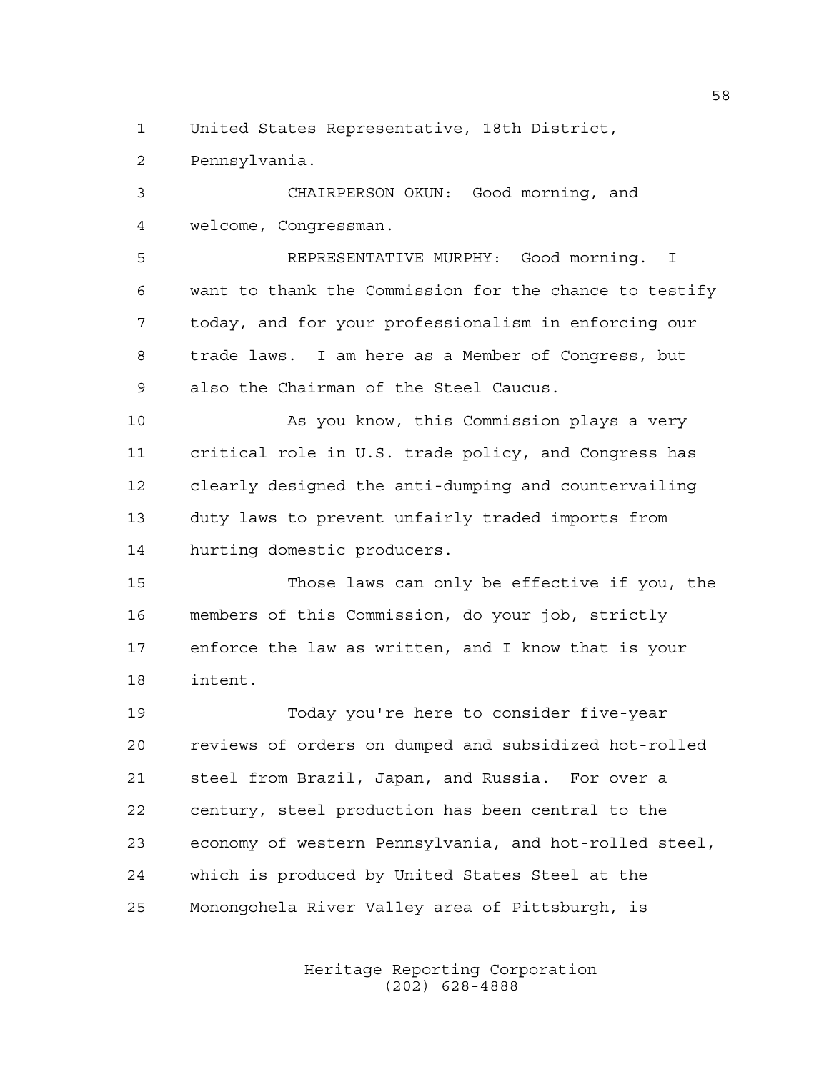United States Representative, 18th District,

Pennsylvania.

 CHAIRPERSON OKUN: Good morning, and welcome, Congressman.

 REPRESENTATIVE MURPHY: Good morning. I want to thank the Commission for the chance to testify today, and for your professionalism in enforcing our trade laws. I am here as a Member of Congress, but also the Chairman of the Steel Caucus.

 As you know, this Commission plays a very critical role in U.S. trade policy, and Congress has clearly designed the anti-dumping and countervailing duty laws to prevent unfairly traded imports from hurting domestic producers.

 Those laws can only be effective if you, the members of this Commission, do your job, strictly enforce the law as written, and I know that is your intent.

 Today you're here to consider five-year reviews of orders on dumped and subsidized hot-rolled steel from Brazil, Japan, and Russia. For over a century, steel production has been central to the economy of western Pennsylvania, and hot-rolled steel, which is produced by United States Steel at the Monongohela River Valley area of Pittsburgh, is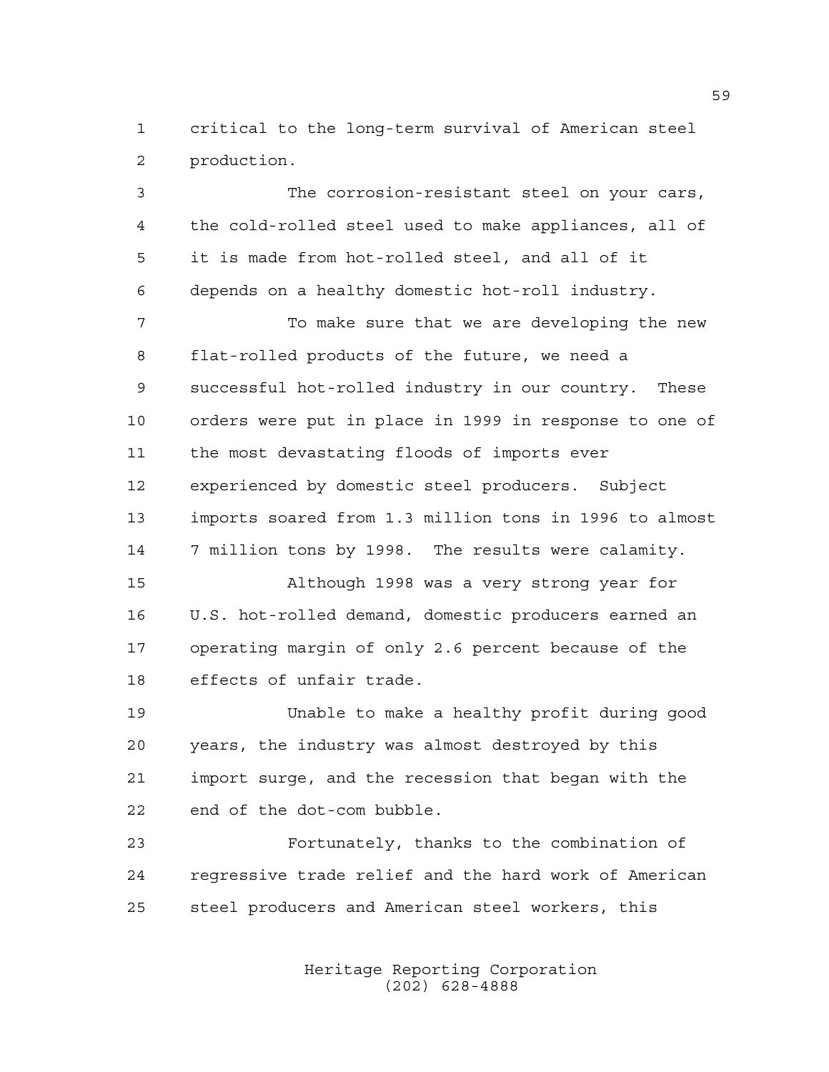critical to the long-term survival of American steel production.

 The corrosion-resistant steel on your cars, the cold-rolled steel used to make appliances, all of it is made from hot-rolled steel, and all of it depends on a healthy domestic hot-roll industry. To make sure that we are developing the new flat-rolled products of the future, we need a successful hot-rolled industry in our country. These orders were put in place in 1999 in response to one of the most devastating floods of imports ever experienced by domestic steel producers. Subject imports soared from 1.3 million tons in 1996 to almost 7 million tons by 1998. The results were calamity.

 Although 1998 was a very strong year for U.S. hot-rolled demand, domestic producers earned an operating margin of only 2.6 percent because of the effects of unfair trade.

 Unable to make a healthy profit during good years, the industry was almost destroyed by this import surge, and the recession that began with the end of the dot-com bubble.

 Fortunately, thanks to the combination of regressive trade relief and the hard work of American steel producers and American steel workers, this

> Heritage Reporting Corporation (202) 628-4888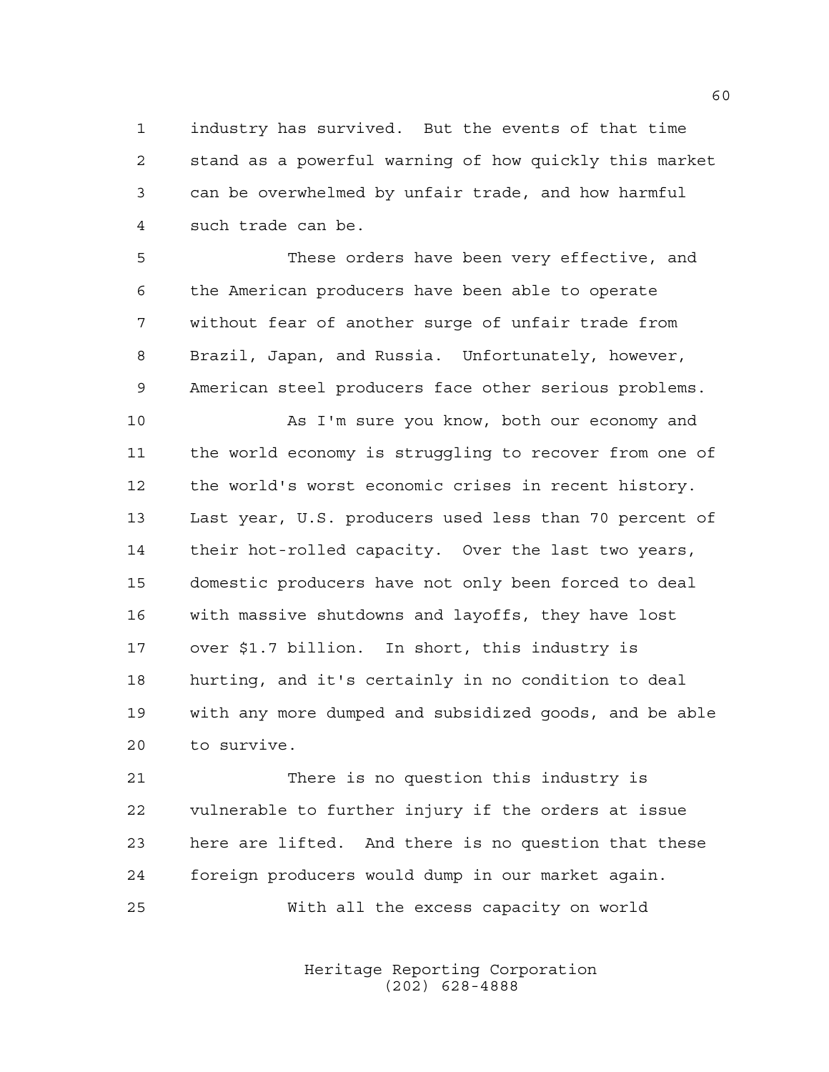industry has survived. But the events of that time stand as a powerful warning of how quickly this market can be overwhelmed by unfair trade, and how harmful such trade can be.

 These orders have been very effective, and the American producers have been able to operate without fear of another surge of unfair trade from Brazil, Japan, and Russia. Unfortunately, however, American steel producers face other serious problems.

 As I'm sure you know, both our economy and the world economy is struggling to recover from one of the world's worst economic crises in recent history. Last year, U.S. producers used less than 70 percent of their hot-rolled capacity. Over the last two years, domestic producers have not only been forced to deal with massive shutdowns and layoffs, they have lost over \$1.7 billion. In short, this industry is hurting, and it's certainly in no condition to deal with any more dumped and subsidized goods, and be able to survive.

 There is no question this industry is vulnerable to further injury if the orders at issue here are lifted. And there is no question that these foreign producers would dump in our market again.

With all the excess capacity on world

Heritage Reporting Corporation (202) 628-4888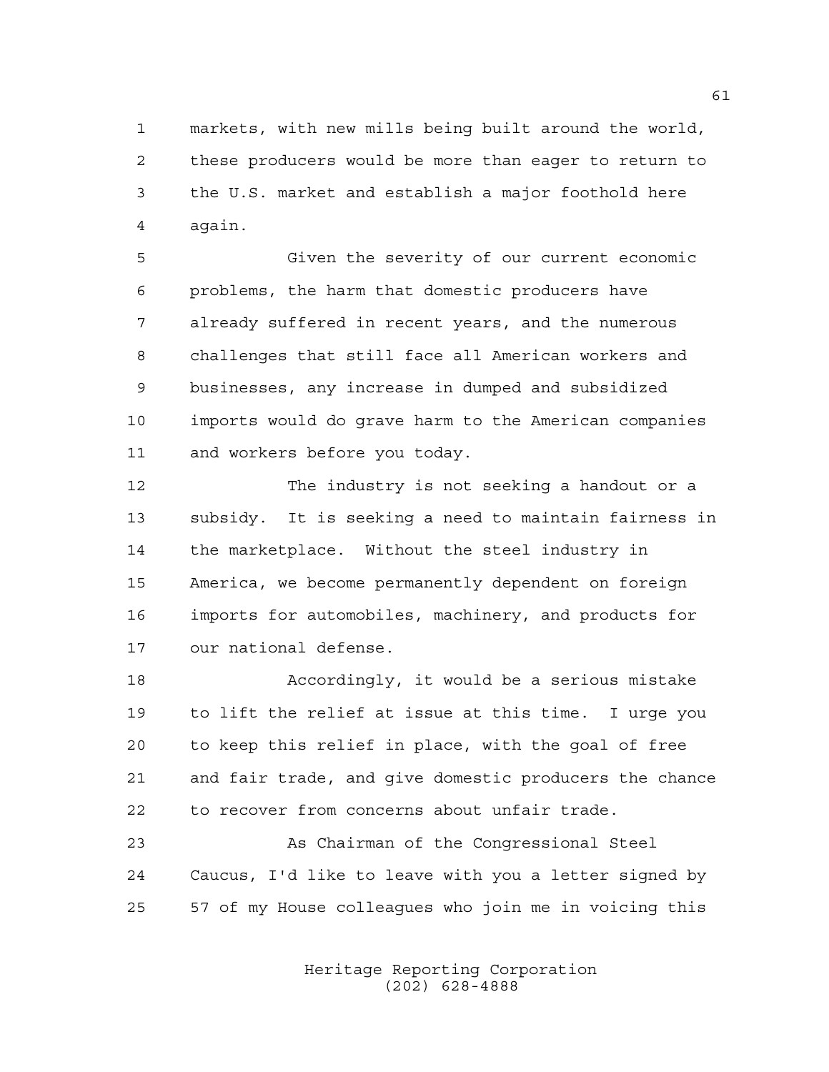markets, with new mills being built around the world, these producers would be more than eager to return to the U.S. market and establish a major foothold here again.

 Given the severity of our current economic problems, the harm that domestic producers have already suffered in recent years, and the numerous challenges that still face all American workers and businesses, any increase in dumped and subsidized imports would do grave harm to the American companies and workers before you today.

 The industry is not seeking a handout or a subsidy. It is seeking a need to maintain fairness in the marketplace. Without the steel industry in America, we become permanently dependent on foreign imports for automobiles, machinery, and products for our national defense.

 Accordingly, it would be a serious mistake to lift the relief at issue at this time. I urge you to keep this relief in place, with the goal of free and fair trade, and give domestic producers the chance to recover from concerns about unfair trade.

 As Chairman of the Congressional Steel Caucus, I'd like to leave with you a letter signed by 57 of my House colleagues who join me in voicing this

> Heritage Reporting Corporation (202) 628-4888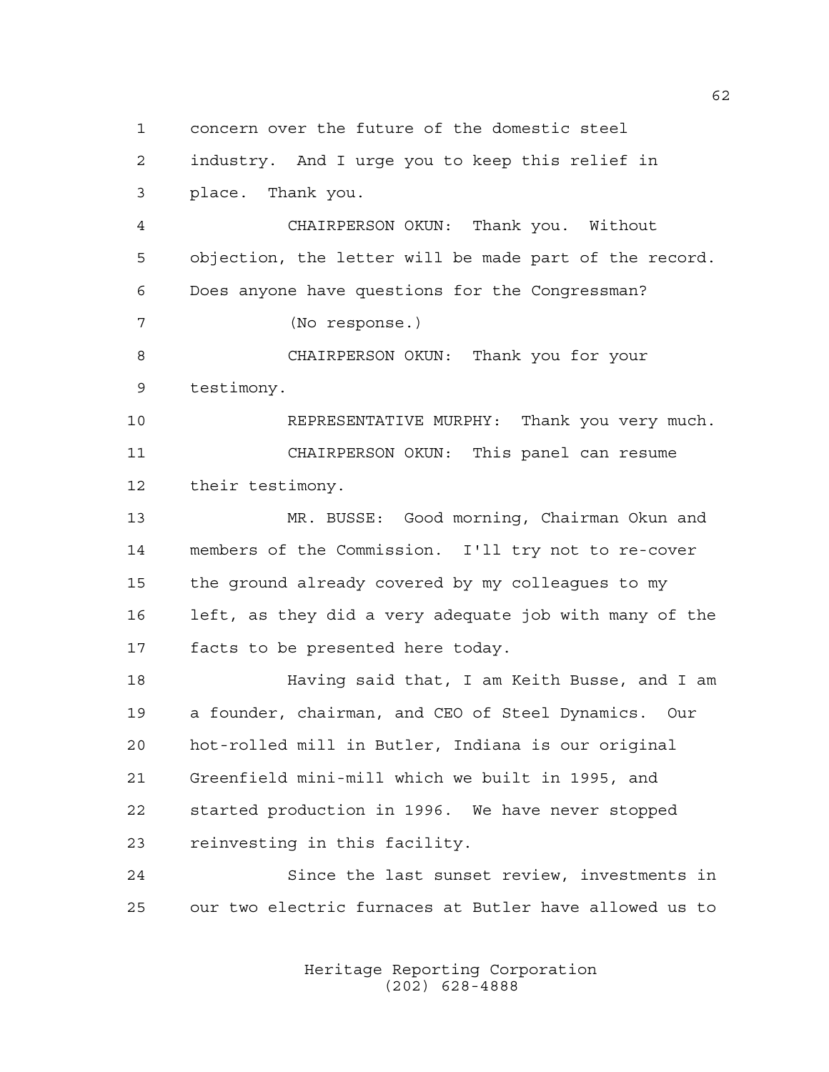concern over the future of the domestic steel industry. And I urge you to keep this relief in place. Thank you. CHAIRPERSON OKUN: Thank you. Without objection, the letter will be made part of the record. Does anyone have questions for the Congressman? (No response.) CHAIRPERSON OKUN: Thank you for your testimony. REPRESENTATIVE MURPHY: Thank you very much. CHAIRPERSON OKUN: This panel can resume their testimony. MR. BUSSE: Good morning, Chairman Okun and members of the Commission. I'll try not to re-cover the ground already covered by my colleagues to my left, as they did a very adequate job with many of the facts to be presented here today. Having said that, I am Keith Busse, and I am a founder, chairman, and CEO of Steel Dynamics. Our hot-rolled mill in Butler, Indiana is our original Greenfield mini-mill which we built in 1995, and started production in 1996. We have never stopped reinvesting in this facility. Since the last sunset review, investments in our two electric furnaces at Butler have allowed us to

> Heritage Reporting Corporation (202) 628-4888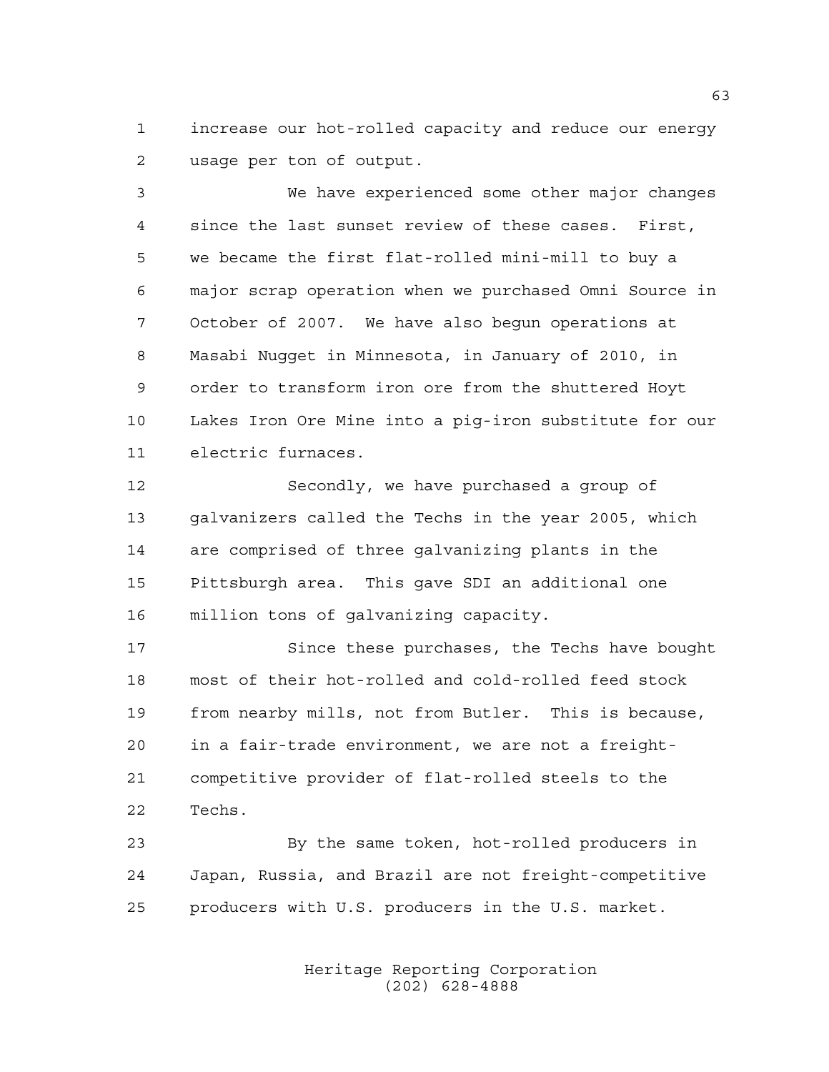increase our hot-rolled capacity and reduce our energy usage per ton of output.

 We have experienced some other major changes since the last sunset review of these cases. First, we became the first flat-rolled mini-mill to buy a major scrap operation when we purchased Omni Source in October of 2007. We have also begun operations at Masabi Nugget in Minnesota, in January of 2010, in order to transform iron ore from the shuttered Hoyt Lakes Iron Ore Mine into a pig-iron substitute for our electric furnaces.

 Secondly, we have purchased a group of galvanizers called the Techs in the year 2005, which are comprised of three galvanizing plants in the Pittsburgh area. This gave SDI an additional one million tons of galvanizing capacity.

 Since these purchases, the Techs have bought most of their hot-rolled and cold-rolled feed stock from nearby mills, not from Butler. This is because, in a fair-trade environment, we are not a freight- competitive provider of flat-rolled steels to the Techs.

 By the same token, hot-rolled producers in Japan, Russia, and Brazil are not freight-competitive producers with U.S. producers in the U.S. market.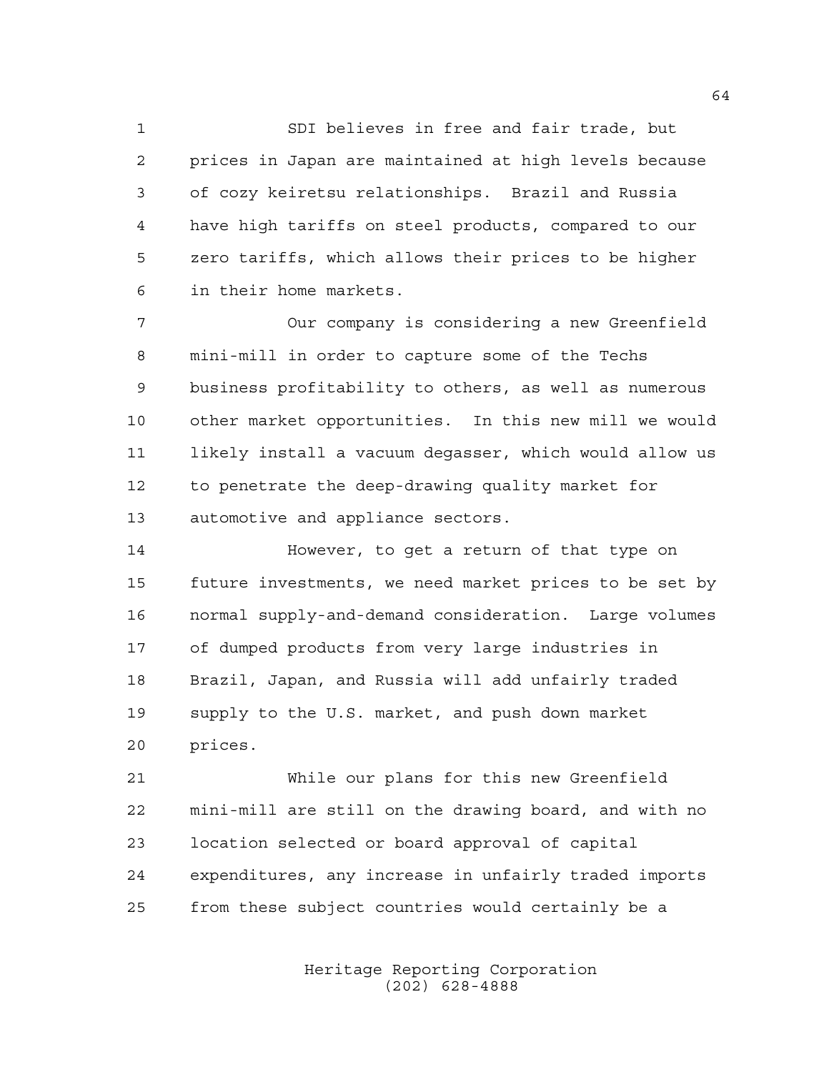SDI believes in free and fair trade, but prices in Japan are maintained at high levels because of cozy keiretsu relationships. Brazil and Russia have high tariffs on steel products, compared to our zero tariffs, which allows their prices to be higher in their home markets.

 Our company is considering a new Greenfield mini-mill in order to capture some of the Techs business profitability to others, as well as numerous other market opportunities. In this new mill we would likely install a vacuum degasser, which would allow us to penetrate the deep-drawing quality market for automotive and appliance sectors.

 However, to get a return of that type on future investments, we need market prices to be set by normal supply-and-demand consideration. Large volumes of dumped products from very large industries in Brazil, Japan, and Russia will add unfairly traded supply to the U.S. market, and push down market prices.

 While our plans for this new Greenfield mini-mill are still on the drawing board, and with no location selected or board approval of capital expenditures, any increase in unfairly traded imports from these subject countries would certainly be a

> Heritage Reporting Corporation (202) 628-4888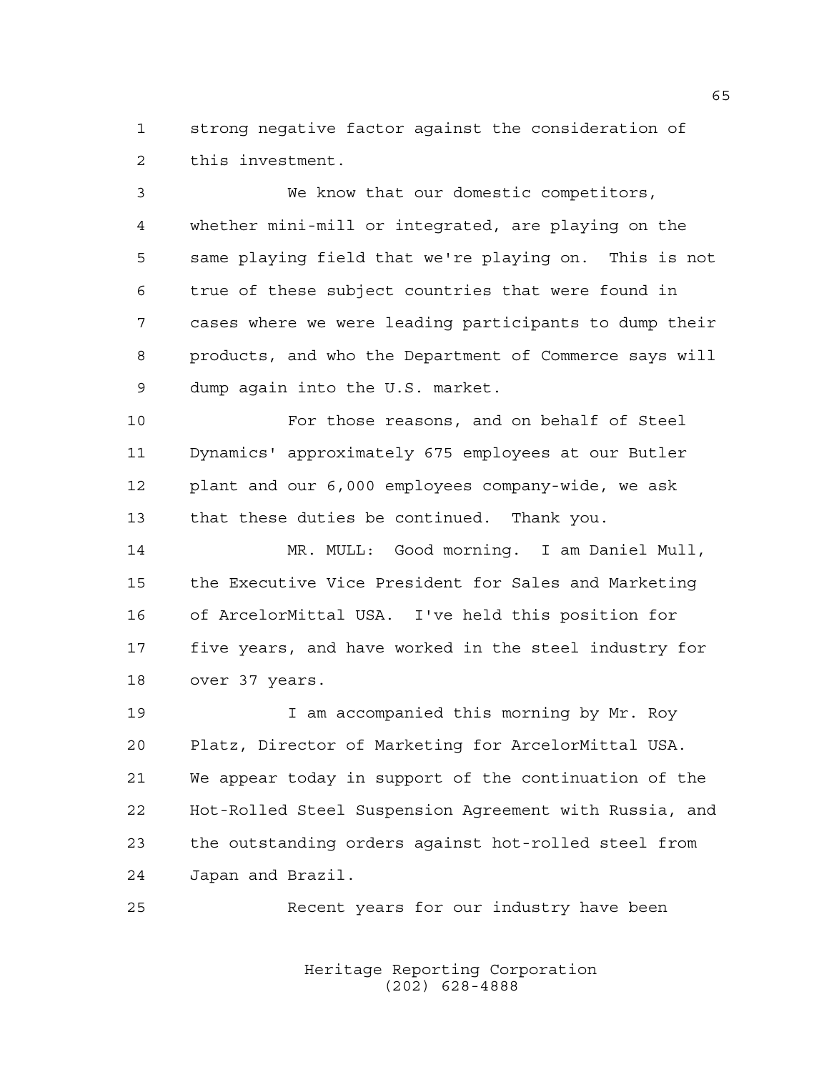strong negative factor against the consideration of this investment.

 We know that our domestic competitors, whether mini-mill or integrated, are playing on the same playing field that we're playing on. This is not true of these subject countries that were found in cases where we were leading participants to dump their products, and who the Department of Commerce says will dump again into the U.S. market.

 For those reasons, and on behalf of Steel Dynamics' approximately 675 employees at our Butler plant and our 6,000 employees company-wide, we ask that these duties be continued. Thank you.

 MR. MULL: Good morning. I am Daniel Mull, the Executive Vice President for Sales and Marketing of ArcelorMittal USA. I've held this position for five years, and have worked in the steel industry for over 37 years.

 I am accompanied this morning by Mr. Roy Platz, Director of Marketing for ArcelorMittal USA. We appear today in support of the continuation of the Hot-Rolled Steel Suspension Agreement with Russia, and the outstanding orders against hot-rolled steel from Japan and Brazil.

Recent years for our industry have been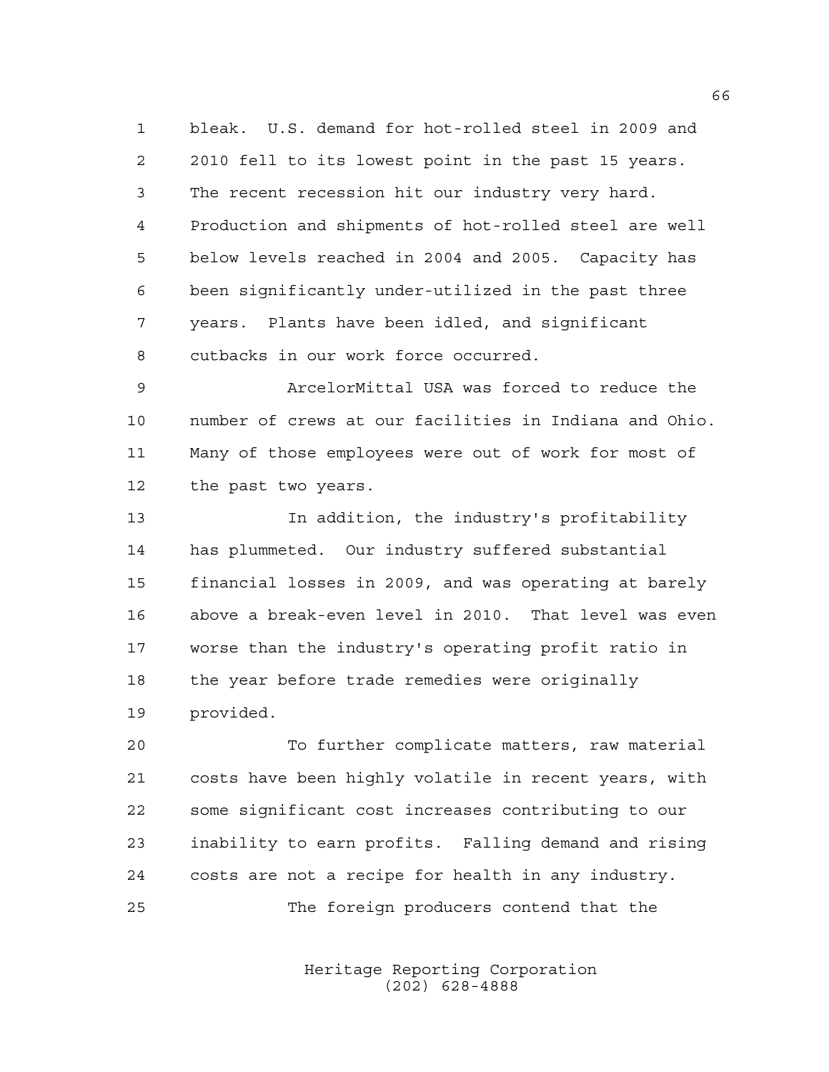bleak. U.S. demand for hot-rolled steel in 2009 and 2010 fell to its lowest point in the past 15 years. The recent recession hit our industry very hard. Production and shipments of hot-rolled steel are well below levels reached in 2004 and 2005. Capacity has been significantly under-utilized in the past three years. Plants have been idled, and significant cutbacks in our work force occurred.

 ArcelorMittal USA was forced to reduce the number of crews at our facilities in Indiana and Ohio. Many of those employees were out of work for most of the past two years.

 In addition, the industry's profitability has plummeted. Our industry suffered substantial financial losses in 2009, and was operating at barely above a break-even level in 2010. That level was even worse than the industry's operating profit ratio in the year before trade remedies were originally provided.

 To further complicate matters, raw material costs have been highly volatile in recent years, with some significant cost increases contributing to our inability to earn profits. Falling demand and rising costs are not a recipe for health in any industry. The foreign producers contend that the

> Heritage Reporting Corporation (202) 628-4888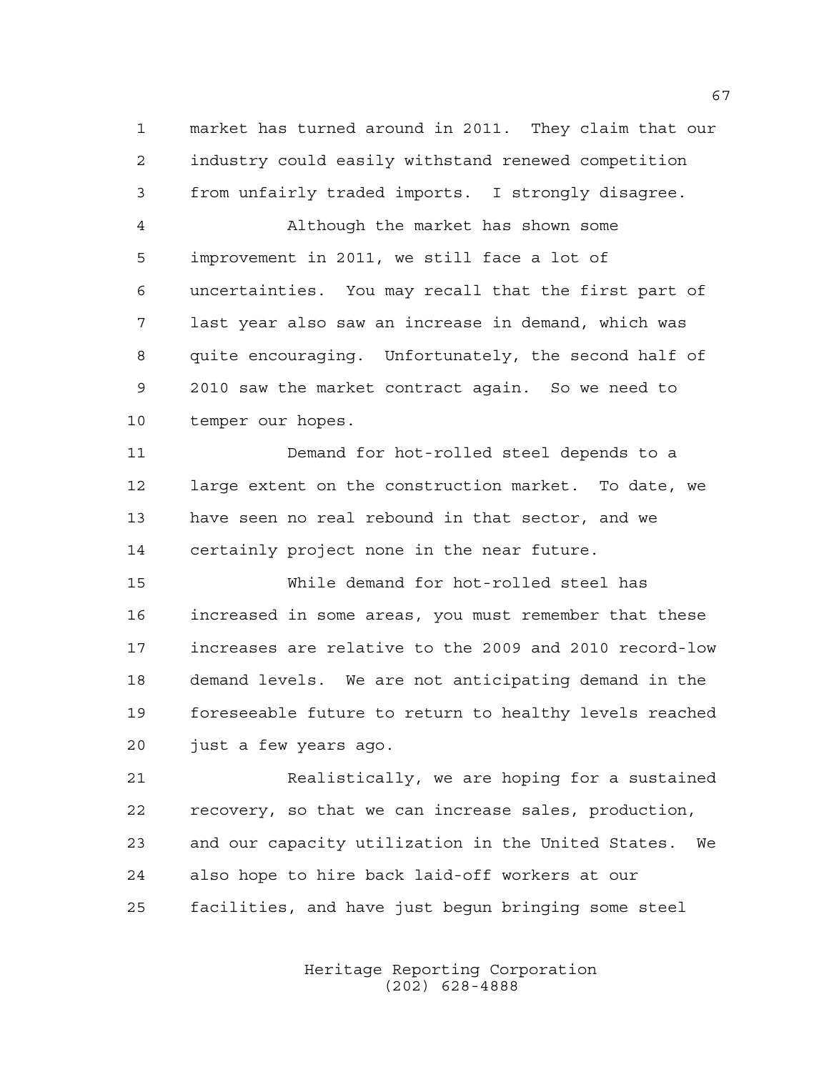market has turned around in 2011. They claim that our industry could easily withstand renewed competition from unfairly traded imports. I strongly disagree.

 Although the market has shown some improvement in 2011, we still face a lot of uncertainties. You may recall that the first part of last year also saw an increase in demand, which was quite encouraging. Unfortunately, the second half of 2010 saw the market contract again. So we need to temper our hopes.

 Demand for hot-rolled steel depends to a large extent on the construction market. To date, we have seen no real rebound in that sector, and we certainly project none in the near future.

 While demand for hot-rolled steel has increased in some areas, you must remember that these increases are relative to the 2009 and 2010 record-low demand levels. We are not anticipating demand in the foreseeable future to return to healthy levels reached just a few years ago.

 Realistically, we are hoping for a sustained recovery, so that we can increase sales, production, and our capacity utilization in the United States. We also hope to hire back laid-off workers at our facilities, and have just begun bringing some steel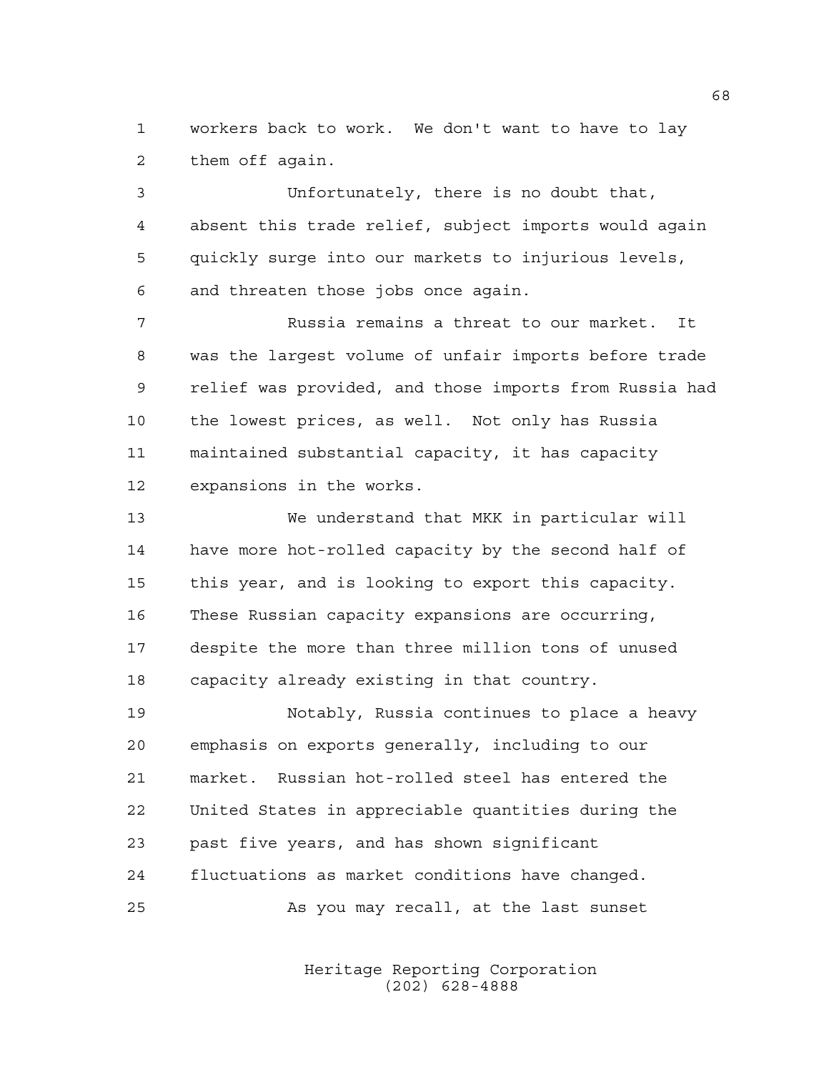workers back to work. We don't want to have to lay them off again.

 Unfortunately, there is no doubt that, absent this trade relief, subject imports would again quickly surge into our markets to injurious levels, and threaten those jobs once again.

 Russia remains a threat to our market. It was the largest volume of unfair imports before trade relief was provided, and those imports from Russia had the lowest prices, as well. Not only has Russia maintained substantial capacity, it has capacity expansions in the works.

 We understand that MKK in particular will have more hot-rolled capacity by the second half of this year, and is looking to export this capacity. These Russian capacity expansions are occurring, despite the more than three million tons of unused capacity already existing in that country.

 Notably, Russia continues to place a heavy emphasis on exports generally, including to our market. Russian hot-rolled steel has entered the United States in appreciable quantities during the past five years, and has shown significant fluctuations as market conditions have changed. As you may recall, at the last sunset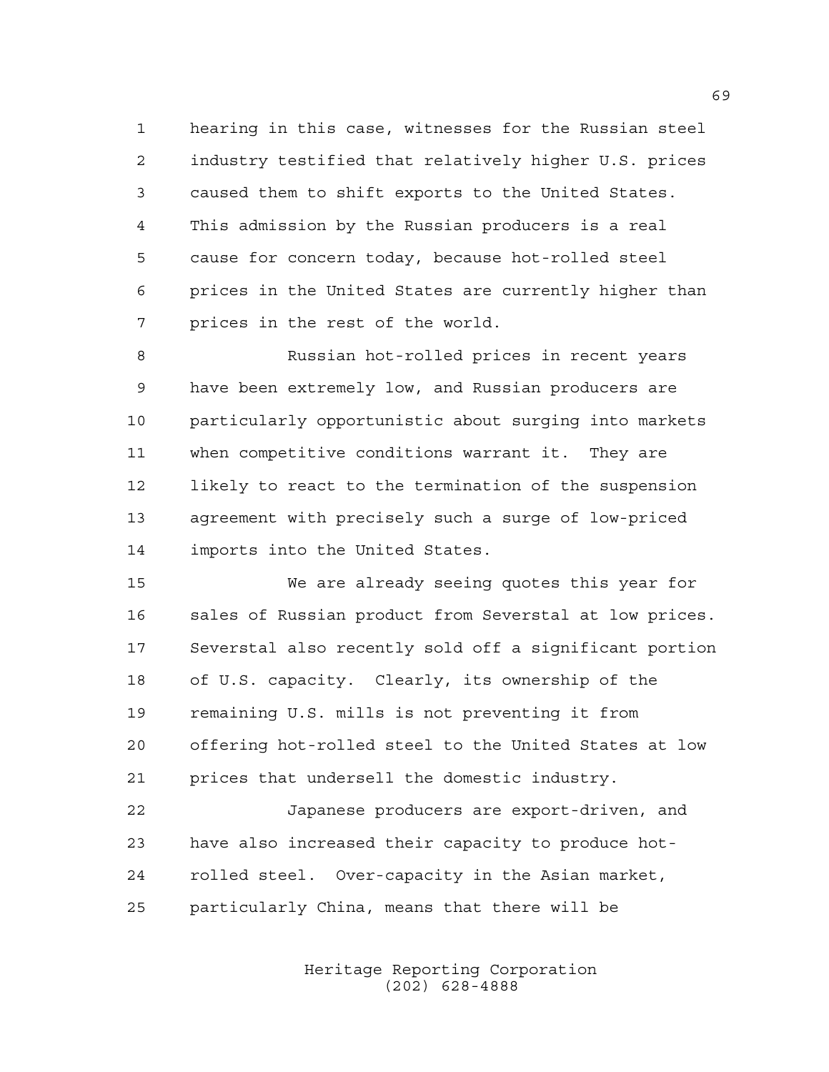hearing in this case, witnesses for the Russian steel industry testified that relatively higher U.S. prices caused them to shift exports to the United States. This admission by the Russian producers is a real cause for concern today, because hot-rolled steel prices in the United States are currently higher than prices in the rest of the world.

 Russian hot-rolled prices in recent years have been extremely low, and Russian producers are particularly opportunistic about surging into markets when competitive conditions warrant it. They are likely to react to the termination of the suspension agreement with precisely such a surge of low-priced imports into the United States.

 We are already seeing quotes this year for sales of Russian product from Severstal at low prices. Severstal also recently sold off a significant portion of U.S. capacity. Clearly, its ownership of the remaining U.S. mills is not preventing it from offering hot-rolled steel to the United States at low prices that undersell the domestic industry.

 Japanese producers are export-driven, and have also increased their capacity to produce hot- rolled steel. Over-capacity in the Asian market, particularly China, means that there will be

> Heritage Reporting Corporation (202) 628-4888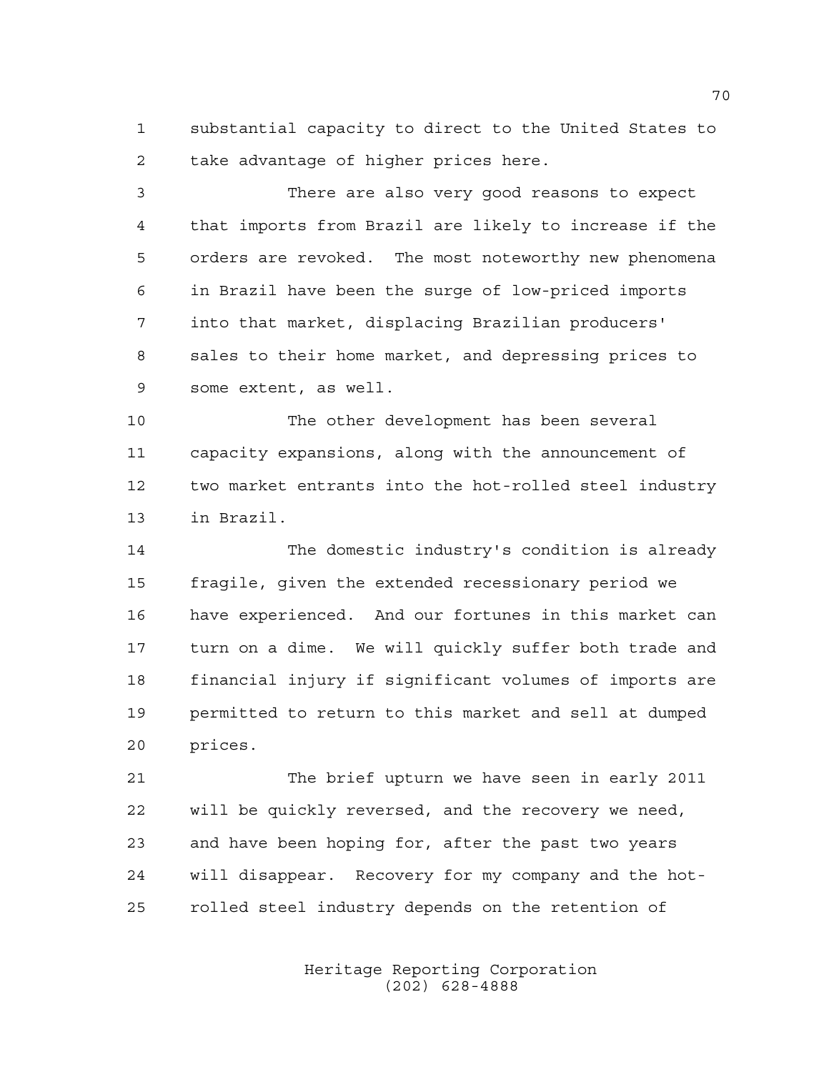substantial capacity to direct to the United States to take advantage of higher prices here.

 There are also very good reasons to expect that imports from Brazil are likely to increase if the orders are revoked. The most noteworthy new phenomena in Brazil have been the surge of low-priced imports into that market, displacing Brazilian producers' sales to their home market, and depressing prices to some extent, as well.

 The other development has been several capacity expansions, along with the announcement of two market entrants into the hot-rolled steel industry in Brazil.

 The domestic industry's condition is already fragile, given the extended recessionary period we have experienced. And our fortunes in this market can turn on a dime. We will quickly suffer both trade and financial injury if significant volumes of imports are permitted to return to this market and sell at dumped prices.

 The brief upturn we have seen in early 2011 will be quickly reversed, and the recovery we need, and have been hoping for, after the past two years will disappear. Recovery for my company and the hot-rolled steel industry depends on the retention of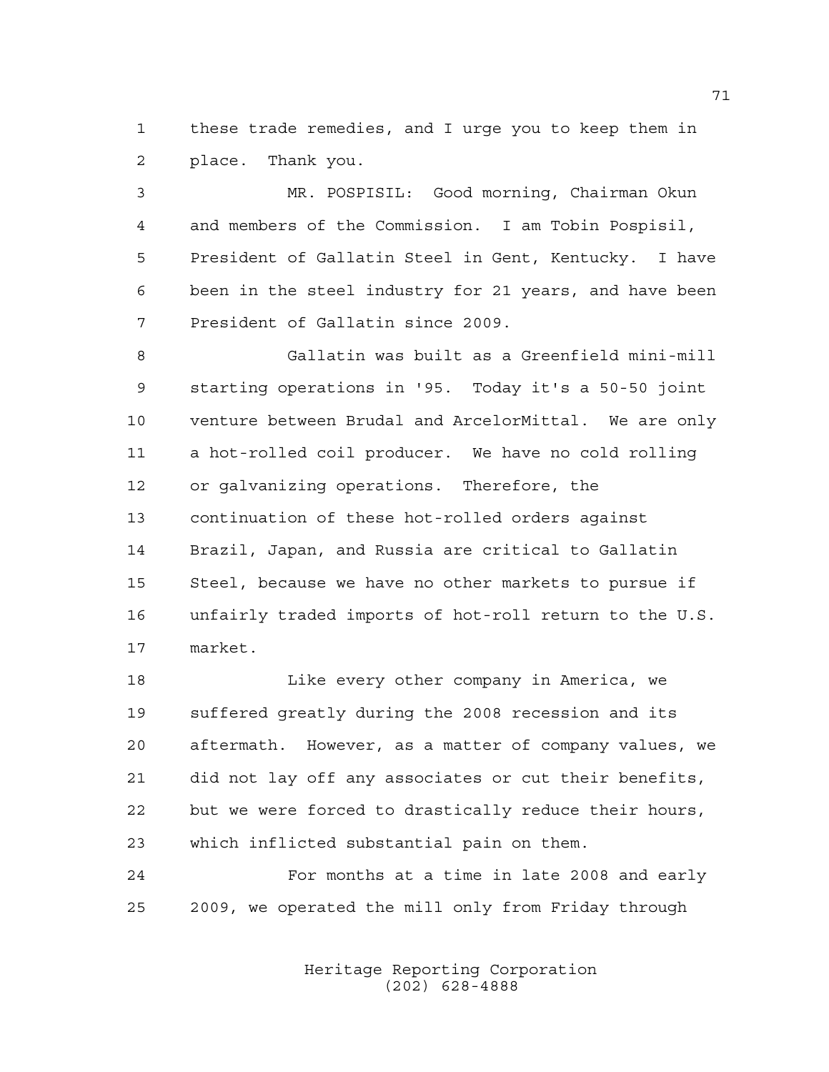these trade remedies, and I urge you to keep them in place. Thank you.

 MR. POSPISIL: Good morning, Chairman Okun and members of the Commission. I am Tobin Pospisil, President of Gallatin Steel in Gent, Kentucky. I have been in the steel industry for 21 years, and have been President of Gallatin since 2009.

 Gallatin was built as a Greenfield mini-mill starting operations in '95. Today it's a 50-50 joint venture between Brudal and ArcelorMittal. We are only a hot-rolled coil producer. We have no cold rolling or galvanizing operations. Therefore, the continuation of these hot-rolled orders against Brazil, Japan, and Russia are critical to Gallatin Steel, because we have no other markets to pursue if unfairly traded imports of hot-roll return to the U.S. market.

 Like every other company in America, we suffered greatly during the 2008 recession and its aftermath. However, as a matter of company values, we did not lay off any associates or cut their benefits, but we were forced to drastically reduce their hours, which inflicted substantial pain on them.

 For months at a time in late 2008 and early 2009, we operated the mill only from Friday through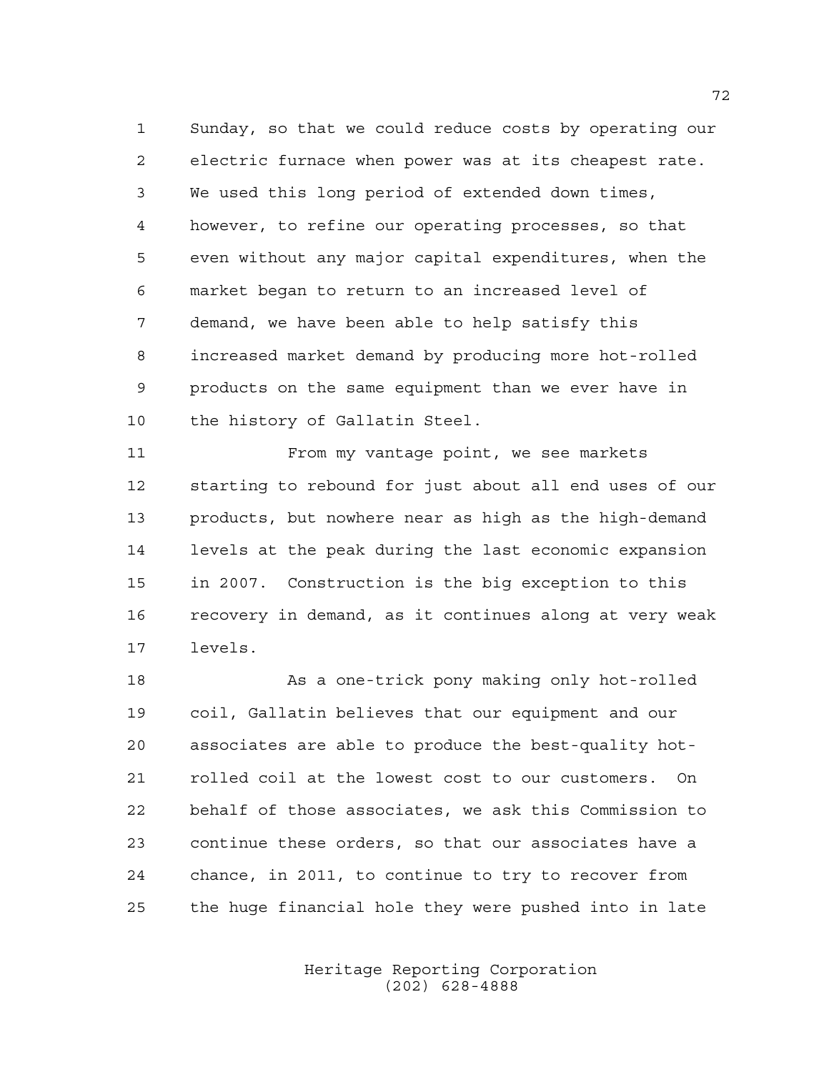Sunday, so that we could reduce costs by operating our electric furnace when power was at its cheapest rate. We used this long period of extended down times, however, to refine our operating processes, so that even without any major capital expenditures, when the market began to return to an increased level of demand, we have been able to help satisfy this increased market demand by producing more hot-rolled products on the same equipment than we ever have in the history of Gallatin Steel.

 From my vantage point, we see markets starting to rebound for just about all end uses of our products, but nowhere near as high as the high-demand levels at the peak during the last economic expansion in 2007. Construction is the big exception to this recovery in demand, as it continues along at very weak levels.

18 As a one-trick pony making only hot-rolled coil, Gallatin believes that our equipment and our associates are able to produce the best-quality hot- rolled coil at the lowest cost to our customers. On behalf of those associates, we ask this Commission to continue these orders, so that our associates have a chance, in 2011, to continue to try to recover from the huge financial hole they were pushed into in late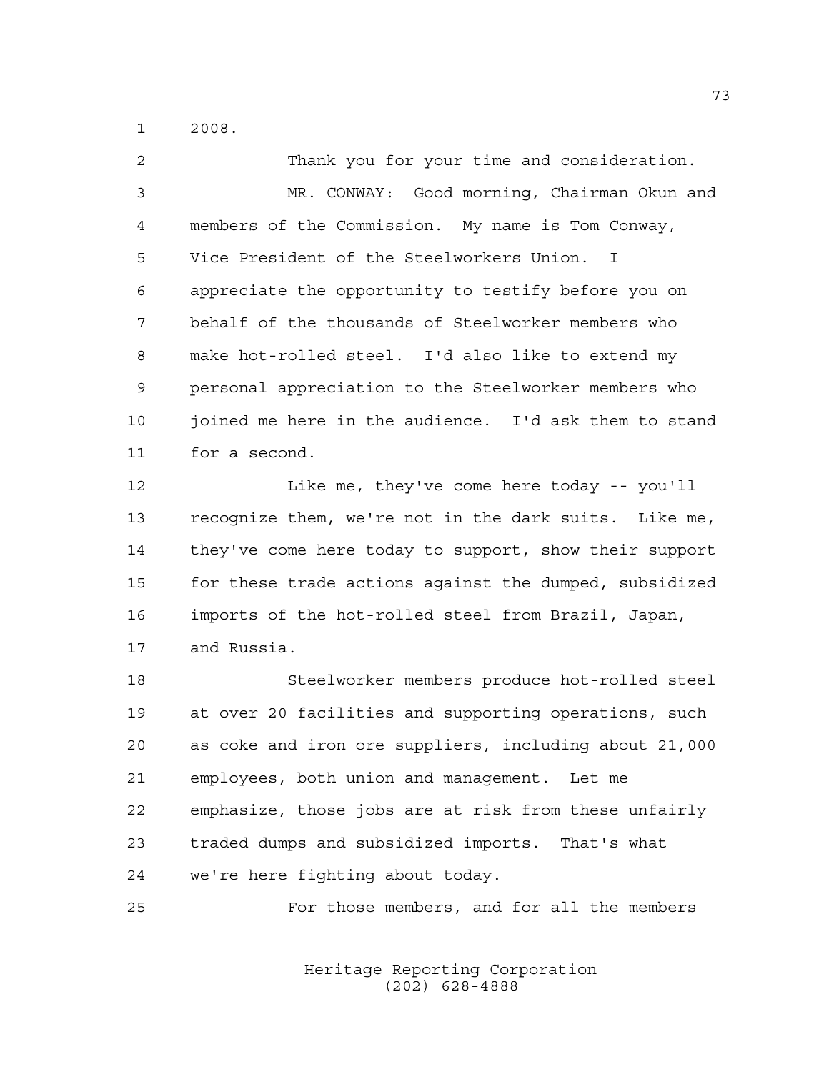2008.

 Thank you for your time and consideration. MR. CONWAY: Good morning, Chairman Okun and members of the Commission. My name is Tom Conway, Vice President of the Steelworkers Union. I appreciate the opportunity to testify before you on behalf of the thousands of Steelworker members who make hot-rolled steel. I'd also like to extend my personal appreciation to the Steelworker members who joined me here in the audience. I'd ask them to stand for a second. 12 Like me, they've come here today -- you'll recognize them, we're not in the dark suits. Like me, they've come here today to support, show their support for these trade actions against the dumped, subsidized imports of the hot-rolled steel from Brazil, Japan, and Russia. Steelworker members produce hot-rolled steel at over 20 facilities and supporting operations, such as coke and iron ore suppliers, including about 21,000 employees, both union and management. Let me

 emphasize, those jobs are at risk from these unfairly traded dumps and subsidized imports. That's what we're here fighting about today.

For those members, and for all the members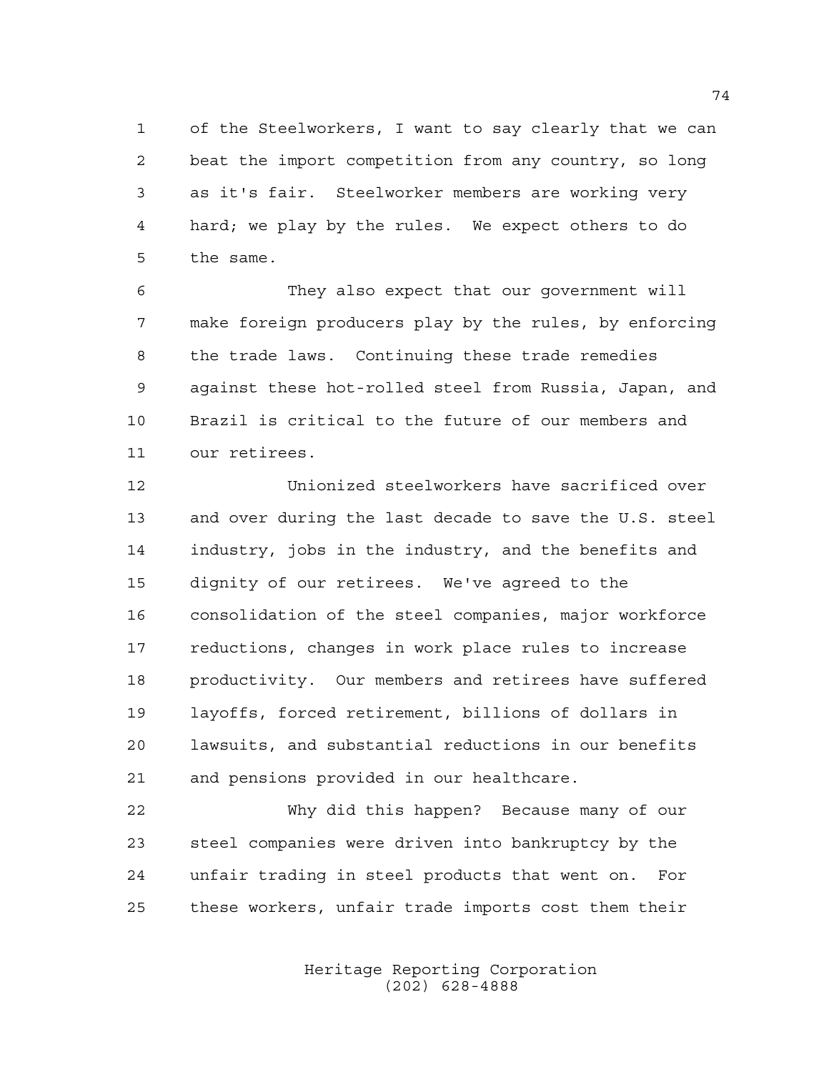of the Steelworkers, I want to say clearly that we can beat the import competition from any country, so long as it's fair. Steelworker members are working very hard; we play by the rules. We expect others to do the same.

 They also expect that our government will make foreign producers play by the rules, by enforcing the trade laws. Continuing these trade remedies against these hot-rolled steel from Russia, Japan, and Brazil is critical to the future of our members and our retirees.

 Unionized steelworkers have sacrificed over and over during the last decade to save the U.S. steel industry, jobs in the industry, and the benefits and dignity of our retirees. We've agreed to the consolidation of the steel companies, major workforce reductions, changes in work place rules to increase productivity. Our members and retirees have suffered layoffs, forced retirement, billions of dollars in lawsuits, and substantial reductions in our benefits and pensions provided in our healthcare.

 Why did this happen? Because many of our steel companies were driven into bankruptcy by the unfair trading in steel products that went on. For these workers, unfair trade imports cost them their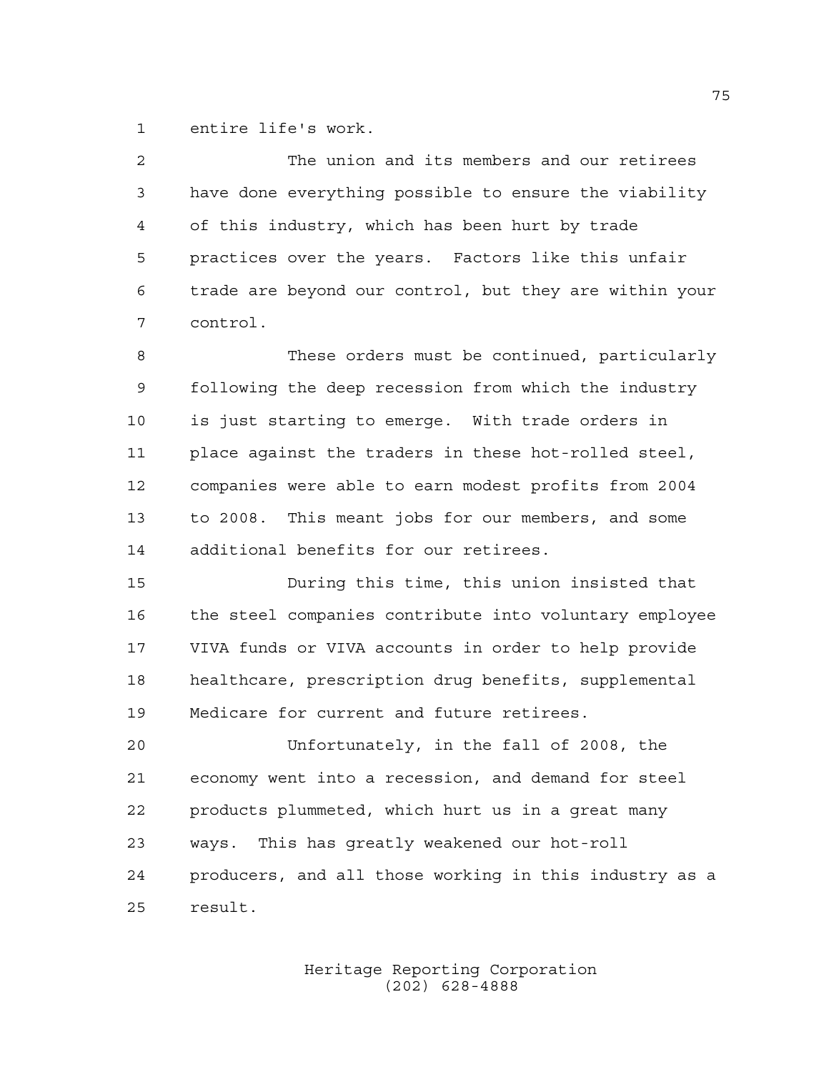entire life's work.

| $\mathfrak{D}$ | The union and its members and our retirees             |
|----------------|--------------------------------------------------------|
| $\mathfrak{Z}$ | have done everything possible to ensure the viability  |
| 4              | of this industry, which has been hurt by trade         |
| 5              | practices over the years. Factors like this unfair     |
| 6              | trade are beyond our control, but they are within your |
| 7              | control.                                               |
| 8              | These orders must be continued, particularly           |
| 9              | following the deep recession from which the industry   |
| 10             | is just starting to emerge. With trade orders in       |
| 11             | place against the traders in these hot-rolled steel,   |
| 12             | companies were able to earn modest profits from 2004   |
| 13             | to 2008. This meant jobs for our members, and some     |
| 14             | additional benefits for our retirees.                  |
| 15             | During this time, this union insisted that             |

 the steel companies contribute into voluntary employee VIVA funds or VIVA accounts in order to help provide healthcare, prescription drug benefits, supplemental Medicare for current and future retirees.

 Unfortunately, in the fall of 2008, the economy went into a recession, and demand for steel products plummeted, which hurt us in a great many ways. This has greatly weakened our hot-roll producers, and all those working in this industry as a result.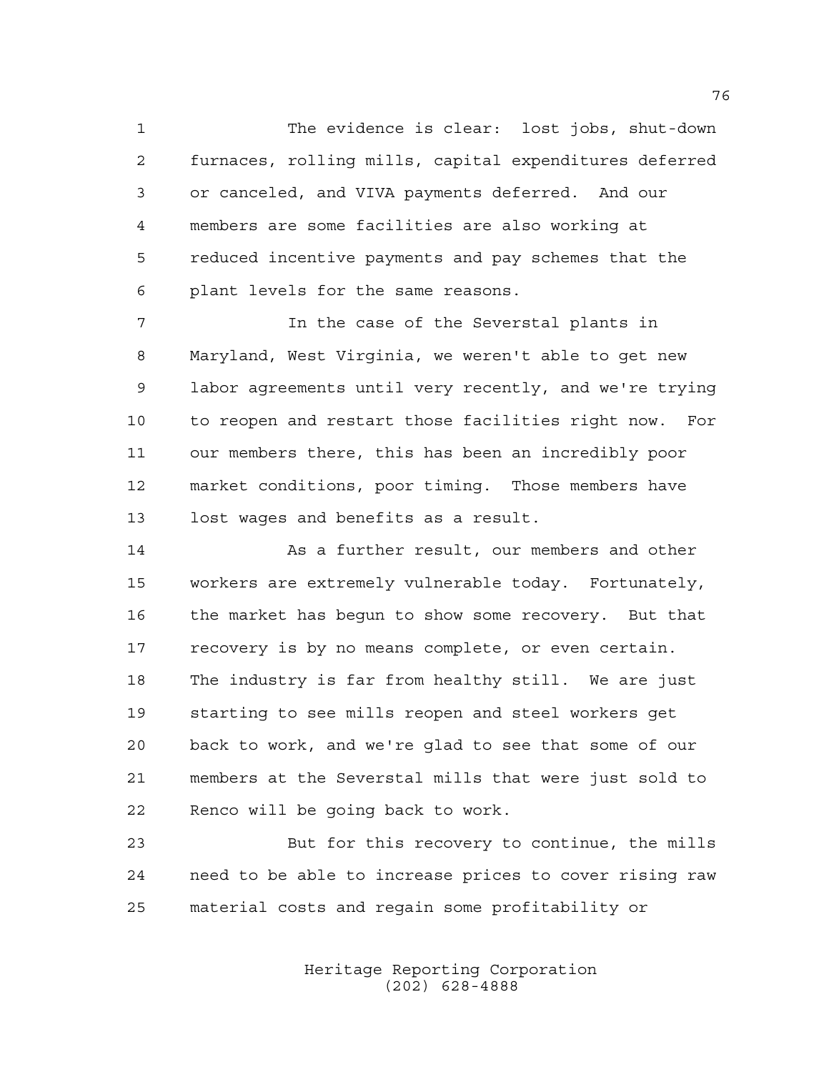The evidence is clear: lost jobs, shut-down furnaces, rolling mills, capital expenditures deferred or canceled, and VIVA payments deferred. And our members are some facilities are also working at reduced incentive payments and pay schemes that the plant levels for the same reasons.

 In the case of the Severstal plants in Maryland, West Virginia, we weren't able to get new labor agreements until very recently, and we're trying to reopen and restart those facilities right now. For our members there, this has been an incredibly poor market conditions, poor timing. Those members have lost wages and benefits as a result.

14 As a further result, our members and other workers are extremely vulnerable today. Fortunately, the market has begun to show some recovery. But that recovery is by no means complete, or even certain. The industry is far from healthy still. We are just starting to see mills reopen and steel workers get back to work, and we're glad to see that some of our members at the Severstal mills that were just sold to Renco will be going back to work.

 But for this recovery to continue, the mills need to be able to increase prices to cover rising raw material costs and regain some profitability or

> Heritage Reporting Corporation (202) 628-4888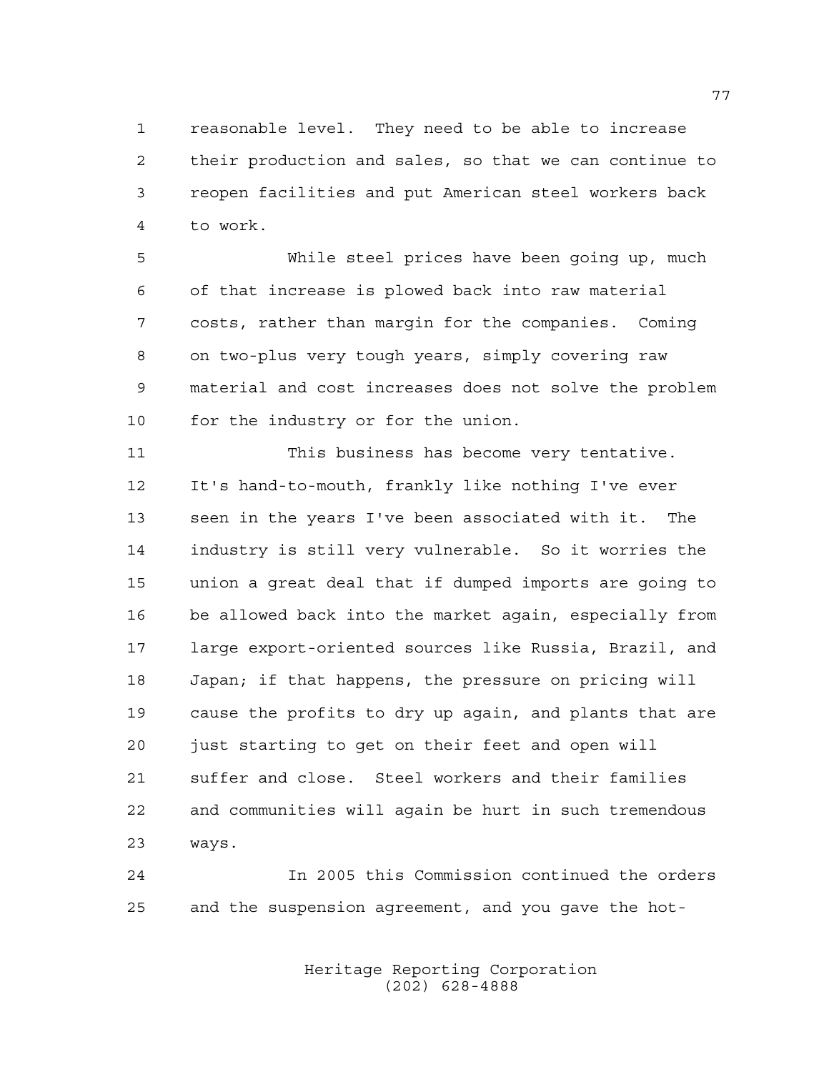reasonable level. They need to be able to increase their production and sales, so that we can continue to reopen facilities and put American steel workers back to work.

 While steel prices have been going up, much of that increase is plowed back into raw material costs, rather than margin for the companies. Coming on two-plus very tough years, simply covering raw material and cost increases does not solve the problem for the industry or for the union.

 This business has become very tentative. It's hand-to-mouth, frankly like nothing I've ever seen in the years I've been associated with it. The industry is still very vulnerable. So it worries the union a great deal that if dumped imports are going to be allowed back into the market again, especially from large export-oriented sources like Russia, Brazil, and Japan; if that happens, the pressure on pricing will cause the profits to dry up again, and plants that are just starting to get on their feet and open will suffer and close. Steel workers and their families and communities will again be hurt in such tremendous ways.

 In 2005 this Commission continued the orders and the suspension agreement, and you gave the hot-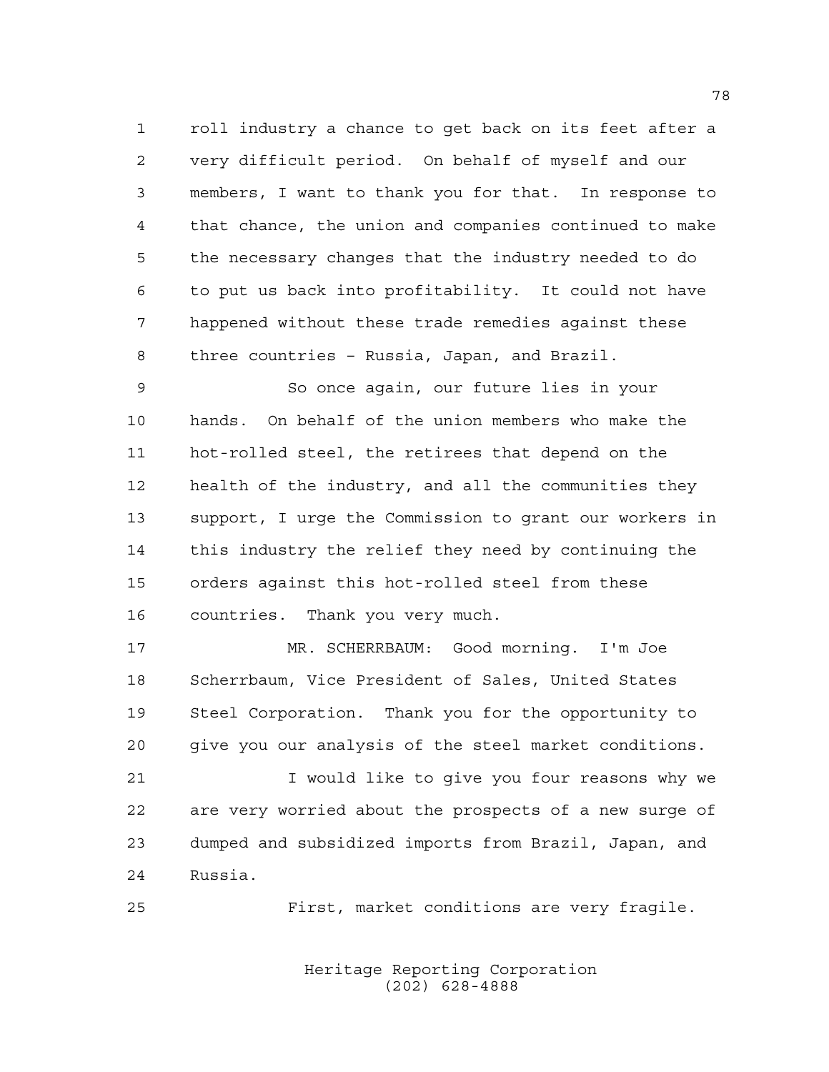roll industry a chance to get back on its feet after a very difficult period. On behalf of myself and our members, I want to thank you for that. In response to that chance, the union and companies continued to make the necessary changes that the industry needed to do to put us back into profitability. It could not have happened without these trade remedies against these three countries – Russia, Japan, and Brazil.

 So once again, our future lies in your hands. On behalf of the union members who make the hot-rolled steel, the retirees that depend on the health of the industry, and all the communities they support, I urge the Commission to grant our workers in this industry the relief they need by continuing the orders against this hot-rolled steel from these countries. Thank you very much.

 MR. SCHERRBAUM: Good morning. I'm Joe Scherrbaum, Vice President of Sales, United States Steel Corporation. Thank you for the opportunity to give you our analysis of the steel market conditions.

 I would like to give you four reasons why we are very worried about the prospects of a new surge of dumped and subsidized imports from Brazil, Japan, and Russia.

First, market conditions are very fragile.

Heritage Reporting Corporation (202) 628-4888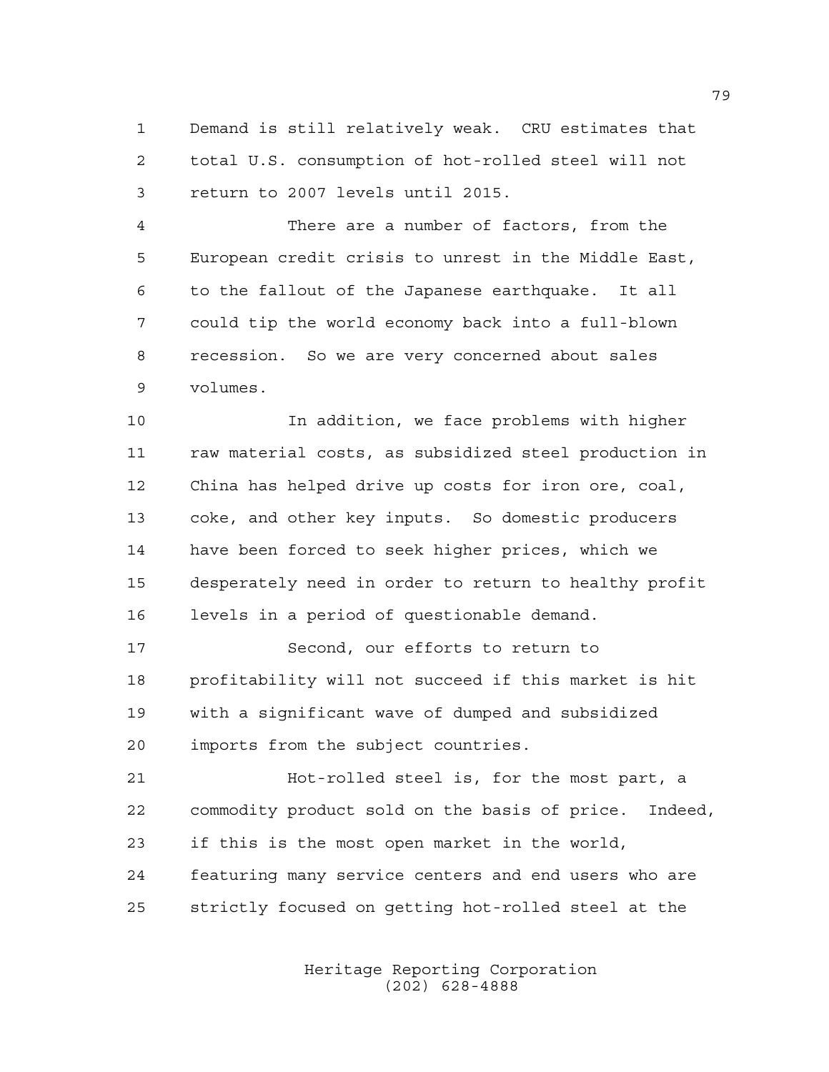Demand is still relatively weak. CRU estimates that total U.S. consumption of hot-rolled steel will not return to 2007 levels until 2015.

 There are a number of factors, from the European credit crisis to unrest in the Middle East, to the fallout of the Japanese earthquake. It all could tip the world economy back into a full-blown recession. So we are very concerned about sales volumes.

 In addition, we face problems with higher raw material costs, as subsidized steel production in China has helped drive up costs for iron ore, coal, coke, and other key inputs. So domestic producers have been forced to seek higher prices, which we desperately need in order to return to healthy profit levels in a period of questionable demand.

 Second, our efforts to return to profitability will not succeed if this market is hit with a significant wave of dumped and subsidized imports from the subject countries.

 Hot-rolled steel is, for the most part, a commodity product sold on the basis of price. Indeed, if this is the most open market in the world, featuring many service centers and end users who are strictly focused on getting hot-rolled steel at the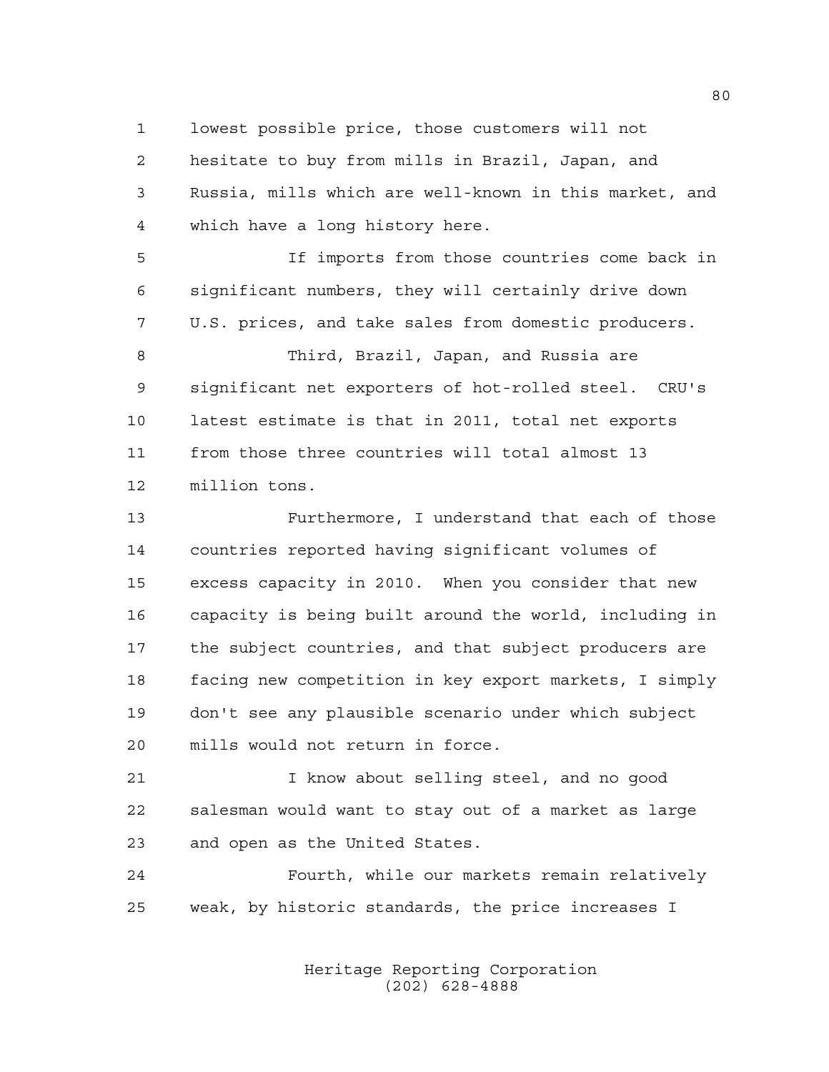lowest possible price, those customers will not hesitate to buy from mills in Brazil, Japan, and Russia, mills which are well-known in this market, and which have a long history here.

 If imports from those countries come back in significant numbers, they will certainly drive down U.S. prices, and take sales from domestic producers. Third, Brazil, Japan, and Russia are significant net exporters of hot-rolled steel. CRU's

 latest estimate is that in 2011, total net exports from those three countries will total almost 13 million tons.

 Furthermore, I understand that each of those countries reported having significant volumes of excess capacity in 2010. When you consider that new capacity is being built around the world, including in the subject countries, and that subject producers are facing new competition in key export markets, I simply don't see any plausible scenario under which subject mills would not return in force.

 I know about selling steel, and no good salesman would want to stay out of a market as large and open as the United States.

 Fourth, while our markets remain relatively weak, by historic standards, the price increases I

> Heritage Reporting Corporation (202) 628-4888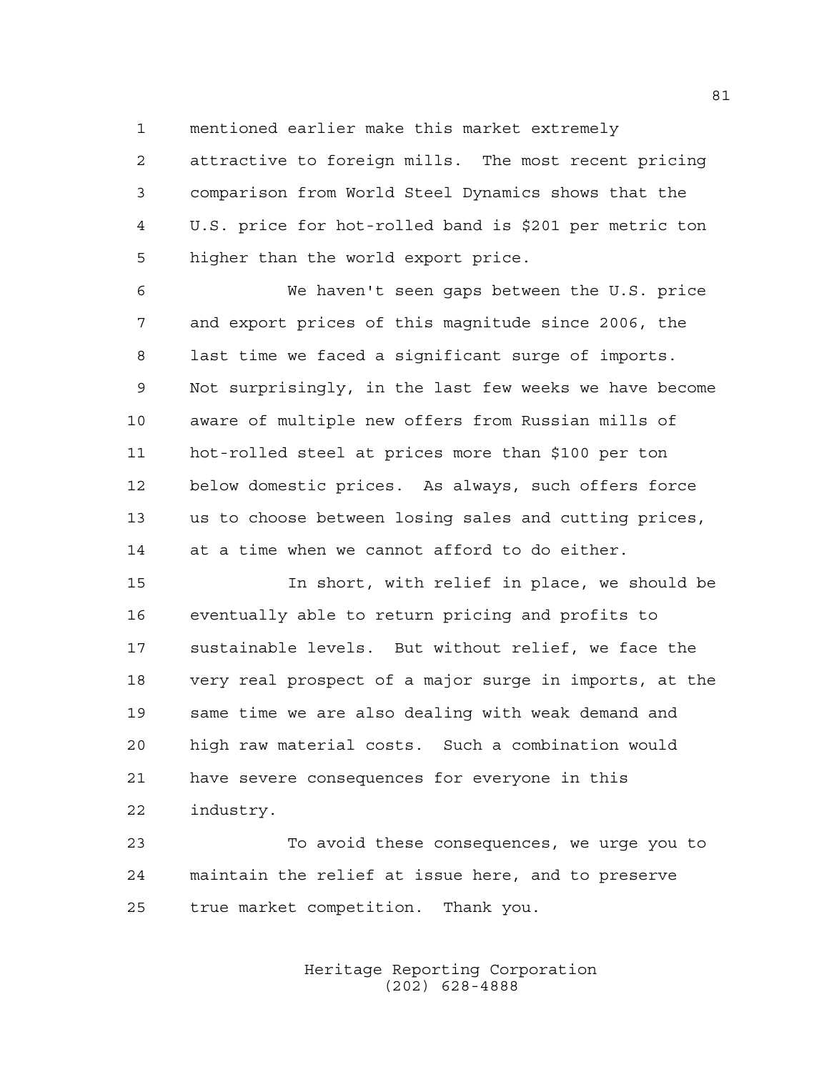mentioned earlier make this market extremely

 attractive to foreign mills. The most recent pricing comparison from World Steel Dynamics shows that the U.S. price for hot-rolled band is \$201 per metric ton higher than the world export price.

 We haven't seen gaps between the U.S. price and export prices of this magnitude since 2006, the last time we faced a significant surge of imports. Not surprisingly, in the last few weeks we have become aware of multiple new offers from Russian mills of hot-rolled steel at prices more than \$100 per ton below domestic prices. As always, such offers force us to choose between losing sales and cutting prices, at a time when we cannot afford to do either.

 In short, with relief in place, we should be eventually able to return pricing and profits to sustainable levels. But without relief, we face the very real prospect of a major surge in imports, at the same time we are also dealing with weak demand and high raw material costs. Such a combination would have severe consequences for everyone in this industry.

 To avoid these consequences, we urge you to maintain the relief at issue here, and to preserve true market competition. Thank you.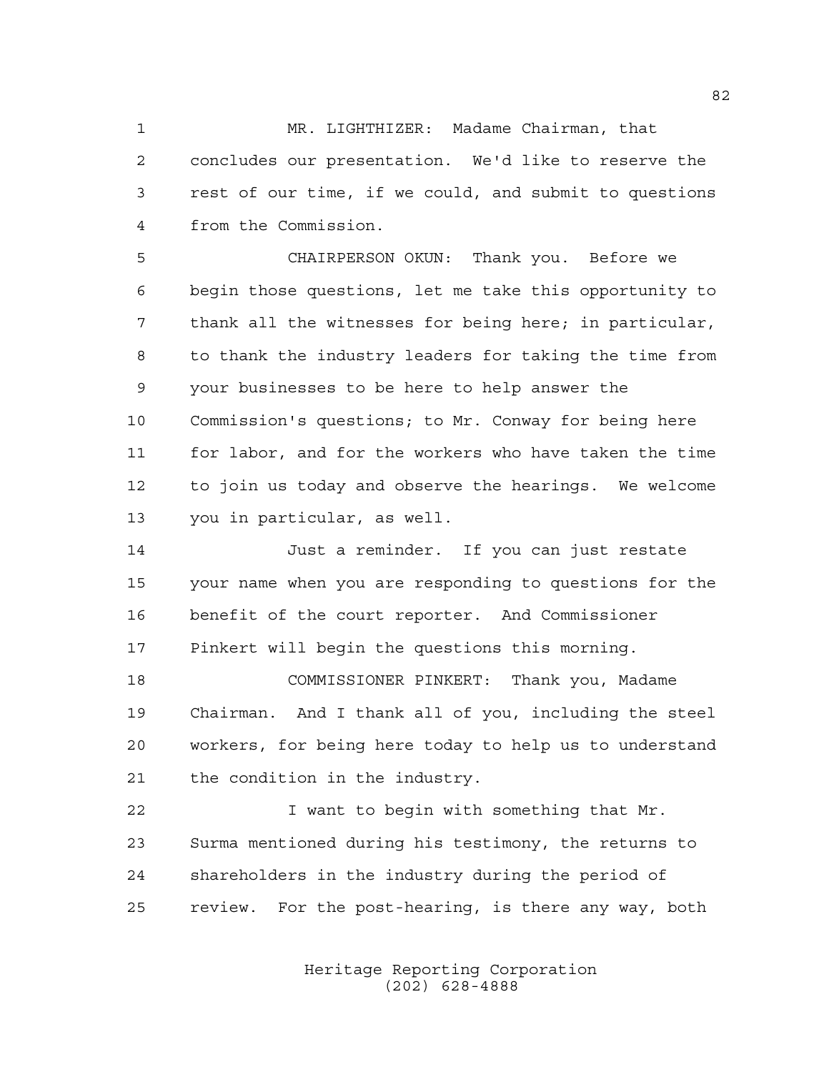MR. LIGHTHIZER: Madame Chairman, that concludes our presentation. We'd like to reserve the rest of our time, if we could, and submit to questions from the Commission.

 CHAIRPERSON OKUN: Thank you. Before we begin those questions, let me take this opportunity to thank all the witnesses for being here; in particular, to thank the industry leaders for taking the time from your businesses to be here to help answer the Commission's questions; to Mr. Conway for being here for labor, and for the workers who have taken the time to join us today and observe the hearings. We welcome you in particular, as well.

 Just a reminder. If you can just restate your name when you are responding to questions for the benefit of the court reporter. And Commissioner Pinkert will begin the questions this morning.

 COMMISSIONER PINKERT: Thank you, Madame Chairman. And I thank all of you, including the steel workers, for being here today to help us to understand the condition in the industry.

 I want to begin with something that Mr. Surma mentioned during his testimony, the returns to shareholders in the industry during the period of review. For the post-hearing, is there any way, both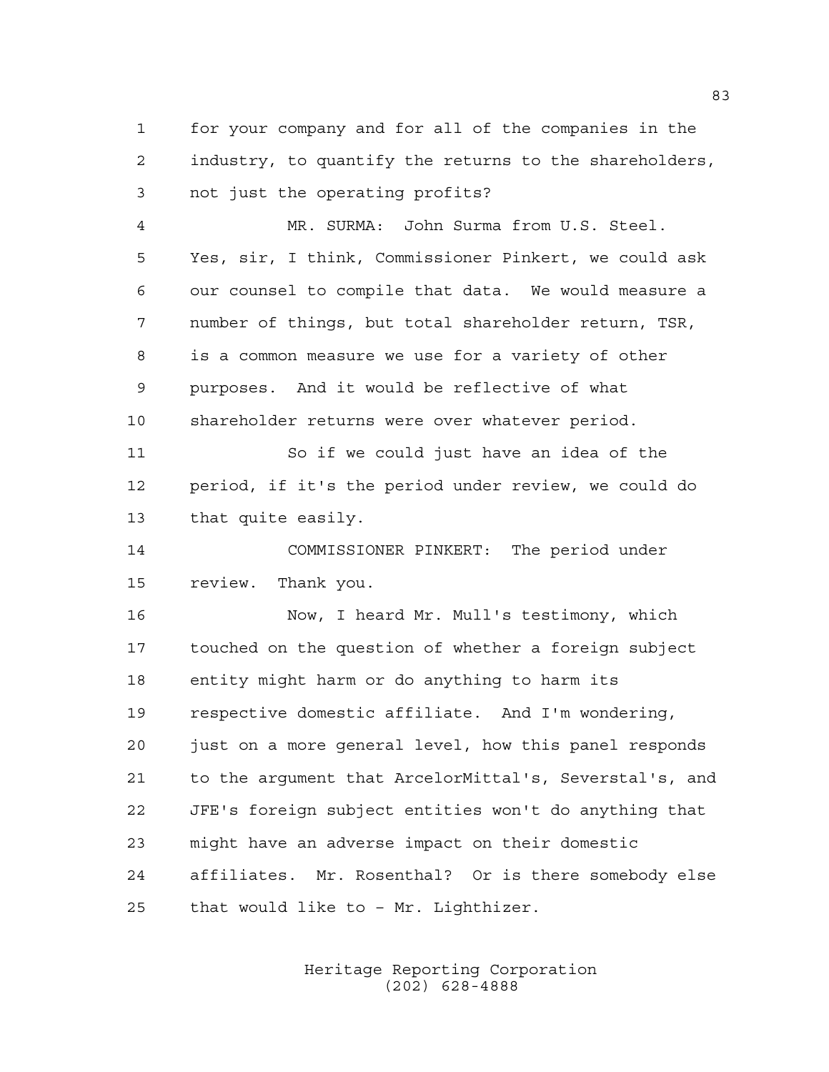for your company and for all of the companies in the industry, to quantify the returns to the shareholders, not just the operating profits?

 MR. SURMA: John Surma from U.S. Steel. Yes, sir, I think, Commissioner Pinkert, we could ask our counsel to compile that data. We would measure a number of things, but total shareholder return, TSR, is a common measure we use for a variety of other purposes. And it would be reflective of what shareholder returns were over whatever period. So if we could just have an idea of the period, if it's the period under review, we could do

that quite easily.

 COMMISSIONER PINKERT: The period under review. Thank you.

 Now, I heard Mr. Mull's testimony, which touched on the question of whether a foreign subject entity might harm or do anything to harm its respective domestic affiliate. And I'm wondering, just on a more general level, how this panel responds to the argument that ArcelorMittal's, Severstal's, and JFE's foreign subject entities won't do anything that might have an adverse impact on their domestic affiliates. Mr. Rosenthal? Or is there somebody else that would like to – Mr. Lighthizer.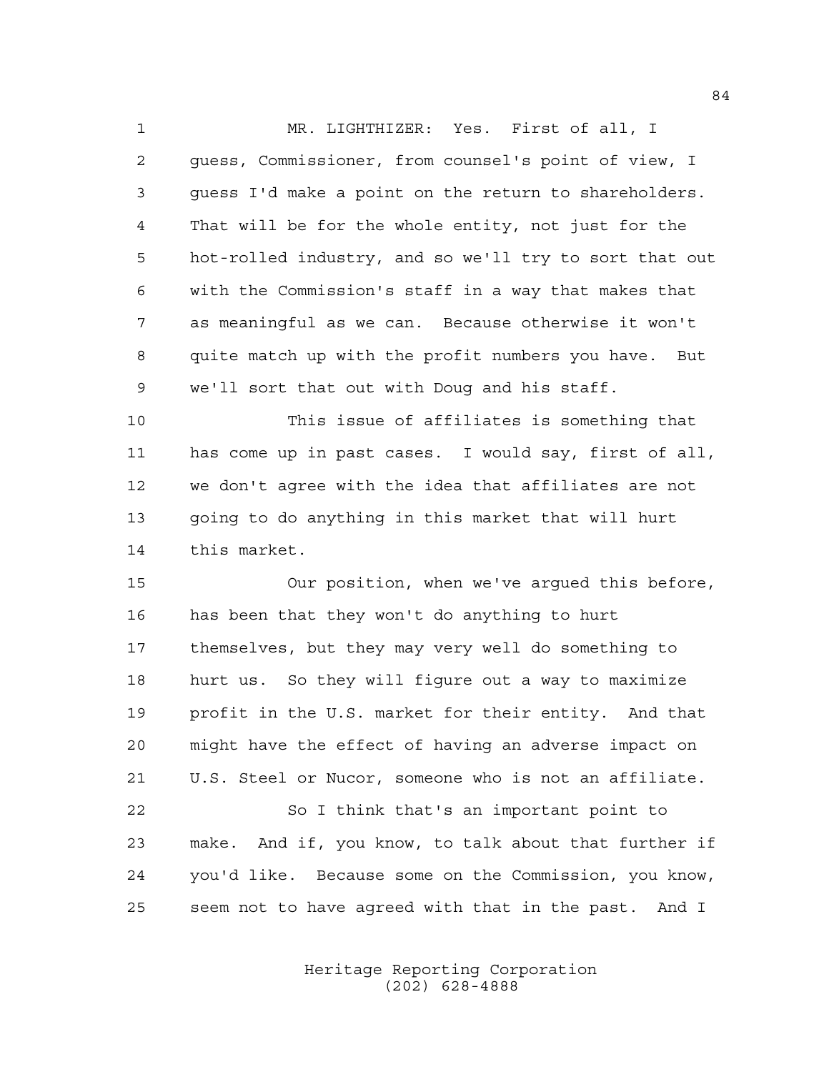MR. LIGHTHIZER: Yes. First of all, I guess, Commissioner, from counsel's point of view, I guess I'd make a point on the return to shareholders. That will be for the whole entity, not just for the hot-rolled industry, and so we'll try to sort that out with the Commission's staff in a way that makes that as meaningful as we can. Because otherwise it won't quite match up with the profit numbers you have. But we'll sort that out with Doug and his staff.

 This issue of affiliates is something that has come up in past cases. I would say, first of all, we don't agree with the idea that affiliates are not going to do anything in this market that will hurt this market.

 Our position, when we've argued this before, has been that they won't do anything to hurt themselves, but they may very well do something to hurt us. So they will figure out a way to maximize profit in the U.S. market for their entity. And that might have the effect of having an adverse impact on U.S. Steel or Nucor, someone who is not an affiliate. So I think that's an important point to make. And if, you know, to talk about that further if

seem not to have agreed with that in the past. And I

you'd like. Because some on the Commission, you know,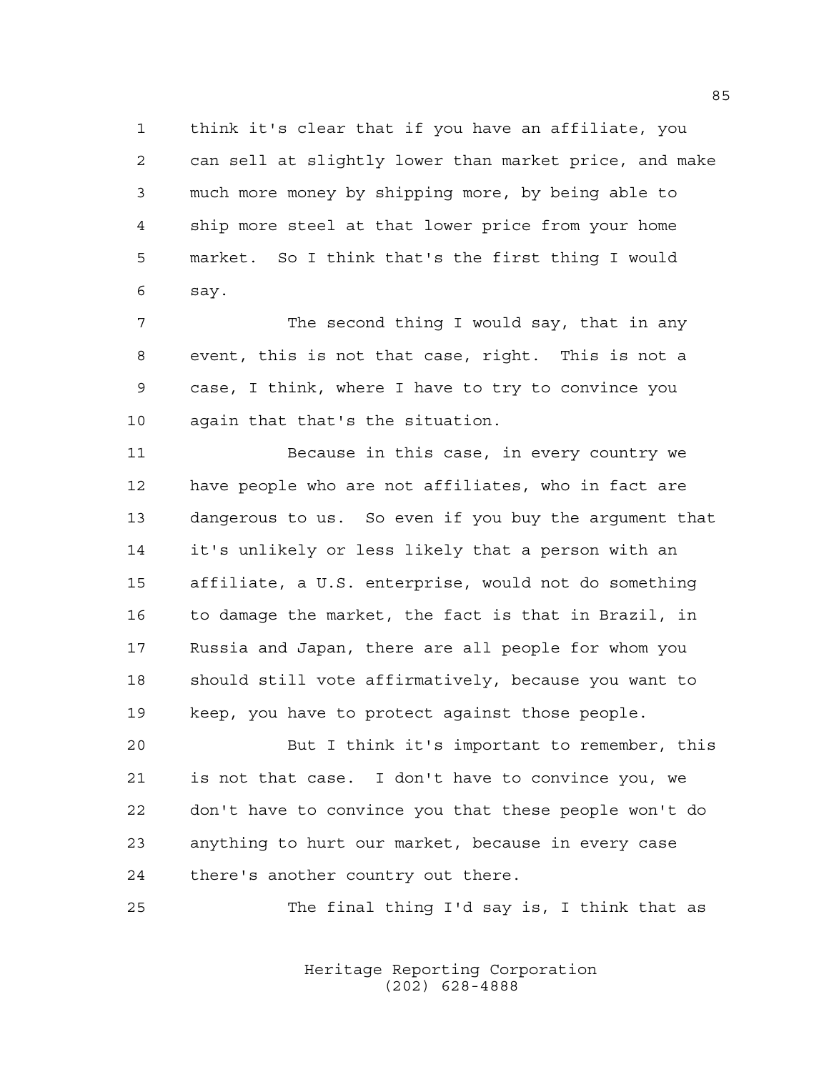think it's clear that if you have an affiliate, you can sell at slightly lower than market price, and make much more money by shipping more, by being able to ship more steel at that lower price from your home market. So I think that's the first thing I would say.

 The second thing I would say, that in any event, this is not that case, right. This is not a case, I think, where I have to try to convince you again that that's the situation.

 Because in this case, in every country we have people who are not affiliates, who in fact are dangerous to us. So even if you buy the argument that it's unlikely or less likely that a person with an affiliate, a U.S. enterprise, would not do something to damage the market, the fact is that in Brazil, in Russia and Japan, there are all people for whom you should still vote affirmatively, because you want to keep, you have to protect against those people.

 But I think it's important to remember, this is not that case. I don't have to convince you, we don't have to convince you that these people won't do anything to hurt our market, because in every case there's another country out there.

The final thing I'd say is, I think that as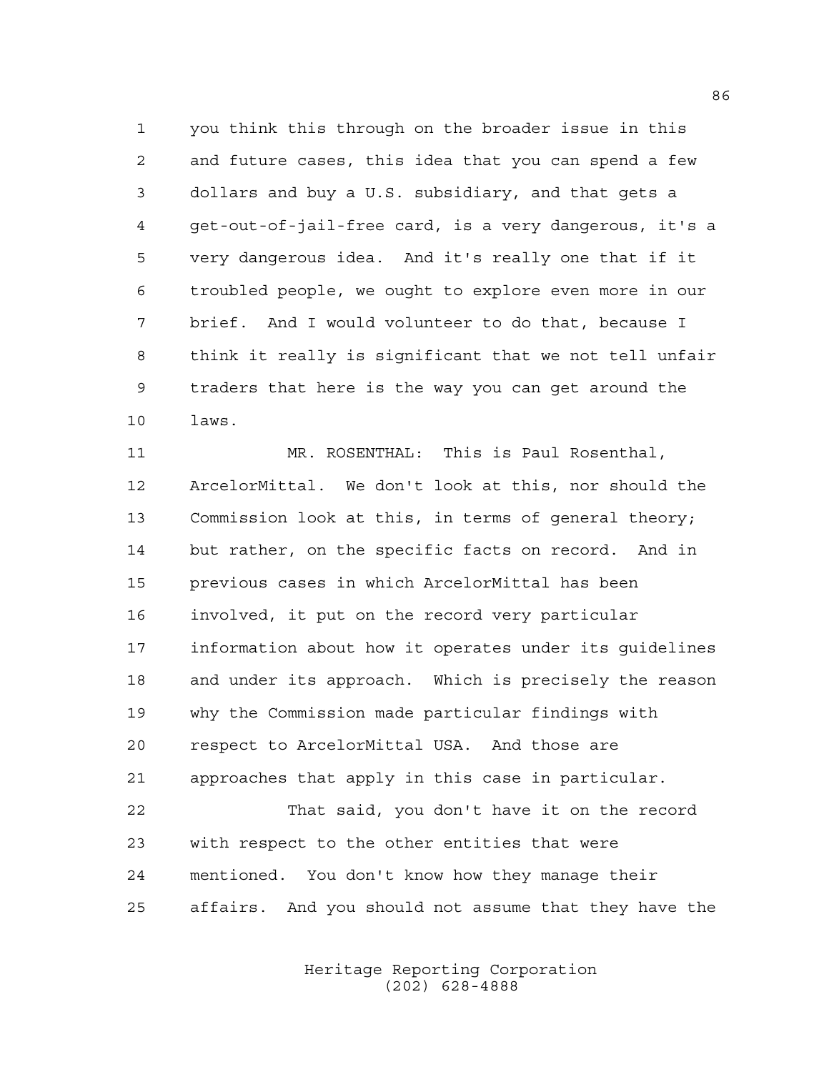you think this through on the broader issue in this and future cases, this idea that you can spend a few dollars and buy a U.S. subsidiary, and that gets a get-out-of-jail-free card, is a very dangerous, it's a very dangerous idea. And it's really one that if it troubled people, we ought to explore even more in our brief. And I would volunteer to do that, because I think it really is significant that we not tell unfair traders that here is the way you can get around the laws.

 MR. ROSENTHAL: This is Paul Rosenthal, ArcelorMittal. We don't look at this, nor should the Commission look at this, in terms of general theory; but rather, on the specific facts on record. And in previous cases in which ArcelorMittal has been involved, it put on the record very particular information about how it operates under its guidelines and under its approach. Which is precisely the reason why the Commission made particular findings with respect to ArcelorMittal USA. And those are approaches that apply in this case in particular. That said, you don't have it on the record with respect to the other entities that were mentioned. You don't know how they manage their

affairs. And you should not assume that they have the

Heritage Reporting Corporation (202) 628-4888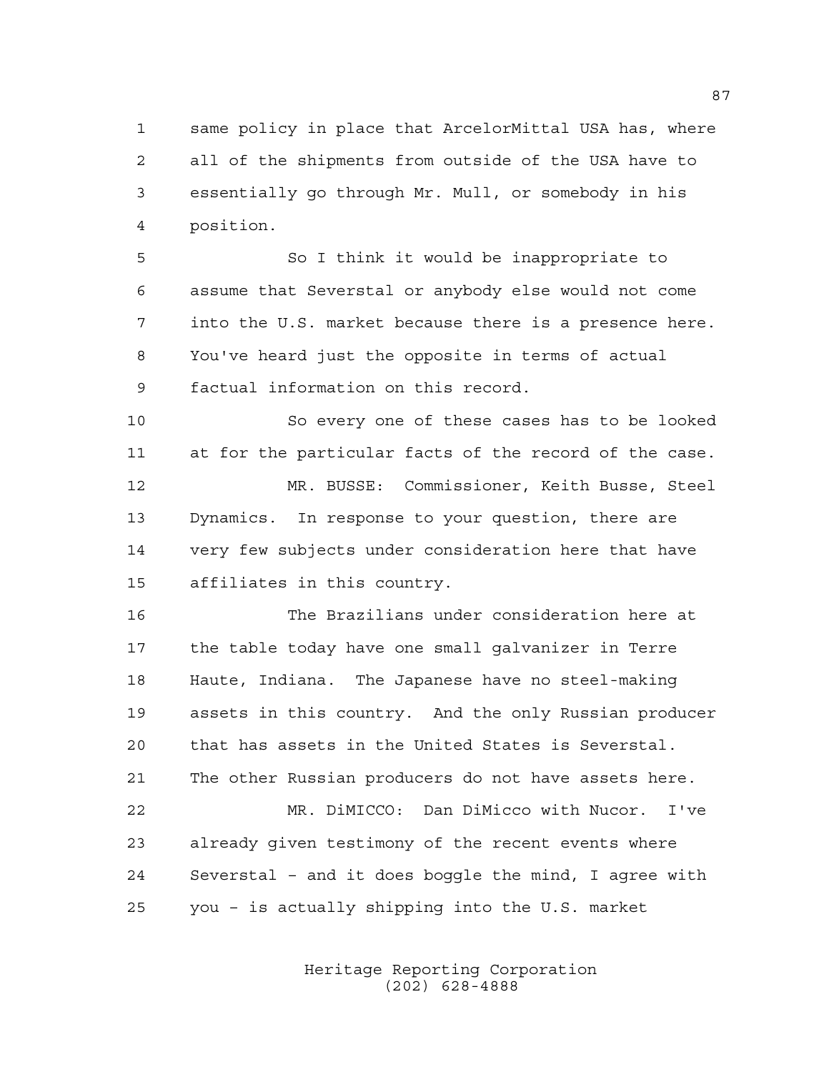same policy in place that ArcelorMittal USA has, where all of the shipments from outside of the USA have to essentially go through Mr. Mull, or somebody in his position.

 So I think it would be inappropriate to assume that Severstal or anybody else would not come into the U.S. market because there is a presence here. You've heard just the opposite in terms of actual factual information on this record.

 So every one of these cases has to be looked at for the particular facts of the record of the case. MR. BUSSE: Commissioner, Keith Busse, Steel Dynamics. In response to your question, there are very few subjects under consideration here that have affiliates in this country.

 The Brazilians under consideration here at the table today have one small galvanizer in Terre Haute, Indiana. The Japanese have no steel-making assets in this country. And the only Russian producer that has assets in the United States is Severstal. The other Russian producers do not have assets here. MR. DiMICCO: Dan DiMicco with Nucor. I've already given testimony of the recent events where Severstal – and it does boggle the mind, I agree with you – is actually shipping into the U.S. market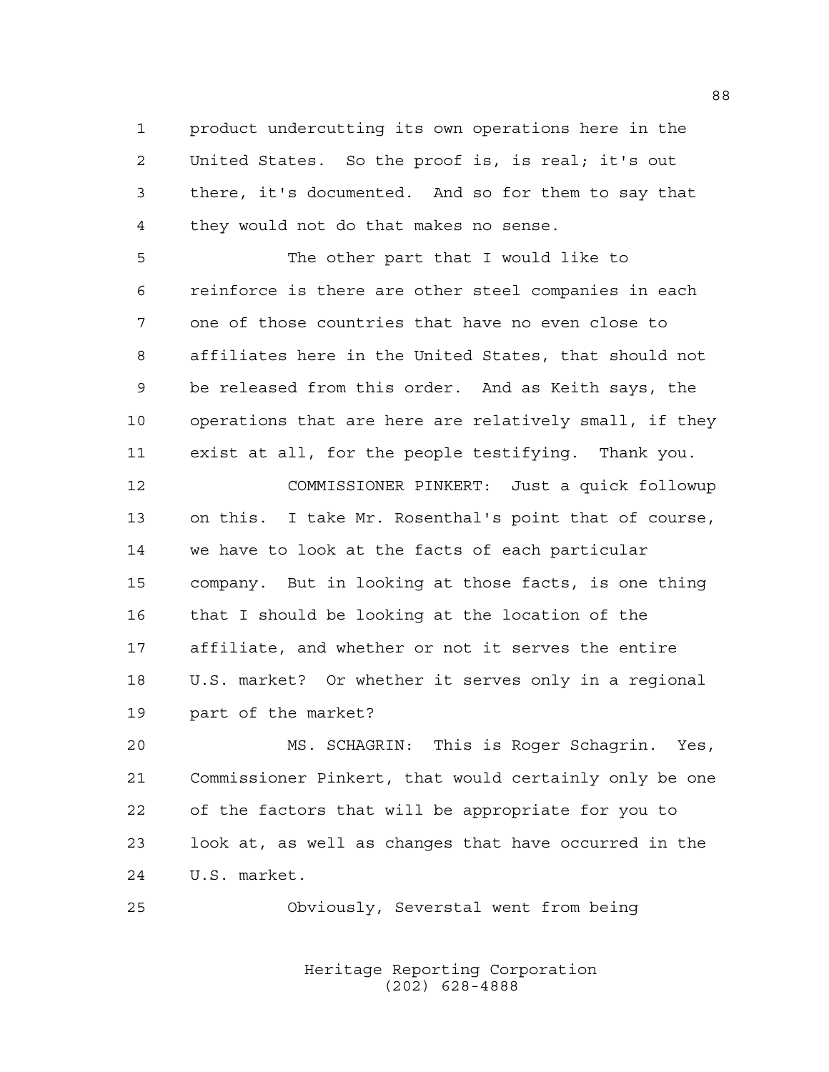product undercutting its own operations here in the United States. So the proof is, is real; it's out there, it's documented. And so for them to say that they would not do that makes no sense.

 The other part that I would like to reinforce is there are other steel companies in each one of those countries that have no even close to affiliates here in the United States, that should not be released from this order. And as Keith says, the operations that are here are relatively small, if they exist at all, for the people testifying. Thank you.

 COMMISSIONER PINKERT: Just a quick followup on this. I take Mr. Rosenthal's point that of course, we have to look at the facts of each particular company. But in looking at those facts, is one thing that I should be looking at the location of the affiliate, and whether or not it serves the entire U.S. market? Or whether it serves only in a regional part of the market?

 MS. SCHAGRIN: This is Roger Schagrin. Yes, Commissioner Pinkert, that would certainly only be one of the factors that will be appropriate for you to look at, as well as changes that have occurred in the U.S. market.

Obviously, Severstal went from being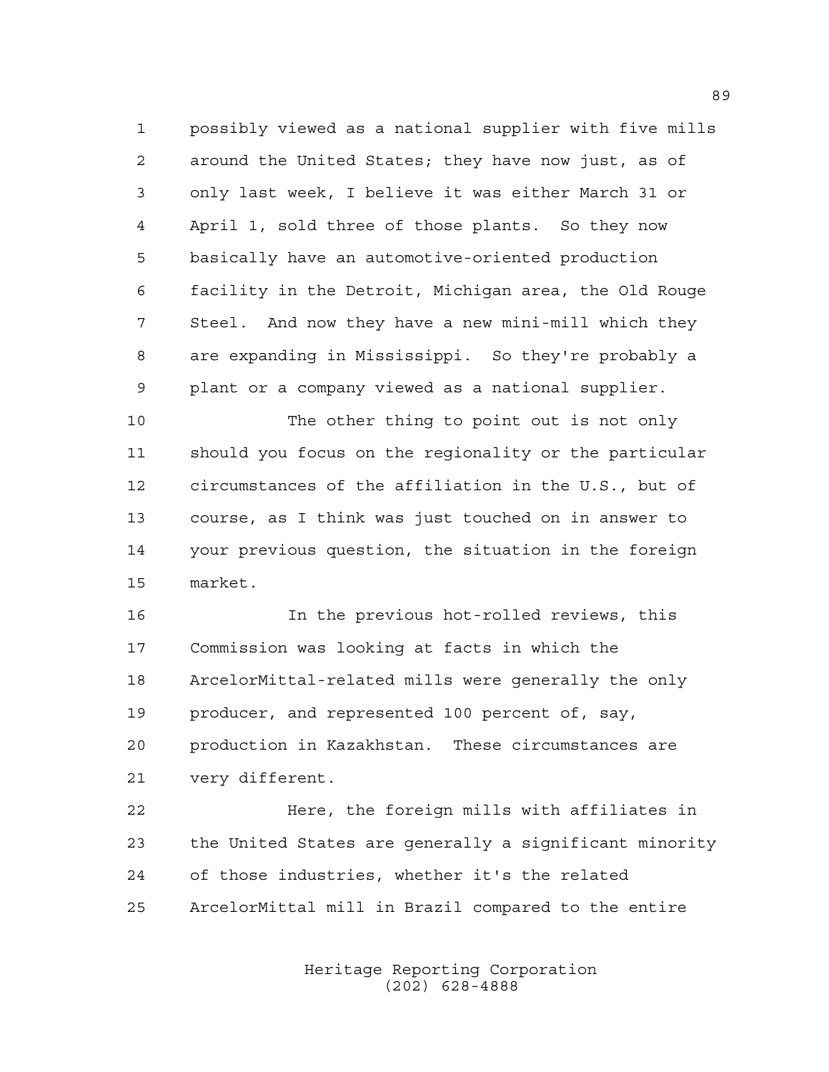possibly viewed as a national supplier with five mills around the United States; they have now just, as of only last week, I believe it was either March 31 or April 1, sold three of those plants. So they now basically have an automotive-oriented production facility in the Detroit, Michigan area, the Old Rouge Steel. And now they have a new mini-mill which they are expanding in Mississippi. So they're probably a plant or a company viewed as a national supplier.

 The other thing to point out is not only should you focus on the regionality or the particular circumstances of the affiliation in the U.S., but of course, as I think was just touched on in answer to your previous question, the situation in the foreign market.

 In the previous hot-rolled reviews, this Commission was looking at facts in which the ArcelorMittal-related mills were generally the only 19 producer, and represented 100 percent of, say, production in Kazakhstan. These circumstances are very different.

 Here, the foreign mills with affiliates in the United States are generally a significant minority of those industries, whether it's the related ArcelorMittal mill in Brazil compared to the entire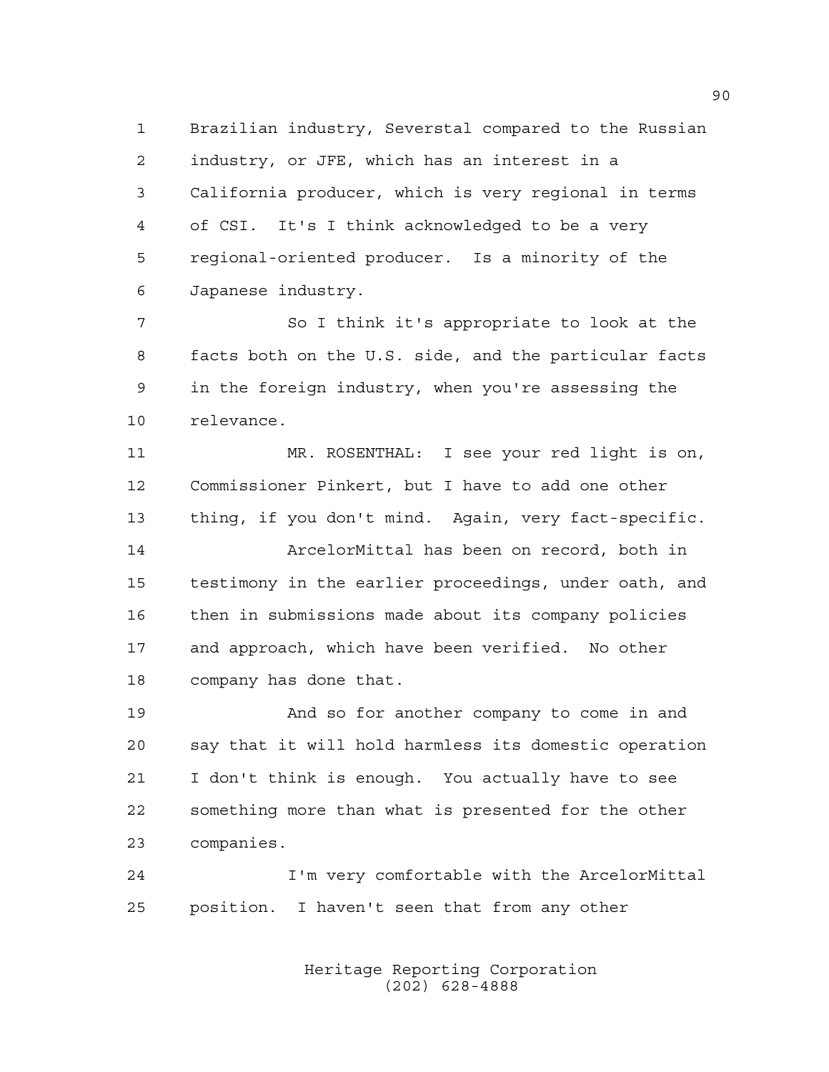Brazilian industry, Severstal compared to the Russian industry, or JFE, which has an interest in a California producer, which is very regional in terms of CSI. It's I think acknowledged to be a very regional-oriented producer. Is a minority of the Japanese industry.

 So I think it's appropriate to look at the facts both on the U.S. side, and the particular facts in the foreign industry, when you're assessing the relevance.

 MR. ROSENTHAL: I see your red light is on, Commissioner Pinkert, but I have to add one other thing, if you don't mind. Again, very fact-specific.

 ArcelorMittal has been on record, both in testimony in the earlier proceedings, under oath, and then in submissions made about its company policies and approach, which have been verified. No other company has done that.

 And so for another company to come in and say that it will hold harmless its domestic operation I don't think is enough. You actually have to see something more than what is presented for the other companies.

 I'm very comfortable with the ArcelorMittal position. I haven't seen that from any other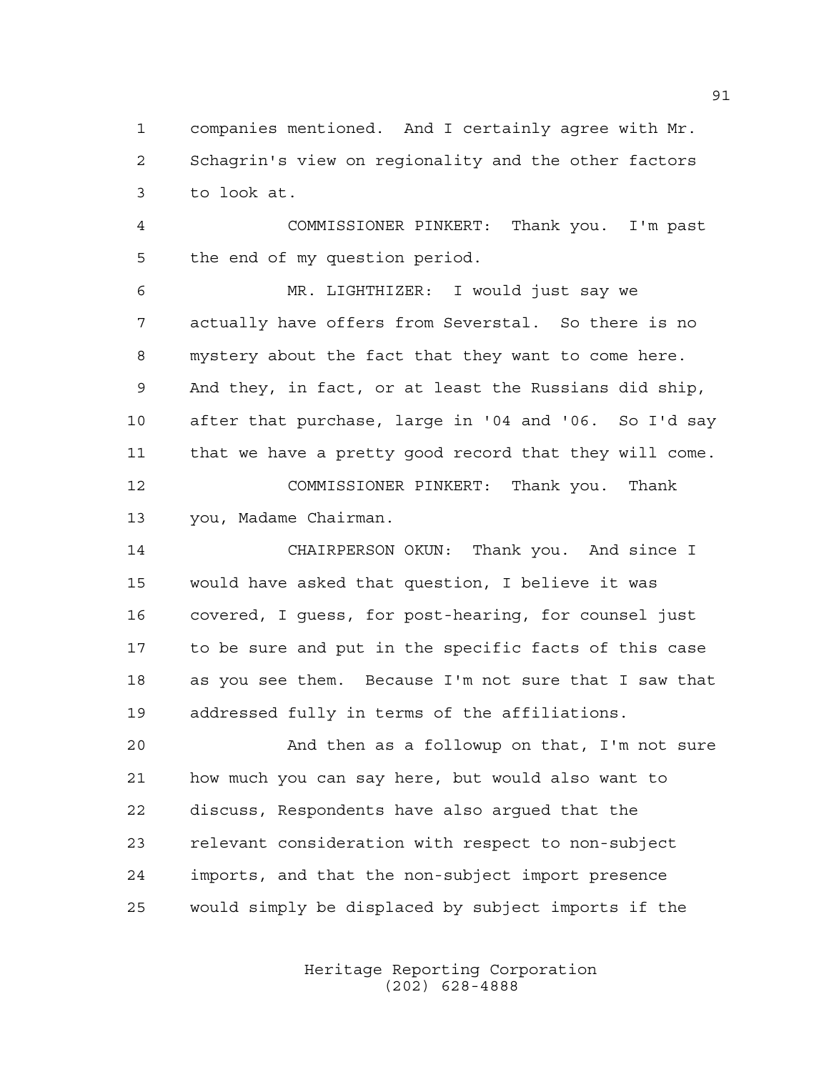companies mentioned. And I certainly agree with Mr. Schagrin's view on regionality and the other factors to look at.

 COMMISSIONER PINKERT: Thank you. I'm past the end of my question period.

 MR. LIGHTHIZER: I would just say we actually have offers from Severstal. So there is no mystery about the fact that they want to come here. And they, in fact, or at least the Russians did ship, after that purchase, large in '04 and '06. So I'd say that we have a pretty good record that they will come. COMMISSIONER PINKERT: Thank you. Thank you, Madame Chairman.

 CHAIRPERSON OKUN: Thank you. And since I would have asked that question, I believe it was covered, I guess, for post-hearing, for counsel just to be sure and put in the specific facts of this case as you see them. Because I'm not sure that I saw that addressed fully in terms of the affiliations.

 And then as a followup on that, I'm not sure how much you can say here, but would also want to discuss, Respondents have also argued that the relevant consideration with respect to non-subject imports, and that the non-subject import presence would simply be displaced by subject imports if the

> Heritage Reporting Corporation (202) 628-4888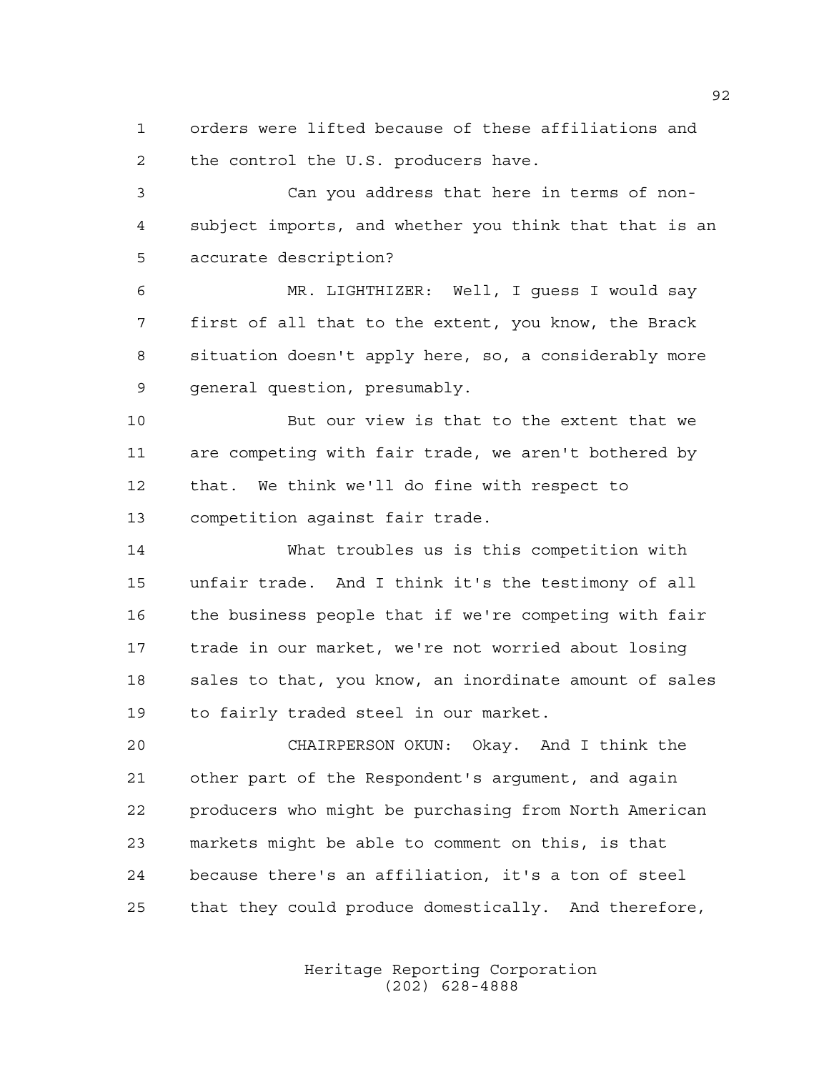orders were lifted because of these affiliations and the control the U.S. producers have.

 Can you address that here in terms of non- subject imports, and whether you think that that is an accurate description?

 MR. LIGHTHIZER: Well, I guess I would say first of all that to the extent, you know, the Brack situation doesn't apply here, so, a considerably more general question, presumably.

 But our view is that to the extent that we are competing with fair trade, we aren't bothered by that. We think we'll do fine with respect to competition against fair trade.

 What troubles us is this competition with unfair trade. And I think it's the testimony of all the business people that if we're competing with fair trade in our market, we're not worried about losing sales to that, you know, an inordinate amount of sales to fairly traded steel in our market.

 CHAIRPERSON OKUN: Okay. And I think the other part of the Respondent's argument, and again producers who might be purchasing from North American markets might be able to comment on this, is that because there's an affiliation, it's a ton of steel that they could produce domestically. And therefore,

> Heritage Reporting Corporation (202) 628-4888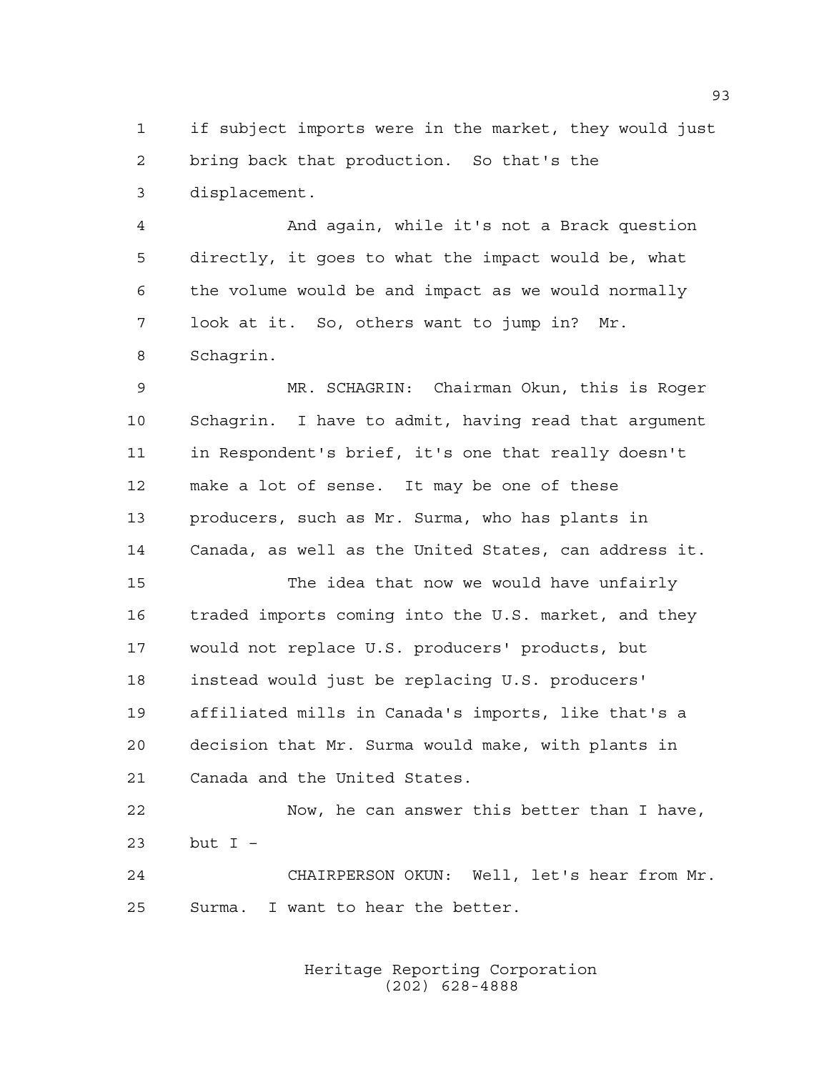if subject imports were in the market, they would just bring back that production. So that's the displacement.

 And again, while it's not a Brack question directly, it goes to what the impact would be, what the volume would be and impact as we would normally look at it. So, others want to jump in? Mr. Schagrin.

 MR. SCHAGRIN: Chairman Okun, this is Roger Schagrin. I have to admit, having read that argument in Respondent's brief, it's one that really doesn't make a lot of sense. It may be one of these producers, such as Mr. Surma, who has plants in Canada, as well as the United States, can address it.

 The idea that now we would have unfairly traded imports coming into the U.S. market, and they would not replace U.S. producers' products, but instead would just be replacing U.S. producers' affiliated mills in Canada's imports, like that's a decision that Mr. Surma would make, with plants in Canada and the United States.

 Now, he can answer this better than I have, but I –

 CHAIRPERSON OKUN: Well, let's hear from Mr. Surma. I want to hear the better.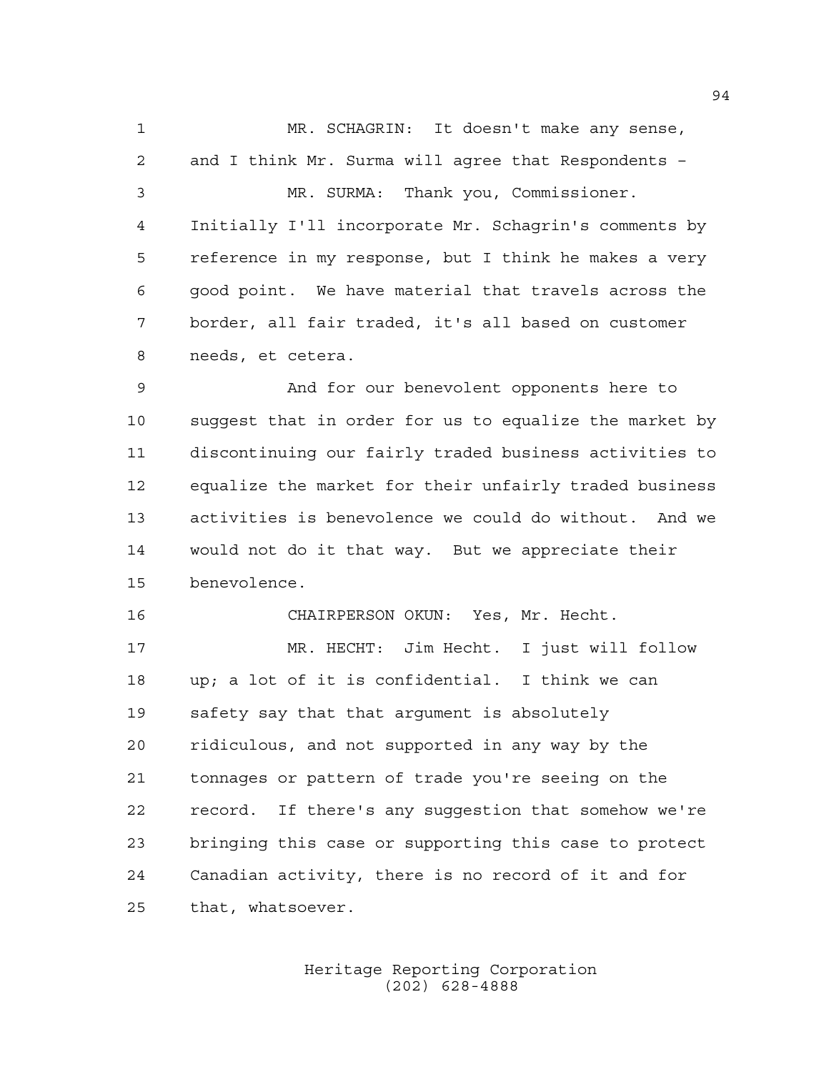MR. SCHAGRIN: It doesn't make any sense, and I think Mr. Surma will agree that Respondents – MR. SURMA: Thank you, Commissioner. Initially I'll incorporate Mr. Schagrin's comments by reference in my response, but I think he makes a very good point. We have material that travels across the border, all fair traded, it's all based on customer needs, et cetera. And for our benevolent opponents here to suggest that in order for us to equalize the market by discontinuing our fairly traded business activities to equalize the market for their unfairly traded business activities is benevolence we could do without. And we would not do it that way. But we appreciate their benevolence. CHAIRPERSON OKUN: Yes, Mr. Hecht. MR. HECHT: Jim Hecht. I just will follow up; a lot of it is confidential. I think we can safety say that that argument is absolutely ridiculous, and not supported in any way by the tonnages or pattern of trade you're seeing on the record. If there's any suggestion that somehow we're bringing this case or supporting this case to protect Canadian activity, there is no record of it and for that, whatsoever.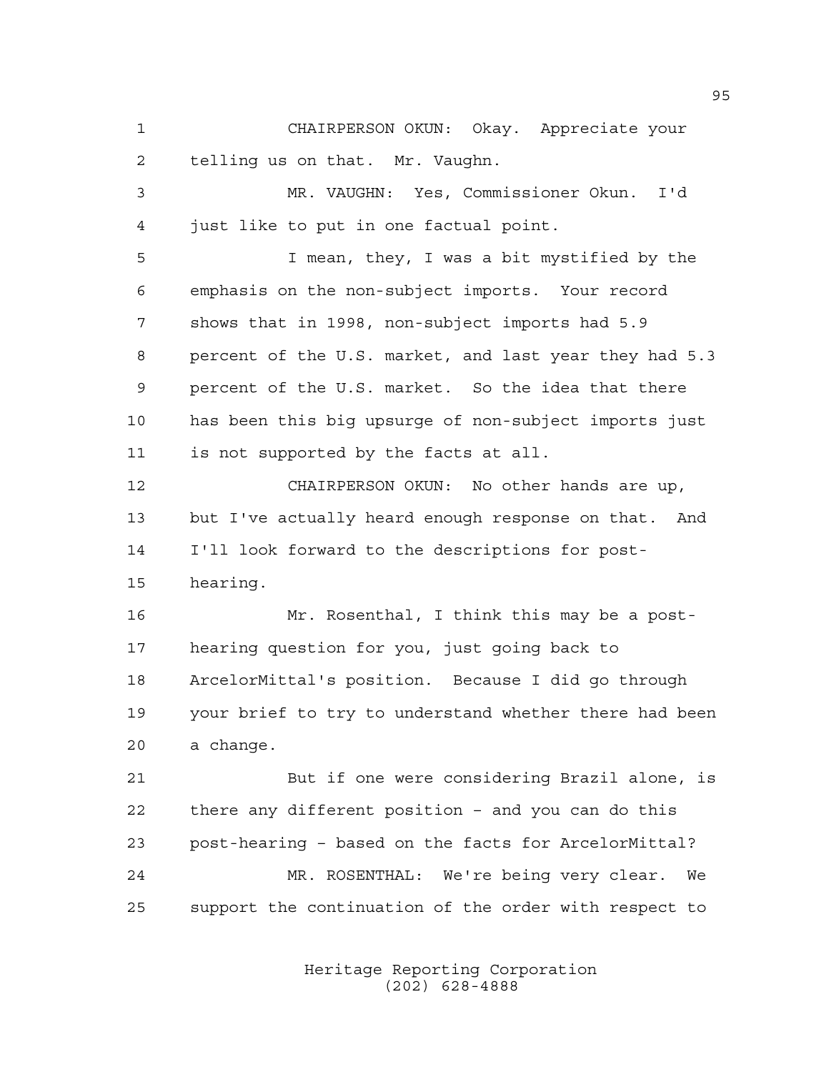CHAIRPERSON OKUN: Okay. Appreciate your telling us on that. Mr. Vaughn.

 MR. VAUGHN: Yes, Commissioner Okun. I'd just like to put in one factual point. I mean, they, I was a bit mystified by the emphasis on the non-subject imports. Your record shows that in 1998, non-subject imports had 5.9 percent of the U.S. market, and last year they had 5.3 percent of the U.S. market. So the idea that there has been this big upsurge of non-subject imports just is not supported by the facts at all.

 CHAIRPERSON OKUN: No other hands are up, but I've actually heard enough response on that. And I'll look forward to the descriptions for post-hearing.

 Mr. Rosenthal, I think this may be a post- hearing question for you, just going back to ArcelorMittal's position. Because I did go through your brief to try to understand whether there had been a change.

 But if one were considering Brazil alone, is there any different position – and you can do this post-hearing – based on the facts for ArcelorMittal? MR. ROSENTHAL: We're being very clear. We support the continuation of the order with respect to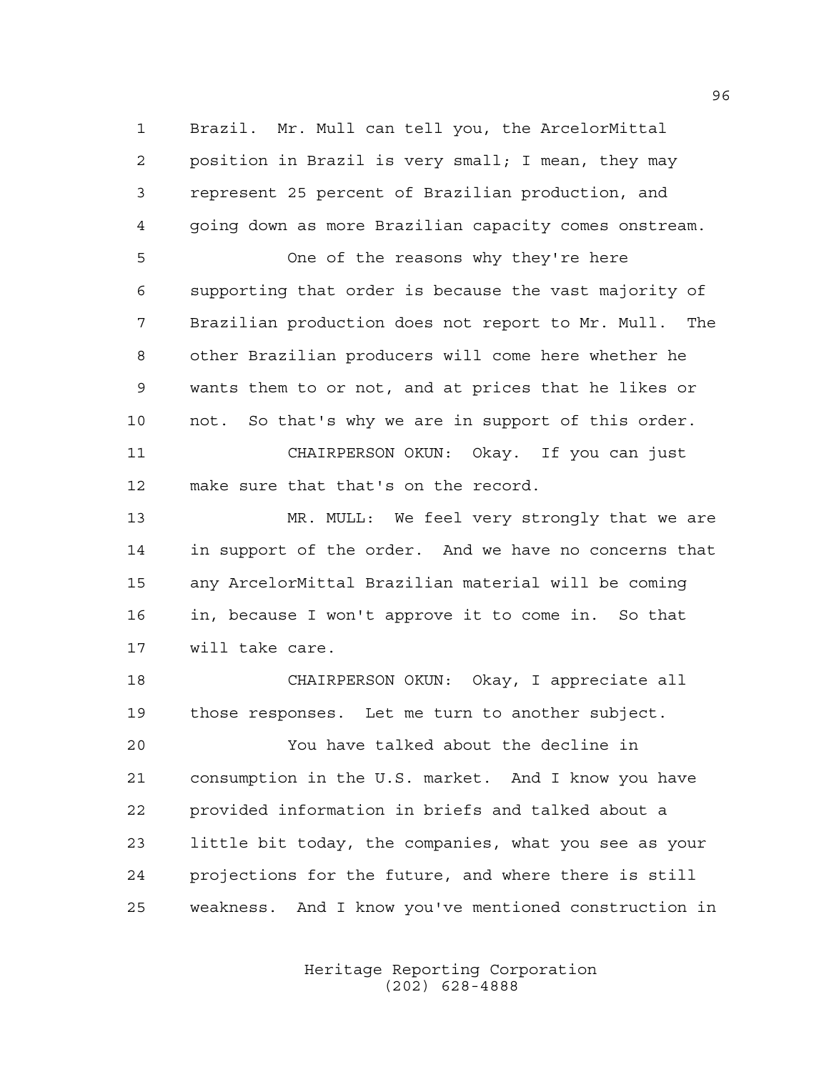Brazil. Mr. Mull can tell you, the ArcelorMittal position in Brazil is very small; I mean, they may represent 25 percent of Brazilian production, and going down as more Brazilian capacity comes onstream. One of the reasons why they're here supporting that order is because the vast majority of Brazilian production does not report to Mr. Mull. The other Brazilian producers will come here whether he

 wants them to or not, and at prices that he likes or not. So that's why we are in support of this order. CHAIRPERSON OKUN: Okay. If you can just make sure that that's on the record.

 MR. MULL: We feel very strongly that we are in support of the order. And we have no concerns that any ArcelorMittal Brazilian material will be coming in, because I won't approve it to come in. So that will take care.

 CHAIRPERSON OKUN: Okay, I appreciate all those responses. Let me turn to another subject.

 You have talked about the decline in consumption in the U.S. market. And I know you have provided information in briefs and talked about a little bit today, the companies, what you see as your projections for the future, and where there is still weakness. And I know you've mentioned construction in

> Heritage Reporting Corporation (202) 628-4888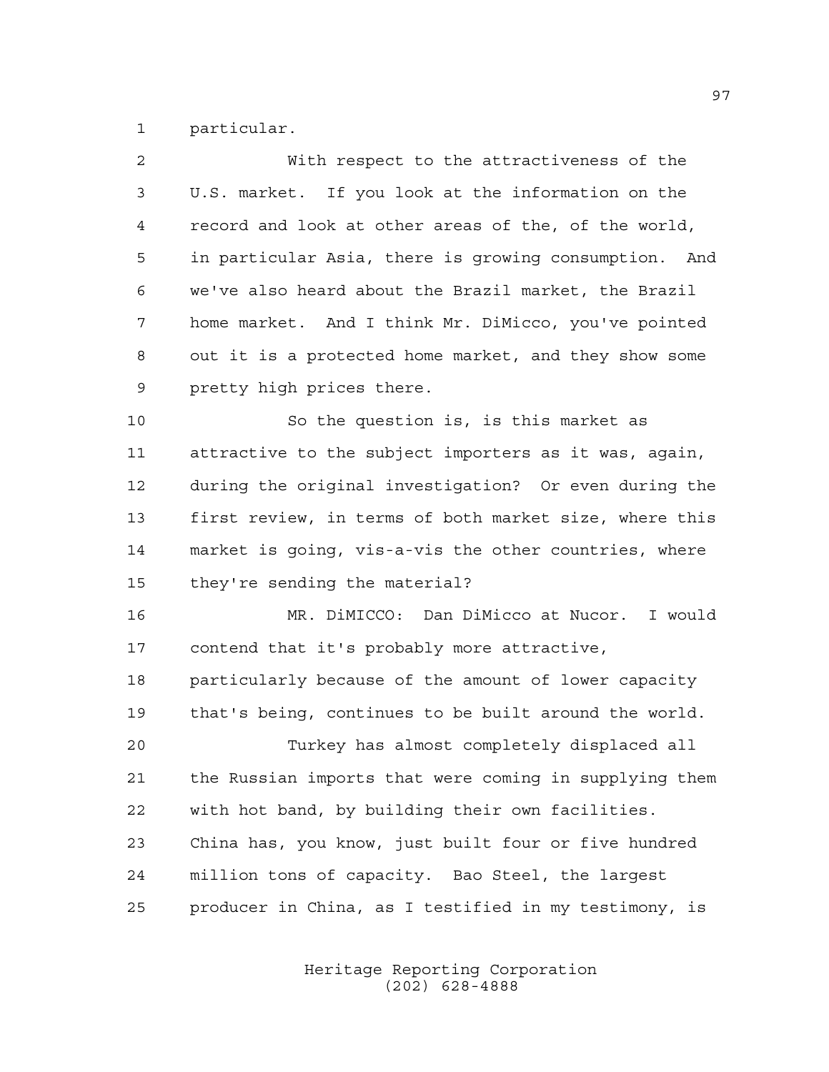particular.

| $\overline{a}$ | With respect to the attractiveness of the              |
|----------------|--------------------------------------------------------|
| 3              | U.S. market. If you look at the information on the     |
| 4              | record and look at other areas of the, of the world,   |
| 5              | in particular Asia, there is growing consumption. And  |
| 6              | we've also heard about the Brazil market, the Brazil   |
| 7              | home market. And I think Mr. DiMicco, you've pointed   |
| 8              | out it is a protected home market, and they show some  |
| 9              | pretty high prices there.                              |
| 10             | So the question is, is this market as                  |
| 11             | attractive to the subject importers as it was, again,  |
| 12             | during the original investigation? Or even during the  |
| 13             | first review, in terms of both market size, where this |
| 14             | market is going, vis-a-vis the other countries, where  |
| 15             | they're sending the material?                          |
| 16             | MR. DiMICCO: Dan DiMicco at Nucor. I would             |
| 17             | contend that it's probably more attractive,            |
| 18             | particularly because of the amount of lower capacity   |
| 19             | that's being, continues to be built around the world.  |
| 20             | Turkey has almost completely displaced all             |
| 21             | the Russian imports that were coming in supplying them |
| 22             | with hot band, by building their own facilities.       |
| 23             | China has, you know, just built four or five hundred   |
| 24             | million tons of capacity. Bao Steel, the largest       |
| 25             | producer in China, as I testified in my testimony, is  |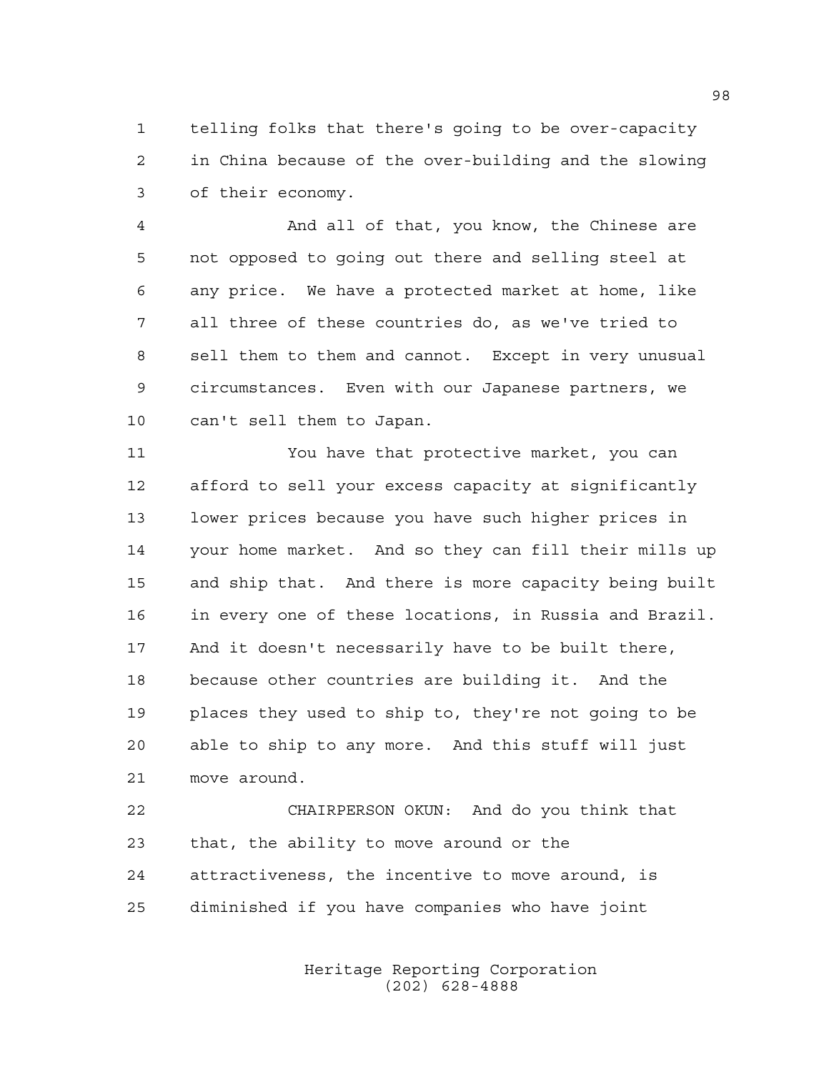telling folks that there's going to be over-capacity in China because of the over-building and the slowing of their economy.

 And all of that, you know, the Chinese are not opposed to going out there and selling steel at any price. We have a protected market at home, like all three of these countries do, as we've tried to sell them to them and cannot. Except in very unusual circumstances. Even with our Japanese partners, we can't sell them to Japan.

 You have that protective market, you can afford to sell your excess capacity at significantly lower prices because you have such higher prices in your home market. And so they can fill their mills up and ship that. And there is more capacity being built in every one of these locations, in Russia and Brazil. And it doesn't necessarily have to be built there, because other countries are building it. And the places they used to ship to, they're not going to be able to ship to any more. And this stuff will just move around.

 CHAIRPERSON OKUN: And do you think that that, the ability to move around or the attractiveness, the incentive to move around, is diminished if you have companies who have joint

> Heritage Reporting Corporation (202) 628-4888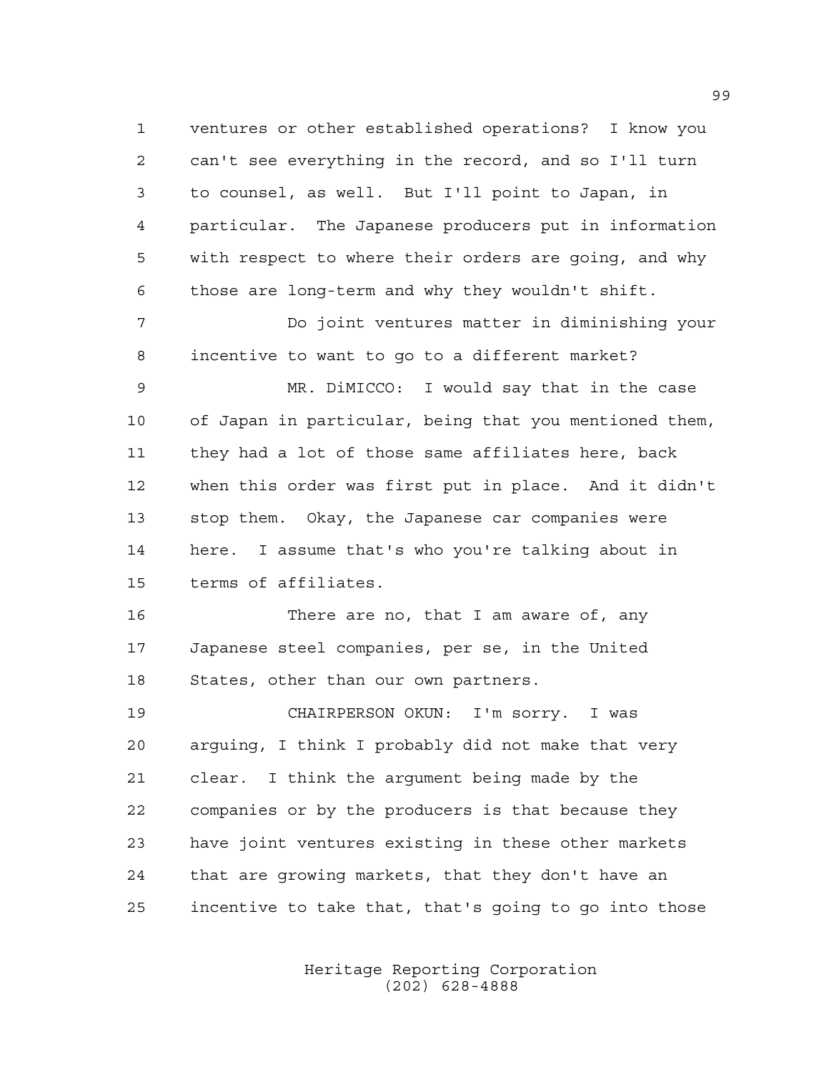ventures or other established operations? I know you can't see everything in the record, and so I'll turn to counsel, as well. But I'll point to Japan, in particular. The Japanese producers put in information with respect to where their orders are going, and why those are long-term and why they wouldn't shift.

 Do joint ventures matter in diminishing your incentive to want to go to a different market?

 MR. DiMICCO: I would say that in the case of Japan in particular, being that you mentioned them, they had a lot of those same affiliates here, back when this order was first put in place. And it didn't stop them. Okay, the Japanese car companies were here. I assume that's who you're talking about in terms of affiliates.

16 There are no, that I am aware of, any Japanese steel companies, per se, in the United States, other than our own partners.

 CHAIRPERSON OKUN: I'm sorry. I was arguing, I think I probably did not make that very clear. I think the argument being made by the companies or by the producers is that because they have joint ventures existing in these other markets that are growing markets, that they don't have an incentive to take that, that's going to go into those

> Heritage Reporting Corporation (202) 628-4888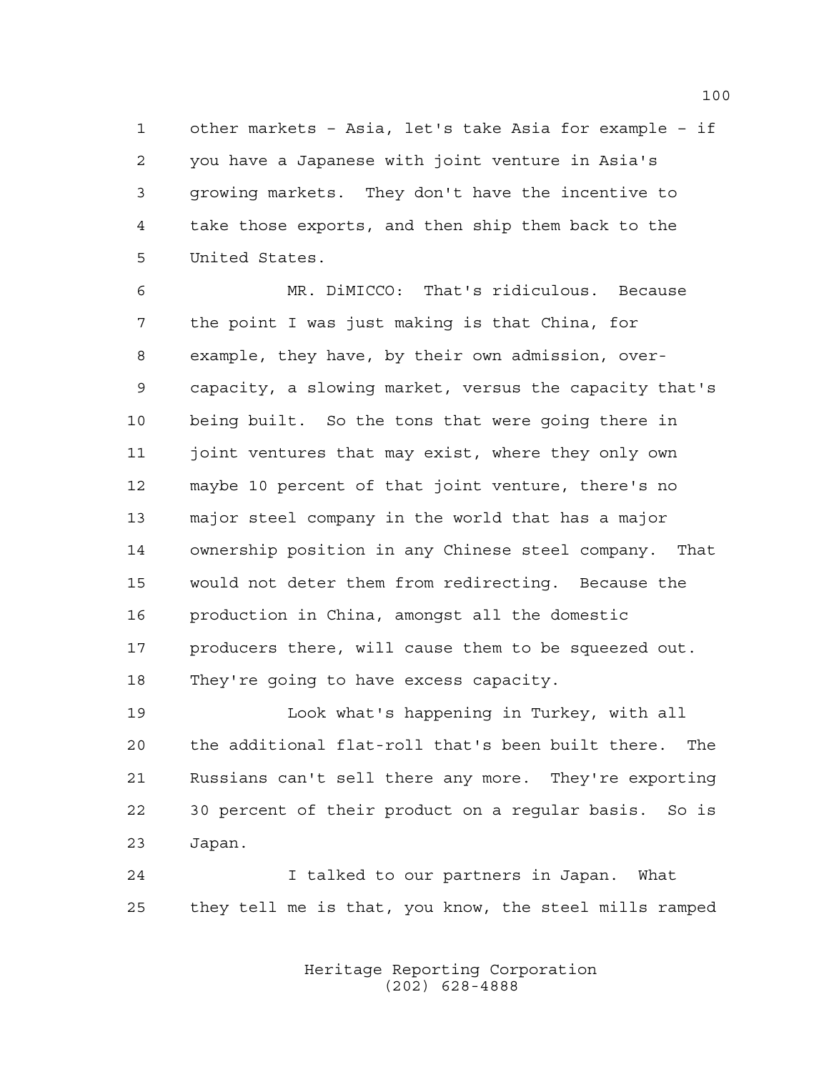other markets – Asia, let's take Asia for example – if you have a Japanese with joint venture in Asia's growing markets. They don't have the incentive to take those exports, and then ship them back to the United States.

 MR. DiMICCO: That's ridiculous. Because the point I was just making is that China, for example, they have, by their own admission, over- capacity, a slowing market, versus the capacity that's being built. So the tons that were going there in joint ventures that may exist, where they only own maybe 10 percent of that joint venture, there's no major steel company in the world that has a major ownership position in any Chinese steel company. That would not deter them from redirecting. Because the production in China, amongst all the domestic producers there, will cause them to be squeezed out. They're going to have excess capacity.

 Look what's happening in Turkey, with all the additional flat-roll that's been built there. The Russians can't sell there any more. They're exporting 30 percent of their product on a regular basis. So is Japan.

 I talked to our partners in Japan. What they tell me is that, you know, the steel mills ramped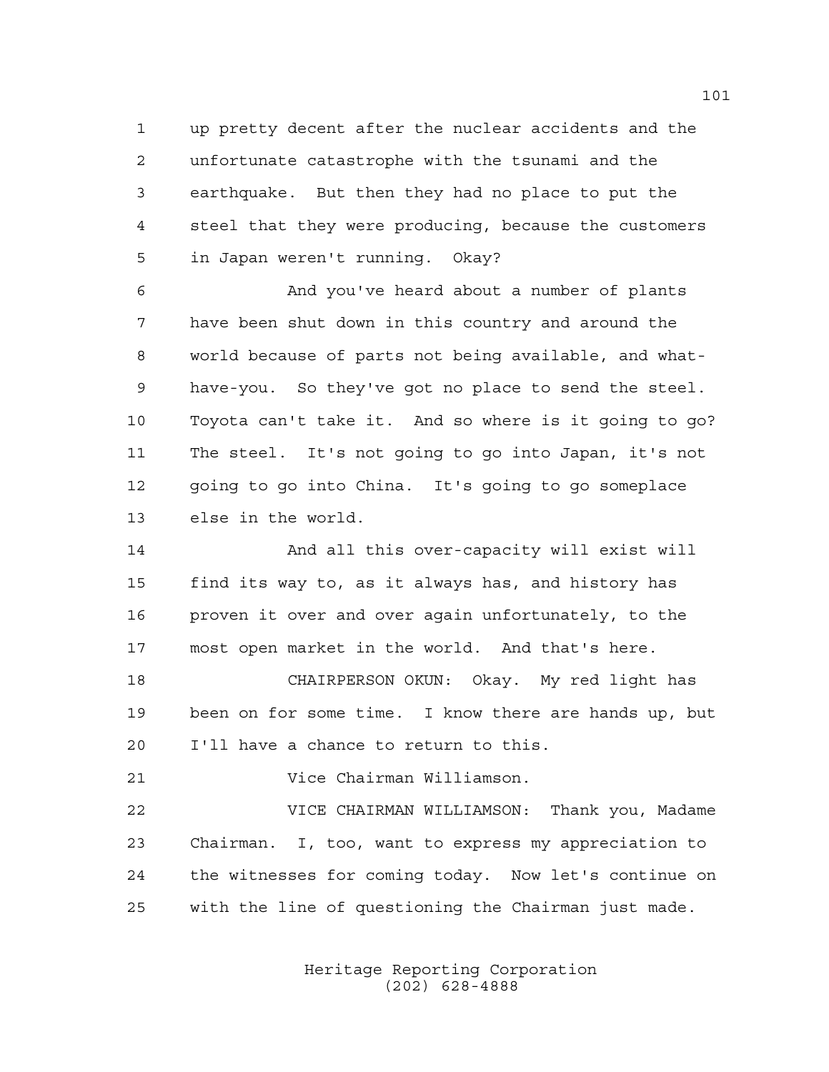up pretty decent after the nuclear accidents and the unfortunate catastrophe with the tsunami and the earthquake. But then they had no place to put the steel that they were producing, because the customers in Japan weren't running. Okay?

 And you've heard about a number of plants have been shut down in this country and around the world because of parts not being available, and what- have-you. So they've got no place to send the steel. Toyota can't take it. And so where is it going to go? The steel. It's not going to go into Japan, it's not going to go into China. It's going to go someplace else in the world.

 And all this over-capacity will exist will find its way to, as it always has, and history has proven it over and over again unfortunately, to the most open market in the world. And that's here.

 CHAIRPERSON OKUN: Okay. My red light has been on for some time. I know there are hands up, but I'll have a chance to return to this.

Vice Chairman Williamson.

 VICE CHAIRMAN WILLIAMSON: Thank you, Madame Chairman. I, too, want to express my appreciation to the witnesses for coming today. Now let's continue on with the line of questioning the Chairman just made.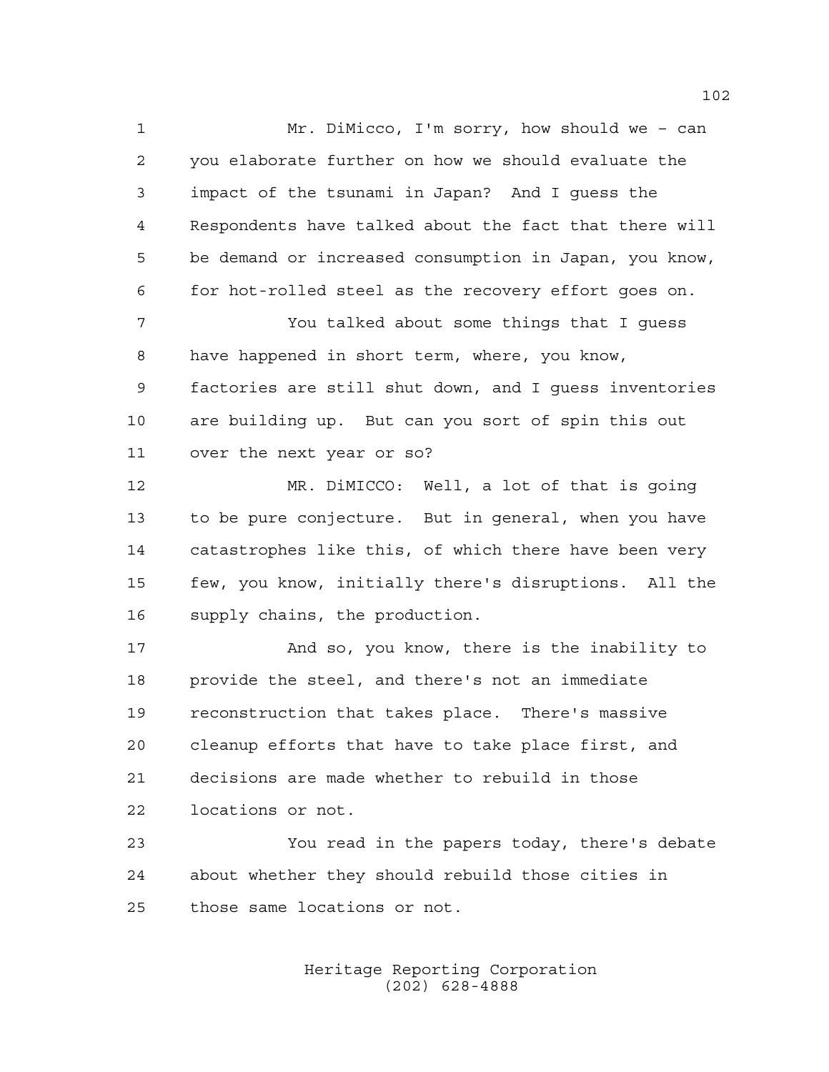Mr. DiMicco, I'm sorry, how should we – can you elaborate further on how we should evaluate the impact of the tsunami in Japan? And I guess the Respondents have talked about the fact that there will be demand or increased consumption in Japan, you know, for hot-rolled steel as the recovery effort goes on. You talked about some things that I guess have happened in short term, where, you know, factories are still shut down, and I guess inventories are building up. But can you sort of spin this out

over the next year or so?

 MR. DiMICCO: Well, a lot of that is going to be pure conjecture. But in general, when you have catastrophes like this, of which there have been very few, you know, initially there's disruptions. All the supply chains, the production.

 And so, you know, there is the inability to provide the steel, and there's not an immediate reconstruction that takes place. There's massive cleanup efforts that have to take place first, and decisions are made whether to rebuild in those locations or not.

 You read in the papers today, there's debate about whether they should rebuild those cities in those same locations or not.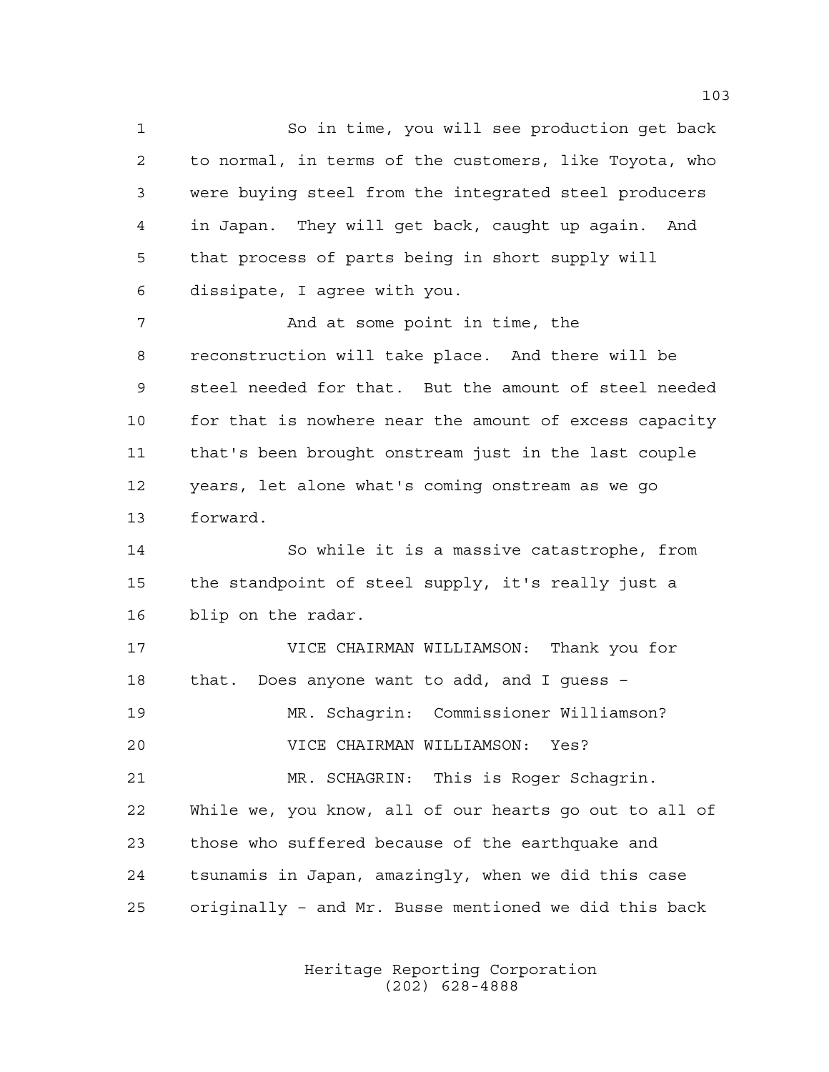So in time, you will see production get back to normal, in terms of the customers, like Toyota, who were buying steel from the integrated steel producers in Japan. They will get back, caught up again. And that process of parts being in short supply will dissipate, I agree with you. And at some point in time, the reconstruction will take place. And there will be steel needed for that. But the amount of steel needed 10 for that is nowhere near the amount of excess capacity

 that's been brought onstream just in the last couple years, let alone what's coming onstream as we go forward.

 So while it is a massive catastrophe, from the standpoint of steel supply, it's really just a blip on the radar.

 VICE CHAIRMAN WILLIAMSON: Thank you for that. Does anyone want to add, and I guess – MR. Schagrin: Commissioner Williamson? VICE CHAIRMAN WILLIAMSON: Yes? MR. SCHAGRIN: This is Roger Schagrin. While we, you know, all of our hearts go out to all of those who suffered because of the earthquake and tsunamis in Japan, amazingly, when we did this case originally – and Mr. Busse mentioned we did this back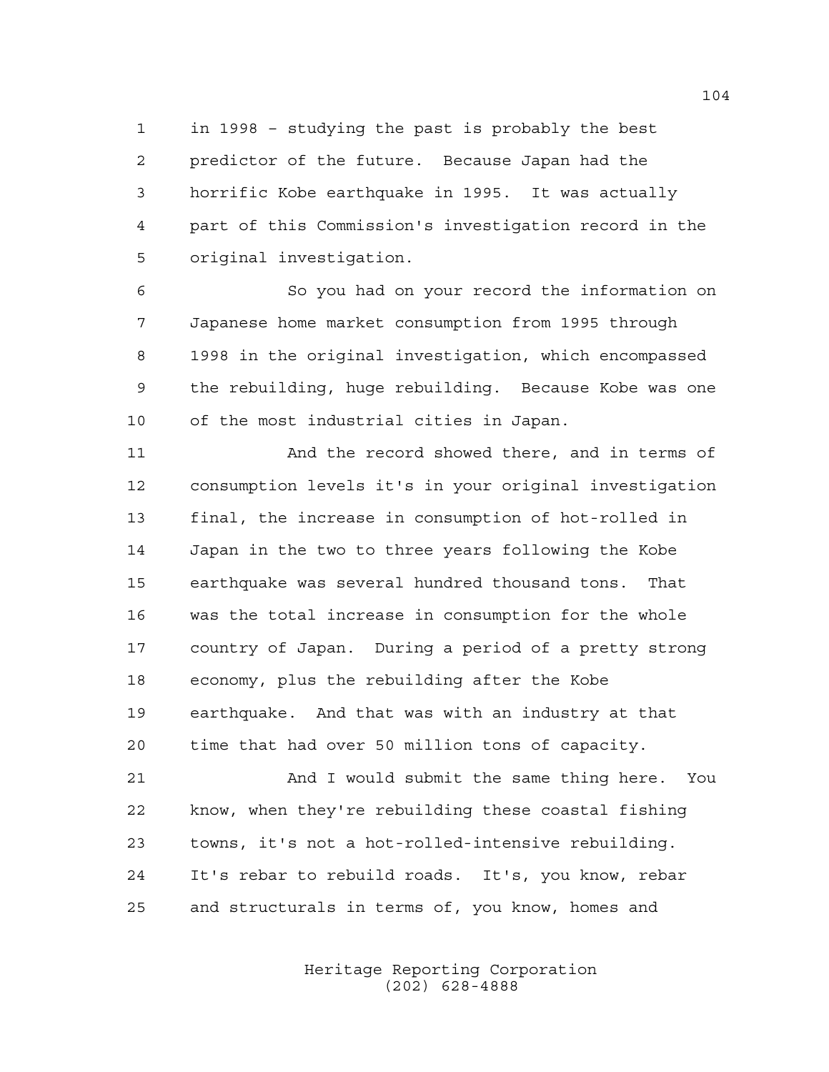in 1998 – studying the past is probably the best predictor of the future. Because Japan had the horrific Kobe earthquake in 1995. It was actually part of this Commission's investigation record in the original investigation.

 So you had on your record the information on Japanese home market consumption from 1995 through 1998 in the original investigation, which encompassed the rebuilding, huge rebuilding. Because Kobe was one of the most industrial cities in Japan.

 And the record showed there, and in terms of consumption levels it's in your original investigation final, the increase in consumption of hot-rolled in Japan in the two to three years following the Kobe earthquake was several hundred thousand tons. That was the total increase in consumption for the whole country of Japan. During a period of a pretty strong economy, plus the rebuilding after the Kobe earthquake. And that was with an industry at that time that had over 50 million tons of capacity.

 And I would submit the same thing here. You know, when they're rebuilding these coastal fishing towns, it's not a hot-rolled-intensive rebuilding. It's rebar to rebuild roads. It's, you know, rebar and structurals in terms of, you know, homes and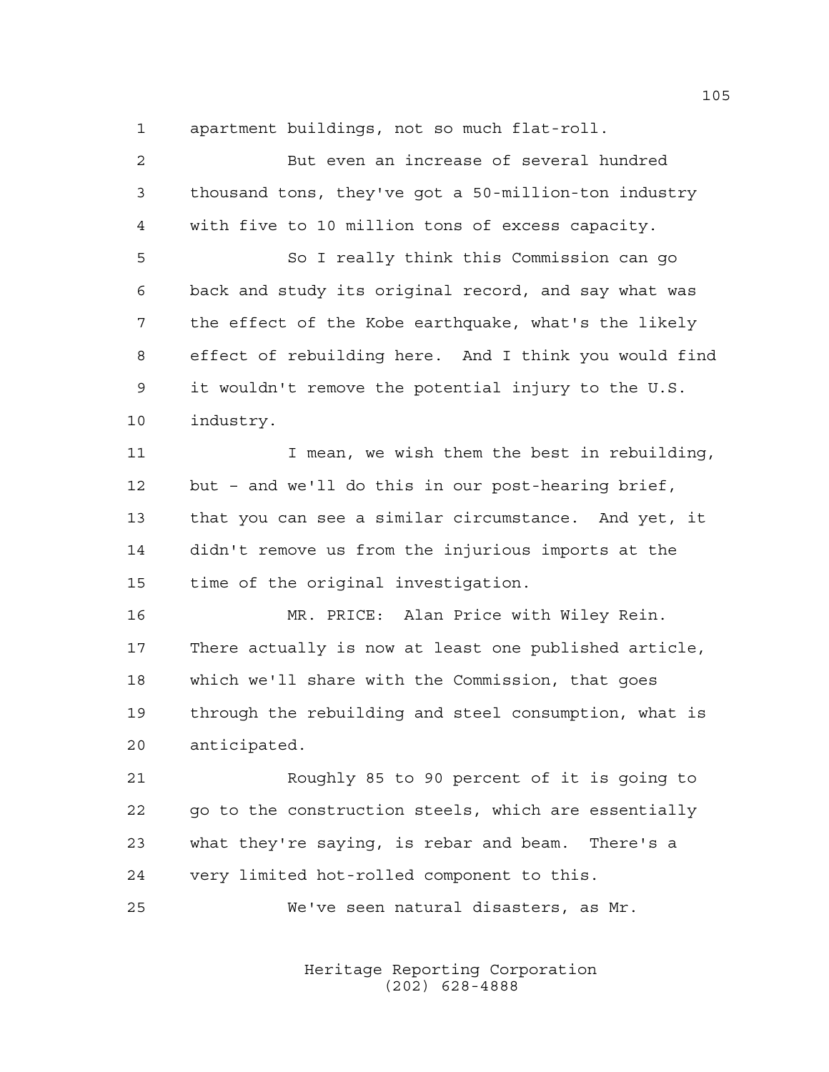apartment buildings, not so much flat-roll.

| $\overline{c}$ | But even an increase of several hundred               |
|----------------|-------------------------------------------------------|
| 3              | thousand tons, they've got a 50-million-ton industry  |
| 4              | with five to 10 million tons of excess capacity.      |
| 5              | So I really think this Commission can go              |
| 6              | back and study its original record, and say what was  |
| 7              | the effect of the Kobe earthquake, what's the likely  |
| 8              | effect of rebuilding here. And I think you would find |
| 9              | it wouldn't remove the potential injury to the U.S.   |
| 10             | industry.                                             |
| 11             | I mean, we wish them the best in rebuilding,          |
| 12             | but - and we'll do this in our post-hearing brief,    |
| 13             | that you can see a similar circumstance. And yet, it  |
| 14             | didn't remove us from the injurious imports at the    |
| 15             | time of the original investigation.                   |
| 16             | MR. PRICE: Alan Price with Wiley Rein.                |
| 17             | There actually is now at least one published article, |
| 18             | which we'll share with the Commission, that goes      |
| 19             | through the rebuilding and steel consumption, what is |
| 20             | anticipated.                                          |
| 21             | Roughly 85 to 90 percent of it is going to            |
| 22             | go to the construction steels, which are essentially  |
| 23             | what they're saying, is rebar and beam. There's a     |
| 24             | very limited hot-rolled component to this.            |
| 25             | We've seen natural disasters, as Mr.                  |
|                |                                                       |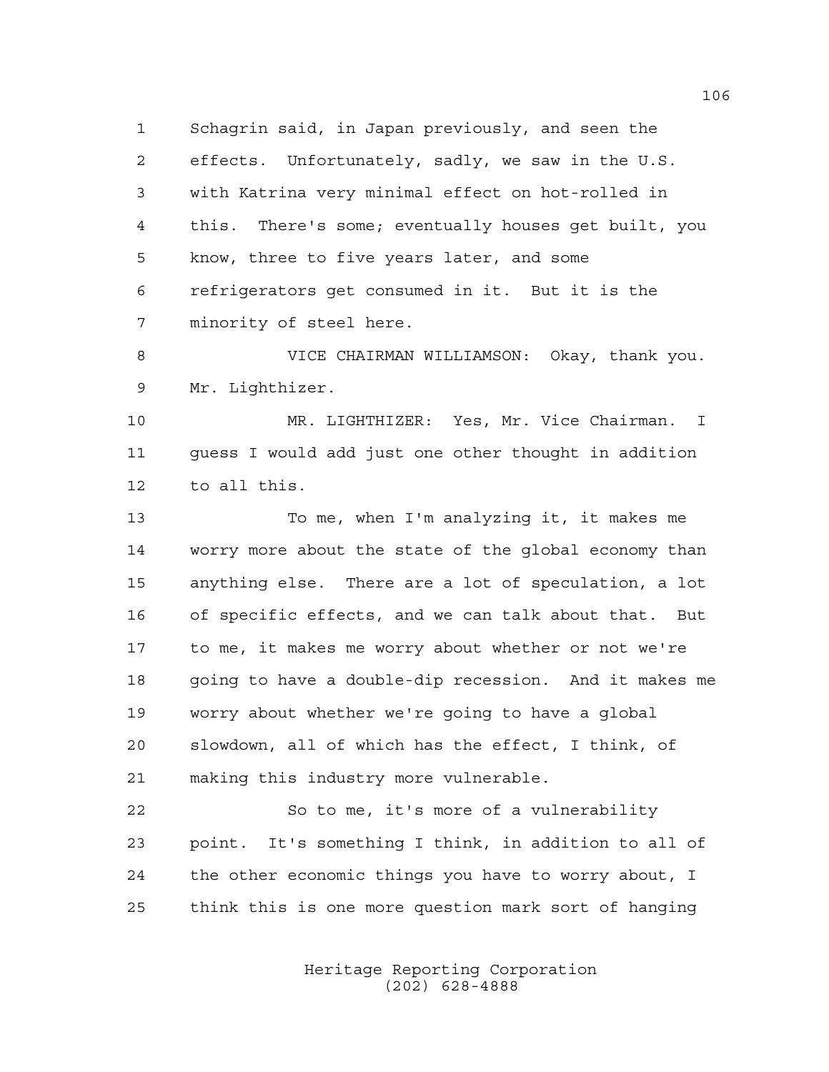Schagrin said, in Japan previously, and seen the effects. Unfortunately, sadly, we saw in the U.S. with Katrina very minimal effect on hot-rolled in this. There's some; eventually houses get built, you know, three to five years later, and some refrigerators get consumed in it. But it is the minority of steel here.

 VICE CHAIRMAN WILLIAMSON: Okay, thank you. Mr. Lighthizer.

 MR. LIGHTHIZER: Yes, Mr. Vice Chairman. I guess I would add just one other thought in addition to all this.

 To me, when I'm analyzing it, it makes me worry more about the state of the global economy than anything else. There are a lot of speculation, a lot of specific effects, and we can talk about that. But to me, it makes me worry about whether or not we're going to have a double-dip recession. And it makes me worry about whether we're going to have a global slowdown, all of which has the effect, I think, of making this industry more vulnerable.

 So to me, it's more of a vulnerability point. It's something I think, in addition to all of the other economic things you have to worry about, I think this is one more question mark sort of hanging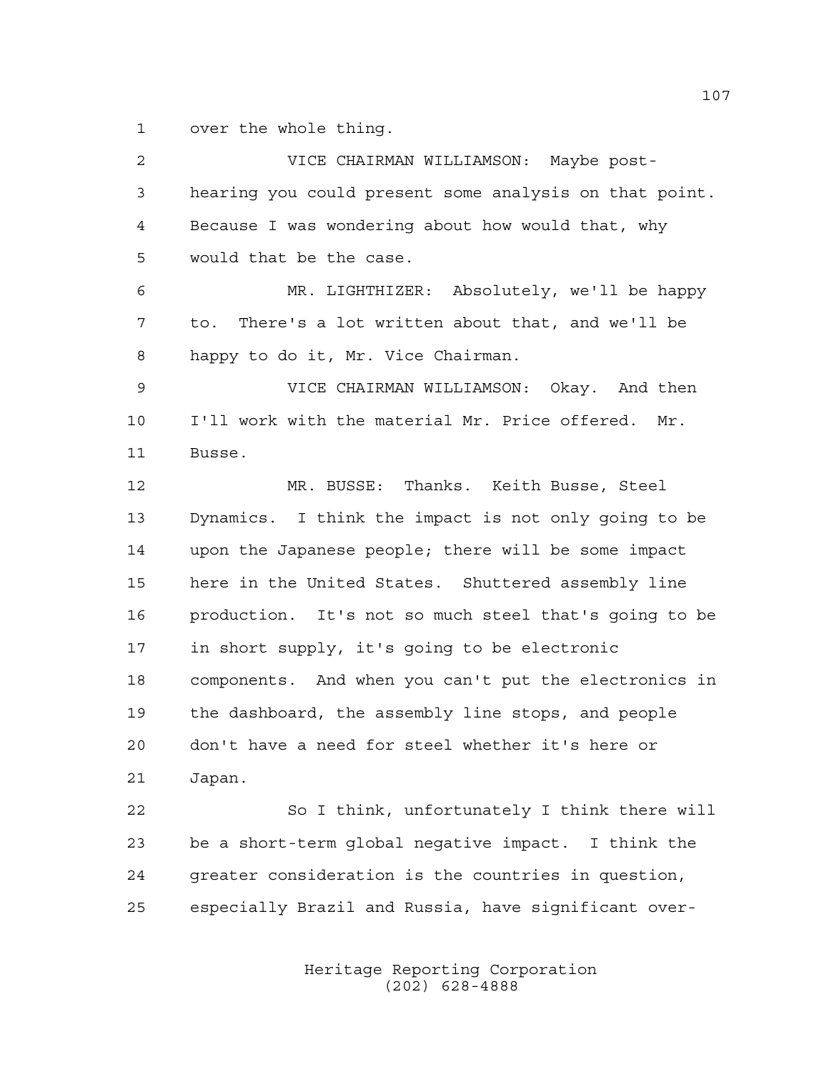over the whole thing.

| $\overline{a}$ | VICE CHAIRMAN WILLIAMSON: Maybe post-                  |
|----------------|--------------------------------------------------------|
| 3              | hearing you could present some analysis on that point. |
| 4              | Because I was wondering about how would that, why      |
| 5              | would that be the case.                                |
| 6              | MR. LIGHTHIZER: Absolutely, we'll be happy             |
| 7              | to. There's a lot written about that, and we'll be     |
| 8              | happy to do it, Mr. Vice Chairman.                     |
| 9              | VICE CHAIRMAN WILLIAMSON: Okay. And then               |
| 10             | I'll work with the material Mr. Price offered.<br>Mr.  |
| 11             | Busse.                                                 |
| 12             | MR. BUSSE: Thanks. Keith Busse, Steel                  |
| 13             | Dynamics. I think the impact is not only going to be   |
| 14             | upon the Japanese people; there will be some impact    |
| 15             | here in the United States. Shuttered assembly line     |
| 16             | production. It's not so much steel that's going to be  |
| 17             | in short supply, it's going to be electronic           |
| 18             | components. And when you can't put the electronics in  |
| 19             | the dashboard, the assembly line stops, and people     |
| 20             | don't have a need for steel whether it's here or       |
| 21             | Japan.                                                 |
| 22             | So I think, unfortunately I think there will           |
| 23             | be a short-term global negative impact. I think the    |
| 24             | greater consideration is the countries in question,    |
| 25             | especially Brazil and Russia, have significant over-   |
|                |                                                        |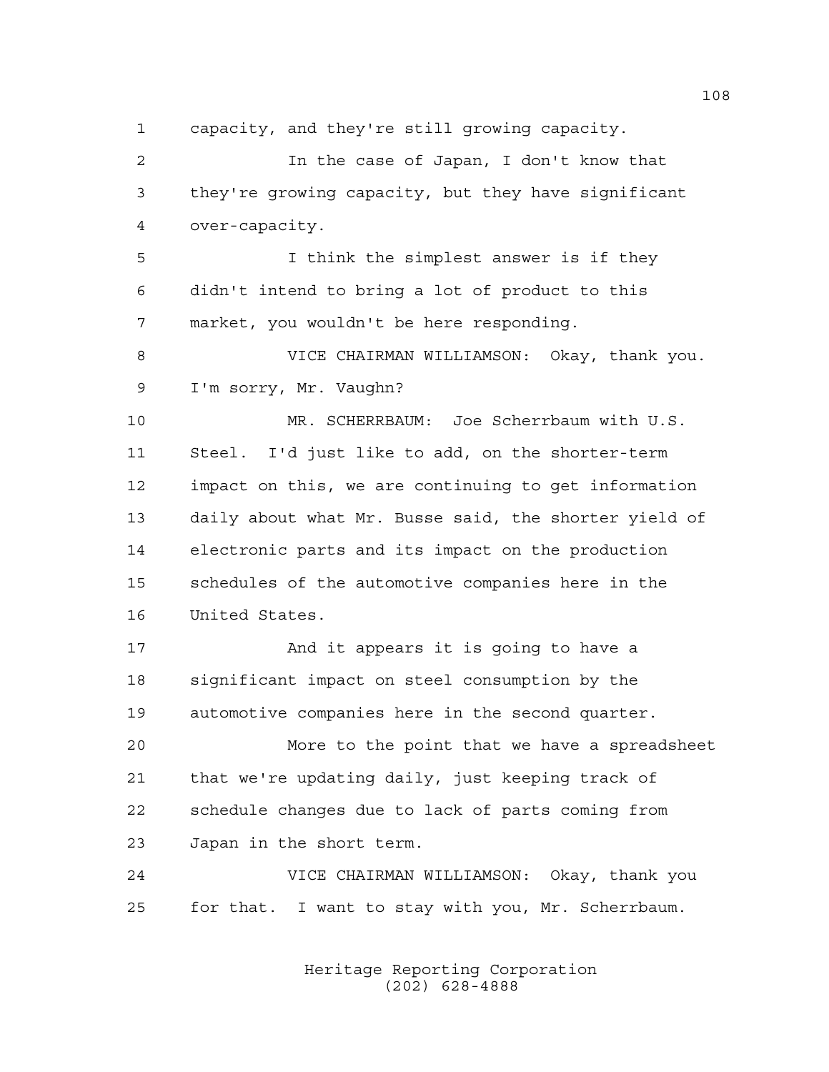capacity, and they're still growing capacity. In the case of Japan, I don't know that they're growing capacity, but they have significant over-capacity. I think the simplest answer is if they didn't intend to bring a lot of product to this market, you wouldn't be here responding. VICE CHAIRMAN WILLIAMSON: Okay, thank you. I'm sorry, Mr. Vaughn? MR. SCHERRBAUM: Joe Scherrbaum with U.S. Steel. I'd just like to add, on the shorter-term impact on this, we are continuing to get information daily about what Mr. Busse said, the shorter yield of electronic parts and its impact on the production schedules of the automotive companies here in the United States. 17 And it appears it is going to have a significant impact on steel consumption by the automotive companies here in the second quarter. More to the point that we have a spreadsheet that we're updating daily, just keeping track of schedule changes due to lack of parts coming from Japan in the short term. VICE CHAIRMAN WILLIAMSON: Okay, thank you for that. I want to stay with you, Mr. Scherrbaum.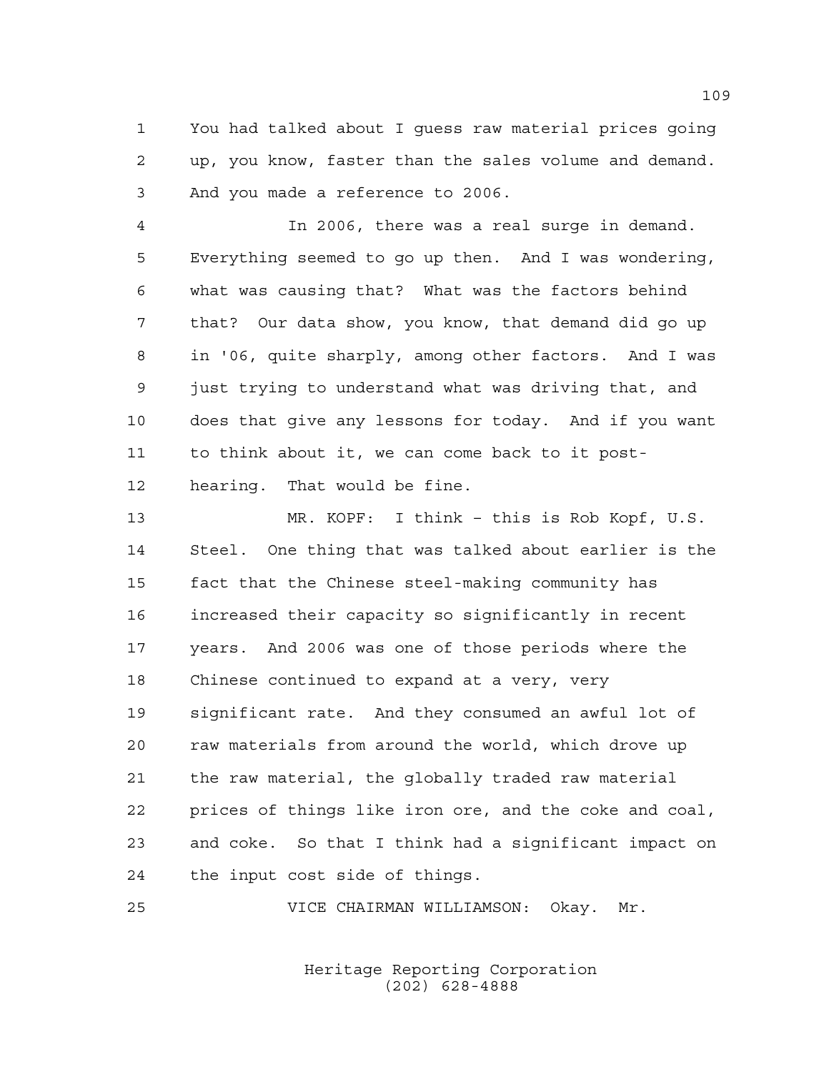You had talked about I guess raw material prices going up, you know, faster than the sales volume and demand. And you made a reference to 2006.

 In 2006, there was a real surge in demand. Everything seemed to go up then. And I was wondering, what was causing that? What was the factors behind that? Our data show, you know, that demand did go up in '06, quite sharply, among other factors. And I was just trying to understand what was driving that, and does that give any lessons for today. And if you want to think about it, we can come back to it post-hearing. That would be fine.

 MR. KOPF: I think – this is Rob Kopf, U.S. Steel. One thing that was talked about earlier is the fact that the Chinese steel-making community has increased their capacity so significantly in recent years. And 2006 was one of those periods where the Chinese continued to expand at a very, very significant rate. And they consumed an awful lot of raw materials from around the world, which drove up the raw material, the globally traded raw material prices of things like iron ore, and the coke and coal, and coke. So that I think had a significant impact on the input cost side of things.

VICE CHAIRMAN WILLIAMSON: Okay. Mr.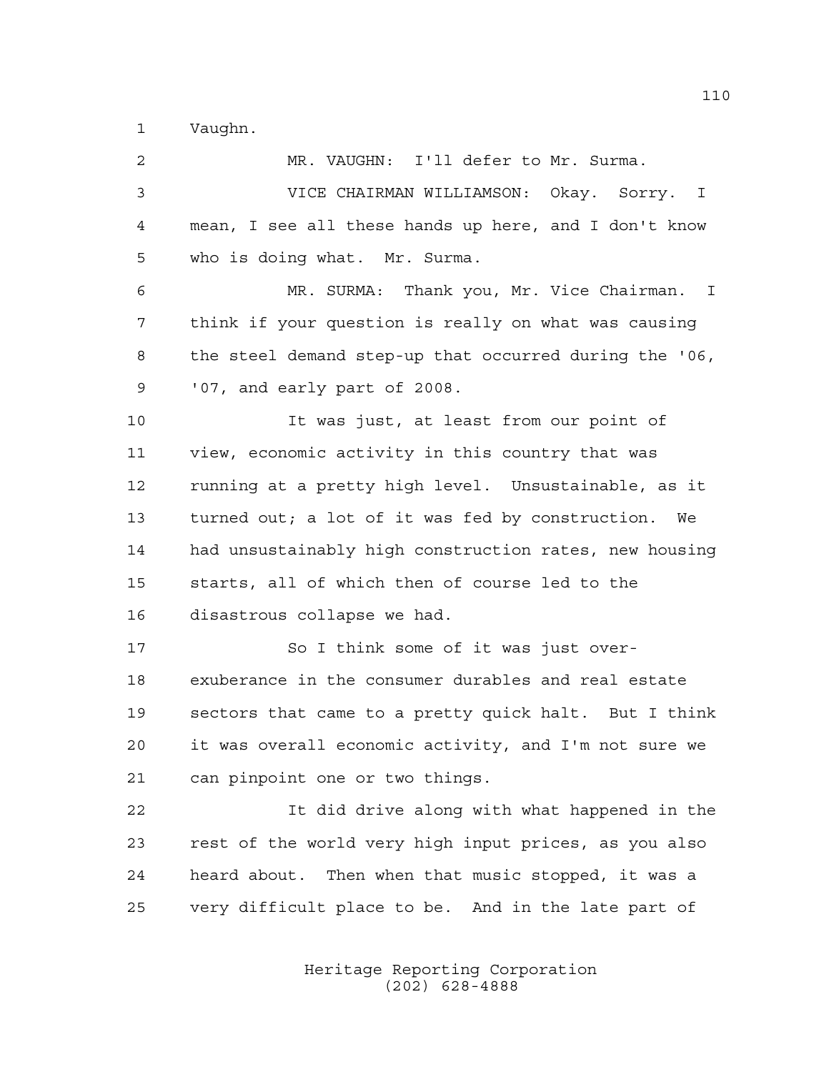Vaughn.

 MR. VAUGHN: I'll defer to Mr. Surma. VICE CHAIRMAN WILLIAMSON: Okay. Sorry. I mean, I see all these hands up here, and I don't know who is doing what. Mr. Surma. MR. SURMA: Thank you, Mr. Vice Chairman. I think if your question is really on what was causing the steel demand step-up that occurred during the '06, '07, and early part of 2008. It was just, at least from our point of view, economic activity in this country that was running at a pretty high level. Unsustainable, as it turned out; a lot of it was fed by construction. We had unsustainably high construction rates, new housing starts, all of which then of course led to the disastrous collapse we had. 17 So I think some of it was just over- exuberance in the consumer durables and real estate sectors that came to a pretty quick halt. But I think it was overall economic activity, and I'm not sure we can pinpoint one or two things. It did drive along with what happened in the rest of the world very high input prices, as you also heard about. Then when that music stopped, it was a very difficult place to be. And in the late part of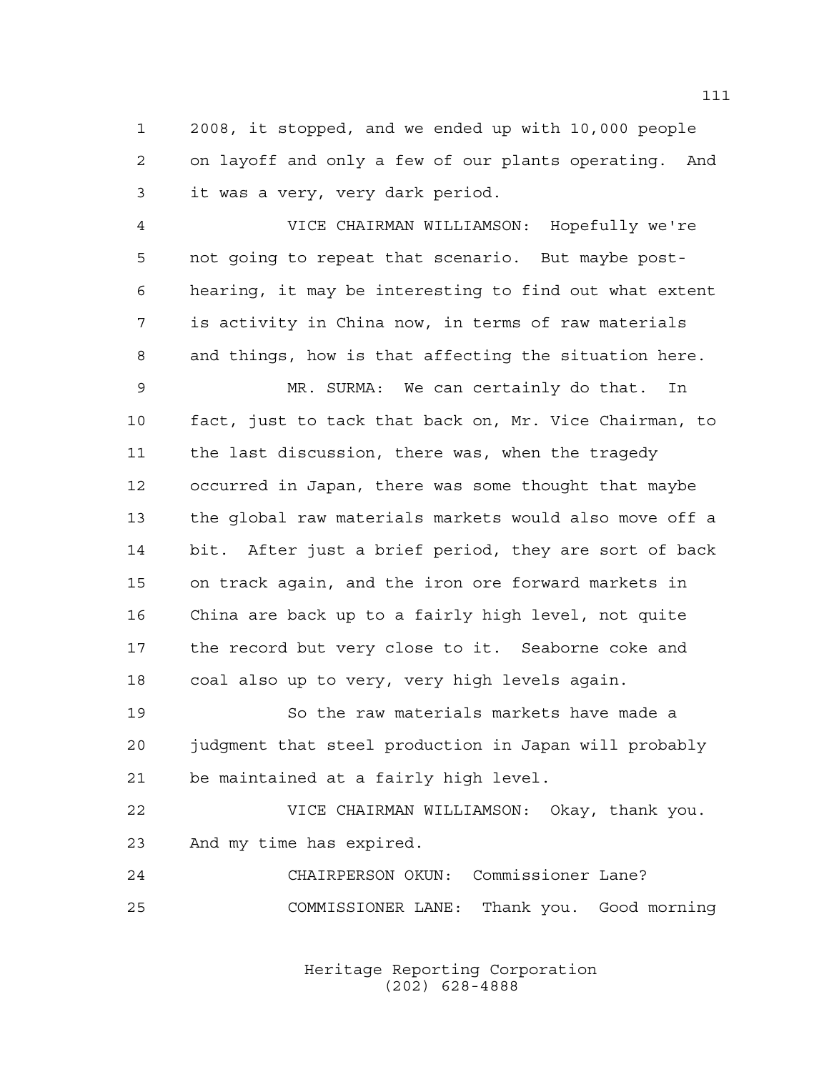2008, it stopped, and we ended up with 10,000 people on layoff and only a few of our plants operating. And it was a very, very dark period.

 VICE CHAIRMAN WILLIAMSON: Hopefully we're not going to repeat that scenario. But maybe post- hearing, it may be interesting to find out what extent is activity in China now, in terms of raw materials and things, how is that affecting the situation here.

 MR. SURMA: We can certainly do that. In fact, just to tack that back on, Mr. Vice Chairman, to the last discussion, there was, when the tragedy occurred in Japan, there was some thought that maybe the global raw materials markets would also move off a bit. After just a brief period, they are sort of back on track again, and the iron ore forward markets in China are back up to a fairly high level, not quite the record but very close to it. Seaborne coke and coal also up to very, very high levels again.

 So the raw materials markets have made a judgment that steel production in Japan will probably be maintained at a fairly high level.

 VICE CHAIRMAN WILLIAMSON: Okay, thank you. And my time has expired.

 CHAIRPERSON OKUN: Commissioner Lane? COMMISSIONER LANE: Thank you. Good morning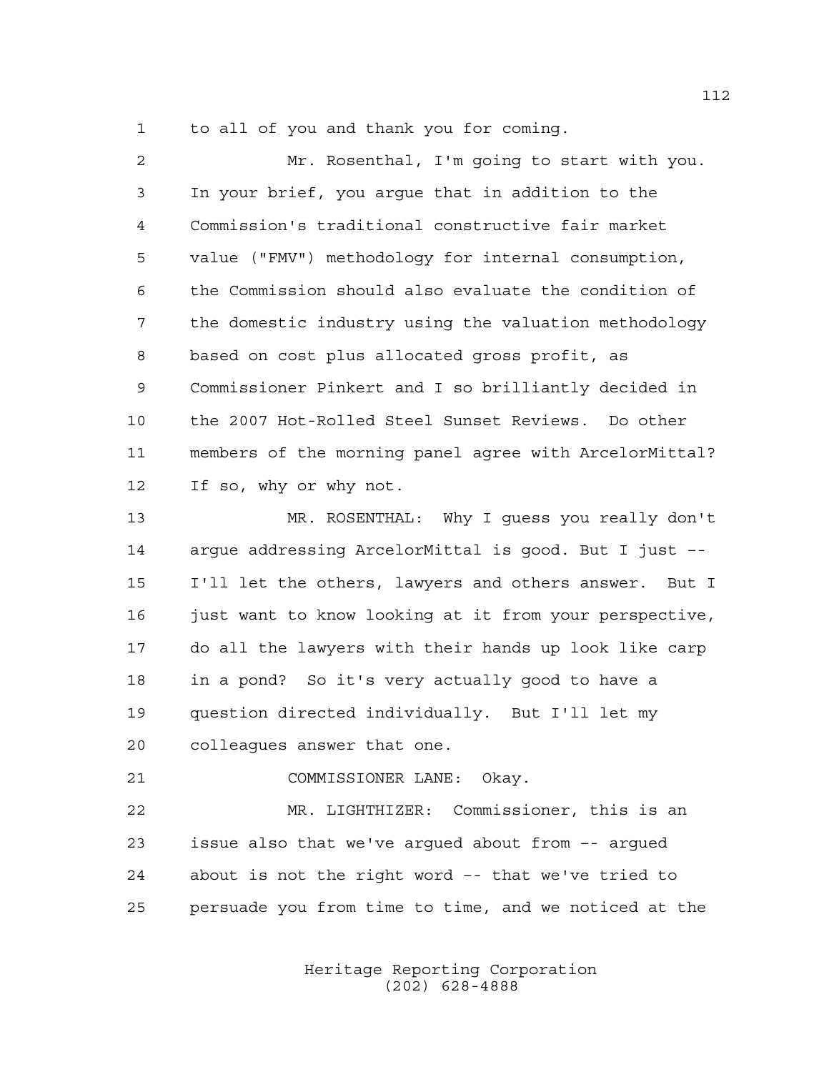to all of you and thank you for coming.

| 2  | Mr. Rosenthal, I'm going to start with you.            |
|----|--------------------------------------------------------|
| 3  | In your brief, you argue that in addition to the       |
| 4  | Commission's traditional constructive fair market      |
| 5  | value ("FMV") methodology for internal consumption,    |
| 6  | the Commission should also evaluate the condition of   |
| 7  | the domestic industry using the valuation methodology  |
| 8  | based on cost plus allocated gross profit, as          |
| 9  | Commissioner Pinkert and I so brilliantly decided in   |
| 10 | the 2007 Hot-Rolled Steel Sunset Reviews. Do other     |
| 11 | members of the morning panel agree with ArcelorMittal? |
| 12 | If so, why or why not.                                 |
| 13 | MR. ROSENTHAL: Why I quess you really don't            |
| 14 | argue addressing ArcelorMittal is good. But I just --  |
| 15 | I'll let the others, lawyers and others answer. But I  |
| 16 | just want to know looking at it from your perspective, |
| 17 | do all the lawyers with their hands up look like carp  |
| 18 | in a pond? So it's very actually good to have a        |
| 19 | question directed individually. But I'll let my        |
| 20 | colleagues answer that one.                            |
| 21 | COMMISSIONER LANE: Okay.                               |
| 22 | MR. LIGHTHIZER: Commissioner, this is an               |
| 23 | issue also that we've argued about from -- argued      |
| 24 | about is not the right word -- that we've tried to     |
| 25 | persuade you from time to time, and we noticed at the  |
|    |                                                        |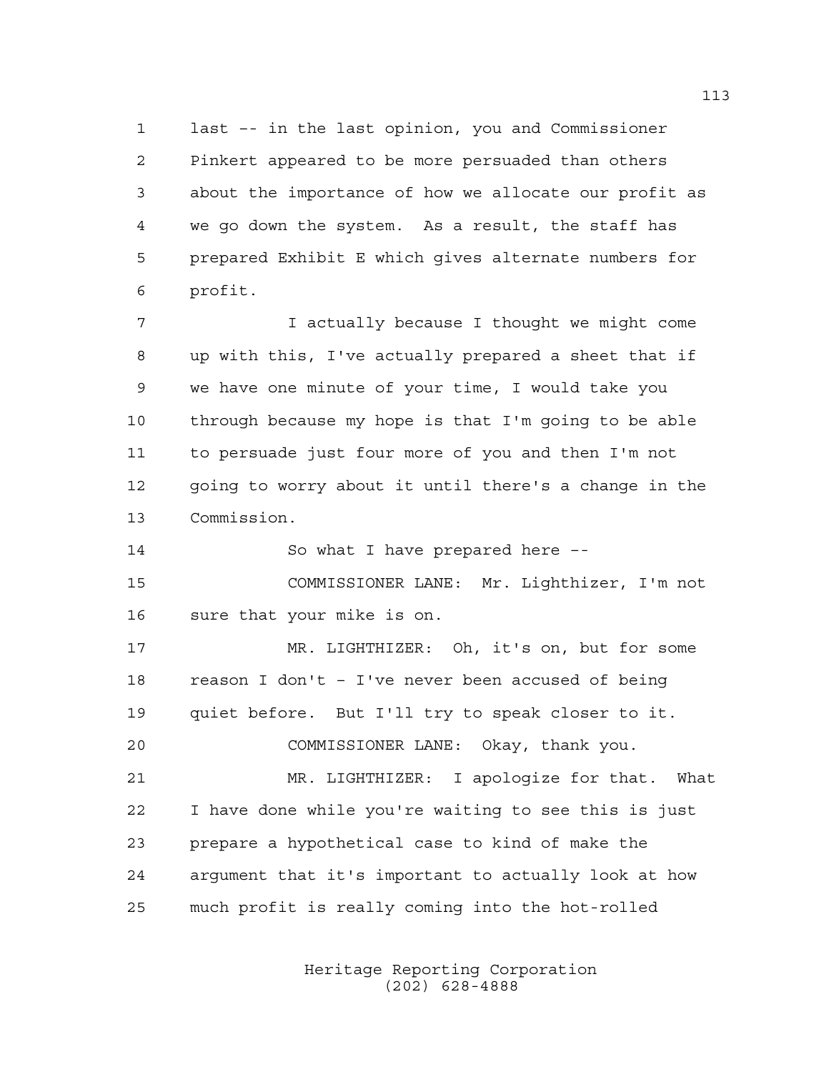last –- in the last opinion, you and Commissioner Pinkert appeared to be more persuaded than others about the importance of how we allocate our profit as we go down the system. As a result, the staff has prepared Exhibit E which gives alternate numbers for profit.

 I actually because I thought we might come up with this, I've actually prepared a sheet that if we have one minute of your time, I would take you through because my hope is that I'm going to be able to persuade just four more of you and then I'm not going to worry about it until there's a change in the Commission.

 So what I have prepared here –- COMMISSIONER LANE: Mr. Lighthizer, I'm not sure that your mike is on.

 MR. LIGHTHIZER: Oh, it's on, but for some reason I don't – I've never been accused of being quiet before. But I'll try to speak closer to it. COMMISSIONER LANE: Okay, thank you.

 MR. LIGHTHIZER: I apologize for that. What I have done while you're waiting to see this is just prepare a hypothetical case to kind of make the argument that it's important to actually look at how much profit is really coming into the hot-rolled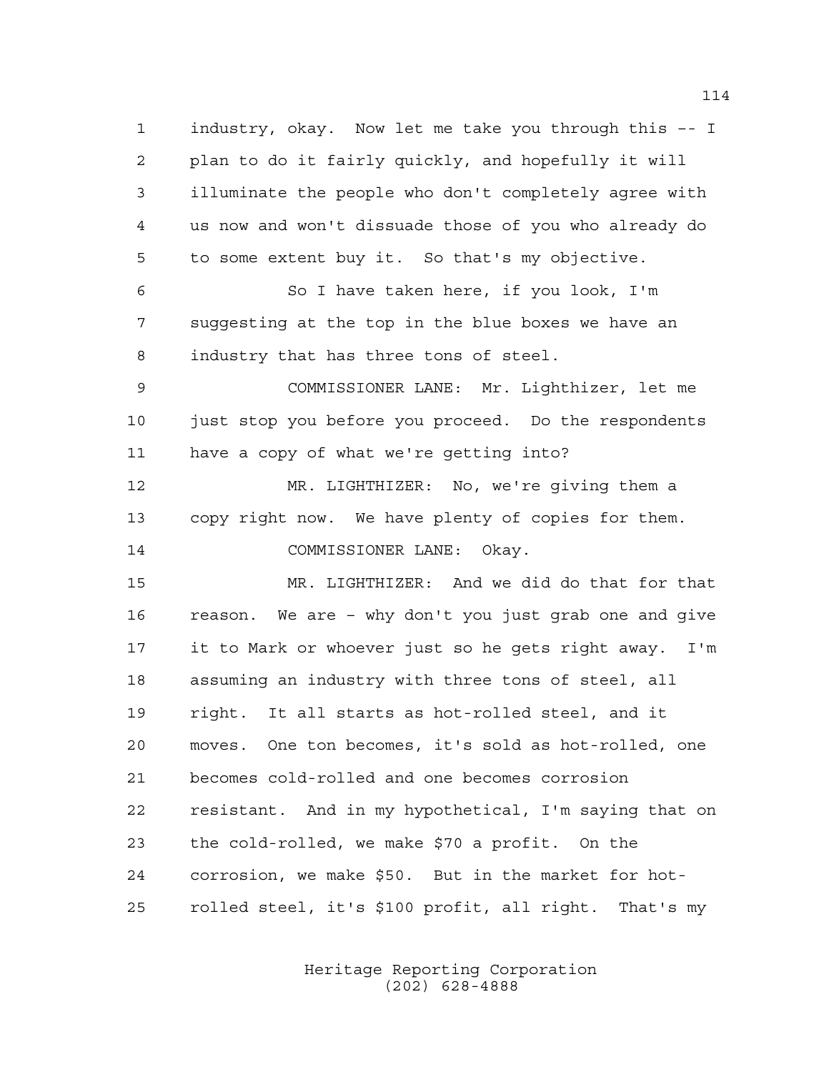industry, okay. Now let me take you through this –- I plan to do it fairly quickly, and hopefully it will illuminate the people who don't completely agree with us now and won't dissuade those of you who already do to some extent buy it. So that's my objective.

 So I have taken here, if you look, I'm suggesting at the top in the blue boxes we have an industry that has three tons of steel.

 COMMISSIONER LANE: Mr. Lighthizer, let me 10 just stop you before you proceed. Do the respondents have a copy of what we're getting into?

 MR. LIGHTHIZER: No, we're giving them a copy right now. We have plenty of copies for them.

14 COMMISSIONER LANE: Okay.

 MR. LIGHTHIZER: And we did do that for that reason. We are – why don't you just grab one and give it to Mark or whoever just so he gets right away. I'm assuming an industry with three tons of steel, all right. It all starts as hot-rolled steel, and it moves. One ton becomes, it's sold as hot-rolled, one becomes cold-rolled and one becomes corrosion resistant. And in my hypothetical, I'm saying that on the cold-rolled, we make \$70 a profit. On the corrosion, we make \$50. But in the market for hot-rolled steel, it's \$100 profit, all right. That's my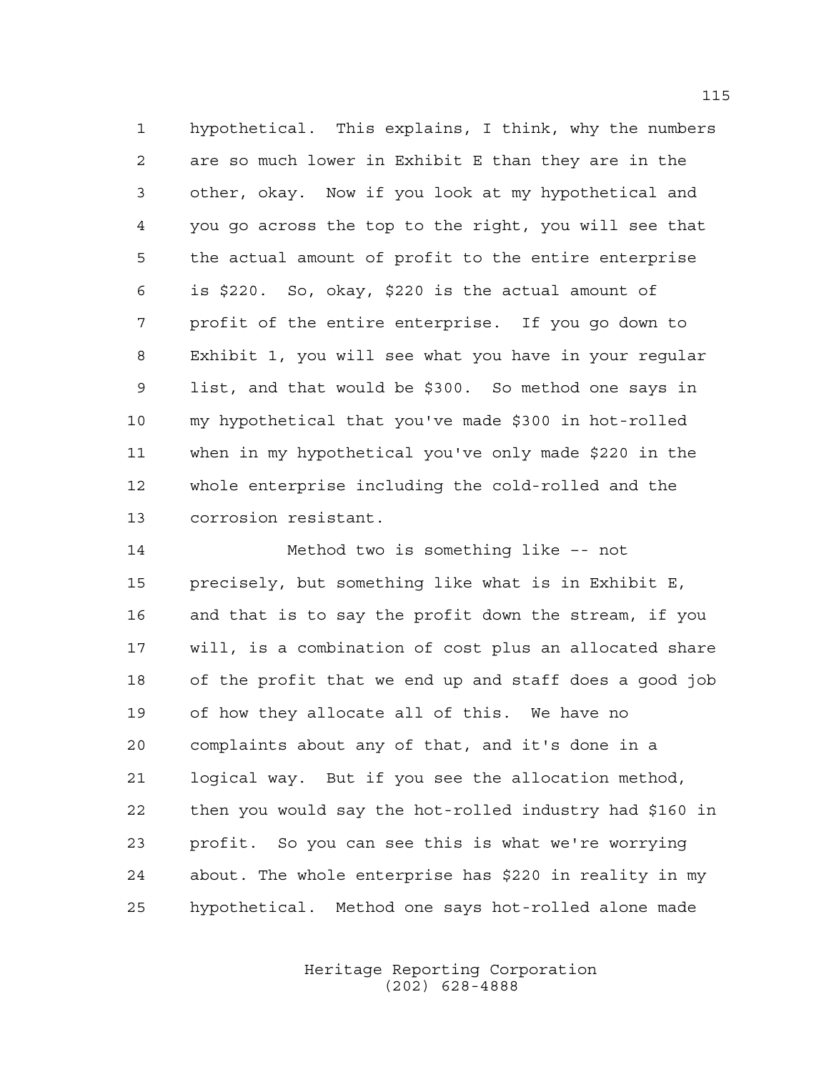hypothetical. This explains, I think, why the numbers are so much lower in Exhibit E than they are in the other, okay. Now if you look at my hypothetical and you go across the top to the right, you will see that the actual amount of profit to the entire enterprise is \$220. So, okay, \$220 is the actual amount of profit of the entire enterprise. If you go down to Exhibit 1, you will see what you have in your regular list, and that would be \$300. So method one says in my hypothetical that you've made \$300 in hot-rolled when in my hypothetical you've only made \$220 in the whole enterprise including the cold-rolled and the corrosion resistant.

 Method two is something like –- not precisely, but something like what is in Exhibit E, and that is to say the profit down the stream, if you will, is a combination of cost plus an allocated share of the profit that we end up and staff does a good job of how they allocate all of this. We have no complaints about any of that, and it's done in a logical way. But if you see the allocation method, then you would say the hot-rolled industry had \$160 in profit. So you can see this is what we're worrying about. The whole enterprise has \$220 in reality in my hypothetical. Method one says hot-rolled alone made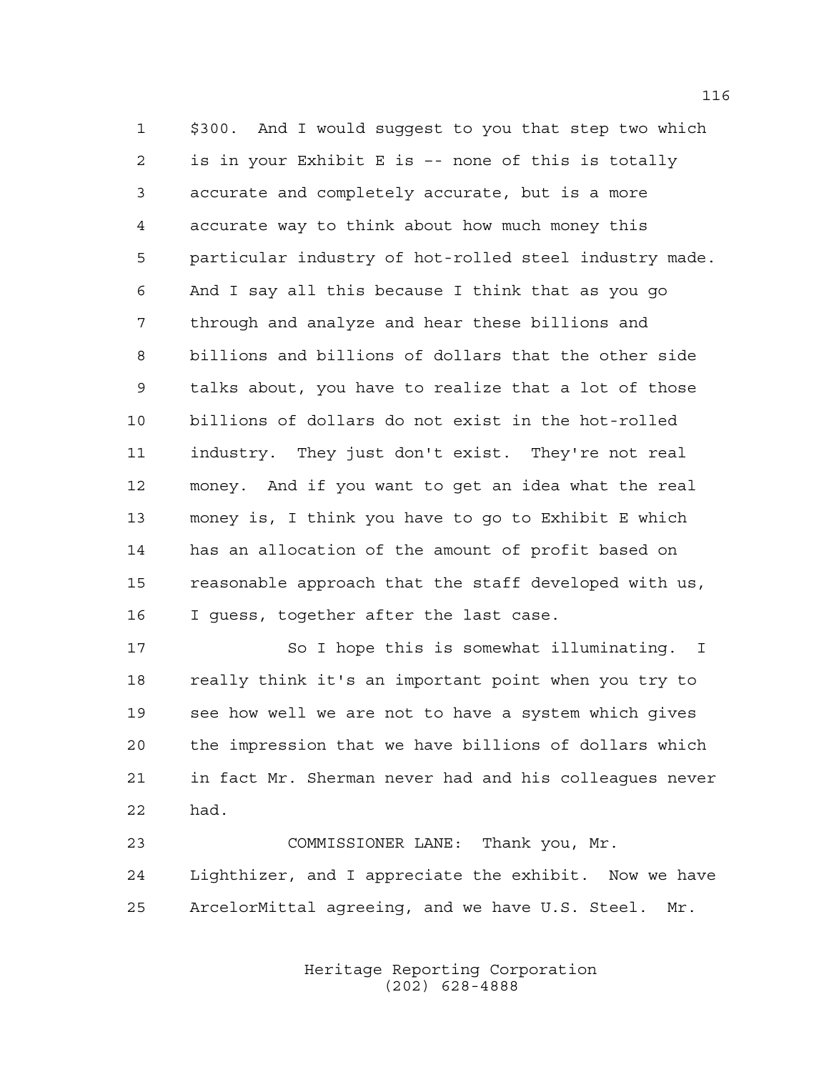\$300. And I would suggest to you that step two which is in your Exhibit E is –- none of this is totally accurate and completely accurate, but is a more accurate way to think about how much money this particular industry of hot-rolled steel industry made. And I say all this because I think that as you go through and analyze and hear these billions and billions and billions of dollars that the other side talks about, you have to realize that a lot of those billions of dollars do not exist in the hot-rolled industry. They just don't exist. They're not real money. And if you want to get an idea what the real money is, I think you have to go to Exhibit E which has an allocation of the amount of profit based on reasonable approach that the staff developed with us, I guess, together after the last case.

 So I hope this is somewhat illuminating. I really think it's an important point when you try to see how well we are not to have a system which gives the impression that we have billions of dollars which in fact Mr. Sherman never had and his colleagues never had.

 COMMISSIONER LANE: Thank you, Mr. Lighthizer, and I appreciate the exhibit. Now we have ArcelorMittal agreeing, and we have U.S. Steel. Mr.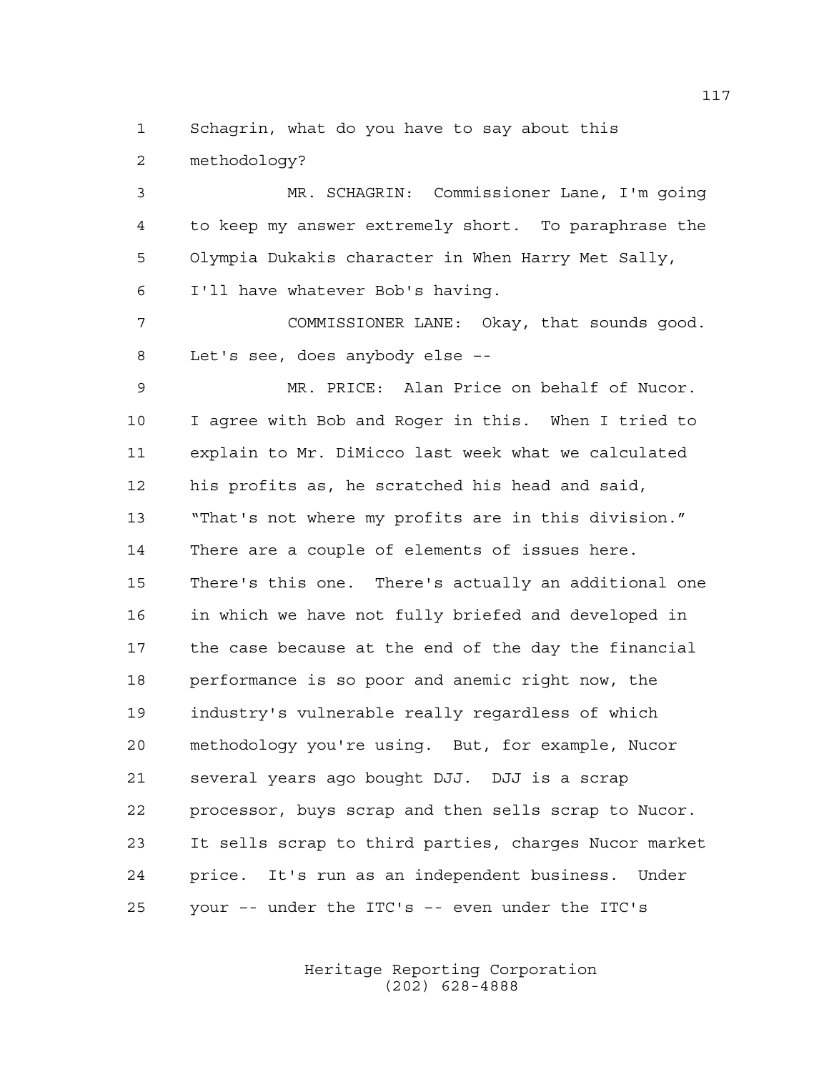Schagrin, what do you have to say about this

methodology?

 MR. SCHAGRIN: Commissioner Lane, I'm going to keep my answer extremely short. To paraphrase the Olympia Dukakis character in When Harry Met Sally, I'll have whatever Bob's having. COMMISSIONER LANE: Okay, that sounds good. Let's see, does anybody else –- MR. PRICE: Alan Price on behalf of Nucor. I agree with Bob and Roger in this. When I tried to explain to Mr. DiMicco last week what we calculated his profits as, he scratched his head and said, "That's not where my profits are in this division." There are a couple of elements of issues here. There's this one. There's actually an additional one in which we have not fully briefed and developed in the case because at the end of the day the financial performance is so poor and anemic right now, the industry's vulnerable really regardless of which

 methodology you're using. But, for example, Nucor several years ago bought DJJ. DJJ is a scrap processor, buys scrap and then sells scrap to Nucor. It sells scrap to third parties, charges Nucor market price. It's run as an independent business. Under your –- under the ITC's –- even under the ITC's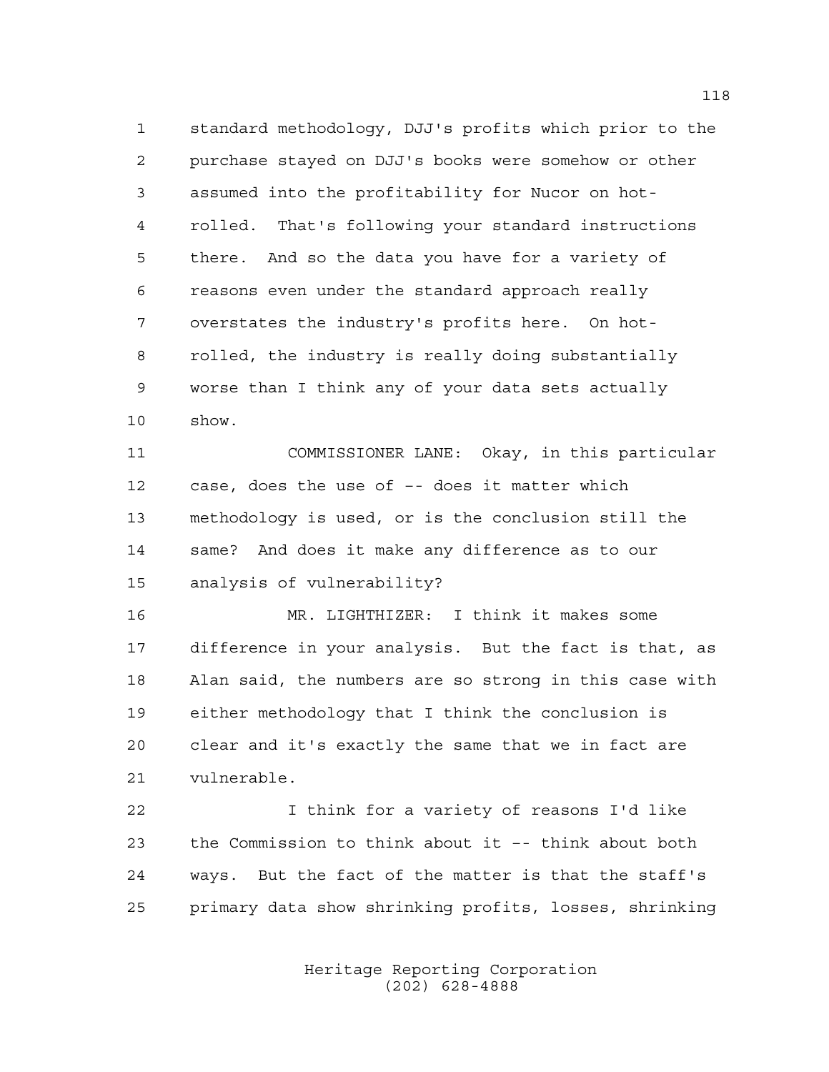standard methodology, DJJ's profits which prior to the purchase stayed on DJJ's books were somehow or other assumed into the profitability for Nucor on hot- rolled. That's following your standard instructions there. And so the data you have for a variety of reasons even under the standard approach really overstates the industry's profits here. On hot- rolled, the industry is really doing substantially worse than I think any of your data sets actually show.

 COMMISSIONER LANE: Okay, in this particular case, does the use of –- does it matter which methodology is used, or is the conclusion still the same? And does it make any difference as to our analysis of vulnerability?

 MR. LIGHTHIZER: I think it makes some difference in your analysis. But the fact is that, as Alan said, the numbers are so strong in this case with either methodology that I think the conclusion is clear and it's exactly the same that we in fact are vulnerable.

 I think for a variety of reasons I'd like the Commission to think about it –- think about both ways. But the fact of the matter is that the staff's primary data show shrinking profits, losses, shrinking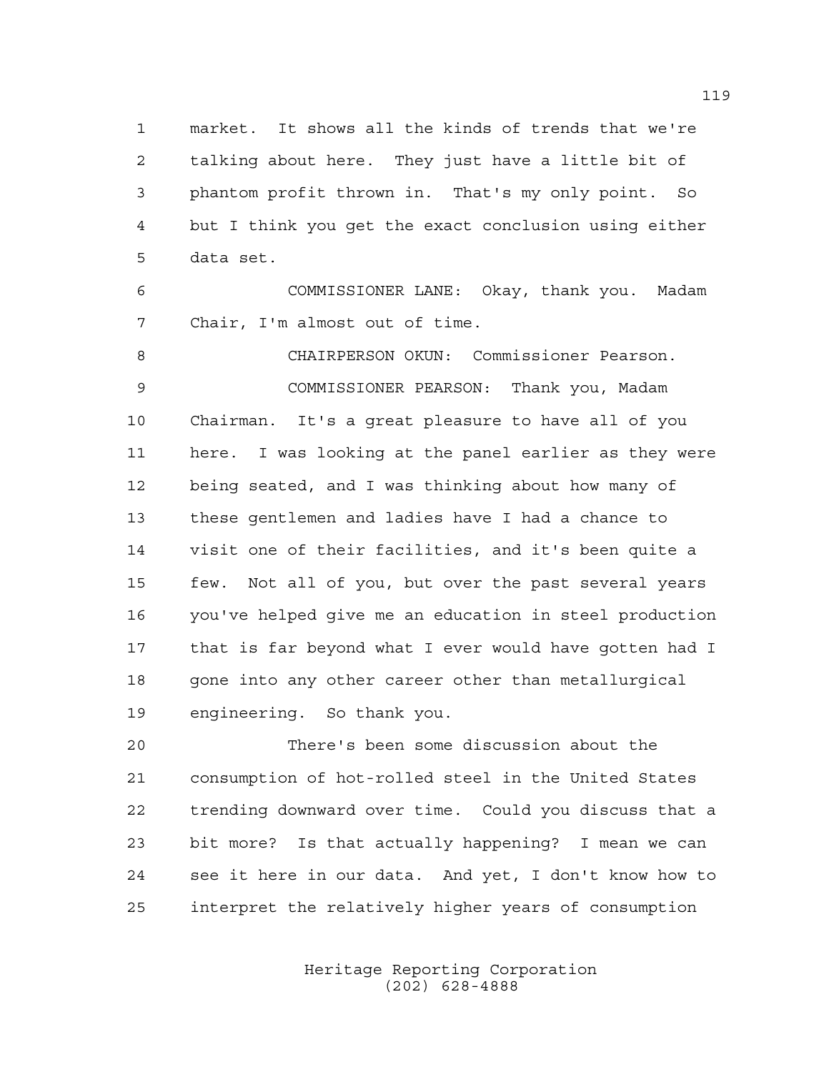market. It shows all the kinds of trends that we're talking about here. They just have a little bit of phantom profit thrown in. That's my only point. So but I think you get the exact conclusion using either data set.

 COMMISSIONER LANE: Okay, thank you. Madam Chair, I'm almost out of time.

 CHAIRPERSON OKUN: Commissioner Pearson. COMMISSIONER PEARSON: Thank you, Madam Chairman. It's a great pleasure to have all of you here. I was looking at the panel earlier as they were being seated, and I was thinking about how many of these gentlemen and ladies have I had a chance to visit one of their facilities, and it's been quite a few. Not all of you, but over the past several years you've helped give me an education in steel production that is far beyond what I ever would have gotten had I gone into any other career other than metallurgical engineering. So thank you.

 There's been some discussion about the consumption of hot-rolled steel in the United States trending downward over time. Could you discuss that a bit more? Is that actually happening? I mean we can see it here in our data. And yet, I don't know how to interpret the relatively higher years of consumption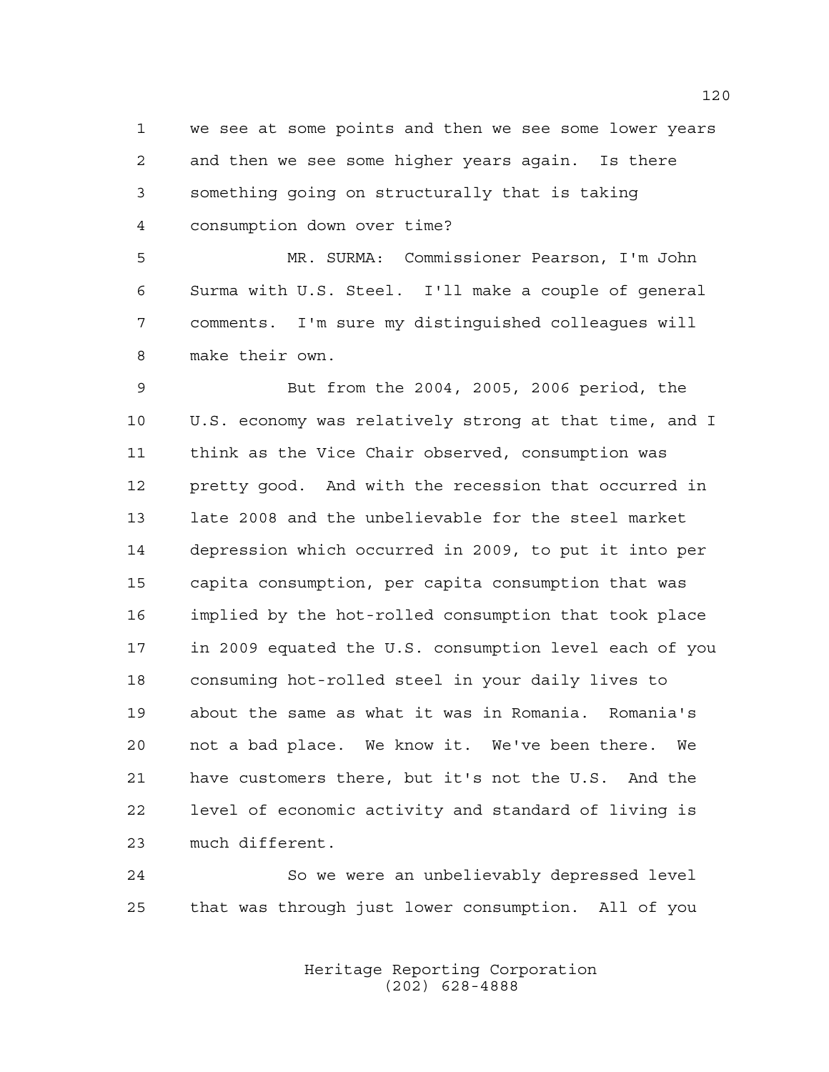we see at some points and then we see some lower years and then we see some higher years again. Is there something going on structurally that is taking consumption down over time?

 MR. SURMA: Commissioner Pearson, I'm John Surma with U.S. Steel. I'll make a couple of general comments. I'm sure my distinguished colleagues will make their own.

 But from the 2004, 2005, 2006 period, the U.S. economy was relatively strong at that time, and I think as the Vice Chair observed, consumption was pretty good. And with the recession that occurred in late 2008 and the unbelievable for the steel market depression which occurred in 2009, to put it into per capita consumption, per capita consumption that was implied by the hot-rolled consumption that took place in 2009 equated the U.S. consumption level each of you consuming hot-rolled steel in your daily lives to about the same as what it was in Romania. Romania's not a bad place. We know it. We've been there. We have customers there, but it's not the U.S. And the level of economic activity and standard of living is much different.

 So we were an unbelievably depressed level that was through just lower consumption. All of you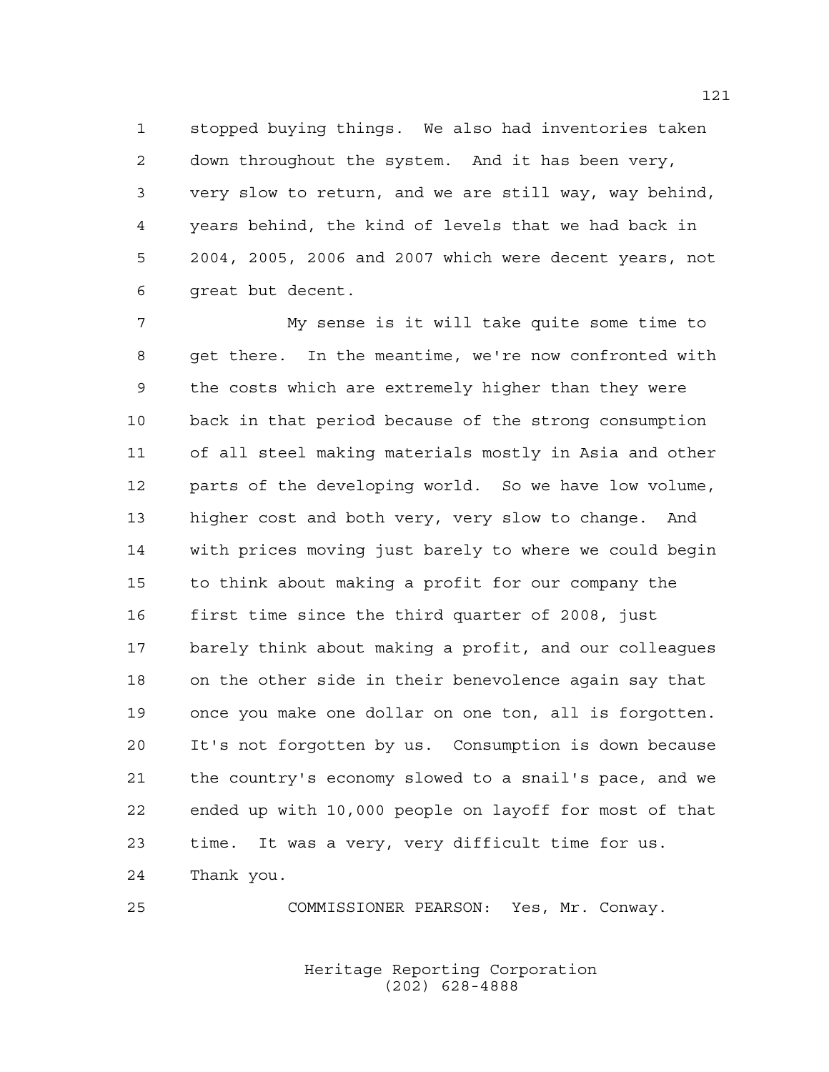stopped buying things. We also had inventories taken down throughout the system. And it has been very, very slow to return, and we are still way, way behind, years behind, the kind of levels that we had back in 2004, 2005, 2006 and 2007 which were decent years, not great but decent.

 My sense is it will take quite some time to get there. In the meantime, we're now confronted with the costs which are extremely higher than they were back in that period because of the strong consumption of all steel making materials mostly in Asia and other parts of the developing world. So we have low volume, higher cost and both very, very slow to change. And with prices moving just barely to where we could begin to think about making a profit for our company the first time since the third quarter of 2008, just barely think about making a profit, and our colleagues on the other side in their benevolence again say that once you make one dollar on one ton, all is forgotten. It's not forgotten by us. Consumption is down because the country's economy slowed to a snail's pace, and we ended up with 10,000 people on layoff for most of that time. It was a very, very difficult time for us. Thank you.

COMMISSIONER PEARSON: Yes, Mr. Conway.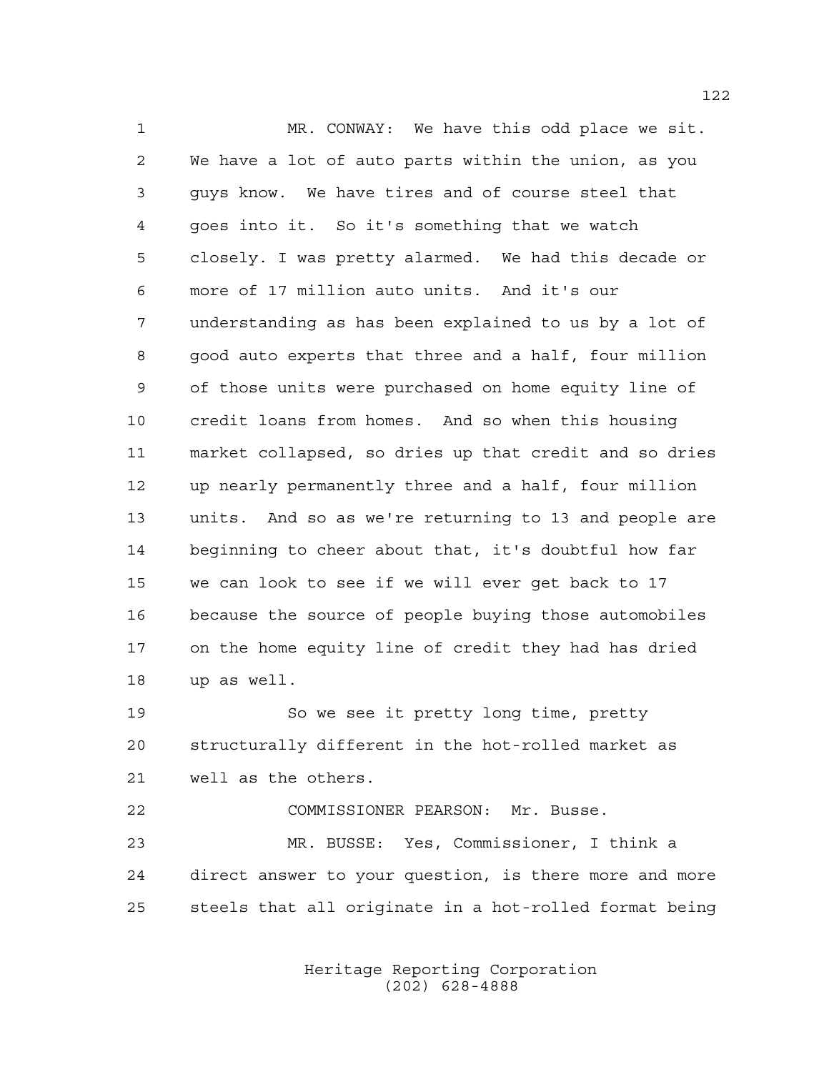MR. CONWAY: We have this odd place we sit. We have a lot of auto parts within the union, as you guys know. We have tires and of course steel that goes into it. So it's something that we watch closely. I was pretty alarmed. We had this decade or more of 17 million auto units. And it's our understanding as has been explained to us by a lot of good auto experts that three and a half, four million of those units were purchased on home equity line of credit loans from homes. And so when this housing market collapsed, so dries up that credit and so dries up nearly permanently three and a half, four million units. And so as we're returning to 13 and people are beginning to cheer about that, it's doubtful how far we can look to see if we will ever get back to 17 because the source of people buying those automobiles on the home equity line of credit they had has dried up as well.

 So we see it pretty long time, pretty structurally different in the hot-rolled market as well as the others.

 COMMISSIONER PEARSON: Mr. Busse. MR. BUSSE: Yes, Commissioner, I think a direct answer to your question, is there more and more steels that all originate in a hot-rolled format being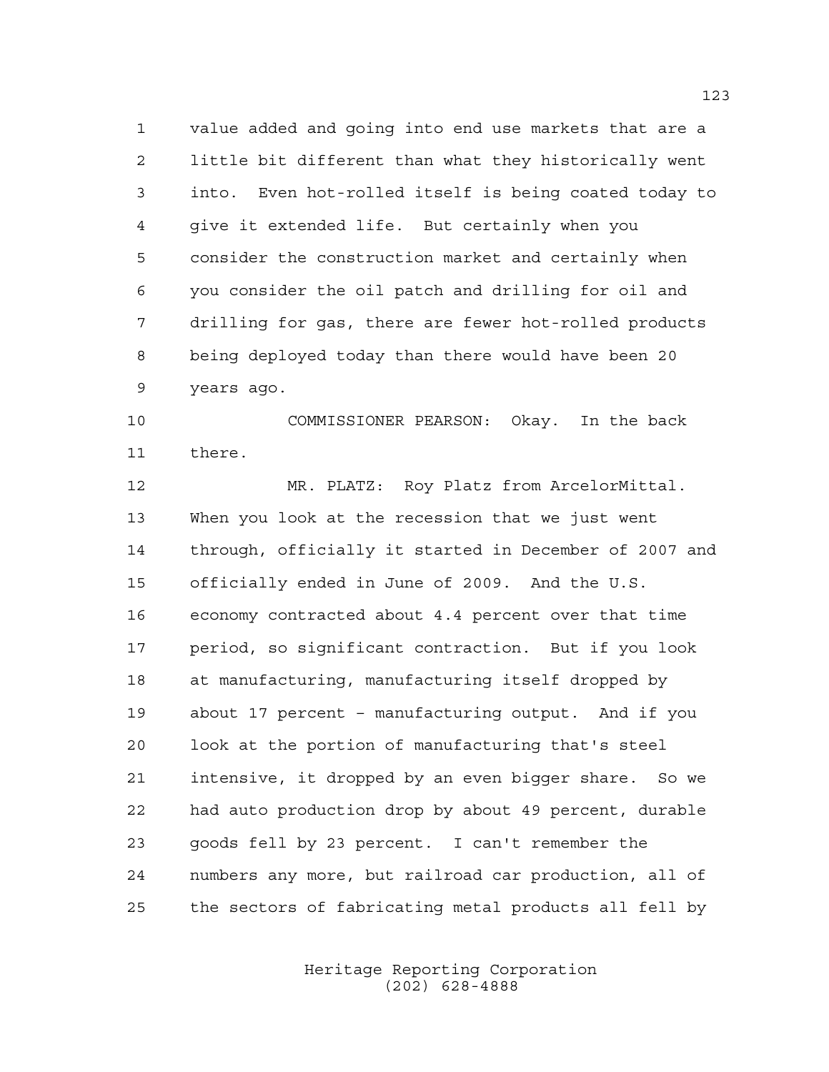value added and going into end use markets that are a little bit different than what they historically went into. Even hot-rolled itself is being coated today to give it extended life. But certainly when you consider the construction market and certainly when you consider the oil patch and drilling for oil and drilling for gas, there are fewer hot-rolled products being deployed today than there would have been 20 years ago.

 COMMISSIONER PEARSON: Okay. In the back there.

 MR. PLATZ: Roy Platz from ArcelorMittal. When you look at the recession that we just went through, officially it started in December of 2007 and officially ended in June of 2009. And the U.S. economy contracted about 4.4 percent over that time period, so significant contraction. But if you look at manufacturing, manufacturing itself dropped by about 17 percent – manufacturing output. And if you look at the portion of manufacturing that's steel intensive, it dropped by an even bigger share. So we had auto production drop by about 49 percent, durable goods fell by 23 percent. I can't remember the numbers any more, but railroad car production, all of the sectors of fabricating metal products all fell by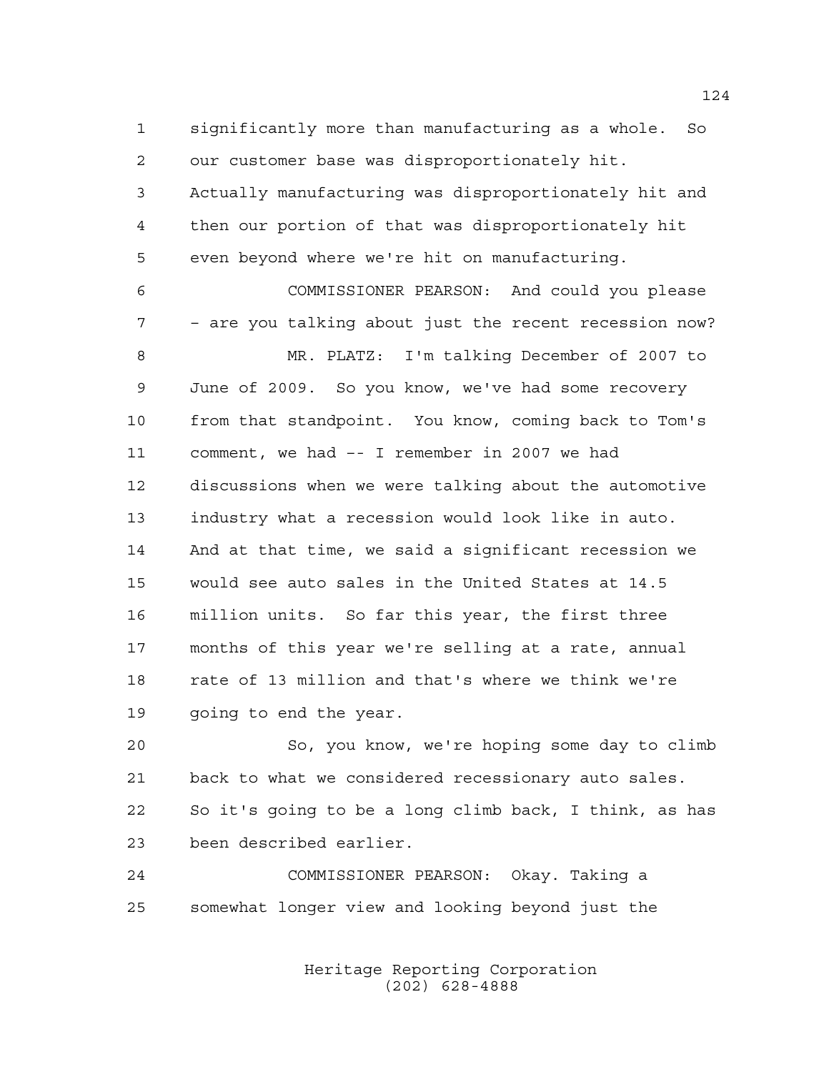significantly more than manufacturing as a whole. So our customer base was disproportionately hit. Actually manufacturing was disproportionately hit and then our portion of that was disproportionately hit even beyond where we're hit on manufacturing.

 COMMISSIONER PEARSON: And could you please – are you talking about just the recent recession now? MR. PLATZ: I'm talking December of 2007 to June of 2009. So you know, we've had some recovery from that standpoint. You know, coming back to Tom's comment, we had –- I remember in 2007 we had discussions when we were talking about the automotive industry what a recession would look like in auto. And at that time, we said a significant recession we would see auto sales in the United States at 14.5 million units. So far this year, the first three months of this year we're selling at a rate, annual rate of 13 million and that's where we think we're going to end the year.

 So, you know, we're hoping some day to climb back to what we considered recessionary auto sales. So it's going to be a long climb back, I think, as has been described earlier.

 COMMISSIONER PEARSON: Okay. Taking a somewhat longer view and looking beyond just the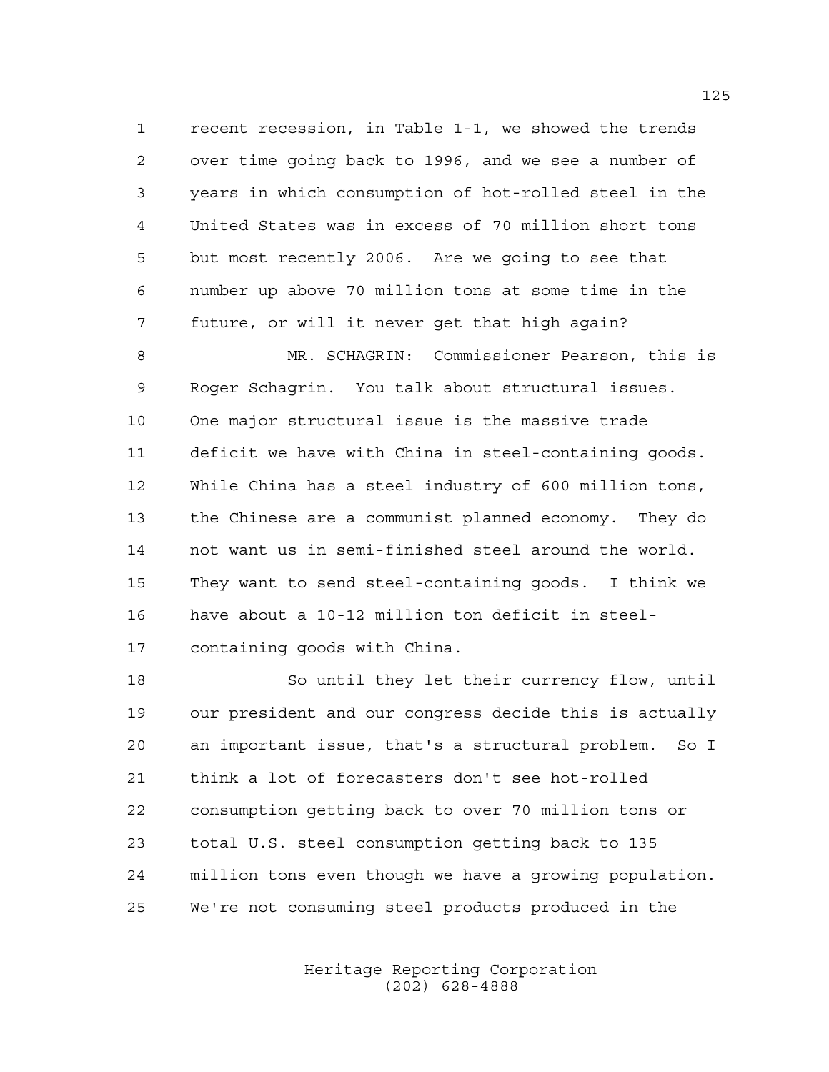recent recession, in Table 1-1, we showed the trends over time going back to 1996, and we see a number of years in which consumption of hot-rolled steel in the United States was in excess of 70 million short tons but most recently 2006. Are we going to see that number up above 70 million tons at some time in the future, or will it never get that high again?

 MR. SCHAGRIN: Commissioner Pearson, this is Roger Schagrin. You talk about structural issues. One major structural issue is the massive trade deficit we have with China in steel-containing goods. While China has a steel industry of 600 million tons, the Chinese are a communist planned economy. They do not want us in semi-finished steel around the world. They want to send steel-containing goods. I think we have about a 10-12 million ton deficit in steel-containing goods with China.

 So until they let their currency flow, until our president and our congress decide this is actually an important issue, that's a structural problem. So I think a lot of forecasters don't see hot-rolled consumption getting back to over 70 million tons or total U.S. steel consumption getting back to 135 million tons even though we have a growing population. We're not consuming steel products produced in the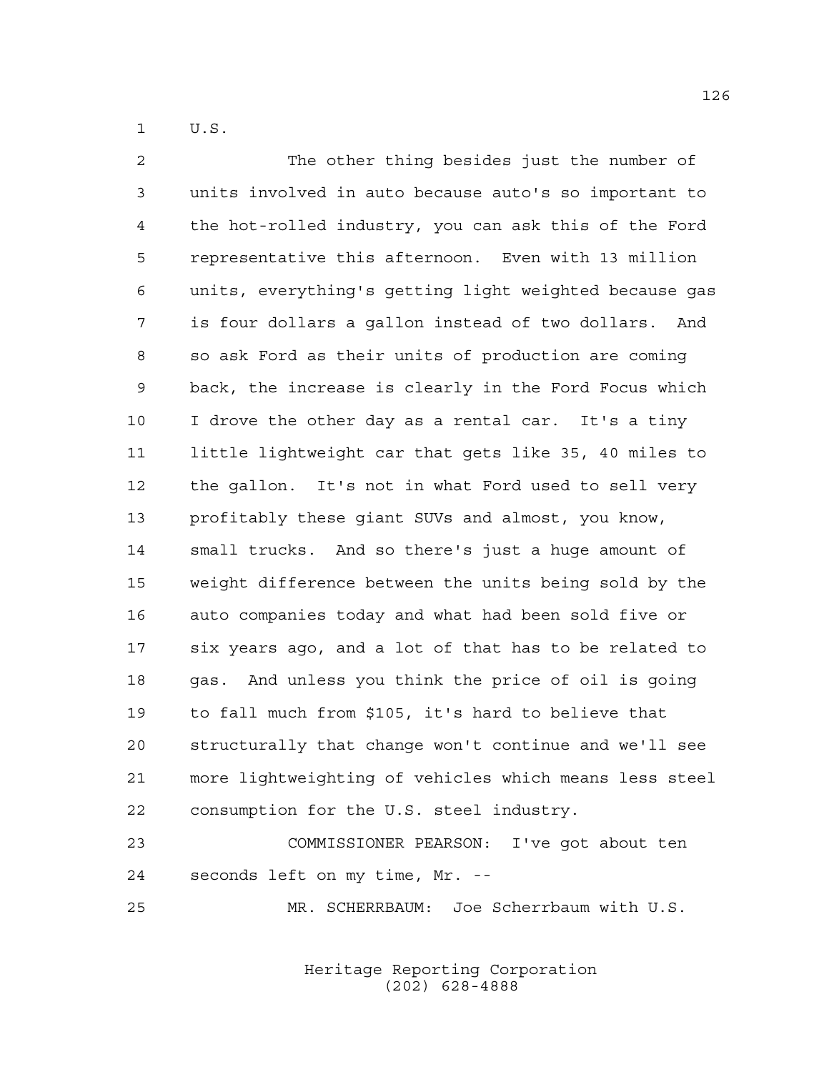U.S.

 The other thing besides just the number of units involved in auto because auto's so important to the hot-rolled industry, you can ask this of the Ford representative this afternoon. Even with 13 million units, everything's getting light weighted because gas is four dollars a gallon instead of two dollars. And so ask Ford as their units of production are coming back, the increase is clearly in the Ford Focus which I drove the other day as a rental car. It's a tiny little lightweight car that gets like 35, 40 miles to the gallon. It's not in what Ford used to sell very profitably these giant SUVs and almost, you know, small trucks. And so there's just a huge amount of weight difference between the units being sold by the auto companies today and what had been sold five or six years ago, and a lot of that has to be related to gas. And unless you think the price of oil is going to fall much from \$105, it's hard to believe that structurally that change won't continue and we'll see more lightweighting of vehicles which means less steel consumption for the U.S. steel industry.

 COMMISSIONER PEARSON: I've got about ten seconds left on my time, Mr. --

MR. SCHERRBAUM: Joe Scherrbaum with U.S.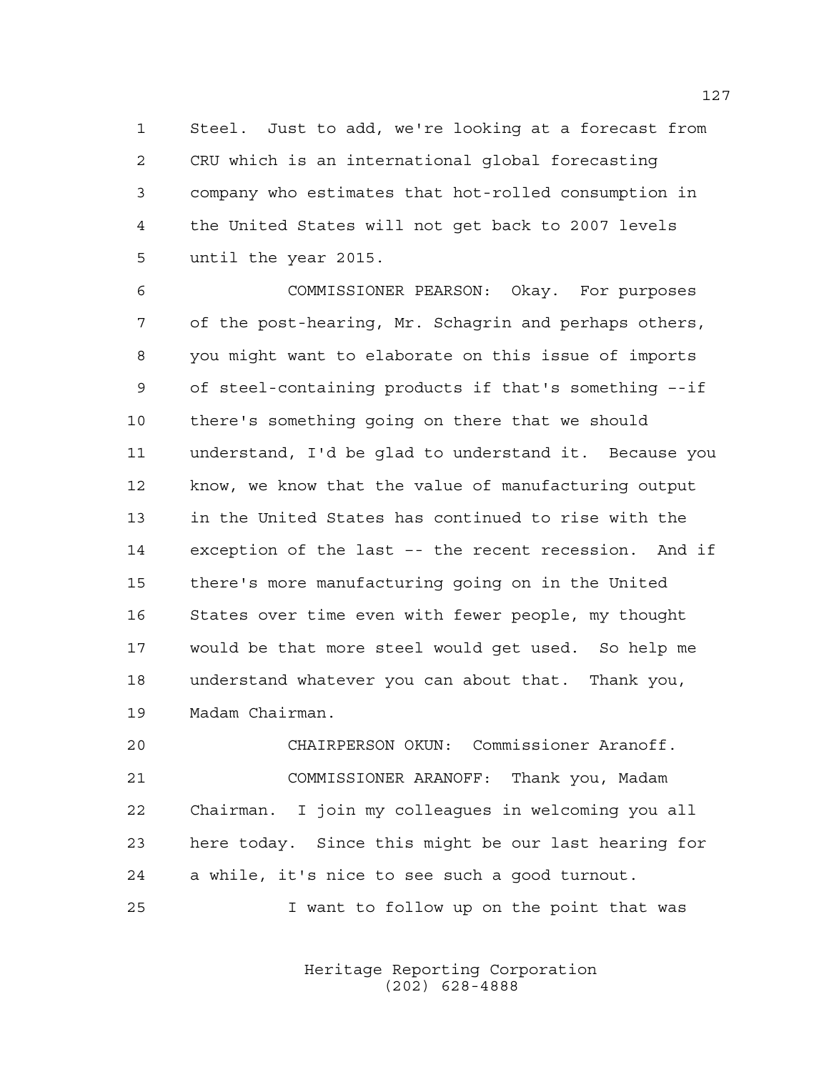Steel. Just to add, we're looking at a forecast from CRU which is an international global forecasting company who estimates that hot-rolled consumption in the United States will not get back to 2007 levels until the year 2015.

 COMMISSIONER PEARSON: Okay. For purposes of the post-hearing, Mr. Schagrin and perhaps others, you might want to elaborate on this issue of imports of steel-containing products if that's something –-if there's something going on there that we should understand, I'd be glad to understand it. Because you know, we know that the value of manufacturing output in the United States has continued to rise with the exception of the last –- the recent recession. And if there's more manufacturing going on in the United States over time even with fewer people, my thought would be that more steel would get used. So help me understand whatever you can about that. Thank you, Madam Chairman.

 CHAIRPERSON OKUN: Commissioner Aranoff. COMMISSIONER ARANOFF: Thank you, Madam Chairman. I join my colleagues in welcoming you all here today. Since this might be our last hearing for a while, it's nice to see such a good turnout. I want to follow up on the point that was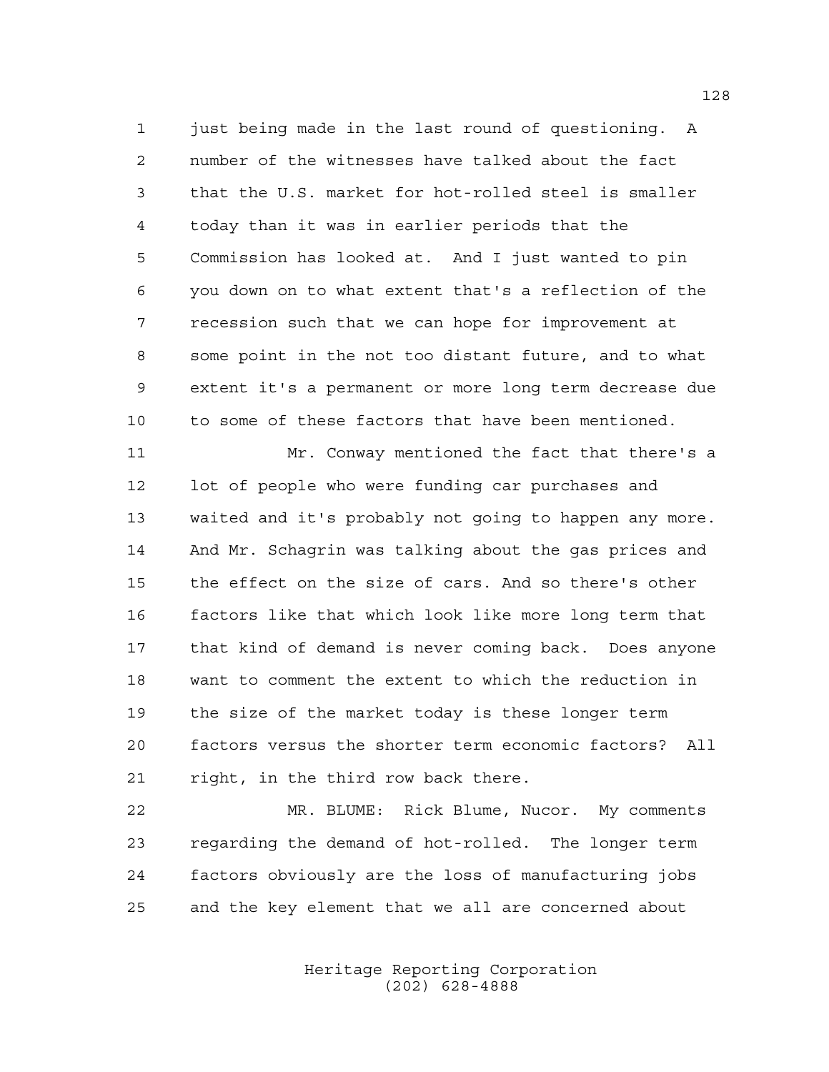just being made in the last round of questioning. A number of the witnesses have talked about the fact that the U.S. market for hot-rolled steel is smaller today than it was in earlier periods that the Commission has looked at. And I just wanted to pin you down on to what extent that's a reflection of the recession such that we can hope for improvement at some point in the not too distant future, and to what extent it's a permanent or more long term decrease due to some of these factors that have been mentioned.

 Mr. Conway mentioned the fact that there's a lot of people who were funding car purchases and waited and it's probably not going to happen any more. And Mr. Schagrin was talking about the gas prices and the effect on the size of cars. And so there's other factors like that which look like more long term that that kind of demand is never coming back. Does anyone want to comment the extent to which the reduction in the size of the market today is these longer term factors versus the shorter term economic factors? All right, in the third row back there.

 MR. BLUME: Rick Blume, Nucor. My comments regarding the demand of hot-rolled. The longer term factors obviously are the loss of manufacturing jobs and the key element that we all are concerned about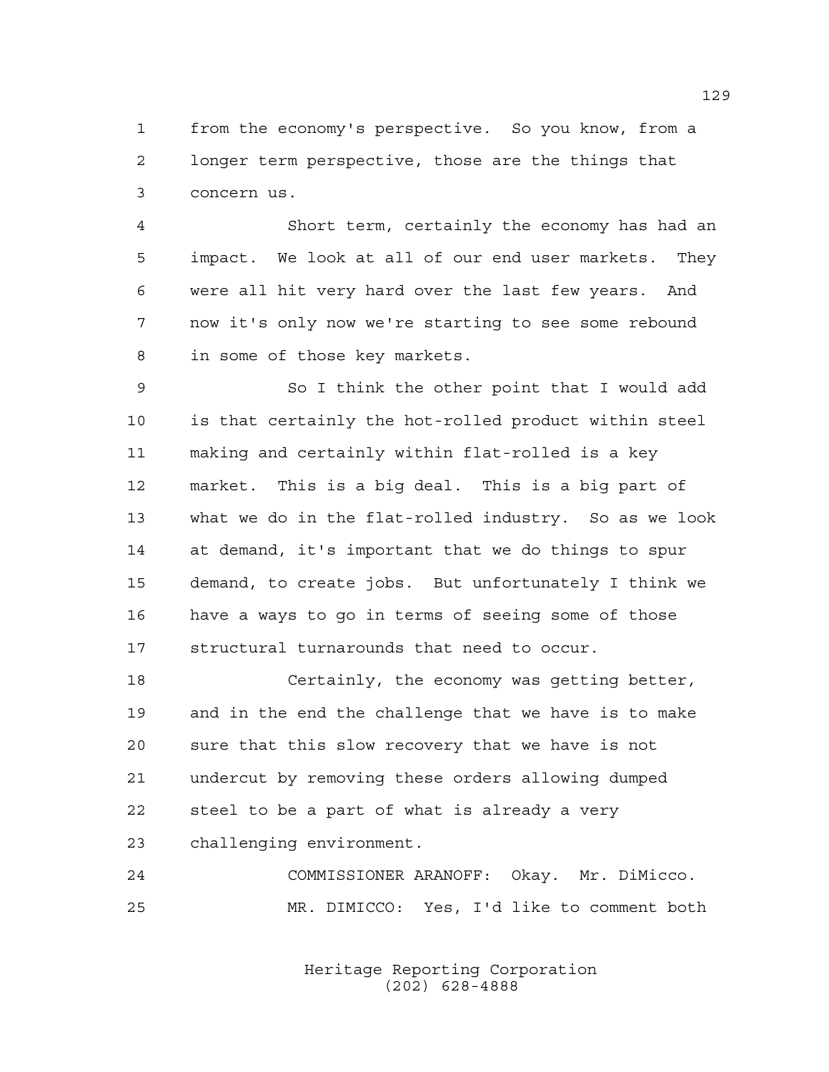from the economy's perspective. So you know, from a longer term perspective, those are the things that concern us.

 Short term, certainly the economy has had an impact. We look at all of our end user markets. They were all hit very hard over the last few years. And now it's only now we're starting to see some rebound in some of those key markets.

 So I think the other point that I would add is that certainly the hot-rolled product within steel making and certainly within flat-rolled is a key market. This is a big deal. This is a big part of what we do in the flat-rolled industry. So as we look at demand, it's important that we do things to spur demand, to create jobs. But unfortunately I think we have a ways to go in terms of seeing some of those structural turnarounds that need to occur.

 Certainly, the economy was getting better, and in the end the challenge that we have is to make sure that this slow recovery that we have is not undercut by removing these orders allowing dumped steel to be a part of what is already a very challenging environment.

 COMMISSIONER ARANOFF: Okay. Mr. DiMicco. MR. DIMICCO: Yes, I'd like to comment both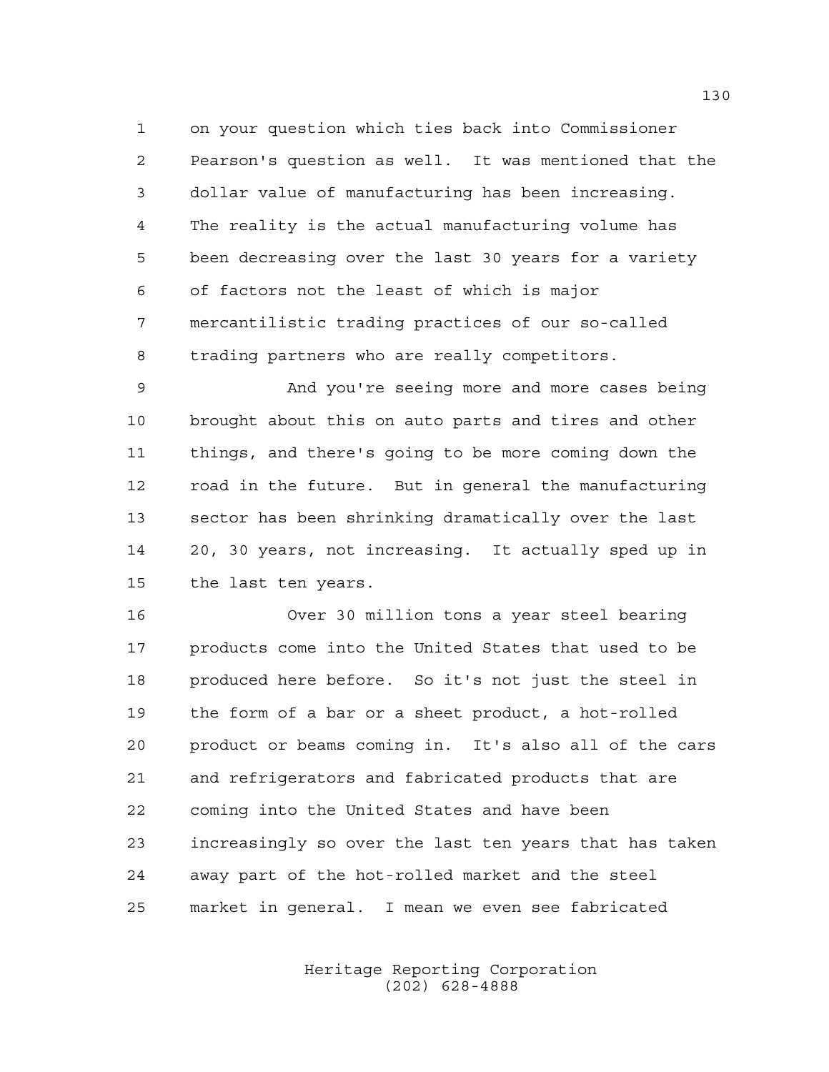on your question which ties back into Commissioner Pearson's question as well. It was mentioned that the dollar value of manufacturing has been increasing. The reality is the actual manufacturing volume has been decreasing over the last 30 years for a variety of factors not the least of which is major mercantilistic trading practices of our so-called trading partners who are really competitors.

 And you're seeing more and more cases being brought about this on auto parts and tires and other things, and there's going to be more coming down the road in the future. But in general the manufacturing sector has been shrinking dramatically over the last 20, 30 years, not increasing. It actually sped up in the last ten years.

 Over 30 million tons a year steel bearing products come into the United States that used to be produced here before. So it's not just the steel in the form of a bar or a sheet product, a hot-rolled product or beams coming in. It's also all of the cars and refrigerators and fabricated products that are coming into the United States and have been increasingly so over the last ten years that has taken away part of the hot-rolled market and the steel market in general. I mean we even see fabricated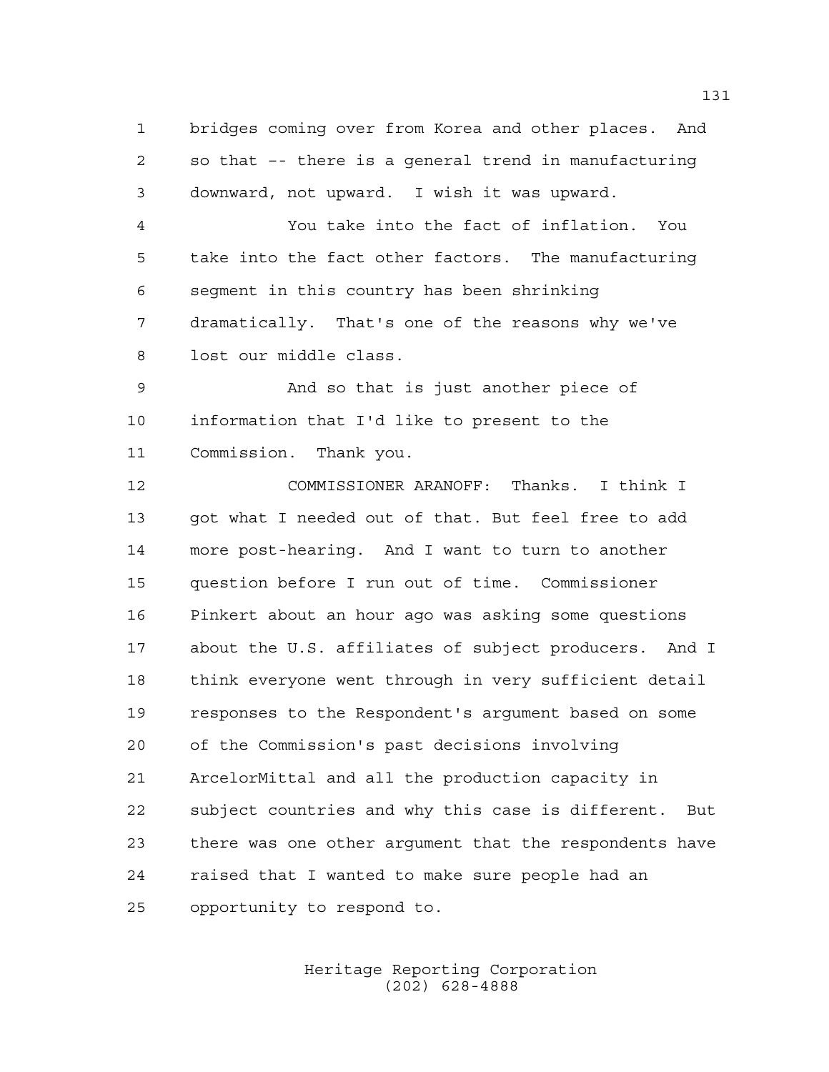bridges coming over from Korea and other places. And so that –- there is a general trend in manufacturing downward, not upward. I wish it was upward.

 You take into the fact of inflation. You take into the fact other factors. The manufacturing segment in this country has been shrinking dramatically. That's one of the reasons why we've lost our middle class.

 And so that is just another piece of information that I'd like to present to the Commission. Thank you.

 COMMISSIONER ARANOFF: Thanks. I think I got what I needed out of that. But feel free to add more post-hearing. And I want to turn to another question before I run out of time. Commissioner Pinkert about an hour ago was asking some questions about the U.S. affiliates of subject producers. And I think everyone went through in very sufficient detail responses to the Respondent's argument based on some of the Commission's past decisions involving ArcelorMittal and all the production capacity in subject countries and why this case is different. But there was one other argument that the respondents have raised that I wanted to make sure people had an opportunity to respond to.

> Heritage Reporting Corporation (202) 628-4888

##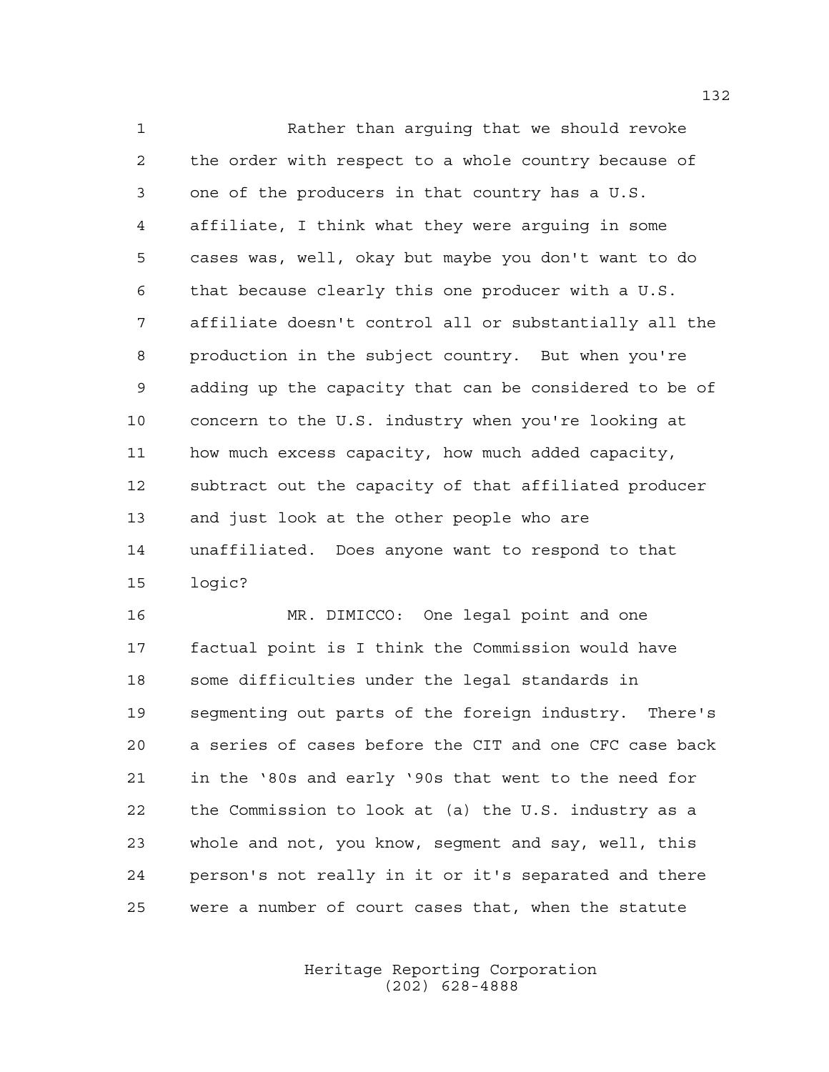Rather than arguing that we should revoke the order with respect to a whole country because of one of the producers in that country has a U.S. affiliate, I think what they were arguing in some cases was, well, okay but maybe you don't want to do that because clearly this one producer with a U.S. affiliate doesn't control all or substantially all the production in the subject country. But when you're adding up the capacity that can be considered to be of concern to the U.S. industry when you're looking at how much excess capacity, how much added capacity, subtract out the capacity of that affiliated producer and just look at the other people who are unaffiliated. Does anyone want to respond to that logic?

 MR. DIMICCO: One legal point and one factual point is I think the Commission would have some difficulties under the legal standards in segmenting out parts of the foreign industry. There's a series of cases before the CIT and one CFC case back in the '80s and early '90s that went to the need for the Commission to look at (a) the U.S. industry as a whole and not, you know, segment and say, well, this person's not really in it or it's separated and there were a number of court cases that, when the statute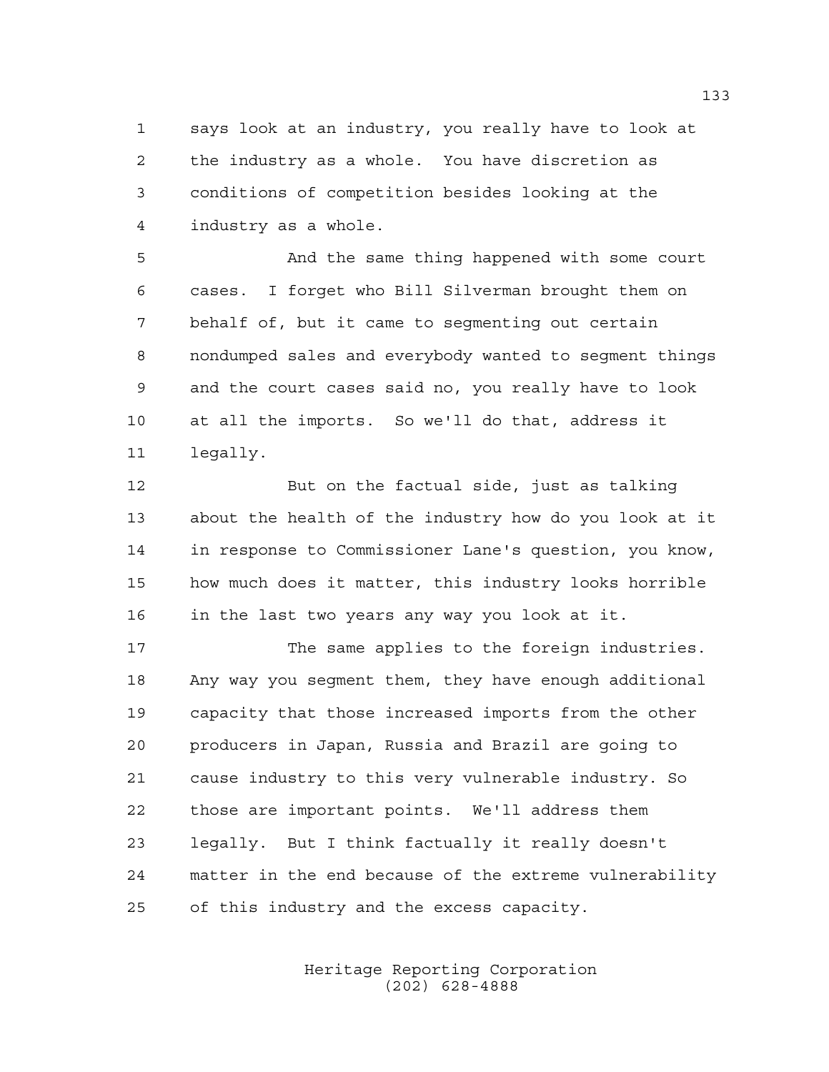says look at an industry, you really have to look at the industry as a whole. You have discretion as conditions of competition besides looking at the industry as a whole.

 And the same thing happened with some court cases. I forget who Bill Silverman brought them on behalf of, but it came to segmenting out certain nondumped sales and everybody wanted to segment things and the court cases said no, you really have to look at all the imports. So we'll do that, address it legally.

 But on the factual side, just as talking about the health of the industry how do you look at it in response to Commissioner Lane's question, you know, how much does it matter, this industry looks horrible in the last two years any way you look at it.

 The same applies to the foreign industries. Any way you segment them, they have enough additional capacity that those increased imports from the other producers in Japan, Russia and Brazil are going to cause industry to this very vulnerable industry. So those are important points. We'll address them legally. But I think factually it really doesn't matter in the end because of the extreme vulnerability of this industry and the excess capacity.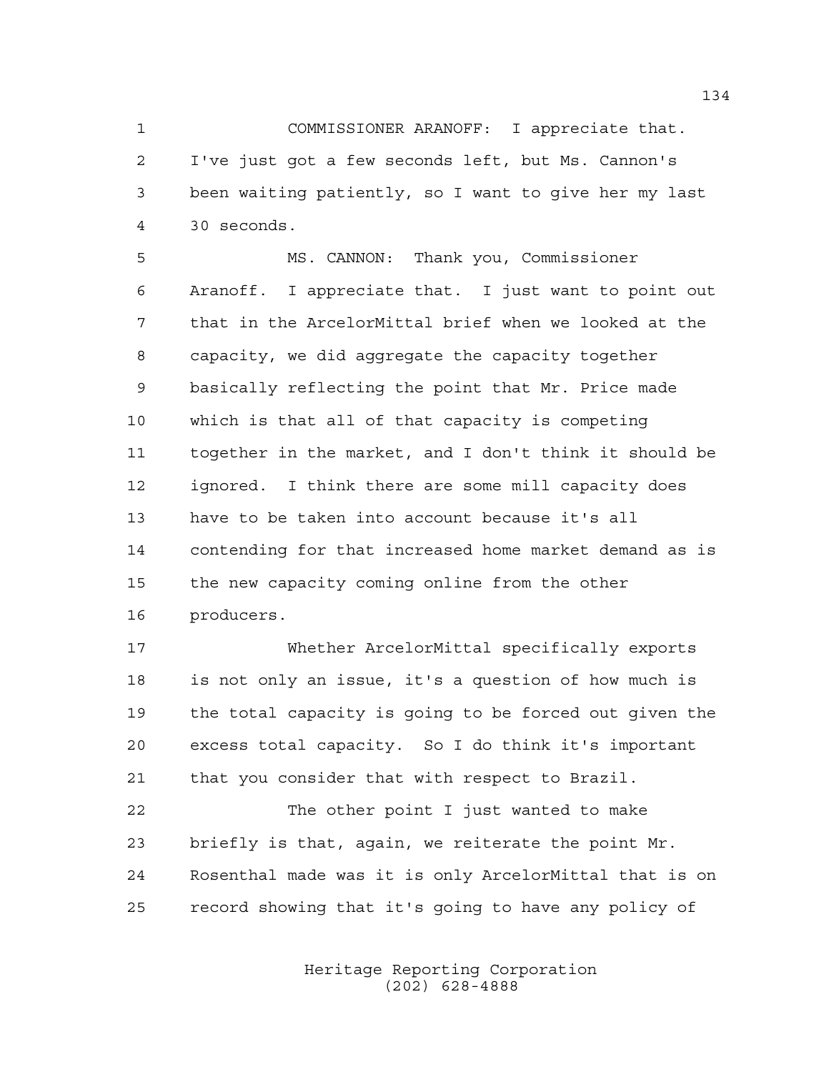COMMISSIONER ARANOFF: I appreciate that. I've just got a few seconds left, but Ms. Cannon's been waiting patiently, so I want to give her my last 30 seconds.

 MS. CANNON: Thank you, Commissioner Aranoff. I appreciate that. I just want to point out that in the ArcelorMittal brief when we looked at the capacity, we did aggregate the capacity together basically reflecting the point that Mr. Price made which is that all of that capacity is competing together in the market, and I don't think it should be ignored. I think there are some mill capacity does have to be taken into account because it's all contending for that increased home market demand as is the new capacity coming online from the other producers.

 Whether ArcelorMittal specifically exports is not only an issue, it's a question of how much is the total capacity is going to be forced out given the excess total capacity. So I do think it's important that you consider that with respect to Brazil.

 The other point I just wanted to make briefly is that, again, we reiterate the point Mr. Rosenthal made was it is only ArcelorMittal that is on record showing that it's going to have any policy of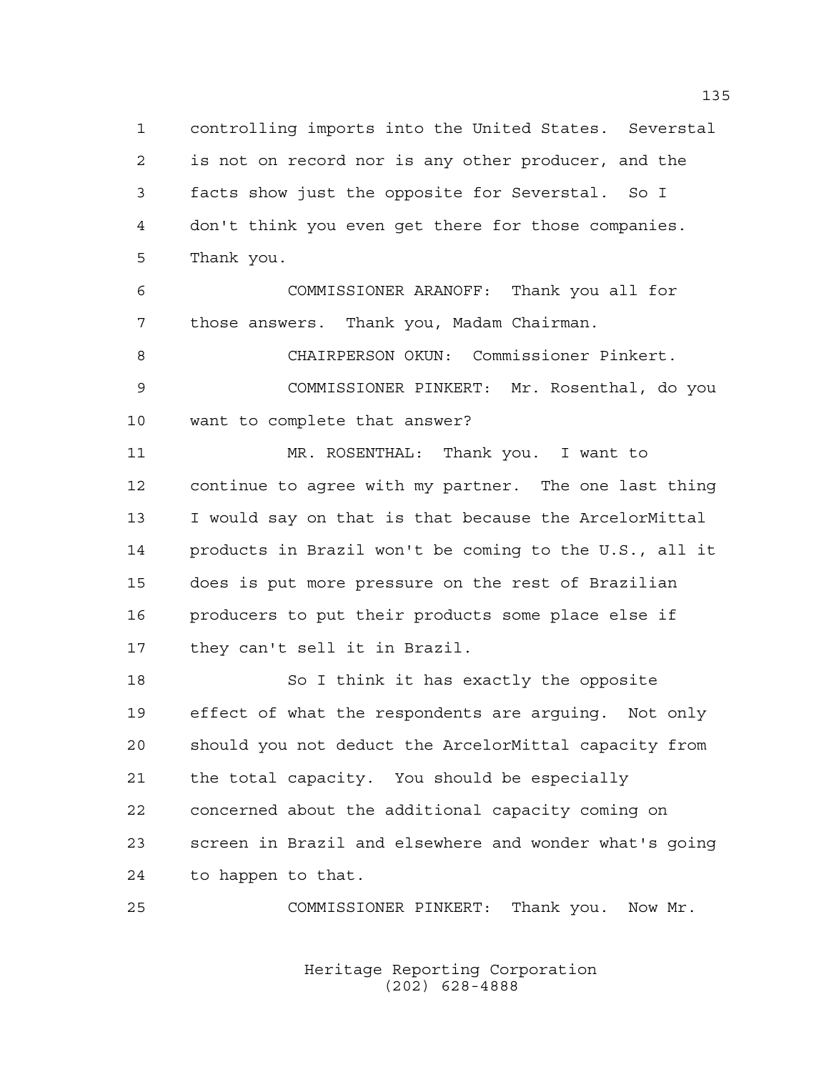controlling imports into the United States. Severstal is not on record nor is any other producer, and the facts show just the opposite for Severstal. So I don't think you even get there for those companies. Thank you.

 COMMISSIONER ARANOFF: Thank you all for those answers. Thank you, Madam Chairman.

CHAIRPERSON OKUN: Commissioner Pinkert.

 COMMISSIONER PINKERT: Mr. Rosenthal, do you want to complete that answer?

 MR. ROSENTHAL: Thank you. I want to continue to agree with my partner. The one last thing I would say on that is that because the ArcelorMittal products in Brazil won't be coming to the U.S., all it does is put more pressure on the rest of Brazilian producers to put their products some place else if they can't sell it in Brazil.

18 So I think it has exactly the opposite effect of what the respondents are arguing. Not only should you not deduct the ArcelorMittal capacity from the total capacity. You should be especially concerned about the additional capacity coming on screen in Brazil and elsewhere and wonder what's going to happen to that.

COMMISSIONER PINKERT: Thank you. Now Mr.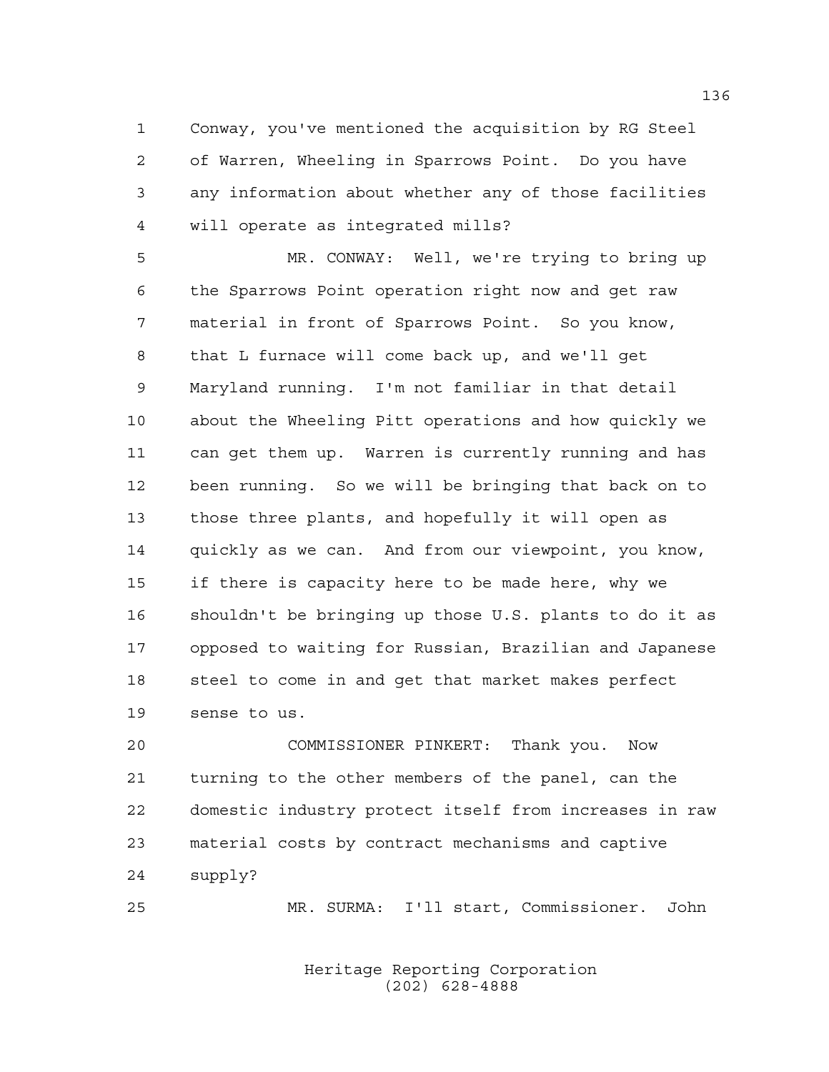Conway, you've mentioned the acquisition by RG Steel of Warren, Wheeling in Sparrows Point. Do you have any information about whether any of those facilities will operate as integrated mills?

 MR. CONWAY: Well, we're trying to bring up the Sparrows Point operation right now and get raw material in front of Sparrows Point. So you know, that L furnace will come back up, and we'll get Maryland running. I'm not familiar in that detail about the Wheeling Pitt operations and how quickly we can get them up. Warren is currently running and has been running. So we will be bringing that back on to those three plants, and hopefully it will open as quickly as we can. And from our viewpoint, you know, if there is capacity here to be made here, why we shouldn't be bringing up those U.S. plants to do it as opposed to waiting for Russian, Brazilian and Japanese steel to come in and get that market makes perfect sense to us.

 COMMISSIONER PINKERT: Thank you. Now turning to the other members of the panel, can the domestic industry protect itself from increases in raw material costs by contract mechanisms and captive supply?

MR. SURMA: I'll start, Commissioner. John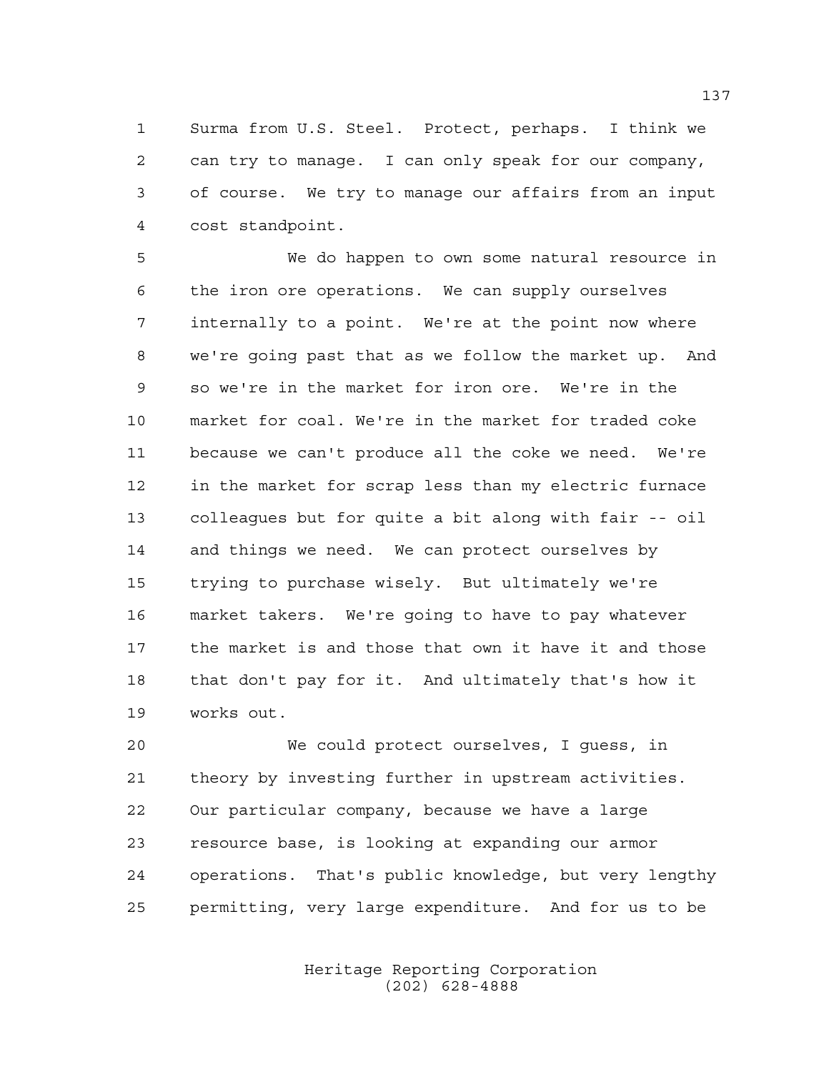Surma from U.S. Steel. Protect, perhaps. I think we can try to manage. I can only speak for our company, of course. We try to manage our affairs from an input cost standpoint.

 We do happen to own some natural resource in the iron ore operations. We can supply ourselves internally to a point. We're at the point now where we're going past that as we follow the market up. And so we're in the market for iron ore. We're in the market for coal. We're in the market for traded coke because we can't produce all the coke we need. We're in the market for scrap less than my electric furnace colleagues but for quite a bit along with fair -- oil and things we need. We can protect ourselves by trying to purchase wisely. But ultimately we're market takers. We're going to have to pay whatever the market is and those that own it have it and those that don't pay for it. And ultimately that's how it works out.

 We could protect ourselves, I guess, in theory by investing further in upstream activities. Our particular company, because we have a large resource base, is looking at expanding our armor operations. That's public knowledge, but very lengthy permitting, very large expenditure. And for us to be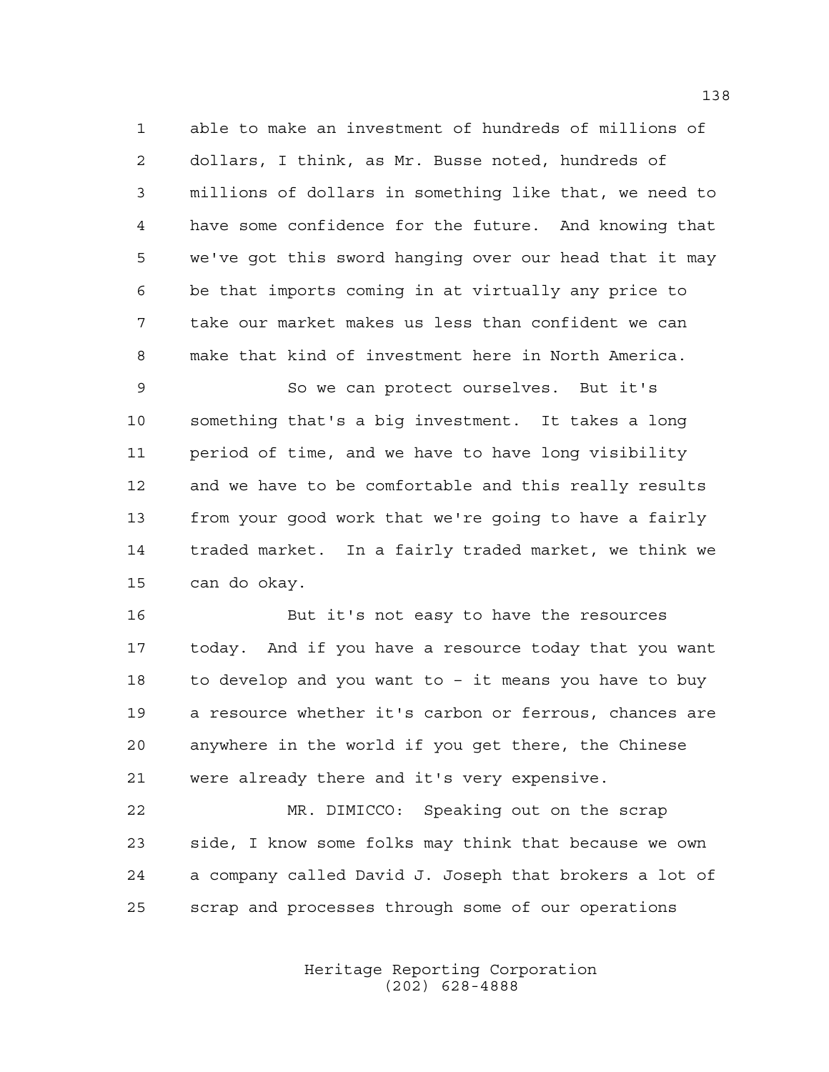able to make an investment of hundreds of millions of dollars, I think, as Mr. Busse noted, hundreds of millions of dollars in something like that, we need to have some confidence for the future. And knowing that we've got this sword hanging over our head that it may be that imports coming in at virtually any price to take our market makes us less than confident we can make that kind of investment here in North America.

 So we can protect ourselves. But it's something that's a big investment. It takes a long period of time, and we have to have long visibility and we have to be comfortable and this really results from your good work that we're going to have a fairly traded market. In a fairly traded market, we think we can do okay.

 But it's not easy to have the resources today. And if you have a resource today that you want to develop and you want to – it means you have to buy a resource whether it's carbon or ferrous, chances are anywhere in the world if you get there, the Chinese were already there and it's very expensive.

 MR. DIMICCO: Speaking out on the scrap side, I know some folks may think that because we own a company called David J. Joseph that brokers a lot of scrap and processes through some of our operations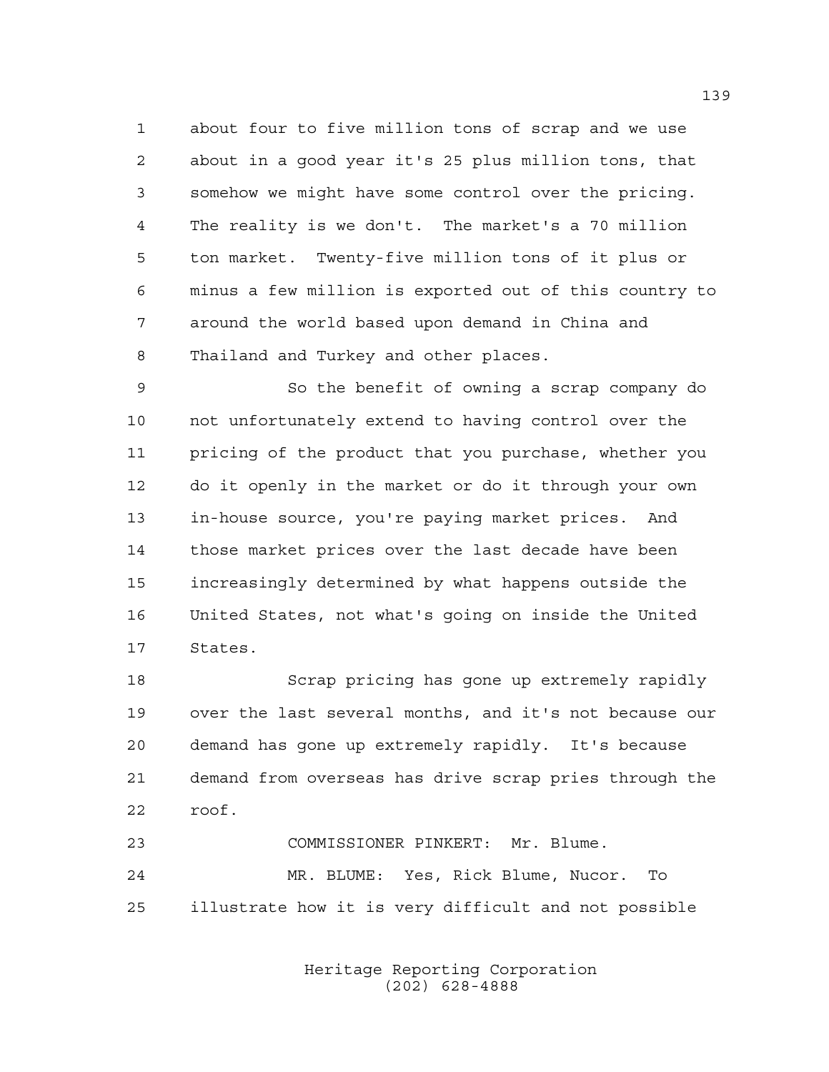about four to five million tons of scrap and we use about in a good year it's 25 plus million tons, that somehow we might have some control over the pricing. The reality is we don't. The market's a 70 million ton market. Twenty-five million tons of it plus or minus a few million is exported out of this country to around the world based upon demand in China and Thailand and Turkey and other places.

 So the benefit of owning a scrap company do not unfortunately extend to having control over the pricing of the product that you purchase, whether you do it openly in the market or do it through your own in-house source, you're paying market prices. And those market prices over the last decade have been increasingly determined by what happens outside the United States, not what's going on inside the United States.

 Scrap pricing has gone up extremely rapidly over the last several months, and it's not because our demand has gone up extremely rapidly. It's because demand from overseas has drive scrap pries through the roof.

 COMMISSIONER PINKERT: Mr. Blume. MR. BLUME: Yes, Rick Blume, Nucor. To illustrate how it is very difficult and not possible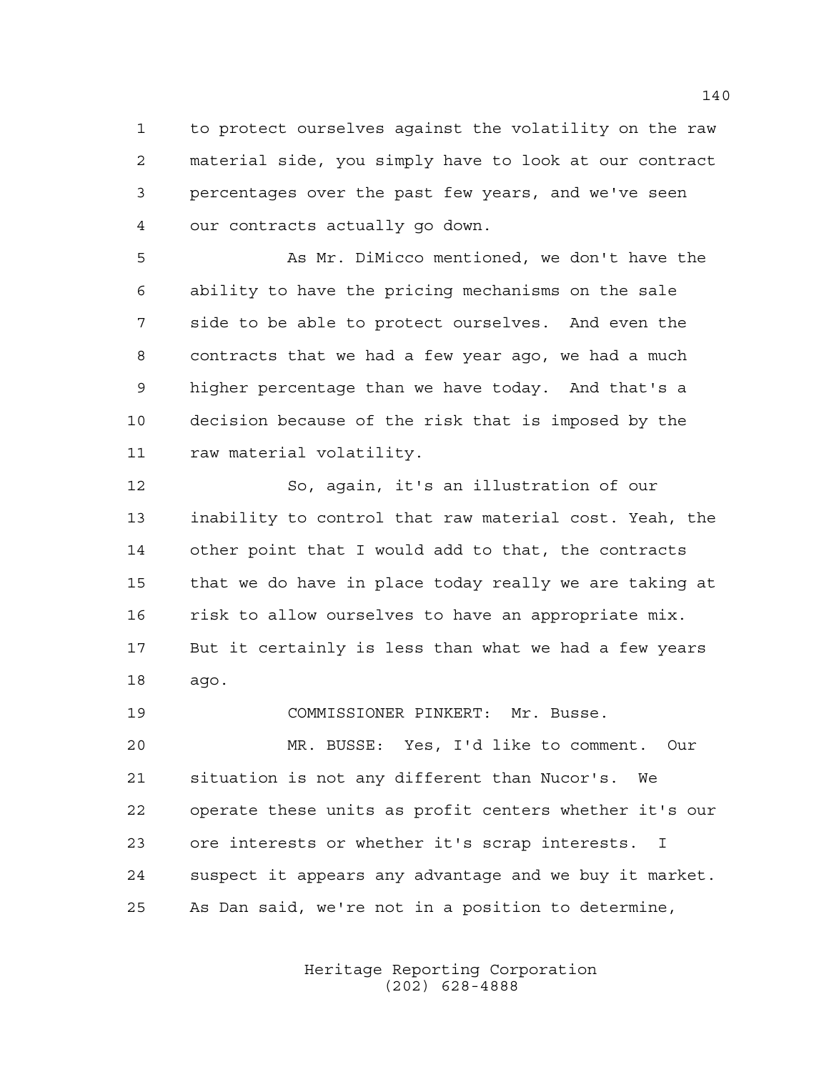to protect ourselves against the volatility on the raw material side, you simply have to look at our contract percentages over the past few years, and we've seen our contracts actually go down.

 As Mr. DiMicco mentioned, we don't have the ability to have the pricing mechanisms on the sale side to be able to protect ourselves. And even the contracts that we had a few year ago, we had a much higher percentage than we have today. And that's a decision because of the risk that is imposed by the raw material volatility.

 So, again, it's an illustration of our inability to control that raw material cost. Yeah, the other point that I would add to that, the contracts that we do have in place today really we are taking at risk to allow ourselves to have an appropriate mix. But it certainly is less than what we had a few years ago.

 COMMISSIONER PINKERT: Mr. Busse. MR. BUSSE: Yes, I'd like to comment. Our situation is not any different than Nucor's. We operate these units as profit centers whether it's our ore interests or whether it's scrap interests. I suspect it appears any advantage and we buy it market. As Dan said, we're not in a position to determine,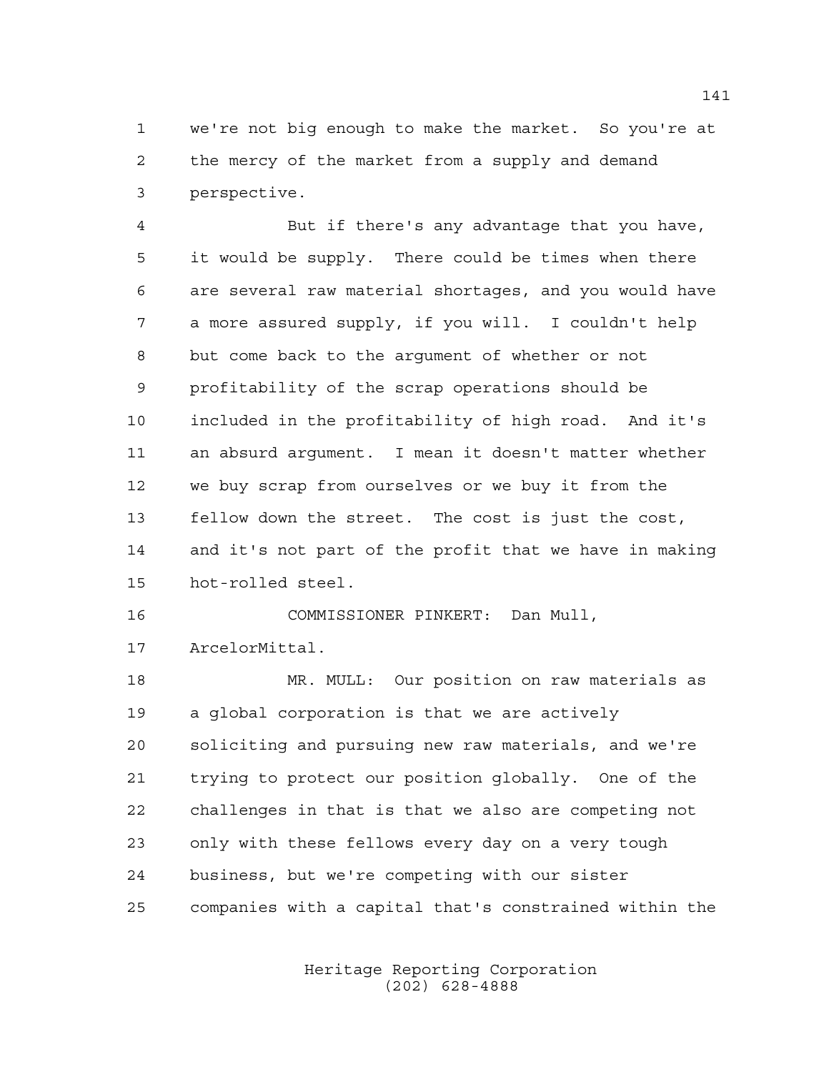we're not big enough to make the market. So you're at the mercy of the market from a supply and demand perspective.

 But if there's any advantage that you have, it would be supply. There could be times when there are several raw material shortages, and you would have a more assured supply, if you will. I couldn't help but come back to the argument of whether or not profitability of the scrap operations should be included in the profitability of high road. And it's an absurd argument. I mean it doesn't matter whether we buy scrap from ourselves or we buy it from the fellow down the street. The cost is just the cost, and it's not part of the profit that we have in making hot-rolled steel.

 COMMISSIONER PINKERT: Dan Mull, ArcelorMittal.

 MR. MULL: Our position on raw materials as a global corporation is that we are actively soliciting and pursuing new raw materials, and we're trying to protect our position globally. One of the challenges in that is that we also are competing not only with these fellows every day on a very tough business, but we're competing with our sister companies with a capital that's constrained within the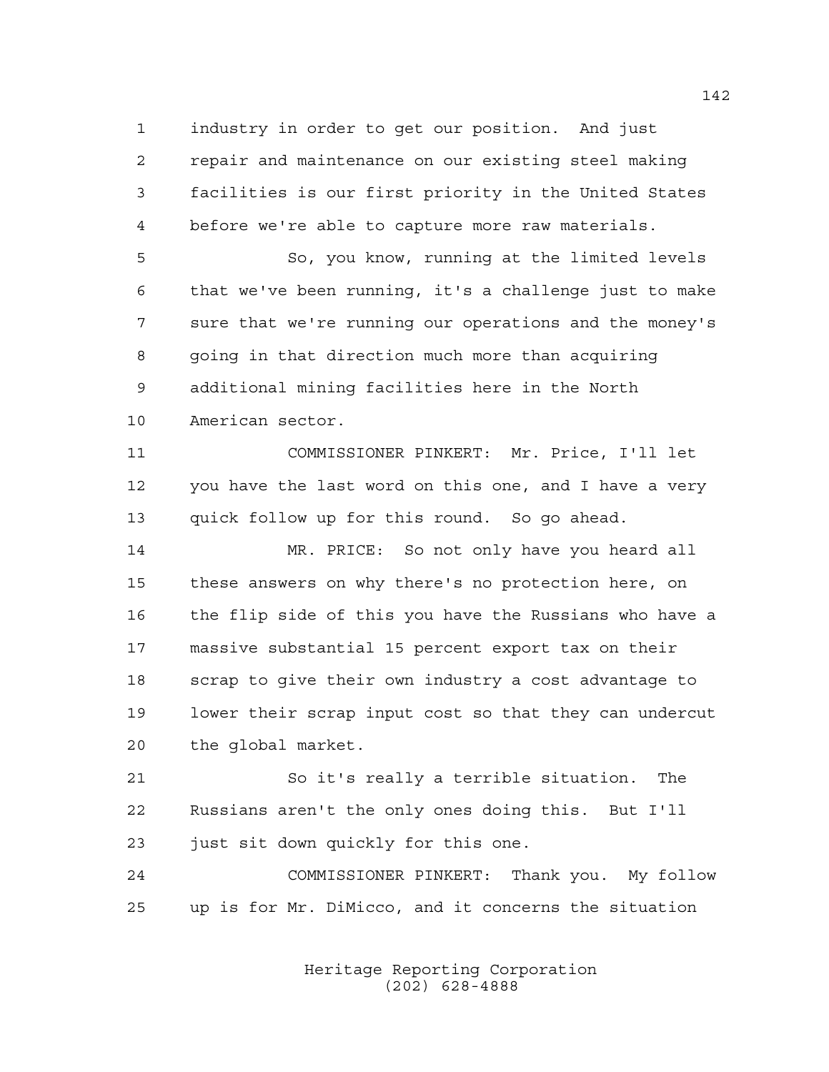industry in order to get our position. And just repair and maintenance on our existing steel making facilities is our first priority in the United States before we're able to capture more raw materials.

 So, you know, running at the limited levels that we've been running, it's a challenge just to make sure that we're running our operations and the money's going in that direction much more than acquiring additional mining facilities here in the North American sector.

 COMMISSIONER PINKERT: Mr. Price, I'll let you have the last word on this one, and I have a very quick follow up for this round. So go ahead.

 MR. PRICE: So not only have you heard all these answers on why there's no protection here, on the flip side of this you have the Russians who have a massive substantial 15 percent export tax on their scrap to give their own industry a cost advantage to lower their scrap input cost so that they can undercut the global market.

 So it's really a terrible situation. The Russians aren't the only ones doing this. But I'll 23 just sit down quickly for this one.

 COMMISSIONER PINKERT: Thank you. My follow up is for Mr. DiMicco, and it concerns the situation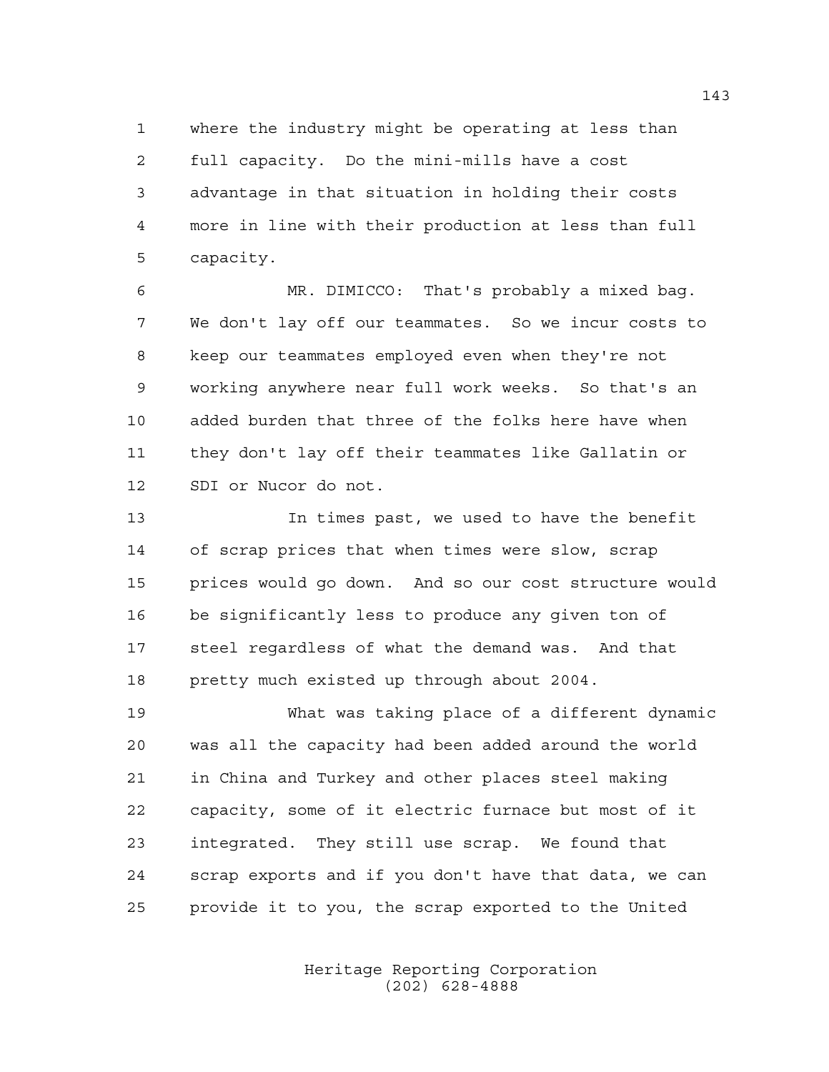where the industry might be operating at less than full capacity. Do the mini-mills have a cost advantage in that situation in holding their costs more in line with their production at less than full capacity.

 MR. DIMICCO: That's probably a mixed bag. We don't lay off our teammates. So we incur costs to keep our teammates employed even when they're not working anywhere near full work weeks. So that's an added burden that three of the folks here have when they don't lay off their teammates like Gallatin or SDI or Nucor do not.

 In times past, we used to have the benefit of scrap prices that when times were slow, scrap prices would go down. And so our cost structure would be significantly less to produce any given ton of steel regardless of what the demand was. And that pretty much existed up through about 2004.

 What was taking place of a different dynamic was all the capacity had been added around the world in China and Turkey and other places steel making capacity, some of it electric furnace but most of it integrated. They still use scrap. We found that scrap exports and if you don't have that data, we can provide it to you, the scrap exported to the United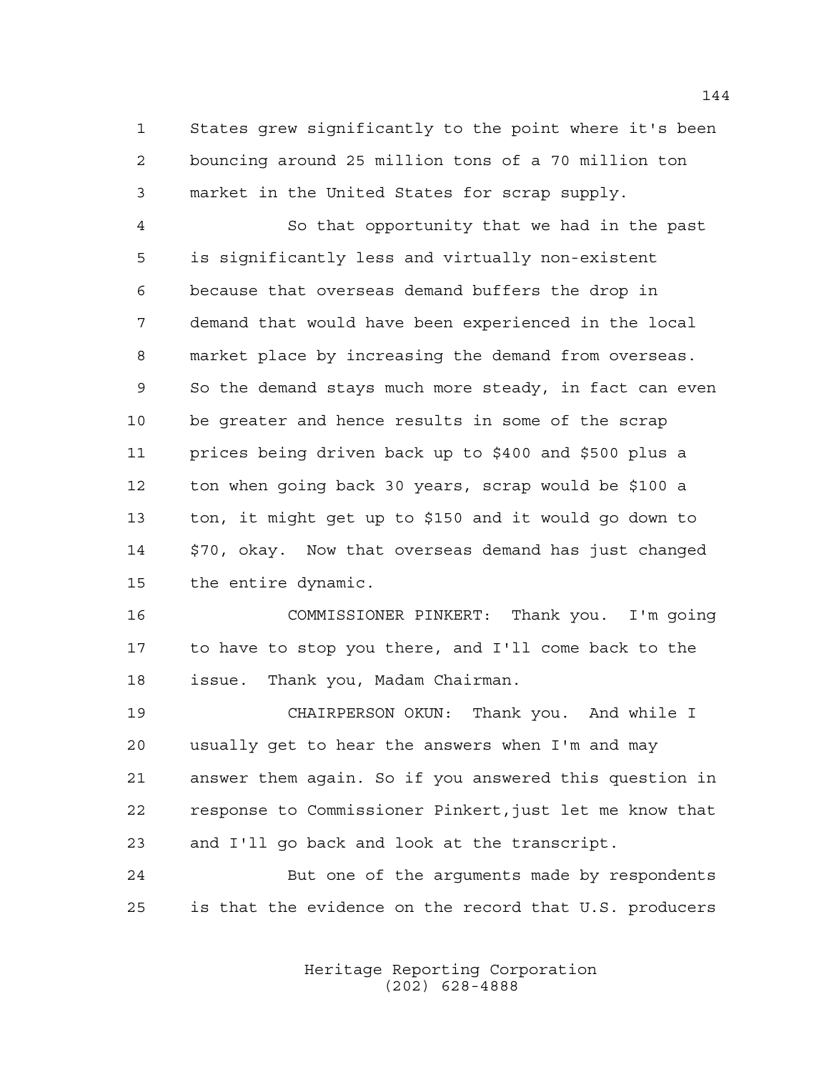States grew significantly to the point where it's been bouncing around 25 million tons of a 70 million ton market in the United States for scrap supply.

 So that opportunity that we had in the past is significantly less and virtually non-existent because that overseas demand buffers the drop in demand that would have been experienced in the local market place by increasing the demand from overseas. So the demand stays much more steady, in fact can even be greater and hence results in some of the scrap prices being driven back up to \$400 and \$500 plus a ton when going back 30 years, scrap would be \$100 a ton, it might get up to \$150 and it would go down to \$70, okay. Now that overseas demand has just changed the entire dynamic.

 COMMISSIONER PINKERT: Thank you. I'm going to have to stop you there, and I'll come back to the issue. Thank you, Madam Chairman.

 CHAIRPERSON OKUN: Thank you. And while I usually get to hear the answers when I'm and may answer them again. So if you answered this question in response to Commissioner Pinkert,just let me know that and I'll go back and look at the transcript.

 But one of the arguments made by respondents is that the evidence on the record that U.S. producers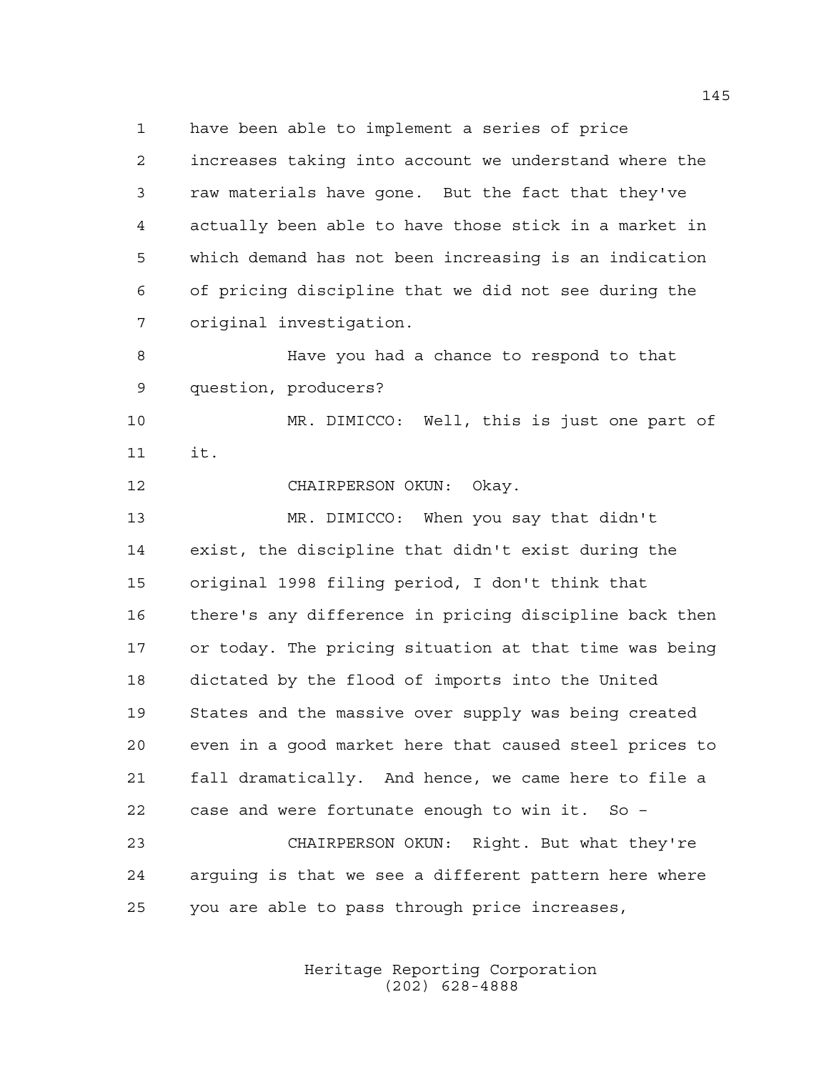have been able to implement a series of price increases taking into account we understand where the raw materials have gone. But the fact that they've actually been able to have those stick in a market in which demand has not been increasing is an indication of pricing discipline that we did not see during the original investigation.

 Have you had a chance to respond to that question, producers?

 MR. DIMICCO: Well, this is just one part of it.

CHAIRPERSON OKUN: Okay.

 MR. DIMICCO: When you say that didn't exist, the discipline that didn't exist during the original 1998 filing period, I don't think that there's any difference in pricing discipline back then or today. The pricing situation at that time was being dictated by the flood of imports into the United States and the massive over supply was being created even in a good market here that caused steel prices to fall dramatically. And hence, we came here to file a case and were fortunate enough to win it. So –

 CHAIRPERSON OKUN: Right. But what they're arguing is that we see a different pattern here where you are able to pass through price increases,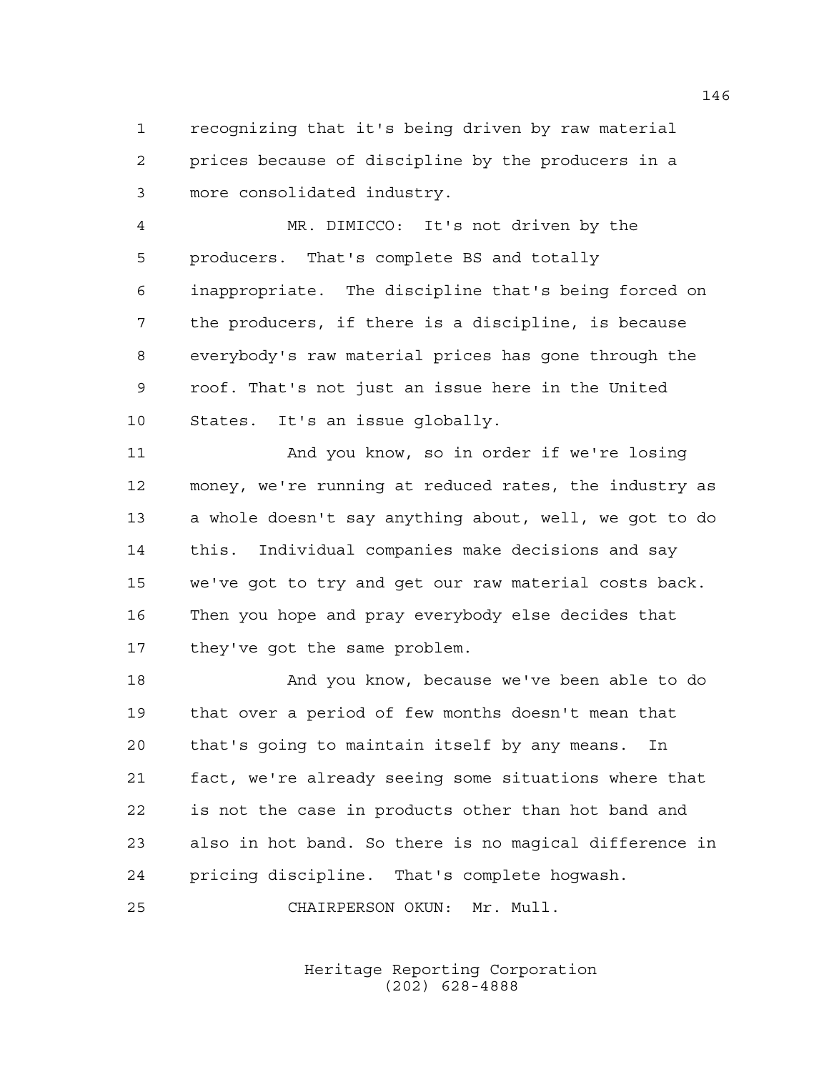recognizing that it's being driven by raw material prices because of discipline by the producers in a more consolidated industry.

 MR. DIMICCO: It's not driven by the producers. That's complete BS and totally inappropriate. The discipline that's being forced on the producers, if there is a discipline, is because everybody's raw material prices has gone through the roof. That's not just an issue here in the United States. It's an issue globally.

 And you know, so in order if we're losing money, we're running at reduced rates, the industry as a whole doesn't say anything about, well, we got to do this. Individual companies make decisions and say we've got to try and get our raw material costs back. Then you hope and pray everybody else decides that they've got the same problem.

 And you know, because we've been able to do that over a period of few months doesn't mean that that's going to maintain itself by any means. In fact, we're already seeing some situations where that is not the case in products other than hot band and also in hot band. So there is no magical difference in pricing discipline. That's complete hogwash.

CHAIRPERSON OKUN: Mr. Mull.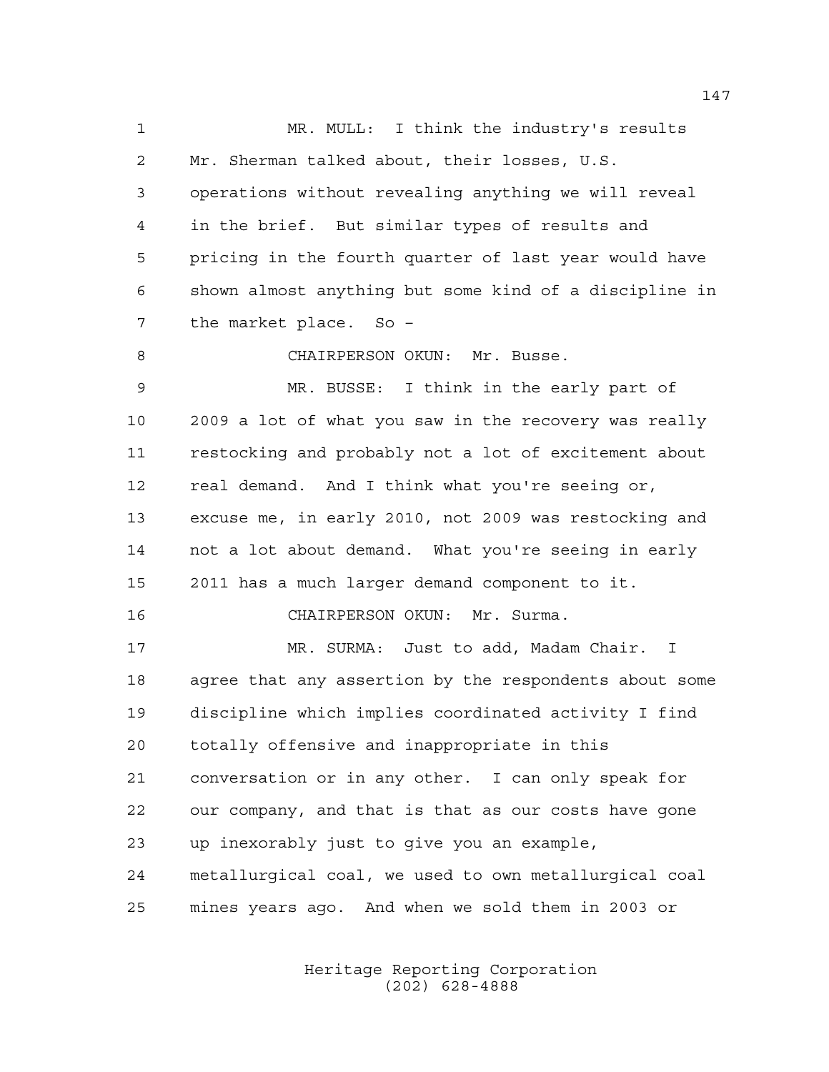MR. MULL: I think the industry's results Mr. Sherman talked about, their losses, U.S. operations without revealing anything we will reveal in the brief. But similar types of results and pricing in the fourth quarter of last year would have shown almost anything but some kind of a discipline in the market place. So – 8 CHAIRPERSON OKUN: Mr. Busse. MR. BUSSE: I think in the early part of 2009 a lot of what you saw in the recovery was really restocking and probably not a lot of excitement about real demand. And I think what you're seeing or, excuse me, in early 2010, not 2009 was restocking and not a lot about demand. What you're seeing in early 2011 has a much larger demand component to it. CHAIRPERSON OKUN: Mr. Surma. MR. SURMA: Just to add, Madam Chair. I agree that any assertion by the respondents about some discipline which implies coordinated activity I find totally offensive and inappropriate in this conversation or in any other. I can only speak for our company, and that is that as our costs have gone up inexorably just to give you an example, metallurgical coal, we used to own metallurgical coal mines years ago. And when we sold them in 2003 or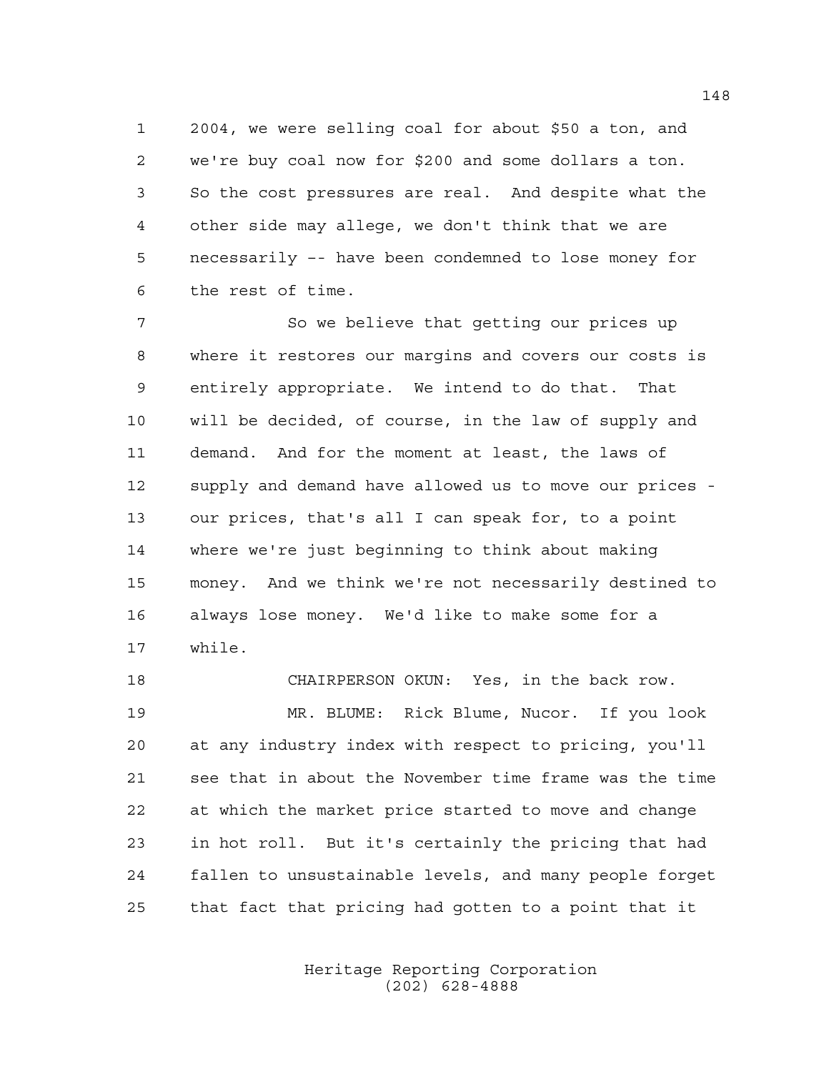2004, we were selling coal for about \$50 a ton, and we're buy coal now for \$200 and some dollars a ton. So the cost pressures are real. And despite what the other side may allege, we don't think that we are necessarily –- have been condemned to lose money for the rest of time.

 So we believe that getting our prices up where it restores our margins and covers our costs is entirely appropriate. We intend to do that. That will be decided, of course, in the law of supply and demand. And for the moment at least, the laws of supply and demand have allowed us to move our prices - our prices, that's all I can speak for, to a point where we're just beginning to think about making money. And we think we're not necessarily destined to always lose money. We'd like to make some for a while.

 CHAIRPERSON OKUN: Yes, in the back row. MR. BLUME: Rick Blume, Nucor. If you look at any industry index with respect to pricing, you'll see that in about the November time frame was the time at which the market price started to move and change in hot roll. But it's certainly the pricing that had fallen to unsustainable levels, and many people forget that fact that pricing had gotten to a point that it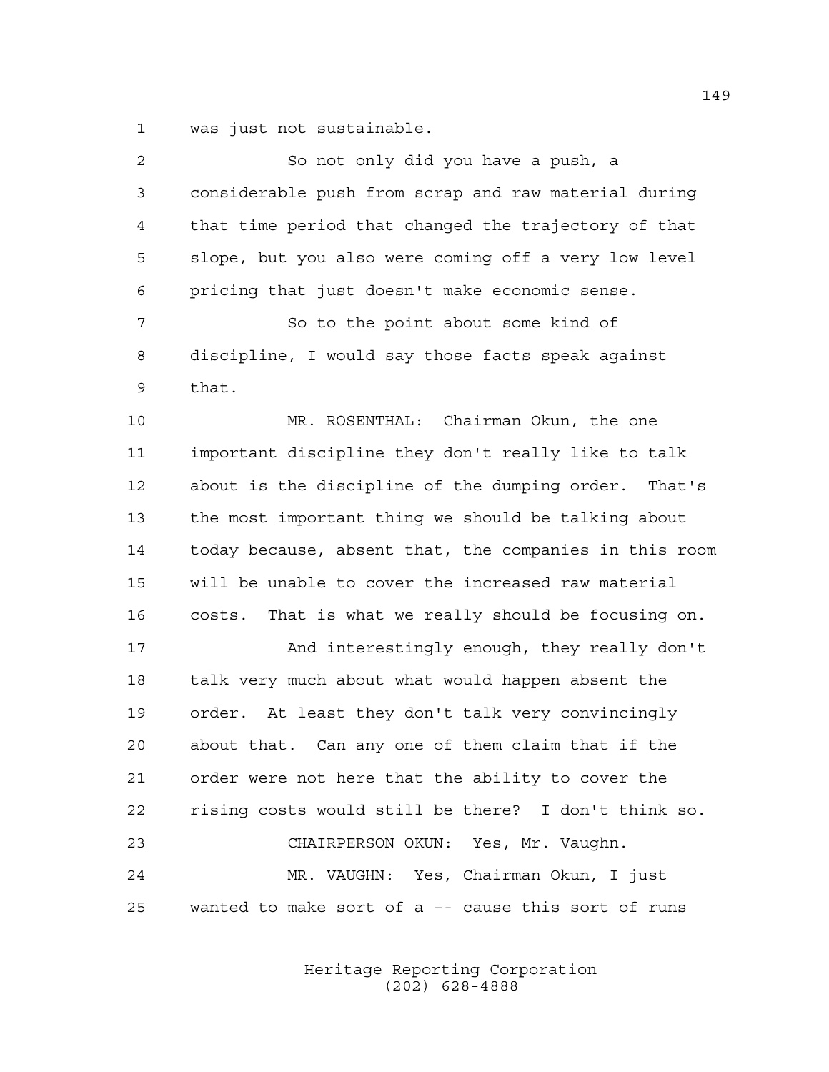was just not sustainable.

| 2           | So not only did you have a push, a                      |
|-------------|---------------------------------------------------------|
| 3           | considerable push from scrap and raw material during    |
| 4           | that time period that changed the trajectory of that    |
| 5           | slope, but you also were coming off a very low level    |
| 6           | pricing that just doesn't make economic sense.          |
| 7           | So to the point about some kind of                      |
| 8           | discipline, I would say those facts speak against       |
| $\mathsf 9$ | that.                                                   |
| 10          | MR. ROSENTHAL: Chairman Okun, the one                   |
| 11          | important discipline they don't really like to talk     |
| 12          | about is the discipline of the dumping order. That's    |
| 13          | the most important thing we should be talking about     |
| 14          | today because, absent that, the companies in this room  |
| 15          | will be unable to cover the increased raw material      |
| 16          | That is what we really should be focusing on.<br>costs. |
| 17          | And interestingly enough, they really don't             |
| 18          | talk very much about what would happen absent the       |
| 19          | order. At least they don't talk very convincingly       |
| 20          | about that. Can any one of them claim that if the       |
| 21          | order were not here that the ability to cover the       |
| 22          | rising costs would still be there? I don't think so.    |
| 23          | CHAIRPERSON OKUN: Yes, Mr. Vaughn.                      |
| 24          | MR. VAUGHN: Yes, Chairman Okun, I just                  |
| 25          | wanted to make sort of a -- cause this sort of runs     |
|             |                                                         |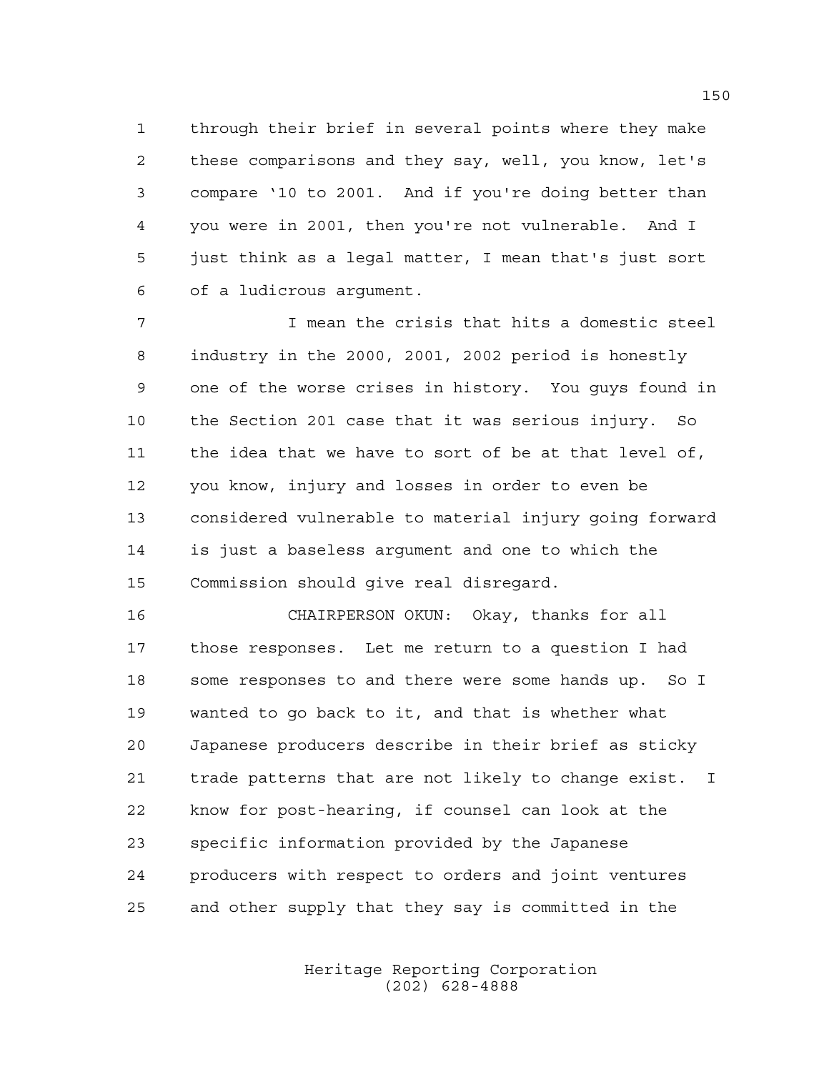through their brief in several points where they make these comparisons and they say, well, you know, let's compare '10 to 2001. And if you're doing better than you were in 2001, then you're not vulnerable. And I just think as a legal matter, I mean that's just sort of a ludicrous argument.

 I mean the crisis that hits a domestic steel industry in the 2000, 2001, 2002 period is honestly one of the worse crises in history. You guys found in the Section 201 case that it was serious injury. So the idea that we have to sort of be at that level of, you know, injury and losses in order to even be considered vulnerable to material injury going forward is just a baseless argument and one to which the Commission should give real disregard.

 CHAIRPERSON OKUN: Okay, thanks for all those responses. Let me return to a question I had some responses to and there were some hands up. So I wanted to go back to it, and that is whether what Japanese producers describe in their brief as sticky trade patterns that are not likely to change exist. I know for post-hearing, if counsel can look at the specific information provided by the Japanese producers with respect to orders and joint ventures and other supply that they say is committed in the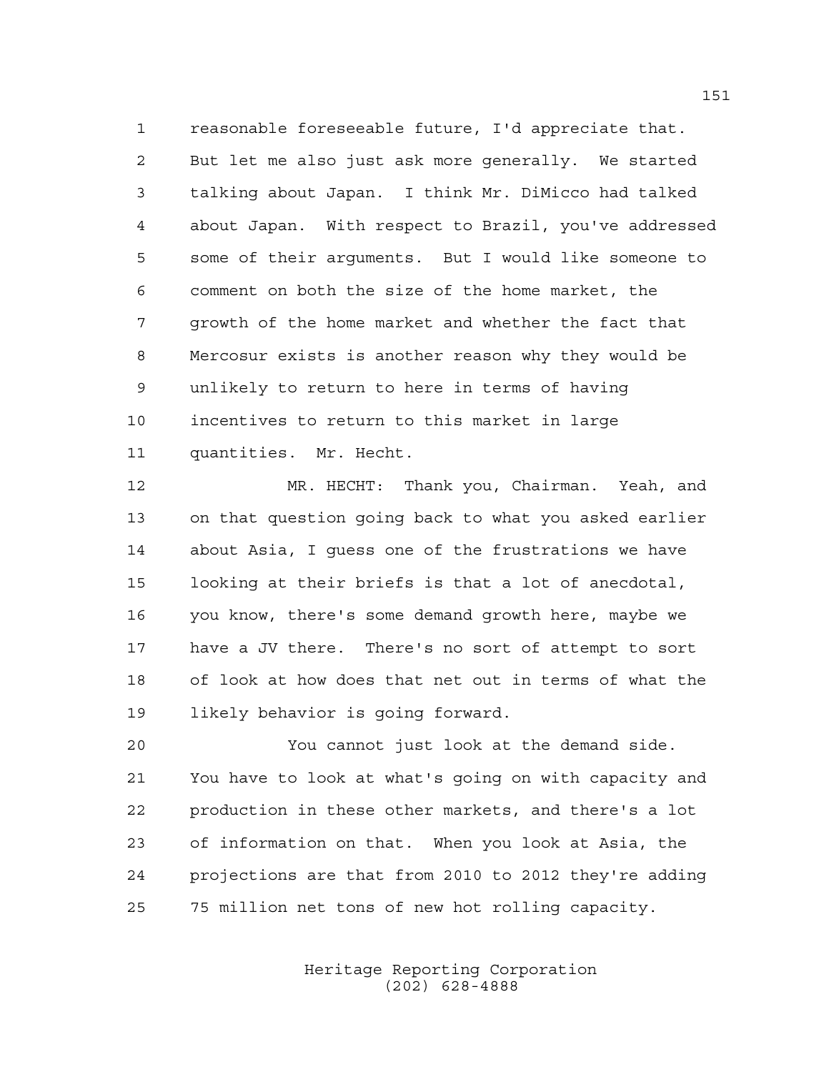reasonable foreseeable future, I'd appreciate that. But let me also just ask more generally. We started talking about Japan. I think Mr. DiMicco had talked about Japan. With respect to Brazil, you've addressed some of their arguments. But I would like someone to comment on both the size of the home market, the growth of the home market and whether the fact that Mercosur exists is another reason why they would be unlikely to return to here in terms of having incentives to return to this market in large quantities. Mr. Hecht.

 MR. HECHT: Thank you, Chairman. Yeah, and on that question going back to what you asked earlier about Asia, I guess one of the frustrations we have looking at their briefs is that a lot of anecdotal, you know, there's some demand growth here, maybe we have a JV there. There's no sort of attempt to sort of look at how does that net out in terms of what the likely behavior is going forward.

 You cannot just look at the demand side. You have to look at what's going on with capacity and production in these other markets, and there's a lot of information on that. When you look at Asia, the projections are that from 2010 to 2012 they're adding 75 million net tons of new hot rolling capacity.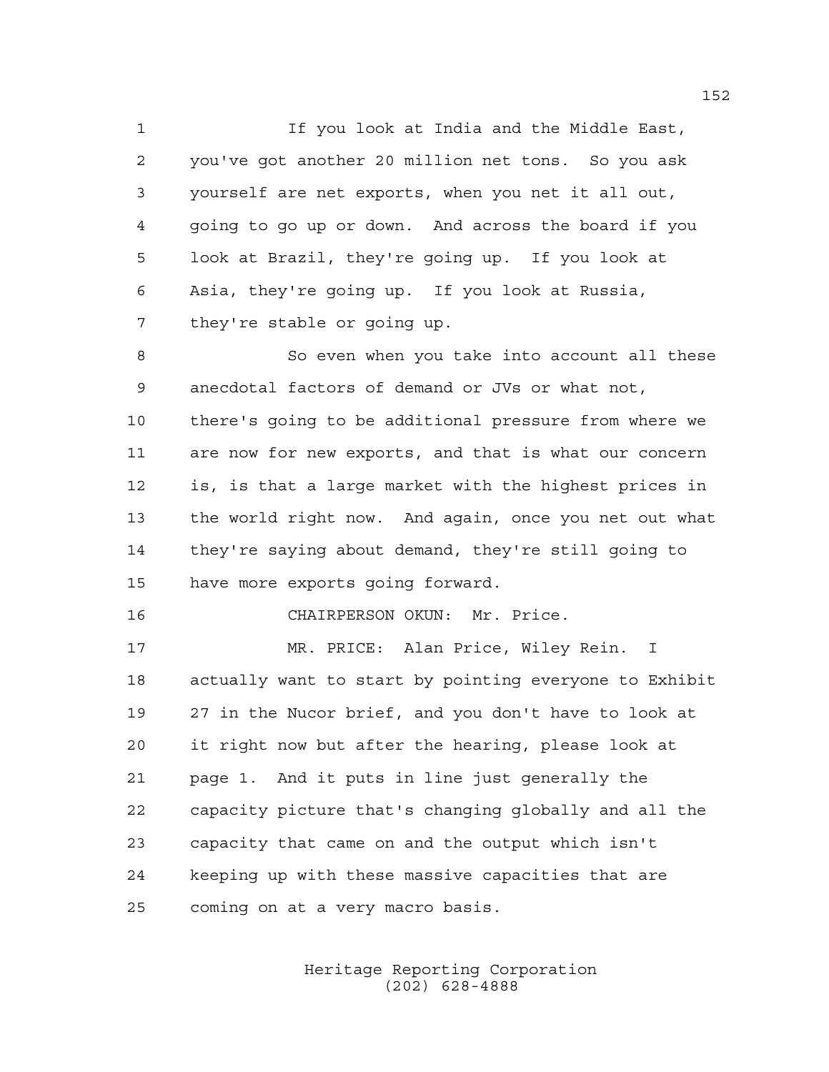If you look at India and the Middle East, you've got another 20 million net tons. So you ask yourself are net exports, when you net it all out, going to go up or down. And across the board if you look at Brazil, they're going up. If you look at Asia, they're going up. If you look at Russia, they're stable or going up.

 So even when you take into account all these anecdotal factors of demand or JVs or what not, there's going to be additional pressure from where we are now for new exports, and that is what our concern is, is that a large market with the highest prices in the world right now. And again, once you net out what they're saying about demand, they're still going to have more exports going forward.

CHAIRPERSON OKUN: Mr. Price.

 MR. PRICE: Alan Price, Wiley Rein. I actually want to start by pointing everyone to Exhibit 27 in the Nucor brief, and you don't have to look at it right now but after the hearing, please look at page 1. And it puts in line just generally the capacity picture that's changing globally and all the capacity that came on and the output which isn't keeping up with these massive capacities that are coming on at a very macro basis.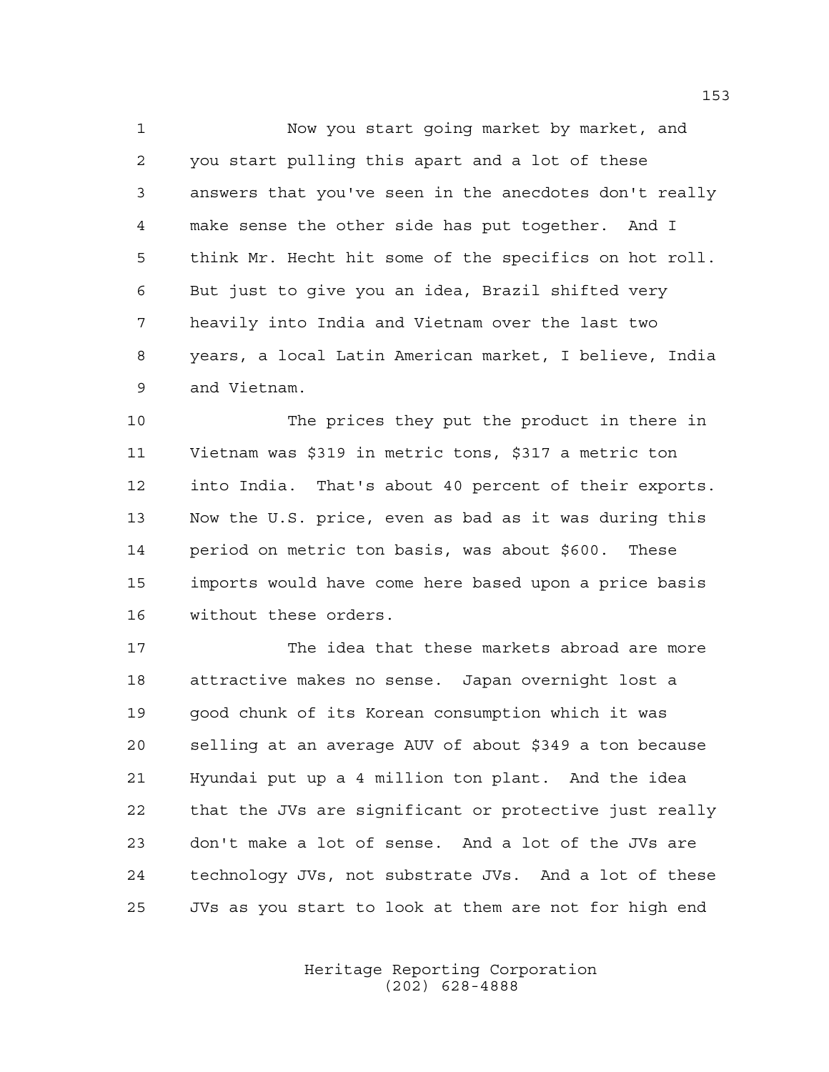Now you start going market by market, and you start pulling this apart and a lot of these answers that you've seen in the anecdotes don't really make sense the other side has put together. And I think Mr. Hecht hit some of the specifics on hot roll. But just to give you an idea, Brazil shifted very heavily into India and Vietnam over the last two years, a local Latin American market, I believe, India and Vietnam.

 The prices they put the product in there in Vietnam was \$319 in metric tons, \$317 a metric ton into India. That's about 40 percent of their exports. Now the U.S. price, even as bad as it was during this period on metric ton basis, was about \$600. These imports would have come here based upon a price basis without these orders.

 The idea that these markets abroad are more attractive makes no sense. Japan overnight lost a good chunk of its Korean consumption which it was selling at an average AUV of about \$349 a ton because Hyundai put up a 4 million ton plant. And the idea that the JVs are significant or protective just really don't make a lot of sense. And a lot of the JVs are technology JVs, not substrate JVs. And a lot of these JVs as you start to look at them are not for high end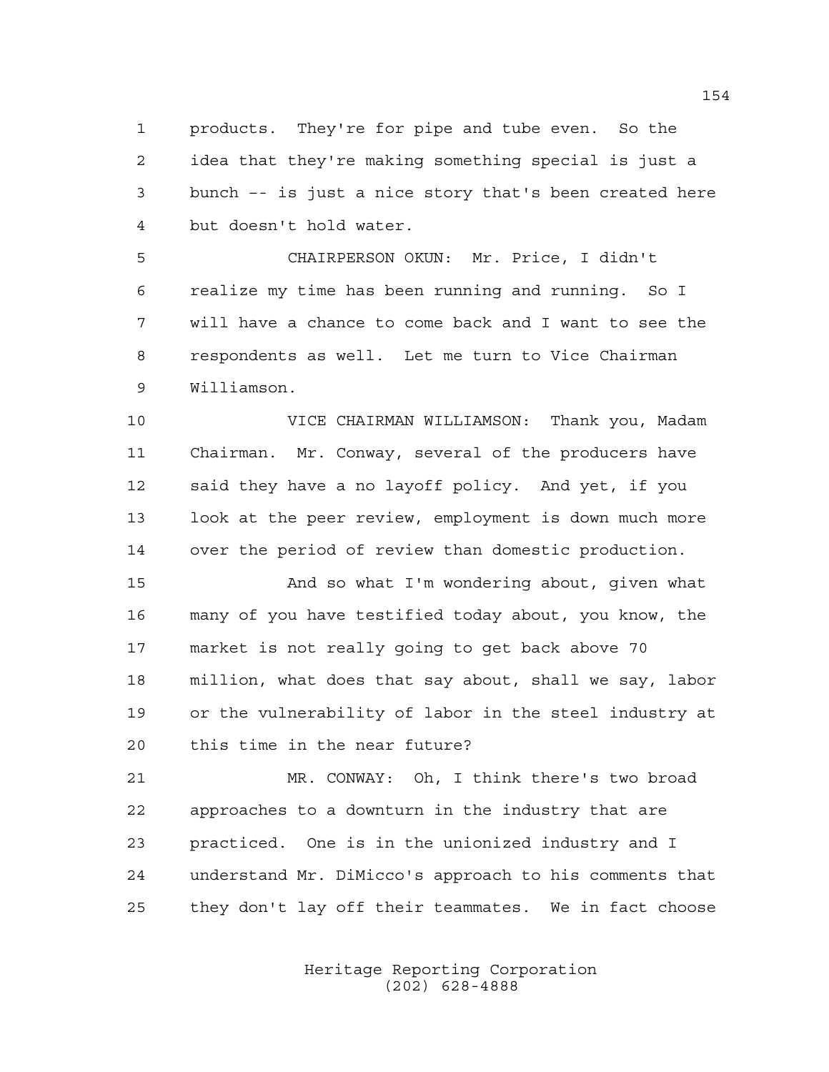products. They're for pipe and tube even. So the idea that they're making something special is just a bunch –- is just a nice story that's been created here but doesn't hold water.

 CHAIRPERSON OKUN: Mr. Price, I didn't realize my time has been running and running. So I will have a chance to come back and I want to see the respondents as well. Let me turn to Vice Chairman Williamson.

 VICE CHAIRMAN WILLIAMSON: Thank you, Madam Chairman. Mr. Conway, several of the producers have said they have a no layoff policy. And yet, if you look at the peer review, employment is down much more over the period of review than domestic production.

 And so what I'm wondering about, given what many of you have testified today about, you know, the market is not really going to get back above 70 million, what does that say about, shall we say, labor or the vulnerability of labor in the steel industry at this time in the near future?

 MR. CONWAY: Oh, I think there's two broad approaches to a downturn in the industry that are practiced. One is in the unionized industry and I understand Mr. DiMicco's approach to his comments that they don't lay off their teammates. We in fact choose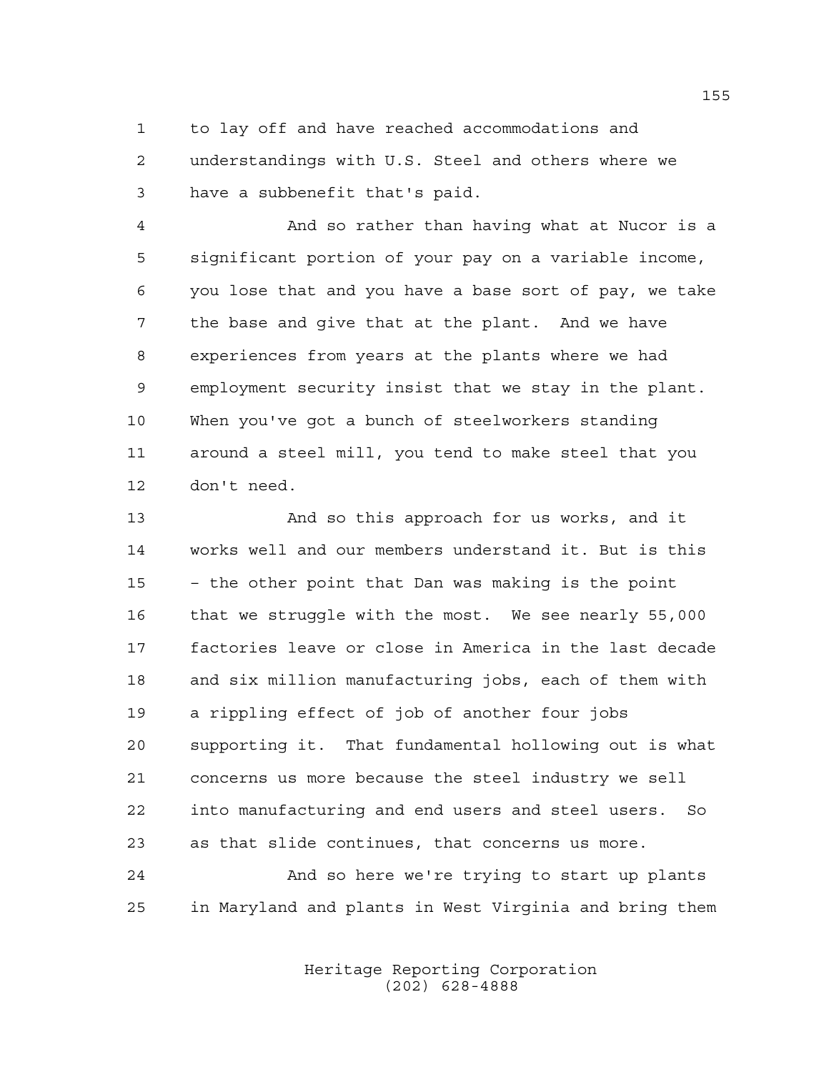to lay off and have reached accommodations and understandings with U.S. Steel and others where we have a subbenefit that's paid.

 And so rather than having what at Nucor is a significant portion of your pay on a variable income, you lose that and you have a base sort of pay, we take the base and give that at the plant. And we have experiences from years at the plants where we had employment security insist that we stay in the plant. When you've got a bunch of steelworkers standing around a steel mill, you tend to make steel that you don't need.

 And so this approach for us works, and it works well and our members understand it. But is this – the other point that Dan was making is the point that we struggle with the most. We see nearly 55,000 factories leave or close in America in the last decade and six million manufacturing jobs, each of them with a rippling effect of job of another four jobs supporting it. That fundamental hollowing out is what concerns us more because the steel industry we sell into manufacturing and end users and steel users. So as that slide continues, that concerns us more.

 And so here we're trying to start up plants in Maryland and plants in West Virginia and bring them

> Heritage Reporting Corporation (202) 628-4888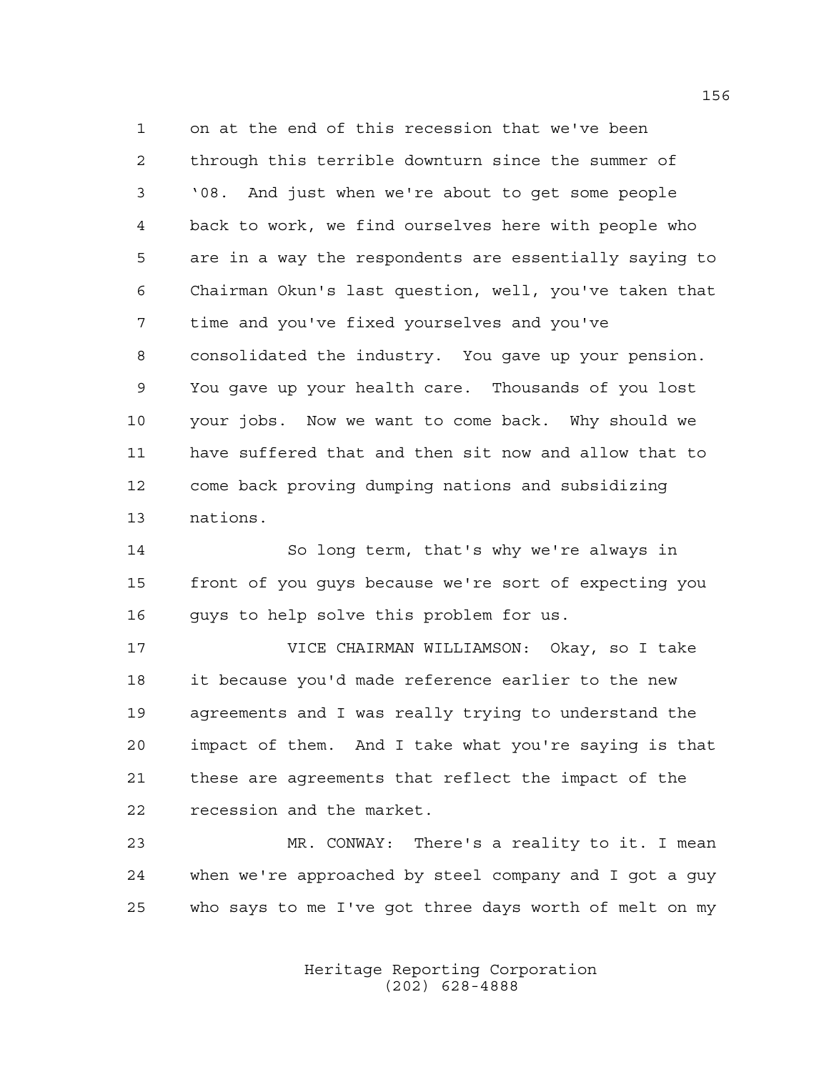on at the end of this recession that we've been through this terrible downturn since the summer of '08. And just when we're about to get some people back to work, we find ourselves here with people who are in a way the respondents are essentially saying to Chairman Okun's last question, well, you've taken that time and you've fixed yourselves and you've consolidated the industry. You gave up your pension. You gave up your health care. Thousands of you lost your jobs. Now we want to come back. Why should we have suffered that and then sit now and allow that to come back proving dumping nations and subsidizing nations.

 So long term, that's why we're always in front of you guys because we're sort of expecting you guys to help solve this problem for us.

 VICE CHAIRMAN WILLIAMSON: Okay, so I take it because you'd made reference earlier to the new agreements and I was really trying to understand the impact of them. And I take what you're saying is that these are agreements that reflect the impact of the recession and the market.

 MR. CONWAY: There's a reality to it. I mean when we're approached by steel company and I got a guy who says to me I've got three days worth of melt on my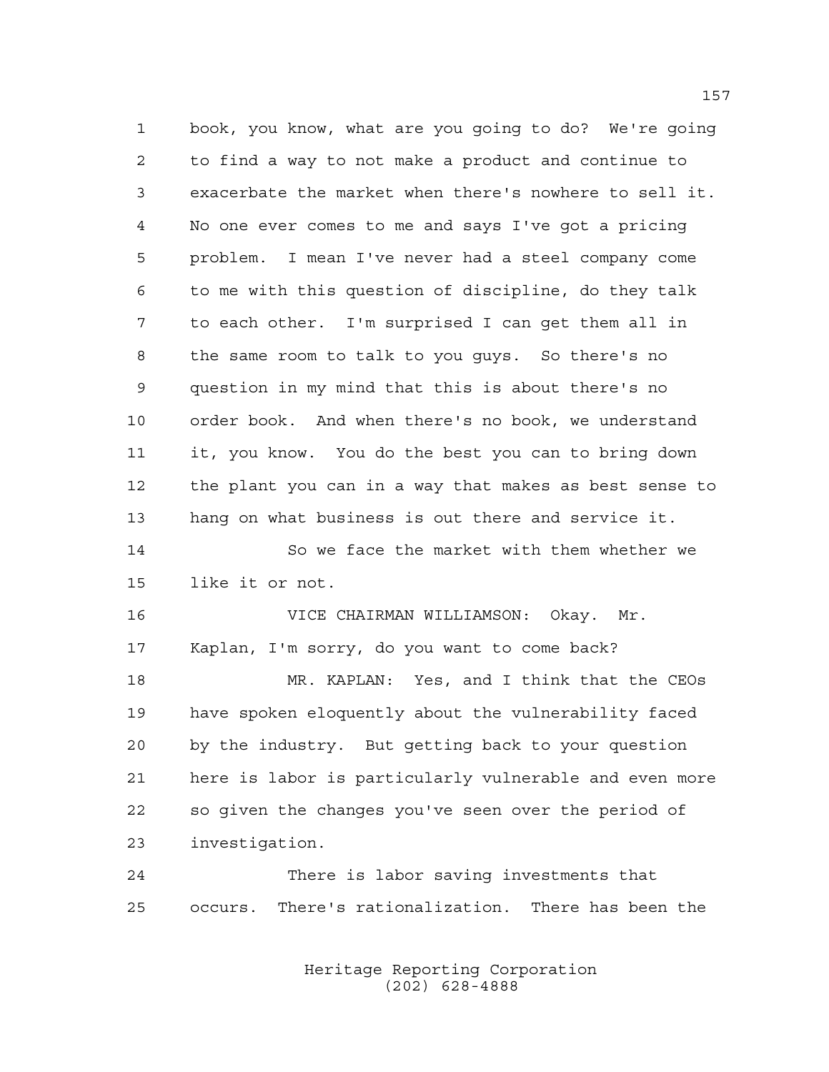book, you know, what are you going to do? We're going to find a way to not make a product and continue to exacerbate the market when there's nowhere to sell it. No one ever comes to me and says I've got a pricing problem. I mean I've never had a steel company come to me with this question of discipline, do they talk to each other. I'm surprised I can get them all in the same room to talk to you guys. So there's no question in my mind that this is about there's no order book. And when there's no book, we understand it, you know. You do the best you can to bring down the plant you can in a way that makes as best sense to hang on what business is out there and service it. So we face the market with them whether we like it or not. VICE CHAIRMAN WILLIAMSON: Okay. Mr. Kaplan, I'm sorry, do you want to come back? MR. KAPLAN: Yes, and I think that the CEOs have spoken eloquently about the vulnerability faced by the industry. But getting back to your question here is labor is particularly vulnerable and even more so given the changes you've seen over the period of investigation. There is labor saving investments that

occurs. There's rationalization. There has been the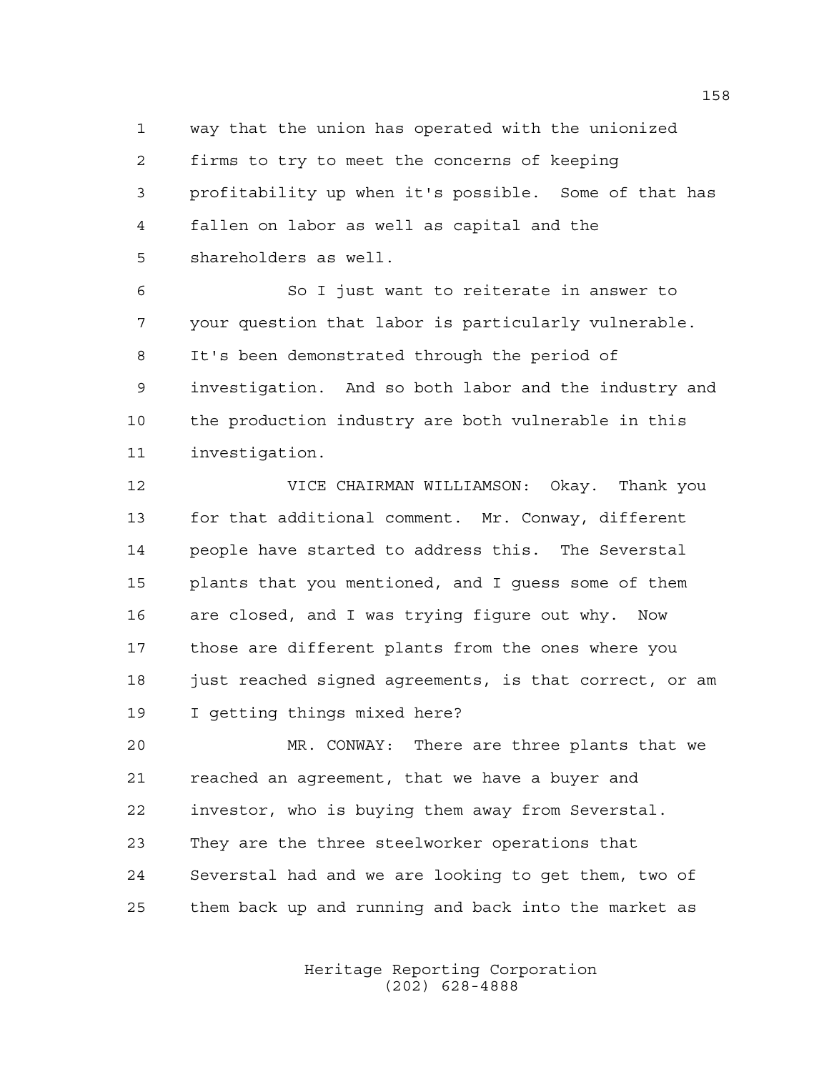way that the union has operated with the unionized firms to try to meet the concerns of keeping profitability up when it's possible. Some of that has fallen on labor as well as capital and the shareholders as well.

 So I just want to reiterate in answer to your question that labor is particularly vulnerable. It's been demonstrated through the period of investigation. And so both labor and the industry and the production industry are both vulnerable in this investigation.

 VICE CHAIRMAN WILLIAMSON: Okay. Thank you for that additional comment. Mr. Conway, different people have started to address this. The Severstal plants that you mentioned, and I guess some of them are closed, and I was trying figure out why. Now those are different plants from the ones where you 18 just reached signed agreements, is that correct, or am I getting things mixed here?

 MR. CONWAY: There are three plants that we reached an agreement, that we have a buyer and investor, who is buying them away from Severstal. They are the three steelworker operations that Severstal had and we are looking to get them, two of them back up and running and back into the market as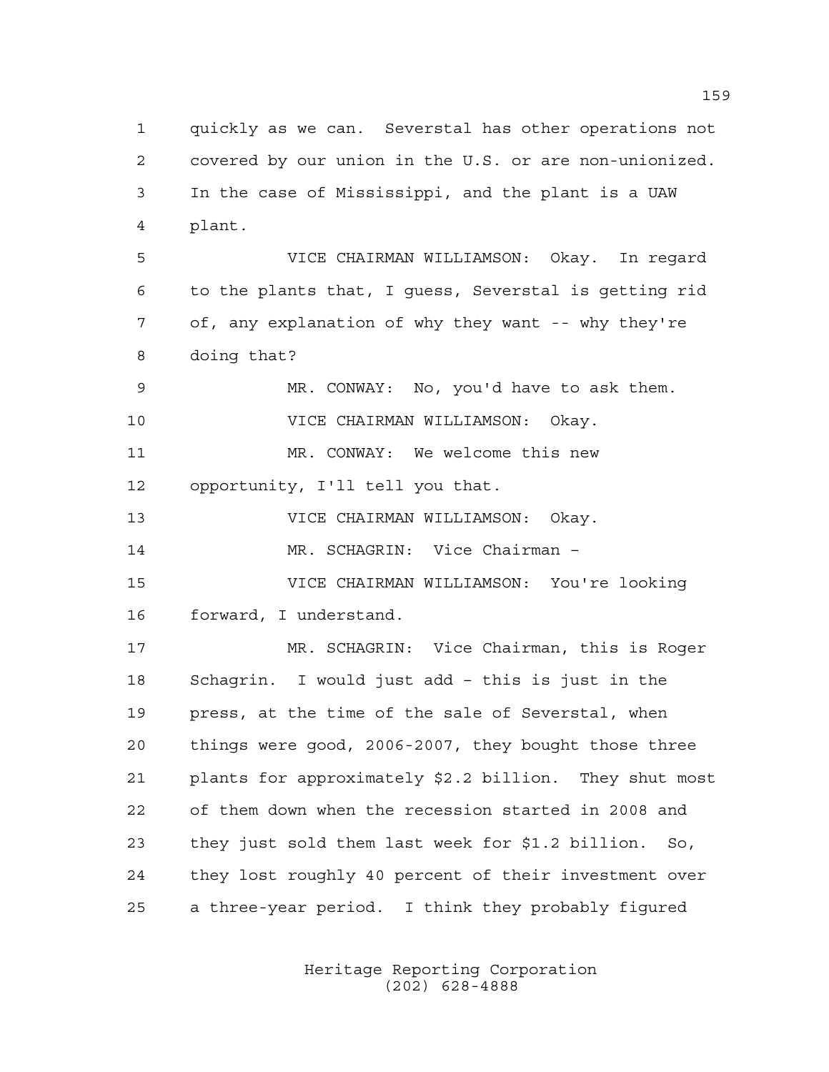quickly as we can. Severstal has other operations not covered by our union in the U.S. or are non-unionized. In the case of Mississippi, and the plant is a UAW plant. VICE CHAIRMAN WILLIAMSON: Okay. In regard to the plants that, I guess, Severstal is getting rid of, any explanation of why they want -- why they're doing that? MR. CONWAY: No, you'd have to ask them. VICE CHAIRMAN WILLIAMSON: Okay. MR. CONWAY: We welcome this new opportunity, I'll tell you that. VICE CHAIRMAN WILLIAMSON: Okay. MR. SCHAGRIN: Vice Chairman – VICE CHAIRMAN WILLIAMSON: You're looking forward, I understand. MR. SCHAGRIN: Vice Chairman, this is Roger Schagrin. I would just add – this is just in the press, at the time of the sale of Severstal, when things were good, 2006-2007, they bought those three plants for approximately \$2.2 billion. They shut most of them down when the recession started in 2008 and they just sold them last week for \$1.2 billion. So, they lost roughly 40 percent of their investment over a three-year period. I think they probably figured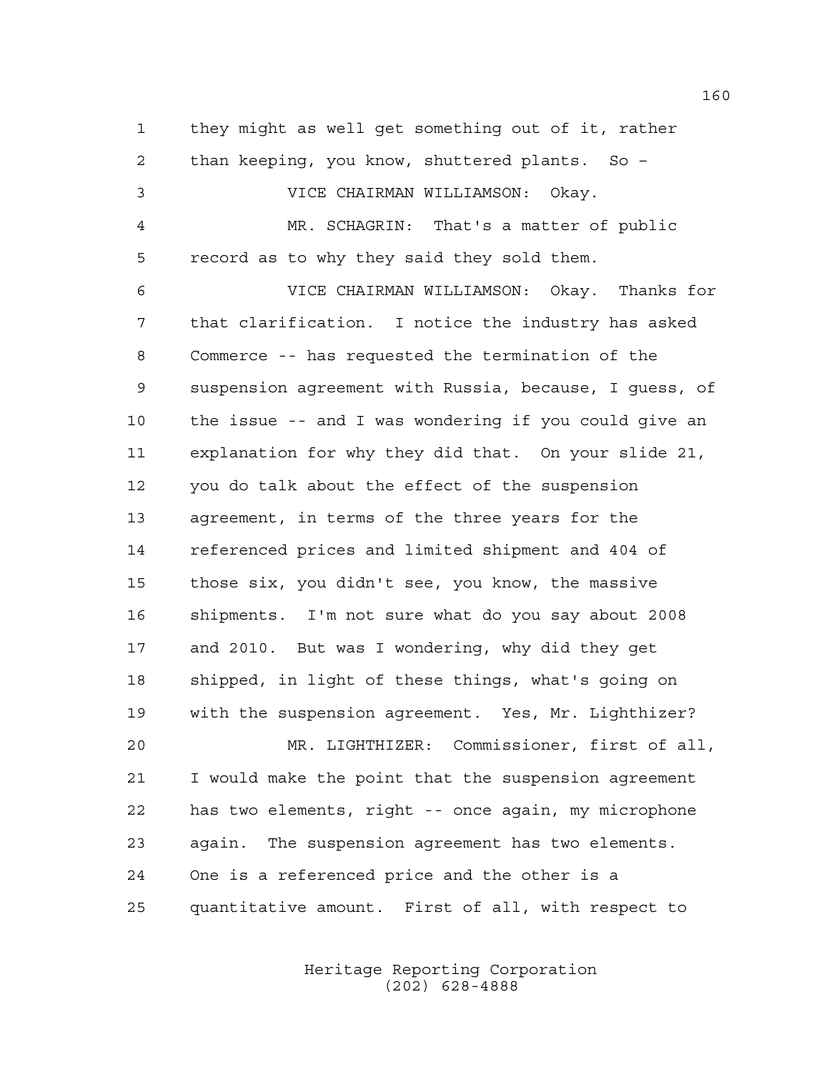they might as well get something out of it, rather than keeping, you know, shuttered plants. So – VICE CHAIRMAN WILLIAMSON: Okay. MR. SCHAGRIN: That's a matter of public record as to why they said they sold them. VICE CHAIRMAN WILLIAMSON: Okay. Thanks for that clarification. I notice the industry has asked Commerce -- has requested the termination of the suspension agreement with Russia, because, I guess, of the issue -- and I was wondering if you could give an explanation for why they did that. On your slide 21, you do talk about the effect of the suspension agreement, in terms of the three years for the referenced prices and limited shipment and 404 of those six, you didn't see, you know, the massive shipments. I'm not sure what do you say about 2008 and 2010. But was I wondering, why did they get shipped, in light of these things, what's going on with the suspension agreement. Yes, Mr. Lighthizer? MR. LIGHTHIZER: Commissioner, first of all, I would make the point that the suspension agreement has two elements, right -- once again, my microphone again. The suspension agreement has two elements. One is a referenced price and the other is a

quantitative amount. First of all, with respect to

Heritage Reporting Corporation (202) 628-4888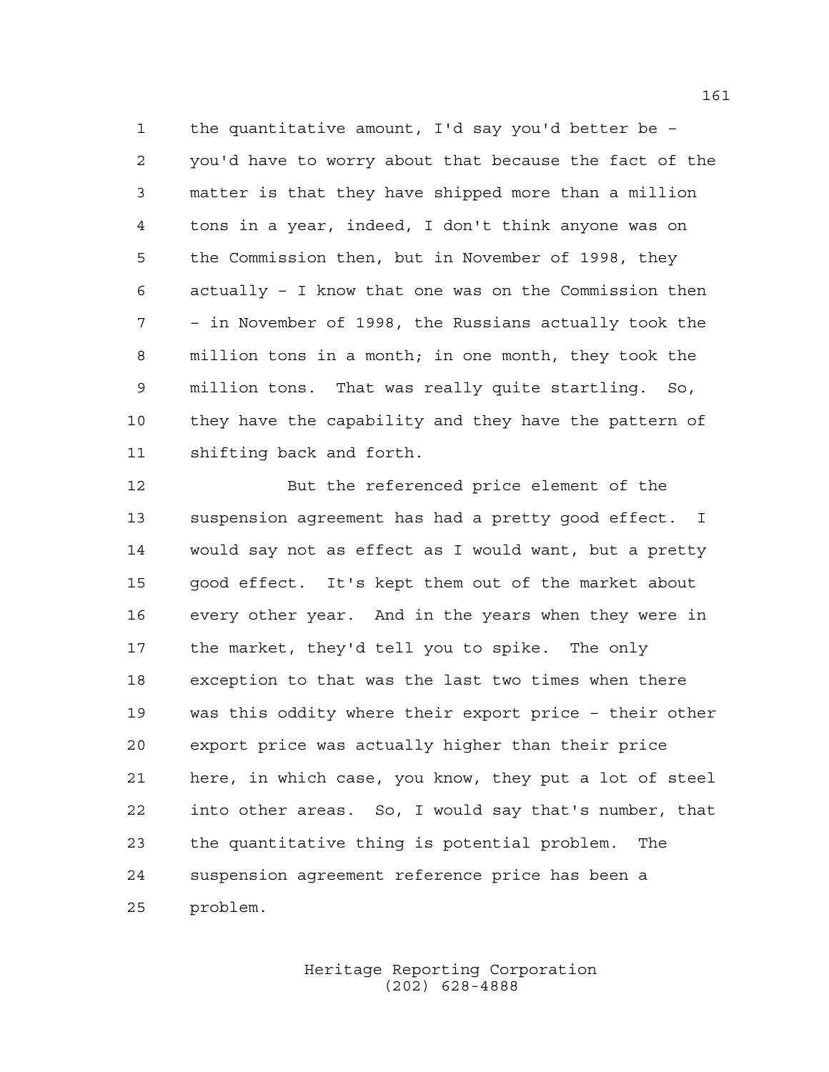the quantitative amount, I'd say you'd better be – you'd have to worry about that because the fact of the matter is that they have shipped more than a million tons in a year, indeed, I don't think anyone was on the Commission then, but in November of 1998, they actually – I know that one was on the Commission then – in November of 1998, the Russians actually took the million tons in a month; in one month, they took the million tons. That was really quite startling. So, they have the capability and they have the pattern of shifting back and forth.

 But the referenced price element of the suspension agreement has had a pretty good effect. I would say not as effect as I would want, but a pretty good effect. It's kept them out of the market about every other year. And in the years when they were in the market, they'd tell you to spike. The only exception to that was the last two times when there was this oddity where their export price – their other export price was actually higher than their price here, in which case, you know, they put a lot of steel into other areas. So, I would say that's number, that the quantitative thing is potential problem. The suspension agreement reference price has been a problem.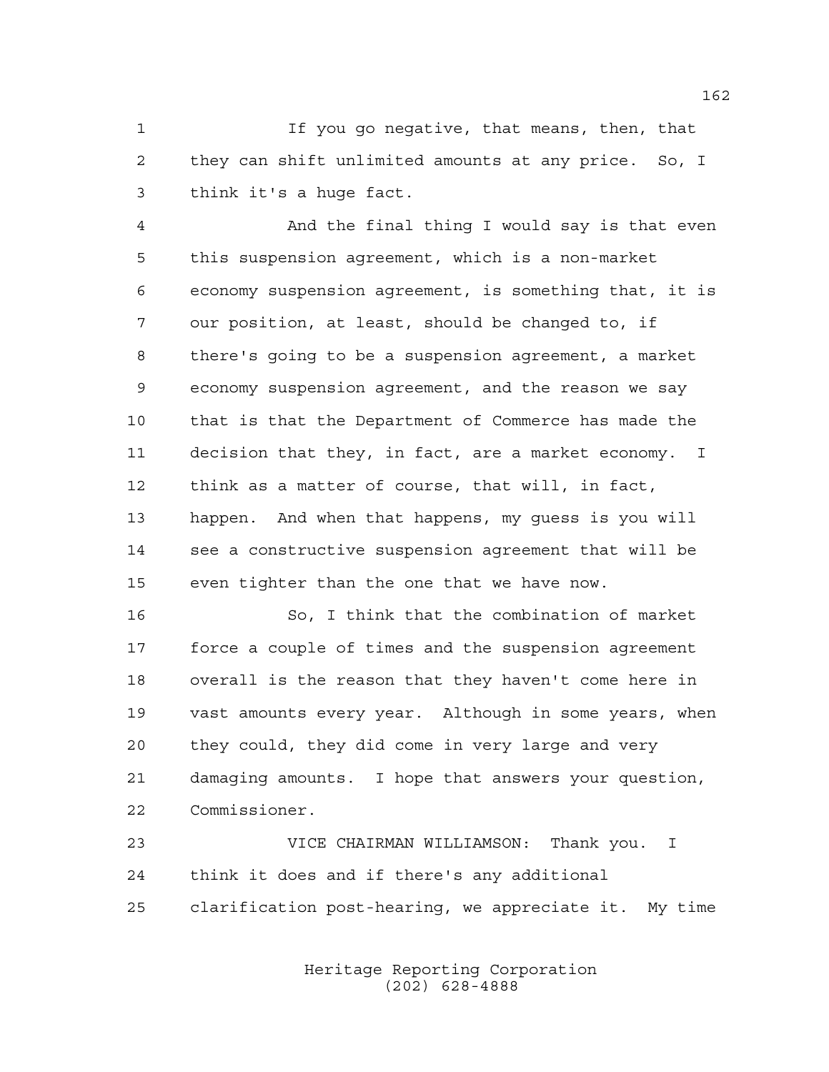If you go negative, that means, then, that they can shift unlimited amounts at any price. So, I think it's a huge fact.

 And the final thing I would say is that even this suspension agreement, which is a non-market economy suspension agreement, is something that, it is our position, at least, should be changed to, if there's going to be a suspension agreement, a market economy suspension agreement, and the reason we say that is that the Department of Commerce has made the decision that they, in fact, are a market economy. I think as a matter of course, that will, in fact, happen. And when that happens, my guess is you will see a constructive suspension agreement that will be even tighter than the one that we have now.

 So, I think that the combination of market force a couple of times and the suspension agreement overall is the reason that they haven't come here in vast amounts every year. Although in some years, when they could, they did come in very large and very damaging amounts. I hope that answers your question, Commissioner.

 VICE CHAIRMAN WILLIAMSON: Thank you. I think it does and if there's any additional clarification post-hearing, we appreciate it. My time

> Heritage Reporting Corporation (202) 628-4888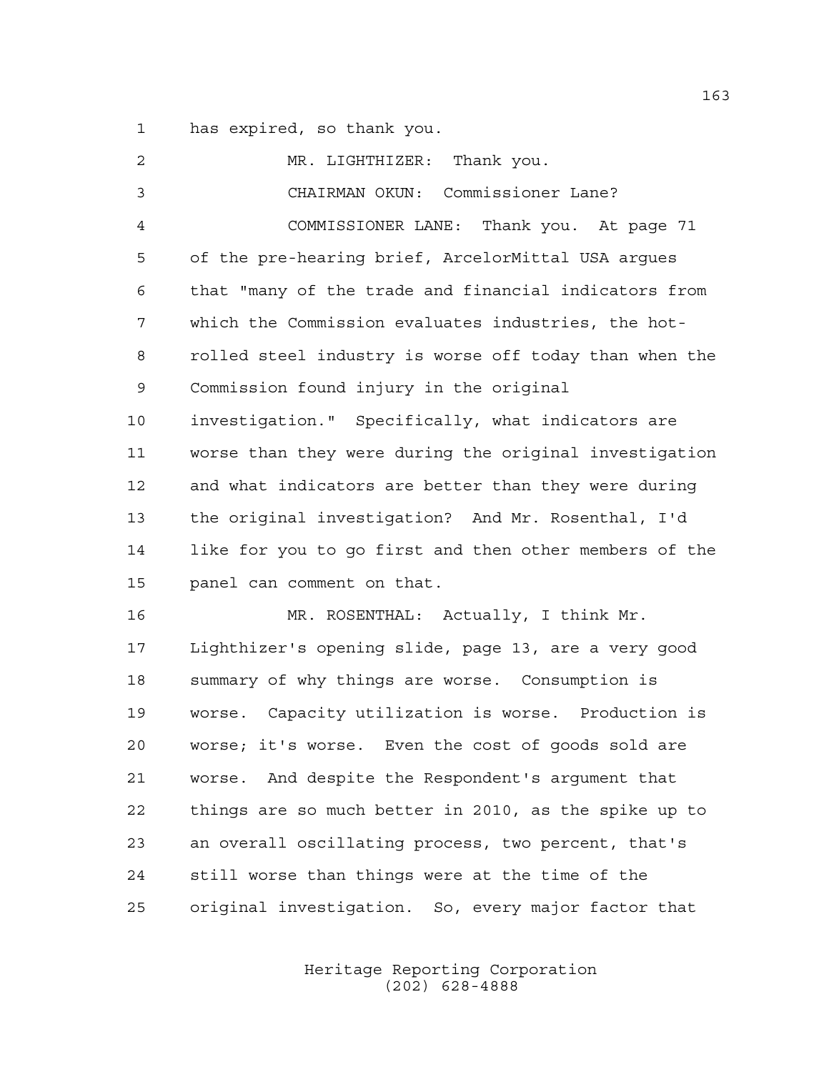has expired, so thank you.

| 2              | MR. LIGHTHIZER: Thank you.                             |
|----------------|--------------------------------------------------------|
| 3              | CHAIRMAN OKUN: Commissioner Lane?                      |
| $\overline{4}$ | COMMISSIONER LANE: Thank you. At page 71               |
| 5              | of the pre-hearing brief, ArcelorMittal USA argues     |
| 6              | that "many of the trade and financial indicators from  |
| 7              | which the Commission evaluates industries, the hot-    |
| 8              | rolled steel industry is worse off today than when the |
| 9              | Commission found injury in the original                |
| 10             | investigation." Specifically, what indicators are      |
| 11             | worse than they were during the original investigation |
| 12             | and what indicators are better than they were during   |
| 13             | the original investigation? And Mr. Rosenthal, I'd     |
| 14             | like for you to go first and then other members of the |
| 15             | panel can comment on that.                             |
| 16             | MR. ROSENTHAL: Actually, I think Mr.                   |
| 17             | Lighthizer's opening slide, page 13, are a very good   |
| 18             | summary of why things are worse. Consumption is        |
| 19             | worse. Capacity utilization is worse. Production is    |
| 20             | worse; it's worse. Even the cost of goods sold are     |
| 21             | worse. And despite the Respondent's argument that      |
| 22             | things are so much better in 2010, as the spike up to  |
| 23             | an overall oscillating process, two percent, that's    |
| 24             | still worse than things were at the time of the        |
| 25             | original investigation. So, every major factor that    |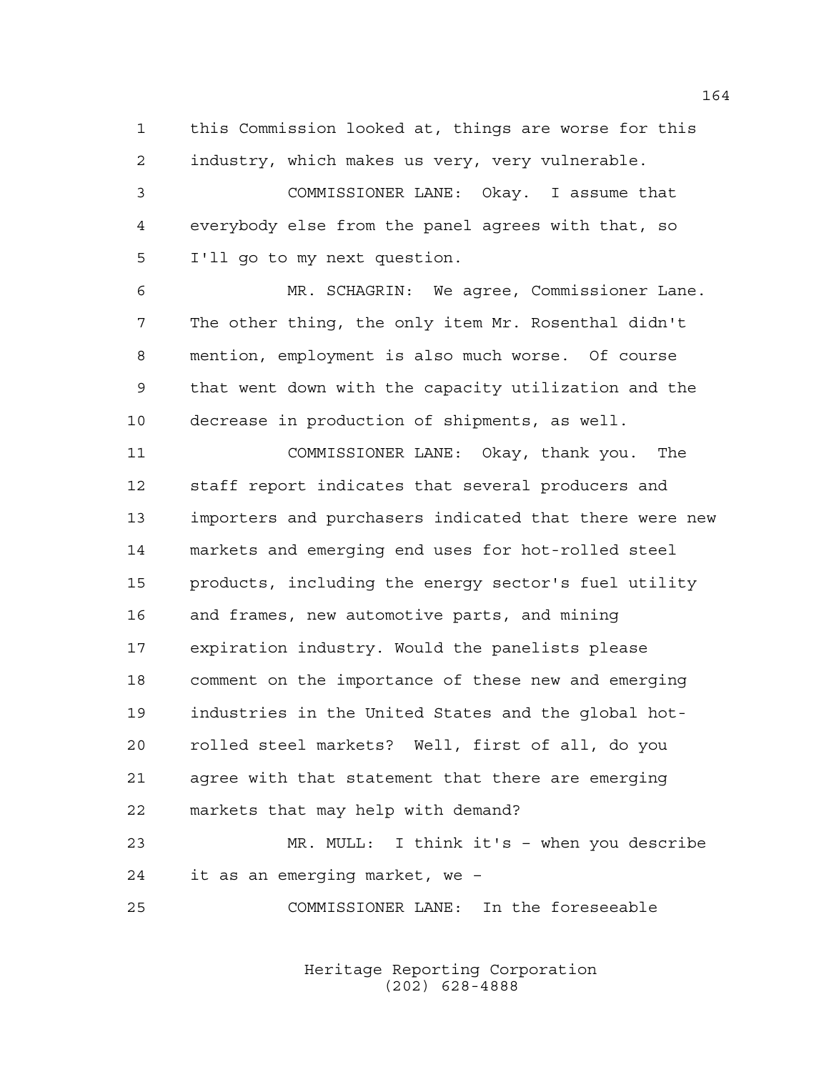this Commission looked at, things are worse for this industry, which makes us very, very vulnerable.

 COMMISSIONER LANE: Okay. I assume that everybody else from the panel agrees with that, so I'll go to my next question.

 MR. SCHAGRIN: We agree, Commissioner Lane. The other thing, the only item Mr. Rosenthal didn't mention, employment is also much worse. Of course that went down with the capacity utilization and the decrease in production of shipments, as well.

 COMMISSIONER LANE: Okay, thank you. The staff report indicates that several producers and importers and purchasers indicated that there were new markets and emerging end uses for hot-rolled steel products, including the energy sector's fuel utility and frames, new automotive parts, and mining expiration industry. Would the panelists please comment on the importance of these new and emerging industries in the United States and the global hot- rolled steel markets? Well, first of all, do you agree with that statement that there are emerging markets that may help with demand?

 MR. MULL: I think it's – when you describe it as an emerging market, we –

COMMISSIONER LANE: In the foreseeable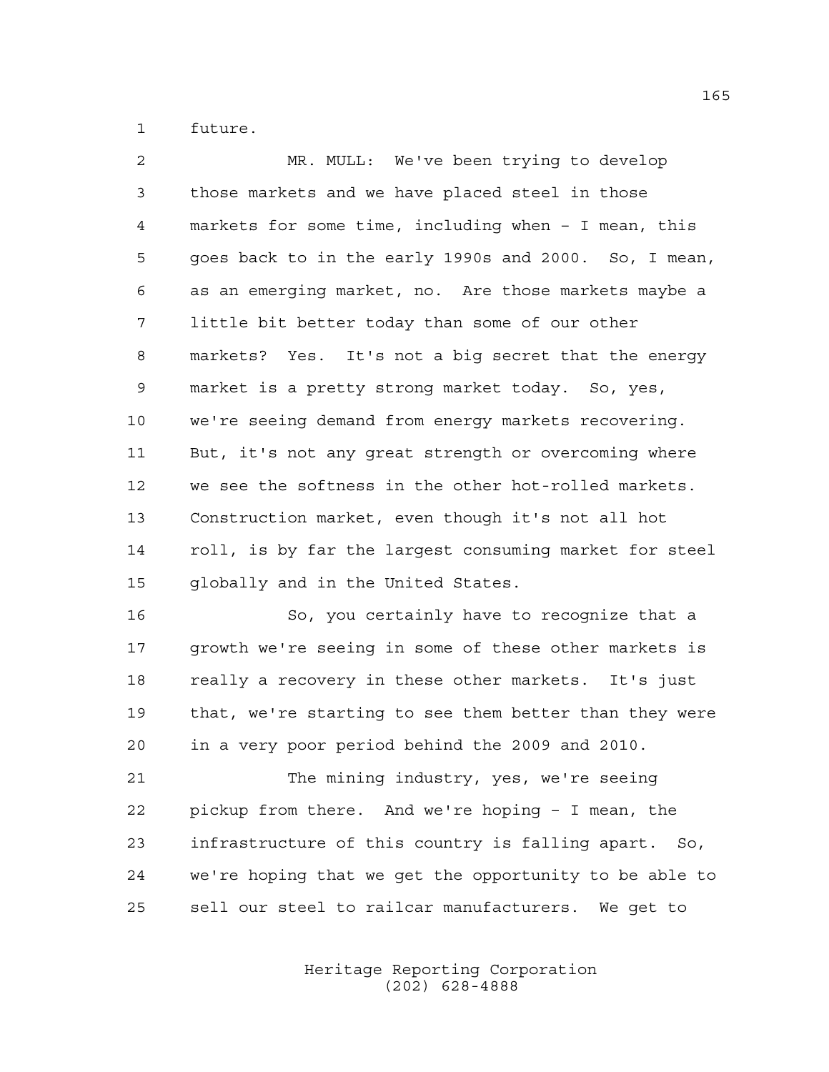future.

| $\overline{2}$ | MR. MULL: We've been trying to develop                 |
|----------------|--------------------------------------------------------|
| $\mathfrak{Z}$ | those markets and we have placed steel in those        |
| 4              | markets for some time, including when - I mean, this   |
| 5              | goes back to in the early 1990s and 2000. So, I mean,  |
| 6              | as an emerging market, no. Are those markets maybe a   |
| 7              | little bit better today than some of our other         |
| 8              | markets? Yes. It's not a big secret that the energy    |
| 9              | market is a pretty strong market today. So, yes,       |
| 10             | we're seeing demand from energy markets recovering.    |
| 11             | But, it's not any great strength or overcoming where   |
| 12             | we see the softness in the other hot-rolled markets.   |
| 13             | Construction market, even though it's not all hot      |
| 14             | roll, is by far the largest consuming market for steel |
| 15             | globally and in the United States.                     |
|                |                                                        |

 So, you certainly have to recognize that a growth we're seeing in some of these other markets is 18 really a recovery in these other markets. It's just that, we're starting to see them better than they were in a very poor period behind the 2009 and 2010.

 The mining industry, yes, we're seeing pickup from there. And we're hoping – I mean, the infrastructure of this country is falling apart. So, we're hoping that we get the opportunity to be able to sell our steel to railcar manufacturers. We get to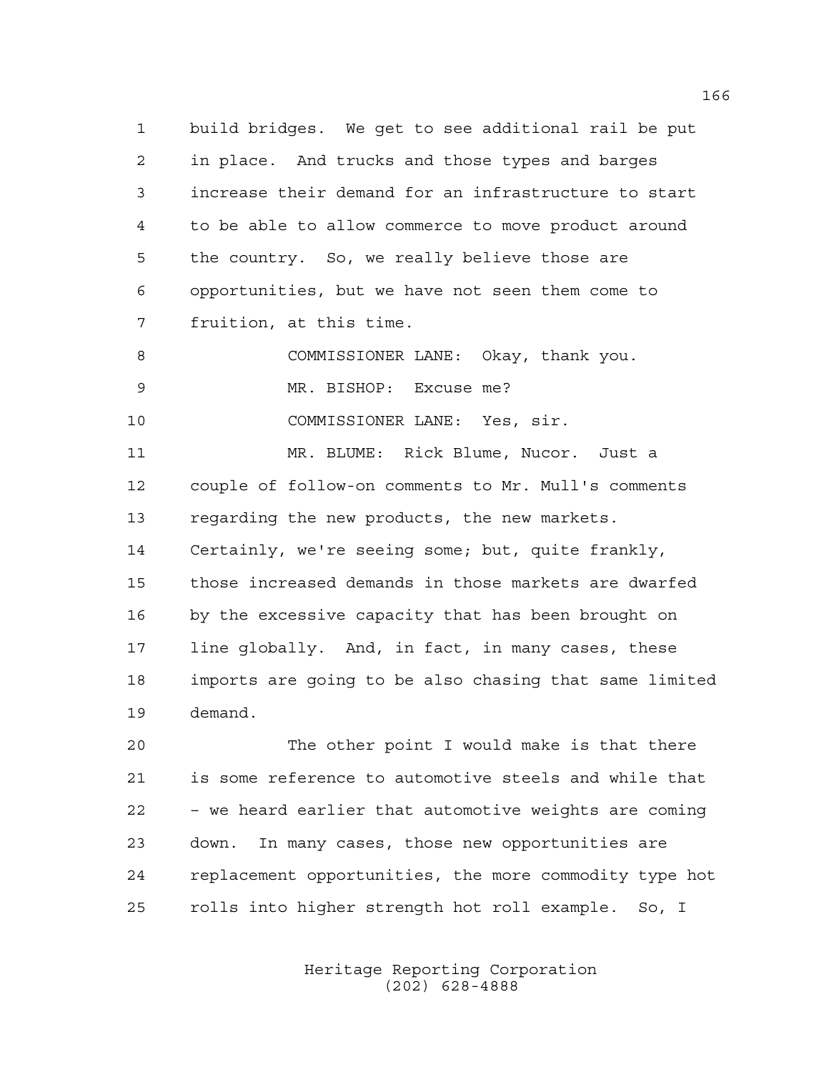build bridges. We get to see additional rail be put in place. And trucks and those types and barges increase their demand for an infrastructure to start to be able to allow commerce to move product around the country. So, we really believe those are opportunities, but we have not seen them come to fruition, at this time.

 COMMISSIONER LANE: Okay, thank you. MR. BISHOP: Excuse me?

COMMISSIONER LANE: Yes, sir.

 MR. BLUME: Rick Blume, Nucor. Just a couple of follow-on comments to Mr. Mull's comments regarding the new products, the new markets. Certainly, we're seeing some; but, quite frankly, those increased demands in those markets are dwarfed by the excessive capacity that has been brought on line globally. And, in fact, in many cases, these imports are going to be also chasing that same limited demand.

 The other point I would make is that there is some reference to automotive steels and while that – we heard earlier that automotive weights are coming down. In many cases, those new opportunities are replacement opportunities, the more commodity type hot rolls into higher strength hot roll example. So, I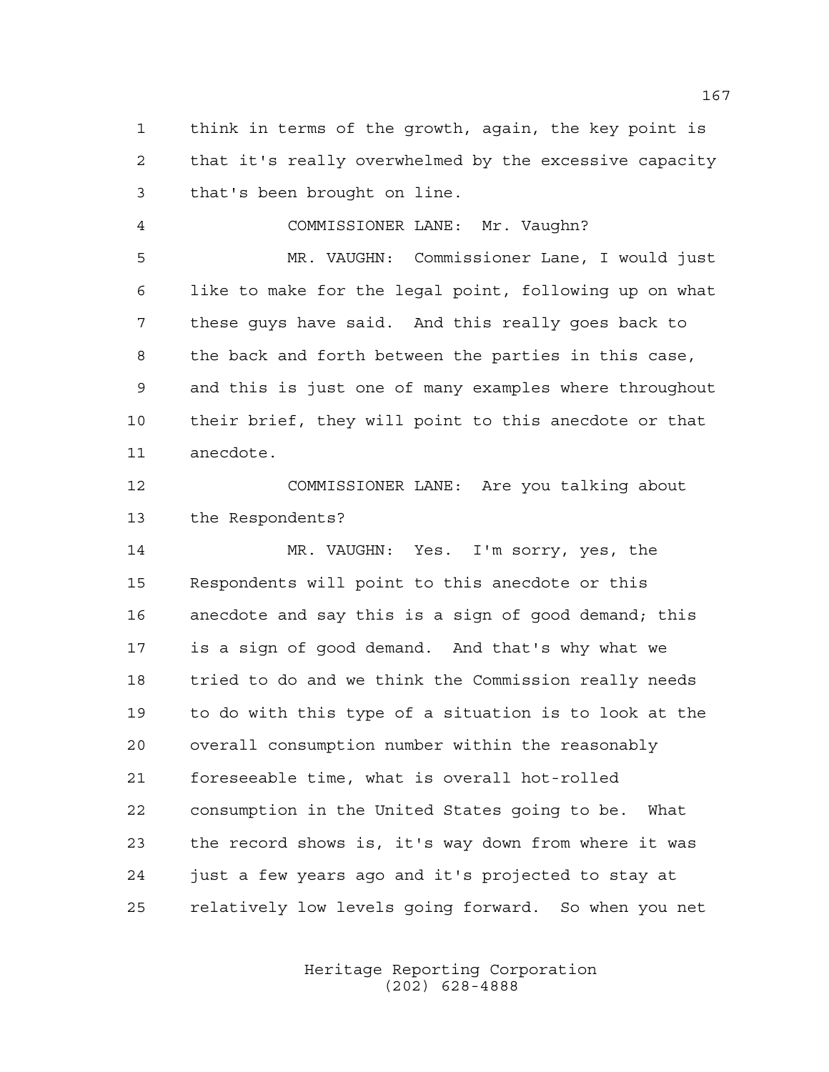think in terms of the growth, again, the key point is that it's really overwhelmed by the excessive capacity that's been brought on line.

 COMMISSIONER LANE: Mr. Vaughn? MR. VAUGHN: Commissioner Lane, I would just like to make for the legal point, following up on what these guys have said. And this really goes back to the back and forth between the parties in this case, and this is just one of many examples where throughout their brief, they will point to this anecdote or that anecdote.

 COMMISSIONER LANE: Are you talking about the Respondents?

 MR. VAUGHN: Yes. I'm sorry, yes, the Respondents will point to this anecdote or this anecdote and say this is a sign of good demand; this is a sign of good demand. And that's why what we tried to do and we think the Commission really needs to do with this type of a situation is to look at the overall consumption number within the reasonably foreseeable time, what is overall hot-rolled consumption in the United States going to be. What the record shows is, it's way down from where it was just a few years ago and it's projected to stay at relatively low levels going forward. So when you net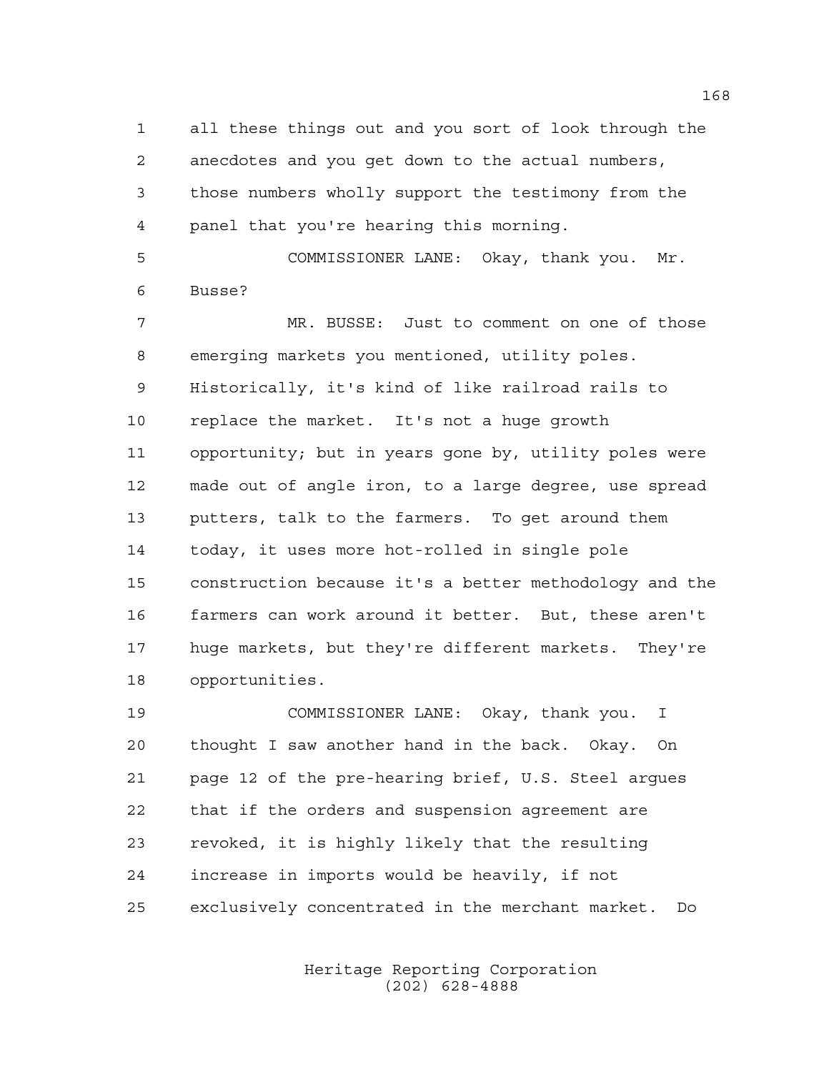all these things out and you sort of look through the anecdotes and you get down to the actual numbers, those numbers wholly support the testimony from the panel that you're hearing this morning.

 COMMISSIONER LANE: Okay, thank you. Mr. Busse?

 MR. BUSSE: Just to comment on one of those emerging markets you mentioned, utility poles. Historically, it's kind of like railroad rails to replace the market. It's not a huge growth opportunity; but in years gone by, utility poles were made out of angle iron, to a large degree, use spread putters, talk to the farmers. To get around them today, it uses more hot-rolled in single pole construction because it's a better methodology and the farmers can work around it better. But, these aren't huge markets, but they're different markets. They're opportunities.

 COMMISSIONER LANE: Okay, thank you. I thought I saw another hand in the back. Okay. On page 12 of the pre-hearing brief, U.S. Steel argues that if the orders and suspension agreement are revoked, it is highly likely that the resulting increase in imports would be heavily, if not exclusively concentrated in the merchant market. Do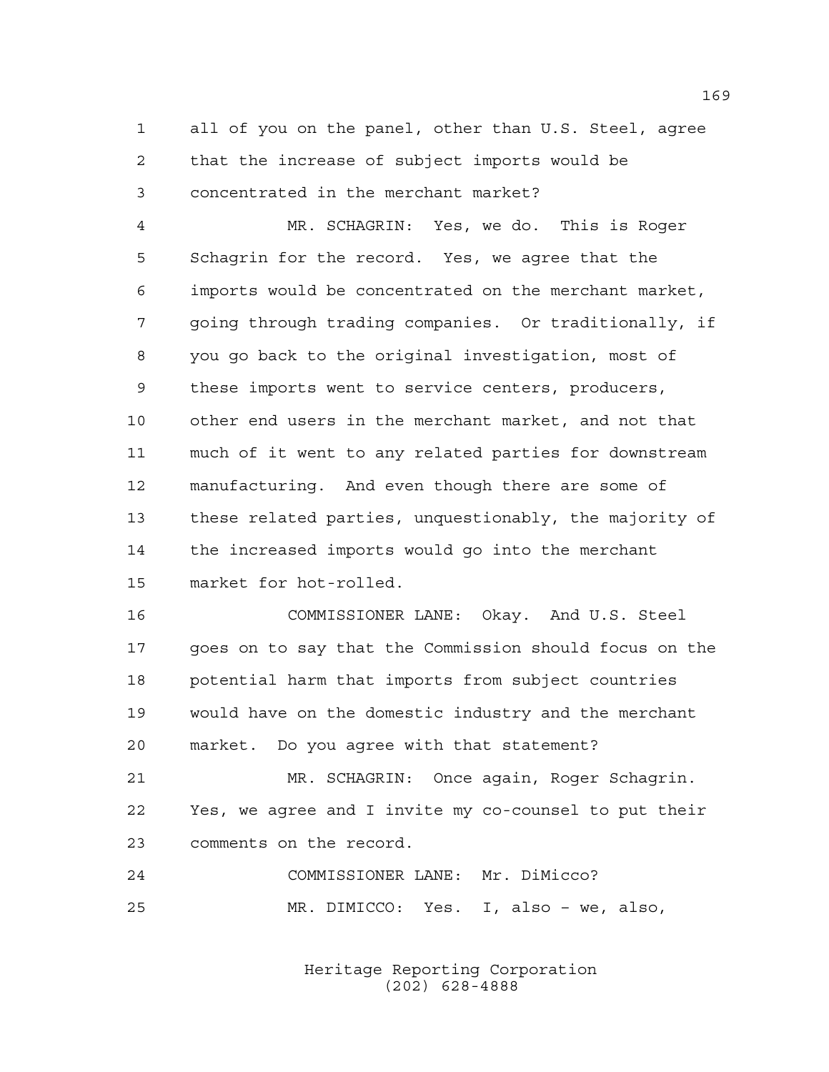all of you on the panel, other than U.S. Steel, agree that the increase of subject imports would be concentrated in the merchant market?

 MR. SCHAGRIN: Yes, we do. This is Roger Schagrin for the record. Yes, we agree that the imports would be concentrated on the merchant market, going through trading companies. Or traditionally, if you go back to the original investigation, most of these imports went to service centers, producers, other end users in the merchant market, and not that much of it went to any related parties for downstream manufacturing. And even though there are some of these related parties, unquestionably, the majority of the increased imports would go into the merchant market for hot-rolled.

 COMMISSIONER LANE: Okay. And U.S. Steel goes on to say that the Commission should focus on the potential harm that imports from subject countries would have on the domestic industry and the merchant market. Do you agree with that statement?

 MR. SCHAGRIN: Once again, Roger Schagrin. Yes, we agree and I invite my co-counsel to put their comments on the record.

 COMMISSIONER LANE: Mr. DiMicco? MR. DIMICCO: Yes. I, also – we, also,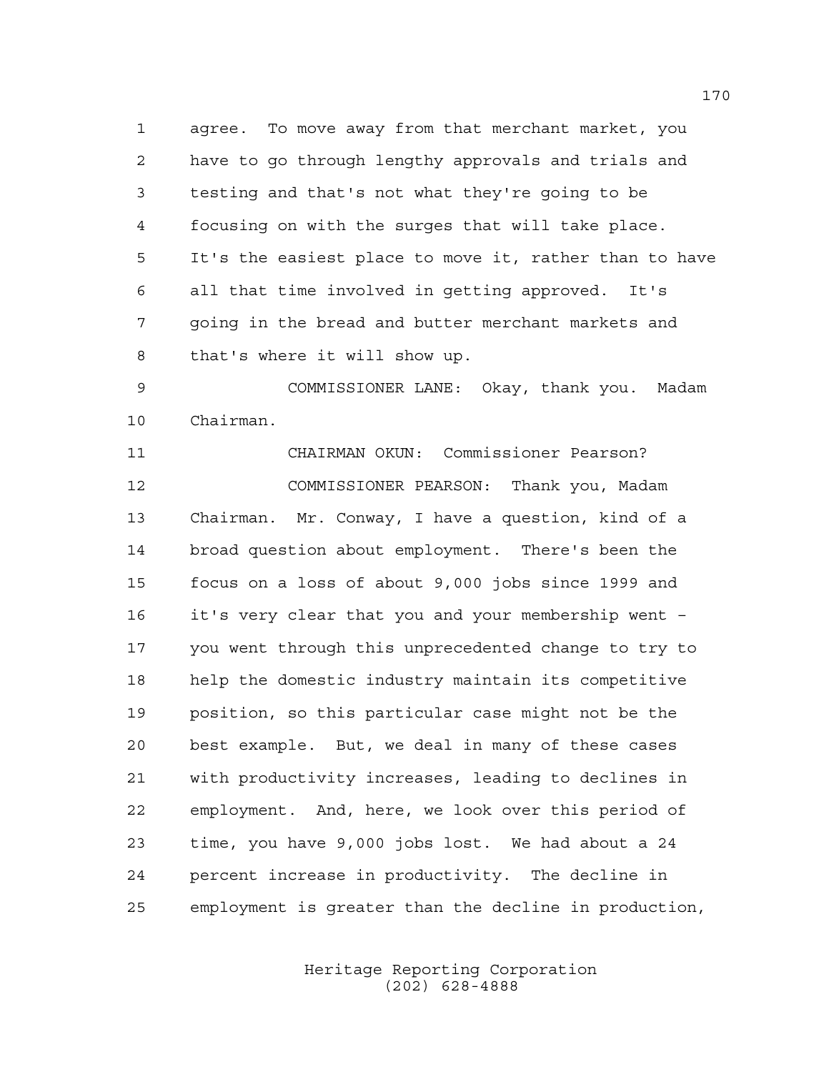agree. To move away from that merchant market, you have to go through lengthy approvals and trials and testing and that's not what they're going to be focusing on with the surges that will take place. It's the easiest place to move it, rather than to have all that time involved in getting approved. It's going in the bread and butter merchant markets and that's where it will show up.

 COMMISSIONER LANE: Okay, thank you. Madam Chairman.

 CHAIRMAN OKUN: Commissioner Pearson? COMMISSIONER PEARSON: Thank you, Madam Chairman. Mr. Conway, I have a question, kind of a broad question about employment. There's been the focus on a loss of about 9,000 jobs since 1999 and it's very clear that you and your membership went – you went through this unprecedented change to try to help the domestic industry maintain its competitive position, so this particular case might not be the best example. But, we deal in many of these cases with productivity increases, leading to declines in employment. And, here, we look over this period of time, you have 9,000 jobs lost. We had about a 24 percent increase in productivity. The decline in employment is greater than the decline in production,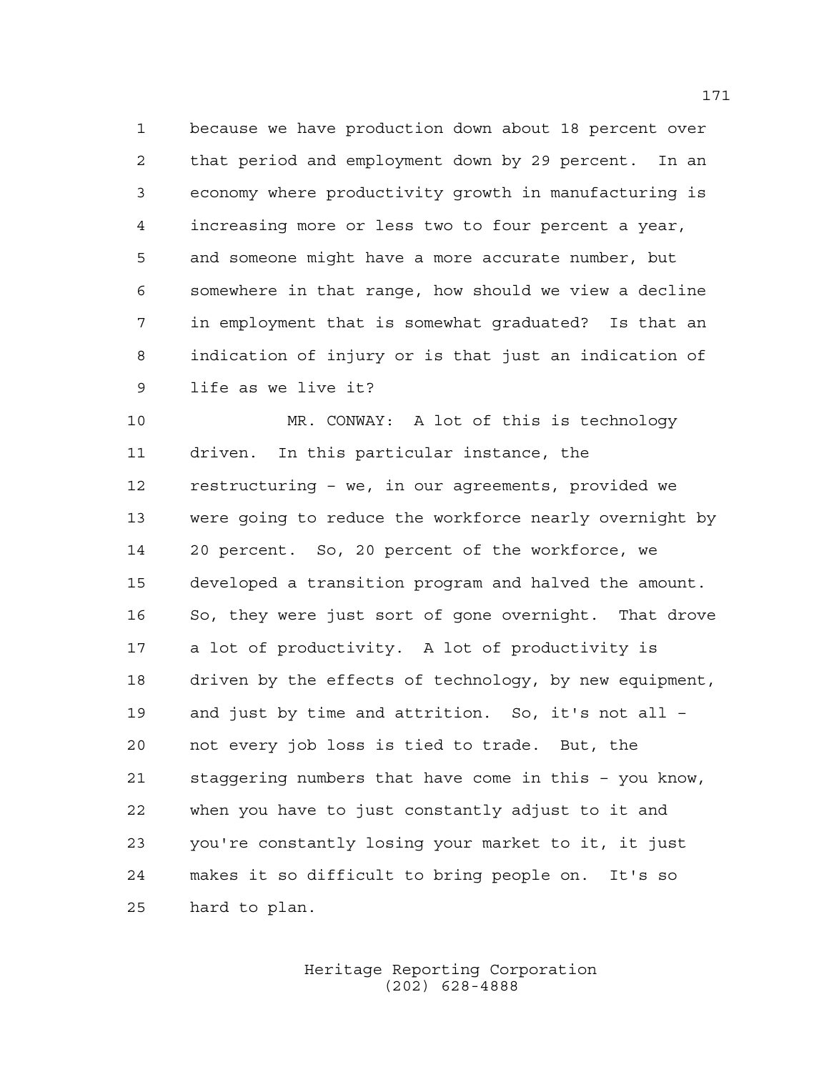because we have production down about 18 percent over that period and employment down by 29 percent. In an economy where productivity growth in manufacturing is increasing more or less two to four percent a year, and someone might have a more accurate number, but somewhere in that range, how should we view a decline in employment that is somewhat graduated? Is that an indication of injury or is that just an indication of life as we live it?

 MR. CONWAY: A lot of this is technology driven. In this particular instance, the restructuring – we, in our agreements, provided we were going to reduce the workforce nearly overnight by 20 percent. So, 20 percent of the workforce, we developed a transition program and halved the amount. 16 So, they were just sort of gone overnight. That drove a lot of productivity. A lot of productivity is driven by the effects of technology, by new equipment, and just by time and attrition. So, it's not all – not every job loss is tied to trade. But, the staggering numbers that have come in this – you know, when you have to just constantly adjust to it and you're constantly losing your market to it, it just makes it so difficult to bring people on. It's so hard to plan.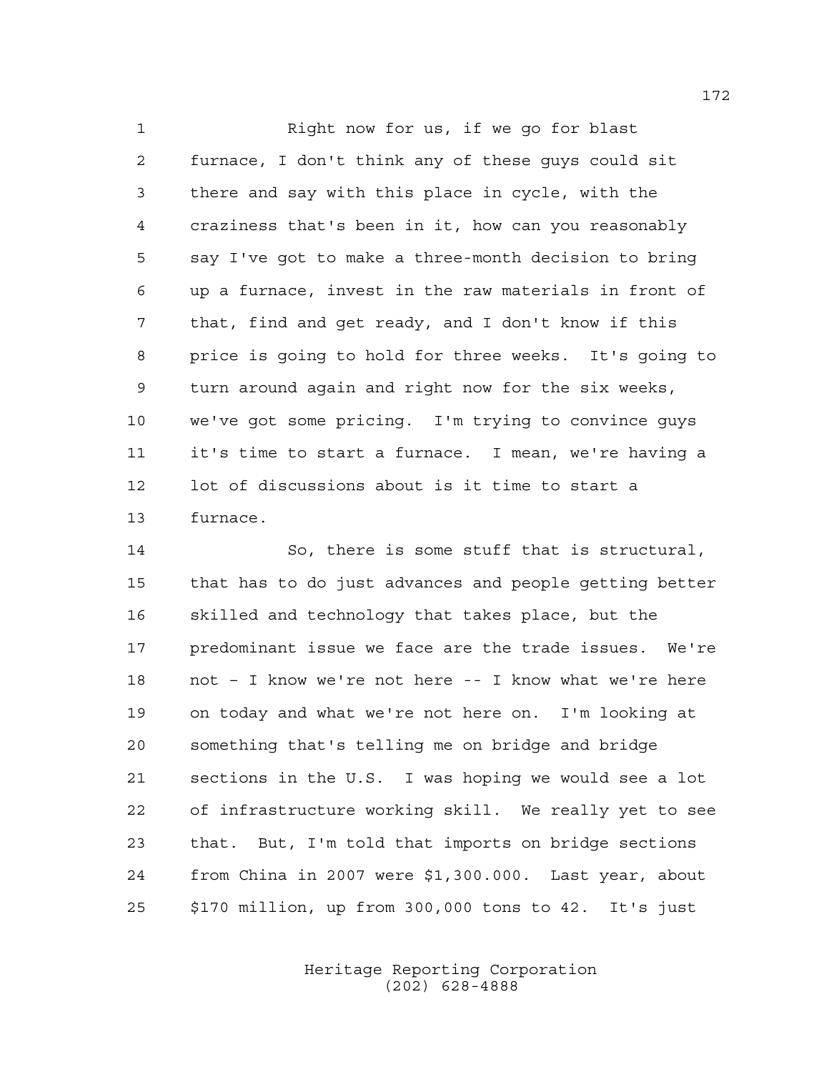Right now for us, if we go for blast furnace, I don't think any of these guys could sit there and say with this place in cycle, with the craziness that's been in it, how can you reasonably say I've got to make a three-month decision to bring up a furnace, invest in the raw materials in front of that, find and get ready, and I don't know if this price is going to hold for three weeks. It's going to turn around again and right now for the six weeks, we've got some pricing. I'm trying to convince guys it's time to start a furnace. I mean, we're having a lot of discussions about is it time to start a furnace.

 So, there is some stuff that is structural, that has to do just advances and people getting better skilled and technology that takes place, but the predominant issue we face are the trade issues. We're not – I know we're not here -- I know what we're here on today and what we're not here on. I'm looking at something that's telling me on bridge and bridge sections in the U.S. I was hoping we would see a lot of infrastructure working skill. We really yet to see that. But, I'm told that imports on bridge sections from China in 2007 were \$1,300.000. Last year, about \$170 million, up from 300,000 tons to 42. It's just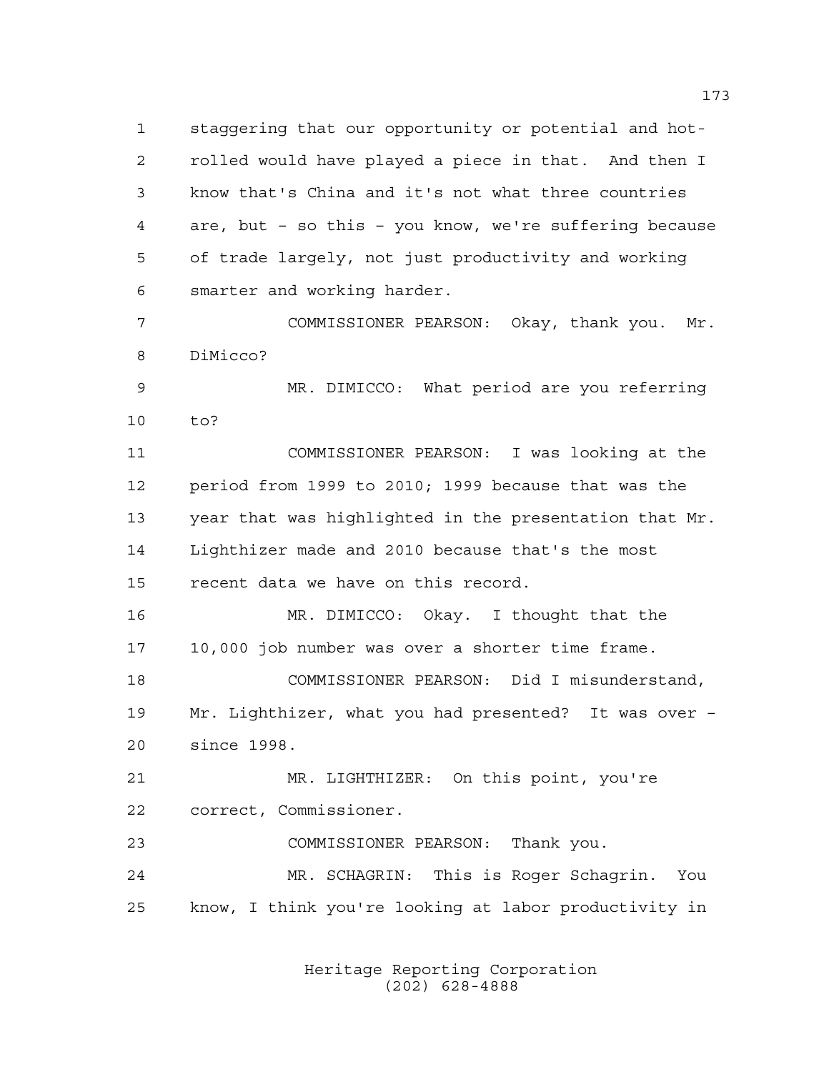staggering that our opportunity or potential and hot- rolled would have played a piece in that. And then I know that's China and it's not what three countries are, but – so this – you know, we're suffering because of trade largely, not just productivity and working smarter and working harder.

 COMMISSIONER PEARSON: Okay, thank you. Mr. DiMicco?

 MR. DIMICCO: What period are you referring to?

 COMMISSIONER PEARSON: I was looking at the period from 1999 to 2010; 1999 because that was the year that was highlighted in the presentation that Mr. Lighthizer made and 2010 because that's the most recent data we have on this record.

 MR. DIMICCO: Okay. I thought that the 10,000 job number was over a shorter time frame.

 COMMISSIONER PEARSON: Did I misunderstand, Mr. Lighthizer, what you had presented? It was over – since 1998.

 MR. LIGHTHIZER: On this point, you're correct, Commissioner.

COMMISSIONER PEARSON: Thank you.

 MR. SCHAGRIN: This is Roger Schagrin. You know, I think you're looking at labor productivity in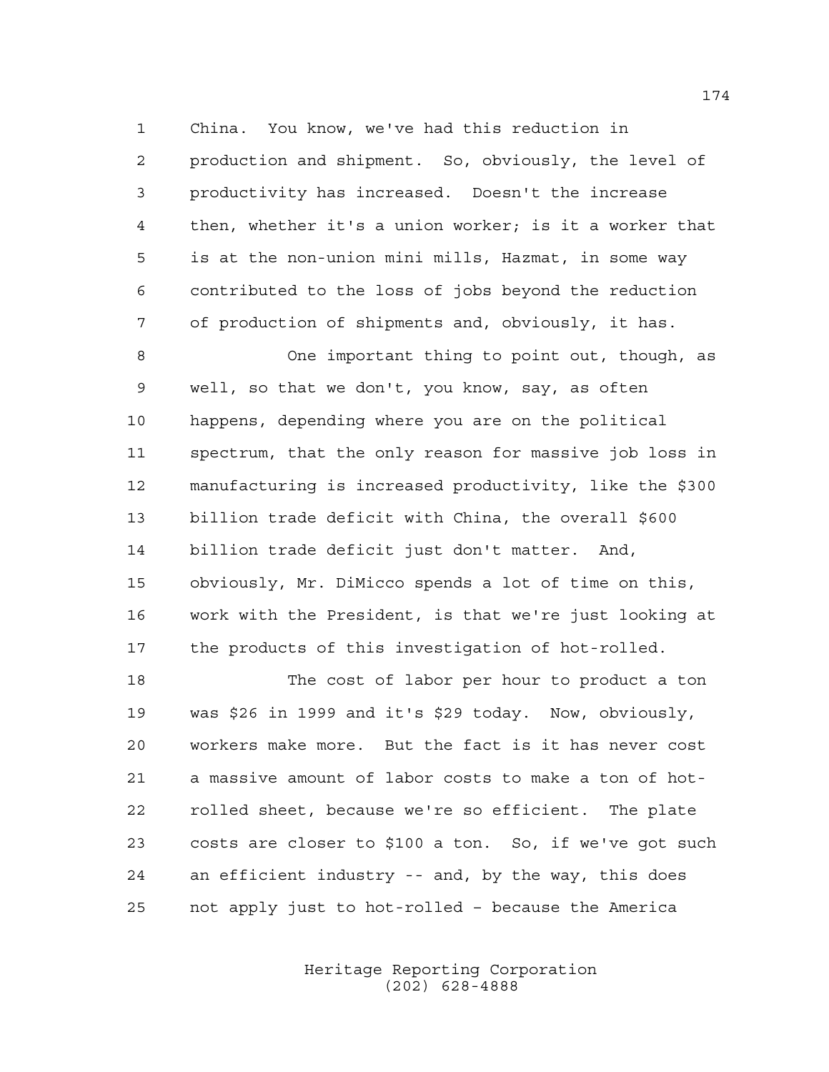China. You know, we've had this reduction in production and shipment. So, obviously, the level of productivity has increased. Doesn't the increase then, whether it's a union worker; is it a worker that is at the non-union mini mills, Hazmat, in some way contributed to the loss of jobs beyond the reduction of production of shipments and, obviously, it has.

 One important thing to point out, though, as well, so that we don't, you know, say, as often happens, depending where you are on the political spectrum, that the only reason for massive job loss in manufacturing is increased productivity, like the \$300 billion trade deficit with China, the overall \$600 billion trade deficit just don't matter. And, obviously, Mr. DiMicco spends a lot of time on this, work with the President, is that we're just looking at the products of this investigation of hot-rolled.

 The cost of labor per hour to product a ton was \$26 in 1999 and it's \$29 today. Now, obviously, workers make more. But the fact is it has never cost a massive amount of labor costs to make a ton of hot- rolled sheet, because we're so efficient. The plate costs are closer to \$100 a ton. So, if we've got such an efficient industry -- and, by the way, this does not apply just to hot-rolled – because the America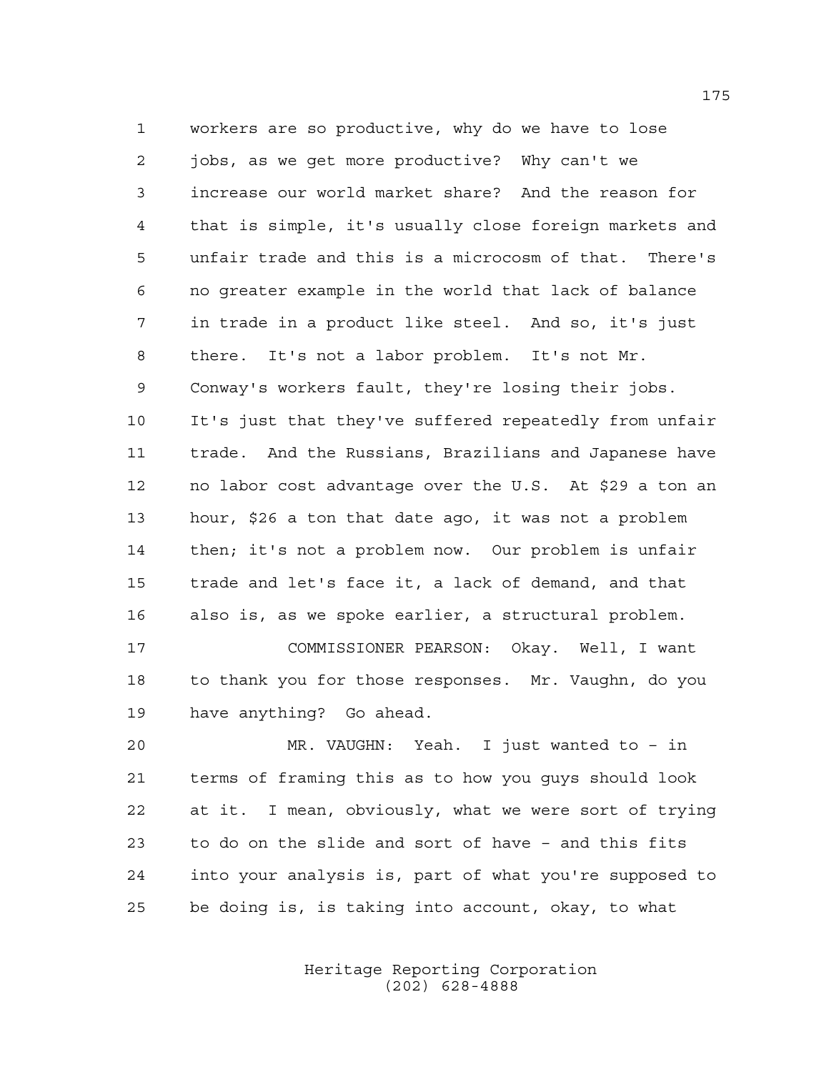workers are so productive, why do we have to lose jobs, as we get more productive? Why can't we increase our world market share? And the reason for that is simple, it's usually close foreign markets and unfair trade and this is a microcosm of that. There's no greater example in the world that lack of balance in trade in a product like steel. And so, it's just there. It's not a labor problem. It's not Mr. Conway's workers fault, they're losing their jobs. It's just that they've suffered repeatedly from unfair trade. And the Russians, Brazilians and Japanese have no labor cost advantage over the U.S. At \$29 a ton an hour, \$26 a ton that date ago, it was not a problem then; it's not a problem now. Our problem is unfair trade and let's face it, a lack of demand, and that also is, as we spoke earlier, a structural problem. COMMISSIONER PEARSON: Okay. Well, I want

 to thank you for those responses. Mr. Vaughn, do you have anything? Go ahead.

 MR. VAUGHN: Yeah. I just wanted to – in terms of framing this as to how you guys should look at it. I mean, obviously, what we were sort of trying to do on the slide and sort of have – and this fits into your analysis is, part of what you're supposed to be doing is, is taking into account, okay, to what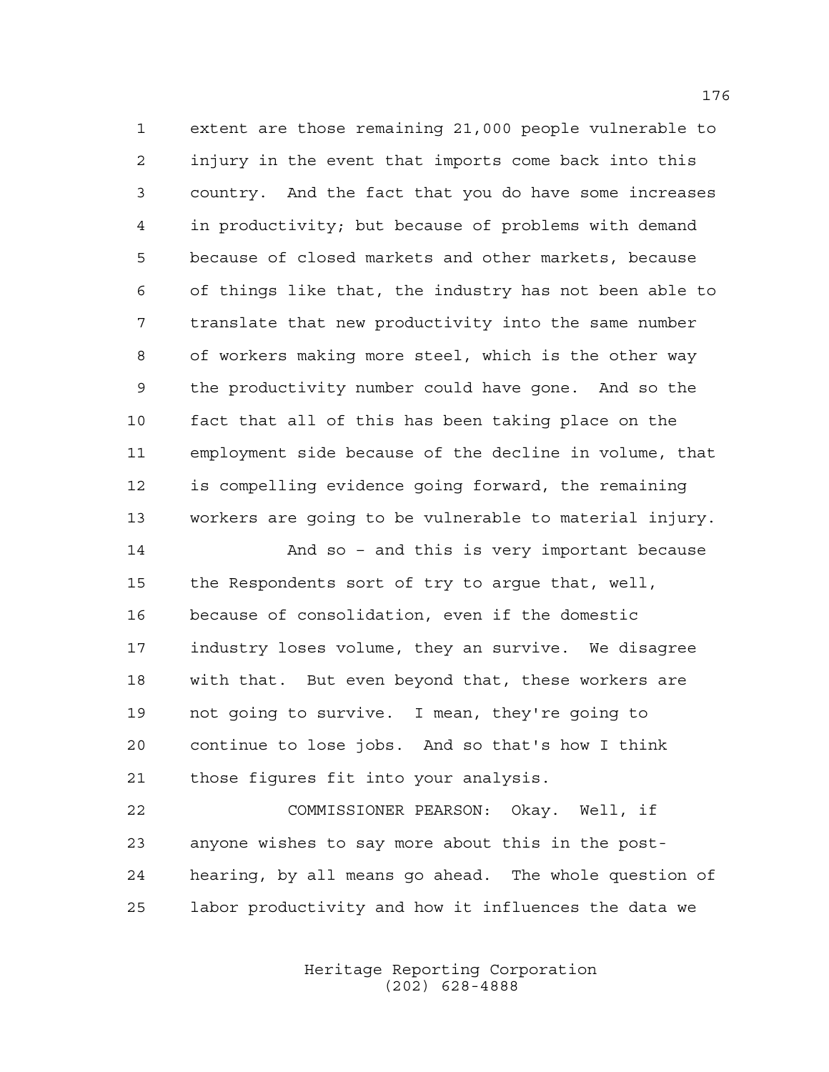extent are those remaining 21,000 people vulnerable to injury in the event that imports come back into this country. And the fact that you do have some increases in productivity; but because of problems with demand because of closed markets and other markets, because of things like that, the industry has not been able to translate that new productivity into the same number of workers making more steel, which is the other way the productivity number could have gone. And so the fact that all of this has been taking place on the employment side because of the decline in volume, that is compelling evidence going forward, the remaining workers are going to be vulnerable to material injury.

 And so – and this is very important because the Respondents sort of try to argue that, well, because of consolidation, even if the domestic industry loses volume, they an survive. We disagree with that. But even beyond that, these workers are not going to survive. I mean, they're going to continue to lose jobs. And so that's how I think those figures fit into your analysis.

 COMMISSIONER PEARSON: Okay. Well, if anyone wishes to say more about this in the post- hearing, by all means go ahead. The whole question of labor productivity and how it influences the data we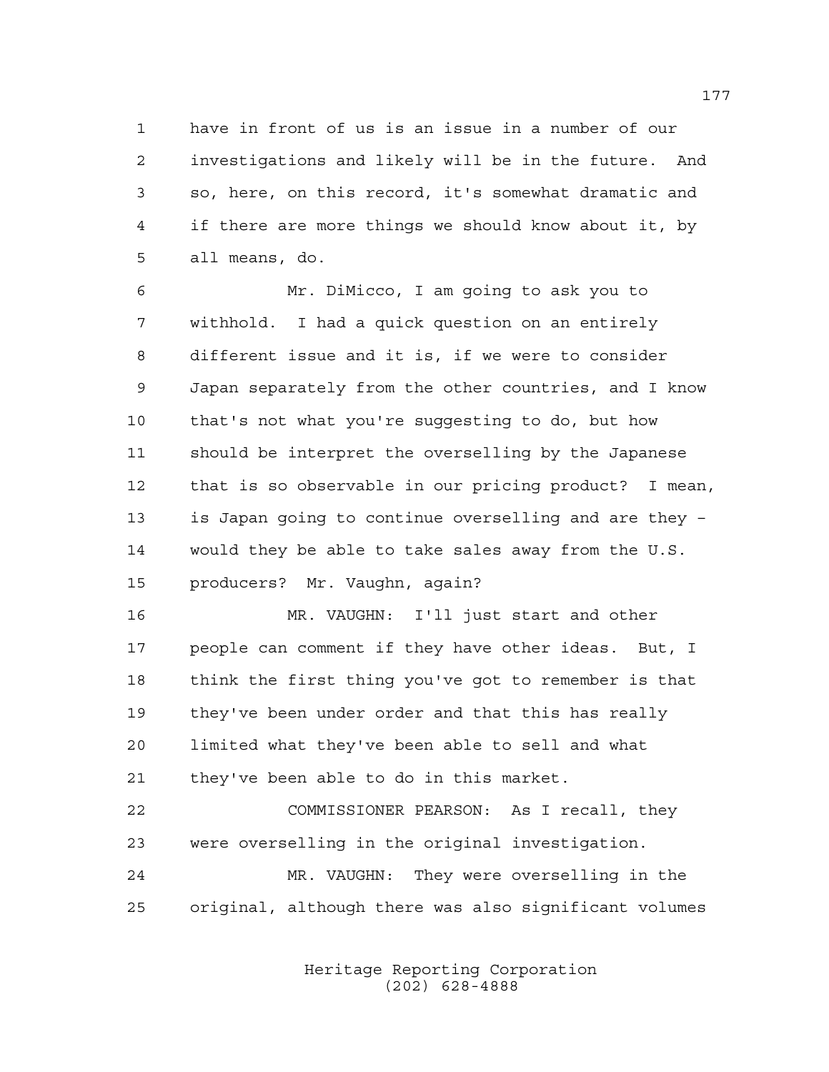have in front of us is an issue in a number of our investigations and likely will be in the future. And so, here, on this record, it's somewhat dramatic and if there are more things we should know about it, by all means, do.

 Mr. DiMicco, I am going to ask you to withhold. I had a quick question on an entirely different issue and it is, if we were to consider Japan separately from the other countries, and I know that's not what you're suggesting to do, but how should be interpret the overselling by the Japanese that is so observable in our pricing product? I mean, is Japan going to continue overselling and are they – would they be able to take sales away from the U.S. producers? Mr. Vaughn, again?

 MR. VAUGHN: I'll just start and other people can comment if they have other ideas. But, I think the first thing you've got to remember is that they've been under order and that this has really limited what they've been able to sell and what they've been able to do in this market.

 COMMISSIONER PEARSON: As I recall, they were overselling in the original investigation. MR. VAUGHN: They were overselling in the original, although there was also significant volumes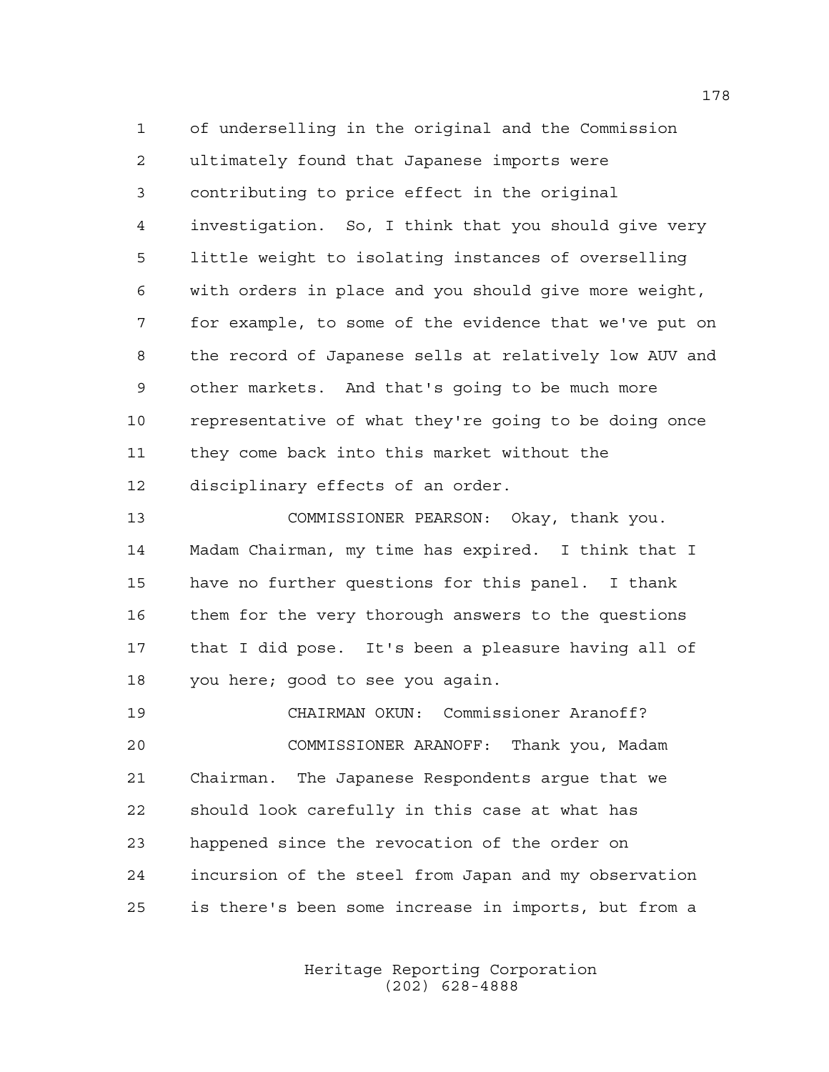of underselling in the original and the Commission ultimately found that Japanese imports were contributing to price effect in the original investigation. So, I think that you should give very little weight to isolating instances of overselling with orders in place and you should give more weight, for example, to some of the evidence that we've put on the record of Japanese sells at relatively low AUV and other markets. And that's going to be much more representative of what they're going to be doing once they come back into this market without the disciplinary effects of an order.

 COMMISSIONER PEARSON: Okay, thank you. Madam Chairman, my time has expired. I think that I have no further questions for this panel. I thank them for the very thorough answers to the questions that I did pose. It's been a pleasure having all of you here; good to see you again.

 CHAIRMAN OKUN: Commissioner Aranoff? COMMISSIONER ARANOFF: Thank you, Madam Chairman. The Japanese Respondents argue that we should look carefully in this case at what has happened since the revocation of the order on incursion of the steel from Japan and my observation is there's been some increase in imports, but from a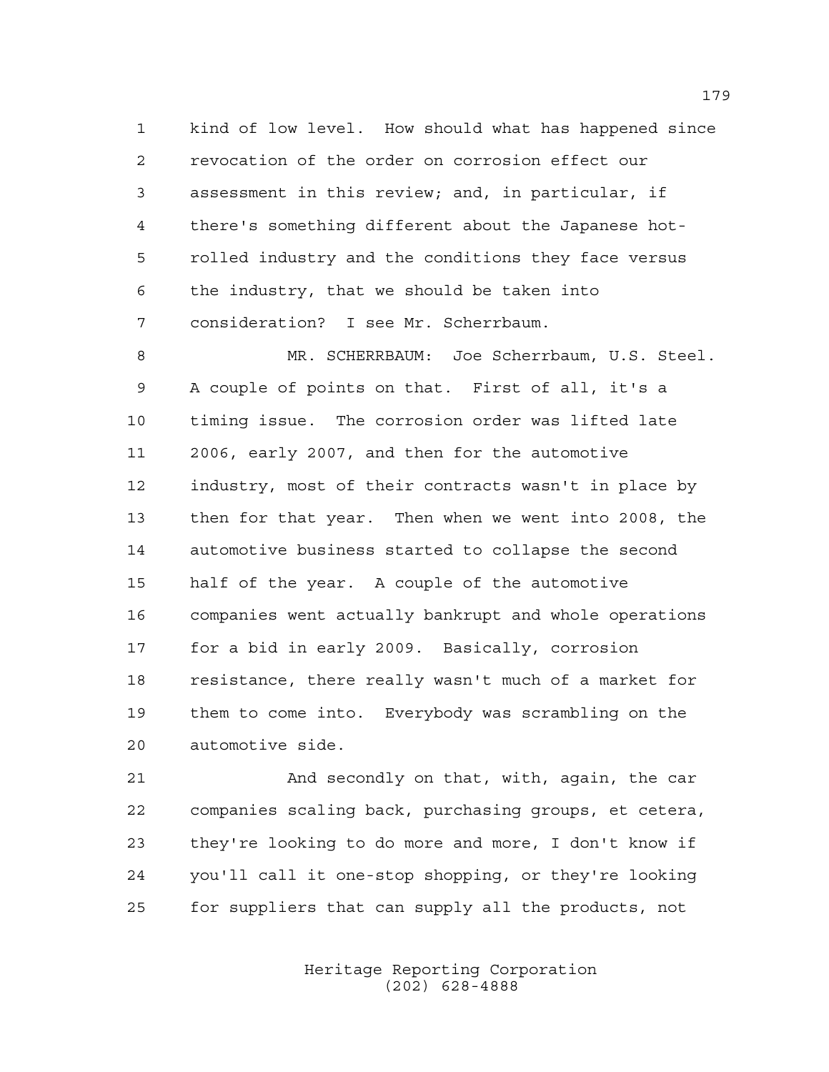kind of low level. How should what has happened since revocation of the order on corrosion effect our assessment in this review; and, in particular, if there's something different about the Japanese hot- rolled industry and the conditions they face versus the industry, that we should be taken into consideration? I see Mr. Scherrbaum.

8 MR. SCHERRBAUM: Joe Scherrbaum, U.S. Steel. A couple of points on that. First of all, it's a timing issue. The corrosion order was lifted late 2006, early 2007, and then for the automotive industry, most of their contracts wasn't in place by then for that year. Then when we went into 2008, the automotive business started to collapse the second half of the year. A couple of the automotive companies went actually bankrupt and whole operations for a bid in early 2009. Basically, corrosion resistance, there really wasn't much of a market for them to come into. Everybody was scrambling on the automotive side.

 And secondly on that, with, again, the car companies scaling back, purchasing groups, et cetera, they're looking to do more and more, I don't know if you'll call it one-stop shopping, or they're looking for suppliers that can supply all the products, not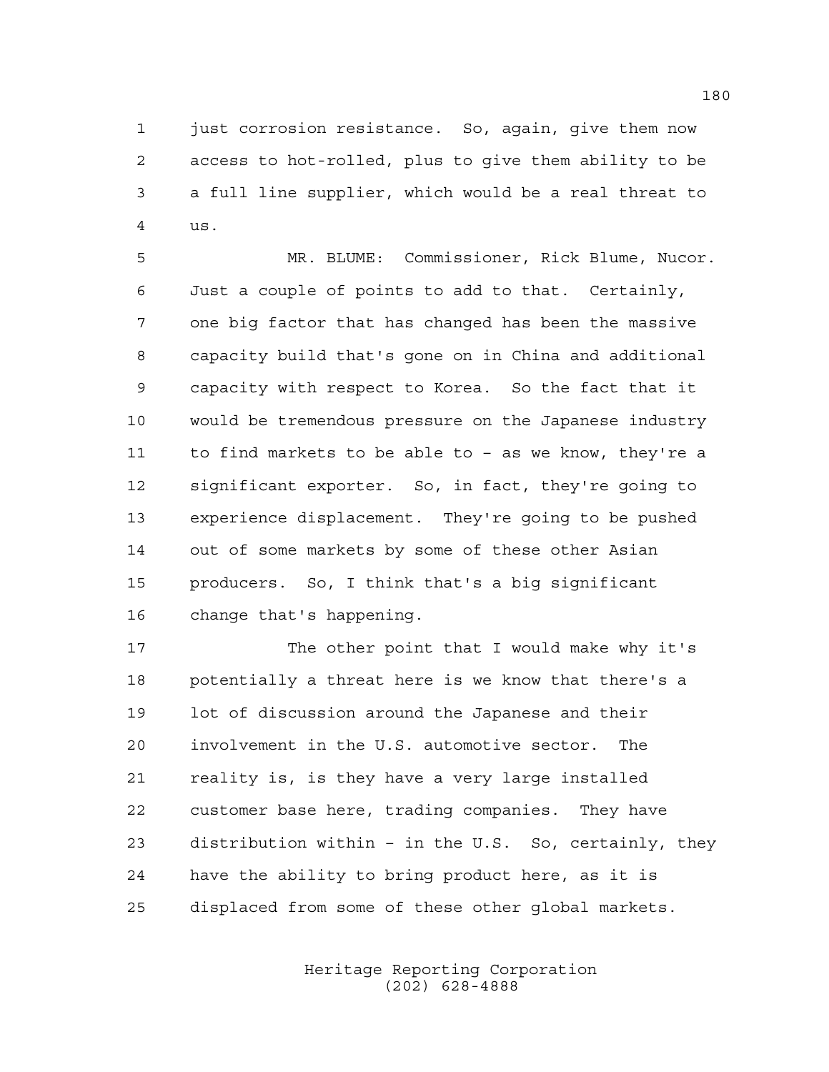just corrosion resistance. So, again, give them now access to hot-rolled, plus to give them ability to be a full line supplier, which would be a real threat to us.

 MR. BLUME: Commissioner, Rick Blume, Nucor. Just a couple of points to add to that. Certainly, one big factor that has changed has been the massive capacity build that's gone on in China and additional capacity with respect to Korea. So the fact that it would be tremendous pressure on the Japanese industry to find markets to be able to – as we know, they're a significant exporter. So, in fact, they're going to experience displacement. They're going to be pushed out of some markets by some of these other Asian producers. So, I think that's a big significant change that's happening.

17 The other point that I would make why it's potentially a threat here is we know that there's a lot of discussion around the Japanese and their involvement in the U.S. automotive sector. The reality is, is they have a very large installed customer base here, trading companies. They have distribution within – in the U.S. So, certainly, they have the ability to bring product here, as it is displaced from some of these other global markets.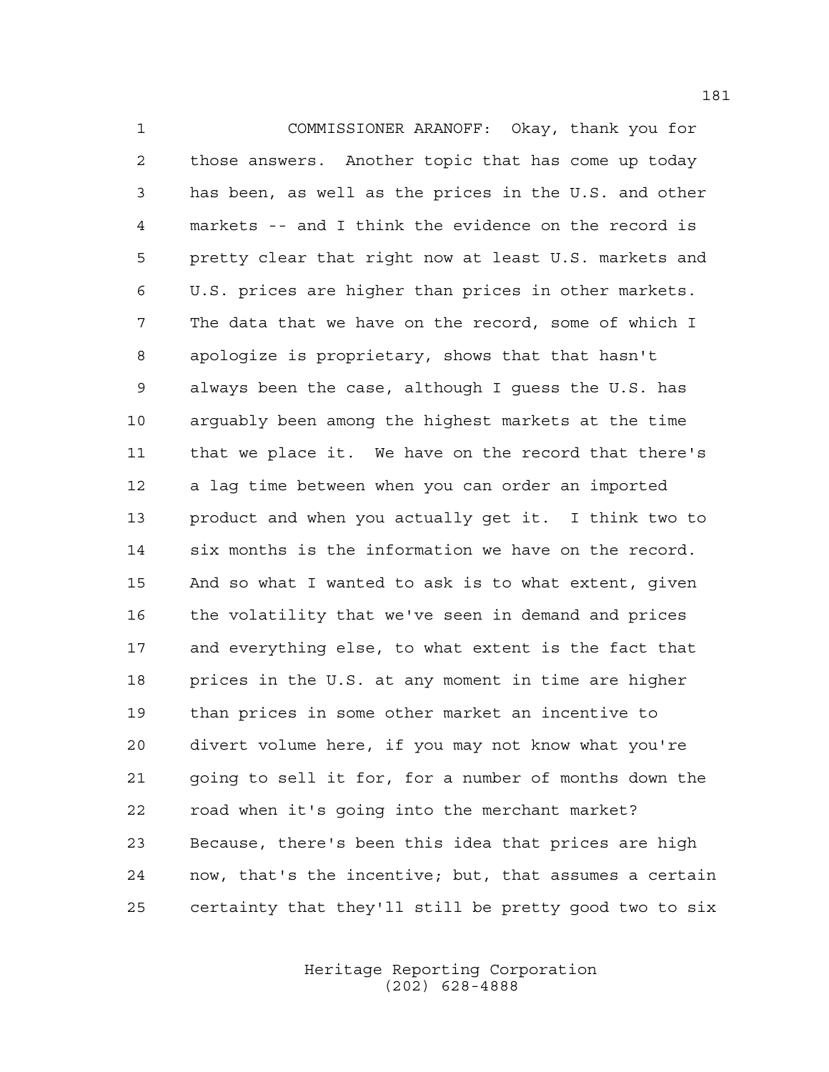COMMISSIONER ARANOFF: Okay, thank you for those answers. Another topic that has come up today has been, as well as the prices in the U.S. and other markets -- and I think the evidence on the record is pretty clear that right now at least U.S. markets and U.S. prices are higher than prices in other markets. The data that we have on the record, some of which I apologize is proprietary, shows that that hasn't always been the case, although I guess the U.S. has arguably been among the highest markets at the time that we place it. We have on the record that there's a lag time between when you can order an imported product and when you actually get it. I think two to six months is the information we have on the record. And so what I wanted to ask is to what extent, given the volatility that we've seen in demand and prices and everything else, to what extent is the fact that prices in the U.S. at any moment in time are higher than prices in some other market an incentive to divert volume here, if you may not know what you're going to sell it for, for a number of months down the road when it's going into the merchant market? Because, there's been this idea that prices are high now, that's the incentive; but, that assumes a certain certainty that they'll still be pretty good two to six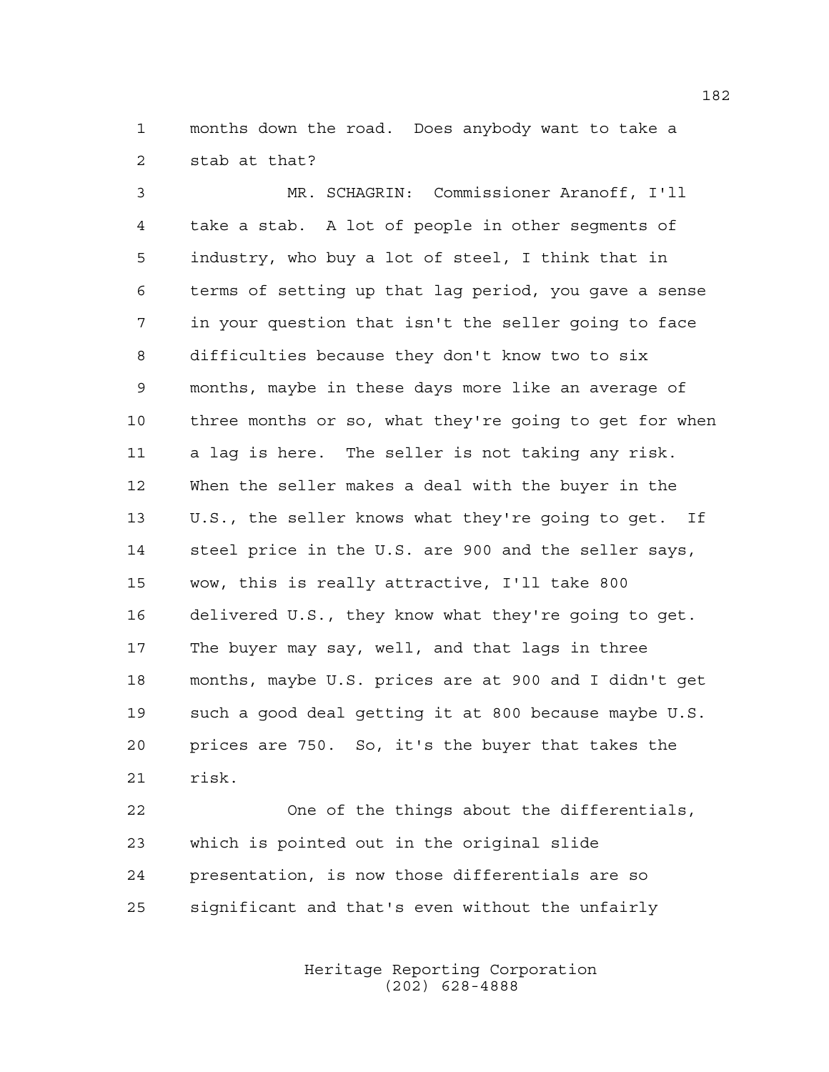months down the road. Does anybody want to take a stab at that?

 MR. SCHAGRIN: Commissioner Aranoff, I'll take a stab. A lot of people in other segments of industry, who buy a lot of steel, I think that in terms of setting up that lag period, you gave a sense in your question that isn't the seller going to face difficulties because they don't know two to six months, maybe in these days more like an average of three months or so, what they're going to get for when a lag is here. The seller is not taking any risk. When the seller makes a deal with the buyer in the U.S., the seller knows what they're going to get. If steel price in the U.S. are 900 and the seller says, wow, this is really attractive, I'll take 800 delivered U.S., they know what they're going to get. The buyer may say, well, and that lags in three months, maybe U.S. prices are at 900 and I didn't get such a good deal getting it at 800 because maybe U.S. prices are 750. So, it's the buyer that takes the risk.

 One of the things about the differentials, which is pointed out in the original slide presentation, is now those differentials are so significant and that's even without the unfairly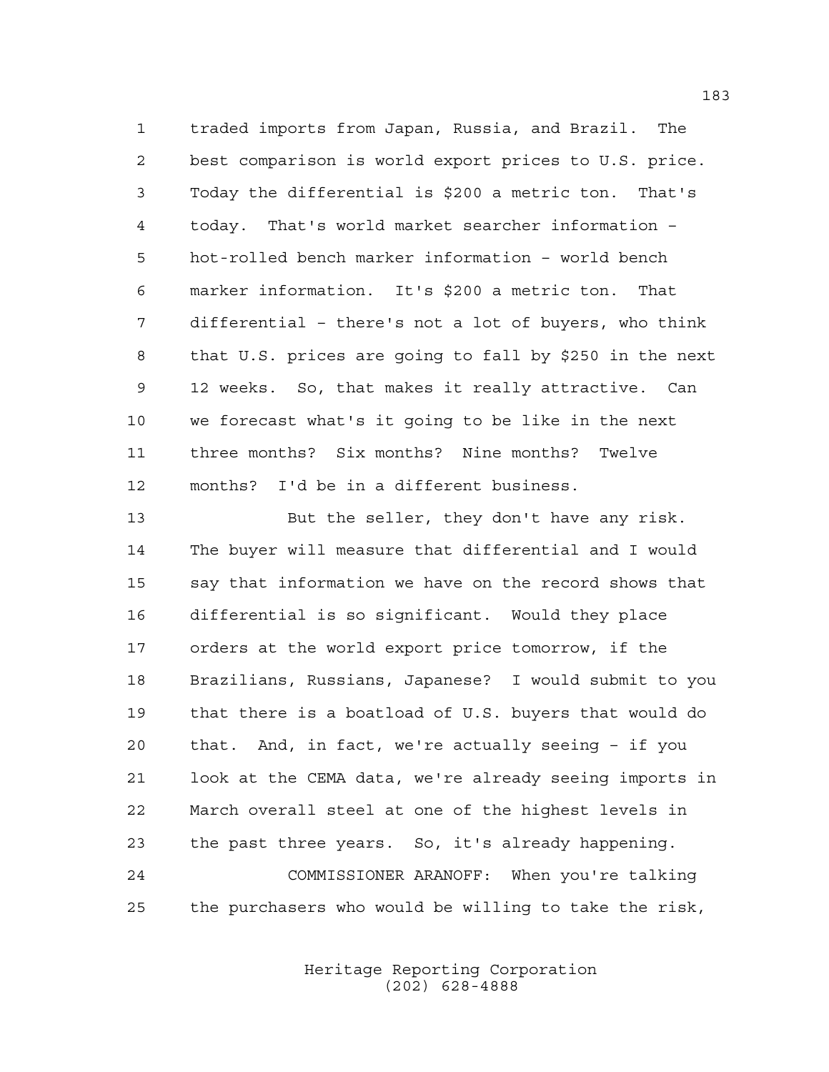traded imports from Japan, Russia, and Brazil. The best comparison is world export prices to U.S. price. Today the differential is \$200 a metric ton. That's today. That's world market searcher information – hot-rolled bench marker information – world bench marker information. It's \$200 a metric ton. That differential – there's not a lot of buyers, who think that U.S. prices are going to fall by \$250 in the next 12 weeks. So, that makes it really attractive. Can we forecast what's it going to be like in the next three months? Six months? Nine months? Twelve months? I'd be in a different business.

 But the seller, they don't have any risk. The buyer will measure that differential and I would say that information we have on the record shows that differential is so significant. Would they place orders at the world export price tomorrow, if the Brazilians, Russians, Japanese? I would submit to you that there is a boatload of U.S. buyers that would do that. And, in fact, we're actually seeing – if you look at the CEMA data, we're already seeing imports in March overall steel at one of the highest levels in the past three years. So, it's already happening. COMMISSIONER ARANOFF: When you're talking the purchasers who would be willing to take the risk,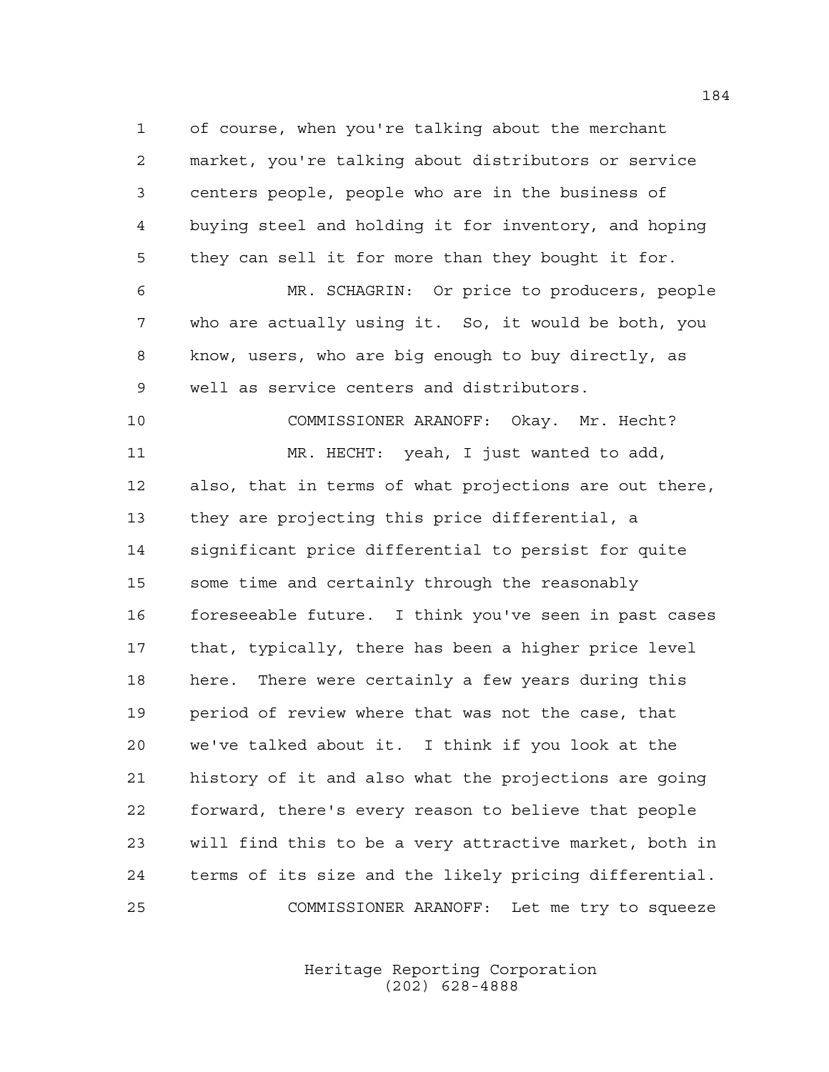of course, when you're talking about the merchant market, you're talking about distributors or service centers people, people who are in the business of buying steel and holding it for inventory, and hoping they can sell it for more than they bought it for.

 MR. SCHAGRIN: Or price to producers, people who are actually using it. So, it would be both, you know, users, who are big enough to buy directly, as well as service centers and distributors.

 COMMISSIONER ARANOFF: Okay. Mr. Hecht? MR. HECHT: yeah, I just wanted to add, also, that in terms of what projections are out there, they are projecting this price differential, a significant price differential to persist for quite some time and certainly through the reasonably foreseeable future. I think you've seen in past cases that, typically, there has been a higher price level here. There were certainly a few years during this period of review where that was not the case, that we've talked about it. I think if you look at the history of it and also what the projections are going forward, there's every reason to believe that people will find this to be a very attractive market, both in terms of its size and the likely pricing differential. COMMISSIONER ARANOFF: Let me try to squeeze

> Heritage Reporting Corporation (202) 628-4888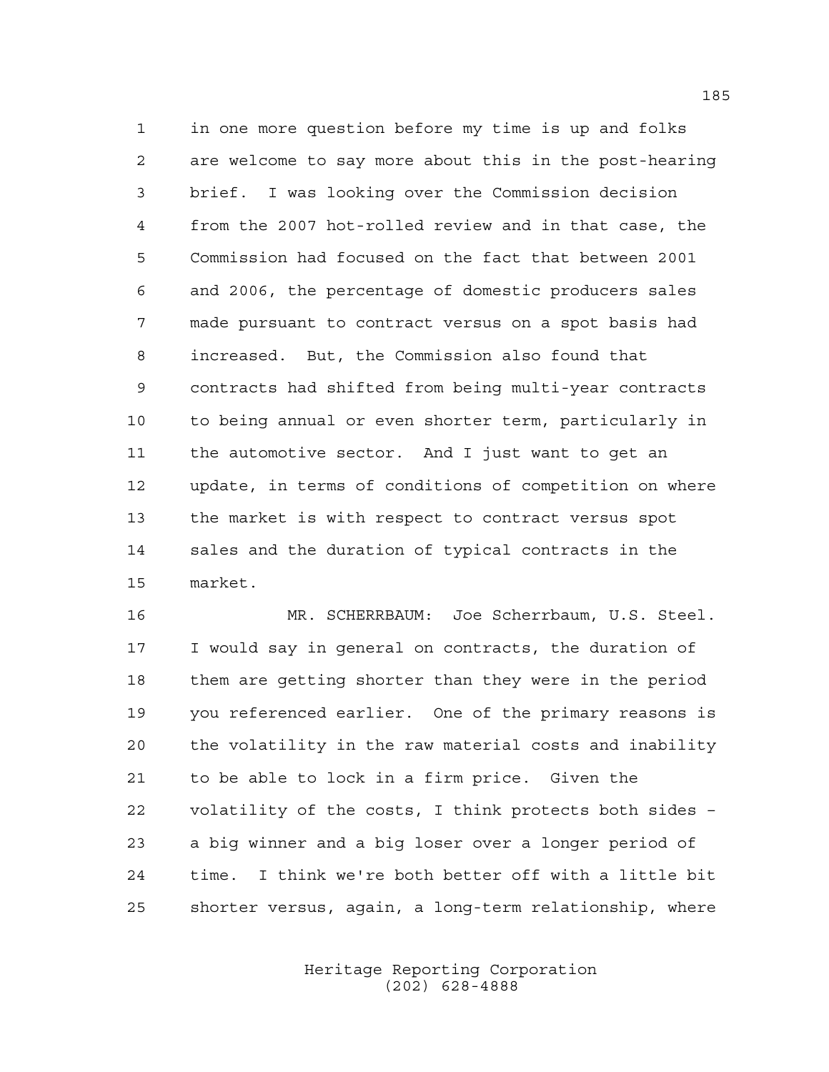in one more question before my time is up and folks are welcome to say more about this in the post-hearing brief. I was looking over the Commission decision from the 2007 hot-rolled review and in that case, the Commission had focused on the fact that between 2001 and 2006, the percentage of domestic producers sales made pursuant to contract versus on a spot basis had increased. But, the Commission also found that contracts had shifted from being multi-year contracts to being annual or even shorter term, particularly in the automotive sector. And I just want to get an update, in terms of conditions of competition on where the market is with respect to contract versus spot sales and the duration of typical contracts in the market.

 MR. SCHERRBAUM: Joe Scherrbaum, U.S. Steel. I would say in general on contracts, the duration of them are getting shorter than they were in the period you referenced earlier. One of the primary reasons is the volatility in the raw material costs and inability to be able to lock in a firm price. Given the volatility of the costs, I think protects both sides – a big winner and a big loser over a longer period of time. I think we're both better off with a little bit shorter versus, again, a long-term relationship, where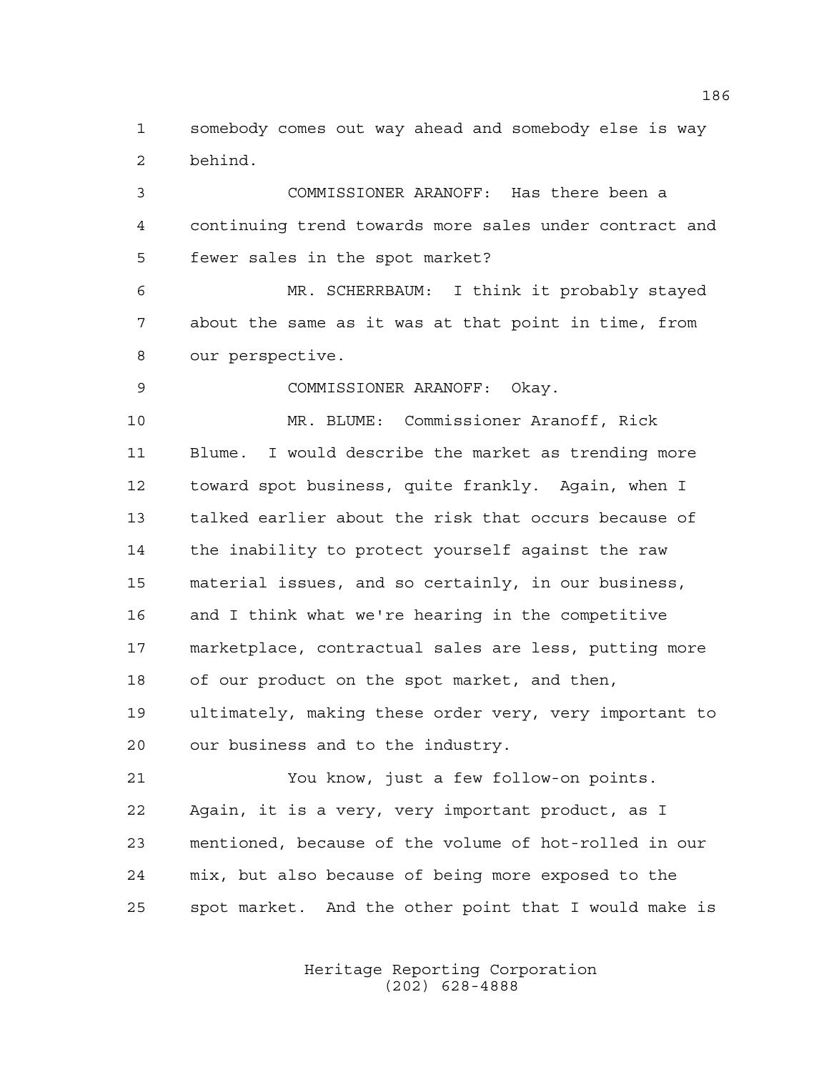somebody comes out way ahead and somebody else is way behind.

 COMMISSIONER ARANOFF: Has there been a continuing trend towards more sales under contract and fewer sales in the spot market?

 MR. SCHERRBAUM: I think it probably stayed about the same as it was at that point in time, from our perspective.

COMMISSIONER ARANOFF: Okay.

 MR. BLUME: Commissioner Aranoff, Rick Blume. I would describe the market as trending more toward spot business, quite frankly. Again, when I talked earlier about the risk that occurs because of the inability to protect yourself against the raw material issues, and so certainly, in our business, and I think what we're hearing in the competitive marketplace, contractual sales are less, putting more 18 of our product on the spot market, and then, ultimately, making these order very, very important to our business and to the industry.

 You know, just a few follow-on points. Again, it is a very, very important product, as I mentioned, because of the volume of hot-rolled in our mix, but also because of being more exposed to the spot market. And the other point that I would make is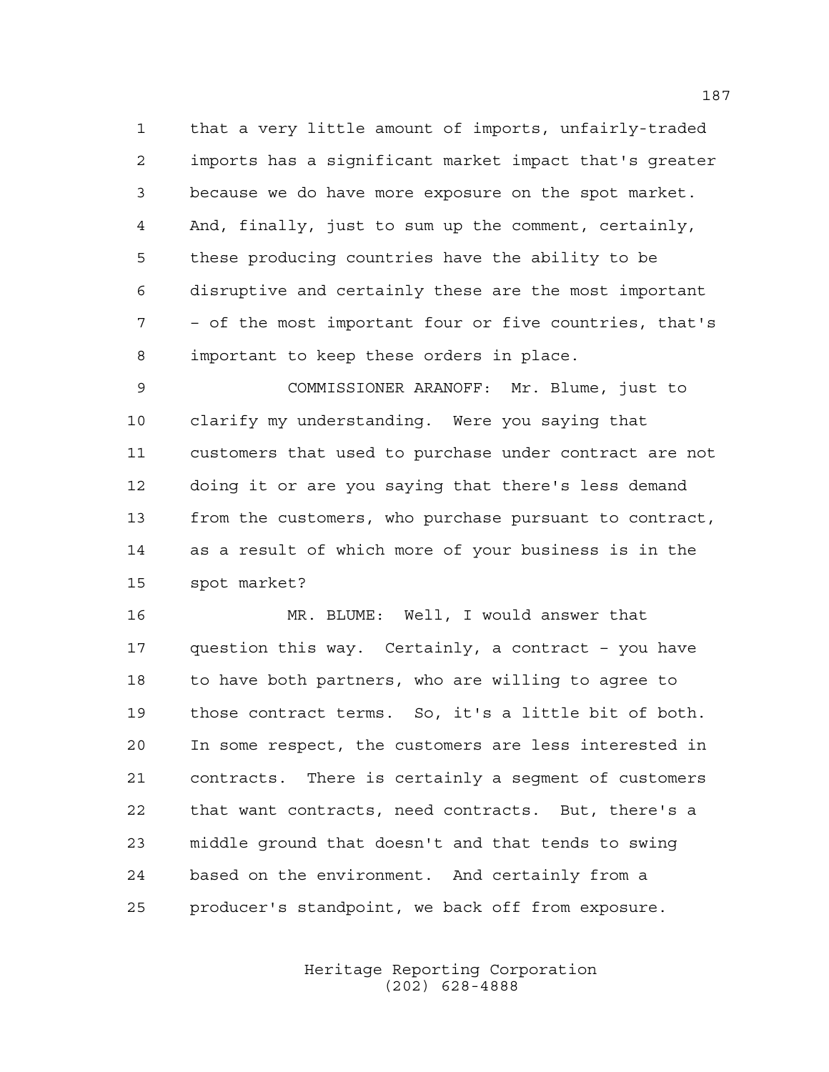that a very little amount of imports, unfairly-traded imports has a significant market impact that's greater because we do have more exposure on the spot market. And, finally, just to sum up the comment, certainly, these producing countries have the ability to be disruptive and certainly these are the most important – of the most important four or five countries, that's important to keep these orders in place.

 COMMISSIONER ARANOFF: Mr. Blume, just to clarify my understanding. Were you saying that customers that used to purchase under contract are not doing it or are you saying that there's less demand from the customers, who purchase pursuant to contract, as a result of which more of your business is in the spot market?

 MR. BLUME: Well, I would answer that question this way. Certainly, a contract – you have to have both partners, who are willing to agree to those contract terms. So, it's a little bit of both. In some respect, the customers are less interested in contracts. There is certainly a segment of customers that want contracts, need contracts. But, there's a middle ground that doesn't and that tends to swing based on the environment. And certainly from a producer's standpoint, we back off from exposure.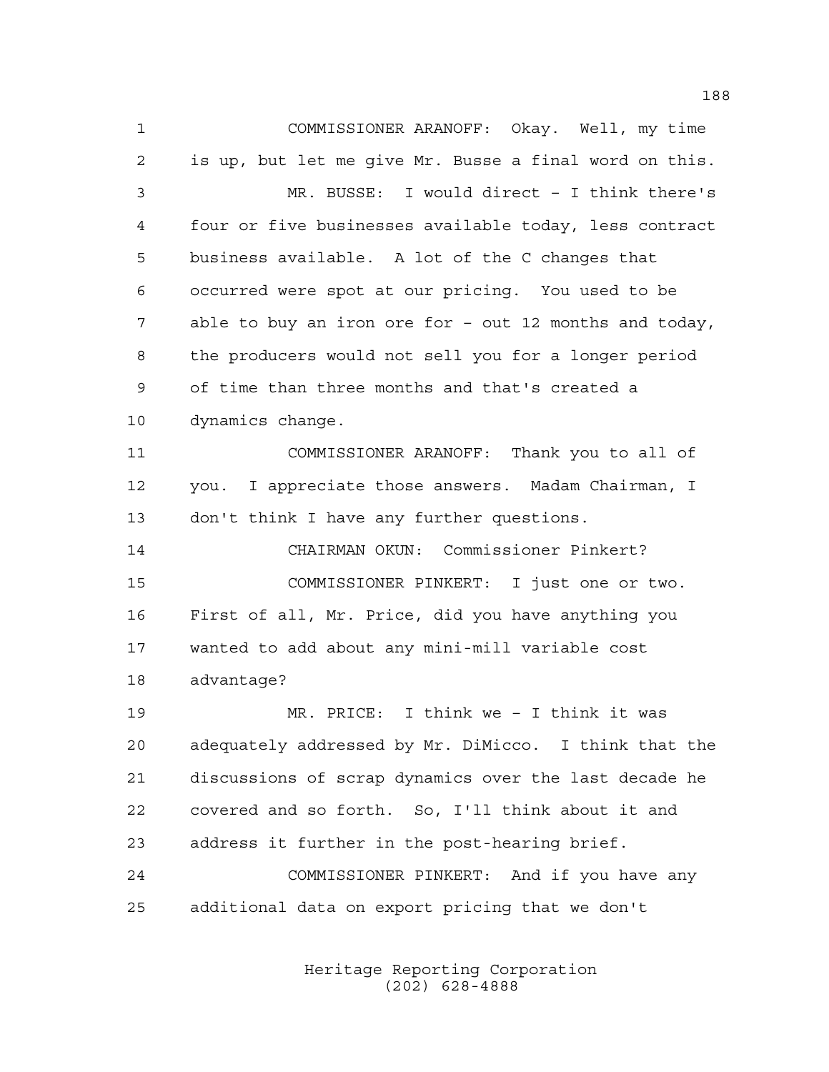COMMISSIONER ARANOFF: Okay. Well, my time is up, but let me give Mr. Busse a final word on this. MR. BUSSE: I would direct – I think there's four or five businesses available today, less contract business available. A lot of the C changes that occurred were spot at our pricing. You used to be able to buy an iron ore for – out 12 months and today, the producers would not sell you for a longer period of time than three months and that's created a dynamics change. COMMISSIONER ARANOFF: Thank you to all of you. I appreciate those answers. Madam Chairman, I don't think I have any further questions. CHAIRMAN OKUN: Commissioner Pinkert? COMMISSIONER PINKERT: I just one or two. First of all, Mr. Price, did you have anything you wanted to add about any mini-mill variable cost advantage? MR. PRICE: I think we – I think it was adequately addressed by Mr. DiMicco. I think that the discussions of scrap dynamics over the last decade he covered and so forth. So, I'll think about it and address it further in the post-hearing brief. COMMISSIONER PINKERT: And if you have any additional data on export pricing that we don't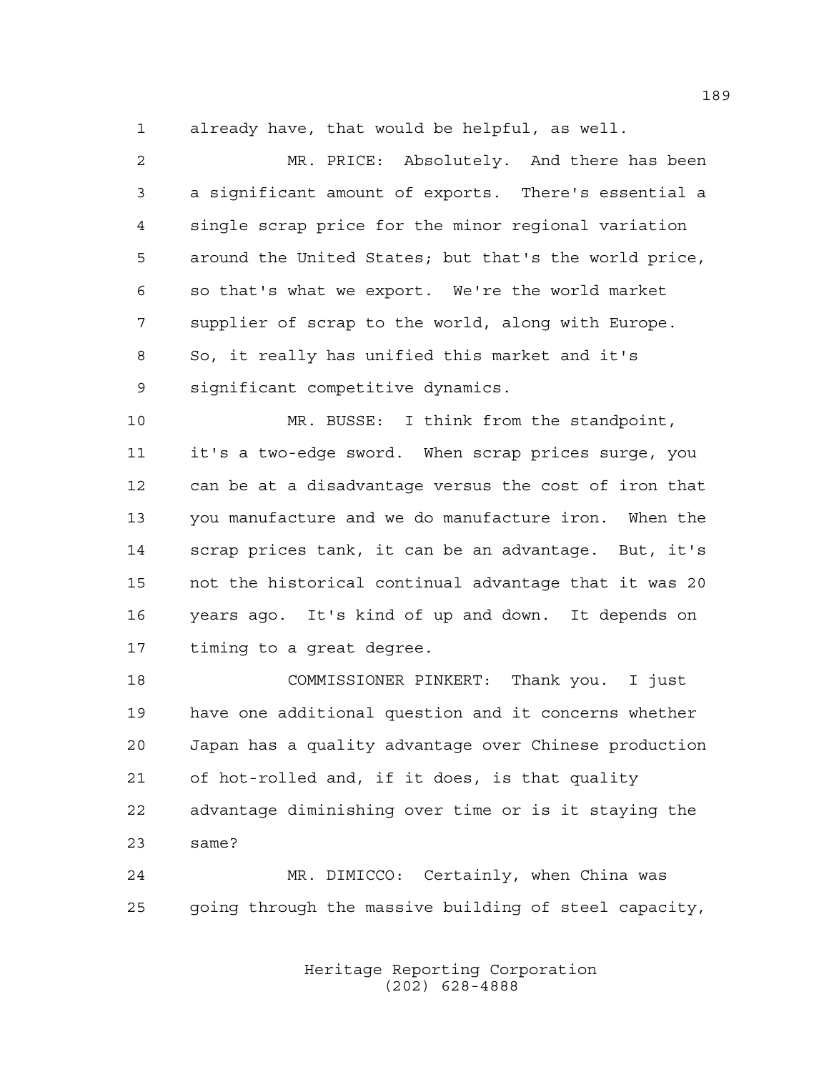already have, that would be helpful, as well.

 MR. PRICE: Absolutely. And there has been a significant amount of exports. There's essential a single scrap price for the minor regional variation around the United States; but that's the world price, so that's what we export. We're the world market supplier of scrap to the world, along with Europe. So, it really has unified this market and it's significant competitive dynamics.

 MR. BUSSE: I think from the standpoint, it's a two-edge sword. When scrap prices surge, you can be at a disadvantage versus the cost of iron that you manufacture and we do manufacture iron. When the scrap prices tank, it can be an advantage. But, it's not the historical continual advantage that it was 20 years ago. It's kind of up and down. It depends on timing to a great degree.

 COMMISSIONER PINKERT: Thank you. I just have one additional question and it concerns whether Japan has a quality advantage over Chinese production of hot-rolled and, if it does, is that quality advantage diminishing over time or is it staying the same?

 MR. DIMICCO: Certainly, when China was going through the massive building of steel capacity,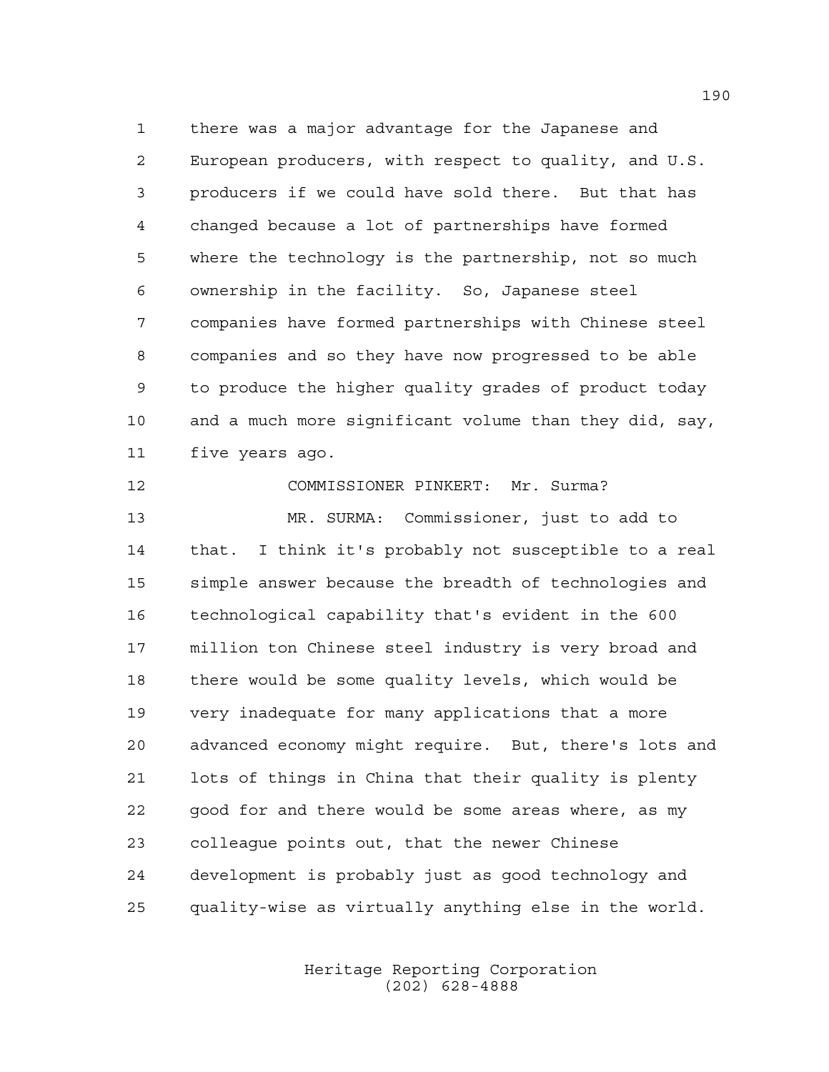there was a major advantage for the Japanese and European producers, with respect to quality, and U.S. producers if we could have sold there. But that has changed because a lot of partnerships have formed where the technology is the partnership, not so much ownership in the facility. So, Japanese steel companies have formed partnerships with Chinese steel companies and so they have now progressed to be able to produce the higher quality grades of product today and a much more significant volume than they did, say, five years ago.

COMMISSIONER PINKERT: Mr. Surma?

 MR. SURMA: Commissioner, just to add to that. I think it's probably not susceptible to a real simple answer because the breadth of technologies and technological capability that's evident in the 600 million ton Chinese steel industry is very broad and there would be some quality levels, which would be very inadequate for many applications that a more advanced economy might require. But, there's lots and lots of things in China that their quality is plenty good for and there would be some areas where, as my colleague points out, that the newer Chinese development is probably just as good technology and quality-wise as virtually anything else in the world.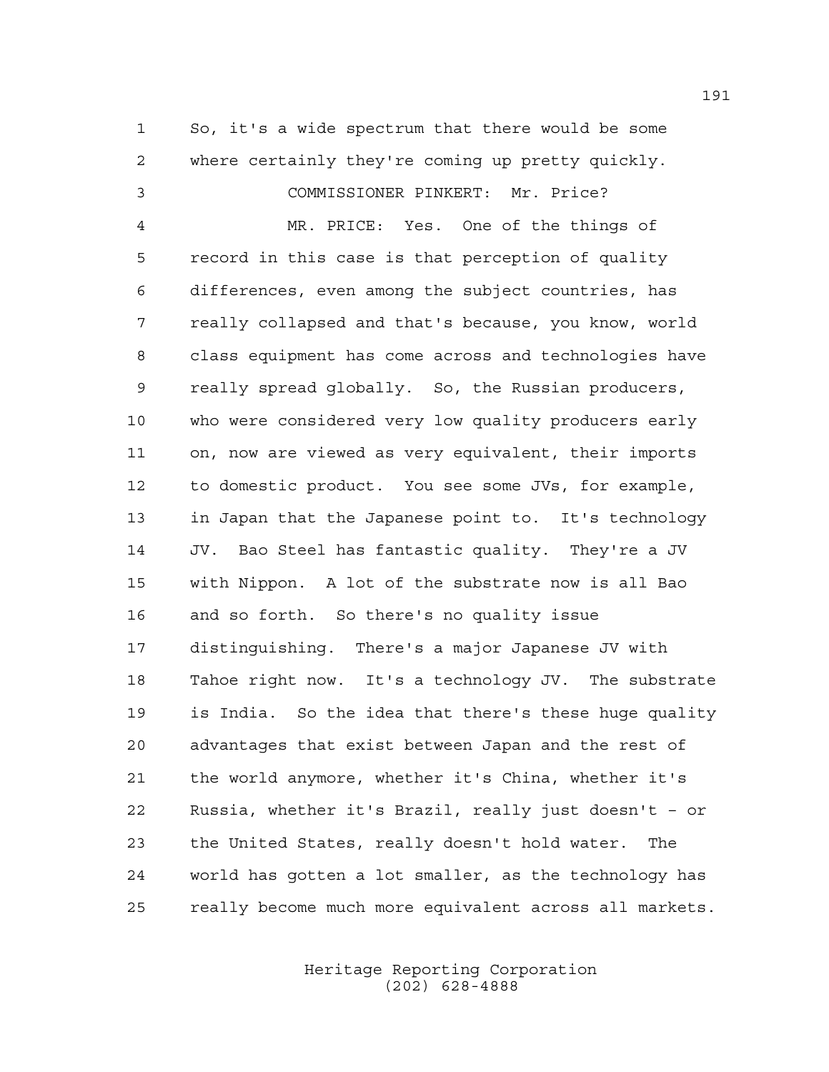So, it's a wide spectrum that there would be some where certainly they're coming up pretty quickly.

COMMISSIONER PINKERT: Mr. Price?

 MR. PRICE: Yes. One of the things of record in this case is that perception of quality differences, even among the subject countries, has really collapsed and that's because, you know, world class equipment has come across and technologies have really spread globally. So, the Russian producers, who were considered very low quality producers early on, now are viewed as very equivalent, their imports to domestic product. You see some JVs, for example, in Japan that the Japanese point to. It's technology JV. Bao Steel has fantastic quality. They're a JV with Nippon. A lot of the substrate now is all Bao and so forth. So there's no quality issue distinguishing. There's a major Japanese JV with Tahoe right now. It's a technology JV. The substrate is India. So the idea that there's these huge quality advantages that exist between Japan and the rest of the world anymore, whether it's China, whether it's Russia, whether it's Brazil, really just doesn't – or the United States, really doesn't hold water. The world has gotten a lot smaller, as the technology has really become much more equivalent across all markets.

> Heritage Reporting Corporation (202) 628-4888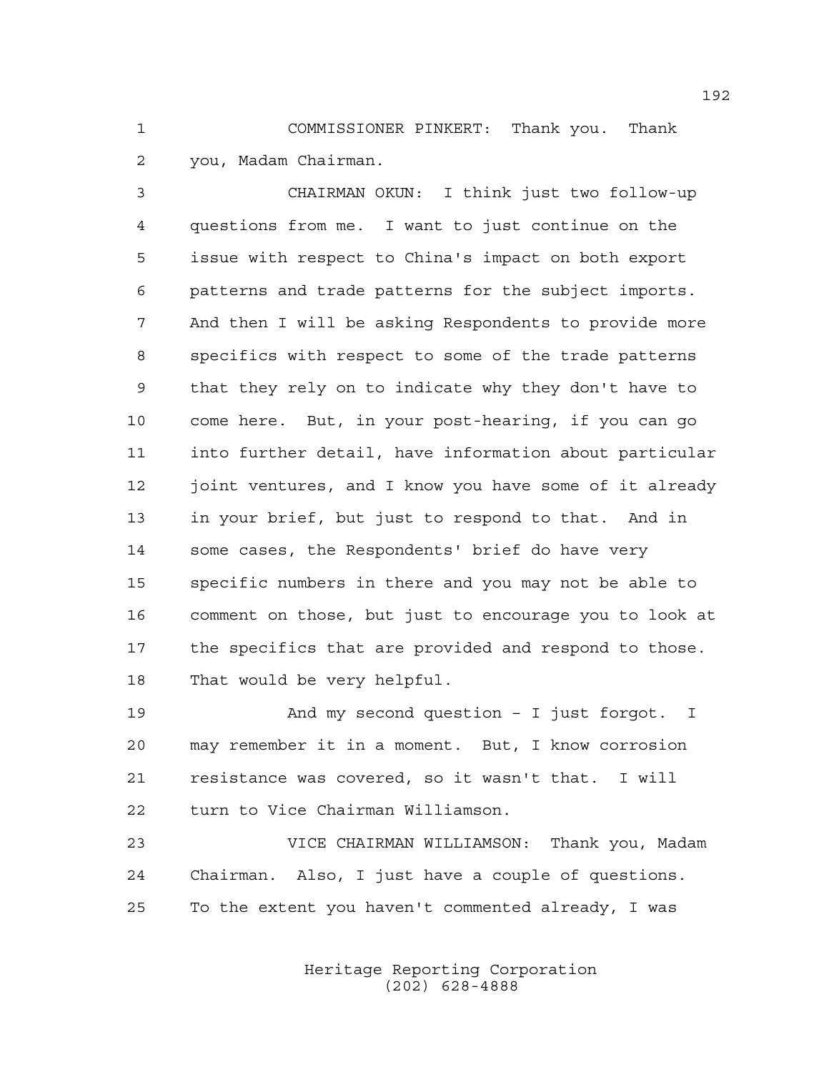COMMISSIONER PINKERT: Thank you. Thank you, Madam Chairman.

 CHAIRMAN OKUN: I think just two follow-up questions from me. I want to just continue on the issue with respect to China's impact on both export patterns and trade patterns for the subject imports. And then I will be asking Respondents to provide more specifics with respect to some of the trade patterns that they rely on to indicate why they don't have to come here. But, in your post-hearing, if you can go into further detail, have information about particular 12 joint ventures, and I know you have some of it already in your brief, but just to respond to that. And in some cases, the Respondents' brief do have very specific numbers in there and you may not be able to comment on those, but just to encourage you to look at the specifics that are provided and respond to those. That would be very helpful.

19 And my second question - I just forgot. I may remember it in a moment. But, I know corrosion resistance was covered, so it wasn't that. I will turn to Vice Chairman Williamson.

 VICE CHAIRMAN WILLIAMSON: Thank you, Madam Chairman. Also, I just have a couple of questions. To the extent you haven't commented already, I was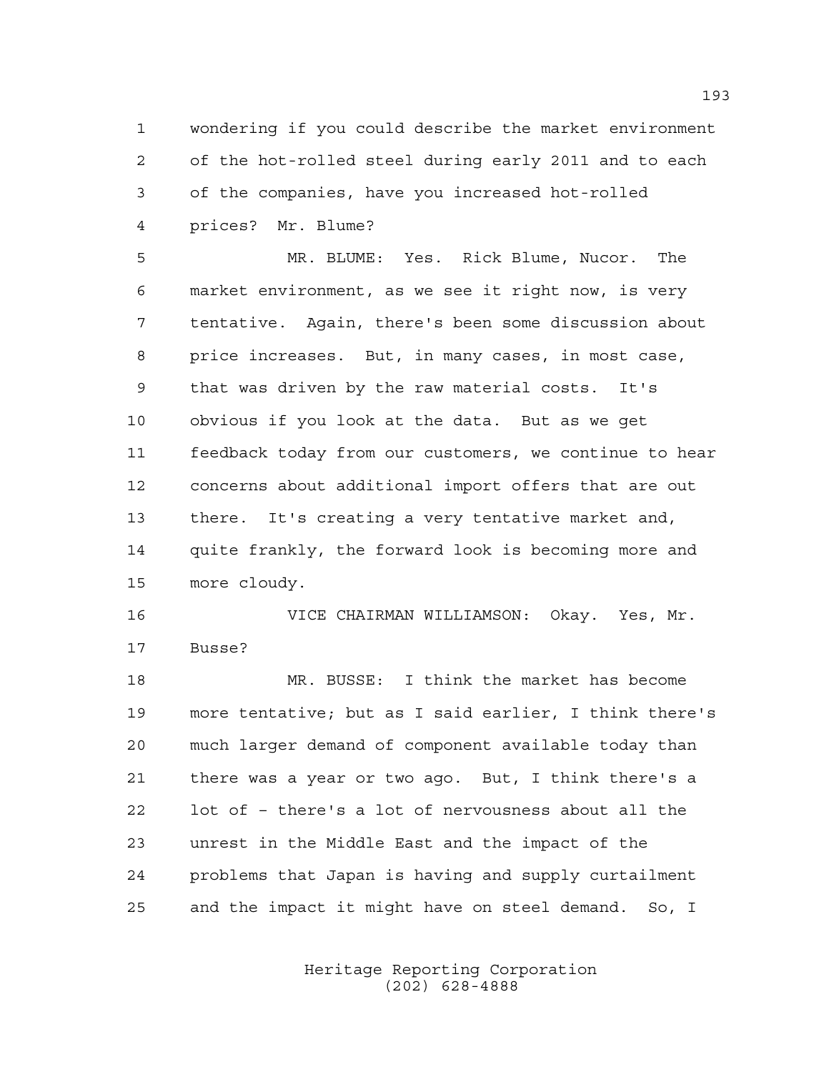wondering if you could describe the market environment of the hot-rolled steel during early 2011 and to each of the companies, have you increased hot-rolled prices? Mr. Blume?

 MR. BLUME: Yes. Rick Blume, Nucor. The market environment, as we see it right now, is very tentative. Again, there's been some discussion about price increases. But, in many cases, in most case, that was driven by the raw material costs. It's obvious if you look at the data. But as we get feedback today from our customers, we continue to hear concerns about additional import offers that are out there. It's creating a very tentative market and, quite frankly, the forward look is becoming more and more cloudy.

 VICE CHAIRMAN WILLIAMSON: Okay. Yes, Mr. Busse?

 MR. BUSSE: I think the market has become more tentative; but as I said earlier, I think there's much larger demand of component available today than there was a year or two ago. But, I think there's a lot of – there's a lot of nervousness about all the unrest in the Middle East and the impact of the problems that Japan is having and supply curtailment and the impact it might have on steel demand. So, I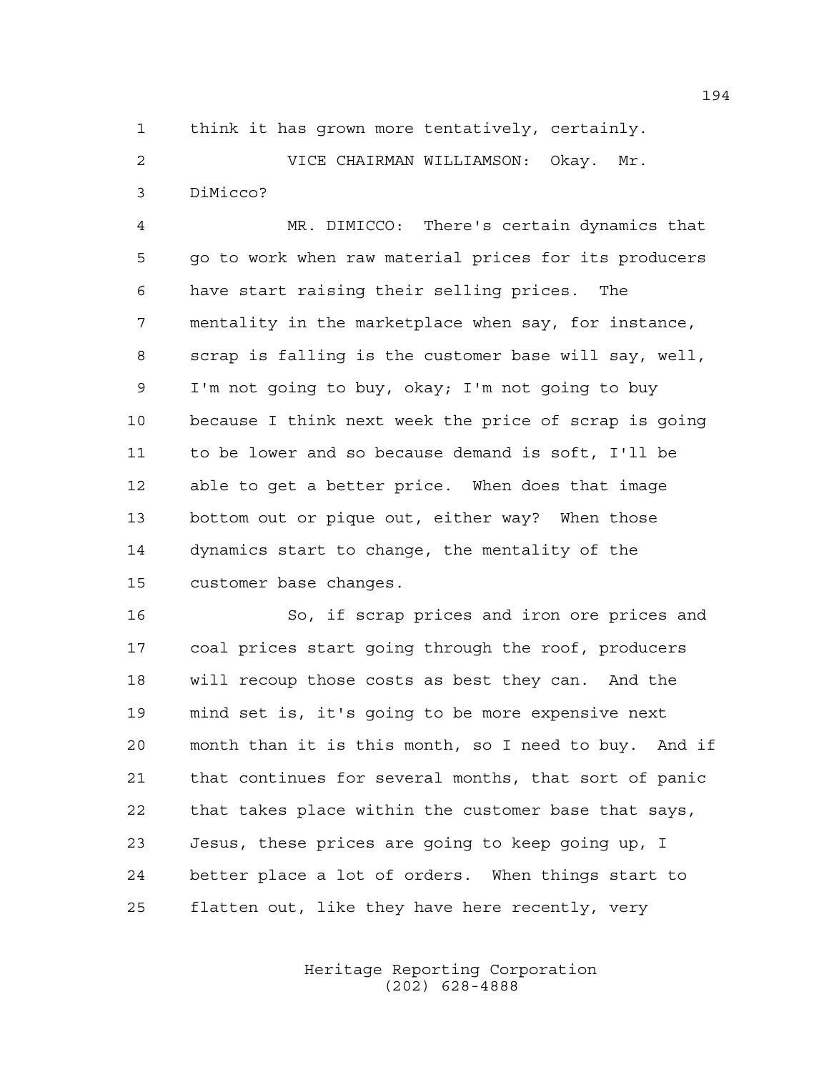think it has grown more tentatively, certainly.

 VICE CHAIRMAN WILLIAMSON: Okay. Mr. DiMicco?

 MR. DIMICCO: There's certain dynamics that go to work when raw material prices for its producers have start raising their selling prices. The mentality in the marketplace when say, for instance, scrap is falling is the customer base will say, well, I'm not going to buy, okay; I'm not going to buy because I think next week the price of scrap is going to be lower and so because demand is soft, I'll be able to get a better price. When does that image bottom out or pique out, either way? When those dynamics start to change, the mentality of the customer base changes.

 So, if scrap prices and iron ore prices and coal prices start going through the roof, producers will recoup those costs as best they can. And the mind set is, it's going to be more expensive next month than it is this month, so I need to buy. And if that continues for several months, that sort of panic that takes place within the customer base that says, Jesus, these prices are going to keep going up, I better place a lot of orders. When things start to flatten out, like they have here recently, very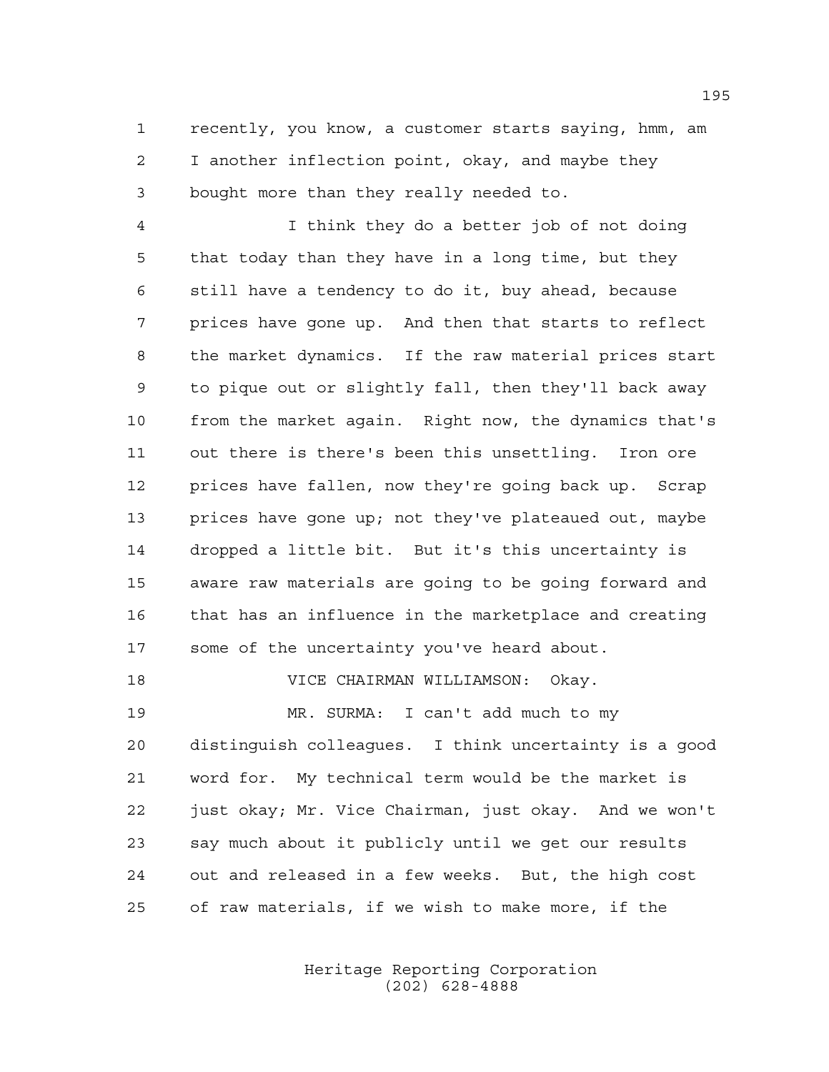recently, you know, a customer starts saying, hmm, am I another inflection point, okay, and maybe they bought more than they really needed to.

 I think they do a better job of not doing that today than they have in a long time, but they still have a tendency to do it, buy ahead, because prices have gone up. And then that starts to reflect the market dynamics. If the raw material prices start to pique out or slightly fall, then they'll back away from the market again. Right now, the dynamics that's out there is there's been this unsettling. Iron ore prices have fallen, now they're going back up. Scrap prices have gone up; not they've plateaued out, maybe dropped a little bit. But it's this uncertainty is aware raw materials are going to be going forward and that has an influence in the marketplace and creating some of the uncertainty you've heard about.

 VICE CHAIRMAN WILLIAMSON: Okay. MR. SURMA: I can't add much to my distinguish colleagues. I think uncertainty is a good

 word for. My technical term would be the market is just okay; Mr. Vice Chairman, just okay. And we won't say much about it publicly until we get our results out and released in a few weeks. But, the high cost of raw materials, if we wish to make more, if the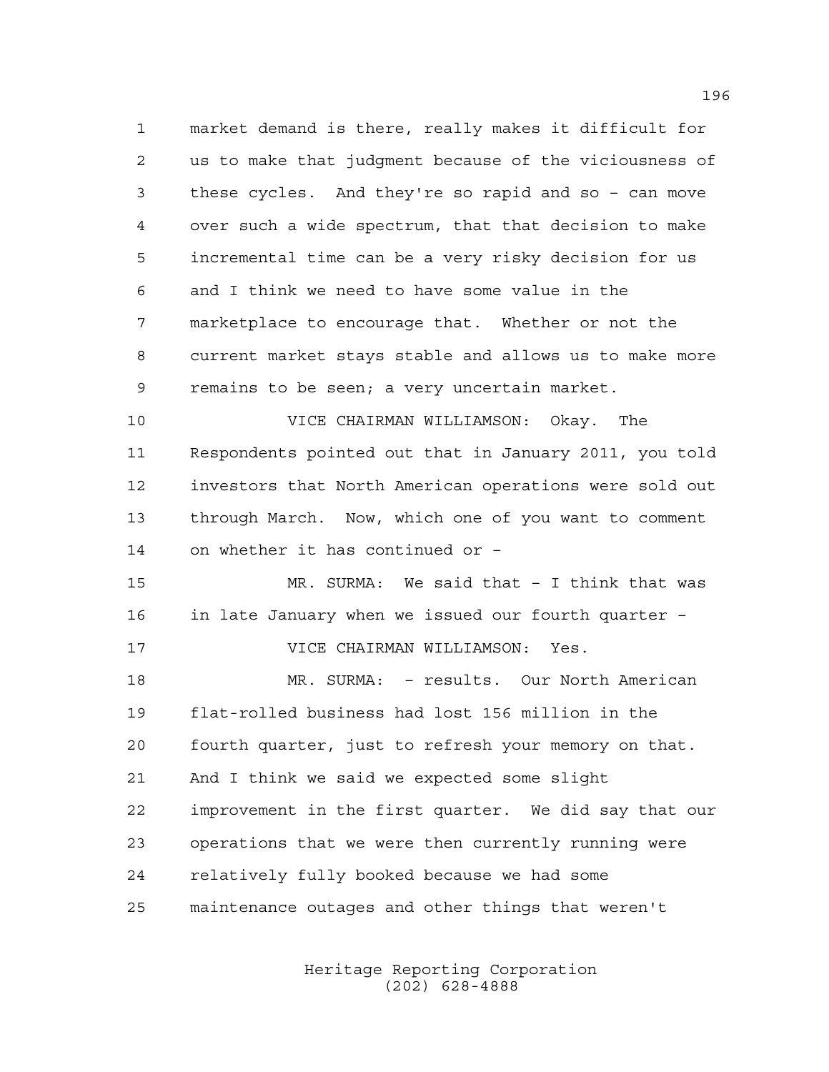market demand is there, really makes it difficult for us to make that judgment because of the viciousness of these cycles. And they're so rapid and so – can move over such a wide spectrum, that that decision to make incremental time can be a very risky decision for us and I think we need to have some value in the marketplace to encourage that. Whether or not the current market stays stable and allows us to make more remains to be seen; a very uncertain market.

 VICE CHAIRMAN WILLIAMSON: Okay. The Respondents pointed out that in January 2011, you told investors that North American operations were sold out through March. Now, which one of you want to comment on whether it has continued or –

 MR. SURMA: We said that – I think that was in late January when we issued our fourth quarter – VICE CHAIRMAN WILLIAMSON: Yes. MR. SURMA: – results. Our North American flat-rolled business had lost 156 million in the fourth quarter, just to refresh your memory on that. And I think we said we expected some slight improvement in the first quarter. We did say that our operations that we were then currently running were relatively fully booked because we had some maintenance outages and other things that weren't

> Heritage Reporting Corporation (202) 628-4888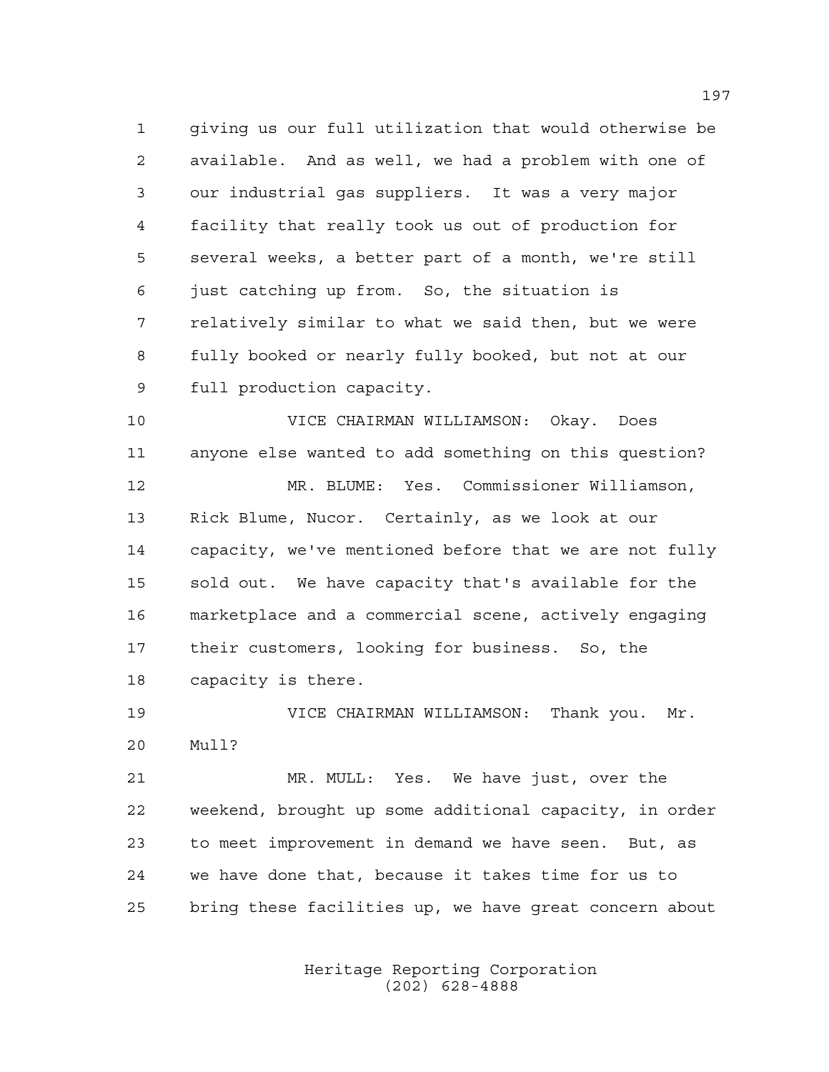giving us our full utilization that would otherwise be available. And as well, we had a problem with one of our industrial gas suppliers. It was a very major facility that really took us out of production for several weeks, a better part of a month, we're still just catching up from. So, the situation is relatively similar to what we said then, but we were fully booked or nearly fully booked, but not at our full production capacity.

 VICE CHAIRMAN WILLIAMSON: Okay. Does anyone else wanted to add something on this question? MR. BLUME: Yes. Commissioner Williamson, Rick Blume, Nucor. Certainly, as we look at our capacity, we've mentioned before that we are not fully sold out. We have capacity that's available for the marketplace and a commercial scene, actively engaging their customers, looking for business. So, the capacity is there.

 VICE CHAIRMAN WILLIAMSON: Thank you. Mr. Mull?

 MR. MULL: Yes. We have just, over the weekend, brought up some additional capacity, in order to meet improvement in demand we have seen. But, as we have done that, because it takes time for us to bring these facilities up, we have great concern about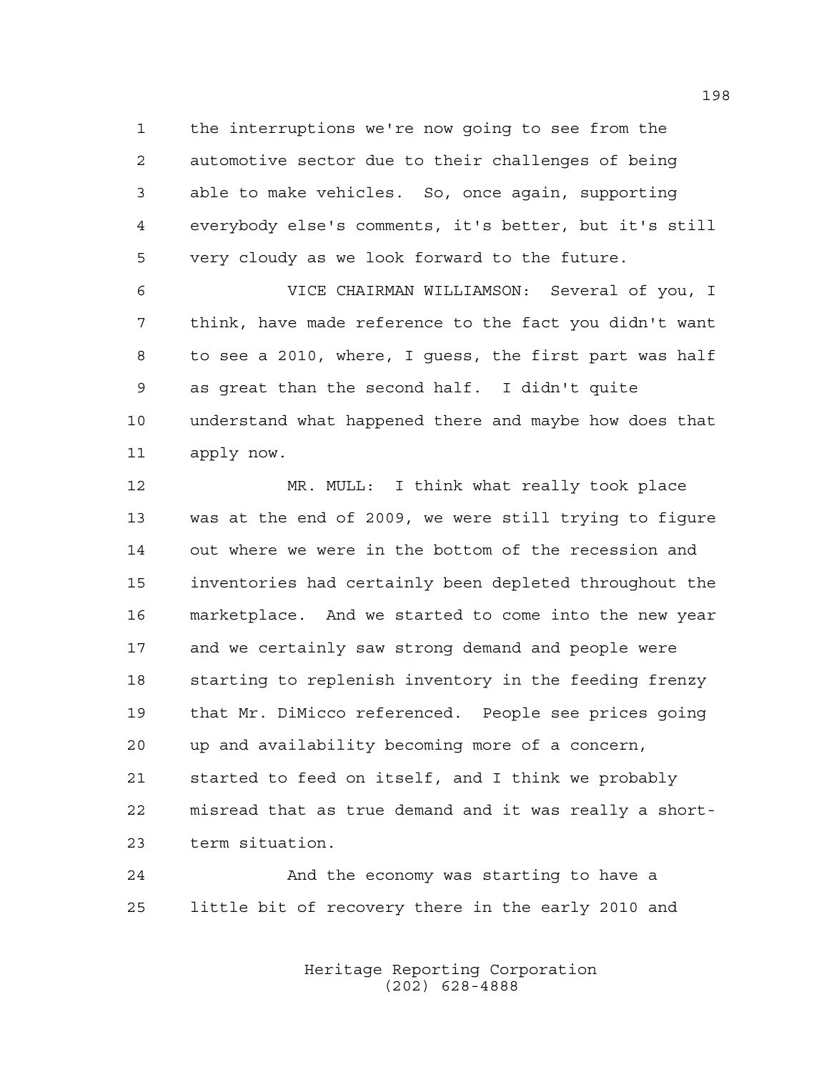the interruptions we're now going to see from the automotive sector due to their challenges of being able to make vehicles. So, once again, supporting everybody else's comments, it's better, but it's still very cloudy as we look forward to the future.

 VICE CHAIRMAN WILLIAMSON: Several of you, I think, have made reference to the fact you didn't want to see a 2010, where, I guess, the first part was half as great than the second half. I didn't quite understand what happened there and maybe how does that apply now.

 MR. MULL: I think what really took place was at the end of 2009, we were still trying to figure out where we were in the bottom of the recession and inventories had certainly been depleted throughout the marketplace. And we started to come into the new year and we certainly saw strong demand and people were starting to replenish inventory in the feeding frenzy that Mr. DiMicco referenced. People see prices going up and availability becoming more of a concern, started to feed on itself, and I think we probably misread that as true demand and it was really a short-term situation.

 And the economy was starting to have a little bit of recovery there in the early 2010 and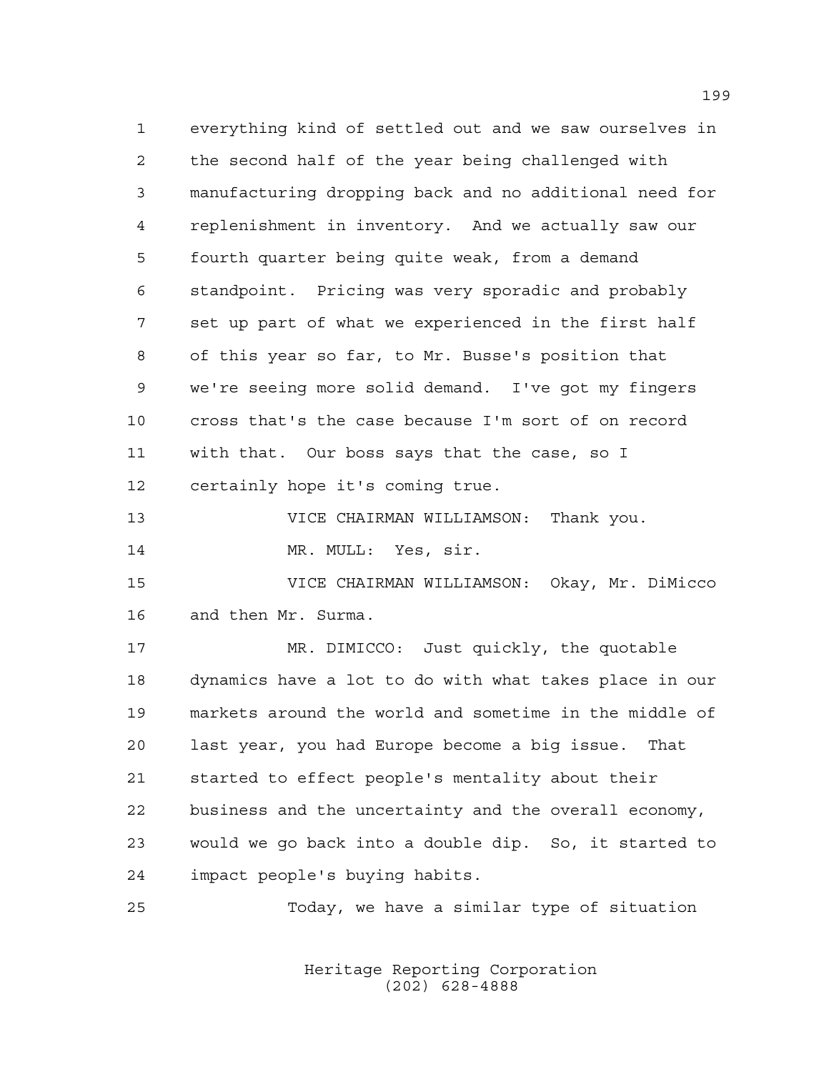everything kind of settled out and we saw ourselves in the second half of the year being challenged with manufacturing dropping back and no additional need for replenishment in inventory. And we actually saw our fourth quarter being quite weak, from a demand standpoint. Pricing was very sporadic and probably set up part of what we experienced in the first half of this year so far, to Mr. Busse's position that we're seeing more solid demand. I've got my fingers cross that's the case because I'm sort of on record with that. Our boss says that the case, so I certainly hope it's coming true.

VICE CHAIRMAN WILLIAMSON: Thank you.

14 MR. MULL: Yes, sir.

 VICE CHAIRMAN WILLIAMSON: Okay, Mr. DiMicco and then Mr. Surma.

 MR. DIMICCO: Just quickly, the quotable dynamics have a lot to do with what takes place in our markets around the world and sometime in the middle of last year, you had Europe become a big issue. That started to effect people's mentality about their business and the uncertainty and the overall economy, would we go back into a double dip. So, it started to impact people's buying habits.

Today, we have a similar type of situation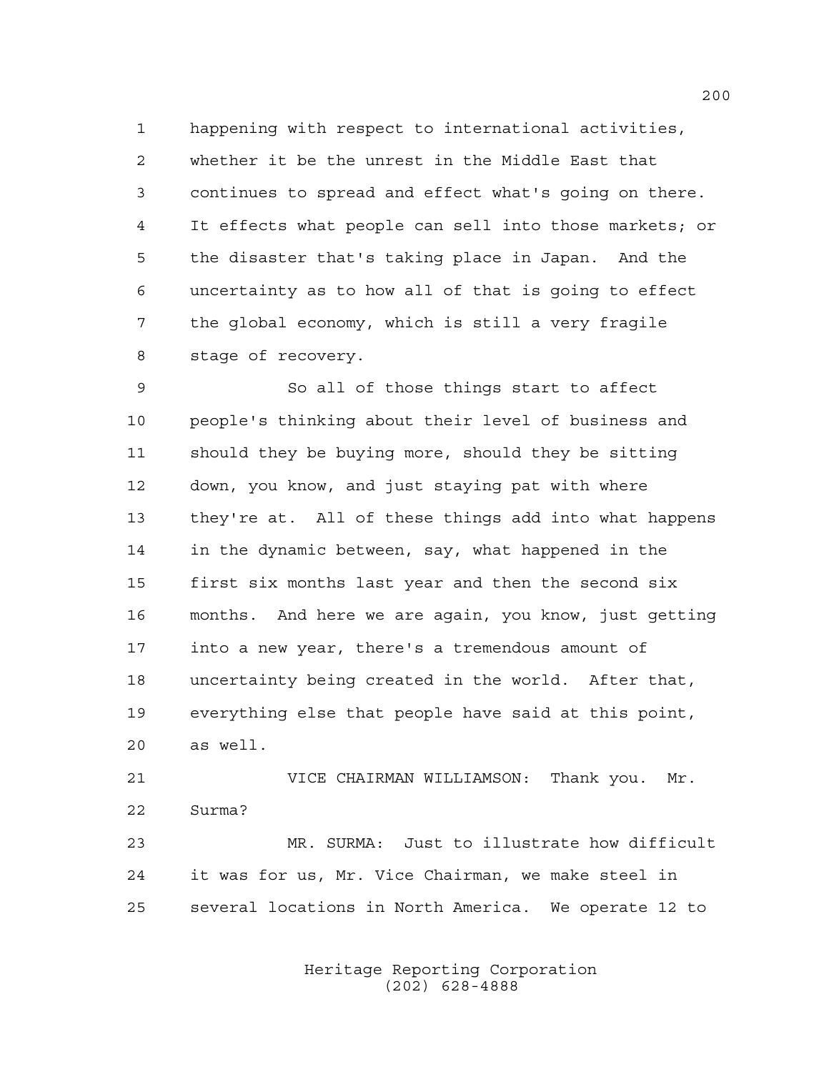happening with respect to international activities, whether it be the unrest in the Middle East that continues to spread and effect what's going on there. It effects what people can sell into those markets; or the disaster that's taking place in Japan. And the uncertainty as to how all of that is going to effect the global economy, which is still a very fragile stage of recovery.

 So all of those things start to affect people's thinking about their level of business and should they be buying more, should they be sitting down, you know, and just staying pat with where they're at. All of these things add into what happens in the dynamic between, say, what happened in the first six months last year and then the second six months. And here we are again, you know, just getting into a new year, there's a tremendous amount of uncertainty being created in the world. After that, everything else that people have said at this point, as well.

 VICE CHAIRMAN WILLIAMSON: Thank you. Mr. Surma? MR. SURMA: Just to illustrate how difficult

 it was for us, Mr. Vice Chairman, we make steel in several locations in North America. We operate 12 to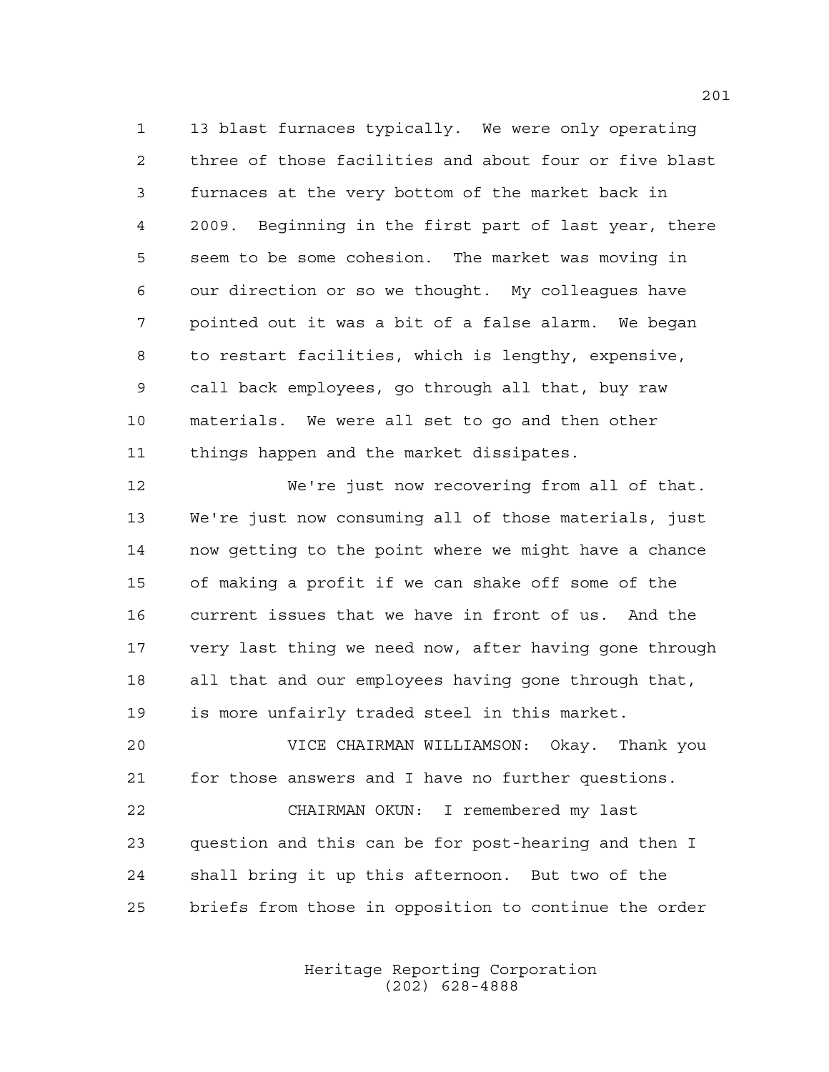13 blast furnaces typically. We were only operating three of those facilities and about four or five blast furnaces at the very bottom of the market back in 2009. Beginning in the first part of last year, there seem to be some cohesion. The market was moving in our direction or so we thought. My colleagues have pointed out it was a bit of a false alarm. We began to restart facilities, which is lengthy, expensive, call back employees, go through all that, buy raw materials. We were all set to go and then other things happen and the market dissipates.

 We're just now recovering from all of that. We're just now consuming all of those materials, just now getting to the point where we might have a chance of making a profit if we can shake off some of the current issues that we have in front of us. And the very last thing we need now, after having gone through all that and our employees having gone through that, is more unfairly traded steel in this market.

 VICE CHAIRMAN WILLIAMSON: Okay. Thank you for those answers and I have no further questions. CHAIRMAN OKUN: I remembered my last

 question and this can be for post-hearing and then I shall bring it up this afternoon. But two of the briefs from those in opposition to continue the order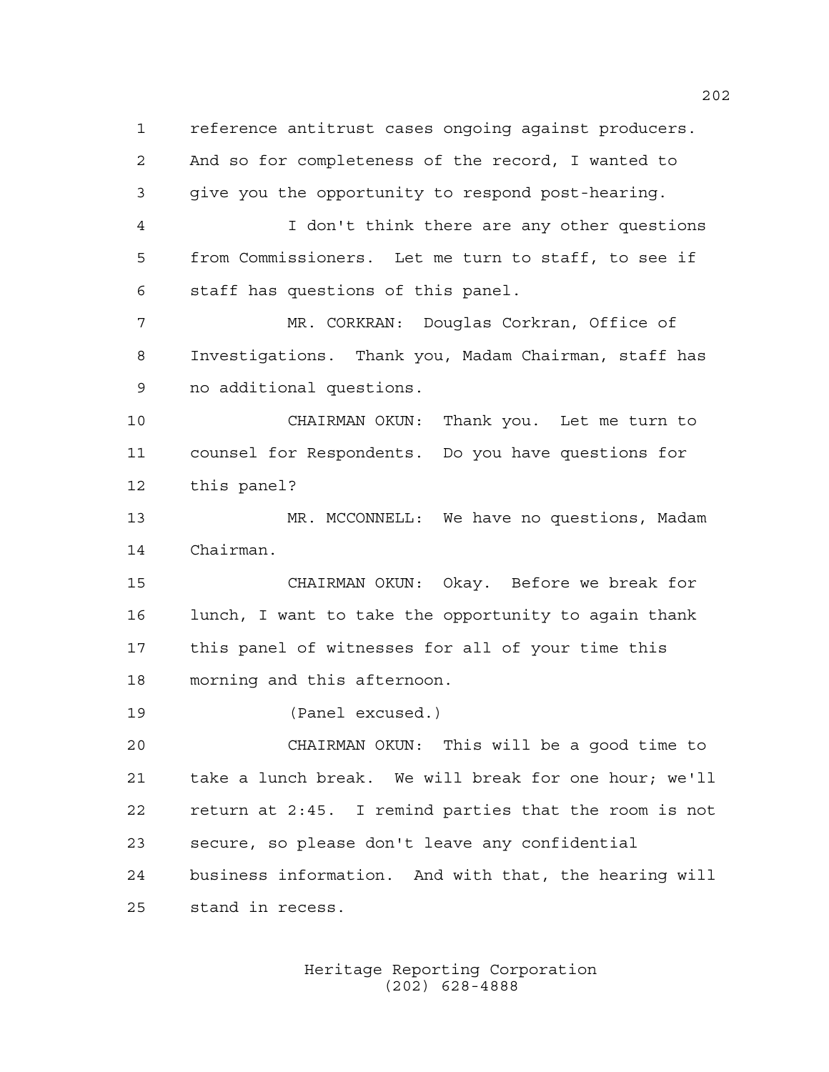reference antitrust cases ongoing against producers. And so for completeness of the record, I wanted to give you the opportunity to respond post-hearing. I don't think there are any other questions from Commissioners. Let me turn to staff, to see if

 MR. CORKRAN: Douglas Corkran, Office of Investigations. Thank you, Madam Chairman, staff has no additional questions.

staff has questions of this panel.

 CHAIRMAN OKUN: Thank you. Let me turn to counsel for Respondents. Do you have questions for this panel?

 MR. MCCONNELL: We have no questions, Madam Chairman.

 CHAIRMAN OKUN: Okay. Before we break for lunch, I want to take the opportunity to again thank this panel of witnesses for all of your time this morning and this afternoon.

(Panel excused.)

 CHAIRMAN OKUN: This will be a good time to take a lunch break. We will break for one hour; we'll return at 2:45. I remind parties that the room is not secure, so please don't leave any confidential business information. And with that, the hearing will stand in recess.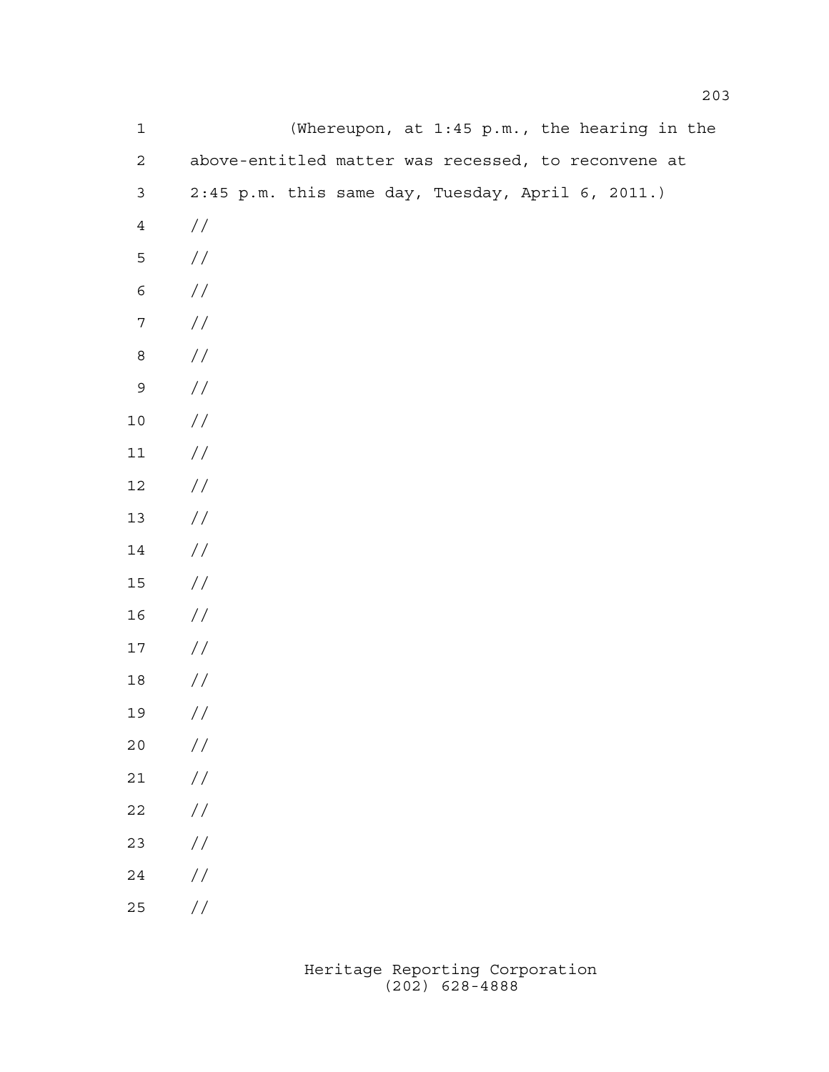| $1\,$            | (Whereupon, at 1:45 p.m., the hearing in the        |
|------------------|-----------------------------------------------------|
| $\mathbf 2$      | above-entitled matter was recessed, to reconvene at |
| $\mathfrak{Z}$   | 2:45 p.m. this same day, Tuesday, April 6, 2011.)   |
| $\overline{4}$   | //                                                  |
| 5                | $\!/\!$                                             |
| 6                | $\!/\!$                                             |
| $\boldsymbol{7}$ | $\!/\!$                                             |
| $\,8\,$          | $\!/\!$                                             |
| $\mathsf 9$      | $\!/\!$                                             |
| $10$             | $\!/\!$                                             |
| $11$             | $\!/\!$                                             |
| $12$             | $\!/\!$                                             |
| 13               | $\!/\!$                                             |
| 14               | $\!/\!$                                             |
| $15\,$           | $\!/\!$                                             |
| 16               | $\!/\!$                                             |
| $17$             | $\frac{1}{2}$                                       |
| 18               | //                                                  |
| 19               | $\sqrt{}$                                           |
| 20               | //                                                  |
| 21               | $\!/\!$                                             |
| 22               | $\!/\!$                                             |
| 23               | $\!/\!$                                             |
| 24               | $\!/\!$                                             |
| 25               | $\sqrt{}$                                           |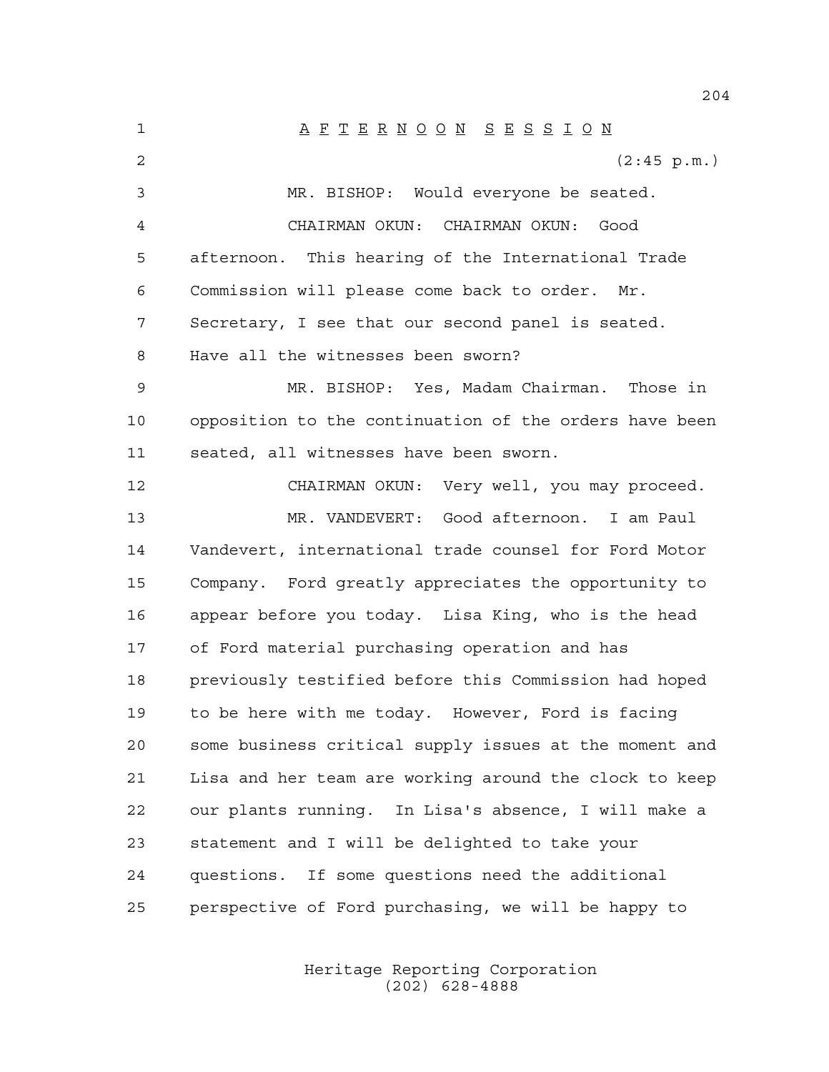A F T E R N O O N S E S S I O N  $(2:45 \text{ p.m.})$  MR. BISHOP: Would everyone be seated. CHAIRMAN OKUN: CHAIRMAN OKUN: Good afternoon. This hearing of the International Trade Commission will please come back to order. Mr. Secretary, I see that our second panel is seated. Have all the witnesses been sworn? MR. BISHOP: Yes, Madam Chairman. Those in opposition to the continuation of the orders have been seated, all witnesses have been sworn. CHAIRMAN OKUN: Very well, you may proceed. MR. VANDEVERT: Good afternoon. I am Paul Vandevert, international trade counsel for Ford Motor Company. Ford greatly appreciates the opportunity to appear before you today. Lisa King, who is the head of Ford material purchasing operation and has previously testified before this Commission had hoped to be here with me today. However, Ford is facing some business critical supply issues at the moment and Lisa and her team are working around the clock to keep our plants running. In Lisa's absence, I will make a statement and I will be delighted to take your questions. If some questions need the additional perspective of Ford purchasing, we will be happy to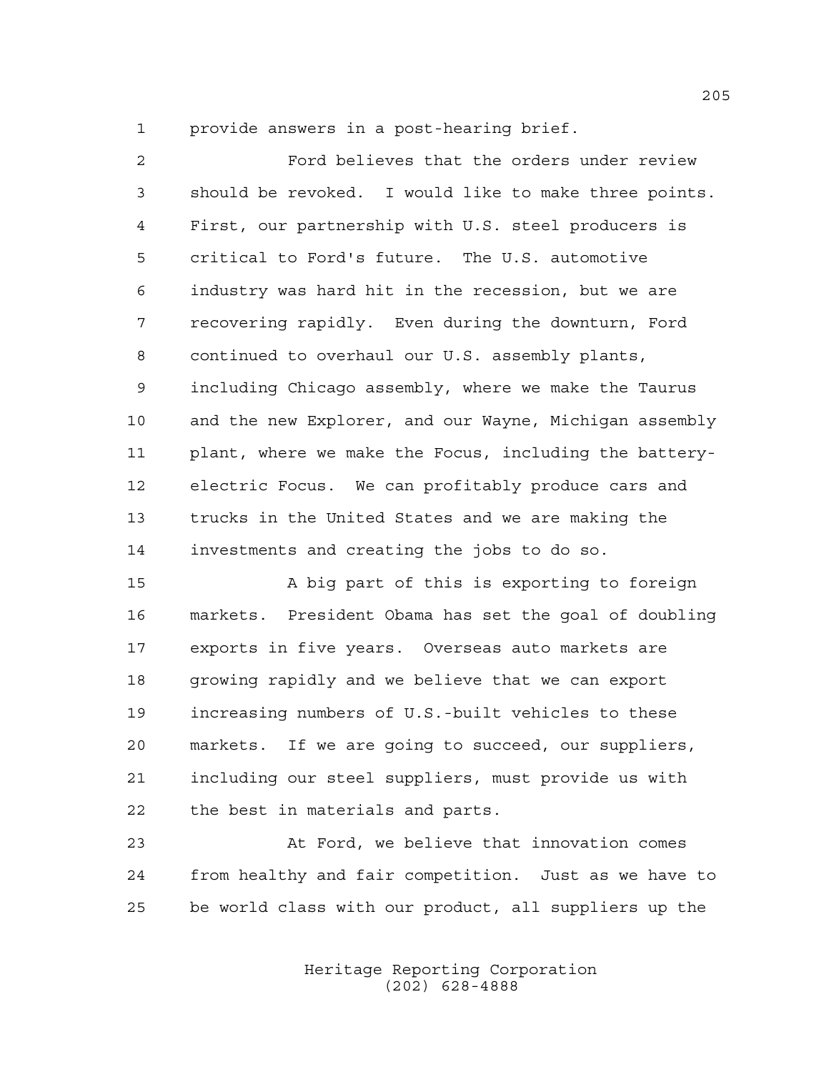provide answers in a post-hearing brief.

 Ford believes that the orders under review should be revoked. I would like to make three points. First, our partnership with U.S. steel producers is critical to Ford's future. The U.S. automotive industry was hard hit in the recession, but we are recovering rapidly. Even during the downturn, Ford continued to overhaul our U.S. assembly plants, including Chicago assembly, where we make the Taurus and the new Explorer, and our Wayne, Michigan assembly plant, where we make the Focus, including the battery- electric Focus. We can profitably produce cars and trucks in the United States and we are making the investments and creating the jobs to do so.

 A big part of this is exporting to foreign markets. President Obama has set the goal of doubling exports in five years. Overseas auto markets are growing rapidly and we believe that we can export increasing numbers of U.S.-built vehicles to these markets. If we are going to succeed, our suppliers, including our steel suppliers, must provide us with the best in materials and parts.

 At Ford, we believe that innovation comes from healthy and fair competition. Just as we have to be world class with our product, all suppliers up the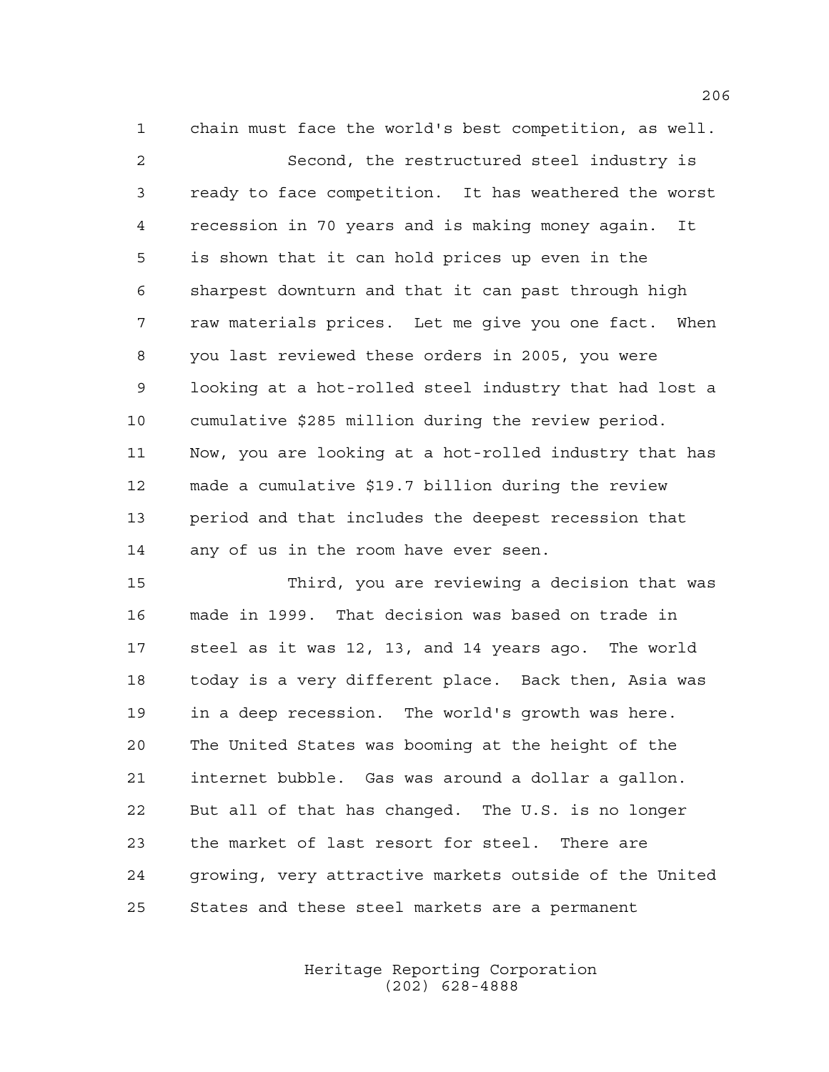chain must face the world's best competition, as well. Second, the restructured steel industry is ready to face competition. It has weathered the worst recession in 70 years and is making money again. It is shown that it can hold prices up even in the sharpest downturn and that it can past through high raw materials prices. Let me give you one fact. When you last reviewed these orders in 2005, you were looking at a hot-rolled steel industry that had lost a cumulative \$285 million during the review period. Now, you are looking at a hot-rolled industry that has made a cumulative \$19.7 billion during the review period and that includes the deepest recession that any of us in the room have ever seen.

 Third, you are reviewing a decision that was made in 1999. That decision was based on trade in steel as it was 12, 13, and 14 years ago. The world today is a very different place. Back then, Asia was in a deep recession. The world's growth was here. The United States was booming at the height of the internet bubble. Gas was around a dollar a gallon. But all of that has changed. The U.S. is no longer the market of last resort for steel. There are growing, very attractive markets outside of the United States and these steel markets are a permanent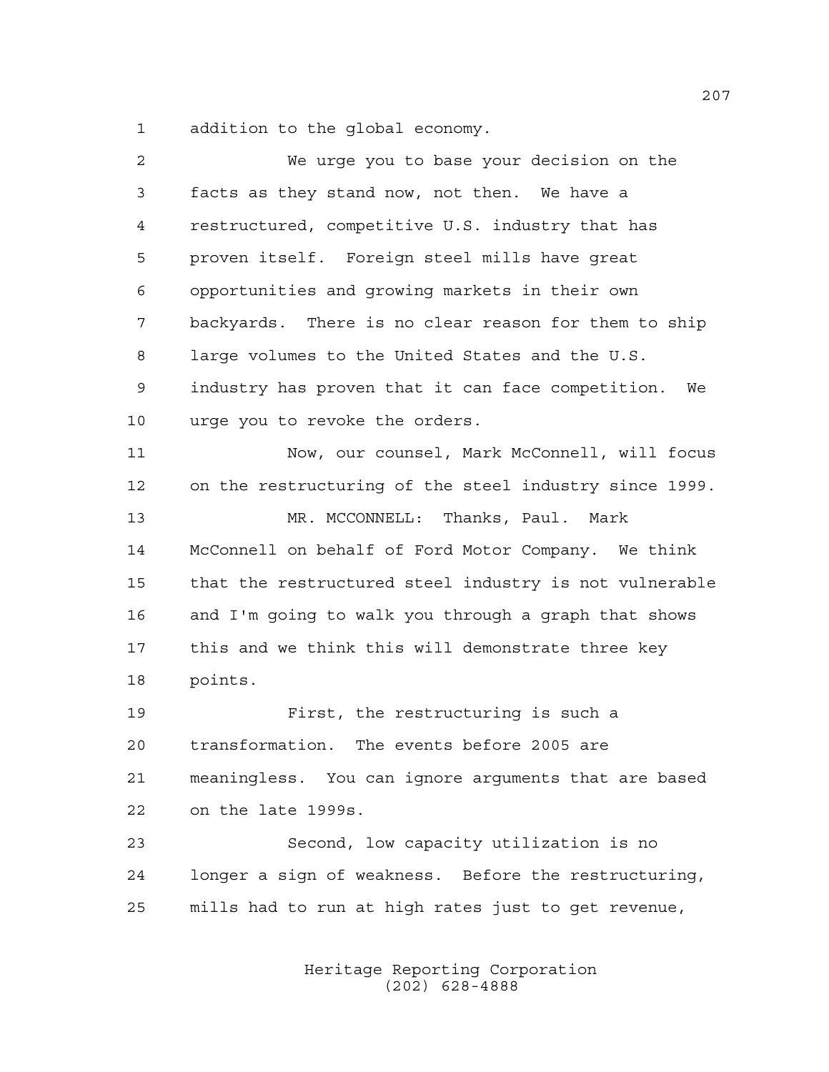addition to the global economy.

| 2  | We urge you to base your decision on the                |
|----|---------------------------------------------------------|
| 3  | facts as they stand now, not then. We have a            |
| 4  | restructured, competitive U.S. industry that has        |
| 5  | proven itself. Foreign steel mills have great           |
| 6  | opportunities and growing markets in their own          |
| 7  | backyards. There is no clear reason for them to ship    |
| 8  | large volumes to the United States and the U.S.         |
| 9  | industry has proven that it can face competition.<br>We |
| 10 | urge you to revoke the orders.                          |
| 11 | Now, our counsel, Mark McConnell, will focus            |
| 12 | on the restructuring of the steel industry since 1999.  |
| 13 | MR. MCCONNELL: Thanks, Paul. Mark                       |
| 14 | McConnell on behalf of Ford Motor Company. We think     |
| 15 | that the restructured steel industry is not vulnerable  |
| 16 | and I'm going to walk you through a graph that shows    |
| 17 | this and we think this will demonstrate three key       |
| 18 | points.                                                 |
| 19 | First, the restructuring is such a                      |
| 20 | transformation.<br>The events before 2005 are           |
| 21 | meaningless. You can ignore arguments that are based    |
| 22 | on the late 1999s.                                      |
| 23 | Second, low capacity utilization is no                  |
| 24 | longer a sign of weakness. Before the restructuring,    |
| 25 | mills had to run at high rates just to get revenue,     |
|    |                                                         |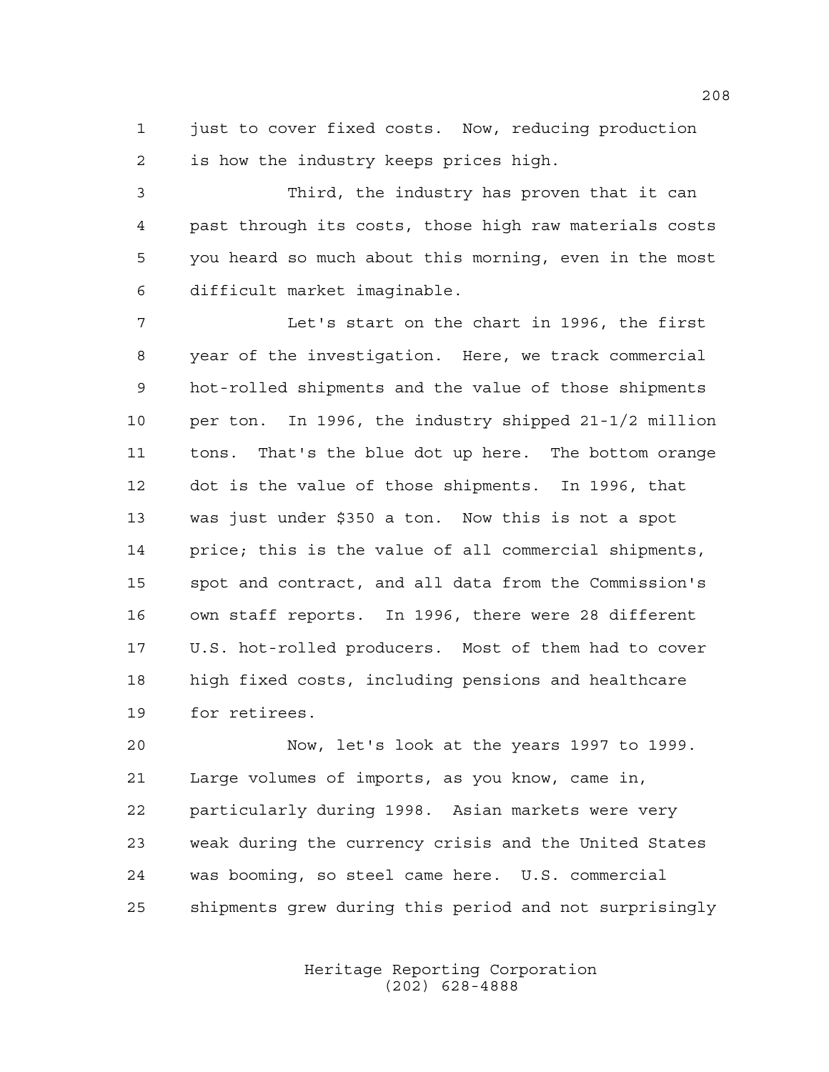1 just to cover fixed costs. Now, reducing production is how the industry keeps prices high.

 Third, the industry has proven that it can past through its costs, those high raw materials costs you heard so much about this morning, even in the most difficult market imaginable.

 Let's start on the chart in 1996, the first year of the investigation. Here, we track commercial hot-rolled shipments and the value of those shipments per ton. In 1996, the industry shipped 21-1/2 million tons. That's the blue dot up here. The bottom orange dot is the value of those shipments. In 1996, that was just under \$350 a ton. Now this is not a spot price; this is the value of all commercial shipments, spot and contract, and all data from the Commission's own staff reports. In 1996, there were 28 different U.S. hot-rolled producers. Most of them had to cover high fixed costs, including pensions and healthcare for retirees.

 Now, let's look at the years 1997 to 1999. Large volumes of imports, as you know, came in, particularly during 1998. Asian markets were very weak during the currency crisis and the United States was booming, so steel came here. U.S. commercial shipments grew during this period and not surprisingly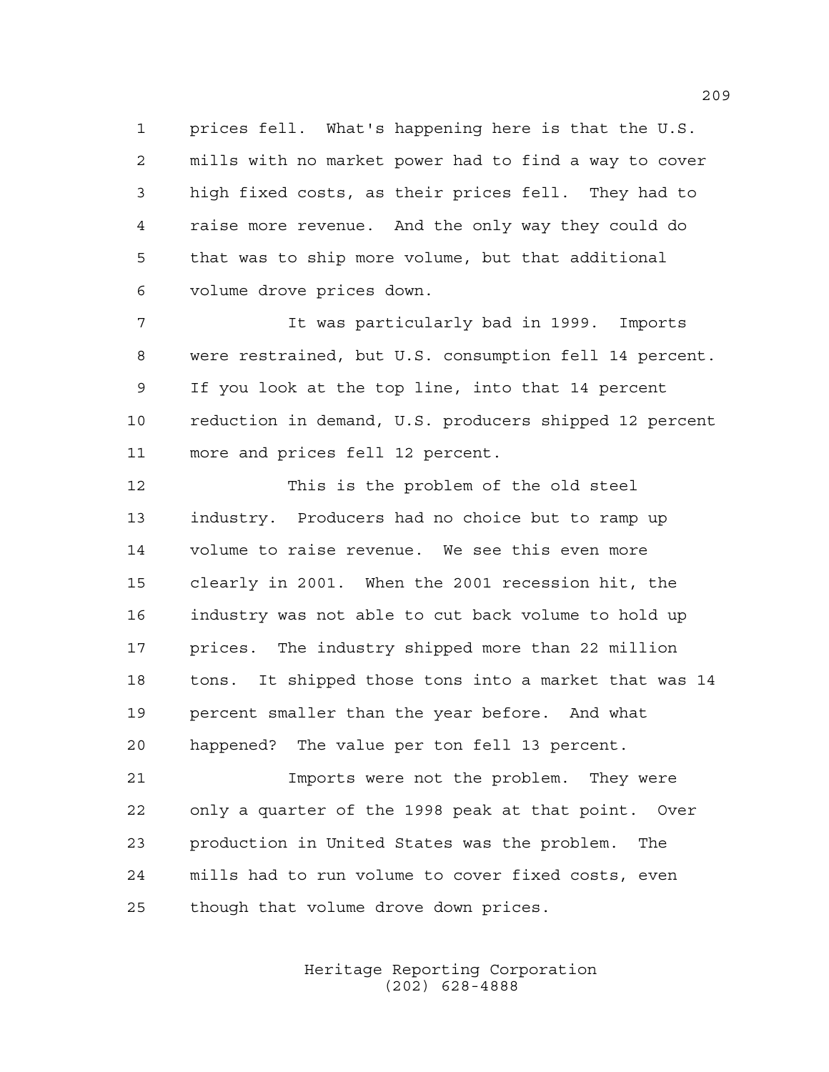prices fell. What's happening here is that the U.S. mills with no market power had to find a way to cover high fixed costs, as their prices fell. They had to raise more revenue. And the only way they could do that was to ship more volume, but that additional volume drove prices down.

 It was particularly bad in 1999. Imports were restrained, but U.S. consumption fell 14 percent. If you look at the top line, into that 14 percent reduction in demand, U.S. producers shipped 12 percent more and prices fell 12 percent.

 This is the problem of the old steel industry. Producers had no choice but to ramp up volume to raise revenue. We see this even more clearly in 2001. When the 2001 recession hit, the industry was not able to cut back volume to hold up prices. The industry shipped more than 22 million tons. It shipped those tons into a market that was 14 percent smaller than the year before. And what happened? The value per ton fell 13 percent.

 Imports were not the problem. They were only a quarter of the 1998 peak at that point. Over production in United States was the problem. The mills had to run volume to cover fixed costs, even though that volume drove down prices.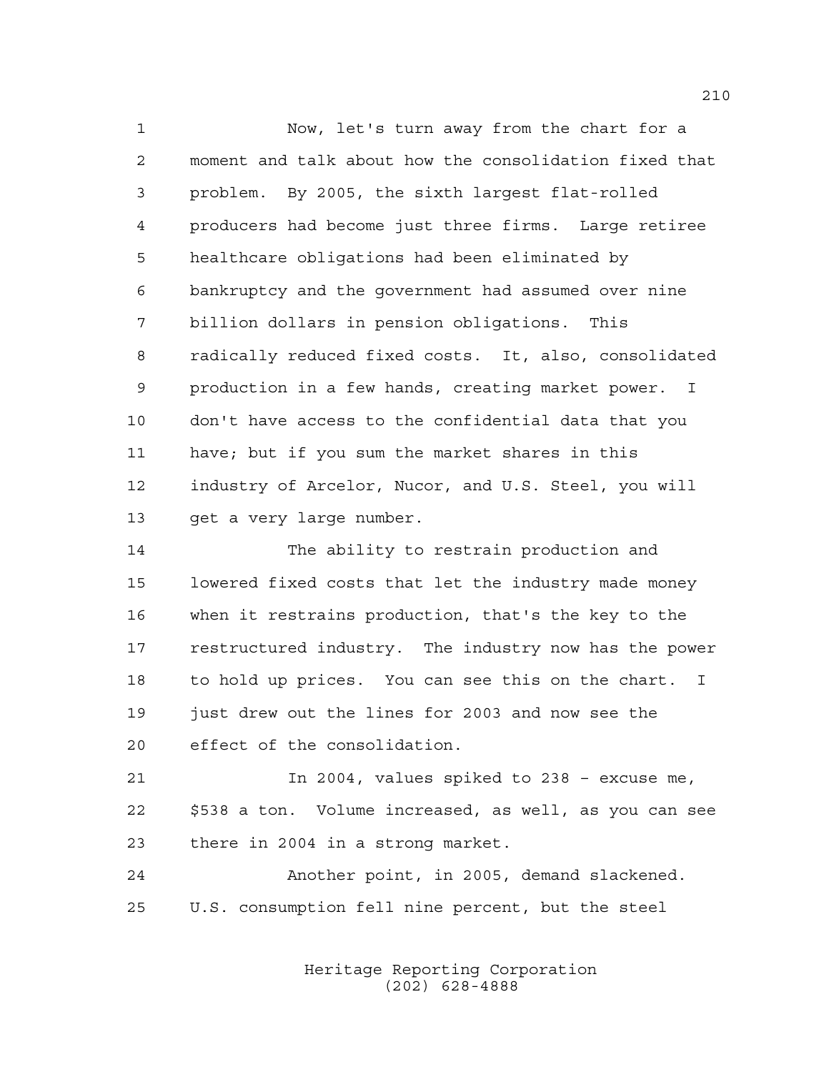Now, let's turn away from the chart for a moment and talk about how the consolidation fixed that problem. By 2005, the sixth largest flat-rolled producers had become just three firms. Large retiree healthcare obligations had been eliminated by bankruptcy and the government had assumed over nine billion dollars in pension obligations. This radically reduced fixed costs. It, also, consolidated production in a few hands, creating market power. I don't have access to the confidential data that you have; but if you sum the market shares in this industry of Arcelor, Nucor, and U.S. Steel, you will get a very large number.

 The ability to restrain production and lowered fixed costs that let the industry made money when it restrains production, that's the key to the restructured industry. The industry now has the power to hold up prices. You can see this on the chart. I just drew out the lines for 2003 and now see the effect of the consolidation.

 In 2004, values spiked to 238 – excuse me, \$538 a ton. Volume increased, as well, as you can see there in 2004 in a strong market.

 Another point, in 2005, demand slackened. U.S. consumption fell nine percent, but the steel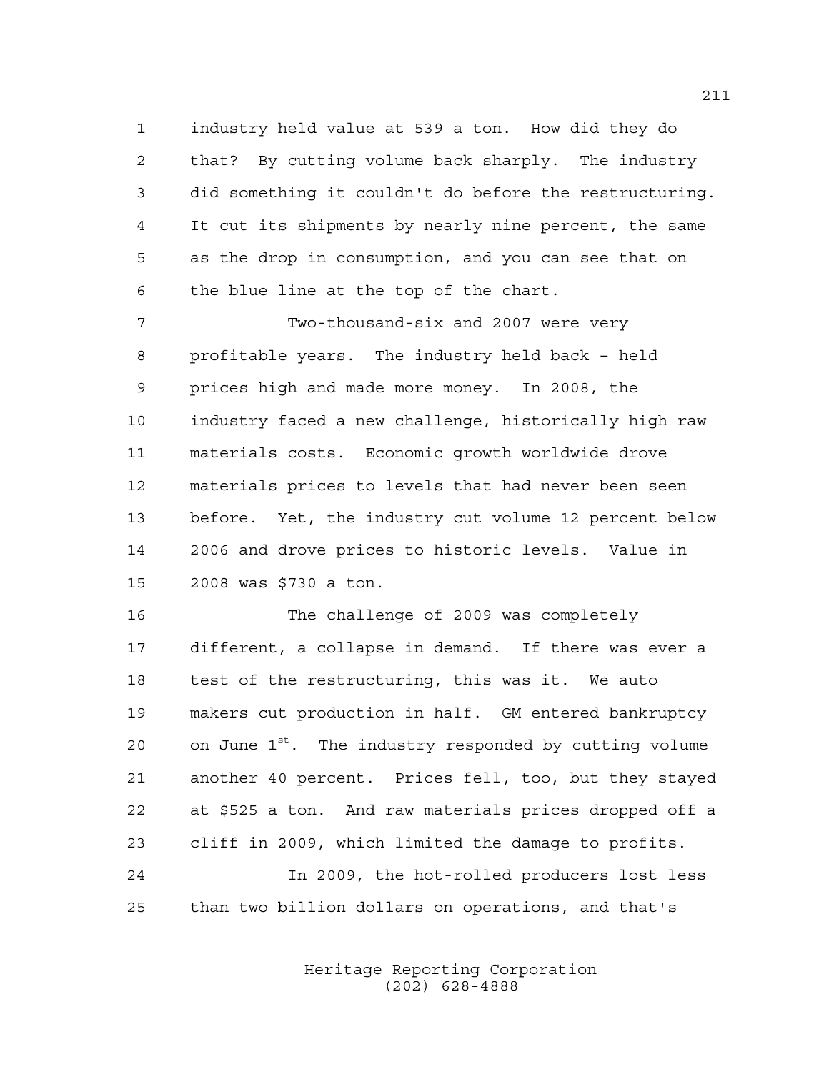industry held value at 539 a ton. How did they do that? By cutting volume back sharply. The industry did something it couldn't do before the restructuring. It cut its shipments by nearly nine percent, the same as the drop in consumption, and you can see that on the blue line at the top of the chart.

 Two-thousand-six and 2007 were very profitable years. The industry held back – held prices high and made more money. In 2008, the industry faced a new challenge, historically high raw materials costs. Economic growth worldwide drove materials prices to levels that had never been seen before. Yet, the industry cut volume 12 percent below 2006 and drove prices to historic levels. Value in 2008 was \$730 a ton.

 The challenge of 2009 was completely different, a collapse in demand. If there was ever a test of the restructuring, this was it. We auto makers cut production in half. GM entered bankruptcy  $\ldots$  on June 1st. The industry responded by cutting volume another 40 percent. Prices fell, too, but they stayed at \$525 a ton. And raw materials prices dropped off a cliff in 2009, which limited the damage to profits. In 2009, the hot-rolled producers lost less

than two billion dollars on operations, and that's

Heritage Reporting Corporation (202) 628-4888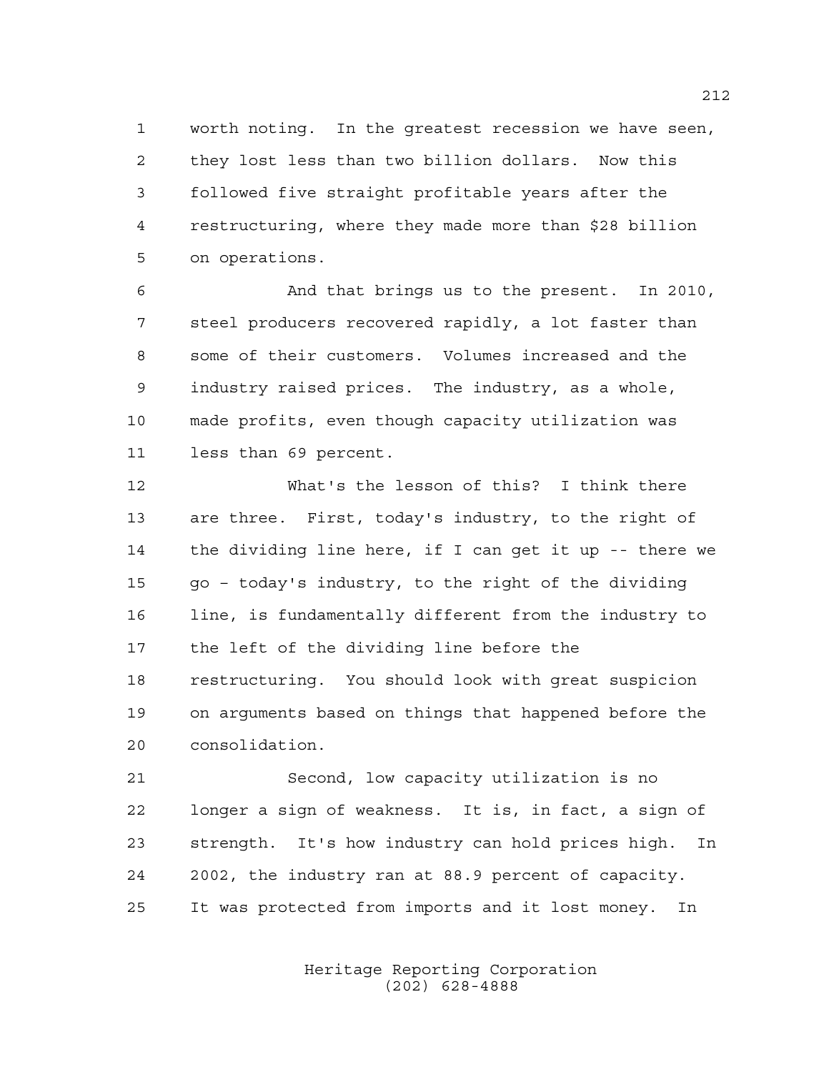worth noting. In the greatest recession we have seen, they lost less than two billion dollars. Now this followed five straight profitable years after the restructuring, where they made more than \$28 billion on operations.

 And that brings us to the present. In 2010, steel producers recovered rapidly, a lot faster than some of their customers. Volumes increased and the industry raised prices. The industry, as a whole, made profits, even though capacity utilization was less than 69 percent.

 What's the lesson of this? I think there are three. First, today's industry, to the right of the dividing line here, if I can get it up -- there we go – today's industry, to the right of the dividing line, is fundamentally different from the industry to the left of the dividing line before the restructuring. You should look with great suspicion on arguments based on things that happened before the consolidation.

 Second, low capacity utilization is no longer a sign of weakness. It is, in fact, a sign of strength. It's how industry can hold prices high. In 2002, the industry ran at 88.9 percent of capacity. It was protected from imports and it lost money. In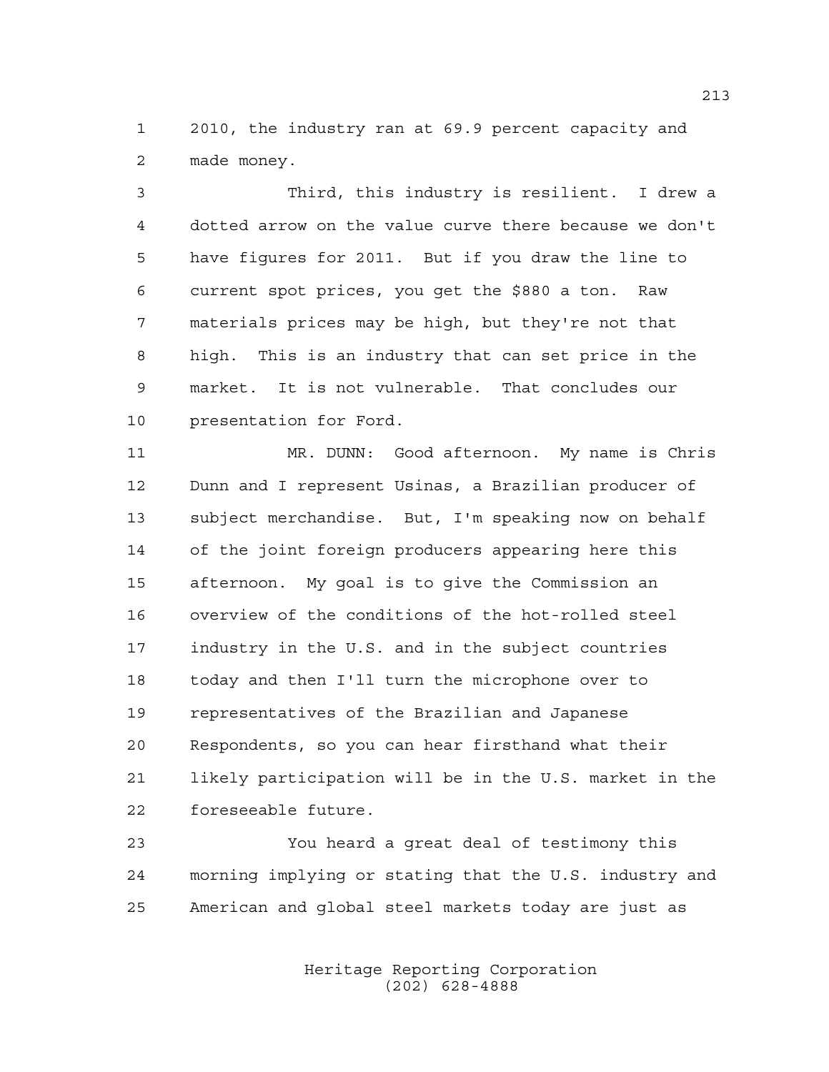2010, the industry ran at 69.9 percent capacity and made money.

 Third, this industry is resilient. I drew a dotted arrow on the value curve there because we don't have figures for 2011. But if you draw the line to current spot prices, you get the \$880 a ton. Raw materials prices may be high, but they're not that high. This is an industry that can set price in the market. It is not vulnerable. That concludes our presentation for Ford.

 MR. DUNN: Good afternoon. My name is Chris Dunn and I represent Usinas, a Brazilian producer of subject merchandise. But, I'm speaking now on behalf of the joint foreign producers appearing here this afternoon. My goal is to give the Commission an overview of the conditions of the hot-rolled steel industry in the U.S. and in the subject countries today and then I'll turn the microphone over to representatives of the Brazilian and Japanese Respondents, so you can hear firsthand what their likely participation will be in the U.S. market in the foreseeable future.

 You heard a great deal of testimony this morning implying or stating that the U.S. industry and American and global steel markets today are just as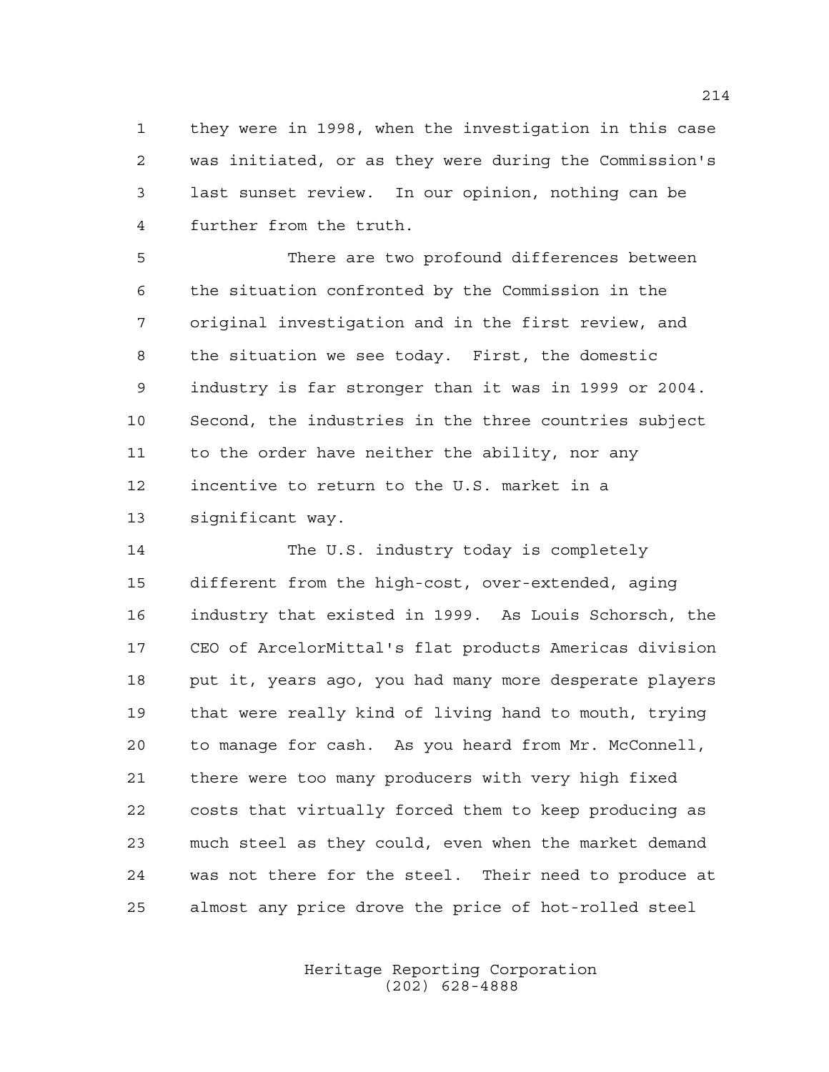they were in 1998, when the investigation in this case was initiated, or as they were during the Commission's last sunset review. In our opinion, nothing can be further from the truth.

 There are two profound differences between the situation confronted by the Commission in the original investigation and in the first review, and the situation we see today. First, the domestic industry is far stronger than it was in 1999 or 2004. Second, the industries in the three countries subject to the order have neither the ability, nor any incentive to return to the U.S. market in a significant way.

 The U.S. industry today is completely different from the high-cost, over-extended, aging industry that existed in 1999. As Louis Schorsch, the CEO of ArcelorMittal's flat products Americas division put it, years ago, you had many more desperate players that were really kind of living hand to mouth, trying to manage for cash. As you heard from Mr. McConnell, there were too many producers with very high fixed costs that virtually forced them to keep producing as much steel as they could, even when the market demand was not there for the steel. Their need to produce at almost any price drove the price of hot-rolled steel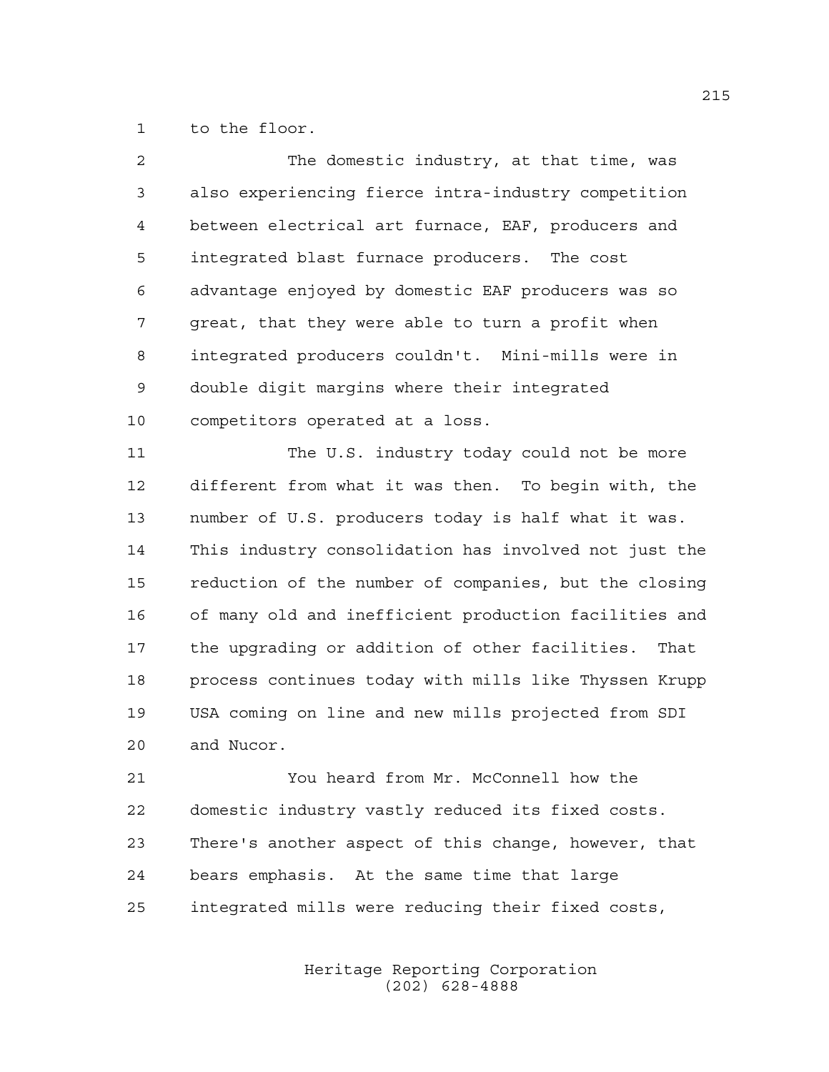to the floor.

| 2  | The domestic industry, at that time, was               |
|----|--------------------------------------------------------|
| 3  | also experiencing fierce intra-industry competition    |
| 4  | between electrical art furnace, EAF, producers and     |
| 5  | integrated blast furnace producers. The cost           |
| 6  | advantage enjoyed by domestic EAF producers was so     |
| 7  | great, that they were able to turn a profit when       |
| 8  | integrated producers couldn't. Mini-mills were in      |
| 9  | double digit margins where their integrated            |
| 10 | competitors operated at a loss.                        |
| 11 | The U.S. industry today could not be more              |
| 12 | different from what it was then. To begin with, the    |
| 13 | number of U.S. producers today is half what it was.    |
| 14 | This industry consolidation has involved not just the  |
| 15 | reduction of the number of companies, but the closing  |
| 16 | of many old and inefficient production facilities and  |
| 17 | the upgrading or addition of other facilities.<br>That |
| 18 | process continues today with mills like Thyssen Krupp  |
| 19 | USA coming on line and new mills projected from SDI    |
| 20 | and Nucor.                                             |
| 21 | You heard from Mr. McConnell how the                   |
| 22 | domestic industry vastly reduced its fixed costs.      |
| 23 | There's another aspect of this change, however, that   |
| 24 | bears emphasis. At the same time that large            |

integrated mills were reducing their fixed costs,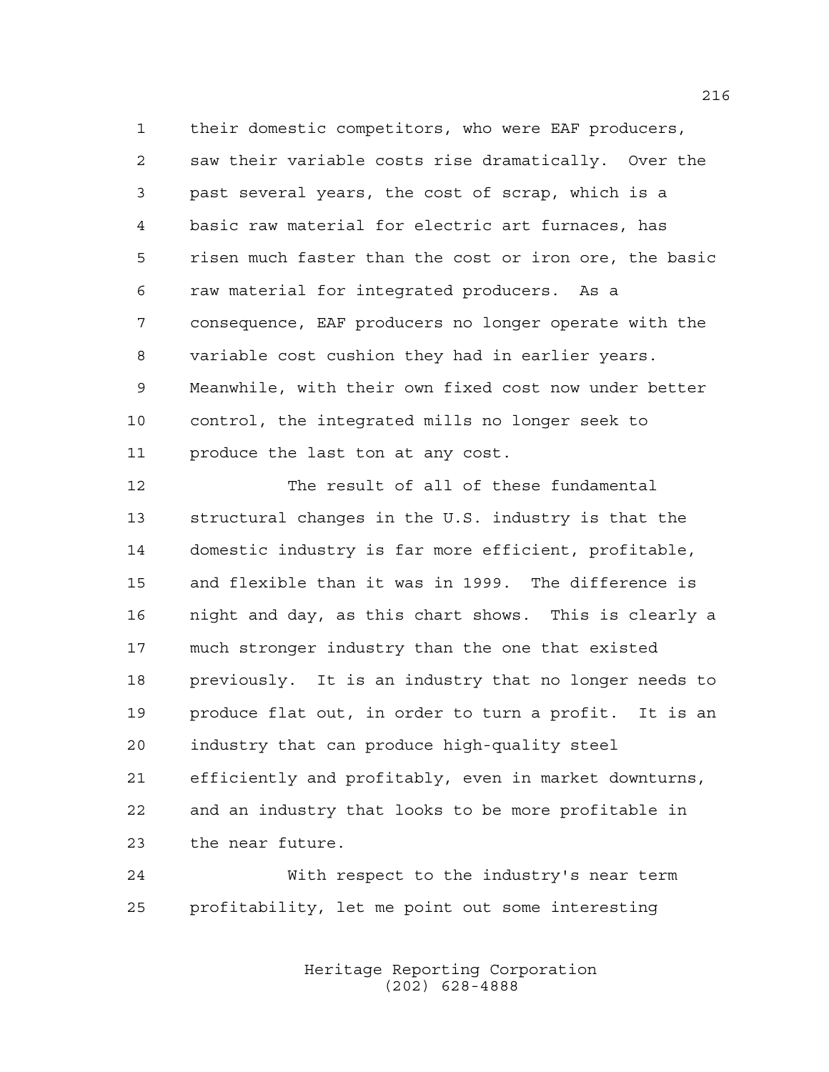their domestic competitors, who were EAF producers, saw their variable costs rise dramatically. Over the past several years, the cost of scrap, which is a basic raw material for electric art furnaces, has risen much faster than the cost or iron ore, the basic raw material for integrated producers. As a consequence, EAF producers no longer operate with the variable cost cushion they had in earlier years. Meanwhile, with their own fixed cost now under better control, the integrated mills no longer seek to produce the last ton at any cost.

 The result of all of these fundamental structural changes in the U.S. industry is that the domestic industry is far more efficient, profitable, and flexible than it was in 1999. The difference is night and day, as this chart shows. This is clearly a much stronger industry than the one that existed previously. It is an industry that no longer needs to produce flat out, in order to turn a profit. It is an industry that can produce high-quality steel efficiently and profitably, even in market downturns, and an industry that looks to be more profitable in the near future.

 With respect to the industry's near term profitability, let me point out some interesting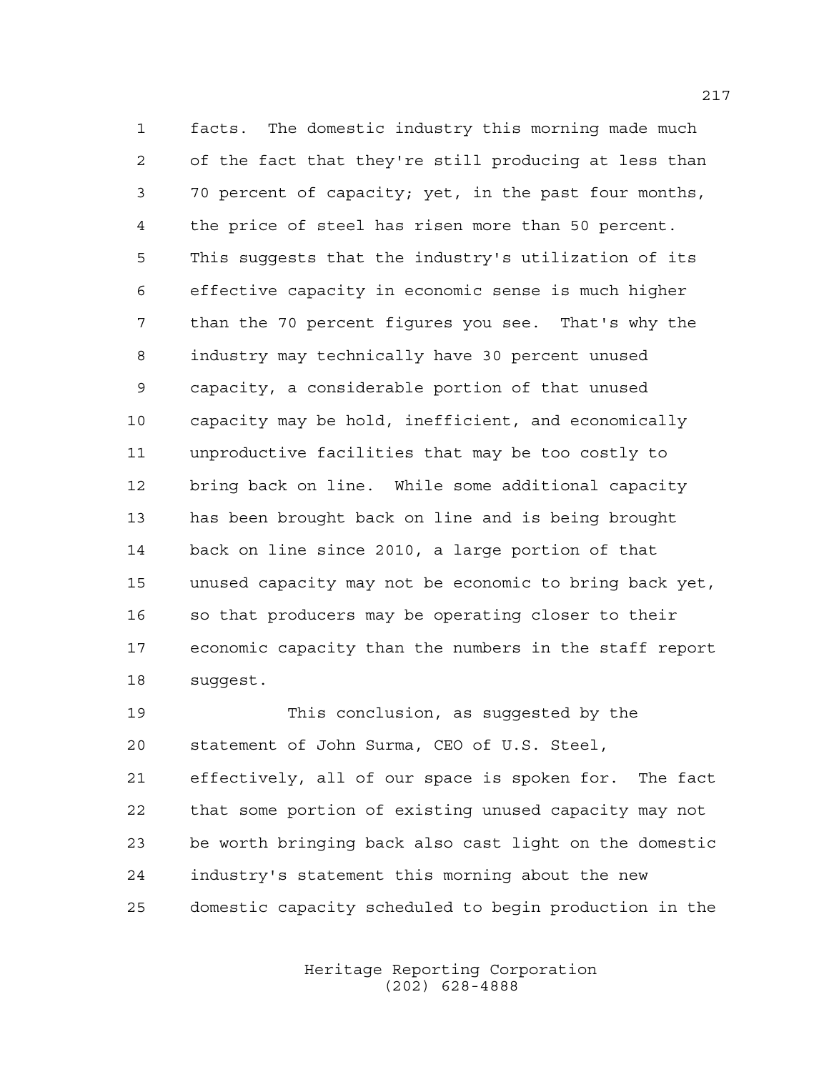facts. The domestic industry this morning made much of the fact that they're still producing at less than 70 percent of capacity; yet, in the past four months, the price of steel has risen more than 50 percent. This suggests that the industry's utilization of its effective capacity in economic sense is much higher than the 70 percent figures you see. That's why the industry may technically have 30 percent unused capacity, a considerable portion of that unused capacity may be hold, inefficient, and economically unproductive facilities that may be too costly to bring back on line. While some additional capacity has been brought back on line and is being brought back on line since 2010, a large portion of that unused capacity may not be economic to bring back yet, 16 so that producers may be operating closer to their economic capacity than the numbers in the staff report suggest.

 This conclusion, as suggested by the statement of John Surma, CEO of U.S. Steel, effectively, all of our space is spoken for. The fact that some portion of existing unused capacity may not be worth bringing back also cast light on the domestic industry's statement this morning about the new domestic capacity scheduled to begin production in the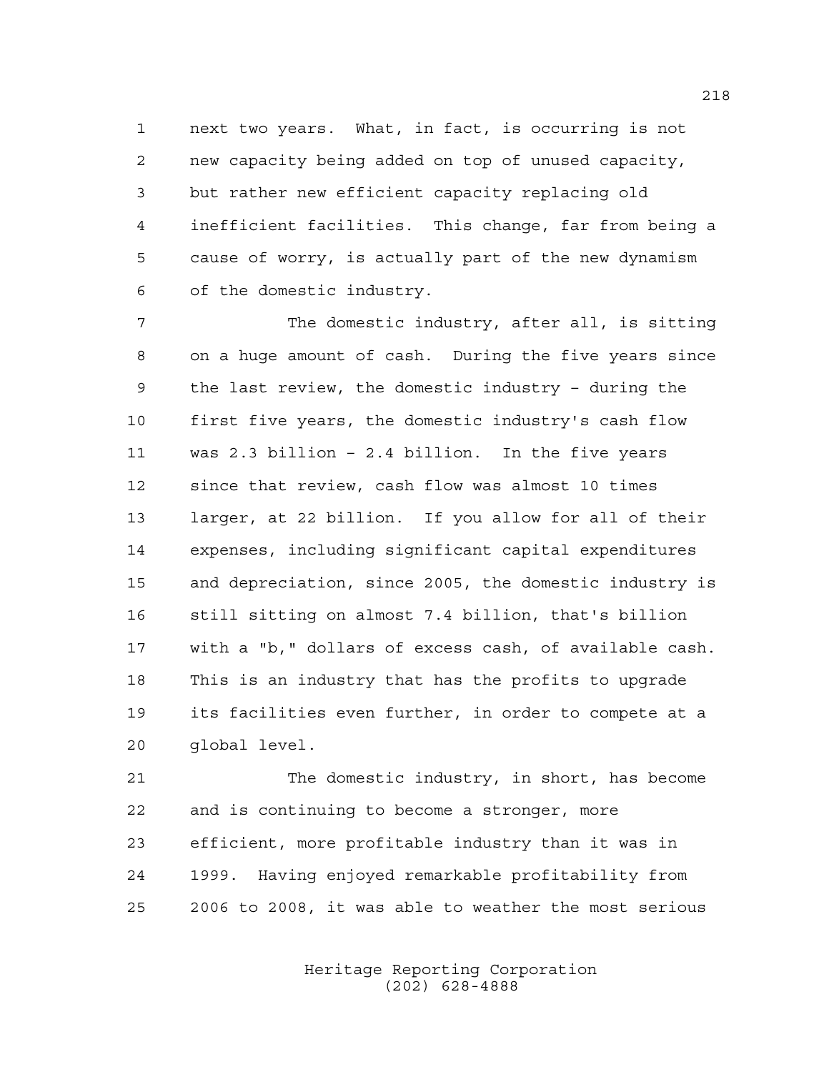next two years. What, in fact, is occurring is not new capacity being added on top of unused capacity, but rather new efficient capacity replacing old inefficient facilities. This change, far from being a cause of worry, is actually part of the new dynamism of the domestic industry.

 The domestic industry, after all, is sitting on a huge amount of cash. During the five years since the last review, the domestic industry – during the first five years, the domestic industry's cash flow was 2.3 billion – 2.4 billion. In the five years since that review, cash flow was almost 10 times larger, at 22 billion. If you allow for all of their expenses, including significant capital expenditures and depreciation, since 2005, the domestic industry is still sitting on almost 7.4 billion, that's billion with a "b," dollars of excess cash, of available cash. This is an industry that has the profits to upgrade its facilities even further, in order to compete at a global level.

 The domestic industry, in short, has become and is continuing to become a stronger, more efficient, more profitable industry than it was in 1999. Having enjoyed remarkable profitability from 2006 to 2008, it was able to weather the most serious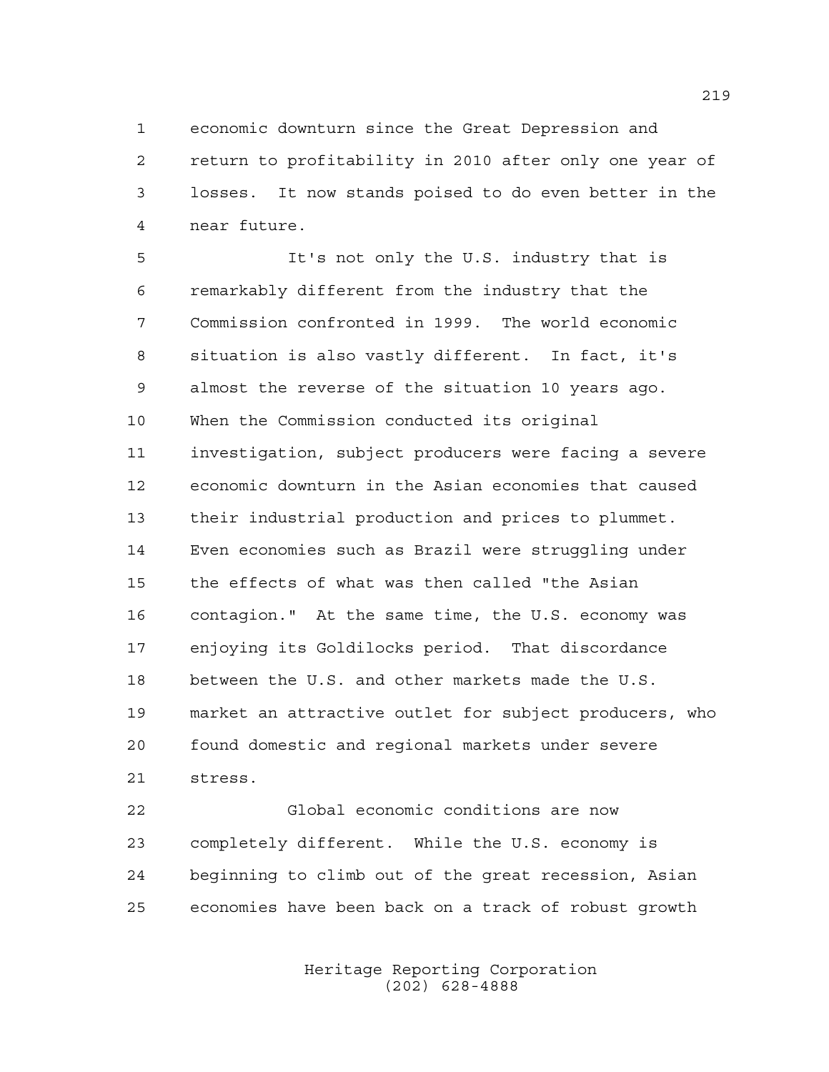economic downturn since the Great Depression and

 return to profitability in 2010 after only one year of losses. It now stands poised to do even better in the near future.

 It's not only the U.S. industry that is remarkably different from the industry that the Commission confronted in 1999. The world economic situation is also vastly different. In fact, it's almost the reverse of the situation 10 years ago. When the Commission conducted its original investigation, subject producers were facing a severe economic downturn in the Asian economies that caused their industrial production and prices to plummet. Even economies such as Brazil were struggling under the effects of what was then called "the Asian contagion." At the same time, the U.S. economy was enjoying its Goldilocks period. That discordance between the U.S. and other markets made the U.S. market an attractive outlet for subject producers, who found domestic and regional markets under severe stress.

 Global economic conditions are now completely different. While the U.S. economy is beginning to climb out of the great recession, Asian economies have been back on a track of robust growth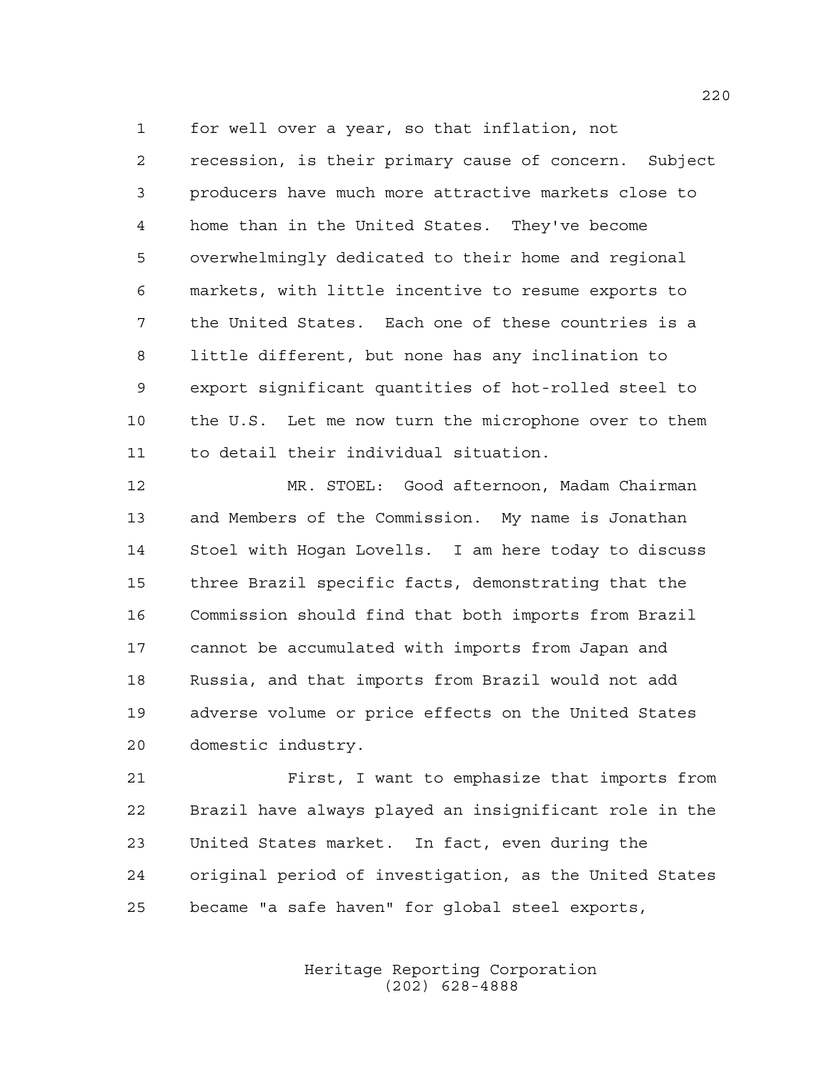for well over a year, so that inflation, not recession, is their primary cause of concern. Subject producers have much more attractive markets close to home than in the United States. They've become overwhelmingly dedicated to their home and regional markets, with little incentive to resume exports to the United States. Each one of these countries is a little different, but none has any inclination to export significant quantities of hot-rolled steel to the U.S. Let me now turn the microphone over to them to detail their individual situation.

 MR. STOEL: Good afternoon, Madam Chairman and Members of the Commission. My name is Jonathan Stoel with Hogan Lovells. I am here today to discuss three Brazil specific facts, demonstrating that the Commission should find that both imports from Brazil cannot be accumulated with imports from Japan and Russia, and that imports from Brazil would not add adverse volume or price effects on the United States domestic industry.

 First, I want to emphasize that imports from Brazil have always played an insignificant role in the United States market. In fact, even during the original period of investigation, as the United States became "a safe haven" for global steel exports,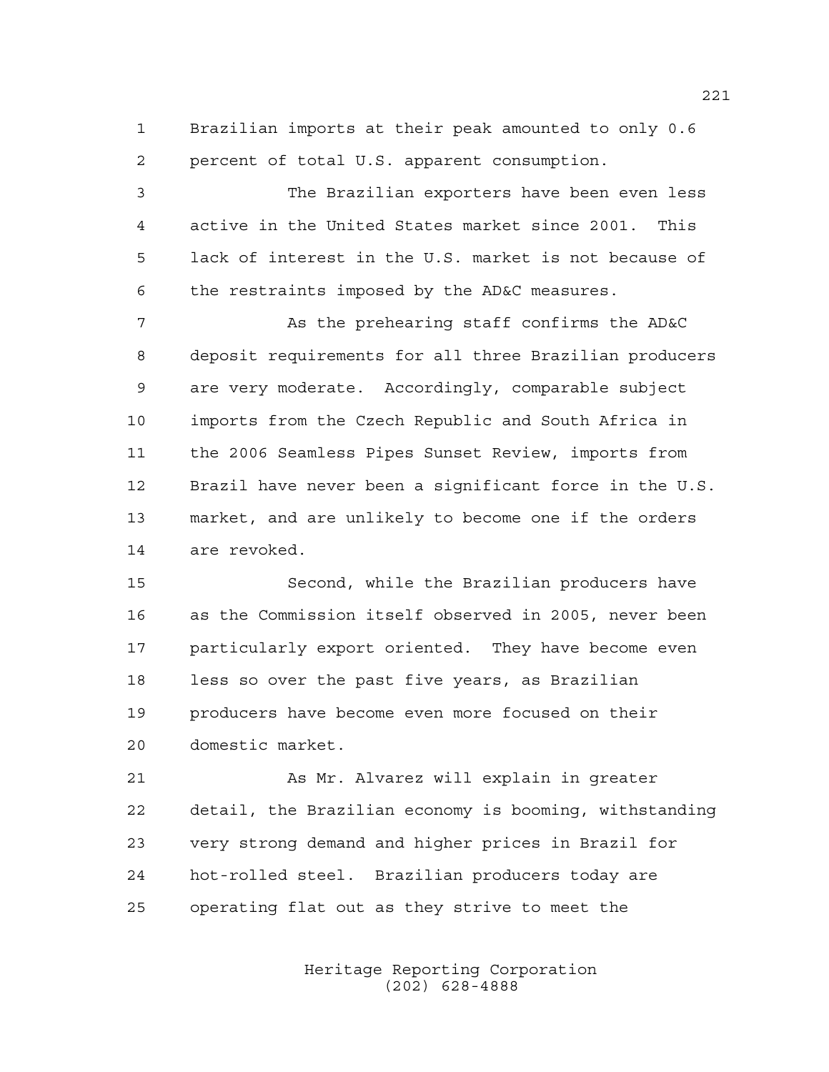Brazilian imports at their peak amounted to only 0.6 percent of total U.S. apparent consumption.

 The Brazilian exporters have been even less active in the United States market since 2001. This lack of interest in the U.S. market is not because of the restraints imposed by the AD&C measures.

 As the prehearing staff confirms the AD&C deposit requirements for all three Brazilian producers are very moderate. Accordingly, comparable subject imports from the Czech Republic and South Africa in the 2006 Seamless Pipes Sunset Review, imports from Brazil have never been a significant force in the U.S. market, and are unlikely to become one if the orders are revoked.

 Second, while the Brazilian producers have as the Commission itself observed in 2005, never been particularly export oriented. They have become even less so over the past five years, as Brazilian producers have become even more focused on their domestic market.

 As Mr. Alvarez will explain in greater detail, the Brazilian economy is booming, withstanding very strong demand and higher prices in Brazil for hot-rolled steel. Brazilian producers today are operating flat out as they strive to meet the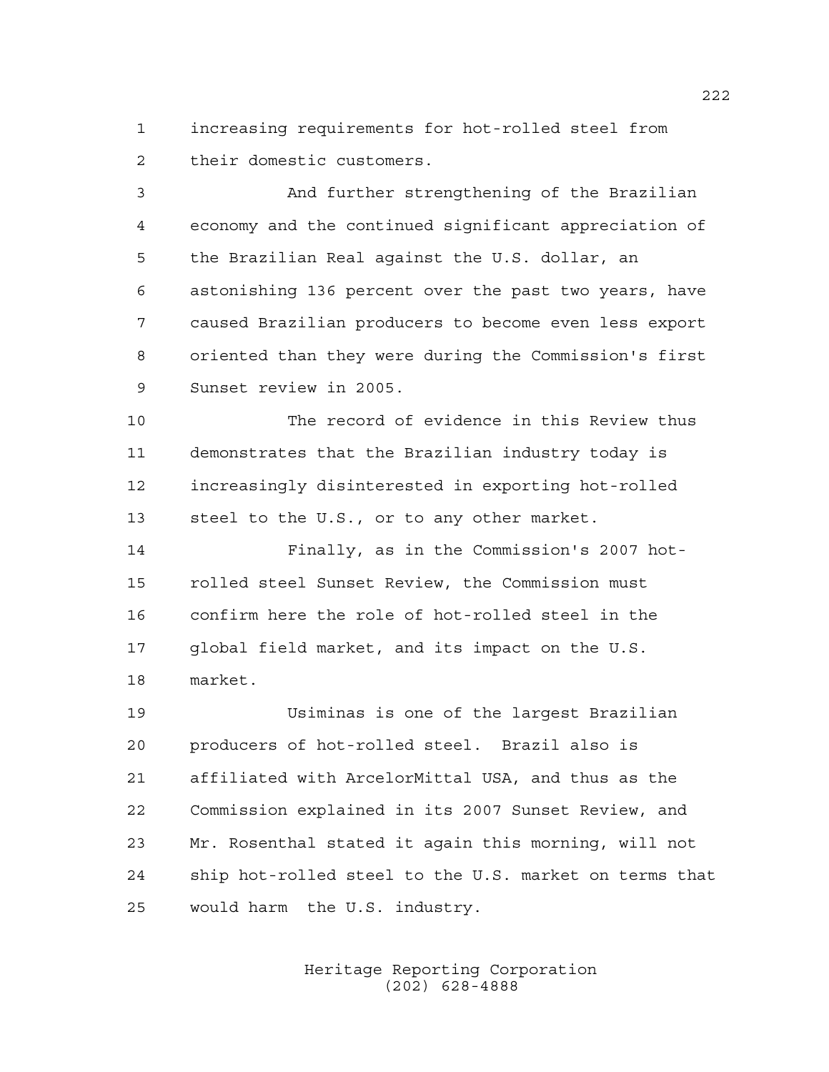increasing requirements for hot-rolled steel from their domestic customers.

 And further strengthening of the Brazilian economy and the continued significant appreciation of the Brazilian Real against the U.S. dollar, an astonishing 136 percent over the past two years, have caused Brazilian producers to become even less export oriented than they were during the Commission's first Sunset review in 2005.

 The record of evidence in this Review thus demonstrates that the Brazilian industry today is increasingly disinterested in exporting hot-rolled steel to the U.S., or to any other market.

 Finally, as in the Commission's 2007 hot- rolled steel Sunset Review, the Commission must confirm here the role of hot-rolled steel in the global field market, and its impact on the U.S. market.

 Usiminas is one of the largest Brazilian producers of hot-rolled steel. Brazil also is affiliated with ArcelorMittal USA, and thus as the Commission explained in its 2007 Sunset Review, and Mr. Rosenthal stated it again this morning, will not ship hot-rolled steel to the U.S. market on terms that would harm the U.S. industry.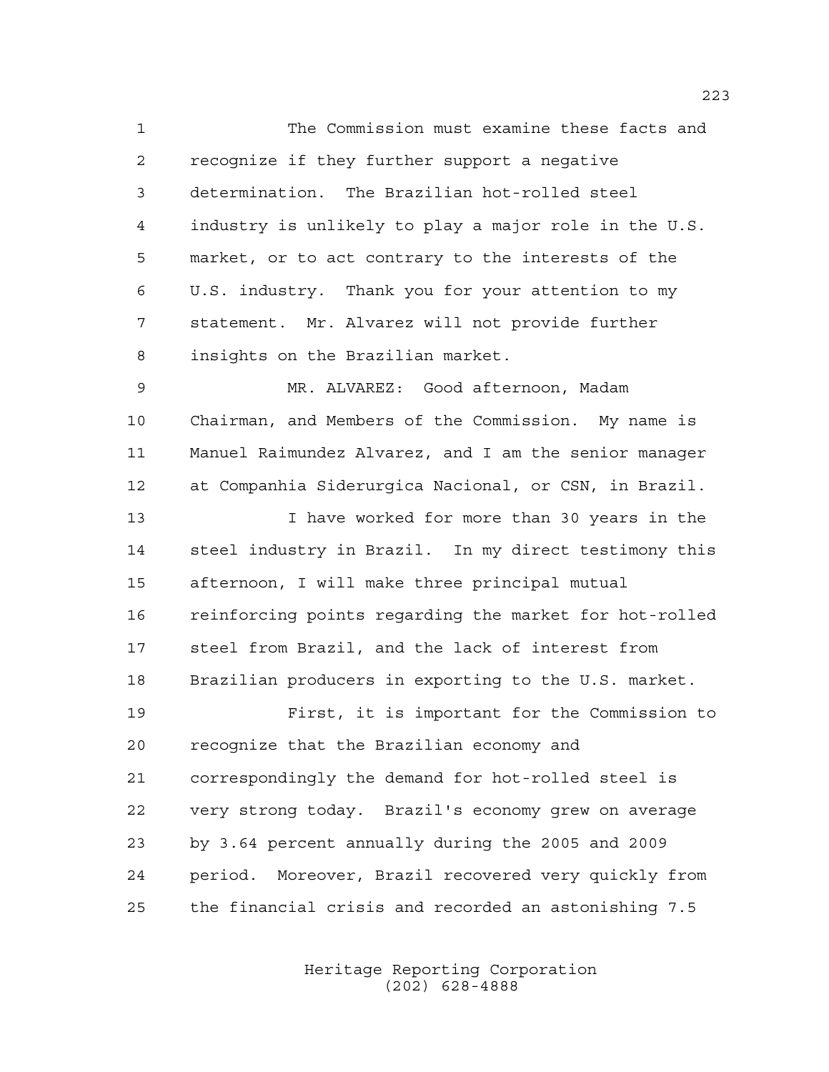The Commission must examine these facts and recognize if they further support a negative determination. The Brazilian hot-rolled steel industry is unlikely to play a major role in the U.S. market, or to act contrary to the interests of the U.S. industry. Thank you for your attention to my statement. Mr. Alvarez will not provide further insights on the Brazilian market.

 MR. ALVAREZ: Good afternoon, Madam Chairman, and Members of the Commission. My name is Manuel Raimundez Alvarez, and I am the senior manager at Companhia Siderurgica Nacional, or CSN, in Brazil.

 I have worked for more than 30 years in the steel industry in Brazil. In my direct testimony this afternoon, I will make three principal mutual reinforcing points regarding the market for hot-rolled steel from Brazil, and the lack of interest from Brazilian producers in exporting to the U.S. market. First, it is important for the Commission to recognize that the Brazilian economy and correspondingly the demand for hot-rolled steel is very strong today. Brazil's economy grew on average

 by 3.64 percent annually during the 2005 and 2009 period. Moreover, Brazil recovered very quickly from the financial crisis and recorded an astonishing 7.5

> Heritage Reporting Corporation (202) 628-4888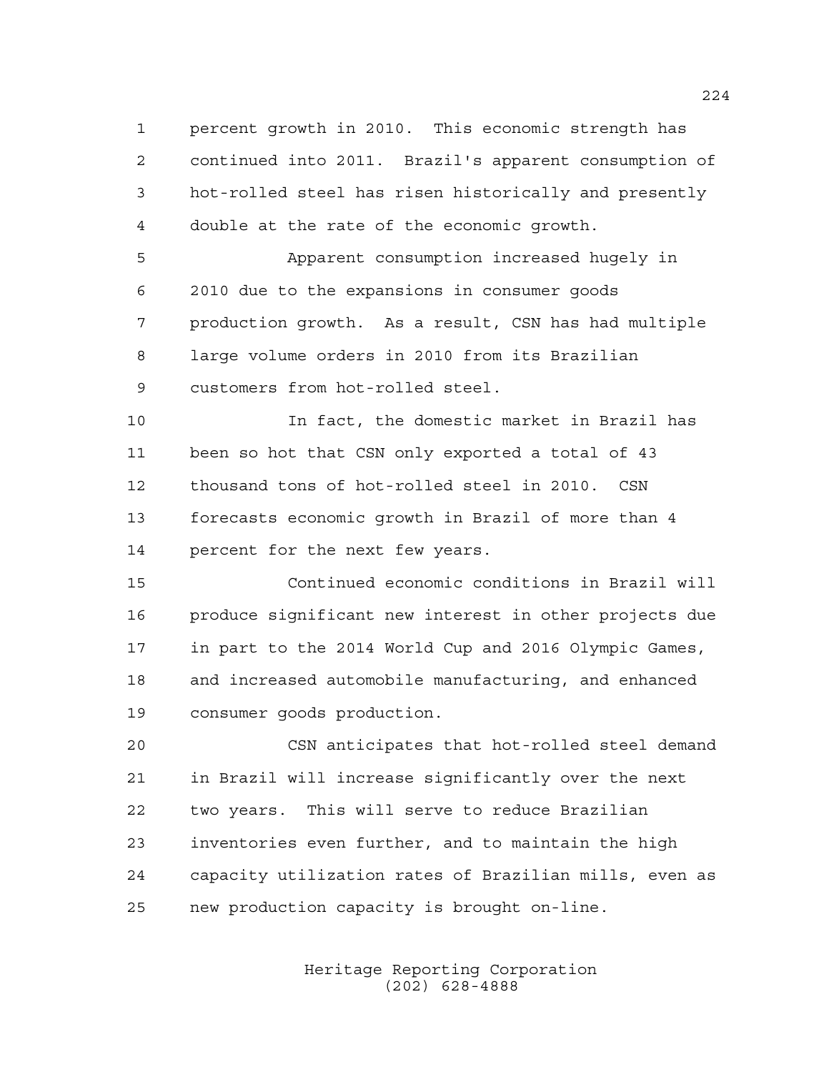percent growth in 2010. This economic strength has continued into 2011. Brazil's apparent consumption of hot-rolled steel has risen historically and presently double at the rate of the economic growth.

 Apparent consumption increased hugely in 2010 due to the expansions in consumer goods production growth. As a result, CSN has had multiple large volume orders in 2010 from its Brazilian customers from hot-rolled steel.

 In fact, the domestic market in Brazil has been so hot that CSN only exported a total of 43 thousand tons of hot-rolled steel in 2010. CSN forecasts economic growth in Brazil of more than 4 percent for the next few years.

 Continued economic conditions in Brazil will produce significant new interest in other projects due in part to the 2014 World Cup and 2016 Olympic Games, and increased automobile manufacturing, and enhanced consumer goods production.

 CSN anticipates that hot-rolled steel demand in Brazil will increase significantly over the next two years. This will serve to reduce Brazilian inventories even further, and to maintain the high capacity utilization rates of Brazilian mills, even as new production capacity is brought on-line.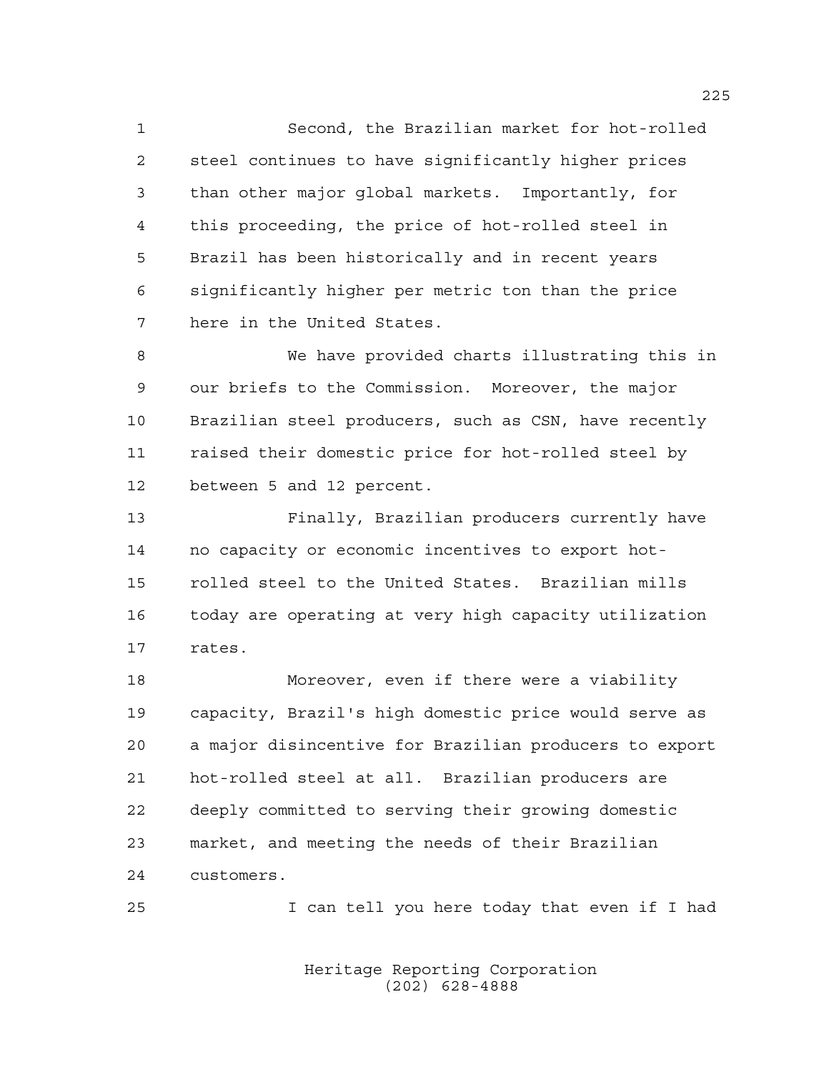Second, the Brazilian market for hot-rolled steel continues to have significantly higher prices than other major global markets. Importantly, for this proceeding, the price of hot-rolled steel in Brazil has been historically and in recent years significantly higher per metric ton than the price here in the United States.

 We have provided charts illustrating this in our briefs to the Commission. Moreover, the major Brazilian steel producers, such as CSN, have recently raised their domestic price for hot-rolled steel by between 5 and 12 percent.

 Finally, Brazilian producers currently have no capacity or economic incentives to export hot- rolled steel to the United States. Brazilian mills today are operating at very high capacity utilization rates.

 Moreover, even if there were a viability capacity, Brazil's high domestic price would serve as a major disincentive for Brazilian producers to export hot-rolled steel at all. Brazilian producers are deeply committed to serving their growing domestic market, and meeting the needs of their Brazilian customers.

I can tell you here today that even if I had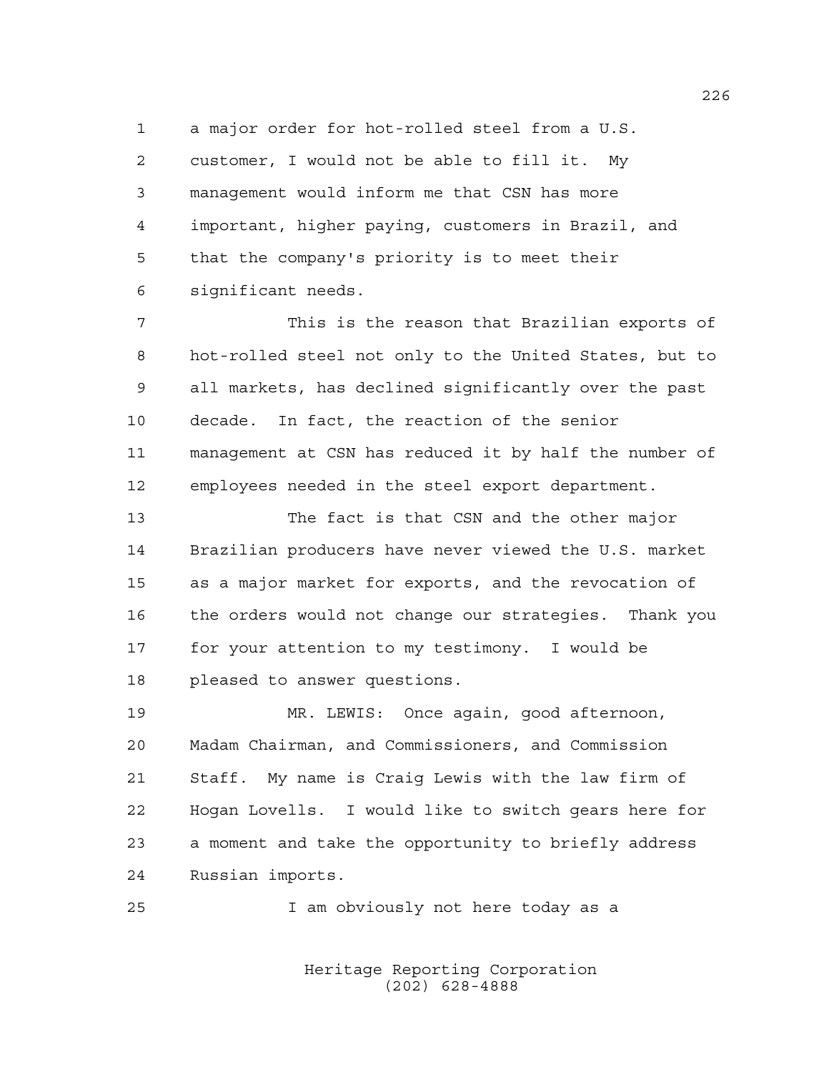a major order for hot-rolled steel from a U.S. customer, I would not be able to fill it. My management would inform me that CSN has more important, higher paying, customers in Brazil, and that the company's priority is to meet their significant needs.

 This is the reason that Brazilian exports of hot-rolled steel not only to the United States, but to all markets, has declined significantly over the past decade. In fact, the reaction of the senior management at CSN has reduced it by half the number of employees needed in the steel export department.

 The fact is that CSN and the other major Brazilian producers have never viewed the U.S. market as a major market for exports, and the revocation of the orders would not change our strategies. Thank you for your attention to my testimony. I would be pleased to answer questions.

 MR. LEWIS: Once again, good afternoon, Madam Chairman, and Commissioners, and Commission Staff. My name is Craig Lewis with the law firm of Hogan Lovells. I would like to switch gears here for a moment and take the opportunity to briefly address Russian imports.

I am obviously not here today as a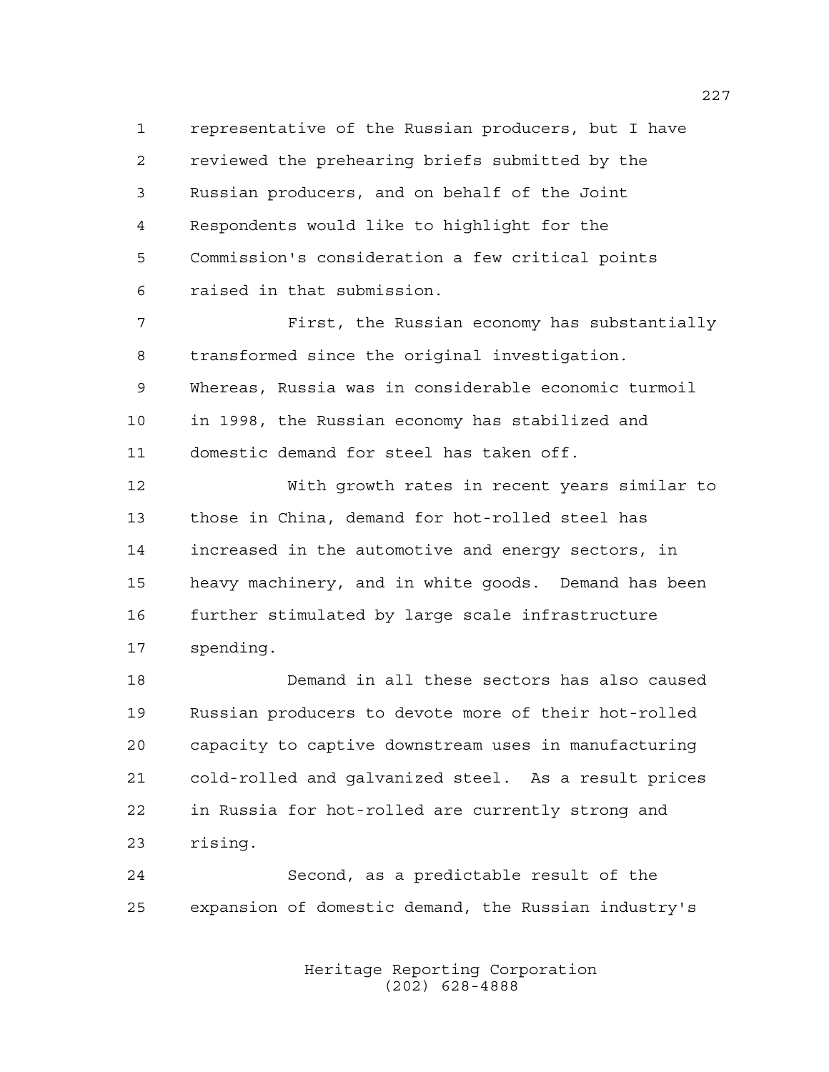representative of the Russian producers, but I have reviewed the prehearing briefs submitted by the Russian producers, and on behalf of the Joint Respondents would like to highlight for the Commission's consideration a few critical points raised in that submission.

 First, the Russian economy has substantially transformed since the original investigation. Whereas, Russia was in considerable economic turmoil in 1998, the Russian economy has stabilized and domestic demand for steel has taken off.

 With growth rates in recent years similar to those in China, demand for hot-rolled steel has increased in the automotive and energy sectors, in heavy machinery, and in white goods. Demand has been further stimulated by large scale infrastructure spending.

 Demand in all these sectors has also caused Russian producers to devote more of their hot-rolled capacity to captive downstream uses in manufacturing cold-rolled and galvanized steel. As a result prices in Russia for hot-rolled are currently strong and rising.

 Second, as a predictable result of the expansion of domestic demand, the Russian industry's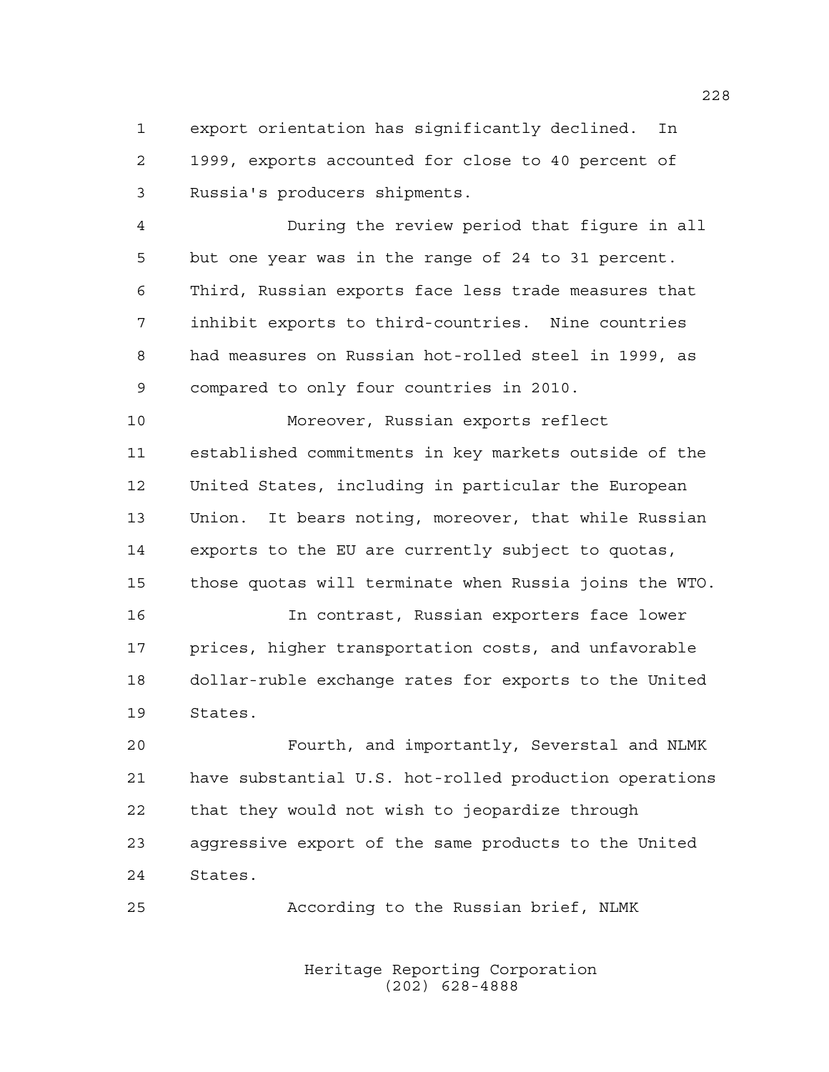export orientation has significantly declined. In 1999, exports accounted for close to 40 percent of Russia's producers shipments.

 During the review period that figure in all but one year was in the range of 24 to 31 percent. Third, Russian exports face less trade measures that inhibit exports to third-countries. Nine countries had measures on Russian hot-rolled steel in 1999, as compared to only four countries in 2010.

 Moreover, Russian exports reflect established commitments in key markets outside of the United States, including in particular the European Union. It bears noting, moreover, that while Russian exports to the EU are currently subject to quotas, those quotas will terminate when Russia joins the WTO.

 In contrast, Russian exporters face lower prices, higher transportation costs, and unfavorable dollar-ruble exchange rates for exports to the United States.

 Fourth, and importantly, Severstal and NLMK have substantial U.S. hot-rolled production operations that they would not wish to jeopardize through aggressive export of the same products to the United States.

According to the Russian brief, NLMK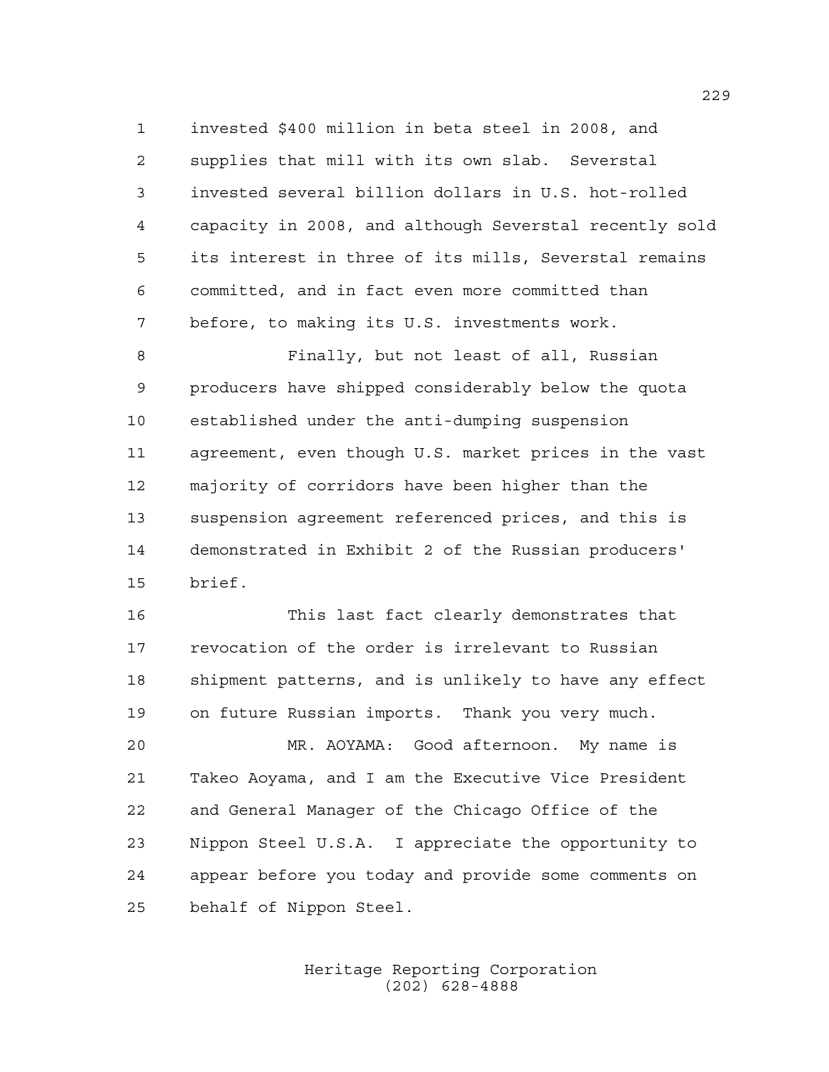invested \$400 million in beta steel in 2008, and supplies that mill with its own slab. Severstal invested several billion dollars in U.S. hot-rolled capacity in 2008, and although Severstal recently sold its interest in three of its mills, Severstal remains committed, and in fact even more committed than before, to making its U.S. investments work.

 Finally, but not least of all, Russian producers have shipped considerably below the quota established under the anti-dumping suspension agreement, even though U.S. market prices in the vast majority of corridors have been higher than the suspension agreement referenced prices, and this is demonstrated in Exhibit 2 of the Russian producers' brief.

 This last fact clearly demonstrates that revocation of the order is irrelevant to Russian shipment patterns, and is unlikely to have any effect on future Russian imports. Thank you very much.

 MR. AOYAMA: Good afternoon. My name is Takeo Aoyama, and I am the Executive Vice President and General Manager of the Chicago Office of the Nippon Steel U.S.A. I appreciate the opportunity to appear before you today and provide some comments on behalf of Nippon Steel.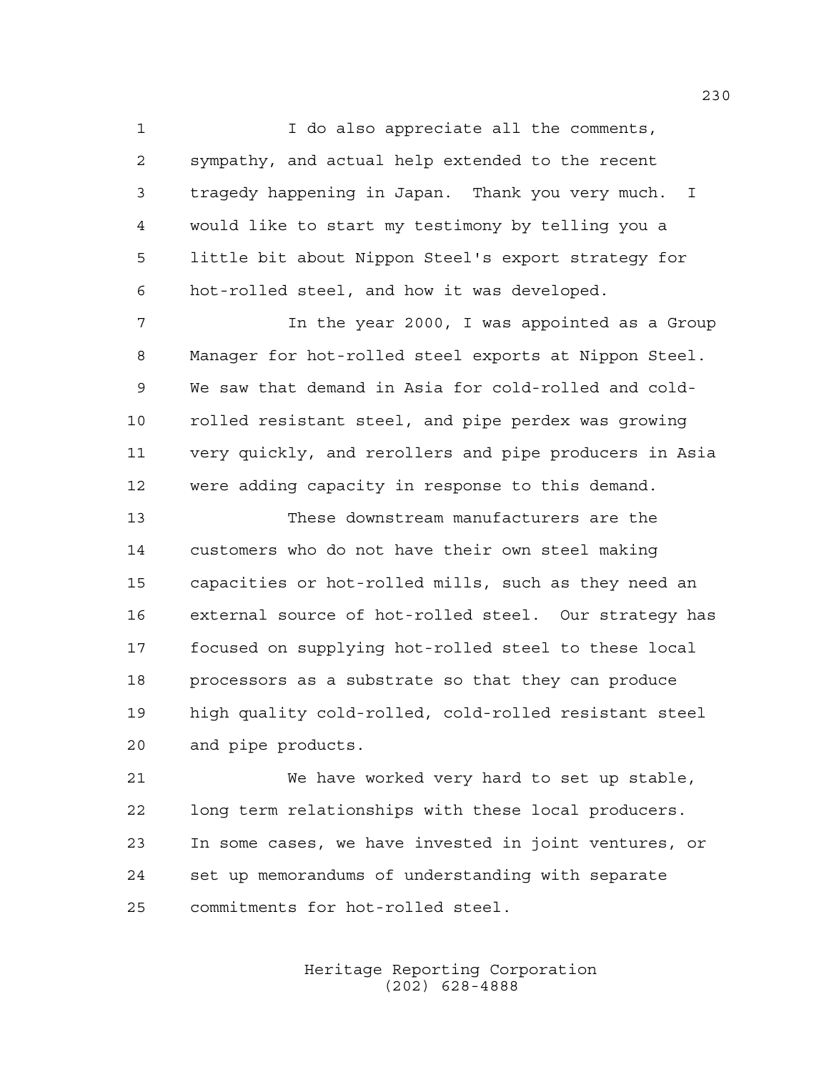I do also appreciate all the comments, sympathy, and actual help extended to the recent tragedy happening in Japan. Thank you very much. I would like to start my testimony by telling you a little bit about Nippon Steel's export strategy for hot-rolled steel, and how it was developed.

7 11 In the year 2000, I was appointed as a Group Manager for hot-rolled steel exports at Nippon Steel. We saw that demand in Asia for cold-rolled and cold- rolled resistant steel, and pipe perdex was growing very quickly, and rerollers and pipe producers in Asia were adding capacity in response to this demand.

 These downstream manufacturers are the customers who do not have their own steel making capacities or hot-rolled mills, such as they need an external source of hot-rolled steel. Our strategy has focused on supplying hot-rolled steel to these local processors as a substrate so that they can produce high quality cold-rolled, cold-rolled resistant steel and pipe products.

 We have worked very hard to set up stable, long term relationships with these local producers. In some cases, we have invested in joint ventures, or set up memorandums of understanding with separate commitments for hot-rolled steel.

> Heritage Reporting Corporation (202) 628-4888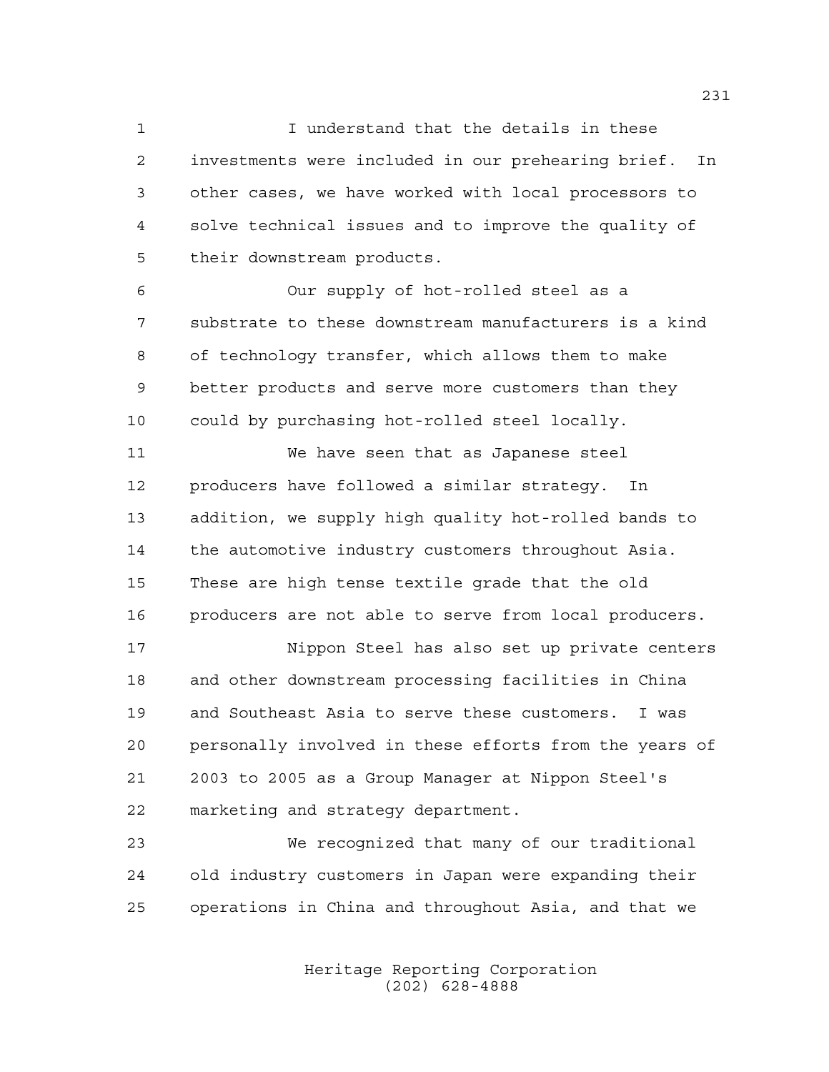I understand that the details in these investments were included in our prehearing brief. In other cases, we have worked with local processors to solve technical issues and to improve the quality of their downstream products.

 Our supply of hot-rolled steel as a substrate to these downstream manufacturers is a kind of technology transfer, which allows them to make better products and serve more customers than they could by purchasing hot-rolled steel locally.

 We have seen that as Japanese steel producers have followed a similar strategy. In addition, we supply high quality hot-rolled bands to the automotive industry customers throughout Asia. These are high tense textile grade that the old producers are not able to serve from local producers.

 Nippon Steel has also set up private centers and other downstream processing facilities in China and Southeast Asia to serve these customers. I was personally involved in these efforts from the years of 2003 to 2005 as a Group Manager at Nippon Steel's marketing and strategy department.

 We recognized that many of our traditional old industry customers in Japan were expanding their operations in China and throughout Asia, and that we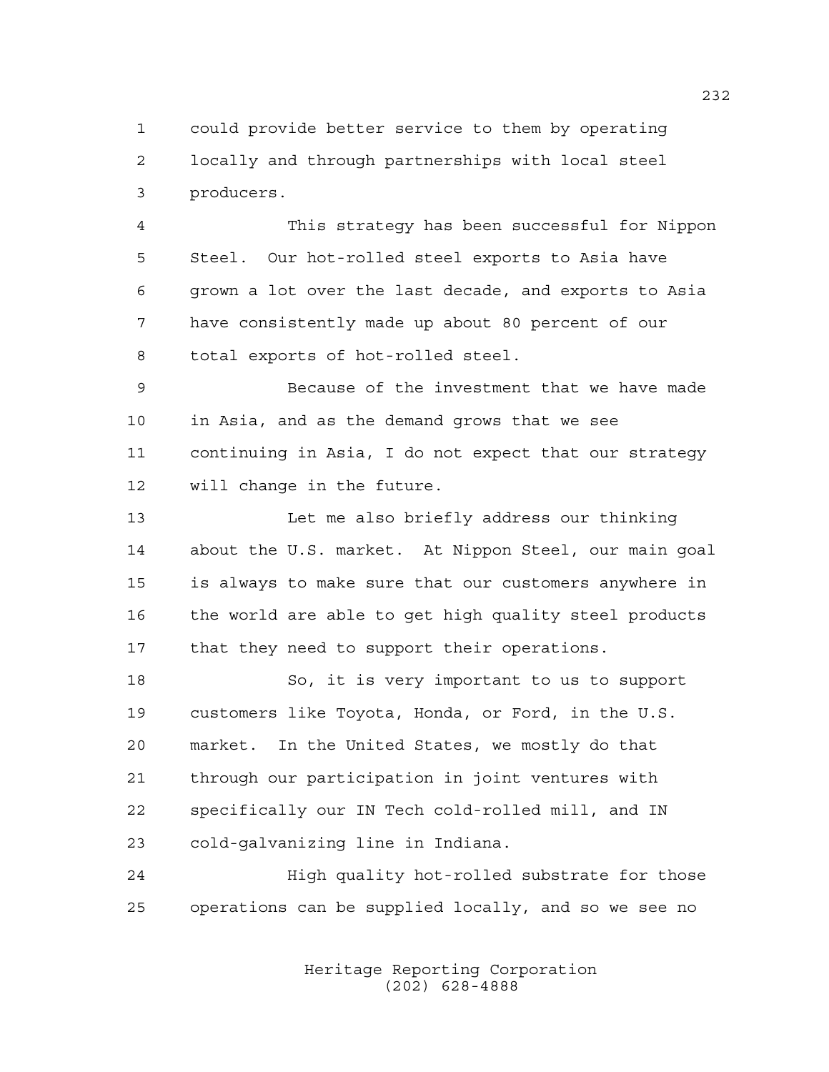could provide better service to them by operating locally and through partnerships with local steel producers.

 This strategy has been successful for Nippon Steel. Our hot-rolled steel exports to Asia have grown a lot over the last decade, and exports to Asia have consistently made up about 80 percent of our total exports of hot-rolled steel.

 Because of the investment that we have made in Asia, and as the demand grows that we see continuing in Asia, I do not expect that our strategy will change in the future.

 Let me also briefly address our thinking about the U.S. market. At Nippon Steel, our main goal is always to make sure that our customers anywhere in 16 the world are able to get high quality steel products that they need to support their operations.

 So, it is very important to us to support customers like Toyota, Honda, or Ford, in the U.S. market. In the United States, we mostly do that through our participation in joint ventures with specifically our IN Tech cold-rolled mill, and IN cold-galvanizing line in Indiana.

 High quality hot-rolled substrate for those operations can be supplied locally, and so we see no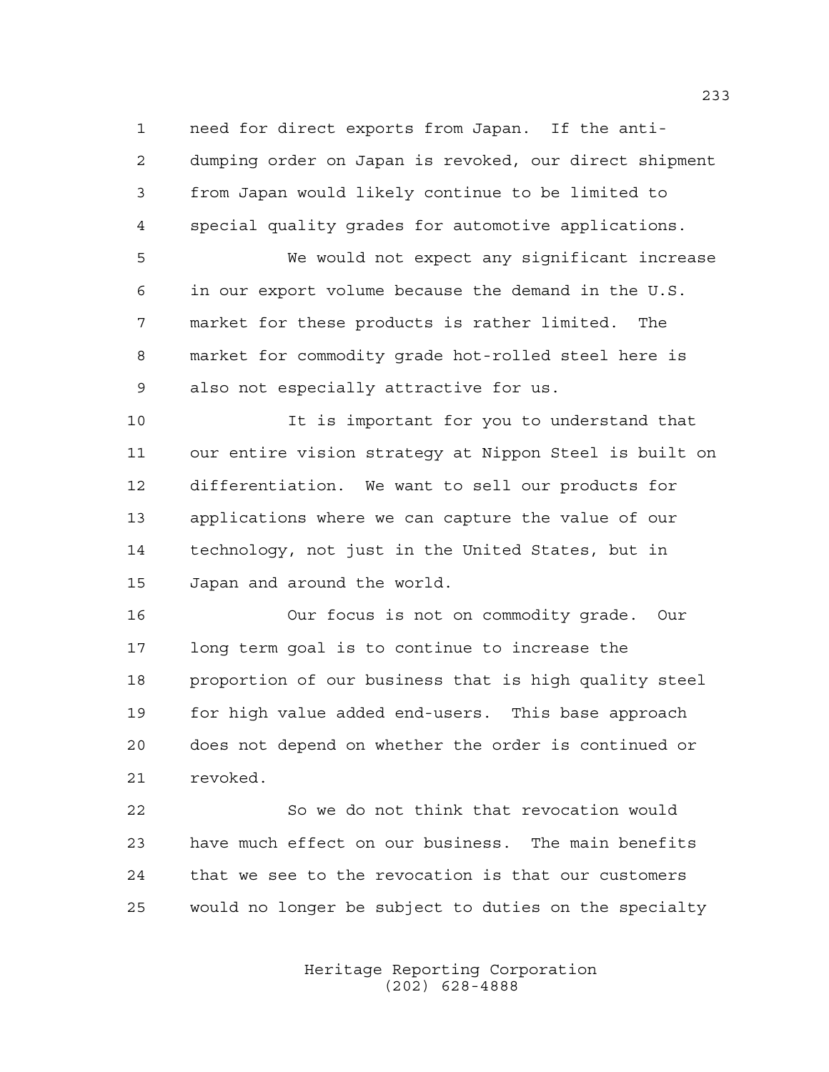need for direct exports from Japan. If the anti- dumping order on Japan is revoked, our direct shipment from Japan would likely continue to be limited to special quality grades for automotive applications.

 We would not expect any significant increase in our export volume because the demand in the U.S. market for these products is rather limited. The market for commodity grade hot-rolled steel here is also not especially attractive for us.

 It is important for you to understand that our entire vision strategy at Nippon Steel is built on differentiation. We want to sell our products for applications where we can capture the value of our technology, not just in the United States, but in Japan and around the world.

 Our focus is not on commodity grade. Our long term goal is to continue to increase the proportion of our business that is high quality steel for high value added end-users. This base approach does not depend on whether the order is continued or revoked.

 So we do not think that revocation would have much effect on our business. The main benefits that we see to the revocation is that our customers would no longer be subject to duties on the specialty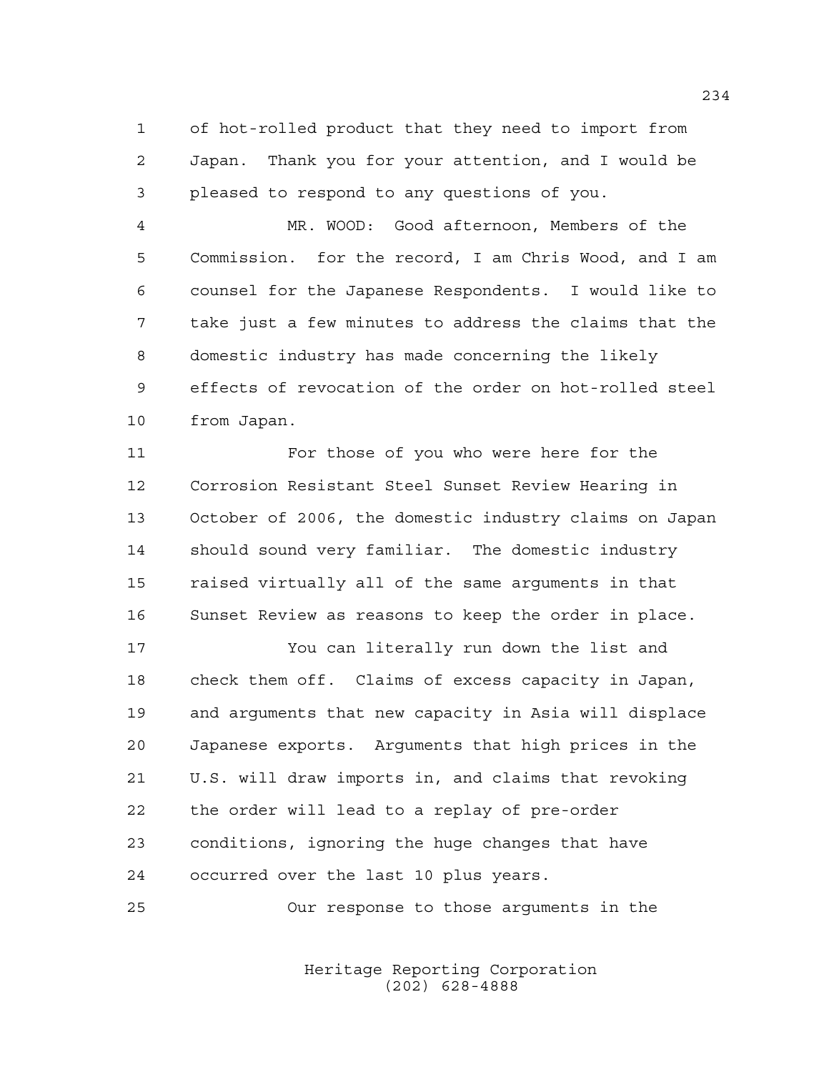of hot-rolled product that they need to import from Japan. Thank you for your attention, and I would be pleased to respond to any questions of you.

 MR. WOOD: Good afternoon, Members of the Commission. for the record, I am Chris Wood, and I am counsel for the Japanese Respondents. I would like to take just a few minutes to address the claims that the domestic industry has made concerning the likely effects of revocation of the order on hot-rolled steel from Japan.

 For those of you who were here for the Corrosion Resistant Steel Sunset Review Hearing in October of 2006, the domestic industry claims on Japan should sound very familiar. The domestic industry raised virtually all of the same arguments in that Sunset Review as reasons to keep the order in place.

 You can literally run down the list and check them off. Claims of excess capacity in Japan, and arguments that new capacity in Asia will displace Japanese exports. Arguments that high prices in the U.S. will draw imports in, and claims that revoking the order will lead to a replay of pre-order conditions, ignoring the huge changes that have occurred over the last 10 plus years.

Our response to those arguments in the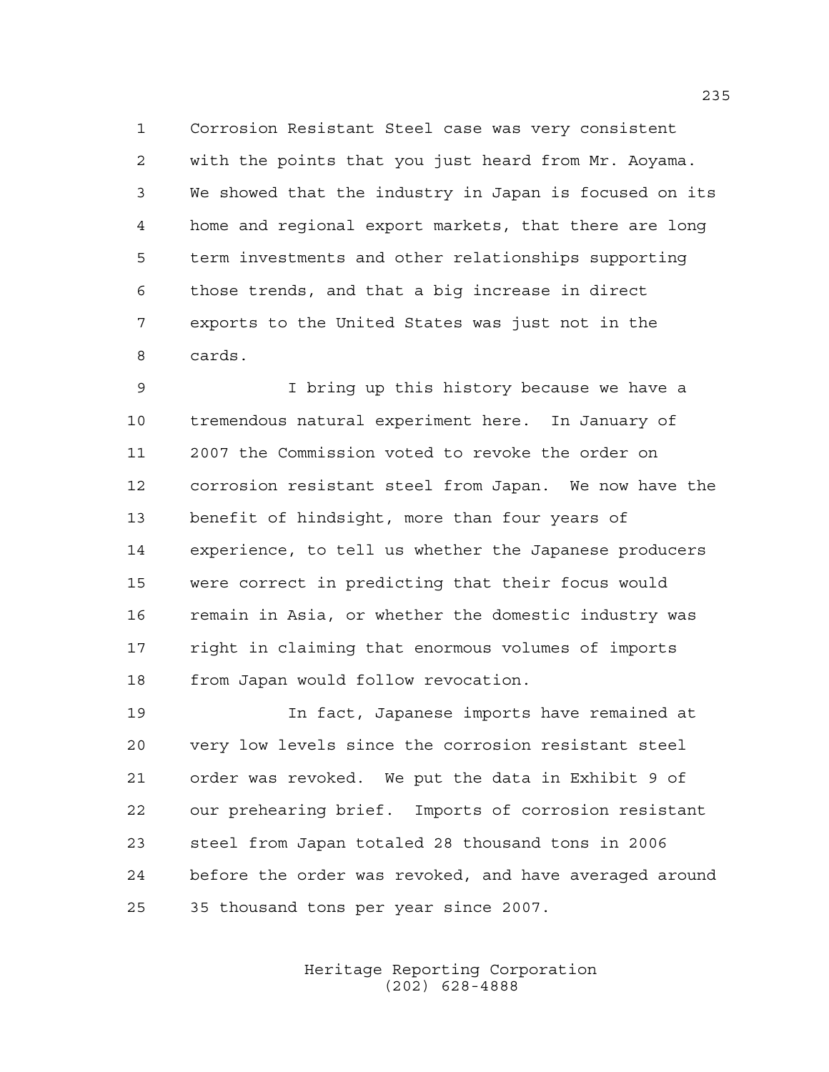Corrosion Resistant Steel case was very consistent with the points that you just heard from Mr. Aoyama. We showed that the industry in Japan is focused on its home and regional export markets, that there are long term investments and other relationships supporting those trends, and that a big increase in direct exports to the United States was just not in the cards.

 I bring up this history because we have a tremendous natural experiment here. In January of 2007 the Commission voted to revoke the order on corrosion resistant steel from Japan. We now have the benefit of hindsight, more than four years of experience, to tell us whether the Japanese producers were correct in predicting that their focus would remain in Asia, or whether the domestic industry was right in claiming that enormous volumes of imports from Japan would follow revocation.

 In fact, Japanese imports have remained at very low levels since the corrosion resistant steel order was revoked. We put the data in Exhibit 9 of our prehearing brief. Imports of corrosion resistant steel from Japan totaled 28 thousand tons in 2006 before the order was revoked, and have averaged around 35 thousand tons per year since 2007.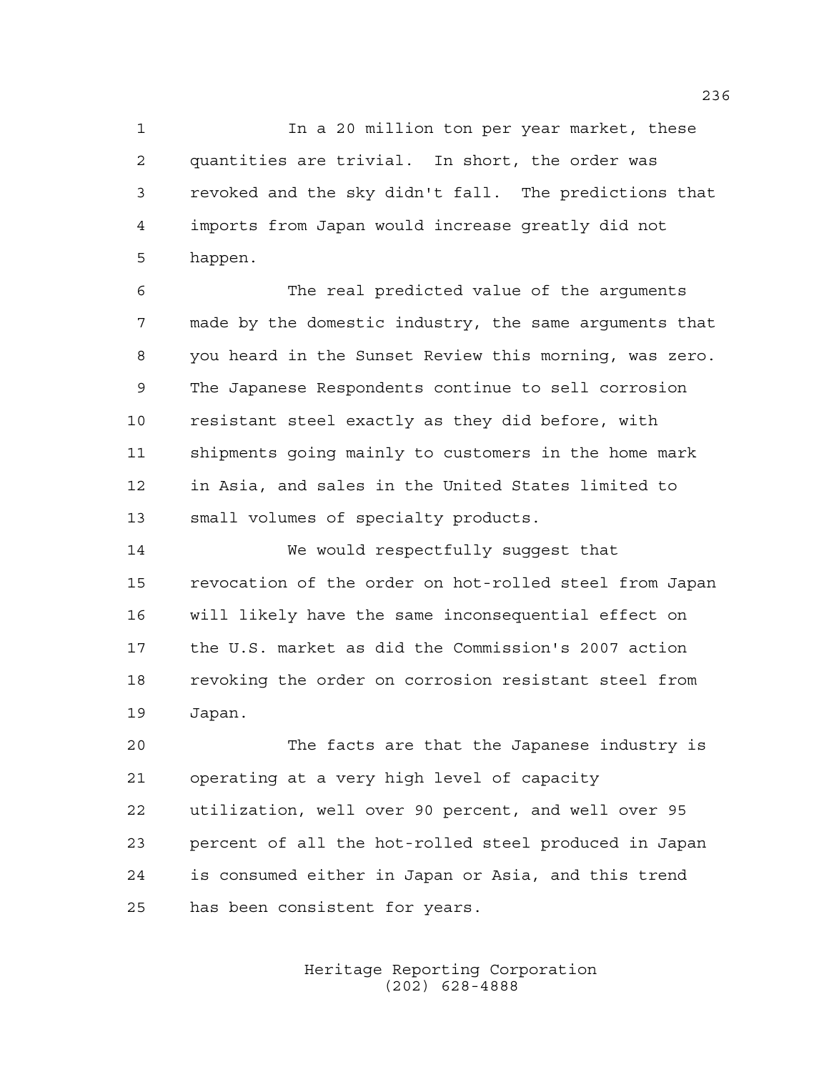In a 20 million ton per year market, these quantities are trivial. In short, the order was revoked and the sky didn't fall. The predictions that imports from Japan would increase greatly did not happen.

 The real predicted value of the arguments made by the domestic industry, the same arguments that you heard in the Sunset Review this morning, was zero. The Japanese Respondents continue to sell corrosion resistant steel exactly as they did before, with shipments going mainly to customers in the home mark in Asia, and sales in the United States limited to small volumes of specialty products.

 We would respectfully suggest that revocation of the order on hot-rolled steel from Japan will likely have the same inconsequential effect on the U.S. market as did the Commission's 2007 action revoking the order on corrosion resistant steel from Japan.

 The facts are that the Japanese industry is operating at a very high level of capacity utilization, well over 90 percent, and well over 95 percent of all the hot-rolled steel produced in Japan is consumed either in Japan or Asia, and this trend has been consistent for years.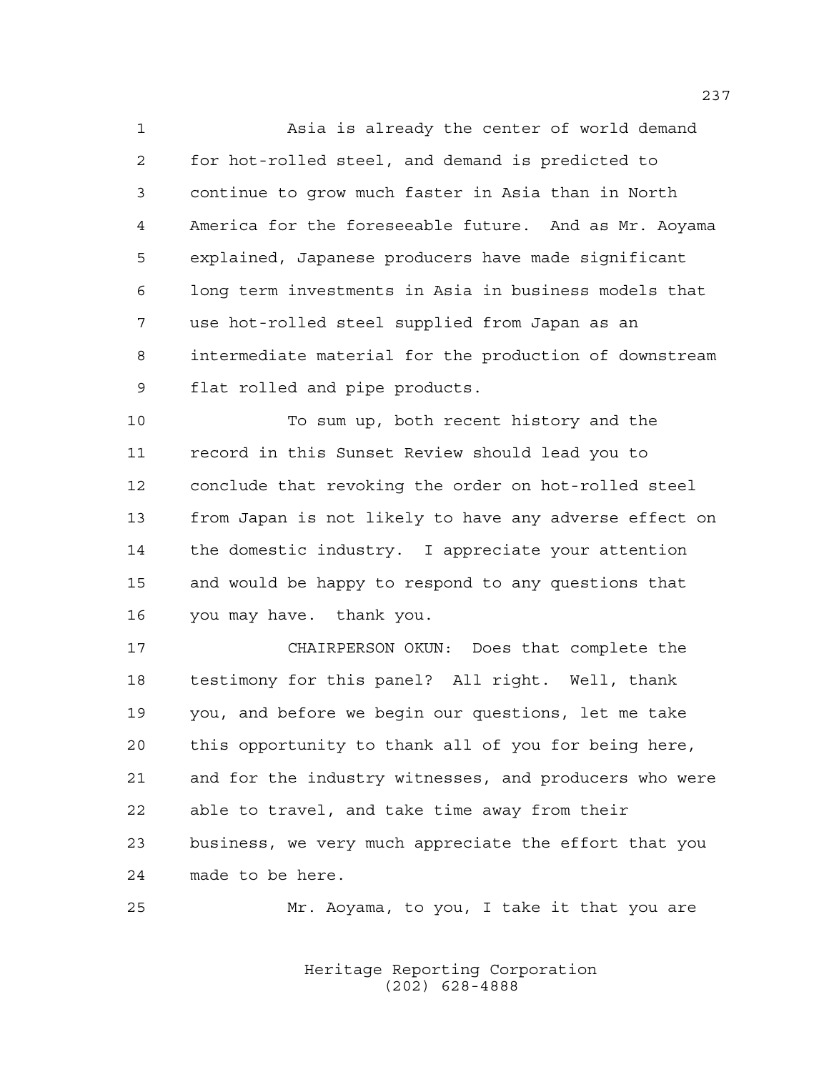Asia is already the center of world demand for hot-rolled steel, and demand is predicted to continue to grow much faster in Asia than in North America for the foreseeable future. And as Mr. Aoyama explained, Japanese producers have made significant long term investments in Asia in business models that use hot-rolled steel supplied from Japan as an intermediate material for the production of downstream flat rolled and pipe products.

 To sum up, both recent history and the record in this Sunset Review should lead you to conclude that revoking the order on hot-rolled steel from Japan is not likely to have any adverse effect on the domestic industry. I appreciate your attention and would be happy to respond to any questions that you may have. thank you.

 CHAIRPERSON OKUN: Does that complete the testimony for this panel? All right. Well, thank you, and before we begin our questions, let me take this opportunity to thank all of you for being here, and for the industry witnesses, and producers who were able to travel, and take time away from their business, we very much appreciate the effort that you made to be here.

Mr. Aoyama, to you, I take it that you are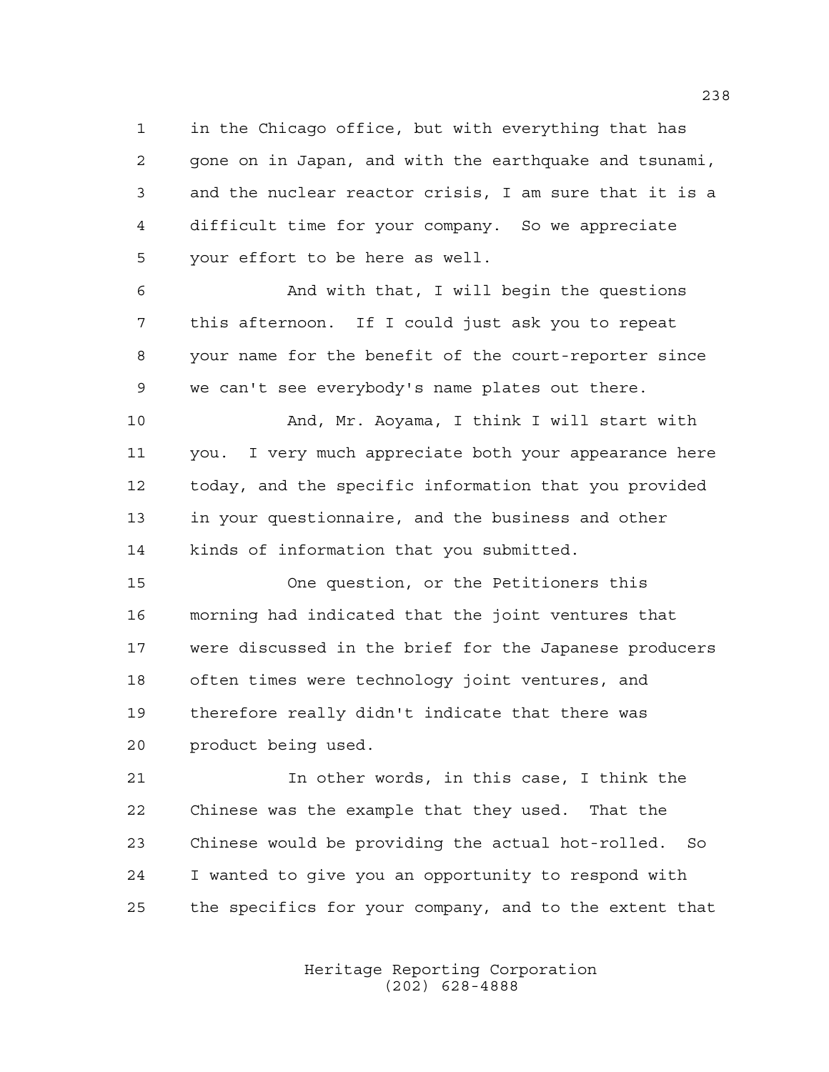in the Chicago office, but with everything that has gone on in Japan, and with the earthquake and tsunami, and the nuclear reactor crisis, I am sure that it is a difficult time for your company. So we appreciate your effort to be here as well.

 And with that, I will begin the questions this afternoon. If I could just ask you to repeat your name for the benefit of the court-reporter since we can't see everybody's name plates out there.

 And, Mr. Aoyama, I think I will start with you. I very much appreciate both your appearance here today, and the specific information that you provided in your questionnaire, and the business and other kinds of information that you submitted.

 One question, or the Petitioners this morning had indicated that the joint ventures that were discussed in the brief for the Japanese producers often times were technology joint ventures, and therefore really didn't indicate that there was product being used.

 In other words, in this case, I think the Chinese was the example that they used. That the Chinese would be providing the actual hot-rolled. So I wanted to give you an opportunity to respond with the specifics for your company, and to the extent that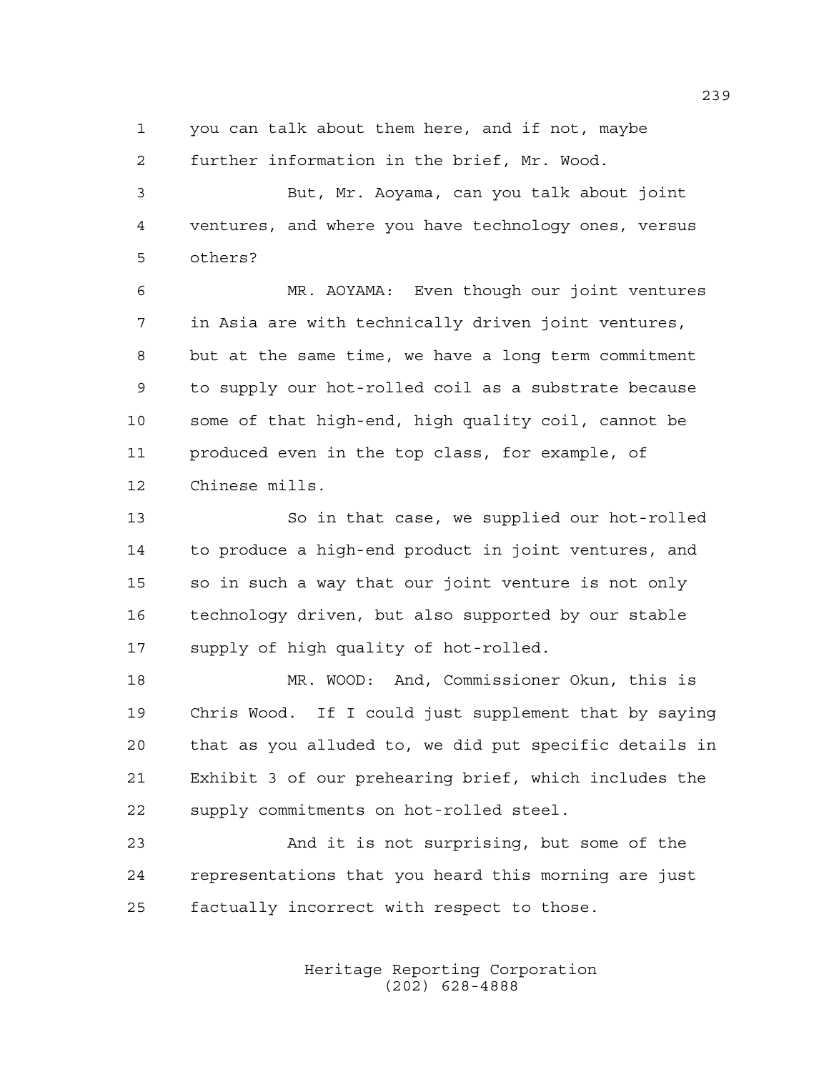you can talk about them here, and if not, maybe further information in the brief, Mr. Wood.

 But, Mr. Aoyama, can you talk about joint ventures, and where you have technology ones, versus others?

 MR. AOYAMA: Even though our joint ventures in Asia are with technically driven joint ventures, but at the same time, we have a long term commitment to supply our hot-rolled coil as a substrate because some of that high-end, high quality coil, cannot be produced even in the top class, for example, of Chinese mills.

 So in that case, we supplied our hot-rolled to produce a high-end product in joint ventures, and so in such a way that our joint venture is not only technology driven, but also supported by our stable supply of high quality of hot-rolled.

 MR. WOOD: And, Commissioner Okun, this is Chris Wood. If I could just supplement that by saying that as you alluded to, we did put specific details in Exhibit 3 of our prehearing brief, which includes the supply commitments on hot-rolled steel.

 And it is not surprising, but some of the representations that you heard this morning are just factually incorrect with respect to those.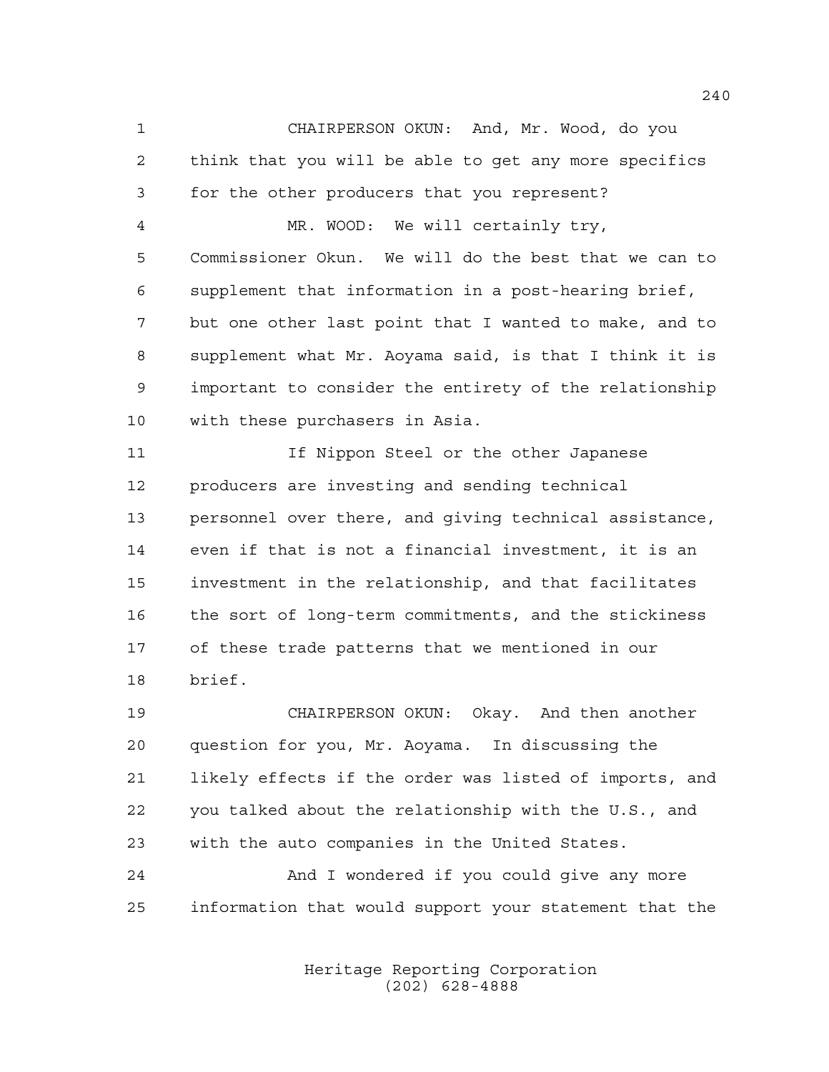CHAIRPERSON OKUN: And, Mr. Wood, do you think that you will be able to get any more specifics for the other producers that you represent? MR. WOOD: We will certainly try, Commissioner Okun. We will do the best that we can to supplement that information in a post-hearing brief, but one other last point that I wanted to make, and to supplement what Mr. Aoyama said, is that I think it is important to consider the entirety of the relationship with these purchasers in Asia.

 If Nippon Steel or the other Japanese producers are investing and sending technical personnel over there, and giving technical assistance, even if that is not a financial investment, it is an investment in the relationship, and that facilitates the sort of long-term commitments, and the stickiness of these trade patterns that we mentioned in our brief.

 CHAIRPERSON OKUN: Okay. And then another question for you, Mr. Aoyama. In discussing the likely effects if the order was listed of imports, and you talked about the relationship with the U.S., and with the auto companies in the United States.

 And I wondered if you could give any more information that would support your statement that the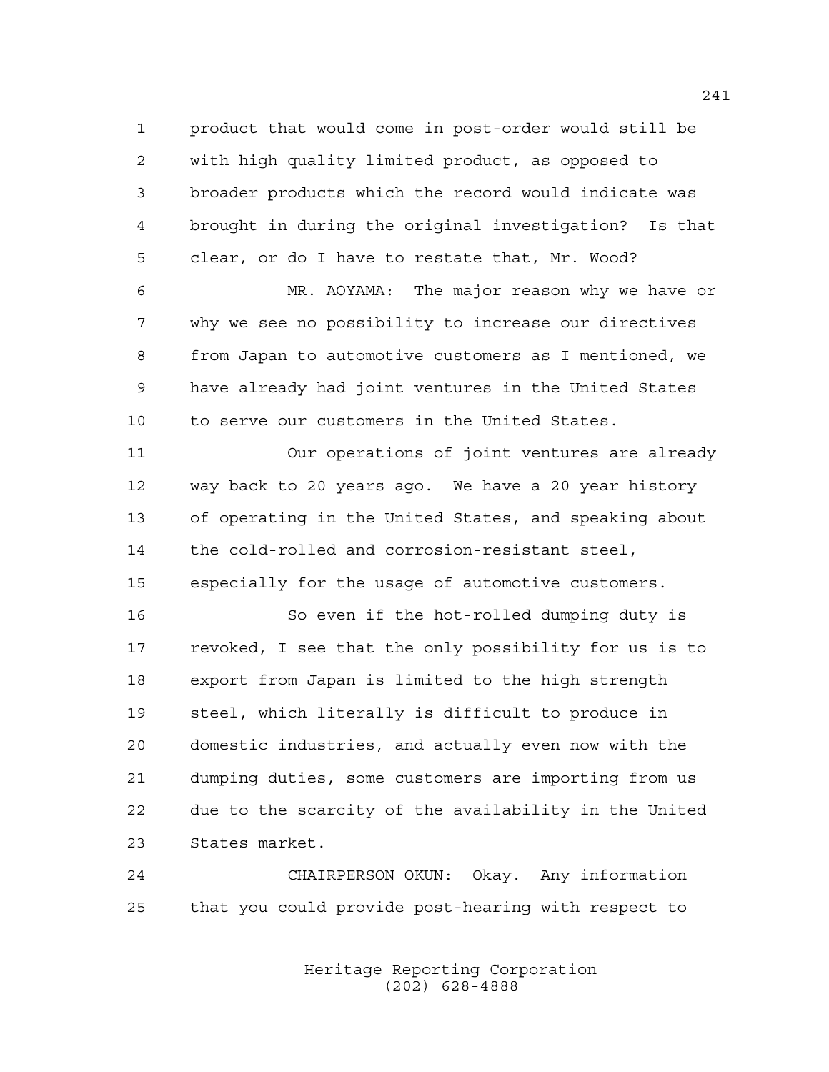product that would come in post-order would still be with high quality limited product, as opposed to broader products which the record would indicate was brought in during the original investigation? Is that clear, or do I have to restate that, Mr. Wood?

 MR. AOYAMA: The major reason why we have or why we see no possibility to increase our directives from Japan to automotive customers as I mentioned, we have already had joint ventures in the United States to serve our customers in the United States.

 Our operations of joint ventures are already way back to 20 years ago. We have a 20 year history of operating in the United States, and speaking about the cold-rolled and corrosion-resistant steel, especially for the usage of automotive customers.

 So even if the hot-rolled dumping duty is revoked, I see that the only possibility for us is to export from Japan is limited to the high strength steel, which literally is difficult to produce in domestic industries, and actually even now with the dumping duties, some customers are importing from us due to the scarcity of the availability in the United States market.

 CHAIRPERSON OKUN: Okay. Any information that you could provide post-hearing with respect to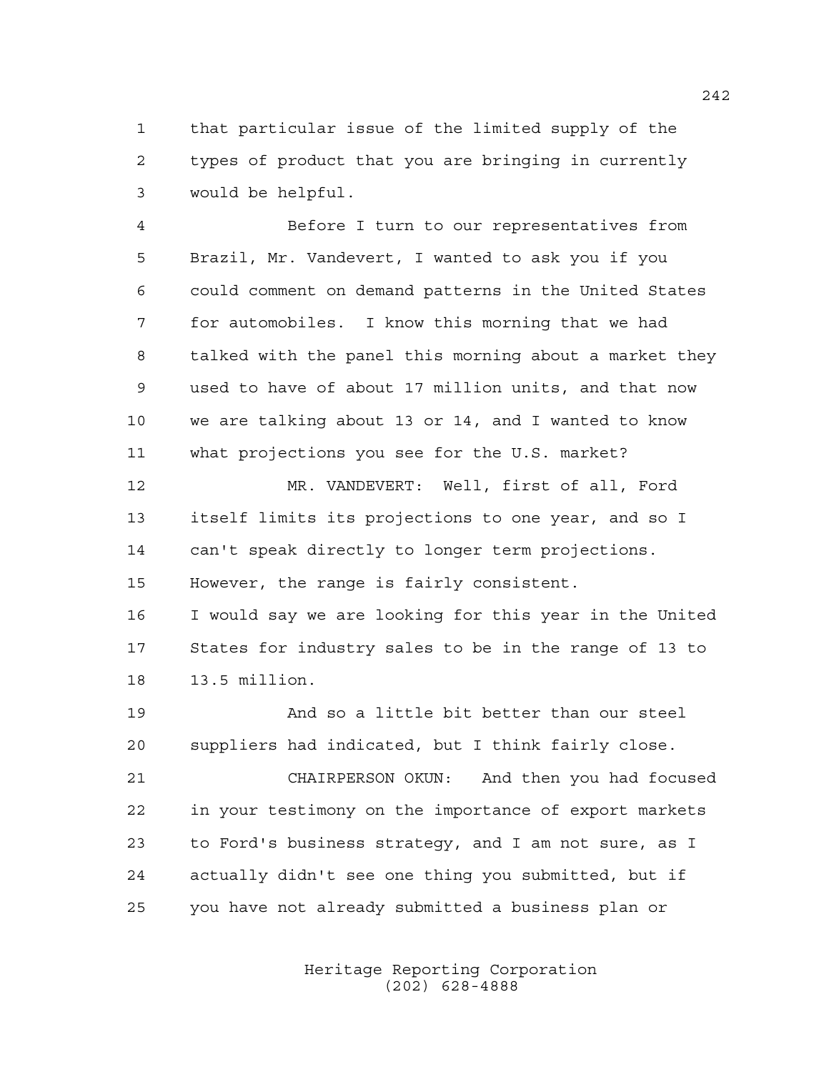that particular issue of the limited supply of the types of product that you are bringing in currently would be helpful.

 Before I turn to our representatives from Brazil, Mr. Vandevert, I wanted to ask you if you could comment on demand patterns in the United States for automobiles. I know this morning that we had talked with the panel this morning about a market they used to have of about 17 million units, and that now we are talking about 13 or 14, and I wanted to know what projections you see for the U.S. market?

 MR. VANDEVERT: Well, first of all, Ford itself limits its projections to one year, and so I can't speak directly to longer term projections. However, the range is fairly consistent.

 I would say we are looking for this year in the United States for industry sales to be in the range of 13 to 13.5 million.

 And so a little bit better than our steel suppliers had indicated, but I think fairly close.

 CHAIRPERSON OKUN: And then you had focused in your testimony on the importance of export markets to Ford's business strategy, and I am not sure, as I actually didn't see one thing you submitted, but if you have not already submitted a business plan or

> Heritage Reporting Corporation (202) 628-4888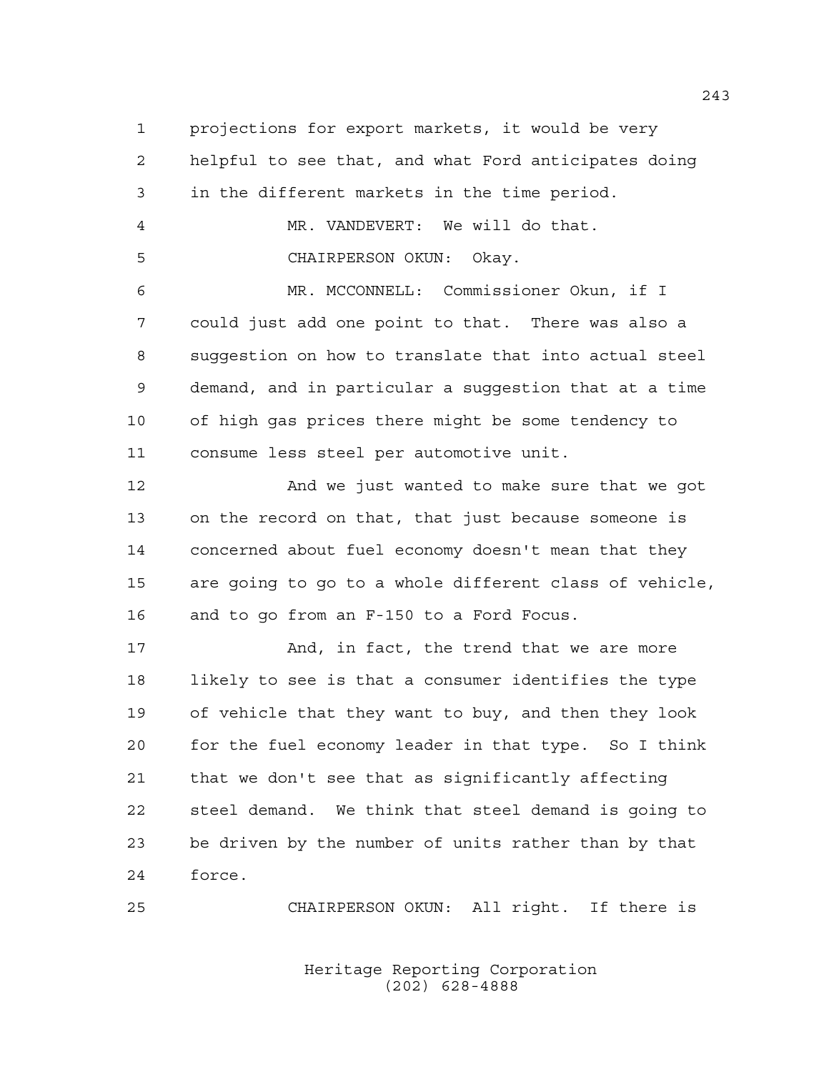projections for export markets, it would be very helpful to see that, and what Ford anticipates doing in the different markets in the time period. MR. VANDEVERT: We will do that. CHAIRPERSON OKUN: Okay. MR. MCCONNELL: Commissioner Okun, if I could just add one point to that. There was also a suggestion on how to translate that into actual steel demand, and in particular a suggestion that at a time of high gas prices there might be some tendency to consume less steel per automotive unit. And we just wanted to make sure that we got on the record on that, that just because someone is concerned about fuel economy doesn't mean that they are going to go to a whole different class of vehicle, and to go from an F-150 to a Ford Focus. 17 And, in fact, the trend that we are more likely to see is that a consumer identifies the type of vehicle that they want to buy, and then they look for the fuel economy leader in that type. So I think that we don't see that as significantly affecting steel demand. We think that steel demand is going to

force.

CHAIRPERSON OKUN: All right. If there is

be driven by the number of units rather than by that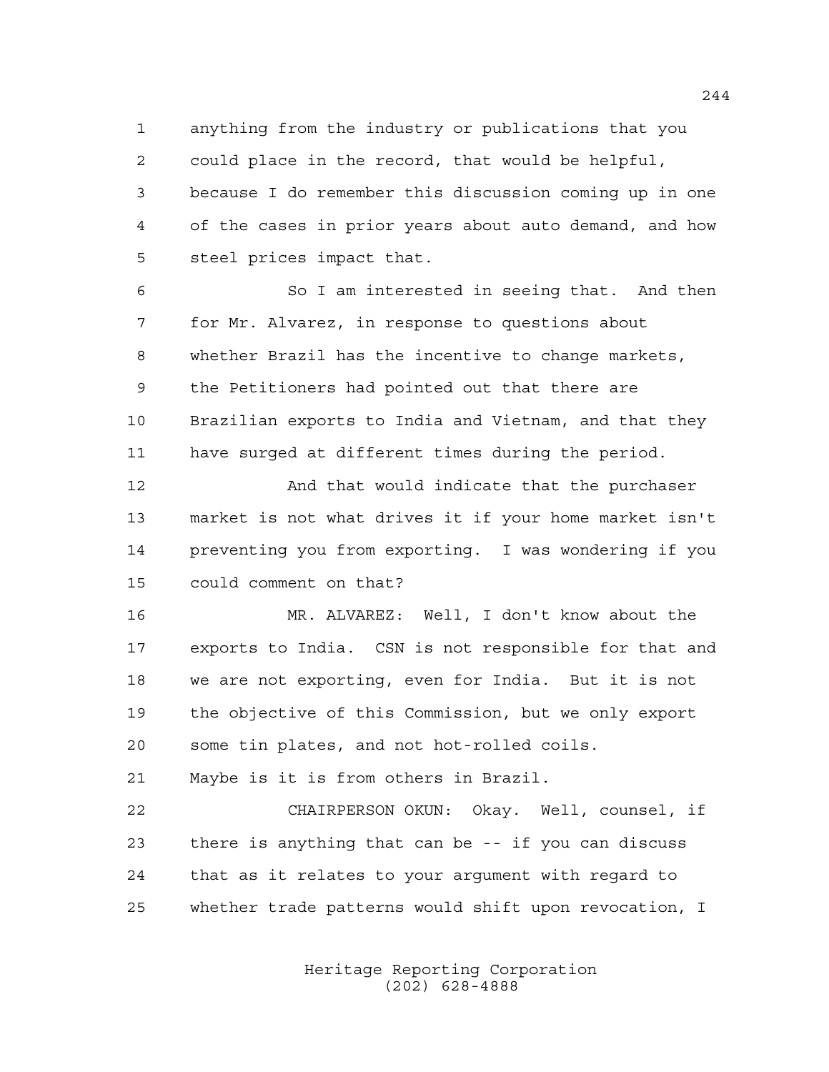anything from the industry or publications that you could place in the record, that would be helpful, because I do remember this discussion coming up in one of the cases in prior years about auto demand, and how steel prices impact that.

 So I am interested in seeing that. And then for Mr. Alvarez, in response to questions about whether Brazil has the incentive to change markets, the Petitioners had pointed out that there are Brazilian exports to India and Vietnam, and that they have surged at different times during the period.

12 And that would indicate that the purchaser market is not what drives it if your home market isn't preventing you from exporting. I was wondering if you could comment on that?

 MR. ALVAREZ: Well, I don't know about the exports to India. CSN is not responsible for that and we are not exporting, even for India. But it is not the objective of this Commission, but we only export some tin plates, and not hot-rolled coils.

Maybe is it is from others in Brazil.

 CHAIRPERSON OKUN: Okay. Well, counsel, if there is anything that can be -- if you can discuss that as it relates to your argument with regard to whether trade patterns would shift upon revocation, I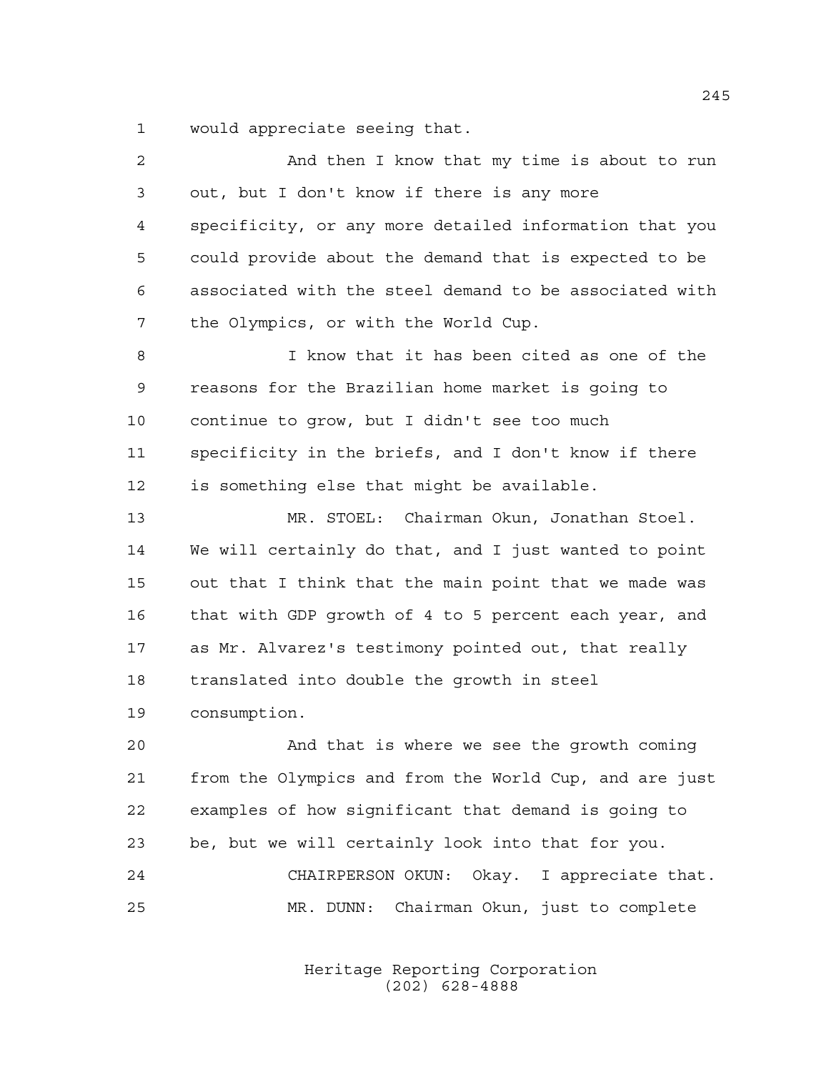would appreciate seeing that.

| 2  | And then I know that my time is about to run           |
|----|--------------------------------------------------------|
| 3  | out, but I don't know if there is any more             |
| 4  | specificity, or any more detailed information that you |
| 5  | could provide about the demand that is expected to be  |
| 6  | associated with the steel demand to be associated with |
| 7  | the Olympics, or with the World Cup.                   |
| 8  | I know that it has been cited as one of the            |
| 9  | reasons for the Brazilian home market is going to      |
| 10 | continue to grow, but I didn't see too much            |
| 11 | specificity in the briefs, and I don't know if there   |
| 12 | is something else that might be available.             |
| 13 | Chairman Okun, Jonathan Stoel.<br>MR. STOEL:           |
| 14 | We will certainly do that, and I just wanted to point  |
| 15 | out that I think that the main point that we made was  |
| 16 | that with GDP growth of 4 to 5 percent each year, and  |
| 17 | as Mr. Alvarez's testimony pointed out, that really    |
| 18 | translated into double the growth in steel             |
| 19 | consumption.                                           |
| 20 | And that is where we see the growth coming             |
| 21 | from the Olympics and from the World Cup, and are just |
| 22 | examples of how significant that demand is going to    |
| 23 | be, but we will certainly look into that for you.      |
| 24 | CHAIRPERSON OKUN: Okay. I appreciate that.             |
| 25 | MR. DUNN: Chairman Okun, just to complete              |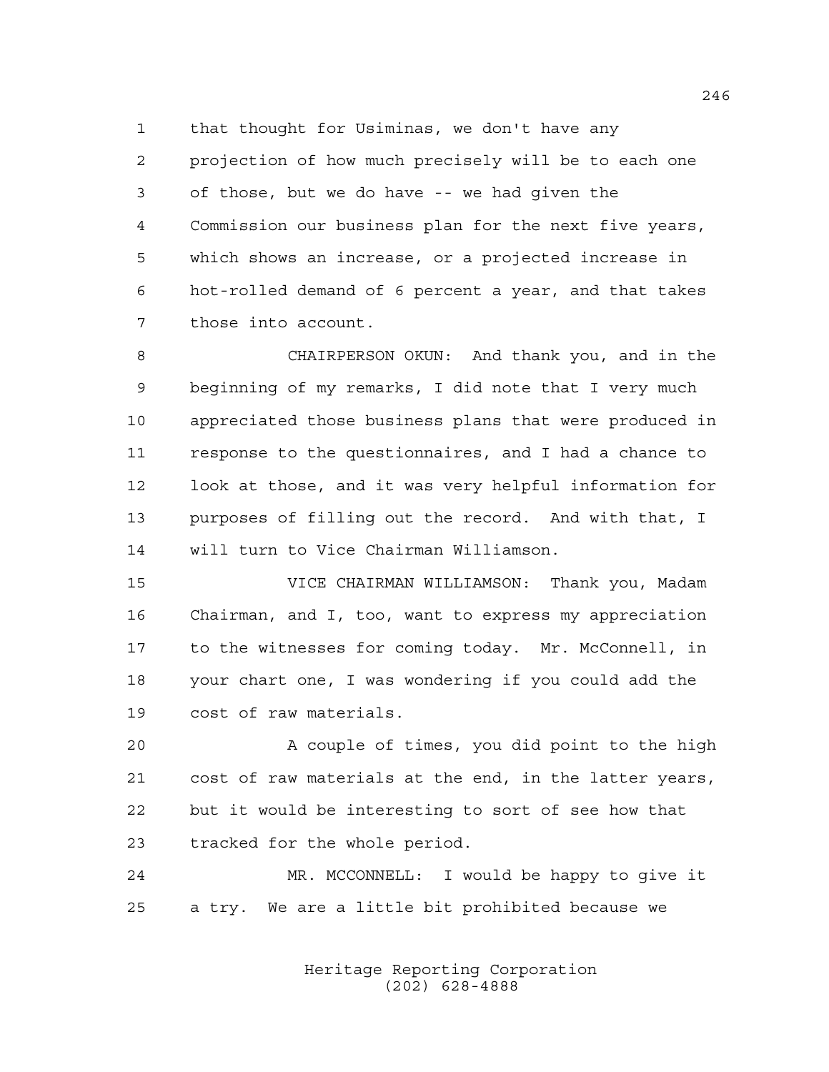that thought for Usiminas, we don't have any

 projection of how much precisely will be to each one of those, but we do have -- we had given the Commission our business plan for the next five years, which shows an increase, or a projected increase in hot-rolled demand of 6 percent a year, and that takes those into account.

 CHAIRPERSON OKUN: And thank you, and in the beginning of my remarks, I did note that I very much appreciated those business plans that were produced in response to the questionnaires, and I had a chance to look at those, and it was very helpful information for purposes of filling out the record. And with that, I will turn to Vice Chairman Williamson.

 VICE CHAIRMAN WILLIAMSON: Thank you, Madam Chairman, and I, too, want to express my appreciation to the witnesses for coming today. Mr. McConnell, in your chart one, I was wondering if you could add the cost of raw materials.

 A couple of times, you did point to the high cost of raw materials at the end, in the latter years, but it would be interesting to sort of see how that tracked for the whole period.

 MR. MCCONNELL: I would be happy to give it a try. We are a little bit prohibited because we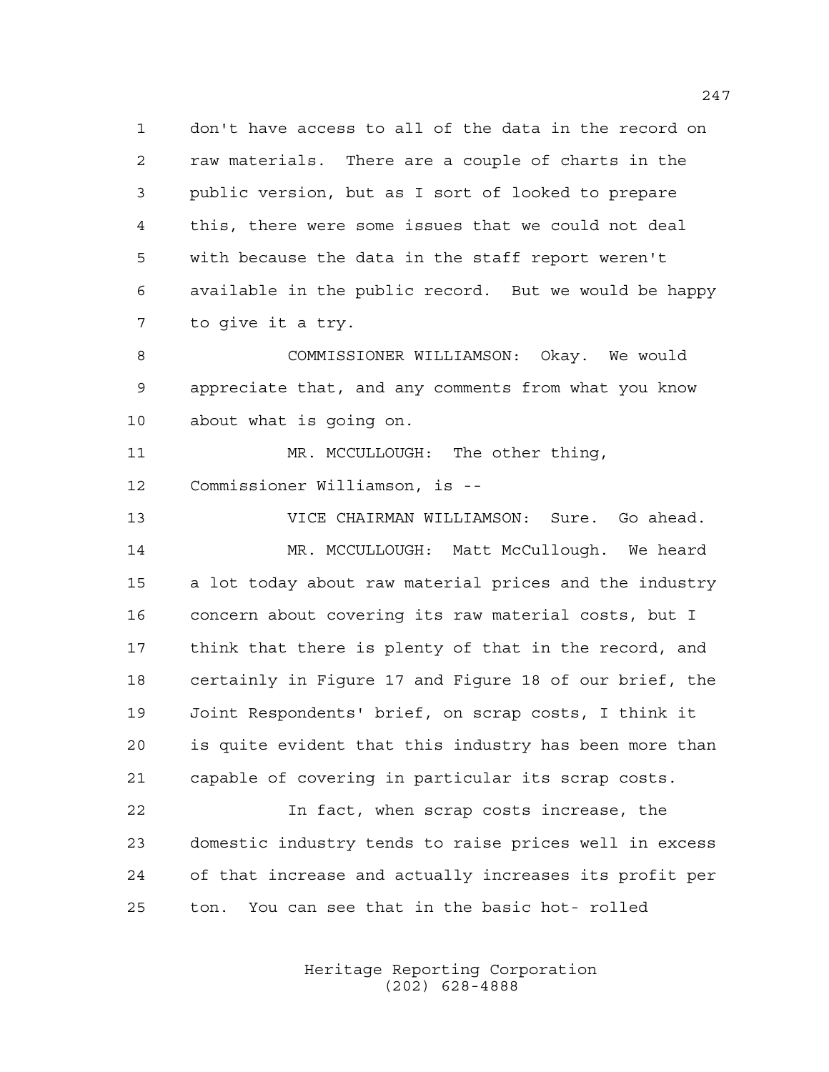don't have access to all of the data in the record on raw materials. There are a couple of charts in the public version, but as I sort of looked to prepare this, there were some issues that we could not deal with because the data in the staff report weren't available in the public record. But we would be happy to give it a try.

 COMMISSIONER WILLIAMSON: Okay. We would appreciate that, and any comments from what you know about what is going on.

11 MR. MCCULLOUGH: The other thing, Commissioner Williamson, is --

 VICE CHAIRMAN WILLIAMSON: Sure. Go ahead. MR. MCCULLOUGH: Matt McCullough. We heard a lot today about raw material prices and the industry concern about covering its raw material costs, but I think that there is plenty of that in the record, and certainly in Figure 17 and Figure 18 of our brief, the Joint Respondents' brief, on scrap costs, I think it is quite evident that this industry has been more than capable of covering in particular its scrap costs.

 In fact, when scrap costs increase, the domestic industry tends to raise prices well in excess of that increase and actually increases its profit per ton. You can see that in the basic hot- rolled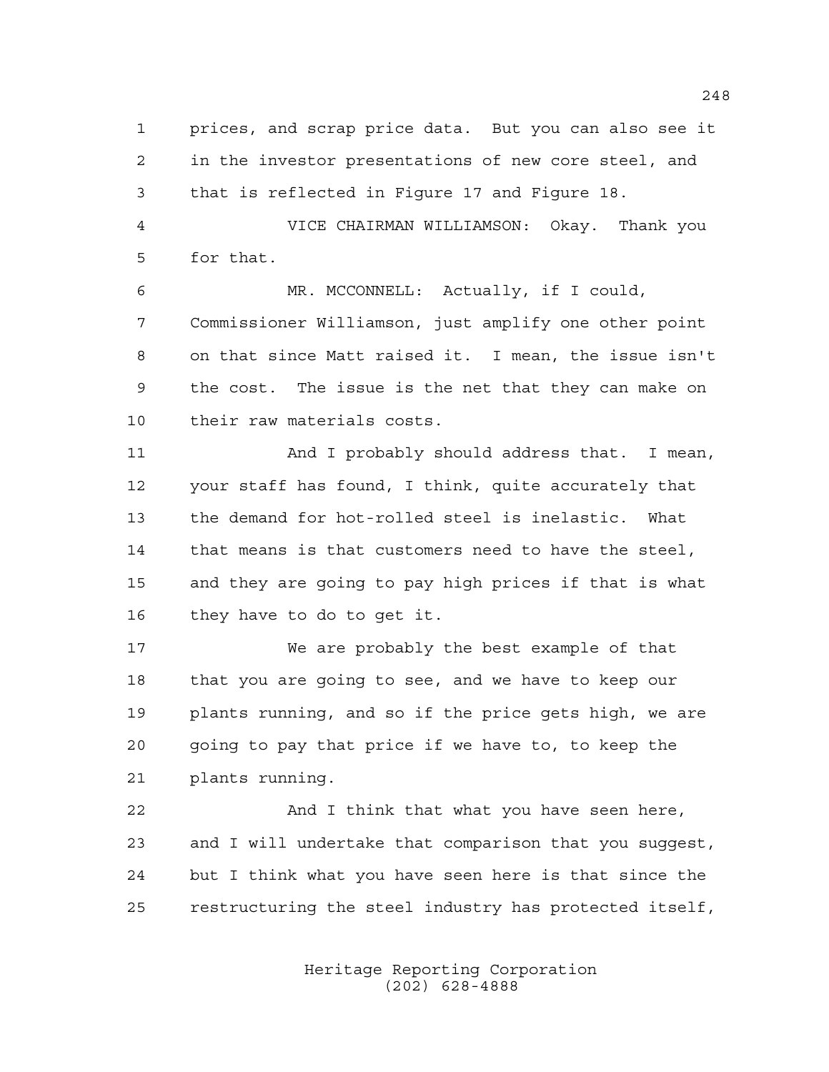prices, and scrap price data. But you can also see it in the investor presentations of new core steel, and that is reflected in Figure 17 and Figure 18.

 VICE CHAIRMAN WILLIAMSON: Okay. Thank you for that.

 MR. MCCONNELL: Actually, if I could, Commissioner Williamson, just amplify one other point on that since Matt raised it. I mean, the issue isn't the cost. The issue is the net that they can make on their raw materials costs.

 And I probably should address that. I mean, your staff has found, I think, quite accurately that the demand for hot-rolled steel is inelastic. What that means is that customers need to have the steel, and they are going to pay high prices if that is what they have to do to get it.

 We are probably the best example of that that you are going to see, and we have to keep our plants running, and so if the price gets high, we are going to pay that price if we have to, to keep the plants running.

22 And I think that what you have seen here, and I will undertake that comparison that you suggest, but I think what you have seen here is that since the restructuring the steel industry has protected itself,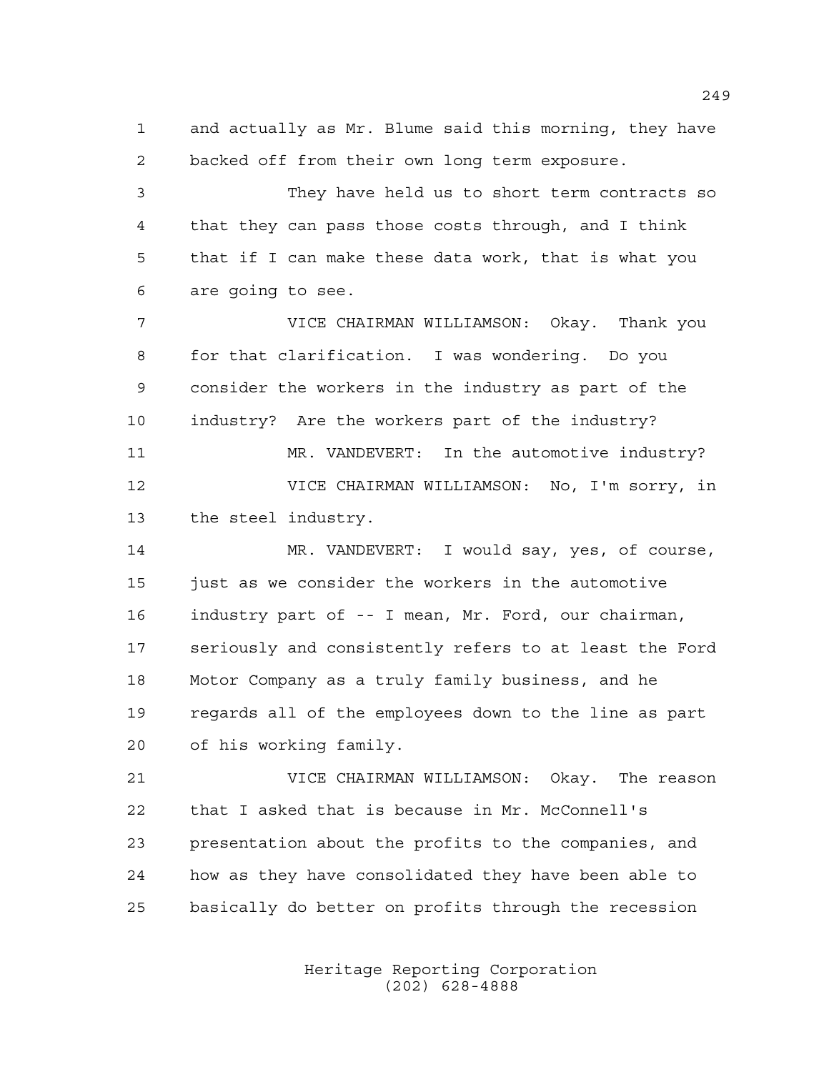and actually as Mr. Blume said this morning, they have backed off from their own long term exposure. They have held us to short term contracts so that they can pass those costs through, and I think that if I can make these data work, that is what you are going to see. VICE CHAIRMAN WILLIAMSON: Okay. Thank you for that clarification. I was wondering. Do you consider the workers in the industry as part of the industry? Are the workers part of the industry? 11 MR. VANDEVERT: In the automotive industry? VICE CHAIRMAN WILLIAMSON: No, I'm sorry, in the steel industry. MR. VANDEVERT: I would say, yes, of course, 15 just as we consider the workers in the automotive industry part of -- I mean, Mr. Ford, our chairman, seriously and consistently refers to at least the Ford Motor Company as a truly family business, and he regards all of the employees down to the line as part of his working family. VICE CHAIRMAN WILLIAMSON: Okay. The reason that I asked that is because in Mr. McConnell's presentation about the profits to the companies, and how as they have consolidated they have been able to basically do better on profits through the recession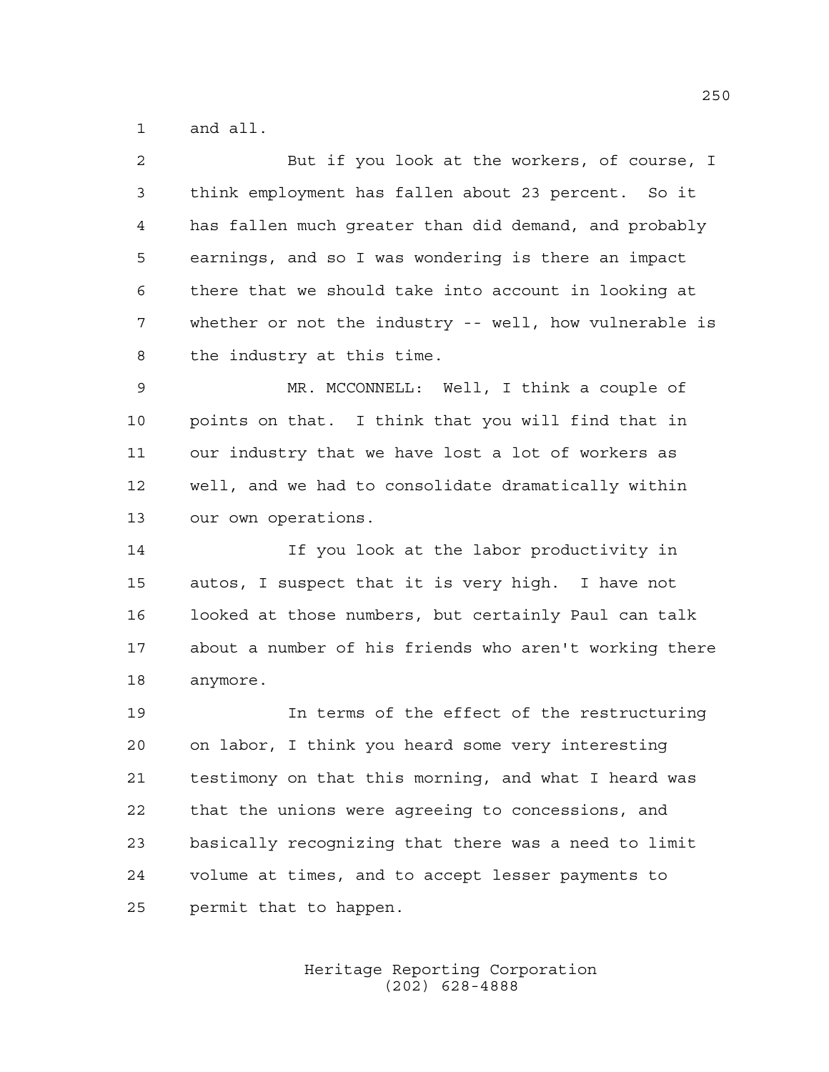and all.

| But if you look at the workers, of course, I           |
|--------------------------------------------------------|
| think employment has fallen about 23 percent. So it    |
| has fallen much greater than did demand, and probably  |
| earnings, and so I was wondering is there an impact    |
| there that we should take into account in looking at   |
| whether or not the industry -- well, how vulnerable is |
| the industry at this time.                             |
| MR. MCCONNELL: Well, I think a couple of               |
| points on that. I think that you will find that in     |
| our industry that we have lost a lot of workers as     |
| well, and we had to consolidate dramatically within    |
| our own operations.                                    |
| If you look at the labor productivity in               |
| autos, I suspect that it is very high. I have not      |
| looked at those numbers, but certainly Paul can talk   |
| about a number of his friends who aren't working there |
| anymore.                                               |
| In terms of the effect of the restructuring            |
| on labor, I think you heard some very interesting      |
| testimony on that this morning, and what I heard was   |
| that the unions were agreeing to concessions, and      |
| basically recognizing that there was a need to limit   |
| volume at times, and to accept lesser payments to      |
| permit that to happen.                                 |
|                                                        |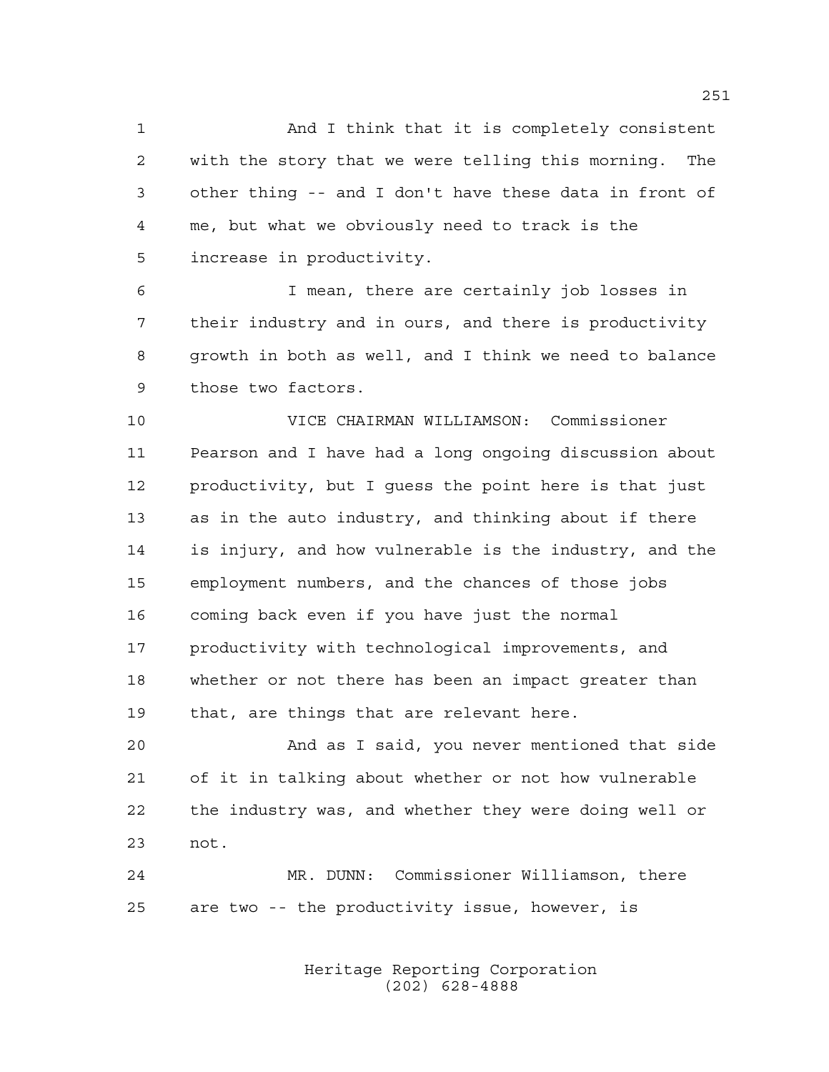And I think that it is completely consistent with the story that we were telling this morning. The other thing -- and I don't have these data in front of me, but what we obviously need to track is the increase in productivity.

 I mean, there are certainly job losses in their industry and in ours, and there is productivity growth in both as well, and I think we need to balance those two factors.

 VICE CHAIRMAN WILLIAMSON: Commissioner Pearson and I have had a long ongoing discussion about productivity, but I guess the point here is that just as in the auto industry, and thinking about if there is injury, and how vulnerable is the industry, and the employment numbers, and the chances of those jobs coming back even if you have just the normal productivity with technological improvements, and whether or not there has been an impact greater than that, are things that are relevant here.

 And as I said, you never mentioned that side of it in talking about whether or not how vulnerable the industry was, and whether they were doing well or not.

 MR. DUNN: Commissioner Williamson, there are two -- the productivity issue, however, is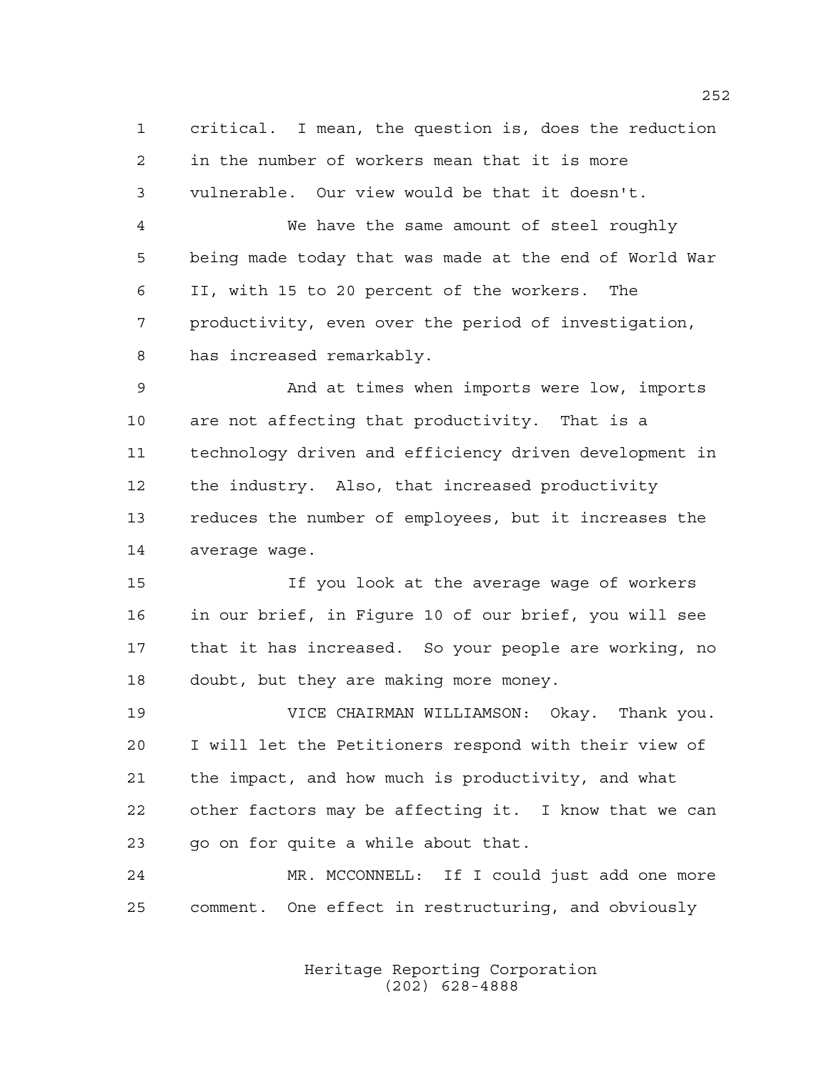critical. I mean, the question is, does the reduction in the number of workers mean that it is more vulnerable. Our view would be that it doesn't.

 We have the same amount of steel roughly being made today that was made at the end of World War II, with 15 to 20 percent of the workers. The productivity, even over the period of investigation, has increased remarkably.

 And at times when imports were low, imports are not affecting that productivity. That is a technology driven and efficiency driven development in the industry. Also, that increased productivity reduces the number of employees, but it increases the average wage.

 If you look at the average wage of workers in our brief, in Figure 10 of our brief, you will see that it has increased. So your people are working, no doubt, but they are making more money.

 VICE CHAIRMAN WILLIAMSON: Okay. Thank you. I will let the Petitioners respond with their view of the impact, and how much is productivity, and what other factors may be affecting it. I know that we can go on for quite a while about that.

 MR. MCCONNELL: If I could just add one more comment. One effect in restructuring, and obviously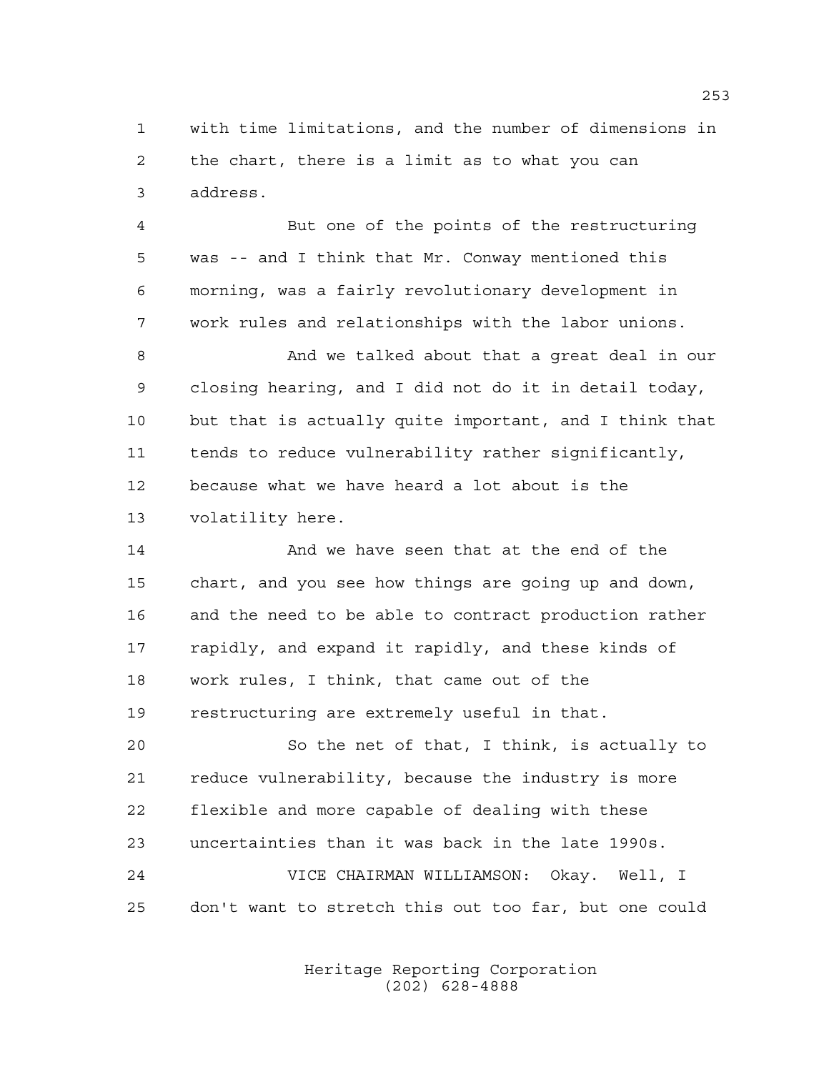with time limitations, and the number of dimensions in the chart, there is a limit as to what you can address.

 But one of the points of the restructuring was -- and I think that Mr. Conway mentioned this morning, was a fairly revolutionary development in work rules and relationships with the labor unions.

 And we talked about that a great deal in our closing hearing, and I did not do it in detail today, but that is actually quite important, and I think that tends to reduce vulnerability rather significantly, because what we have heard a lot about is the volatility here.

 And we have seen that at the end of the chart, and you see how things are going up and down, and the need to be able to contract production rather rapidly, and expand it rapidly, and these kinds of work rules, I think, that came out of the restructuring are extremely useful in that.

 So the net of that, I think, is actually to reduce vulnerability, because the industry is more flexible and more capable of dealing with these uncertainties than it was back in the late 1990s. VICE CHAIRMAN WILLIAMSON: Okay. Well, I don't want to stretch this out too far, but one could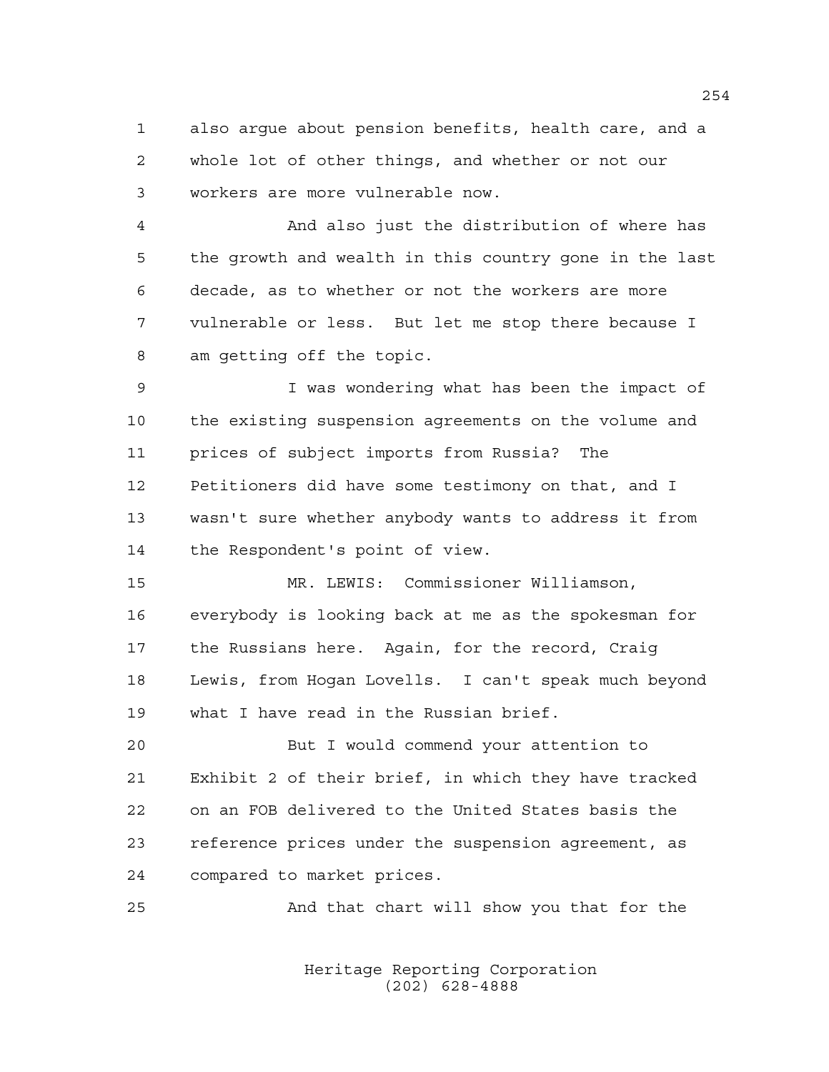also argue about pension benefits, health care, and a whole lot of other things, and whether or not our workers are more vulnerable now.

 And also just the distribution of where has the growth and wealth in this country gone in the last decade, as to whether or not the workers are more vulnerable or less. But let me stop there because I am getting off the topic.

 I was wondering what has been the impact of the existing suspension agreements on the volume and prices of subject imports from Russia? The Petitioners did have some testimony on that, and I wasn't sure whether anybody wants to address it from the Respondent's point of view.

 MR. LEWIS: Commissioner Williamson, everybody is looking back at me as the spokesman for the Russians here. Again, for the record, Craig Lewis, from Hogan Lovells. I can't speak much beyond what I have read in the Russian brief.

 But I would commend your attention to Exhibit 2 of their brief, in which they have tracked on an FOB delivered to the United States basis the reference prices under the suspension agreement, as compared to market prices.

And that chart will show you that for the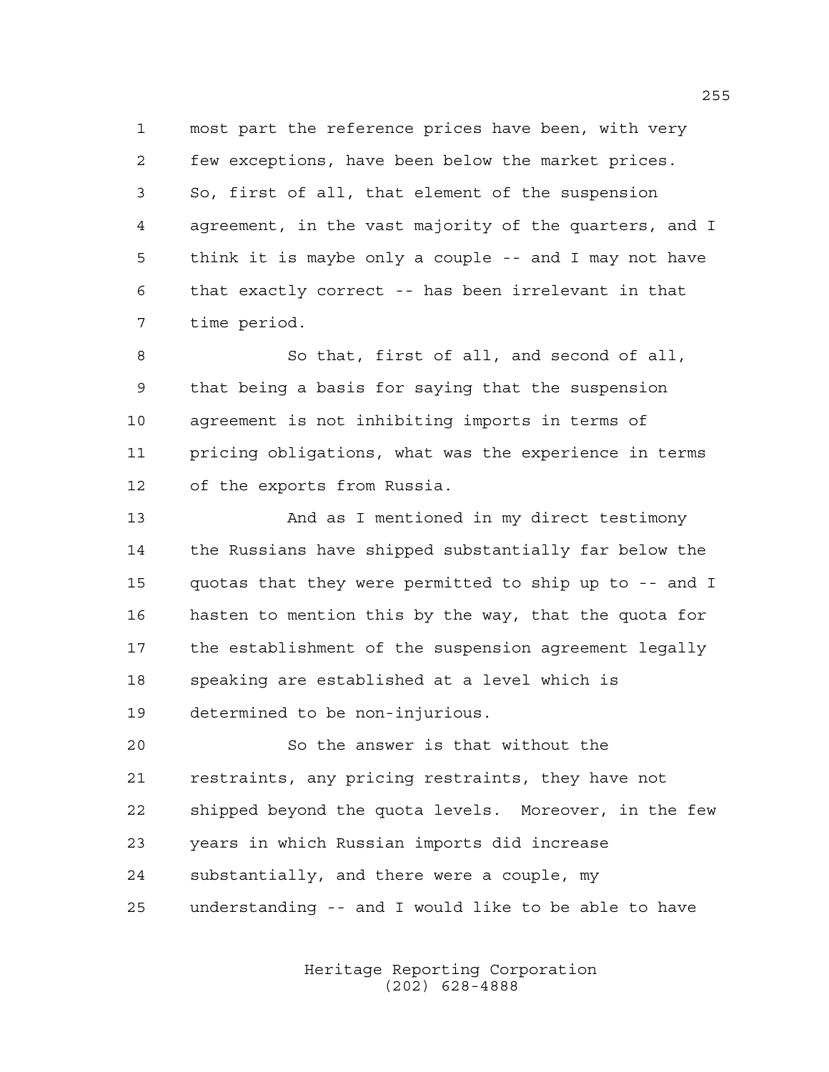most part the reference prices have been, with very few exceptions, have been below the market prices. So, first of all, that element of the suspension agreement, in the vast majority of the quarters, and I think it is maybe only a couple -- and I may not have that exactly correct -- has been irrelevant in that time period.

8 So that, first of all, and second of all, that being a basis for saying that the suspension agreement is not inhibiting imports in terms of pricing obligations, what was the experience in terms of the exports from Russia.

 And as I mentioned in my direct testimony the Russians have shipped substantially far below the quotas that they were permitted to ship up to -- and I hasten to mention this by the way, that the quota for the establishment of the suspension agreement legally speaking are established at a level which is determined to be non-injurious.

 So the answer is that without the restraints, any pricing restraints, they have not shipped beyond the quota levels. Moreover, in the few years in which Russian imports did increase substantially, and there were a couple, my understanding -- and I would like to be able to have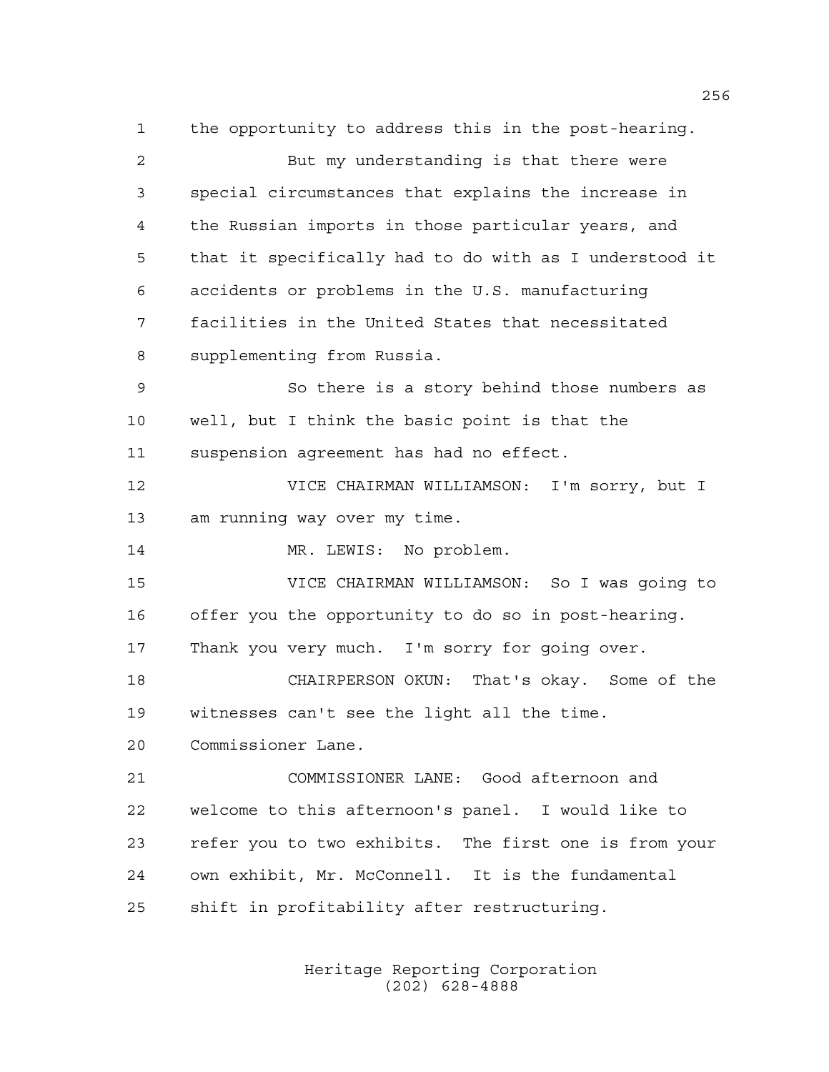the opportunity to address this in the post-hearing. But my understanding is that there were special circumstances that explains the increase in the Russian imports in those particular years, and that it specifically had to do with as I understood it accidents or problems in the U.S. manufacturing facilities in the United States that necessitated supplementing from Russia. So there is a story behind those numbers as well, but I think the basic point is that the suspension agreement has had no effect. VICE CHAIRMAN WILLIAMSON: I'm sorry, but I am running way over my time. 14 MR. LEWIS: No problem. VICE CHAIRMAN WILLIAMSON: So I was going to offer you the opportunity to do so in post-hearing. Thank you very much. I'm sorry for going over. CHAIRPERSON OKUN: That's okay. Some of the witnesses can't see the light all the time. Commissioner Lane. COMMISSIONER LANE: Good afternoon and welcome to this afternoon's panel. I would like to refer you to two exhibits. The first one is from your own exhibit, Mr. McConnell. It is the fundamental shift in profitability after restructuring.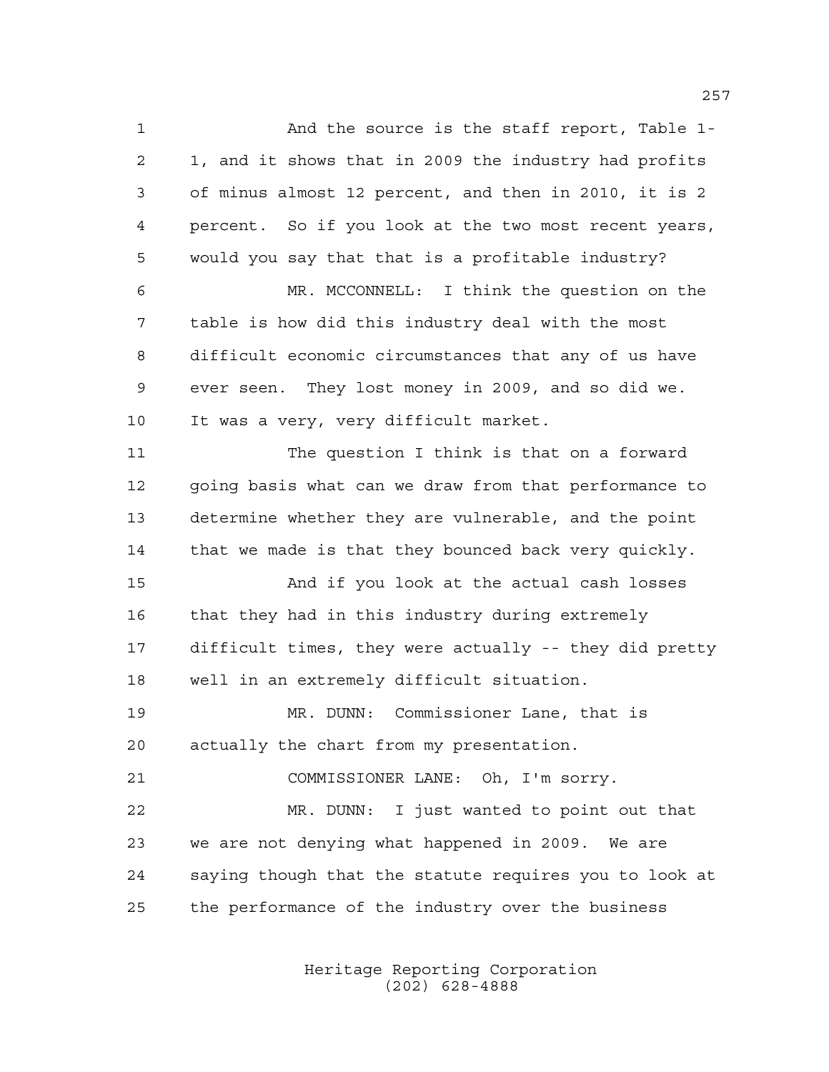And the source is the staff report, Table 1- 1, and it shows that in 2009 the industry had profits of minus almost 12 percent, and then in 2010, it is 2 percent. So if you look at the two most recent years, would you say that that is a profitable industry? MR. MCCONNELL: I think the question on the table is how did this industry deal with the most difficult economic circumstances that any of us have ever seen. They lost money in 2009, and so did we. It was a very, very difficult market. The question I think is that on a forward going basis what can we draw from that performance to determine whether they are vulnerable, and the point that we made is that they bounced back very quickly. And if you look at the actual cash losses that they had in this industry during extremely difficult times, they were actually -- they did pretty well in an extremely difficult situation. MR. DUNN: Commissioner Lane, that is actually the chart from my presentation. COMMISSIONER LANE: Oh, I'm sorry. MR. DUNN: I just wanted to point out that we are not denying what happened in 2009. We are saying though that the statute requires you to look at the performance of the industry over the business

> Heritage Reporting Corporation (202) 628-4888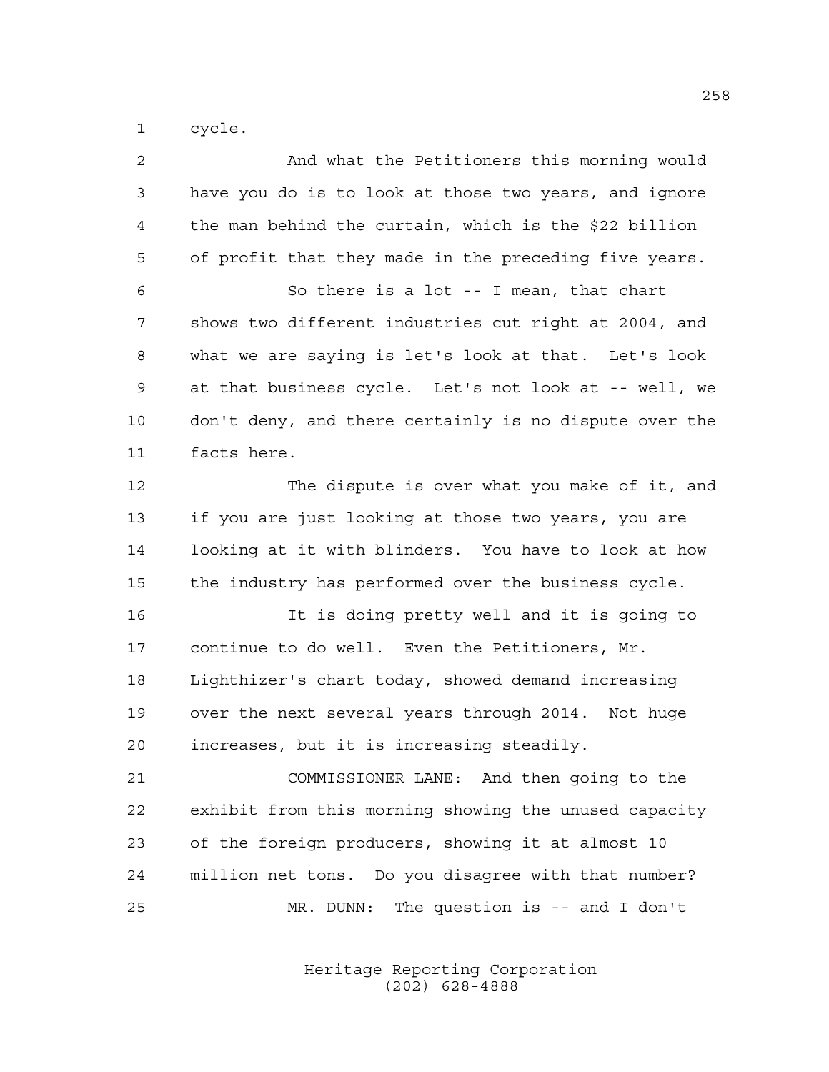cycle.

| $\overline{a}$ | And what the Petitioners this morning would            |
|----------------|--------------------------------------------------------|
| 3              | have you do is to look at those two years, and ignore  |
| 4              | the man behind the curtain, which is the \$22 billion  |
| 5              | of profit that they made in the preceding five years.  |
| 6              | So there is a lot -- I mean, that chart                |
| 7              | shows two different industries cut right at 2004, and  |
| 8              | what we are saying is let's look at that. Let's look   |
| $\mathsf 9$    | at that business cycle. Let's not look at -- well, we  |
| 10             | don't deny, and there certainly is no dispute over the |
| 11             | facts here.                                            |
| 12             | The dispute is over what you make of it, and           |
| 13             | if you are just looking at those two years, you are    |
| 14             | looking at it with blinders. You have to look at how   |
| 15             | the industry has performed over the business cycle.    |
| 16             | It is doing pretty well and it is going to             |
| 17             | continue to do well. Even the Petitioners, Mr.         |
| 18             | Lighthizer's chart today, showed demand increasing     |
| 19             | over the next several years through 2014. Not huge     |
| 20             | increases, but it is increasing steadily.              |
| 21             | COMMISSIONER LANE: And then going to the               |
| 22             | exhibit from this morning showing the unused capacity  |
| 23             | of the foreign producers, showing it at almost 10      |
| 24             | million net tons. Do you disagree with that number?    |
| 25             | MR. DUNN: The question is -- and I don't               |
|                |                                                        |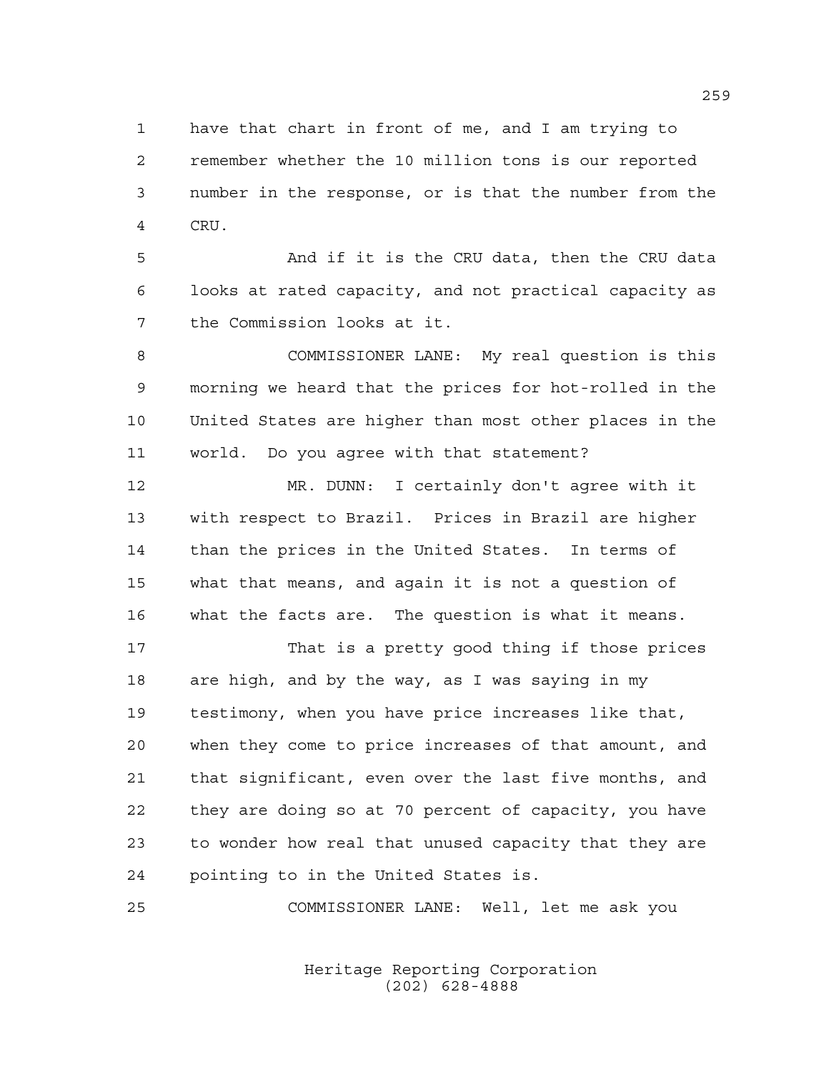have that chart in front of me, and I am trying to remember whether the 10 million tons is our reported number in the response, or is that the number from the CRU.

 And if it is the CRU data, then the CRU data looks at rated capacity, and not practical capacity as the Commission looks at it.

 COMMISSIONER LANE: My real question is this morning we heard that the prices for hot-rolled in the United States are higher than most other places in the world. Do you agree with that statement?

 MR. DUNN: I certainly don't agree with it with respect to Brazil. Prices in Brazil are higher than the prices in the United States. In terms of what that means, and again it is not a question of what the facts are. The question is what it means.

 That is a pretty good thing if those prices are high, and by the way, as I was saying in my testimony, when you have price increases like that, when they come to price increases of that amount, and that significant, even over the last five months, and they are doing so at 70 percent of capacity, you have to wonder how real that unused capacity that they are pointing to in the United States is.

COMMISSIONER LANE: Well, let me ask you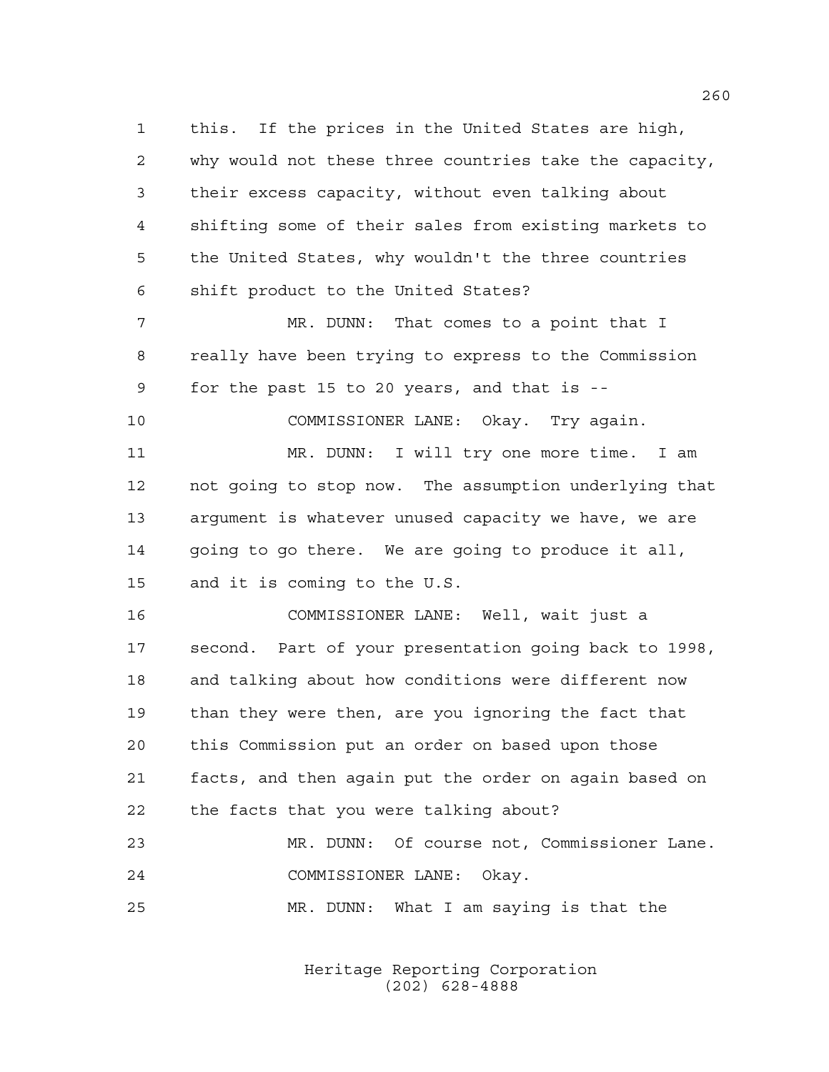this. If the prices in the United States are high, why would not these three countries take the capacity, their excess capacity, without even talking about shifting some of their sales from existing markets to the United States, why wouldn't the three countries shift product to the United States? MR. DUNN: That comes to a point that I really have been trying to express to the Commission for the past 15 to 20 years, and that is --

COMMISSIONER LANE: Okay. Try again.

 MR. DUNN: I will try one more time. I am not going to stop now. The assumption underlying that argument is whatever unused capacity we have, we are going to go there. We are going to produce it all, and it is coming to the U.S.

 COMMISSIONER LANE: Well, wait just a second. Part of your presentation going back to 1998, and talking about how conditions were different now than they were then, are you ignoring the fact that this Commission put an order on based upon those facts, and then again put the order on again based on the facts that you were talking about?

 MR. DUNN: Of course not, Commissioner Lane. COMMISSIONER LANE: Okay.

MR. DUNN: What I am saying is that the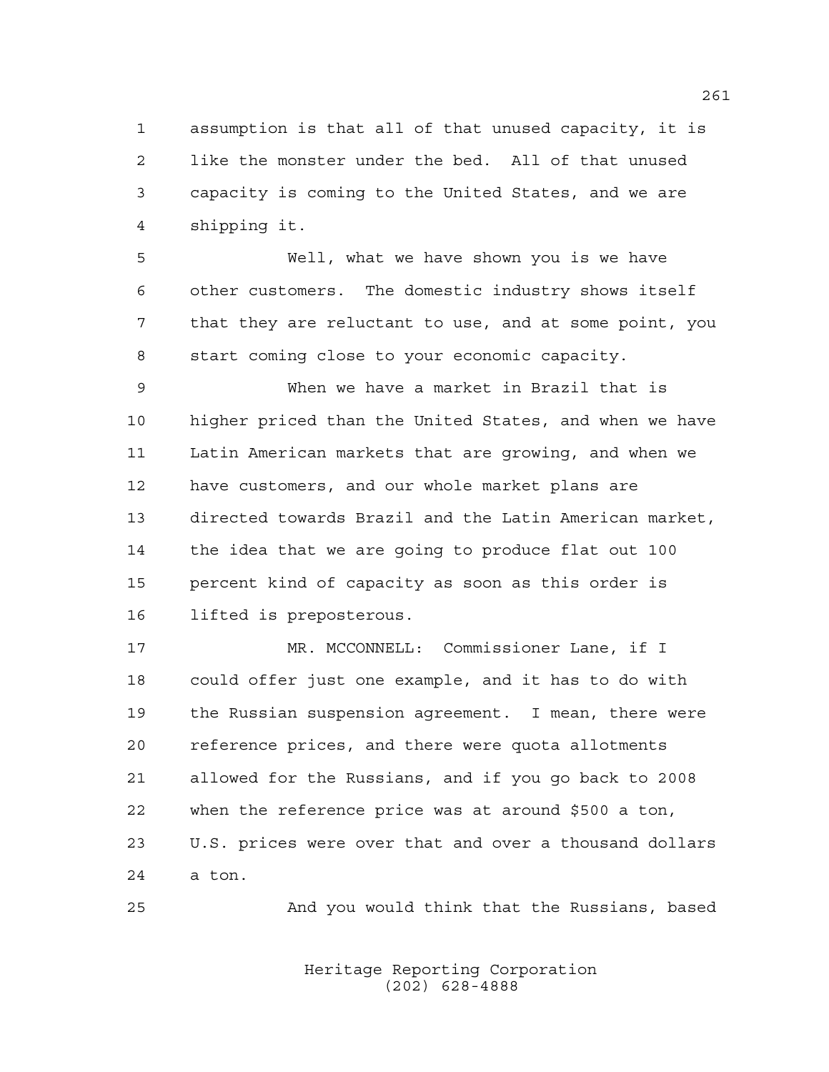assumption is that all of that unused capacity, it is like the monster under the bed. All of that unused capacity is coming to the United States, and we are shipping it.

 Well, what we have shown you is we have other customers. The domestic industry shows itself that they are reluctant to use, and at some point, you start coming close to your economic capacity.

 When we have a market in Brazil that is higher priced than the United States, and when we have 11 Latin American markets that are growing, and when we have customers, and our whole market plans are directed towards Brazil and the Latin American market, the idea that we are going to produce flat out 100 percent kind of capacity as soon as this order is lifted is preposterous.

 MR. MCCONNELL: Commissioner Lane, if I could offer just one example, and it has to do with the Russian suspension agreement. I mean, there were reference prices, and there were quota allotments allowed for the Russians, and if you go back to 2008 when the reference price was at around \$500 a ton, U.S. prices were over that and over a thousand dollars a ton.

And you would think that the Russians, based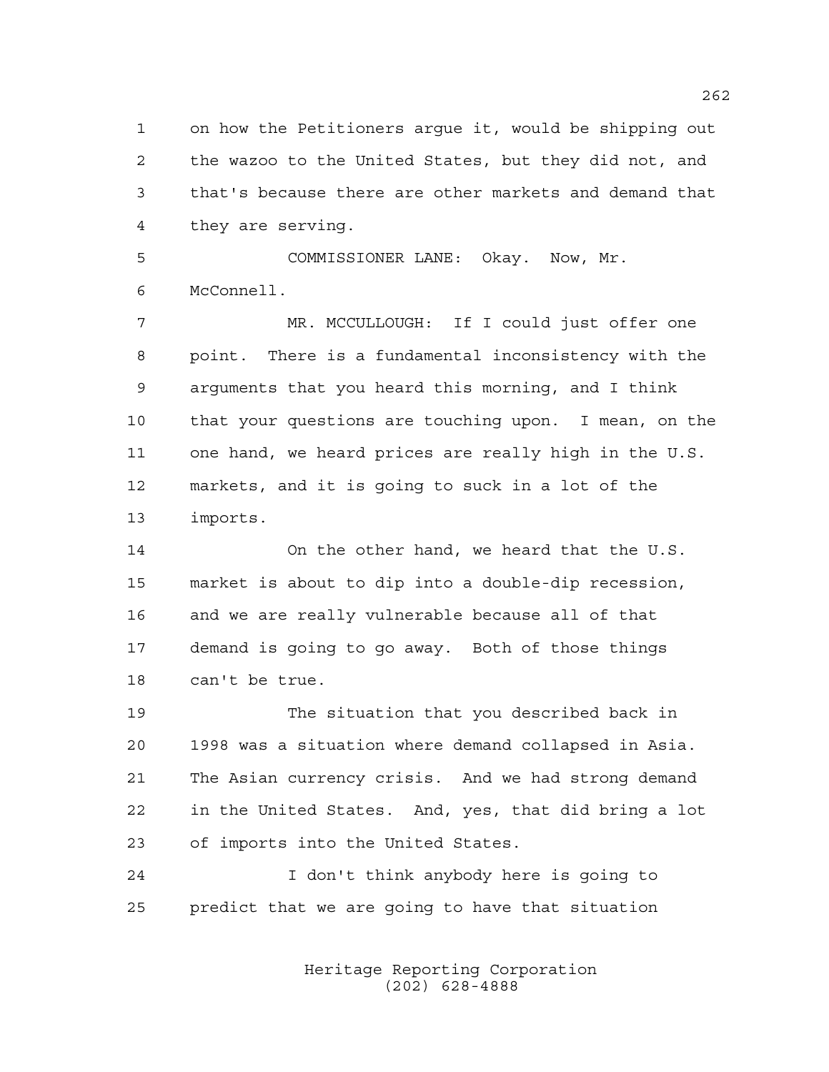on how the Petitioners argue it, would be shipping out the wazoo to the United States, but they did not, and that's because there are other markets and demand that they are serving.

 COMMISSIONER LANE: Okay. Now, Mr. McConnell.

 MR. MCCULLOUGH: If I could just offer one point. There is a fundamental inconsistency with the arguments that you heard this morning, and I think that your questions are touching upon. I mean, on the one hand, we heard prices are really high in the U.S. markets, and it is going to suck in a lot of the imports.

 On the other hand, we heard that the U.S. market is about to dip into a double-dip recession, and we are really vulnerable because all of that demand is going to go away. Both of those things can't be true.

 The situation that you described back in 1998 was a situation where demand collapsed in Asia. The Asian currency crisis. And we had strong demand in the United States. And, yes, that did bring a lot of imports into the United States.

 I don't think anybody here is going to predict that we are going to have that situation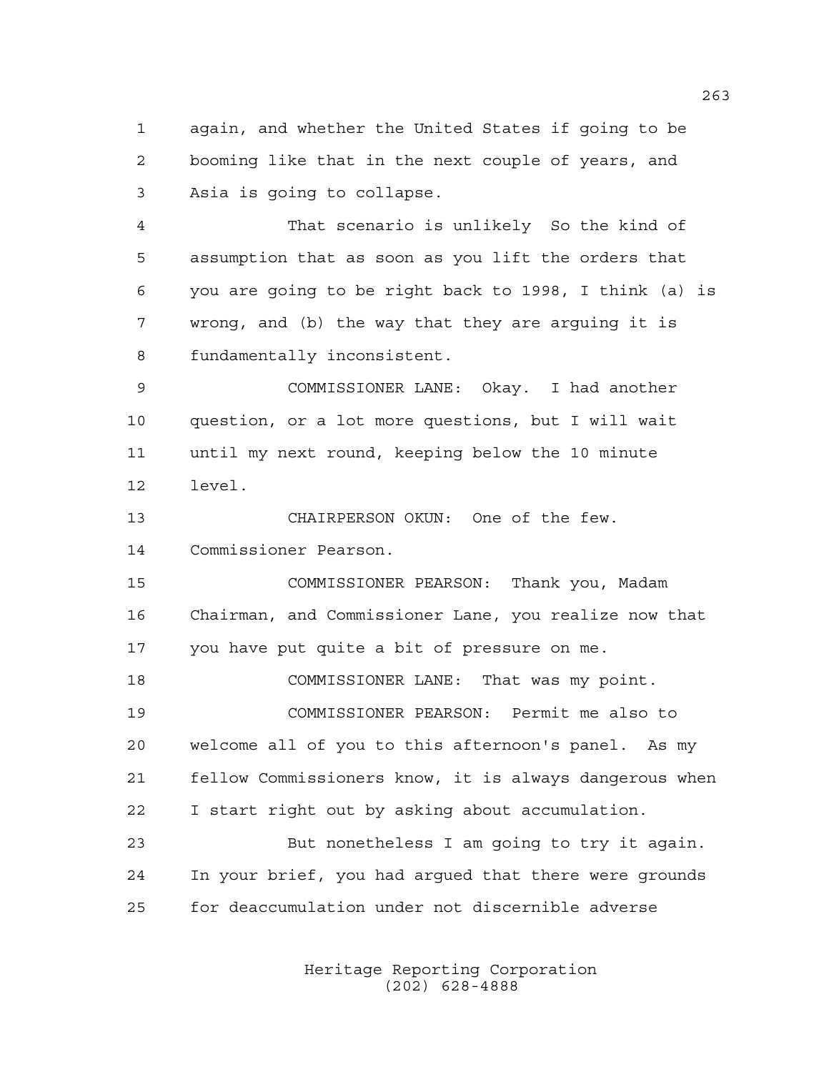again, and whether the United States if going to be booming like that in the next couple of years, and Asia is going to collapse.

 That scenario is unlikely So the kind of assumption that as soon as you lift the orders that you are going to be right back to 1998, I think (a) is wrong, and (b) the way that they are arguing it is fundamentally inconsistent.

 COMMISSIONER LANE: Okay. I had another question, or a lot more questions, but I will wait until my next round, keeping below the 10 minute level.

 CHAIRPERSON OKUN: One of the few. Commissioner Pearson.

 COMMISSIONER PEARSON: Thank you, Madam Chairman, and Commissioner Lane, you realize now that you have put quite a bit of pressure on me.

 COMMISSIONER LANE: That was my point. COMMISSIONER PEARSON: Permit me also to welcome all of you to this afternoon's panel. As my fellow Commissioners know, it is always dangerous when I start right out by asking about accumulation. But nonetheless I am going to try it again. In your brief, you had argued that there were grounds

for deaccumulation under not discernible adverse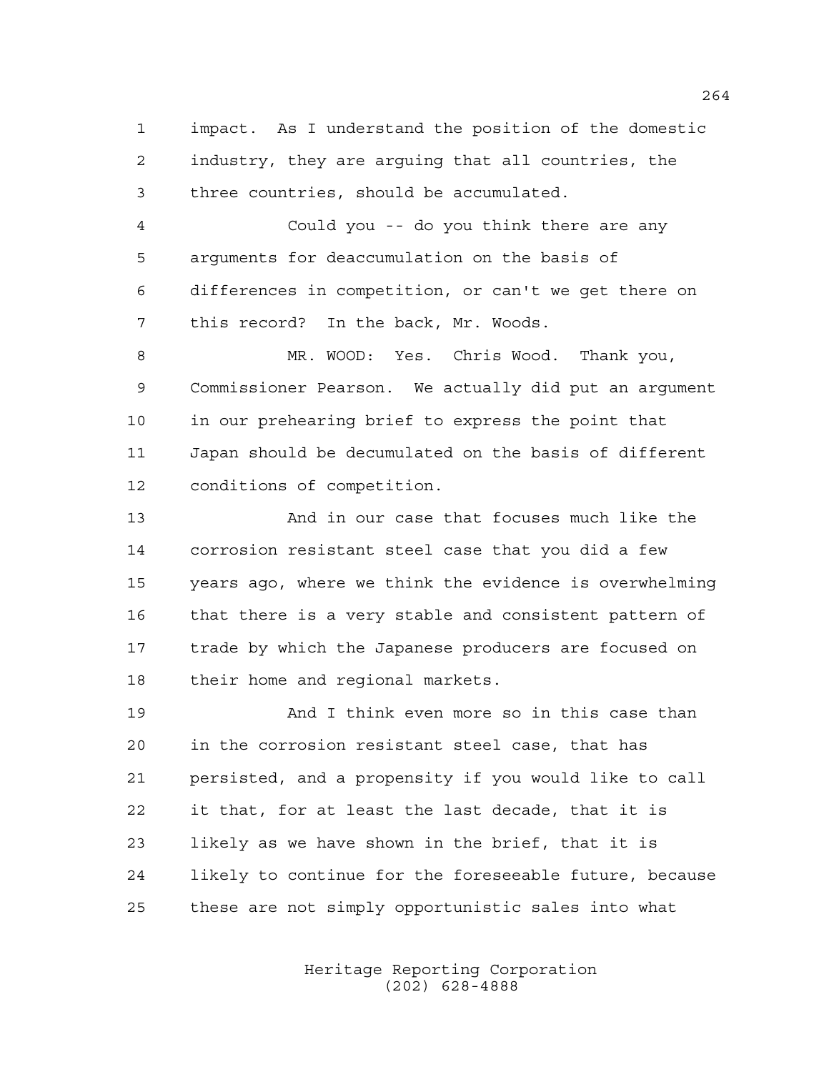impact. As I understand the position of the domestic industry, they are arguing that all countries, the three countries, should be accumulated.

 Could you -- do you think there are any arguments for deaccumulation on the basis of differences in competition, or can't we get there on this record? In the back, Mr. Woods.

 MR. WOOD: Yes. Chris Wood. Thank you, Commissioner Pearson. We actually did put an argument in our prehearing brief to express the point that Japan should be decumulated on the basis of different conditions of competition.

 And in our case that focuses much like the corrosion resistant steel case that you did a few years ago, where we think the evidence is overwhelming 16 that there is a very stable and consistent pattern of trade by which the Japanese producers are focused on their home and regional markets.

 And I think even more so in this case than in the corrosion resistant steel case, that has persisted, and a propensity if you would like to call it that, for at least the last decade, that it is likely as we have shown in the brief, that it is likely to continue for the foreseeable future, because these are not simply opportunistic sales into what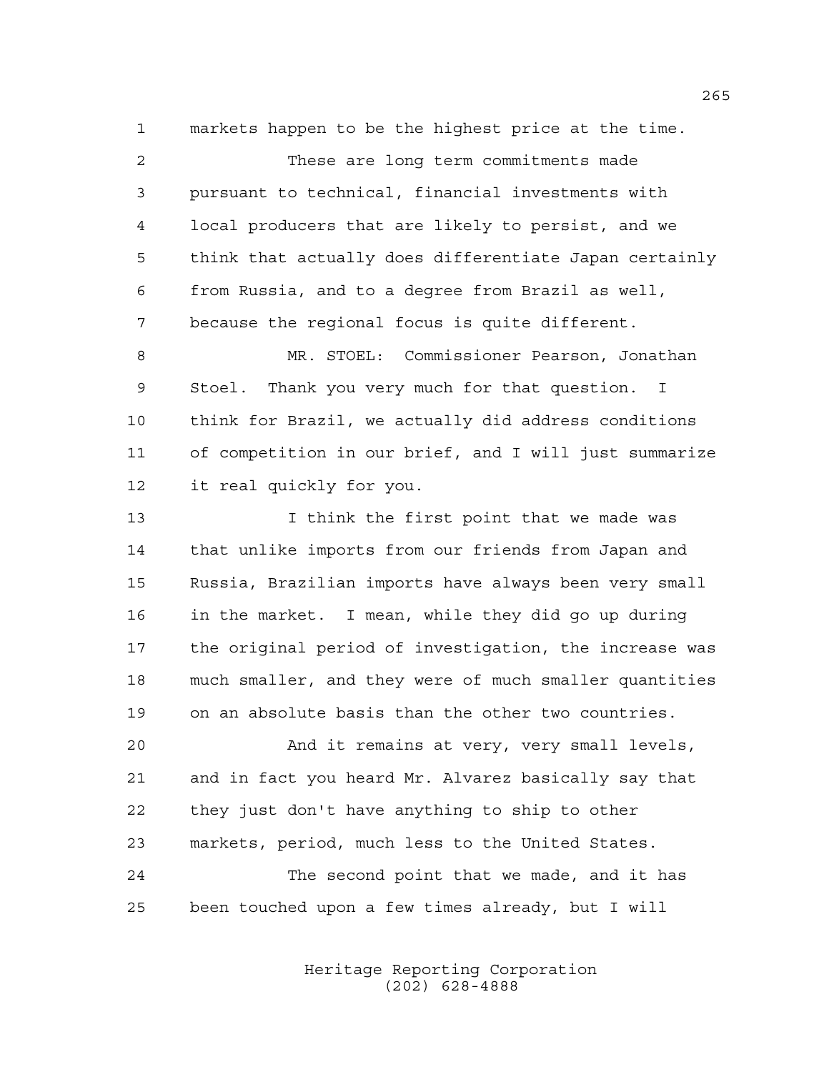markets happen to be the highest price at the time.

 These are long term commitments made pursuant to technical, financial investments with local producers that are likely to persist, and we think that actually does differentiate Japan certainly from Russia, and to a degree from Brazil as well, because the regional focus is quite different.

 MR. STOEL: Commissioner Pearson, Jonathan Stoel. Thank you very much for that question. I think for Brazil, we actually did address conditions of competition in our brief, and I will just summarize it real quickly for you.

 I think the first point that we made was that unlike imports from our friends from Japan and Russia, Brazilian imports have always been very small in the market. I mean, while they did go up during the original period of investigation, the increase was much smaller, and they were of much smaller quantities on an absolute basis than the other two countries.

 And it remains at very, very small levels, and in fact you heard Mr. Alvarez basically say that they just don't have anything to ship to other markets, period, much less to the United States. The second point that we made, and it has been touched upon a few times already, but I will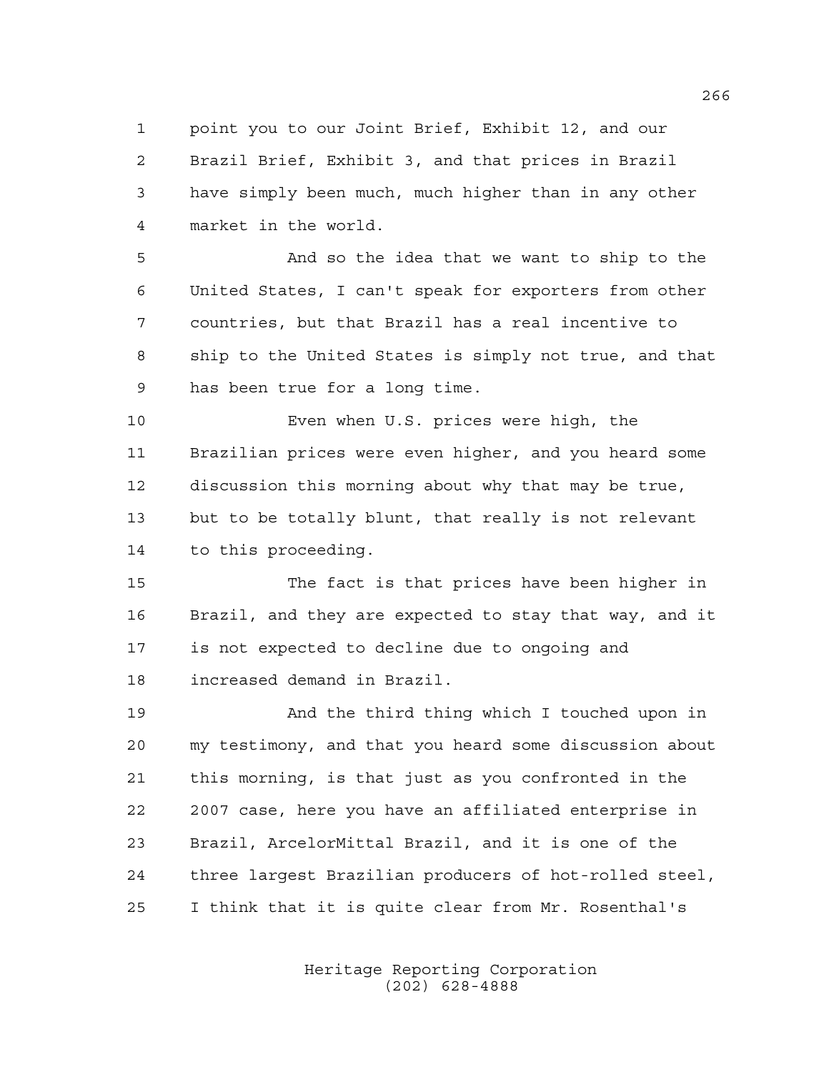point you to our Joint Brief, Exhibit 12, and our Brazil Brief, Exhibit 3, and that prices in Brazil have simply been much, much higher than in any other market in the world.

 And so the idea that we want to ship to the United States, I can't speak for exporters from other countries, but that Brazil has a real incentive to ship to the United States is simply not true, and that has been true for a long time.

 Even when U.S. prices were high, the Brazilian prices were even higher, and you heard some discussion this morning about why that may be true, but to be totally blunt, that really is not relevant to this proceeding.

 The fact is that prices have been higher in Brazil, and they are expected to stay that way, and it is not expected to decline due to ongoing and increased demand in Brazil.

 And the third thing which I touched upon in my testimony, and that you heard some discussion about this morning, is that just as you confronted in the 2007 case, here you have an affiliated enterprise in Brazil, ArcelorMittal Brazil, and it is one of the three largest Brazilian producers of hot-rolled steel, I think that it is quite clear from Mr. Rosenthal's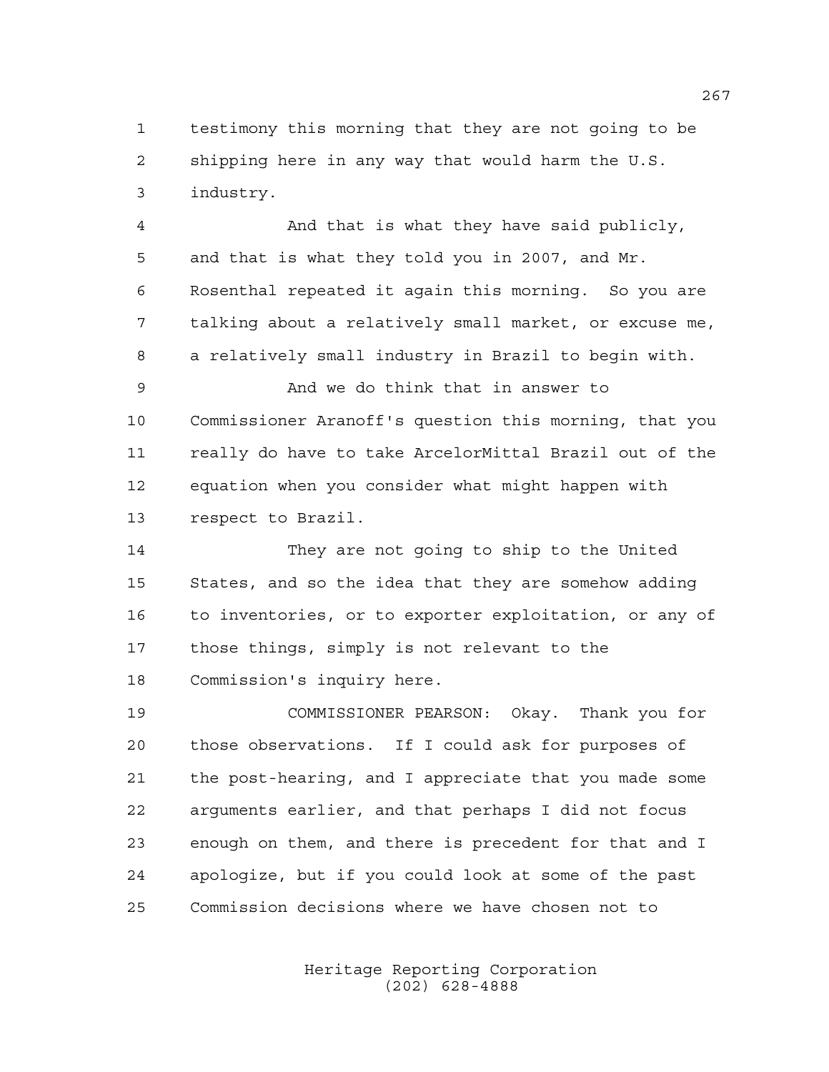testimony this morning that they are not going to be shipping here in any way that would harm the U.S. industry.

 And that is what they have said publicly, and that is what they told you in 2007, and Mr. Rosenthal repeated it again this morning. So you are talking about a relatively small market, or excuse me, a relatively small industry in Brazil to begin with.

 And we do think that in answer to Commissioner Aranoff's question this morning, that you really do have to take ArcelorMittal Brazil out of the equation when you consider what might happen with respect to Brazil.

 They are not going to ship to the United States, and so the idea that they are somehow adding to inventories, or to exporter exploitation, or any of those things, simply is not relevant to the Commission's inquiry here.

 COMMISSIONER PEARSON: Okay. Thank you for those observations. If I could ask for purposes of the post-hearing, and I appreciate that you made some arguments earlier, and that perhaps I did not focus enough on them, and there is precedent for that and I apologize, but if you could look at some of the past Commission decisions where we have chosen not to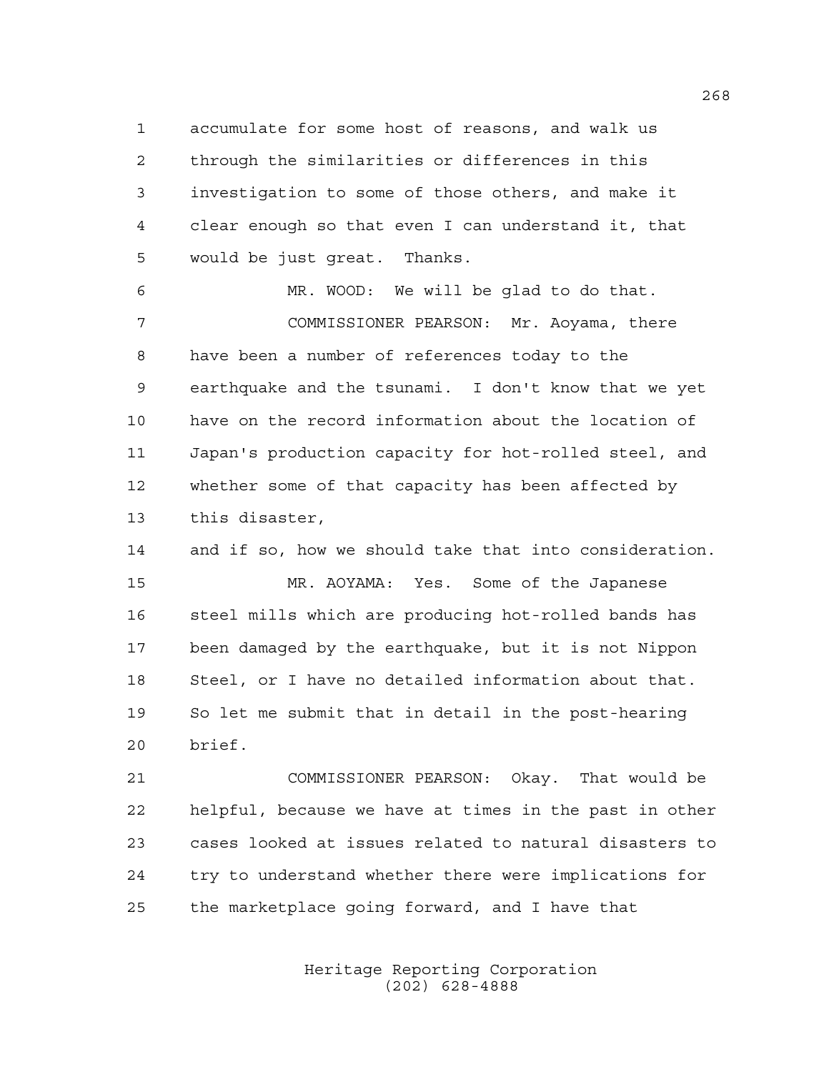accumulate for some host of reasons, and walk us through the similarities or differences in this investigation to some of those others, and make it clear enough so that even I can understand it, that would be just great. Thanks.

 MR. WOOD: We will be glad to do that. COMMISSIONER PEARSON: Mr. Aoyama, there have been a number of references today to the earthquake and the tsunami. I don't know that we yet have on the record information about the location of Japan's production capacity for hot-rolled steel, and whether some of that capacity has been affected by this disaster,

and if so, how we should take that into consideration.

 MR. AOYAMA: Yes. Some of the Japanese 16 steel mills which are producing hot-rolled bands has been damaged by the earthquake, but it is not Nippon Steel, or I have no detailed information about that. So let me submit that in detail in the post-hearing brief.

 COMMISSIONER PEARSON: Okay. That would be helpful, because we have at times in the past in other cases looked at issues related to natural disasters to try to understand whether there were implications for the marketplace going forward, and I have that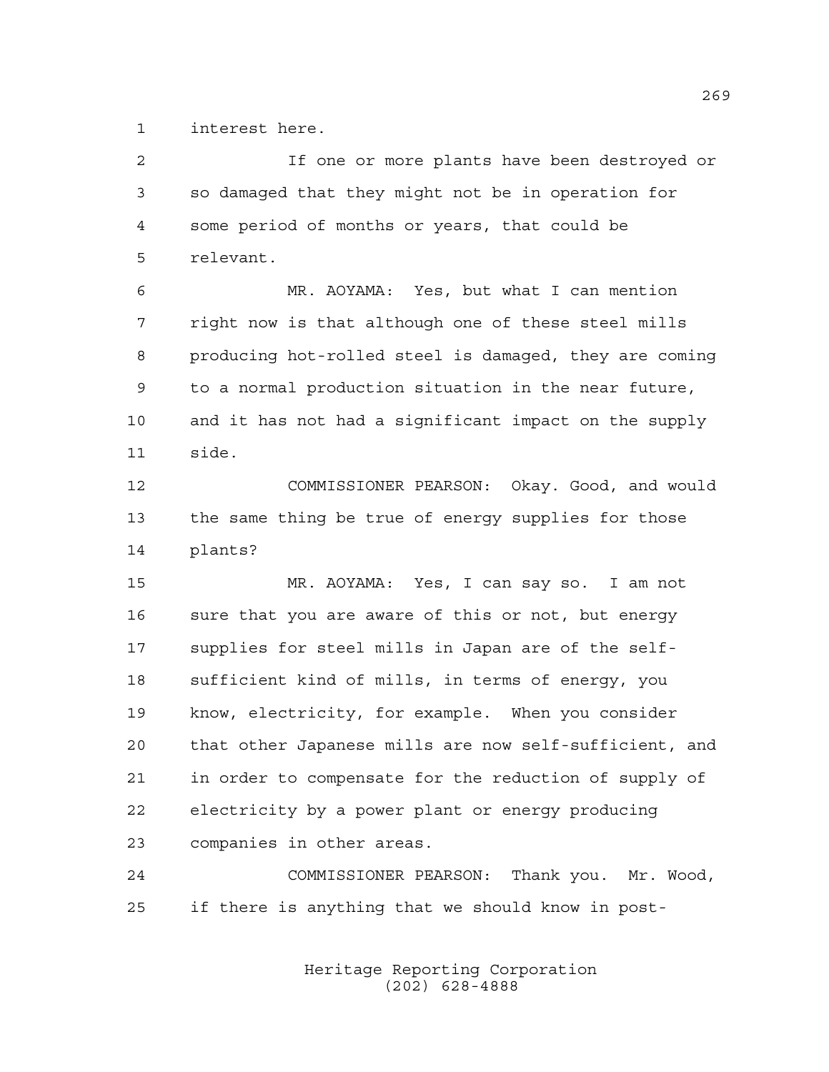interest here.

| $\overline{a}$ | If one or more plants have been destroyed or           |
|----------------|--------------------------------------------------------|
| 3              | so damaged that they might not be in operation for     |
| 4              | some period of months or years, that could be          |
| 5              | relevant.                                              |
| 6              | MR. AOYAMA: Yes, but what I can mention                |
| 7              | right now is that although one of these steel mills    |
| 8              | producing hot-rolled steel is damaged, they are coming |
| 9              | to a normal production situation in the near future,   |
| 10             | and it has not had a significant impact on the supply  |
| 11             | side.                                                  |
| 12             | COMMISSIONER PEARSON: Okay. Good, and would            |
| 13             | the same thing be true of energy supplies for those    |
| 14             | plants?                                                |
| 15             | MR. AOYAMA: Yes, I can say so. I am not                |
| 16             | sure that you are aware of this or not, but energy     |
| 17             | supplies for steel mills in Japan are of the self-     |
| 18             | sufficient kind of mills, in terms of energy, you      |
| 19             | know, electricity, for example. When you consider      |
| 20             | that other Japanese mills are now self-sufficient, and |
| 21             | in order to compensate for the reduction of supply of  |
| 22             | electricity by a power plant or energy producing       |
| 23             | companies in other areas.                              |
| 24             | COMMISSIONER PEARSON: Thank you. Mr. Wood,             |
| 25             | if there is anything that we should know in post-      |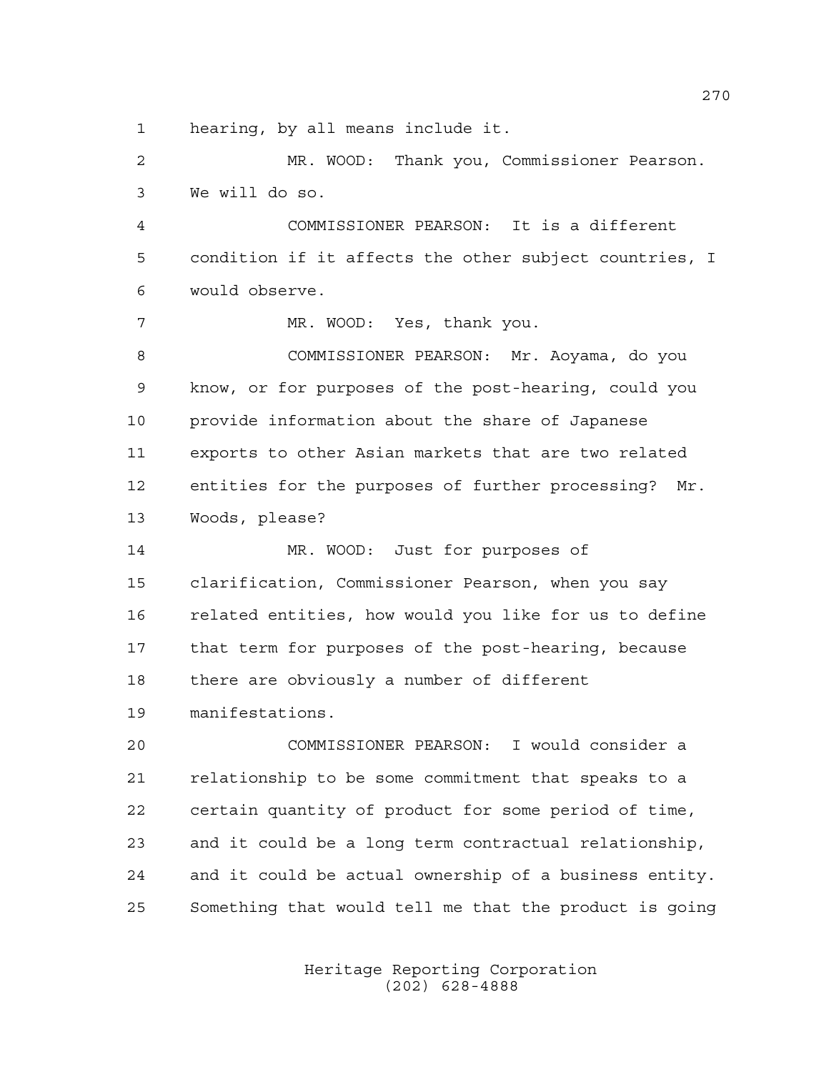hearing, by all means include it.

 MR. WOOD: Thank you, Commissioner Pearson. We will do so.

 COMMISSIONER PEARSON: It is a different condition if it affects the other subject countries, I would observe.

MR. WOOD: Yes, thank you.

 COMMISSIONER PEARSON: Mr. Aoyama, do you know, or for purposes of the post-hearing, could you provide information about the share of Japanese exports to other Asian markets that are two related entities for the purposes of further processing? Mr. Woods, please?

 MR. WOOD: Just for purposes of clarification, Commissioner Pearson, when you say related entities, how would you like for us to define that term for purposes of the post-hearing, because there are obviously a number of different

manifestations.

 COMMISSIONER PEARSON: I would consider a relationship to be some commitment that speaks to a certain quantity of product for some period of time, and it could be a long term contractual relationship, and it could be actual ownership of a business entity. Something that would tell me that the product is going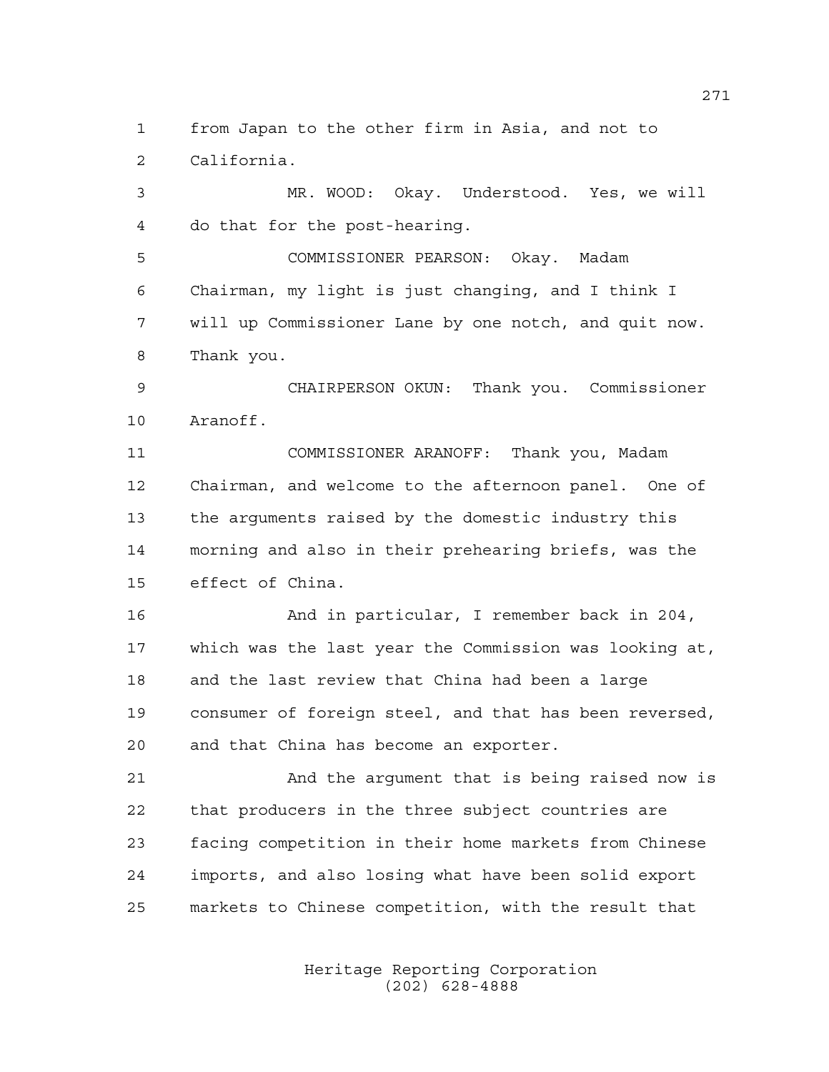from Japan to the other firm in Asia, and not to California.

 MR. WOOD: Okay. Understood. Yes, we will do that for the post-hearing. COMMISSIONER PEARSON: Okay. Madam Chairman, my light is just changing, and I think I will up Commissioner Lane by one notch, and quit now. Thank you. CHAIRPERSON OKUN: Thank you. Commissioner Aranoff. COMMISSIONER ARANOFF: Thank you, Madam Chairman, and welcome to the afternoon panel. One of the arguments raised by the domestic industry this morning and also in their prehearing briefs, was the effect of China. And in particular, I remember back in 204, which was the last year the Commission was looking at, and the last review that China had been a large consumer of foreign steel, and that has been reversed, and that China has become an exporter. And the argument that is being raised now is that producers in the three subject countries are facing competition in their home markets from Chinese imports, and also losing what have been solid export

> Heritage Reporting Corporation (202) 628-4888

markets to Chinese competition, with the result that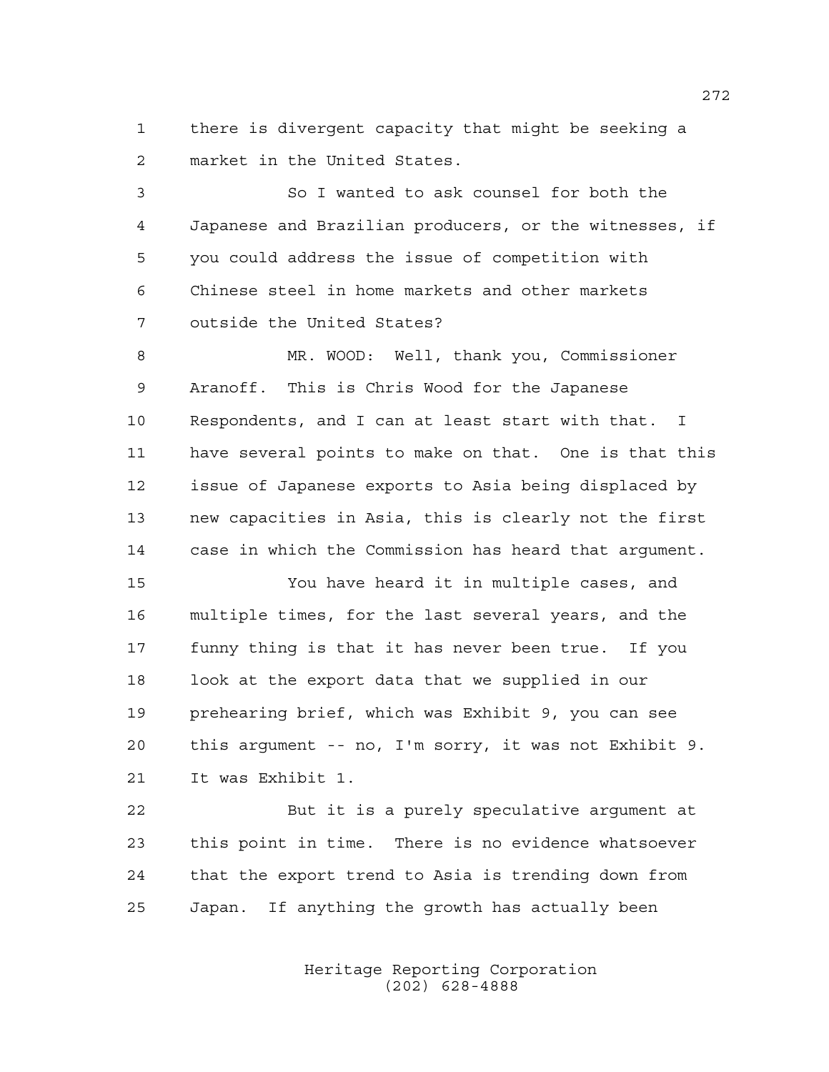there is divergent capacity that might be seeking a market in the United States.

 So I wanted to ask counsel for both the Japanese and Brazilian producers, or the witnesses, if you could address the issue of competition with Chinese steel in home markets and other markets outside the United States?

 MR. WOOD: Well, thank you, Commissioner Aranoff. This is Chris Wood for the Japanese Respondents, and I can at least start with that. I have several points to make on that. One is that this issue of Japanese exports to Asia being displaced by new capacities in Asia, this is clearly not the first case in which the Commission has heard that argument.

 You have heard it in multiple cases, and multiple times, for the last several years, and the funny thing is that it has never been true. If you look at the export data that we supplied in our prehearing brief, which was Exhibit 9, you can see this argument -- no, I'm sorry, it was not Exhibit 9. It was Exhibit 1.

 But it is a purely speculative argument at this point in time. There is no evidence whatsoever that the export trend to Asia is trending down from Japan. If anything the growth has actually been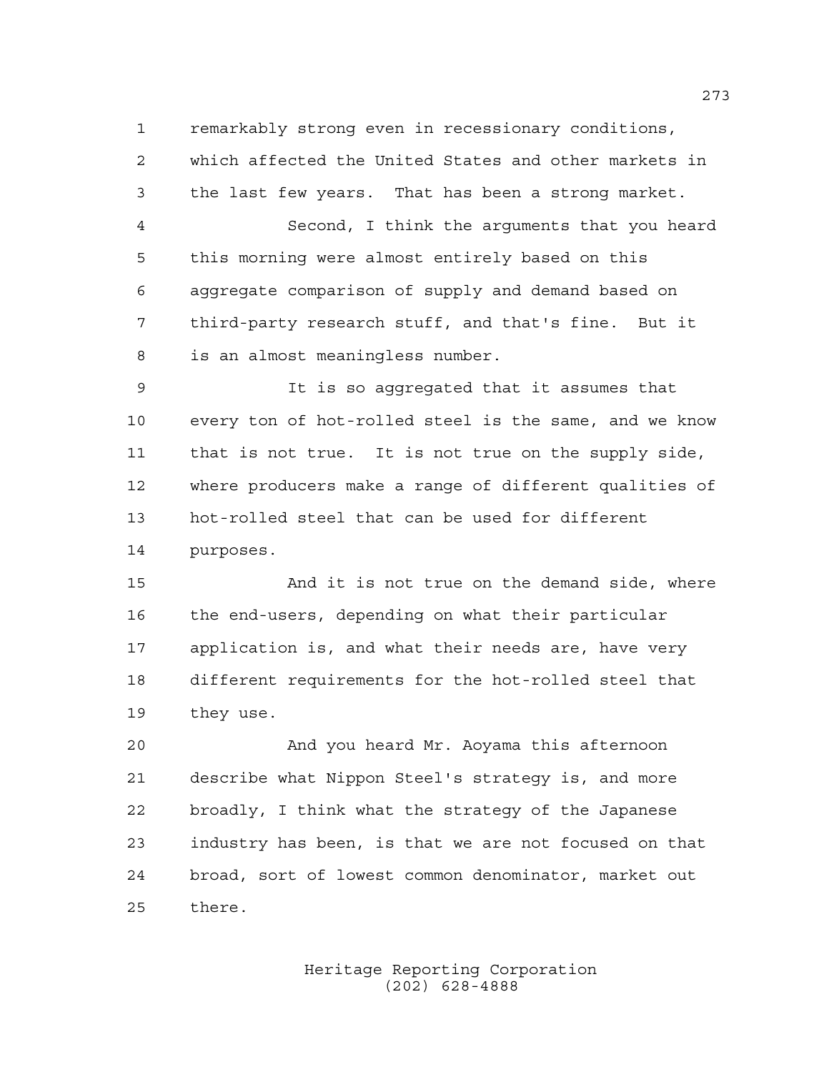remarkably strong even in recessionary conditions,

 which affected the United States and other markets in the last few years. That has been a strong market.

 Second, I think the arguments that you heard this morning were almost entirely based on this aggregate comparison of supply and demand based on third-party research stuff, and that's fine. But it is an almost meaningless number.

 It is so aggregated that it assumes that every ton of hot-rolled steel is the same, and we know that is not true. It is not true on the supply side, where producers make a range of different qualities of hot-rolled steel that can be used for different purposes.

 And it is not true on the demand side, where the end-users, depending on what their particular application is, and what their needs are, have very different requirements for the hot-rolled steel that they use.

 And you heard Mr. Aoyama this afternoon describe what Nippon Steel's strategy is, and more broadly, I think what the strategy of the Japanese industry has been, is that we are not focused on that broad, sort of lowest common denominator, market out there.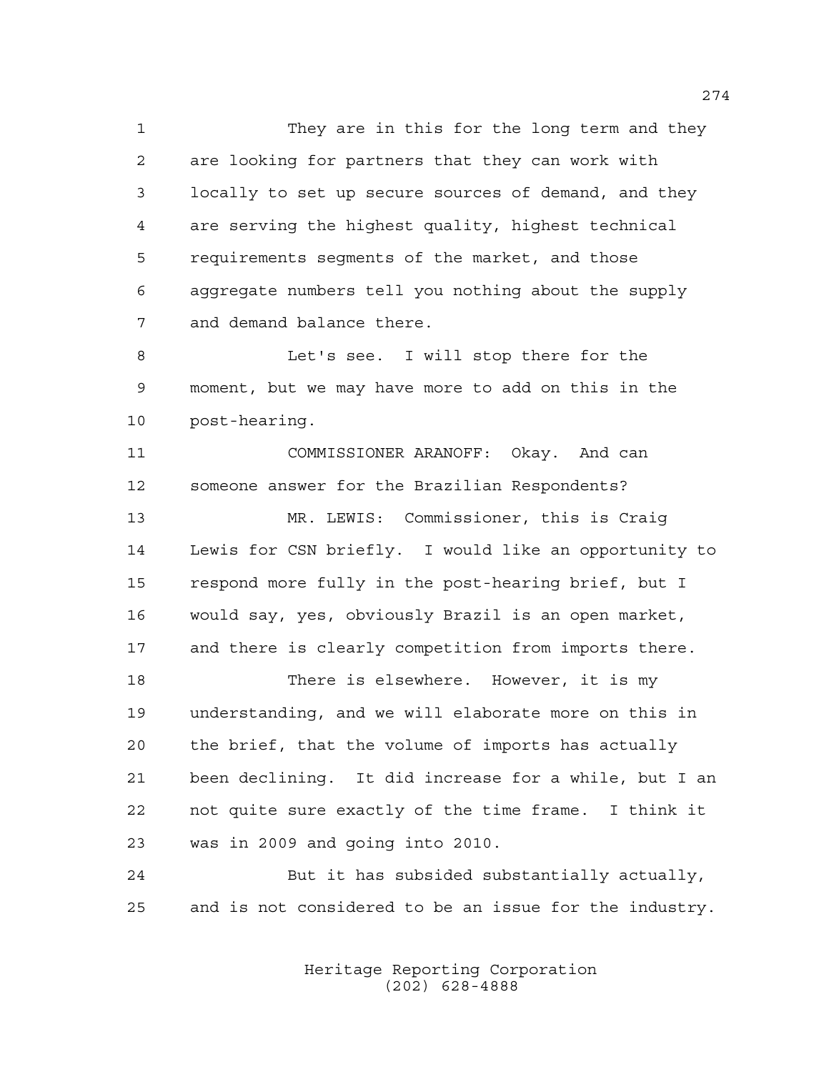They are in this for the long term and they are looking for partners that they can work with locally to set up secure sources of demand, and they are serving the highest quality, highest technical requirements segments of the market, and those aggregate numbers tell you nothing about the supply and demand balance there.

 Let's see. I will stop there for the moment, but we may have more to add on this in the post-hearing.

 COMMISSIONER ARANOFF: Okay. And can someone answer for the Brazilian Respondents? MR. LEWIS: Commissioner, this is Craig Lewis for CSN briefly. I would like an opportunity to respond more fully in the post-hearing brief, but I would say, yes, obviously Brazil is an open market, and there is clearly competition from imports there. 18 There is elsewhere. However, it is my understanding, and we will elaborate more on this in the brief, that the volume of imports has actually been declining. It did increase for a while, but I an

 not quite sure exactly of the time frame. I think it was in 2009 and going into 2010.

 But it has subsided substantially actually, and is not considered to be an issue for the industry.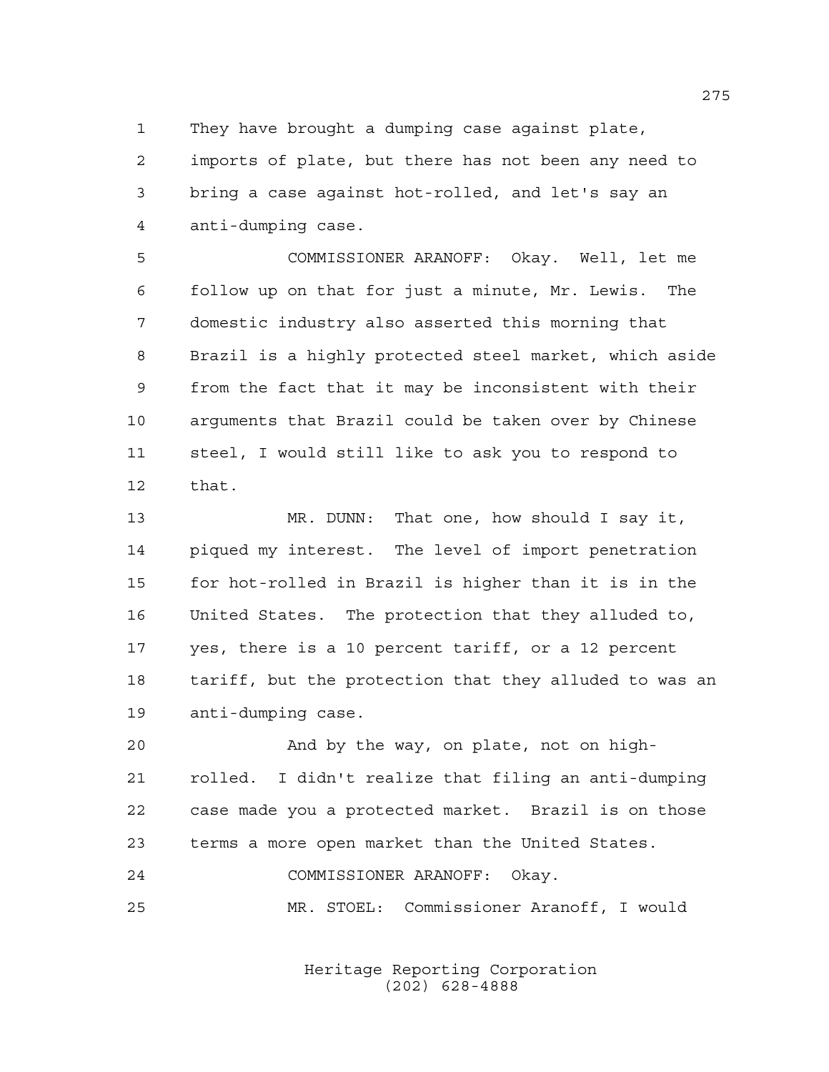They have brought a dumping case against plate,

 imports of plate, but there has not been any need to bring a case against hot-rolled, and let's say an anti-dumping case.

 COMMISSIONER ARANOFF: Okay. Well, let me follow up on that for just a minute, Mr. Lewis. The domestic industry also asserted this morning that Brazil is a highly protected steel market, which aside from the fact that it may be inconsistent with their arguments that Brazil could be taken over by Chinese steel, I would still like to ask you to respond to that.

 MR. DUNN: That one, how should I say it, piqued my interest. The level of import penetration for hot-rolled in Brazil is higher than it is in the United States. The protection that they alluded to, yes, there is a 10 percent tariff, or a 12 percent tariff, but the protection that they alluded to was an anti-dumping case.

 And by the way, on plate, not on high- rolled. I didn't realize that filing an anti-dumping case made you a protected market. Brazil is on those terms a more open market than the United States.

 COMMISSIONER ARANOFF: Okay. MR. STOEL: Commissioner Aranoff, I would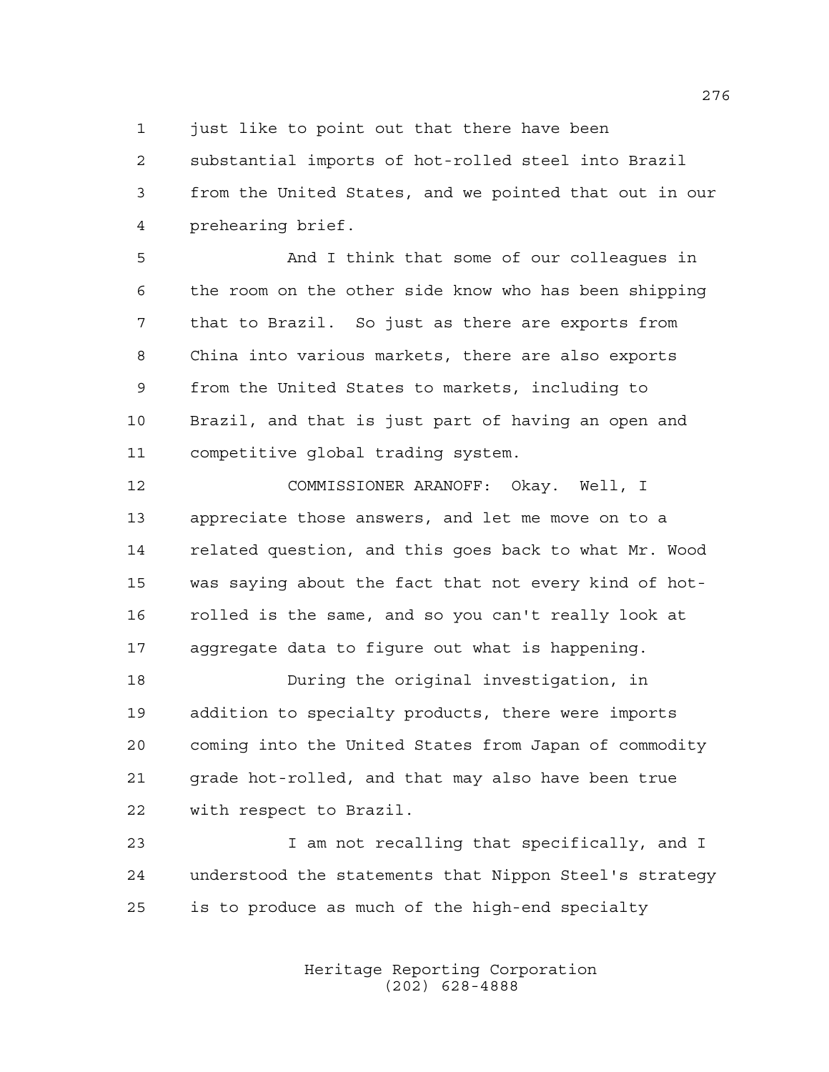1 just like to point out that there have been

 substantial imports of hot-rolled steel into Brazil from the United States, and we pointed that out in our prehearing brief.

 And I think that some of our colleagues in the room on the other side know who has been shipping that to Brazil. So just as there are exports from China into various markets, there are also exports from the United States to markets, including to Brazil, and that is just part of having an open and competitive global trading system.

 COMMISSIONER ARANOFF: Okay. Well, I appreciate those answers, and let me move on to a related question, and this goes back to what Mr. Wood was saying about the fact that not every kind of hot- rolled is the same, and so you can't really look at aggregate data to figure out what is happening.

 During the original investigation, in addition to specialty products, there were imports coming into the United States from Japan of commodity grade hot-rolled, and that may also have been true with respect to Brazil.

 I am not recalling that specifically, and I understood the statements that Nippon Steel's strategy is to produce as much of the high-end specialty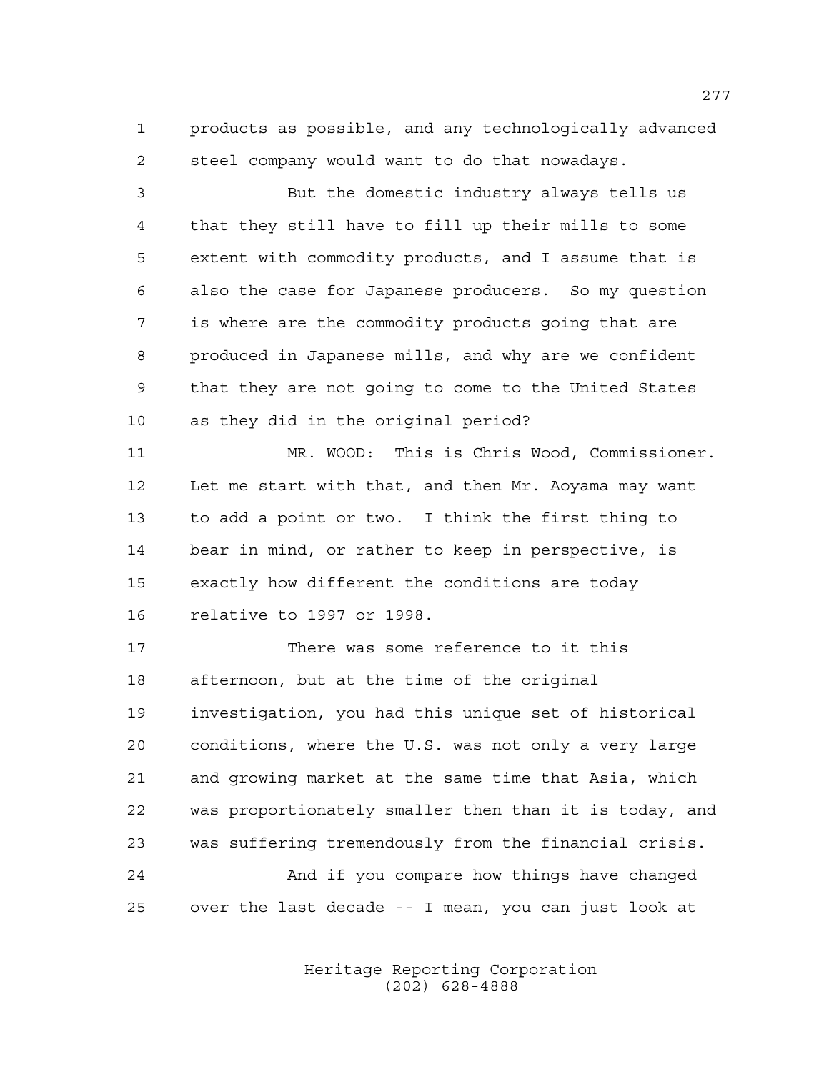products as possible, and any technologically advanced steel company would want to do that nowadays.

 But the domestic industry always tells us that they still have to fill up their mills to some extent with commodity products, and I assume that is also the case for Japanese producers. So my question is where are the commodity products going that are produced in Japanese mills, and why are we confident that they are not going to come to the United States as they did in the original period?

 MR. WOOD: This is Chris Wood, Commissioner. Let me start with that, and then Mr. Aoyama may want to add a point or two. I think the first thing to bear in mind, or rather to keep in perspective, is exactly how different the conditions are today relative to 1997 or 1998.

 There was some reference to it this afternoon, but at the time of the original investigation, you had this unique set of historical conditions, where the U.S. was not only a very large and growing market at the same time that Asia, which was proportionately smaller then than it is today, and was suffering tremendously from the financial crisis. 24 And if you compare how things have changed over the last decade -- I mean, you can just look at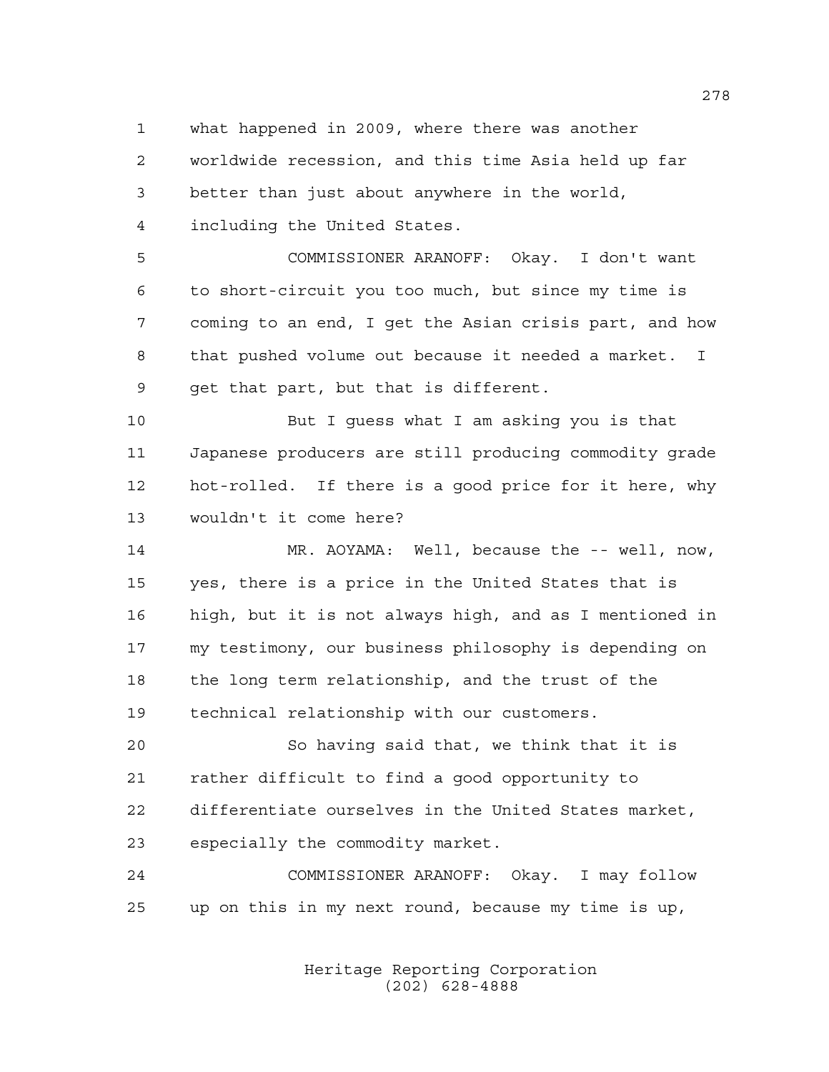what happened in 2009, where there was another

 worldwide recession, and this time Asia held up far better than just about anywhere in the world, including the United States.

 COMMISSIONER ARANOFF: Okay. I don't want to short-circuit you too much, but since my time is coming to an end, I get the Asian crisis part, and how that pushed volume out because it needed a market. I get that part, but that is different.

 But I guess what I am asking you is that Japanese producers are still producing commodity grade hot-rolled. If there is a good price for it here, why wouldn't it come here?

 MR. AOYAMA: Well, because the -- well, now, yes, there is a price in the United States that is high, but it is not always high, and as I mentioned in my testimony, our business philosophy is depending on the long term relationship, and the trust of the technical relationship with our customers.

 So having said that, we think that it is rather difficult to find a good opportunity to differentiate ourselves in the United States market, especially the commodity market.

 COMMISSIONER ARANOFF: Okay. I may follow up on this in my next round, because my time is up,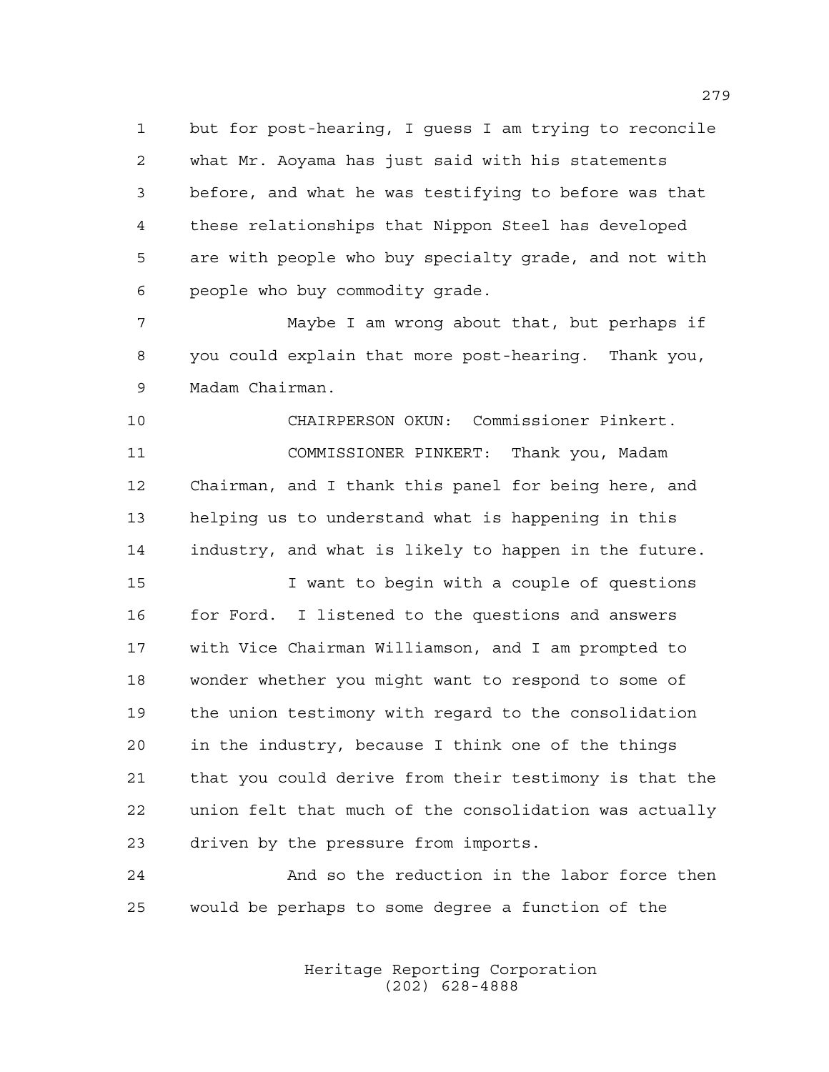but for post-hearing, I guess I am trying to reconcile what Mr. Aoyama has just said with his statements before, and what he was testifying to before was that these relationships that Nippon Steel has developed are with people who buy specialty grade, and not with people who buy commodity grade.

 Maybe I am wrong about that, but perhaps if you could explain that more post-hearing. Thank you, Madam Chairman.

 CHAIRPERSON OKUN: Commissioner Pinkert. COMMISSIONER PINKERT: Thank you, Madam Chairman, and I thank this panel for being here, and helping us to understand what is happening in this industry, and what is likely to happen in the future.

 I want to begin with a couple of questions 16 for Ford. I listened to the questions and answers with Vice Chairman Williamson, and I am prompted to wonder whether you might want to respond to some of the union testimony with regard to the consolidation in the industry, because I think one of the things that you could derive from their testimony is that the union felt that much of the consolidation was actually driven by the pressure from imports.

 And so the reduction in the labor force then would be perhaps to some degree a function of the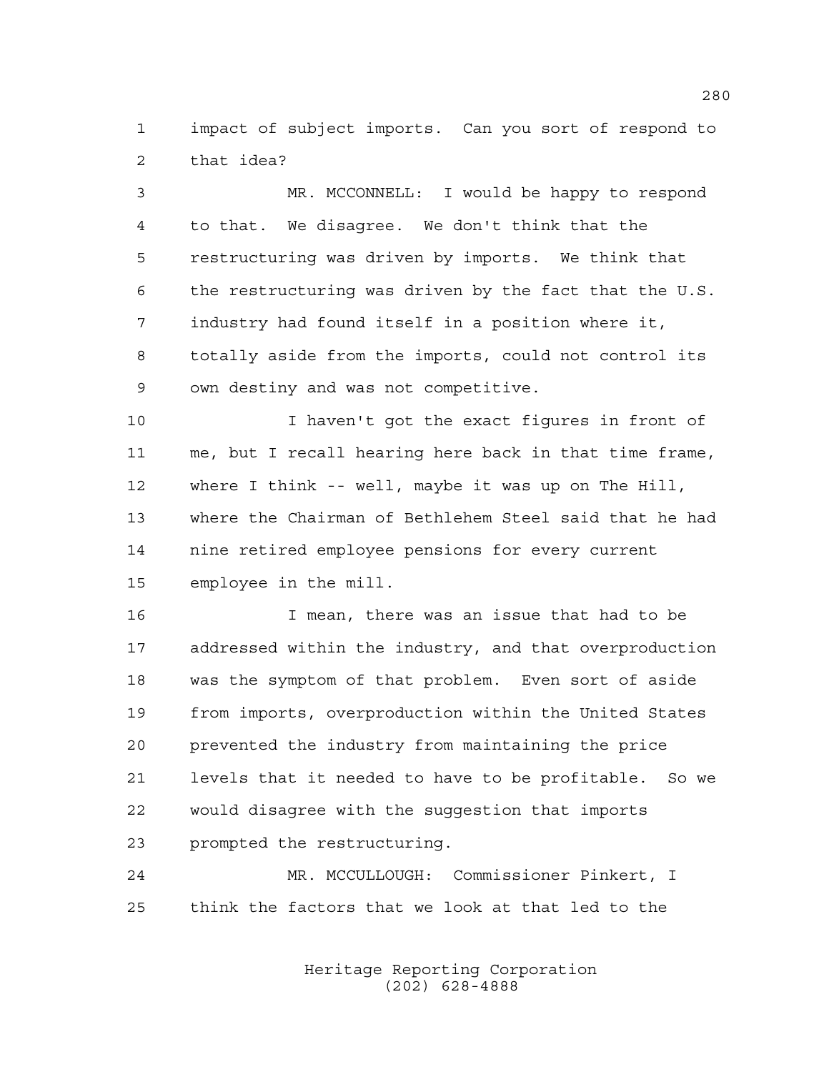impact of subject imports. Can you sort of respond to that idea?

 MR. MCCONNELL: I would be happy to respond to that. We disagree. We don't think that the restructuring was driven by imports. We think that the restructuring was driven by the fact that the U.S. industry had found itself in a position where it, totally aside from the imports, could not control its own destiny and was not competitive.

 I haven't got the exact figures in front of me, but I recall hearing here back in that time frame, where I think -- well, maybe it was up on The Hill, where the Chairman of Bethlehem Steel said that he had nine retired employee pensions for every current employee in the mill.

 I mean, there was an issue that had to be addressed within the industry, and that overproduction was the symptom of that problem. Even sort of aside from imports, overproduction within the United States prevented the industry from maintaining the price levels that it needed to have to be profitable. So we would disagree with the suggestion that imports prompted the restructuring.

 MR. MCCULLOUGH: Commissioner Pinkert, I think the factors that we look at that led to the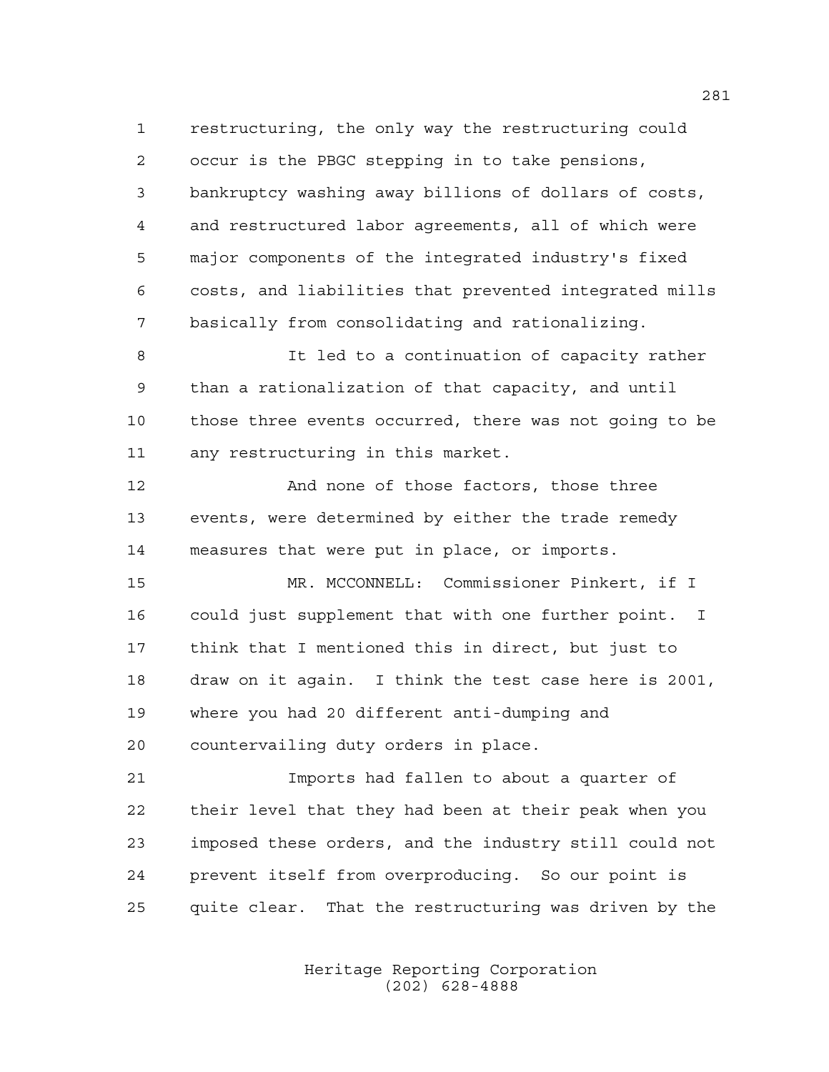restructuring, the only way the restructuring could occur is the PBGC stepping in to take pensions, bankruptcy washing away billions of dollars of costs, and restructured labor agreements, all of which were major components of the integrated industry's fixed costs, and liabilities that prevented integrated mills basically from consolidating and rationalizing.

 It led to a continuation of capacity rather than a rationalization of that capacity, and until those three events occurred, there was not going to be any restructuring in this market.

 And none of those factors, those three events, were determined by either the trade remedy measures that were put in place, or imports.

 MR. MCCONNELL: Commissioner Pinkert, if I could just supplement that with one further point. I think that I mentioned this in direct, but just to draw on it again. I think the test case here is 2001, where you had 20 different anti-dumping and countervailing duty orders in place.

 Imports had fallen to about a quarter of their level that they had been at their peak when you imposed these orders, and the industry still could not prevent itself from overproducing. So our point is quite clear. That the restructuring was driven by the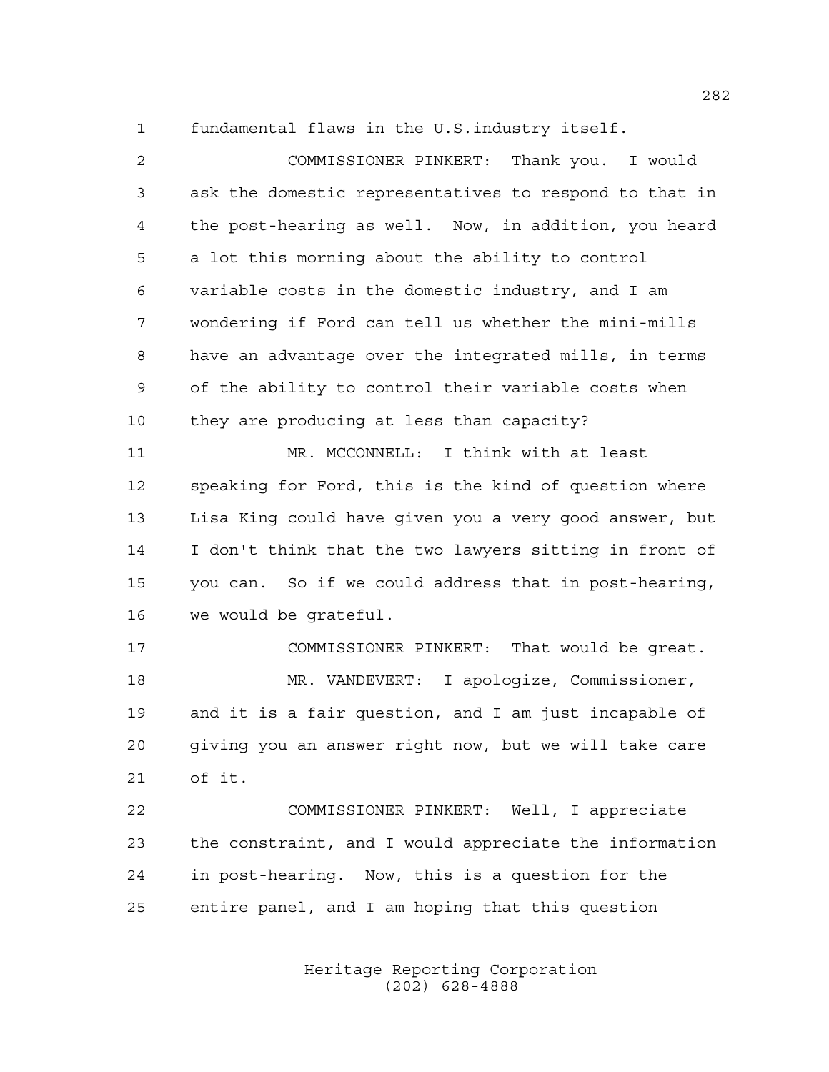fundamental flaws in the U.S.industry itself.

 COMMISSIONER PINKERT: Thank you. I would ask the domestic representatives to respond to that in the post-hearing as well. Now, in addition, you heard a lot this morning about the ability to control variable costs in the domestic industry, and I am wondering if Ford can tell us whether the mini-mills have an advantage over the integrated mills, in terms of the ability to control their variable costs when they are producing at less than capacity? MR. MCCONNELL: I think with at least speaking for Ford, this is the kind of question where Lisa King could have given you a very good answer, but I don't think that the two lawyers sitting in front of you can. So if we could address that in post-hearing, we would be grateful. COMMISSIONER PINKERT: That would be great. MR. VANDEVERT: I apologize, Commissioner, and it is a fair question, and I am just incapable of giving you an answer right now, but we will take care of it. COMMISSIONER PINKERT: Well, I appreciate the constraint, and I would appreciate the information in post-hearing. Now, this is a question for the entire panel, and I am hoping that this question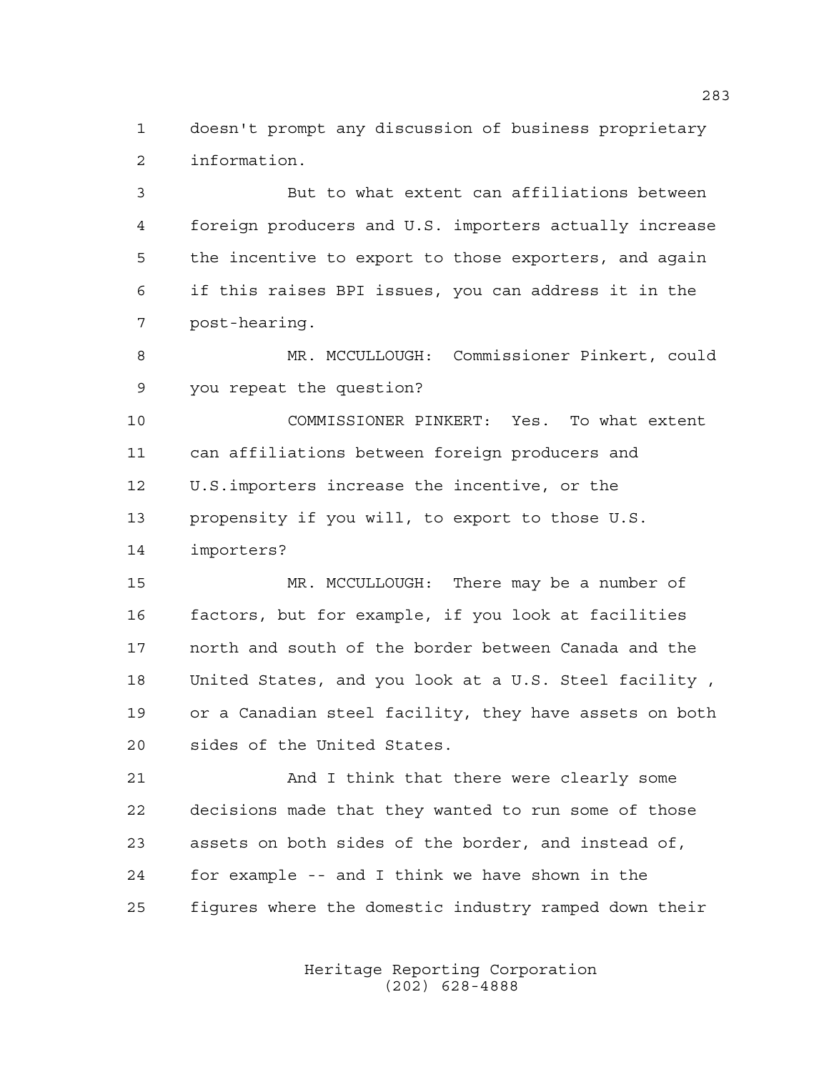doesn't prompt any discussion of business proprietary information.

 But to what extent can affiliations between foreign producers and U.S. importers actually increase the incentive to export to those exporters, and again if this raises BPI issues, you can address it in the post-hearing.

 MR. MCCULLOUGH: Commissioner Pinkert, could you repeat the question?

 COMMISSIONER PINKERT: Yes. To what extent can affiliations between foreign producers and U.S.importers increase the incentive, or the propensity if you will, to export to those U.S. importers?

 MR. MCCULLOUGH: There may be a number of factors, but for example, if you look at facilities north and south of the border between Canada and the United States, and you look at a U.S. Steel facility , or a Canadian steel facility, they have assets on both sides of the United States.

 And I think that there were clearly some decisions made that they wanted to run some of those assets on both sides of the border, and instead of, for example -- and I think we have shown in the figures where the domestic industry ramped down their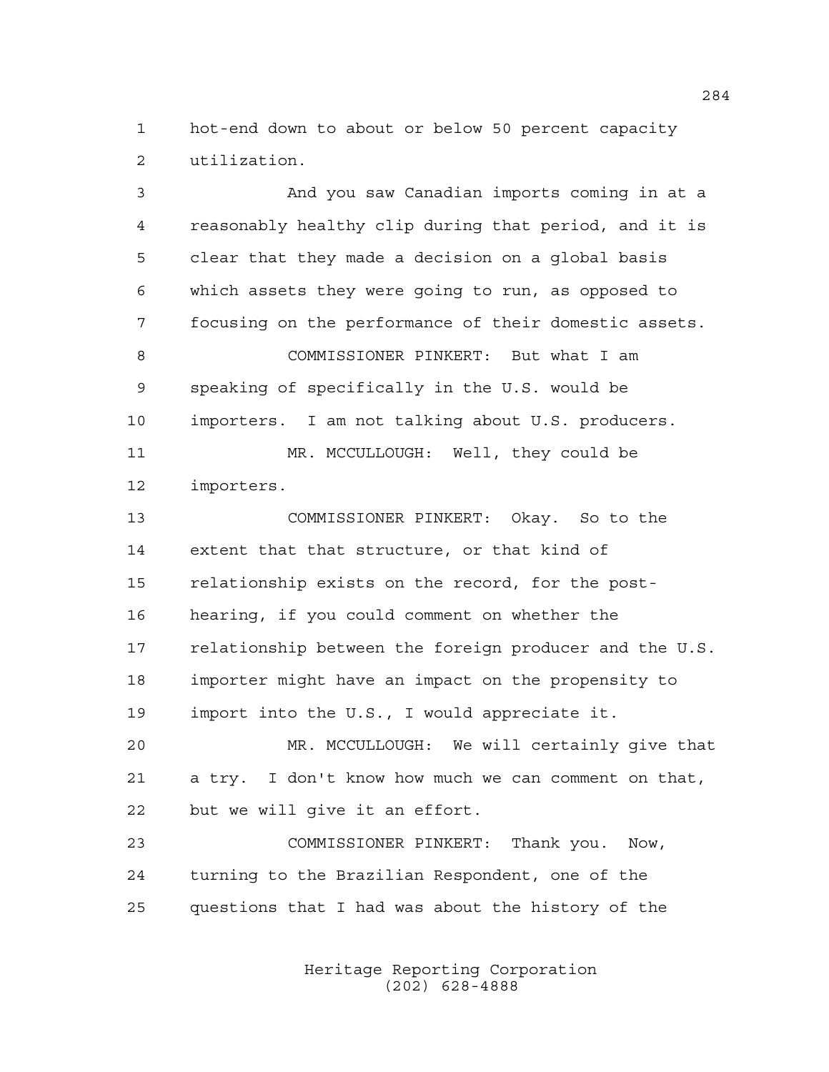hot-end down to about or below 50 percent capacity utilization.

 And you saw Canadian imports coming in at a reasonably healthy clip during that period, and it is clear that they made a decision on a global basis which assets they were going to run, as opposed to focusing on the performance of their domestic assets. COMMISSIONER PINKERT: But what I am speaking of specifically in the U.S. would be importers. I am not talking about U.S. producers. MR. MCCULLOUGH: Well, they could be importers. COMMISSIONER PINKERT: Okay. So to the extent that that structure, or that kind of relationship exists on the record, for the post- hearing, if you could comment on whether the relationship between the foreign producer and the U.S. importer might have an impact on the propensity to import into the U.S., I would appreciate it. MR. MCCULLOUGH: We will certainly give that a try. I don't know how much we can comment on that, but we will give it an effort. COMMISSIONER PINKERT: Thank you. Now, turning to the Brazilian Respondent, one of the questions that I had was about the history of the

> Heritage Reporting Corporation (202) 628-4888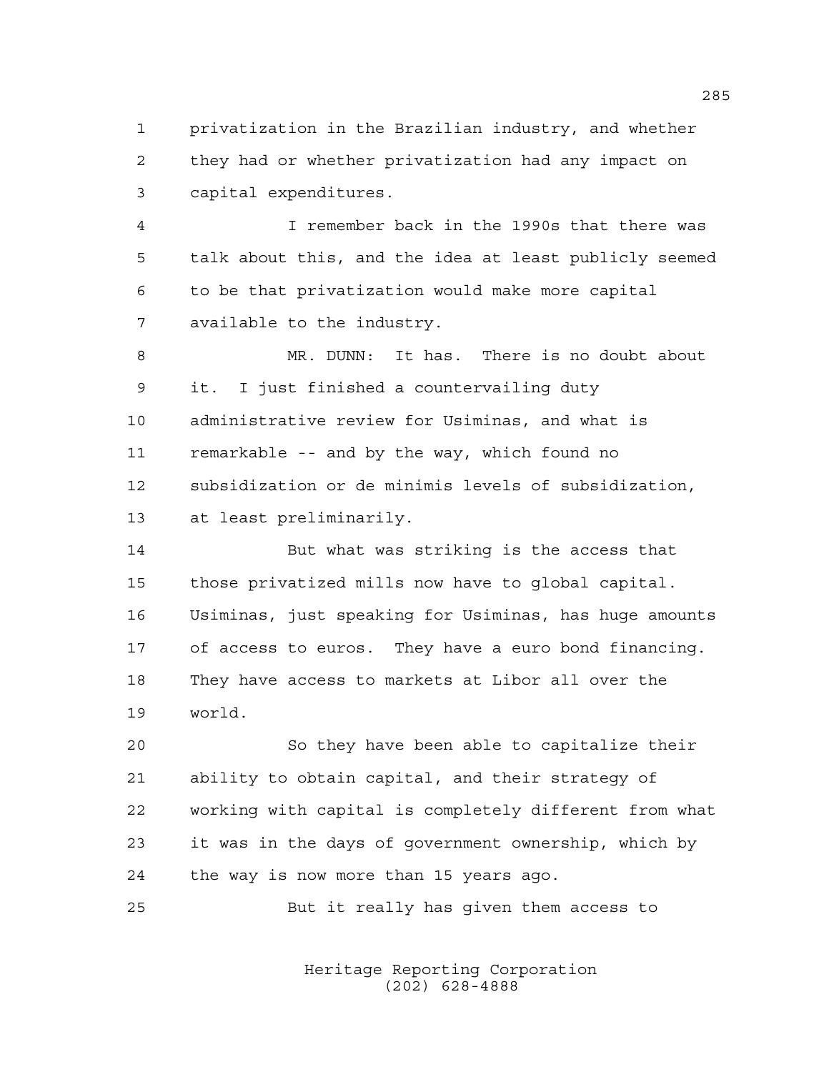privatization in the Brazilian industry, and whether they had or whether privatization had any impact on capital expenditures.

 I remember back in the 1990s that there was talk about this, and the idea at least publicly seemed to be that privatization would make more capital available to the industry.

 MR. DUNN: It has. There is no doubt about it. I just finished a countervailing duty administrative review for Usiminas, and what is remarkable -- and by the way, which found no subsidization or de minimis levels of subsidization, at least preliminarily.

 But what was striking is the access that those privatized mills now have to global capital. Usiminas, just speaking for Usiminas, has huge amounts of access to euros. They have a euro bond financing. They have access to markets at Libor all over the world.

 So they have been able to capitalize their ability to obtain capital, and their strategy of working with capital is completely different from what it was in the days of government ownership, which by the way is now more than 15 years ago.

But it really has given them access to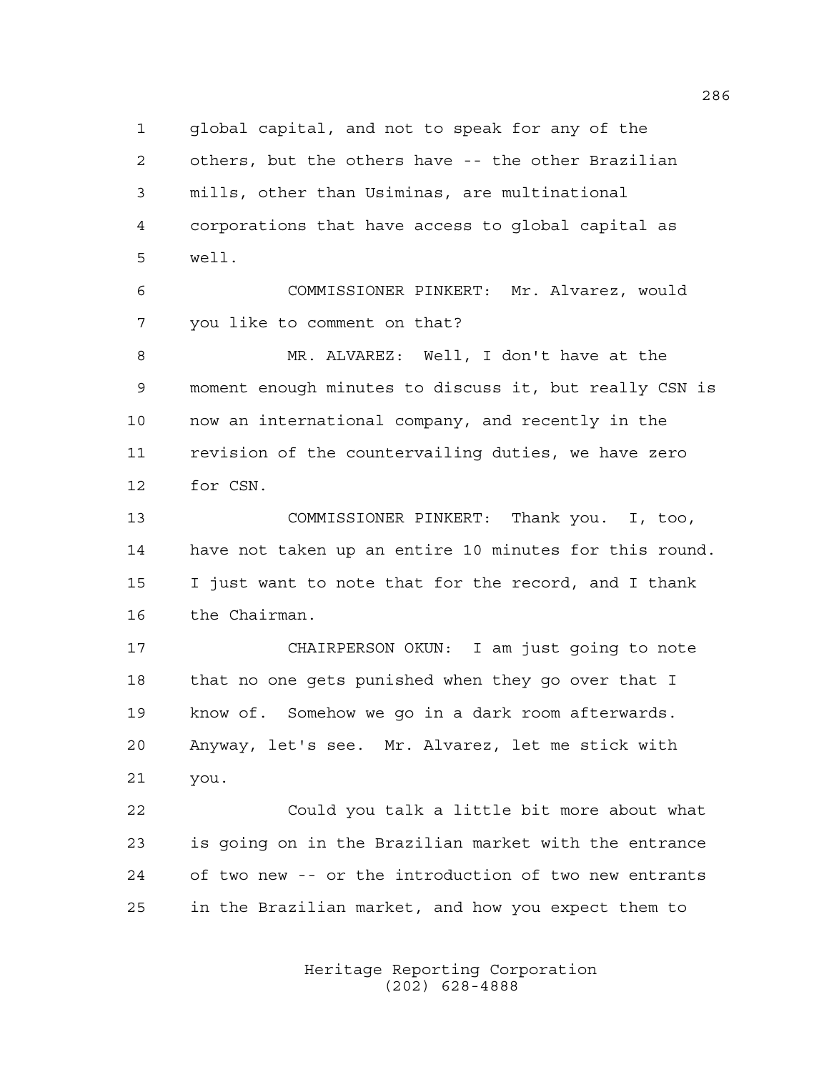global capital, and not to speak for any of the others, but the others have -- the other Brazilian mills, other than Usiminas, are multinational corporations that have access to global capital as well.

 COMMISSIONER PINKERT: Mr. Alvarez, would you like to comment on that?

 MR. ALVAREZ: Well, I don't have at the moment enough minutes to discuss it, but really CSN is now an international company, and recently in the revision of the countervailing duties, we have zero for CSN.

 COMMISSIONER PINKERT: Thank you. I, too, have not taken up an entire 10 minutes for this round. I just want to note that for the record, and I thank the Chairman.

 CHAIRPERSON OKUN: I am just going to note that no one gets punished when they go over that I know of. Somehow we go in a dark room afterwards. Anyway, let's see. Mr. Alvarez, let me stick with you.

 Could you talk a little bit more about what is going on in the Brazilian market with the entrance of two new -- or the introduction of two new entrants in the Brazilian market, and how you expect them to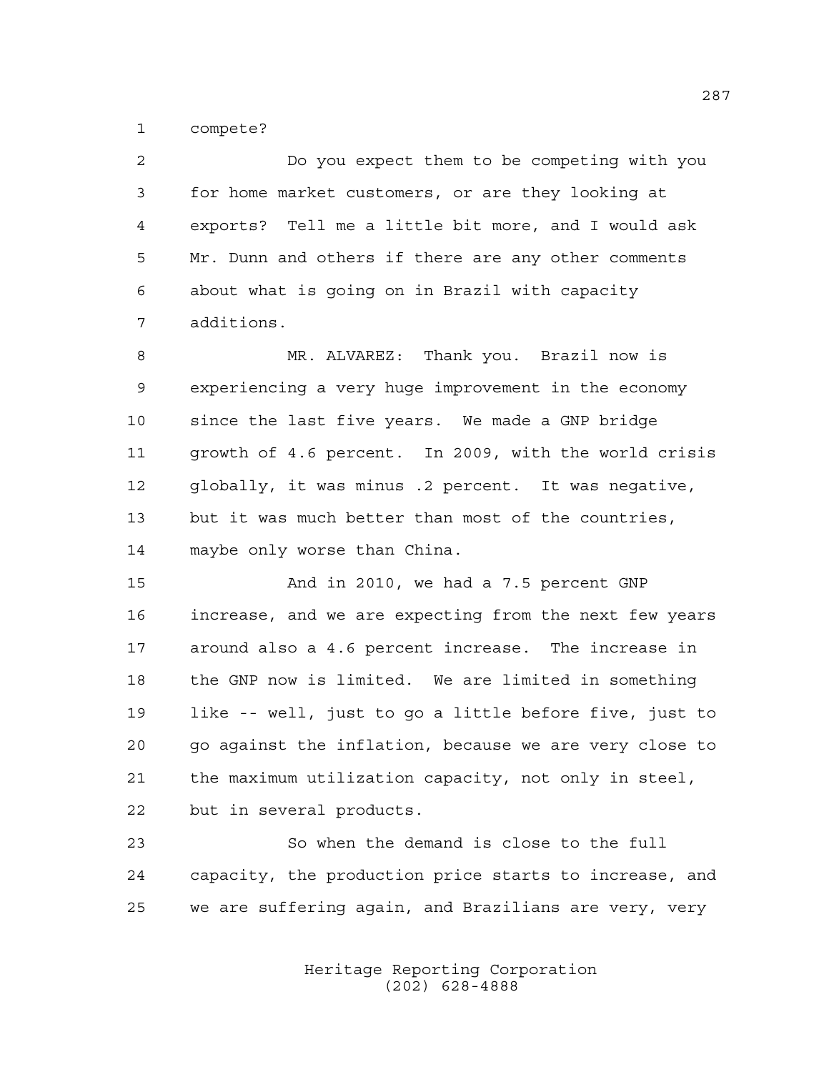compete?

 Do you expect them to be competing with you for home market customers, or are they looking at exports? Tell me a little bit more, and I would ask Mr. Dunn and others if there are any other comments about what is going on in Brazil with capacity additions.

 MR. ALVAREZ: Thank you. Brazil now is experiencing a very huge improvement in the economy since the last five years. We made a GNP bridge growth of 4.6 percent. In 2009, with the world crisis globally, it was minus .2 percent. It was negative, but it was much better than most of the countries, maybe only worse than China.

 And in 2010, we had a 7.5 percent GNP increase, and we are expecting from the next few years around also a 4.6 percent increase. The increase in the GNP now is limited. We are limited in something like -- well, just to go a little before five, just to go against the inflation, because we are very close to the maximum utilization capacity, not only in steel, but in several products.

 So when the demand is close to the full capacity, the production price starts to increase, and we are suffering again, and Brazilians are very, very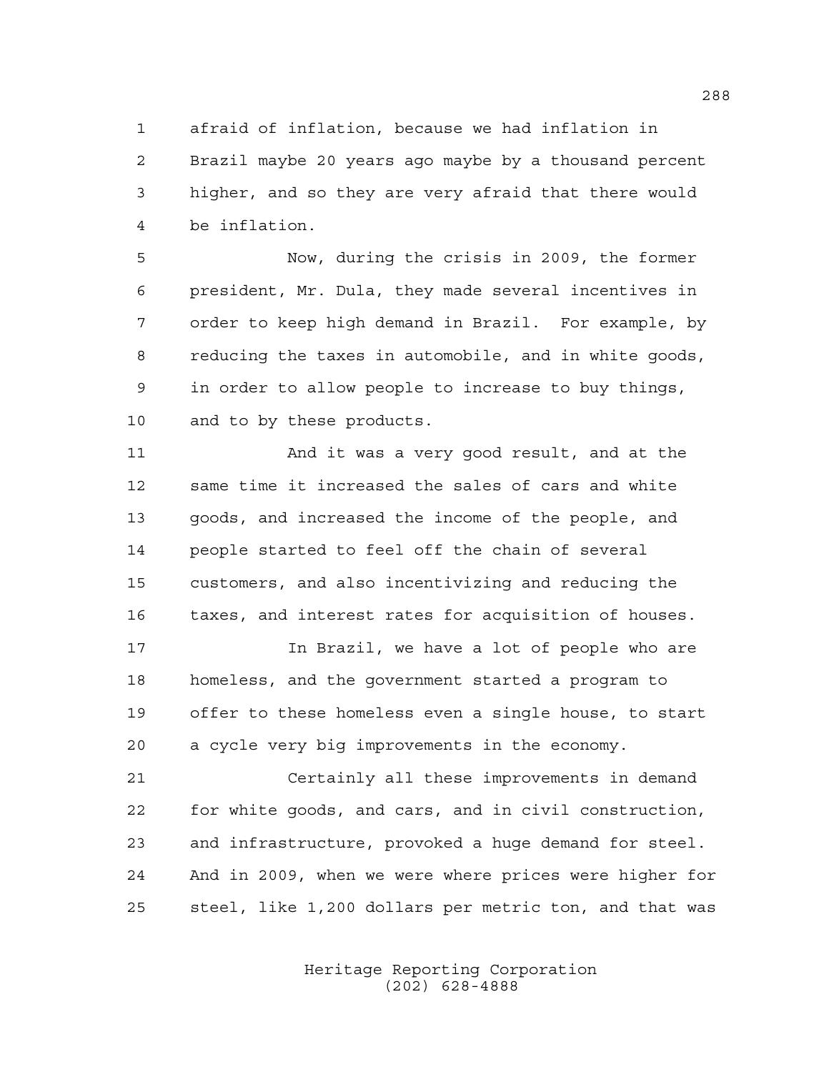afraid of inflation, because we had inflation in Brazil maybe 20 years ago maybe by a thousand percent higher, and so they are very afraid that there would be inflation.

 Now, during the crisis in 2009, the former president, Mr. Dula, they made several incentives in order to keep high demand in Brazil. For example, by reducing the taxes in automobile, and in white goods, in order to allow people to increase to buy things, and to by these products.

 And it was a very good result, and at the same time it increased the sales of cars and white goods, and increased the income of the people, and people started to feel off the chain of several customers, and also incentivizing and reducing the taxes, and interest rates for acquisition of houses.

17 17 In Brazil, we have a lot of people who are homeless, and the government started a program to offer to these homeless even a single house, to start a cycle very big improvements in the economy.

 Certainly all these improvements in demand for white goods, and cars, and in civil construction, and infrastructure, provoked a huge demand for steel. And in 2009, when we were where prices were higher for steel, like 1,200 dollars per metric ton, and that was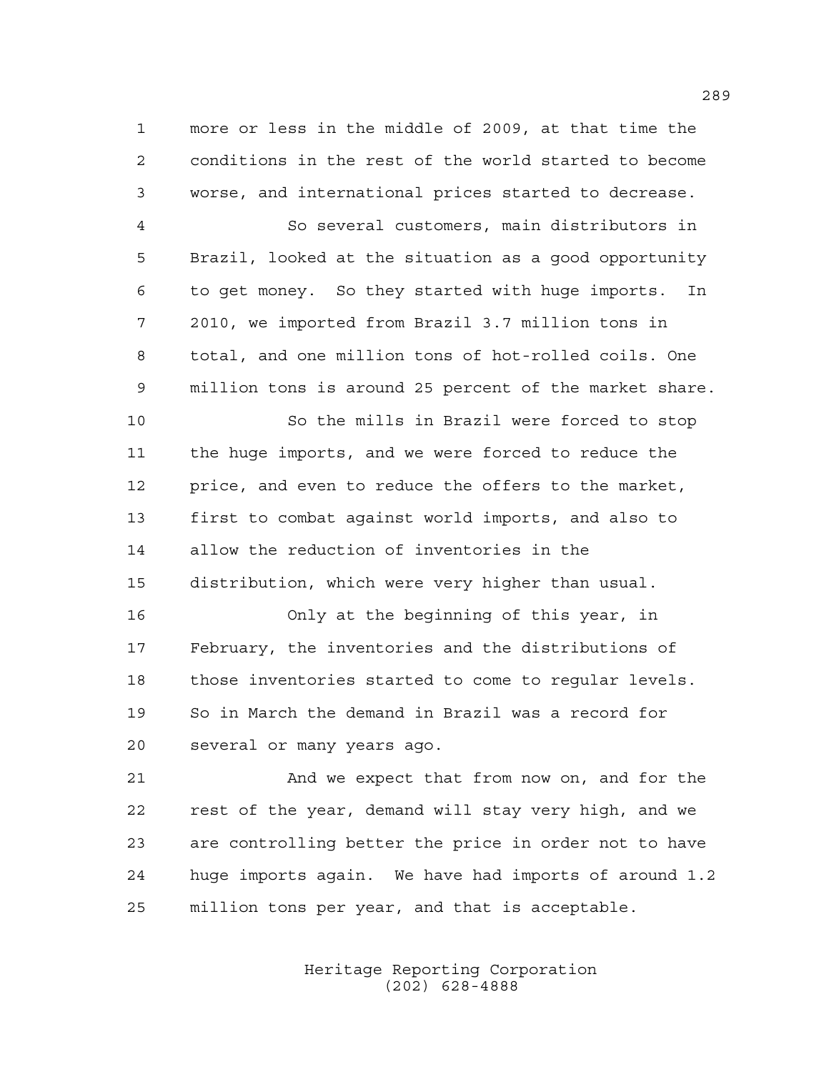more or less in the middle of 2009, at that time the conditions in the rest of the world started to become worse, and international prices started to decrease.

 So several customers, main distributors in Brazil, looked at the situation as a good opportunity to get money. So they started with huge imports. In 2010, we imported from Brazil 3.7 million tons in total, and one million tons of hot-rolled coils. One million tons is around 25 percent of the market share.

 So the mills in Brazil were forced to stop the huge imports, and we were forced to reduce the price, and even to reduce the offers to the market, first to combat against world imports, and also to allow the reduction of inventories in the distribution, which were very higher than usual.

 Only at the beginning of this year, in February, the inventories and the distributions of those inventories started to come to regular levels. So in March the demand in Brazil was a record for several or many years ago.

 And we expect that from now on, and for the rest of the year, demand will stay very high, and we are controlling better the price in order not to have huge imports again. We have had imports of around 1.2 million tons per year, and that is acceptable.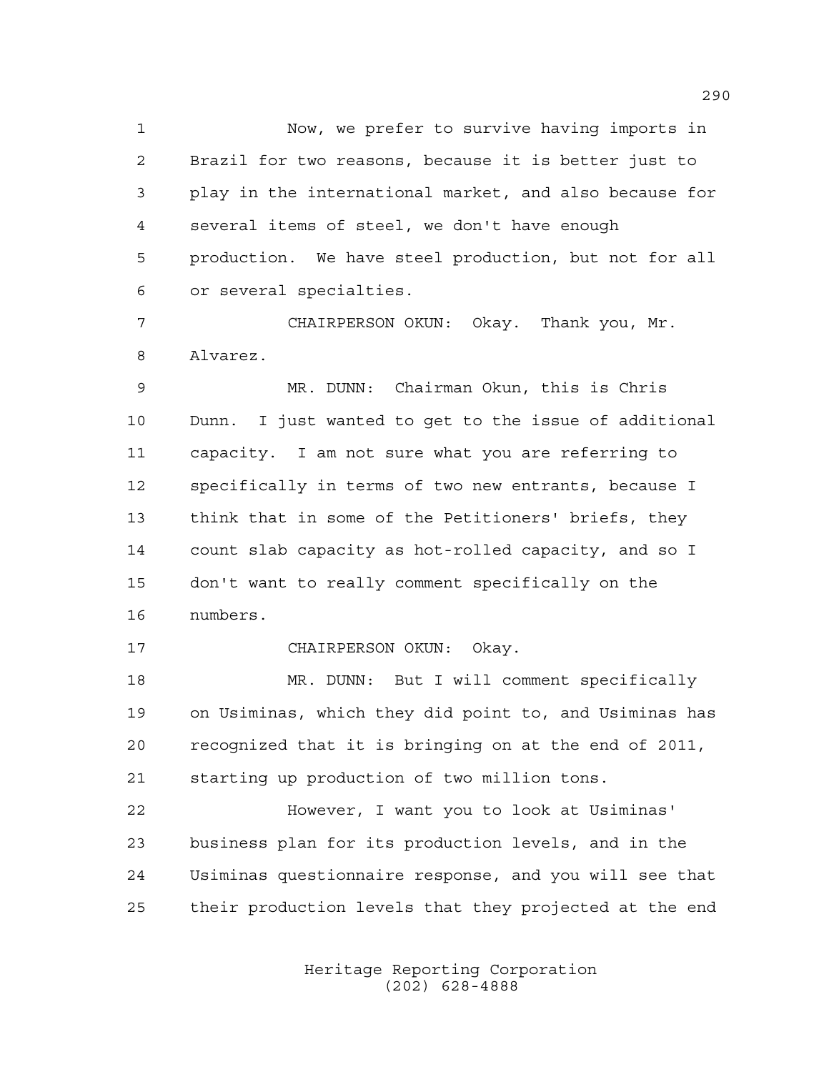Now, we prefer to survive having imports in Brazil for two reasons, because it is better just to play in the international market, and also because for several items of steel, we don't have enough production. We have steel production, but not for all or several specialties.

 CHAIRPERSON OKUN: Okay. Thank you, Mr. Alvarez.

 MR. DUNN: Chairman Okun, this is Chris Dunn. I just wanted to get to the issue of additional capacity. I am not sure what you are referring to specifically in terms of two new entrants, because I think that in some of the Petitioners' briefs, they count slab capacity as hot-rolled capacity, and so I don't want to really comment specifically on the numbers.

CHAIRPERSON OKUN: Okay.

 MR. DUNN: But I will comment specifically on Usiminas, which they did point to, and Usiminas has recognized that it is bringing on at the end of 2011, starting up production of two million tons.

 However, I want you to look at Usiminas' business plan for its production levels, and in the Usiminas questionnaire response, and you will see that their production levels that they projected at the end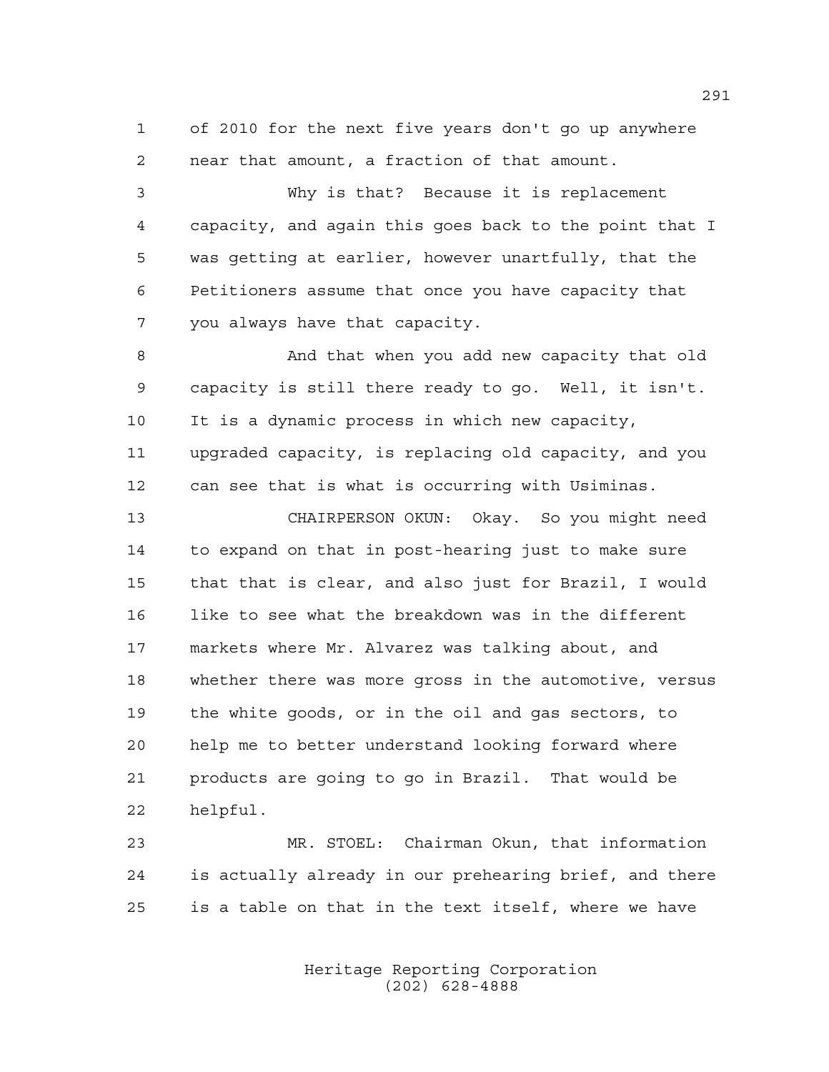of 2010 for the next five years don't go up anywhere near that amount, a fraction of that amount.

 Why is that? Because it is replacement capacity, and again this goes back to the point that I was getting at earlier, however unartfully, that the Petitioners assume that once you have capacity that you always have that capacity.

 And that when you add new capacity that old capacity is still there ready to go. Well, it isn't. It is a dynamic process in which new capacity, upgraded capacity, is replacing old capacity, and you can see that is what is occurring with Usiminas.

 CHAIRPERSON OKUN: Okay. So you might need to expand on that in post-hearing just to make sure that that is clear, and also just for Brazil, I would like to see what the breakdown was in the different markets where Mr. Alvarez was talking about, and whether there was more gross in the automotive, versus the white goods, or in the oil and gas sectors, to help me to better understand looking forward where products are going to go in Brazil. That would be helpful.

 MR. STOEL: Chairman Okun, that information is actually already in our prehearing brief, and there is a table on that in the text itself, where we have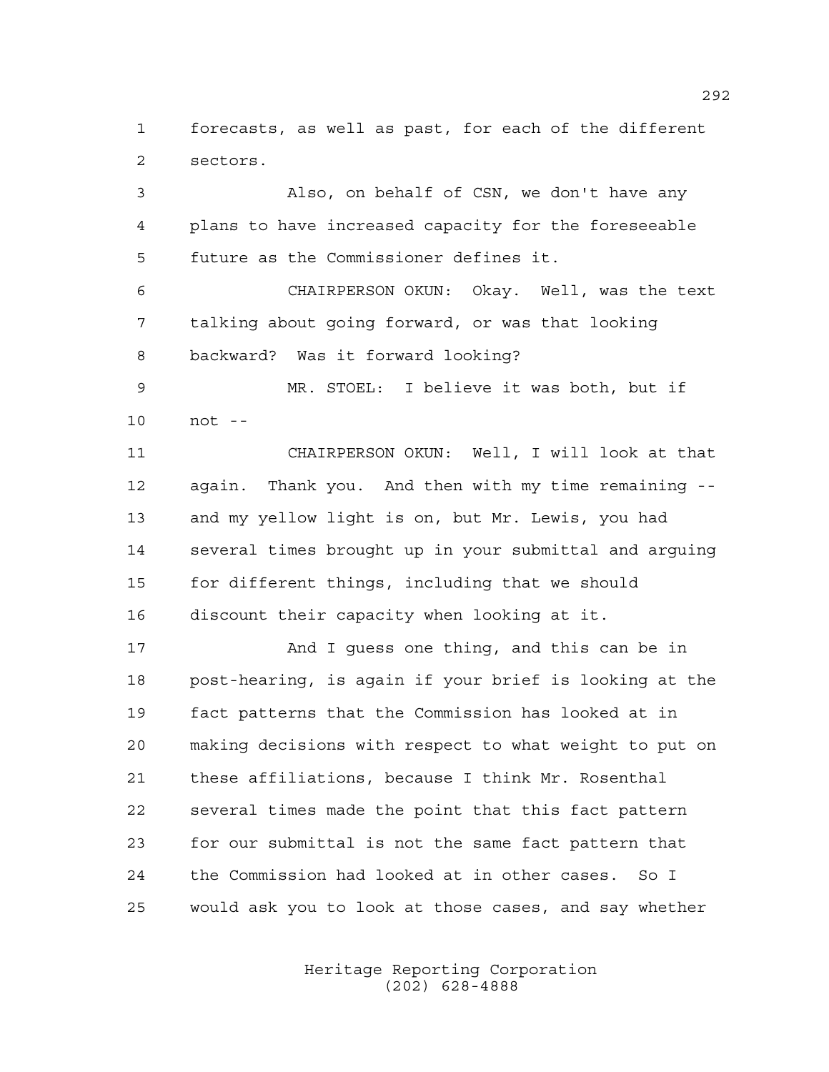forecasts, as well as past, for each of the different sectors.

 Also, on behalf of CSN, we don't have any plans to have increased capacity for the foreseeable future as the Commissioner defines it. CHAIRPERSON OKUN: Okay. Well, was the text talking about going forward, or was that looking backward? Was it forward looking? MR. STOEL: I believe it was both, but if not -- CHAIRPERSON OKUN: Well, I will look at that again. Thank you. And then with my time remaining -- and my yellow light is on, but Mr. Lewis, you had several times brought up in your submittal and arguing for different things, including that we should discount their capacity when looking at it. 17 And I guess one thing, and this can be in post-hearing, is again if your brief is looking at the fact patterns that the Commission has looked at in making decisions with respect to what weight to put on

 these affiliations, because I think Mr. Rosenthal several times made the point that this fact pattern for our submittal is not the same fact pattern that the Commission had looked at in other cases. So I would ask you to look at those cases, and say whether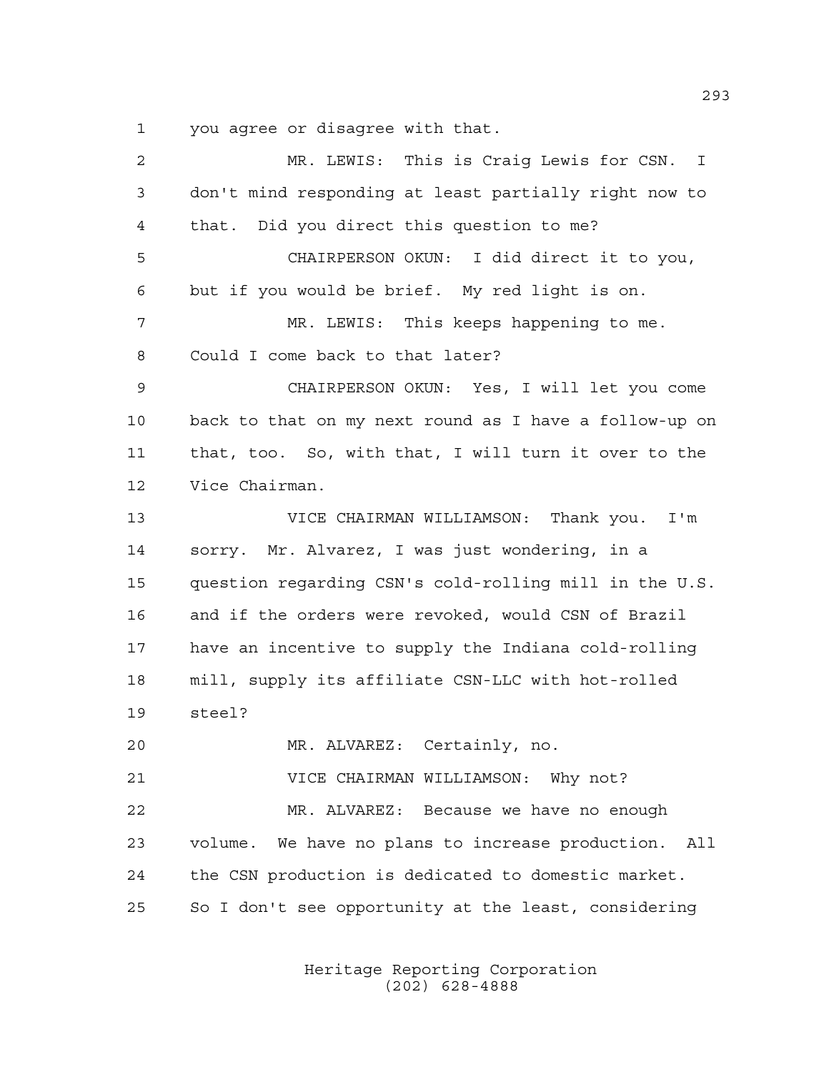you agree or disagree with that.

| 2           | MR. LEWIS: This is Craig Lewis for CSN.<br>$\perp$      |
|-------------|---------------------------------------------------------|
| 3           | don't mind responding at least partially right now to   |
| 4           | that. Did you direct this question to me?               |
| 5           | CHAIRPERSON OKUN: I did direct it to you,               |
| 6           | but if you would be brief. My red light is on.          |
| 7           | MR. LEWIS: This keeps happening to me.                  |
| 8           | Could I come back to that later?                        |
| $\mathsf 9$ | CHAIRPERSON OKUN: Yes, I will let you come              |
| 10          | back to that on my next round as I have a follow-up on  |
| 11          | that, too. So, with that, I will turn it over to the    |
| 12          | Vice Chairman.                                          |
| 13          | VICE CHAIRMAN WILLIAMSON: Thank you. I'm                |
| 14          | sorry. Mr. Alvarez, I was just wondering, in a          |
| 15          | question regarding CSN's cold-rolling mill in the U.S.  |
| 16          | and if the orders were revoked, would CSN of Brazil     |
| 17          | have an incentive to supply the Indiana cold-rolling    |
| 18          | mill, supply its affiliate CSN-LLC with hot-rolled      |
| 19          | steel?                                                  |
| 20          | MR. ALVAREZ: Certainly, no.                             |
| 21          | VICE CHAIRMAN WILLIAMSON: Why not?                      |
| 22          | MR. ALVAREZ: Because we have no enough                  |
| 23          | volume. We have no plans to increase production.<br>All |
| 24          | the CSN production is dedicated to domestic market.     |
| 25          | So I don't see opportunity at the least, considering    |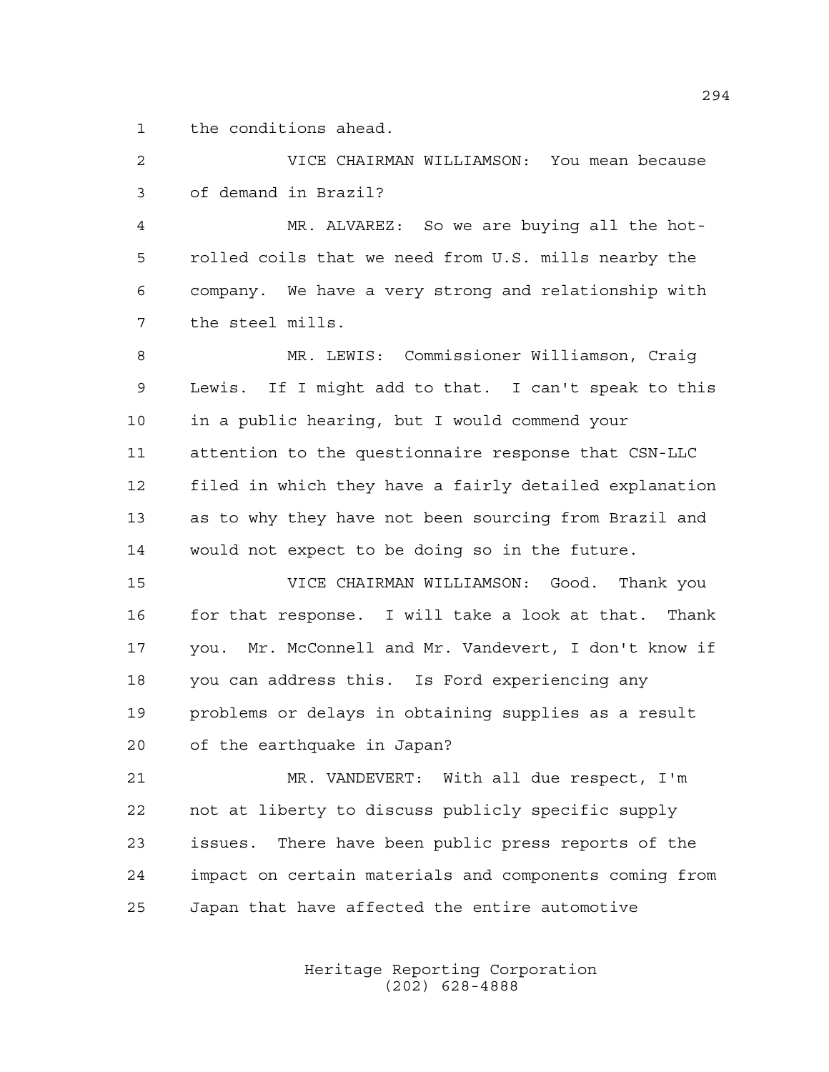the conditions ahead.

 VICE CHAIRMAN WILLIAMSON: You mean because of demand in Brazil?

 MR. ALVAREZ: So we are buying all the hot- rolled coils that we need from U.S. mills nearby the company. We have a very strong and relationship with the steel mills.

 MR. LEWIS: Commissioner Williamson, Craig Lewis. If I might add to that. I can't speak to this in a public hearing, but I would commend your attention to the questionnaire response that CSN-LLC filed in which they have a fairly detailed explanation as to why they have not been sourcing from Brazil and would not expect to be doing so in the future.

 VICE CHAIRMAN WILLIAMSON: Good. Thank you 16 for that response. I will take a look at that. Thank you. Mr. McConnell and Mr. Vandevert, I don't know if you can address this. Is Ford experiencing any problems or delays in obtaining supplies as a result of the earthquake in Japan?

 MR. VANDEVERT: With all due respect, I'm not at liberty to discuss publicly specific supply issues. There have been public press reports of the impact on certain materials and components coming from Japan that have affected the entire automotive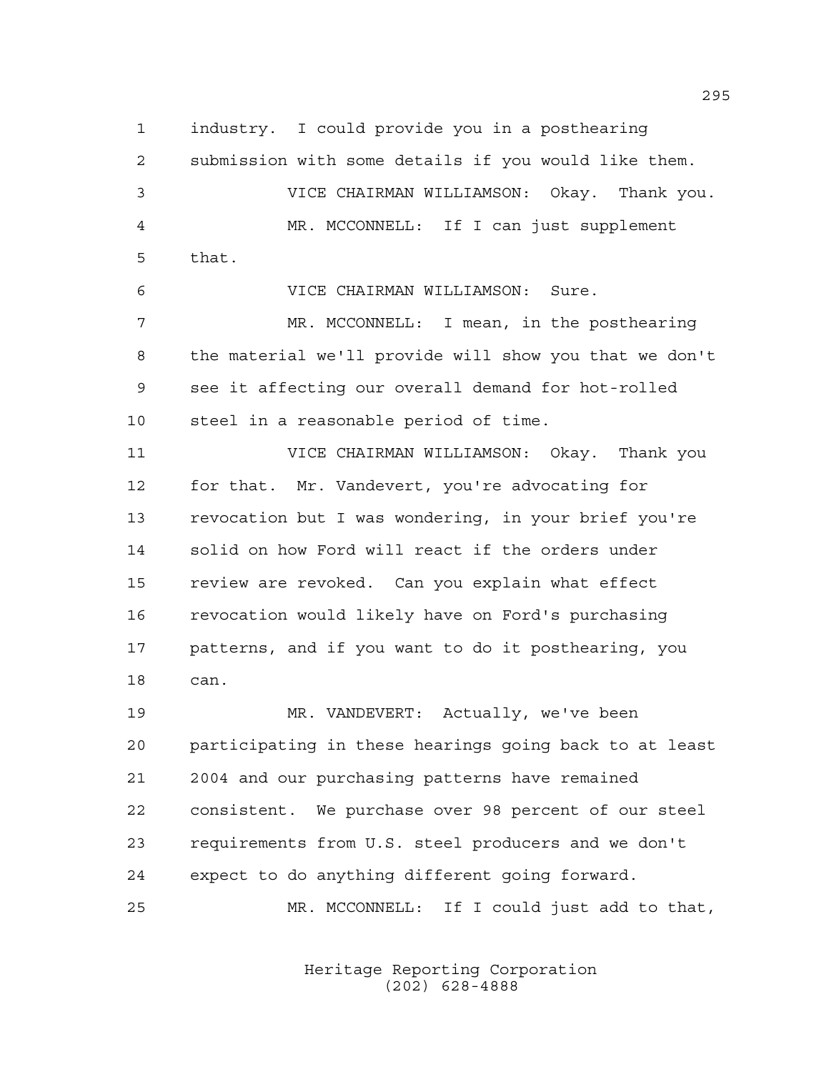industry. I could provide you in a posthearing submission with some details if you would like them. VICE CHAIRMAN WILLIAMSON: Okay. Thank you. MR. MCCONNELL: If I can just supplement that. VICE CHAIRMAN WILLIAMSON: Sure. MR. MCCONNELL: I mean, in the posthearing

 the material we'll provide will show you that we don't see it affecting our overall demand for hot-rolled steel in a reasonable period of time.

 VICE CHAIRMAN WILLIAMSON: Okay. Thank you for that. Mr. Vandevert, you're advocating for revocation but I was wondering, in your brief you're solid on how Ford will react if the orders under review are revoked. Can you explain what effect revocation would likely have on Ford's purchasing patterns, and if you want to do it posthearing, you can.

 MR. VANDEVERT: Actually, we've been participating in these hearings going back to at least 2004 and our purchasing patterns have remained consistent. We purchase over 98 percent of our steel requirements from U.S. steel producers and we don't expect to do anything different going forward.

MR. MCCONNELL: If I could just add to that,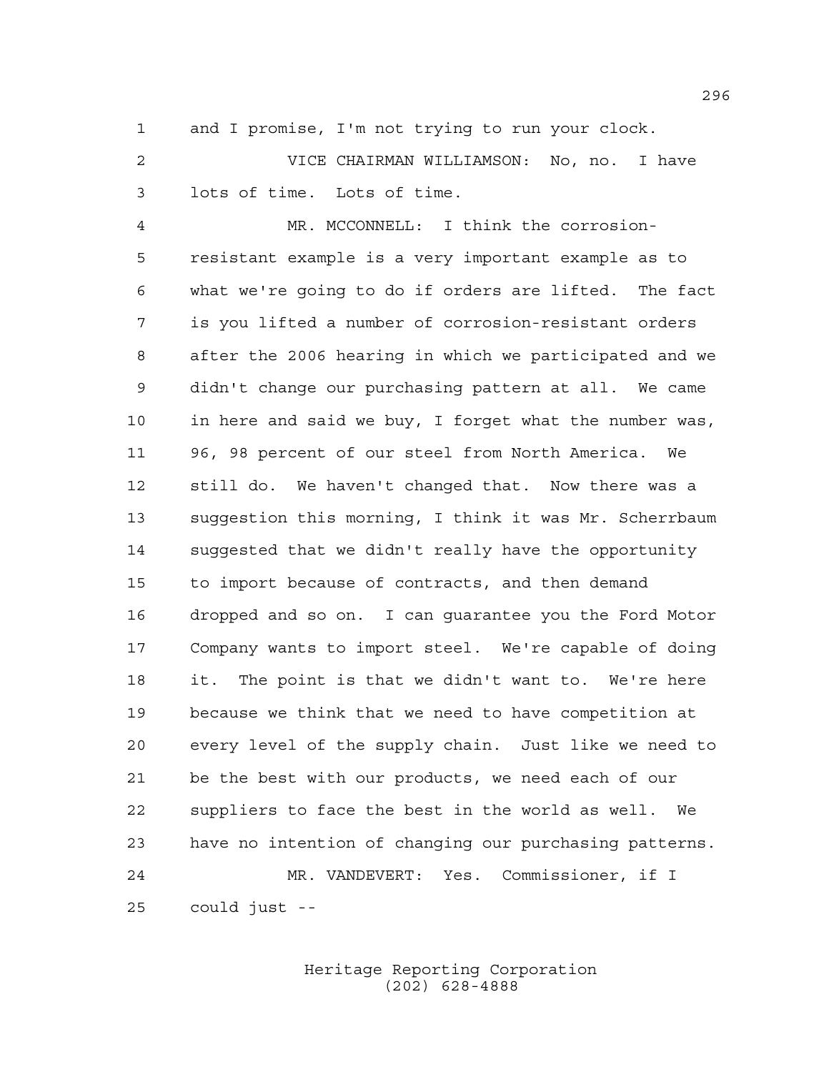and I promise, I'm not trying to run your clock.

 VICE CHAIRMAN WILLIAMSON: No, no. I have lots of time. Lots of time.

 MR. MCCONNELL: I think the corrosion- resistant example is a very important example as to what we're going to do if orders are lifted. The fact is you lifted a number of corrosion-resistant orders after the 2006 hearing in which we participated and we didn't change our purchasing pattern at all. We came in here and said we buy, I forget what the number was, 96, 98 percent of our steel from North America. We still do. We haven't changed that. Now there was a suggestion this morning, I think it was Mr. Scherrbaum suggested that we didn't really have the opportunity to import because of contracts, and then demand dropped and so on. I can guarantee you the Ford Motor Company wants to import steel. We're capable of doing it. The point is that we didn't want to. We're here because we think that we need to have competition at every level of the supply chain. Just like we need to be the best with our products, we need each of our suppliers to face the best in the world as well. We have no intention of changing our purchasing patterns. MR. VANDEVERT: Yes. Commissioner, if I could just --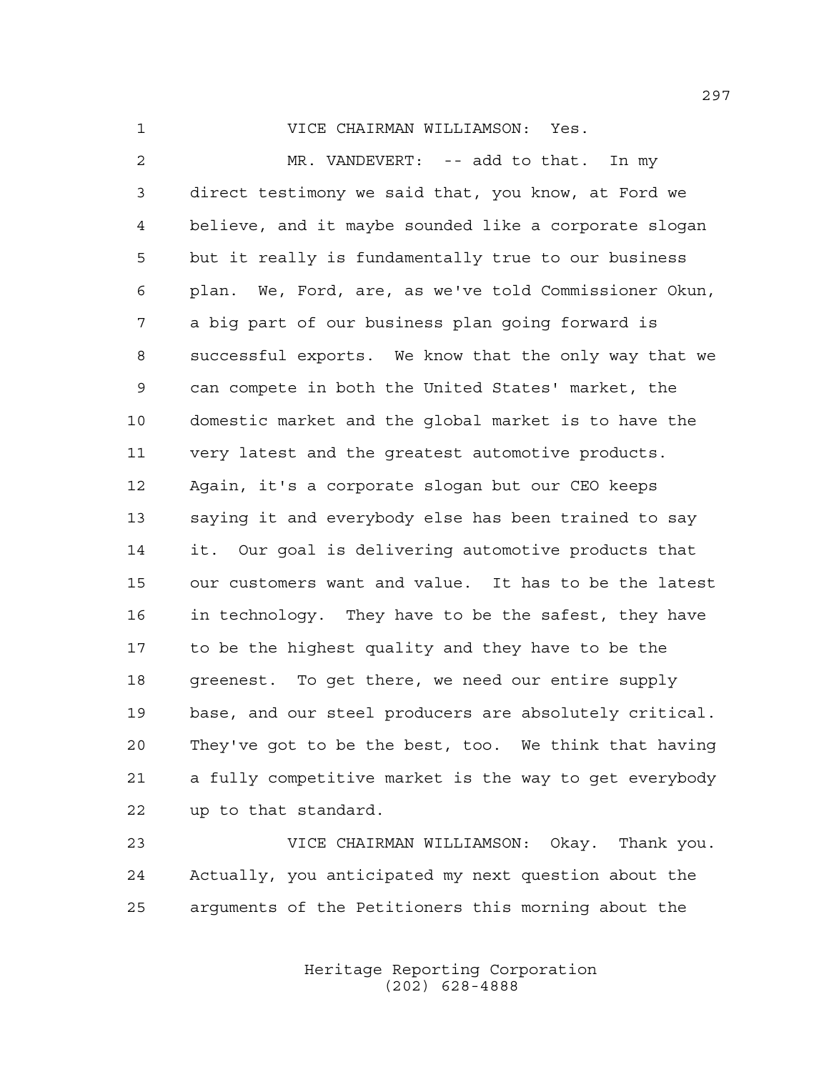VICE CHAIRMAN WILLIAMSON: Yes.

 MR. VANDEVERT: -- add to that. In my direct testimony we said that, you know, at Ford we believe, and it maybe sounded like a corporate slogan but it really is fundamentally true to our business plan. We, Ford, are, as we've told Commissioner Okun, a big part of our business plan going forward is successful exports. We know that the only way that we can compete in both the United States' market, the domestic market and the global market is to have the very latest and the greatest automotive products. Again, it's a corporate slogan but our CEO keeps saying it and everybody else has been trained to say it. Our goal is delivering automotive products that our customers want and value. It has to be the latest in technology. They have to be the safest, they have to be the highest quality and they have to be the greenest. To get there, we need our entire supply base, and our steel producers are absolutely critical. They've got to be the best, too. We think that having a fully competitive market is the way to get everybody up to that standard.

 VICE CHAIRMAN WILLIAMSON: Okay. Thank you. Actually, you anticipated my next question about the arguments of the Petitioners this morning about the

> Heritage Reporting Corporation (202) 628-4888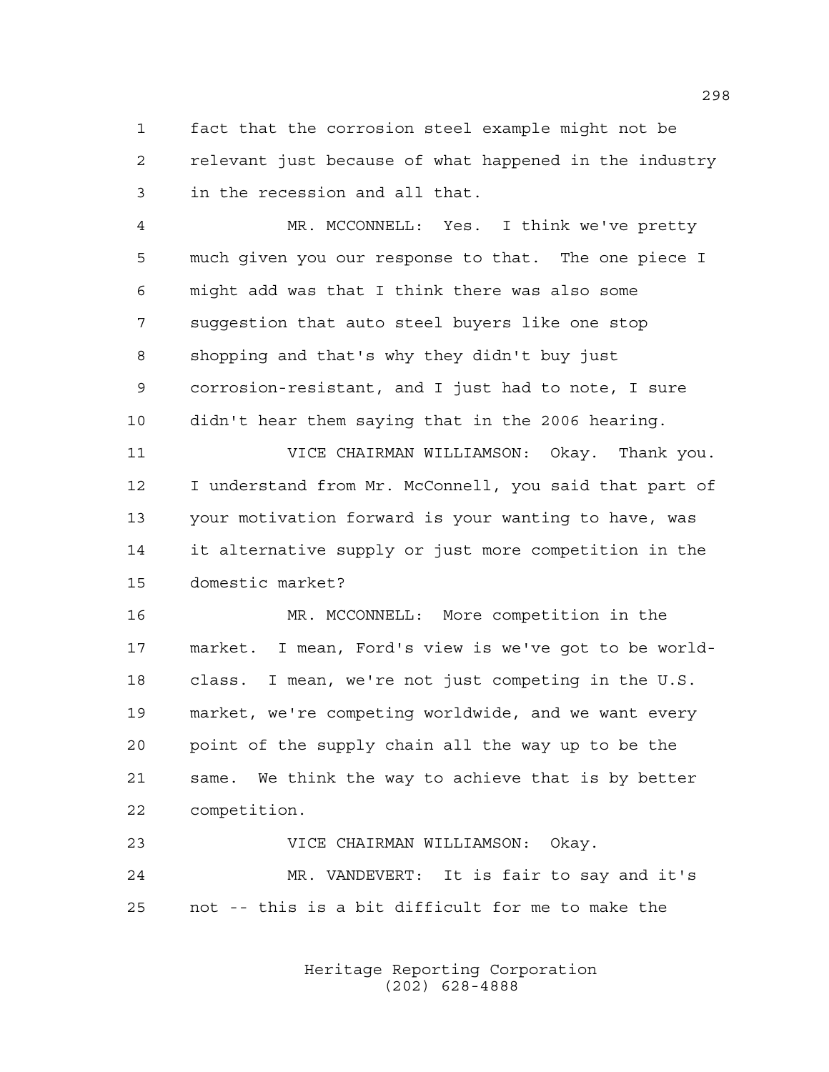fact that the corrosion steel example might not be relevant just because of what happened in the industry in the recession and all that.

 MR. MCCONNELL: Yes. I think we've pretty much given you our response to that. The one piece I might add was that I think there was also some suggestion that auto steel buyers like one stop shopping and that's why they didn't buy just corrosion-resistant, and I just had to note, I sure didn't hear them saying that in the 2006 hearing.

 VICE CHAIRMAN WILLIAMSON: Okay. Thank you. I understand from Mr. McConnell, you said that part of your motivation forward is your wanting to have, was it alternative supply or just more competition in the domestic market?

 MR. MCCONNELL: More competition in the market. I mean, Ford's view is we've got to be world- class. I mean, we're not just competing in the U.S. market, we're competing worldwide, and we want every point of the supply chain all the way up to be the same. We think the way to achieve that is by better competition.

 VICE CHAIRMAN WILLIAMSON: Okay. MR. VANDEVERT: It is fair to say and it's not -- this is a bit difficult for me to make the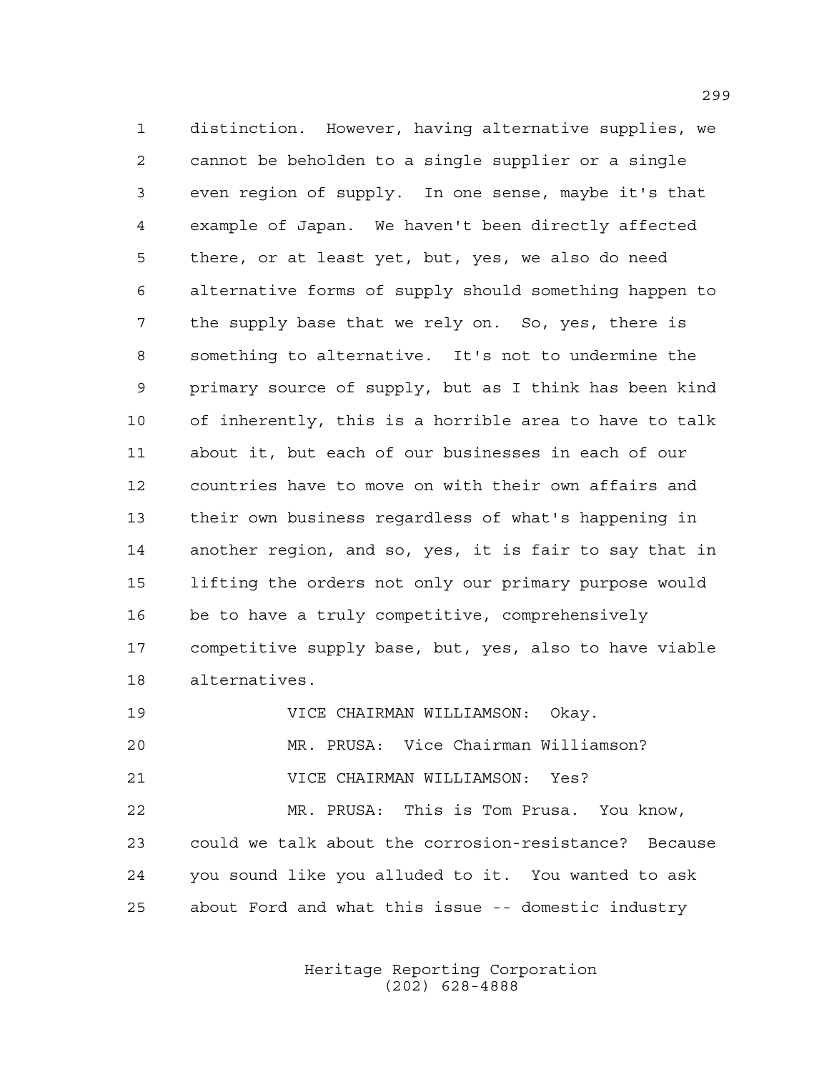distinction. However, having alternative supplies, we cannot be beholden to a single supplier or a single even region of supply. In one sense, maybe it's that example of Japan. We haven't been directly affected there, or at least yet, but, yes, we also do need alternative forms of supply should something happen to the supply base that we rely on. So, yes, there is something to alternative. It's not to undermine the primary source of supply, but as I think has been kind of inherently, this is a horrible area to have to talk about it, but each of our businesses in each of our countries have to move on with their own affairs and their own business regardless of what's happening in another region, and so, yes, it is fair to say that in lifting the orders not only our primary purpose would be to have a truly competitive, comprehensively competitive supply base, but, yes, also to have viable alternatives.

 VICE CHAIRMAN WILLIAMSON: Okay. MR. PRUSA: Vice Chairman Williamson? VICE CHAIRMAN WILLIAMSON: Yes? MR. PRUSA: This is Tom Prusa. You know, could we talk about the corrosion-resistance? Because you sound like you alluded to it. You wanted to ask about Ford and what this issue -- domestic industry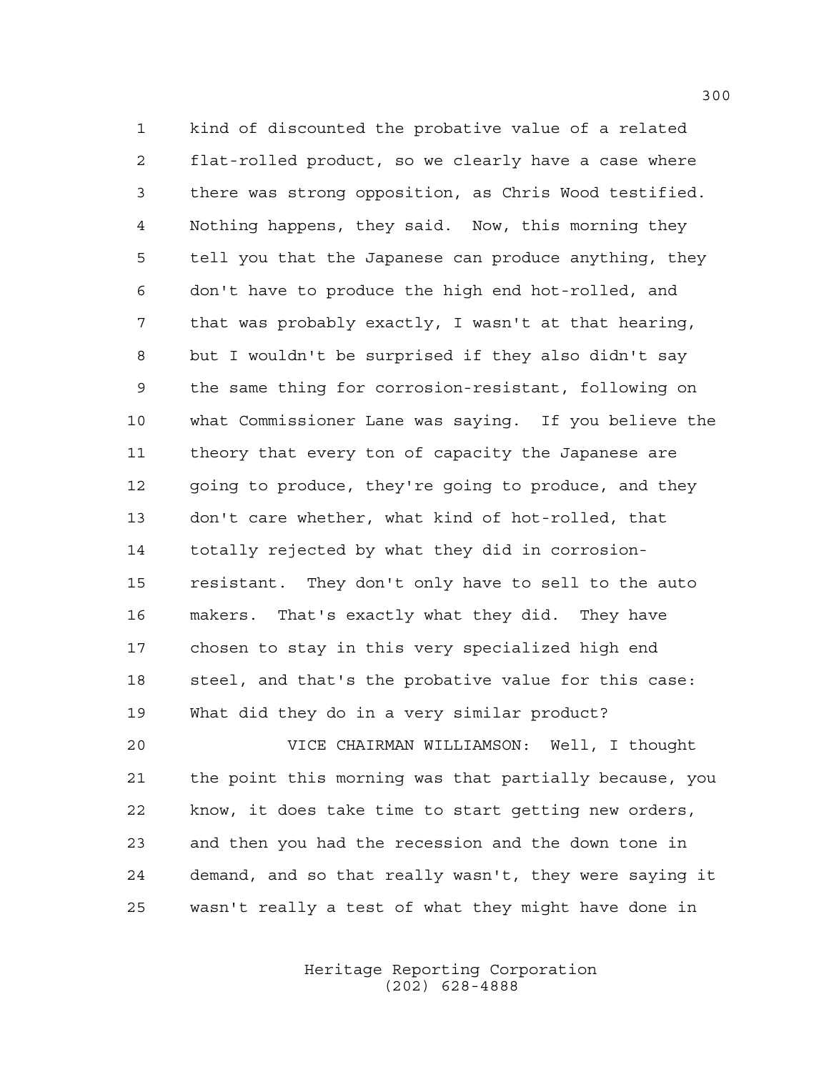kind of discounted the probative value of a related flat-rolled product, so we clearly have a case where there was strong opposition, as Chris Wood testified. Nothing happens, they said. Now, this morning they tell you that the Japanese can produce anything, they don't have to produce the high end hot-rolled, and that was probably exactly, I wasn't at that hearing, but I wouldn't be surprised if they also didn't say the same thing for corrosion-resistant, following on what Commissioner Lane was saying. If you believe the theory that every ton of capacity the Japanese are 12 going to produce, they're going to produce, and they don't care whether, what kind of hot-rolled, that totally rejected by what they did in corrosion- resistant. They don't only have to sell to the auto makers. That's exactly what they did. They have chosen to stay in this very specialized high end steel, and that's the probative value for this case: What did they do in a very similar product?

 VICE CHAIRMAN WILLIAMSON: Well, I thought the point this morning was that partially because, you know, it does take time to start getting new orders, and then you had the recession and the down tone in demand, and so that really wasn't, they were saying it wasn't really a test of what they might have done in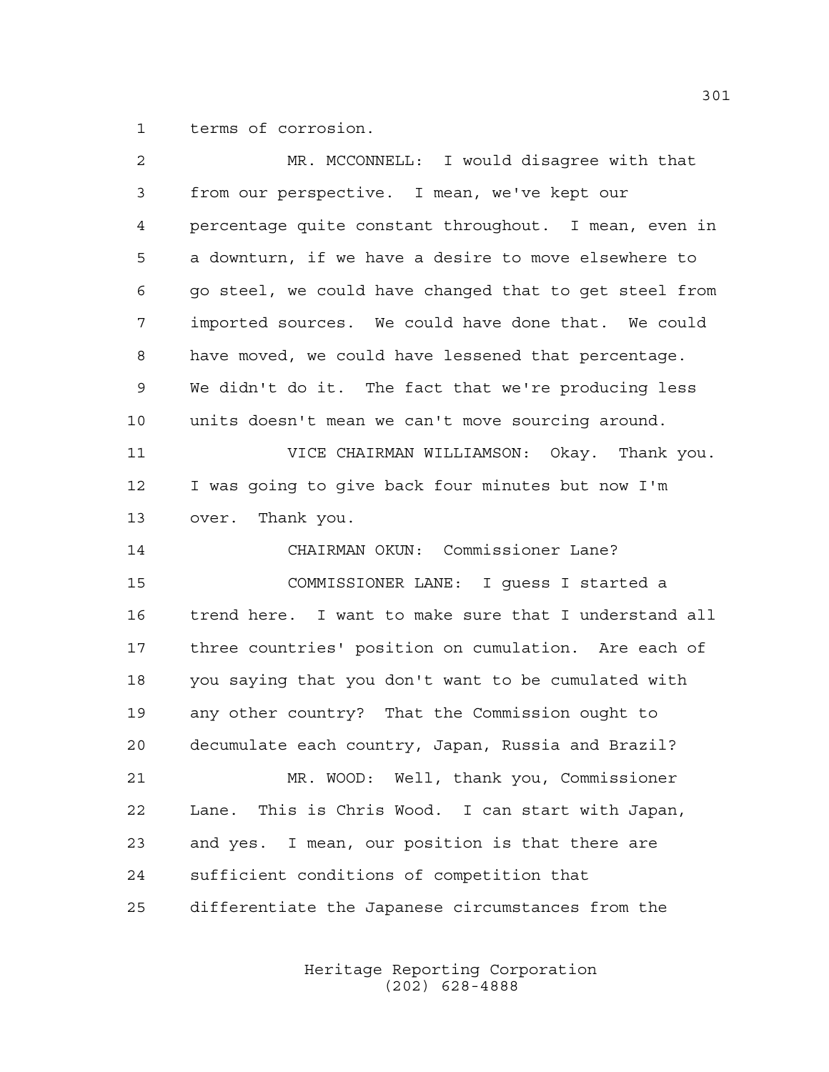terms of corrosion.

| $\overline{a}$ | MR. MCCONNELL: I would disagree with that              |
|----------------|--------------------------------------------------------|
| 3              | from our perspective. I mean, we've kept our           |
| 4              | percentage quite constant throughout. I mean, even in  |
| 5              | a downturn, if we have a desire to move elsewhere to   |
| 6              | go steel, we could have changed that to get steel from |
| 7              | imported sources. We could have done that. We could    |
| 8              | have moved, we could have lessened that percentage.    |
| 9              | We didn't do it. The fact that we're producing less    |
| 10             | units doesn't mean we can't move sourcing around.      |
| 11             | VICE CHAIRMAN WILLIAMSON: Okay. Thank you.             |
| 12             | I was going to give back four minutes but now I'm      |
| 13             | over. Thank you.                                       |
| 14             | CHAIRMAN OKUN: Commissioner Lane?                      |
| 15             | COMMISSIONER LANE: I guess I started a                 |
| 16             | trend here. I want to make sure that I understand all  |
| 17             | three countries' position on cumulation. Are each of   |
| 18             | you saying that you don't want to be cumulated with    |
| 19             | any other country? That the Commission ought to        |
| 20             | decumulate each country, Japan, Russia and Brazil?     |
| 21             | MR. WOOD: Well, thank you, Commissioner                |
| 22             | Lane. This is Chris Wood. I can start with Japan,      |
| 23             | and yes. I mean, our position is that there are        |
| 24             | sufficient conditions of competition that              |
| 25             | differentiate the Japanese circumstances from the      |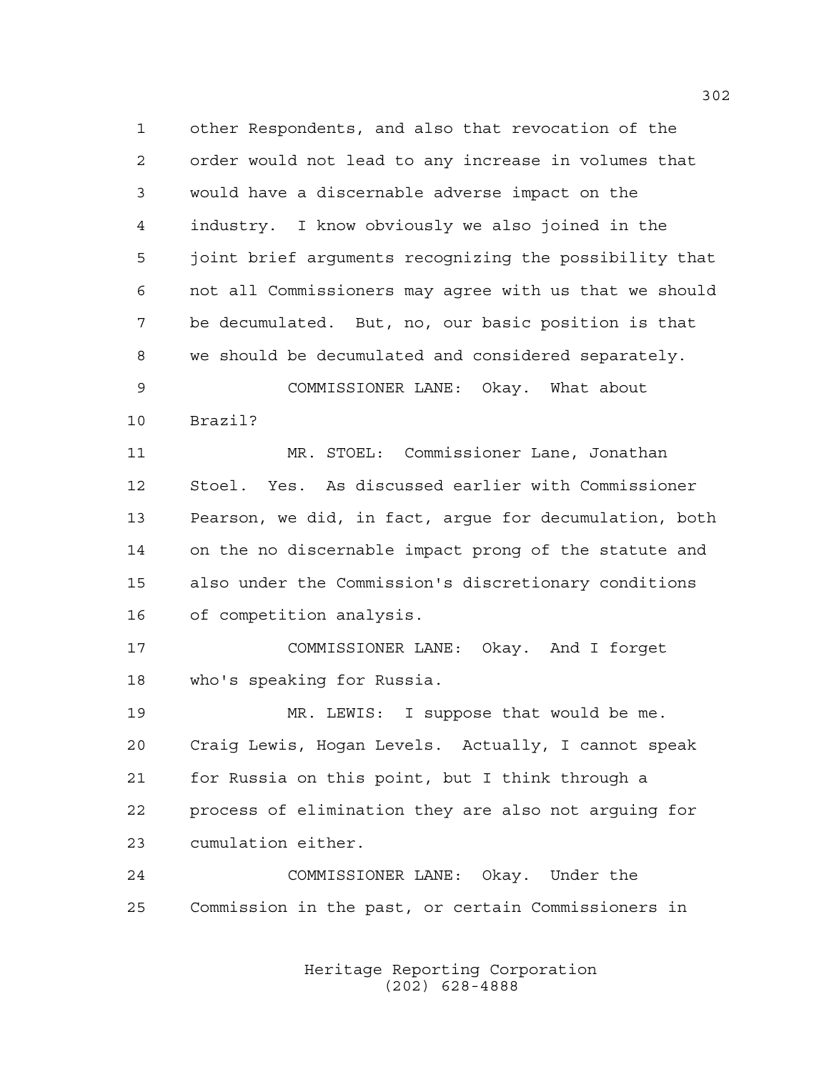other Respondents, and also that revocation of the order would not lead to any increase in volumes that would have a discernable adverse impact on the industry. I know obviously we also joined in the joint brief arguments recognizing the possibility that not all Commissioners may agree with us that we should be decumulated. But, no, our basic position is that we should be decumulated and considered separately. COMMISSIONER LANE: Okay. What about Brazil? MR. STOEL: Commissioner Lane, Jonathan Stoel. Yes. As discussed earlier with Commissioner Pearson, we did, in fact, argue for decumulation, both on the no discernable impact prong of the statute and also under the Commission's discretionary conditions of competition analysis. COMMISSIONER LANE: Okay. And I forget who's speaking for Russia. MR. LEWIS: I suppose that would be me. Craig Lewis, Hogan Levels. Actually, I cannot speak for Russia on this point, but I think through a process of elimination they are also not arguing for cumulation either. COMMISSIONER LANE: Okay. Under the Commission in the past, or certain Commissioners in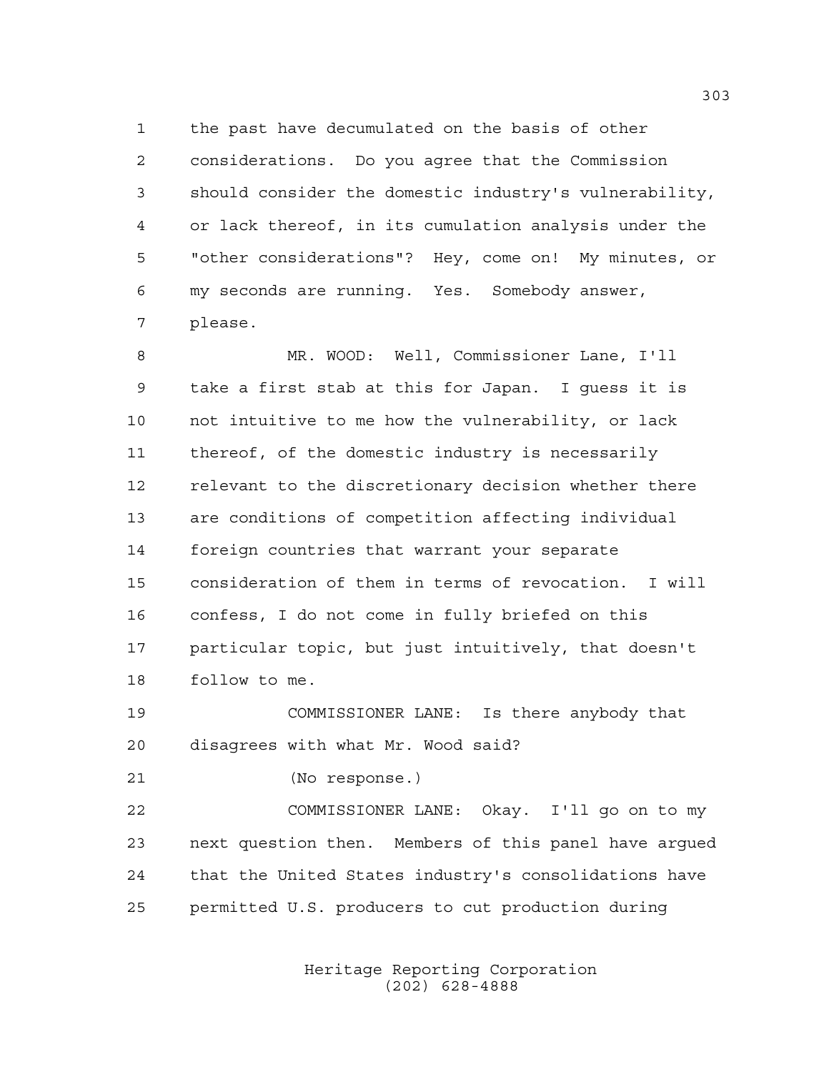the past have decumulated on the basis of other considerations. Do you agree that the Commission should consider the domestic industry's vulnerability, or lack thereof, in its cumulation analysis under the "other considerations"? Hey, come on! My minutes, or my seconds are running. Yes. Somebody answer, please.

 MR. WOOD: Well, Commissioner Lane, I'll take a first stab at this for Japan. I guess it is not intuitive to me how the vulnerability, or lack thereof, of the domestic industry is necessarily relevant to the discretionary decision whether there are conditions of competition affecting individual foreign countries that warrant your separate consideration of them in terms of revocation. I will confess, I do not come in fully briefed on this particular topic, but just intuitively, that doesn't follow to me.

 COMMISSIONER LANE: Is there anybody that disagrees with what Mr. Wood said?

(No response.)

 COMMISSIONER LANE: Okay. I'll go on to my next question then. Members of this panel have argued that the United States industry's consolidations have permitted U.S. producers to cut production during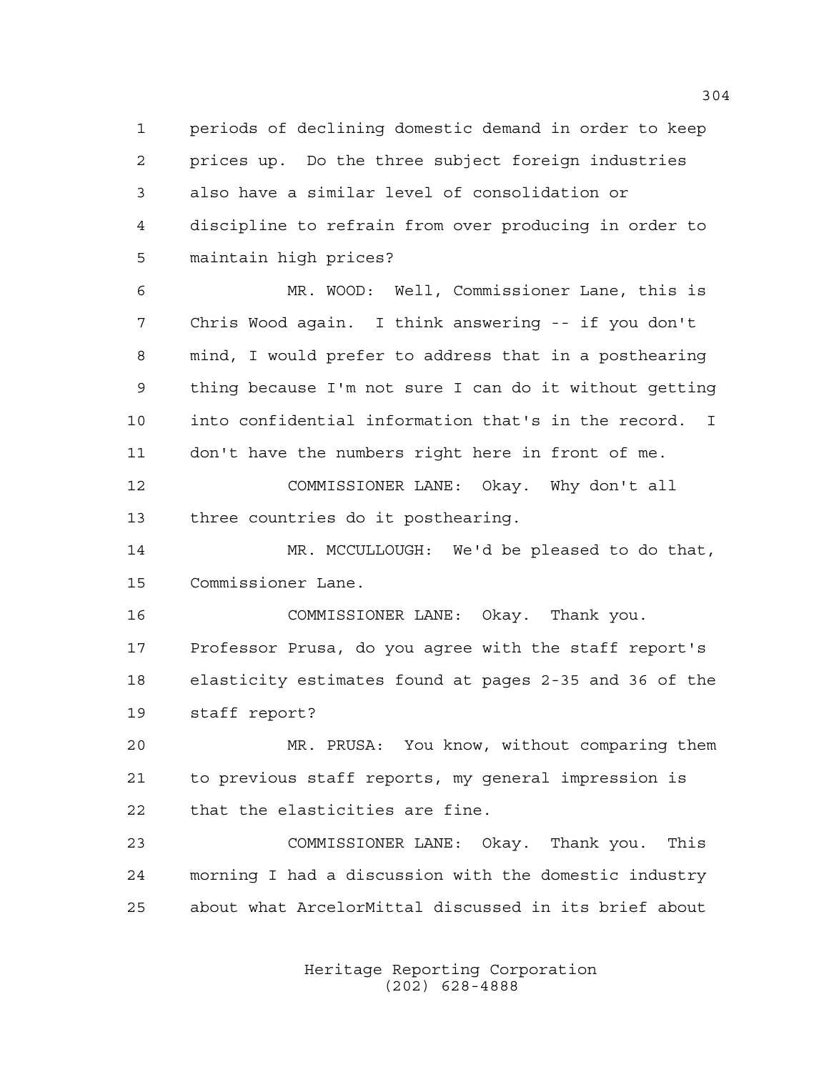periods of declining domestic demand in order to keep prices up. Do the three subject foreign industries also have a similar level of consolidation or discipline to refrain from over producing in order to maintain high prices?

 MR. WOOD: Well, Commissioner Lane, this is Chris Wood again. I think answering -- if you don't mind, I would prefer to address that in a posthearing thing because I'm not sure I can do it without getting into confidential information that's in the record. I don't have the numbers right here in front of me.

 COMMISSIONER LANE: Okay. Why don't all three countries do it posthearing.

 MR. MCCULLOUGH: We'd be pleased to do that, Commissioner Lane.

 COMMISSIONER LANE: Okay. Thank you. Professor Prusa, do you agree with the staff report's elasticity estimates found at pages 2-35 and 36 of the staff report?

 MR. PRUSA: You know, without comparing them to previous staff reports, my general impression is that the elasticities are fine.

 COMMISSIONER LANE: Okay. Thank you. This morning I had a discussion with the domestic industry about what ArcelorMittal discussed in its brief about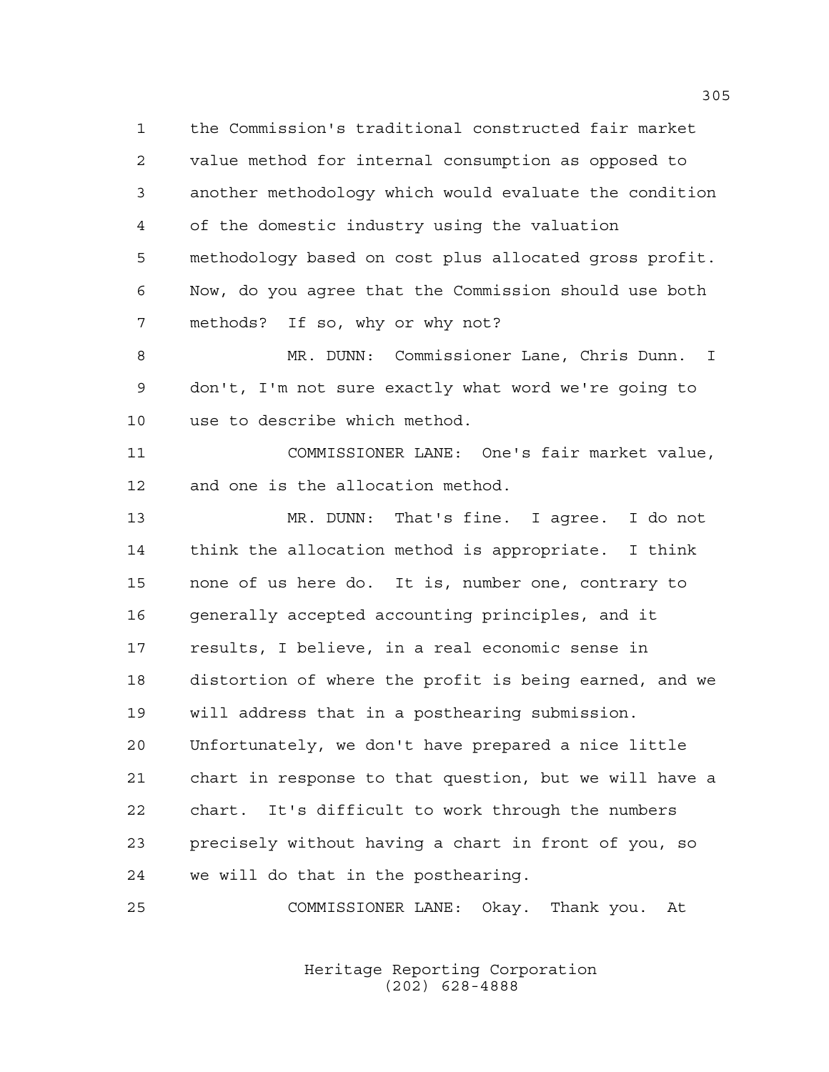the Commission's traditional constructed fair market value method for internal consumption as opposed to another methodology which would evaluate the condition of the domestic industry using the valuation methodology based on cost plus allocated gross profit. Now, do you agree that the Commission should use both methods? If so, why or why not?

 MR. DUNN: Commissioner Lane, Chris Dunn. I don't, I'm not sure exactly what word we're going to use to describe which method.

 COMMISSIONER LANE: One's fair market value, and one is the allocation method.

 MR. DUNN: That's fine. I agree. I do not think the allocation method is appropriate. I think none of us here do. It is, number one, contrary to generally accepted accounting principles, and it results, I believe, in a real economic sense in distortion of where the profit is being earned, and we will address that in a posthearing submission. Unfortunately, we don't have prepared a nice little chart in response to that question, but we will have a chart. It's difficult to work through the numbers precisely without having a chart in front of you, so we will do that in the posthearing.

COMMISSIONER LANE: Okay. Thank you. At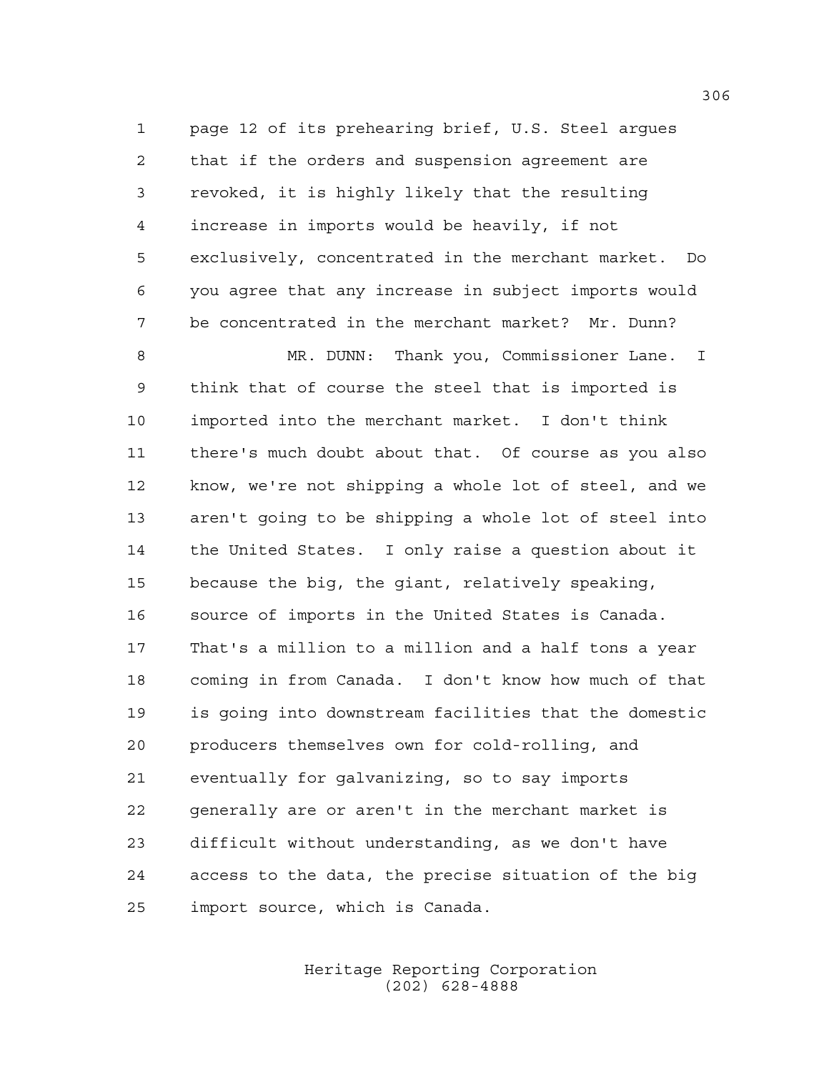page 12 of its prehearing brief, U.S. Steel argues that if the orders and suspension agreement are revoked, it is highly likely that the resulting increase in imports would be heavily, if not exclusively, concentrated in the merchant market. Do you agree that any increase in subject imports would be concentrated in the merchant market? Mr. Dunn?

 MR. DUNN: Thank you, Commissioner Lane. I think that of course the steel that is imported is imported into the merchant market. I don't think there's much doubt about that. Of course as you also know, we're not shipping a whole lot of steel, and we aren't going to be shipping a whole lot of steel into the United States. I only raise a question about it because the big, the giant, relatively speaking, source of imports in the United States is Canada. That's a million to a million and a half tons a year coming in from Canada. I don't know how much of that is going into downstream facilities that the domestic producers themselves own for cold-rolling, and eventually for galvanizing, so to say imports generally are or aren't in the merchant market is difficult without understanding, as we don't have access to the data, the precise situation of the big import source, which is Canada.

> Heritage Reporting Corporation (202) 628-4888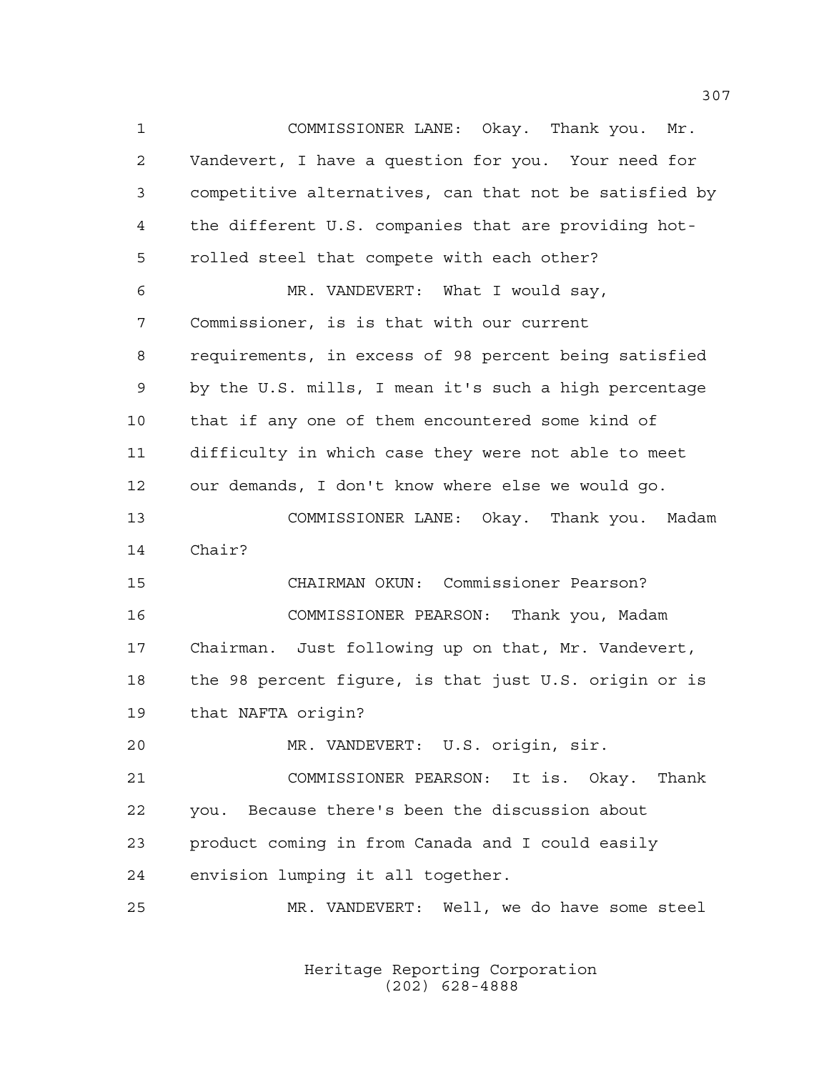COMMISSIONER LANE: Okay. Thank you. Mr. Vandevert, I have a question for you. Your need for competitive alternatives, can that not be satisfied by the different U.S. companies that are providing hot- rolled steel that compete with each other? MR. VANDEVERT: What I would say, Commissioner, is is that with our current requirements, in excess of 98 percent being satisfied by the U.S. mills, I mean it's such a high percentage that if any one of them encountered some kind of difficulty in which case they were not able to meet our demands, I don't know where else we would go. COMMISSIONER LANE: Okay. Thank you. Madam Chair? CHAIRMAN OKUN: Commissioner Pearson? COMMISSIONER PEARSON: Thank you, Madam Chairman. Just following up on that, Mr. Vandevert, the 98 percent figure, is that just U.S. origin or is that NAFTA origin? MR. VANDEVERT: U.S. origin, sir. COMMISSIONER PEARSON: It is. Okay. Thank you. Because there's been the discussion about product coming in from Canada and I could easily envision lumping it all together. MR. VANDEVERT: Well, we do have some steel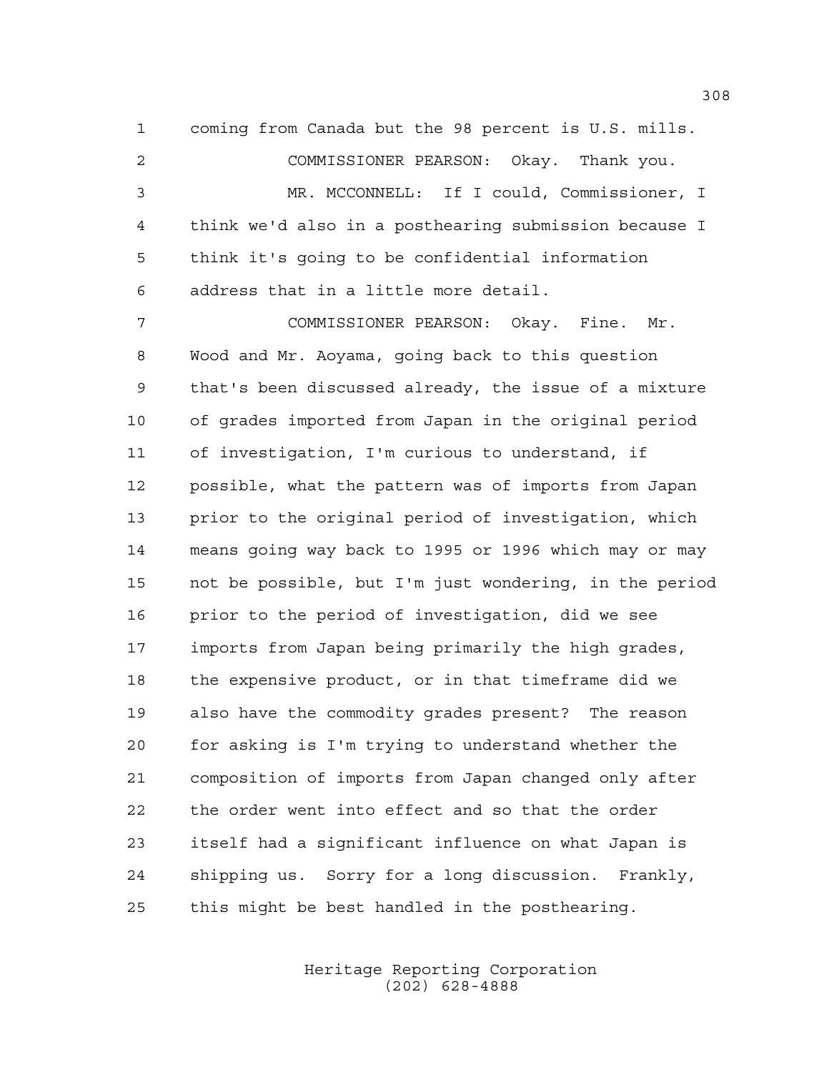coming from Canada but the 98 percent is U.S. mills.

 COMMISSIONER PEARSON: Okay. Thank you. MR. MCCONNELL: If I could, Commissioner, I think we'd also in a posthearing submission because I think it's going to be confidential information address that in a little more detail.

 COMMISSIONER PEARSON: Okay. Fine. Mr. Wood and Mr. Aoyama, going back to this question that's been discussed already, the issue of a mixture of grades imported from Japan in the original period of investigation, I'm curious to understand, if possible, what the pattern was of imports from Japan prior to the original period of investigation, which means going way back to 1995 or 1996 which may or may not be possible, but I'm just wondering, in the period prior to the period of investigation, did we see imports from Japan being primarily the high grades, the expensive product, or in that timeframe did we also have the commodity grades present? The reason for asking is I'm trying to understand whether the composition of imports from Japan changed only after the order went into effect and so that the order itself had a significant influence on what Japan is shipping us. Sorry for a long discussion. Frankly, this might be best handled in the posthearing.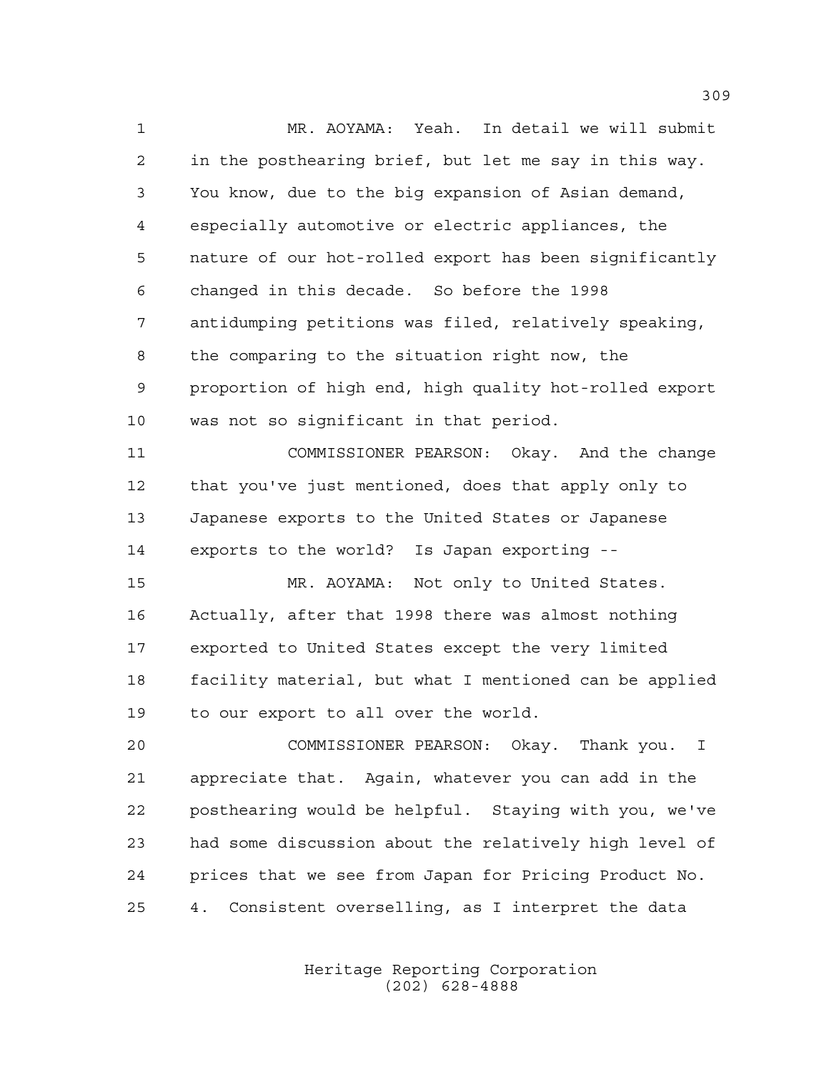MR. AOYAMA: Yeah. In detail we will submit in the posthearing brief, but let me say in this way. You know, due to the big expansion of Asian demand, especially automotive or electric appliances, the nature of our hot-rolled export has been significantly changed in this decade. So before the 1998 antidumping petitions was filed, relatively speaking, the comparing to the situation right now, the proportion of high end, high quality hot-rolled export was not so significant in that period. COMMISSIONER PEARSON: Okay. And the change that you've just mentioned, does that apply only to Japanese exports to the United States or Japanese exports to the world? Is Japan exporting -- MR. AOYAMA: Not only to United States. Actually, after that 1998 there was almost nothing exported to United States except the very limited facility material, but what I mentioned can be applied to our export to all over the world. COMMISSIONER PEARSON: Okay. Thank you. I appreciate that. Again, whatever you can add in the posthearing would be helpful. Staying with you, we've had some discussion about the relatively high level of prices that we see from Japan for Pricing Product No. 4. Consistent overselling, as I interpret the data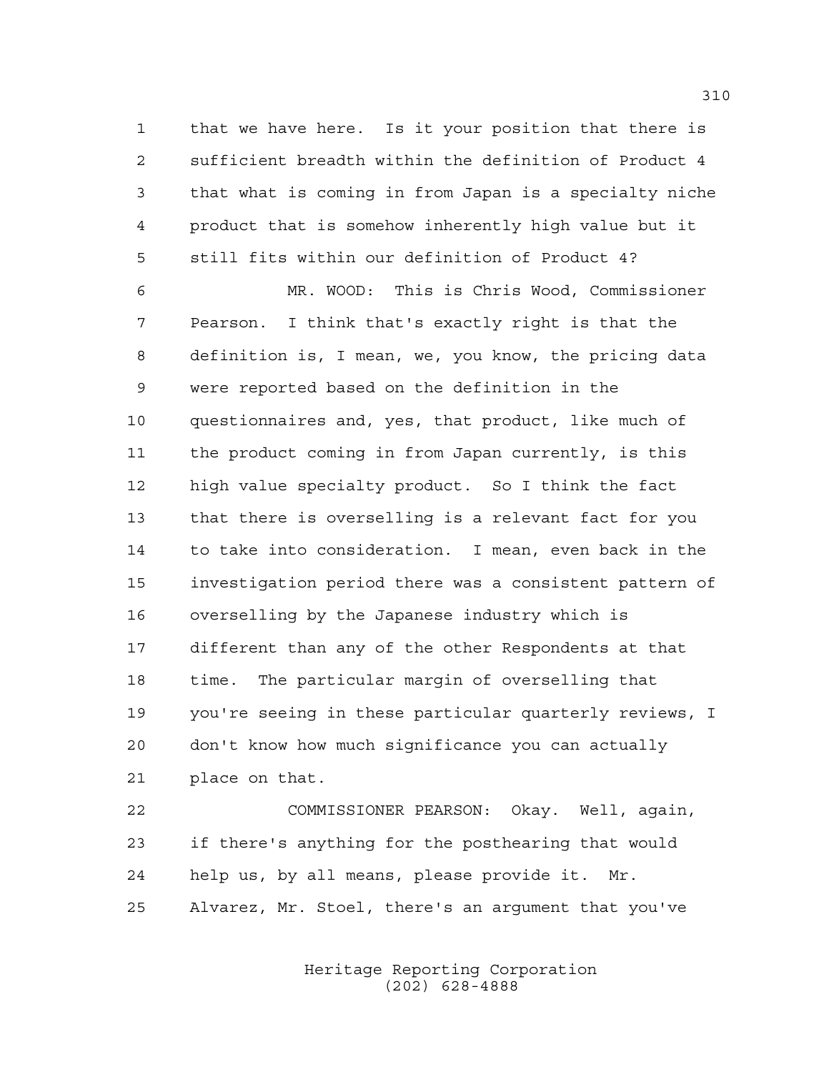that we have here. Is it your position that there is sufficient breadth within the definition of Product 4 that what is coming in from Japan is a specialty niche product that is somehow inherently high value but it still fits within our definition of Product 4?

 MR. WOOD: This is Chris Wood, Commissioner Pearson. I think that's exactly right is that the definition is, I mean, we, you know, the pricing data were reported based on the definition in the questionnaires and, yes, that product, like much of the product coming in from Japan currently, is this high value specialty product. So I think the fact that there is overselling is a relevant fact for you to take into consideration. I mean, even back in the investigation period there was a consistent pattern of overselling by the Japanese industry which is different than any of the other Respondents at that time. The particular margin of overselling that you're seeing in these particular quarterly reviews, I don't know how much significance you can actually place on that.

 COMMISSIONER PEARSON: Okay. Well, again, if there's anything for the posthearing that would help us, by all means, please provide it. Mr. Alvarez, Mr. Stoel, there's an argument that you've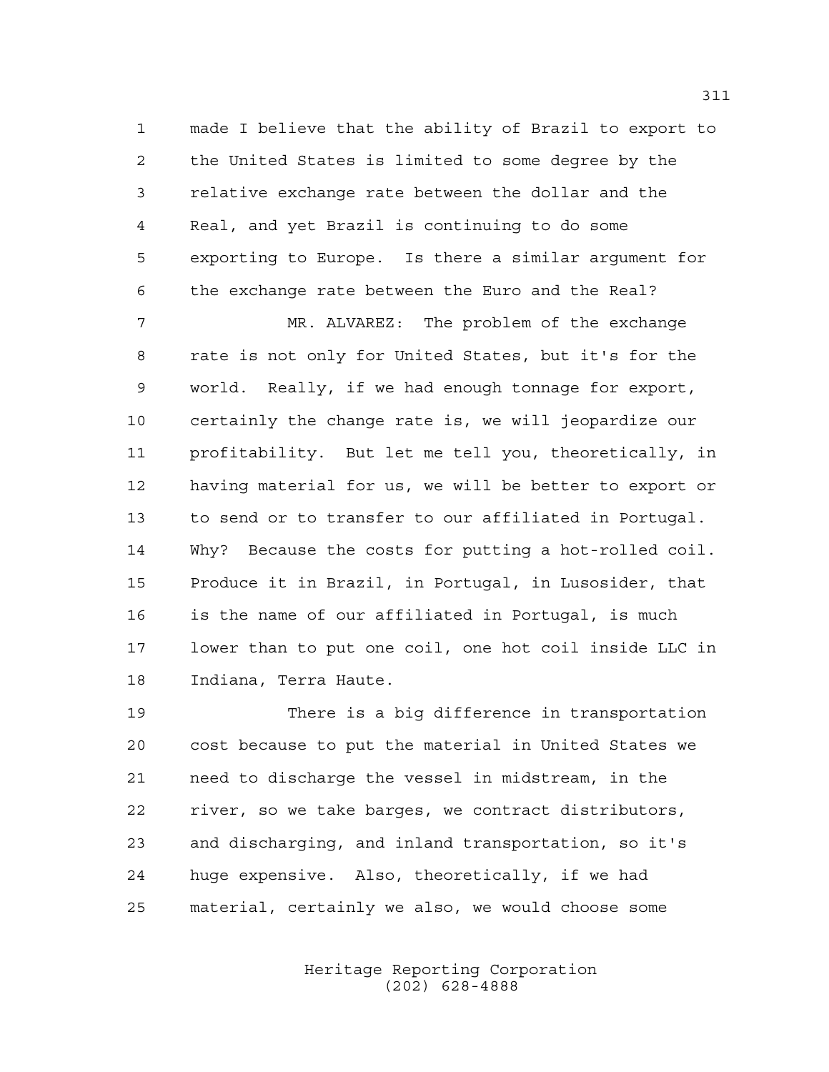made I believe that the ability of Brazil to export to the United States is limited to some degree by the relative exchange rate between the dollar and the Real, and yet Brazil is continuing to do some exporting to Europe. Is there a similar argument for the exchange rate between the Euro and the Real?

 MR. ALVAREZ: The problem of the exchange rate is not only for United States, but it's for the world. Really, if we had enough tonnage for export, certainly the change rate is, we will jeopardize our profitability. But let me tell you, theoretically, in having material for us, we will be better to export or to send or to transfer to our affiliated in Portugal. Why? Because the costs for putting a hot-rolled coil. Produce it in Brazil, in Portugal, in Lusosider, that is the name of our affiliated in Portugal, is much lower than to put one coil, one hot coil inside LLC in Indiana, Terra Haute.

 There is a big difference in transportation cost because to put the material in United States we need to discharge the vessel in midstream, in the river, so we take barges, we contract distributors, and discharging, and inland transportation, so it's huge expensive. Also, theoretically, if we had material, certainly we also, we would choose some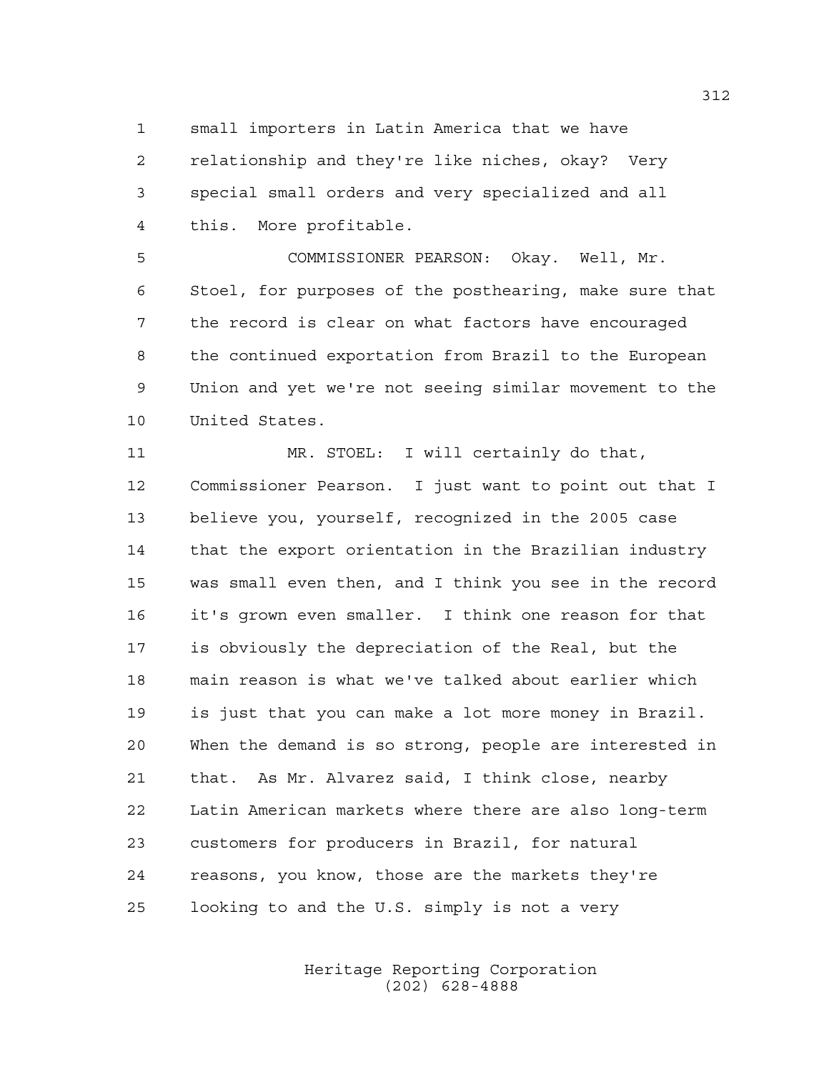small importers in Latin America that we have

 relationship and they're like niches, okay? Very special small orders and very specialized and all this. More profitable.

 COMMISSIONER PEARSON: Okay. Well, Mr. Stoel, for purposes of the posthearing, make sure that the record is clear on what factors have encouraged the continued exportation from Brazil to the European Union and yet we're not seeing similar movement to the United States.

 MR. STOEL: I will certainly do that, Commissioner Pearson. I just want to point out that I believe you, yourself, recognized in the 2005 case that the export orientation in the Brazilian industry was small even then, and I think you see in the record it's grown even smaller. I think one reason for that is obviously the depreciation of the Real, but the main reason is what we've talked about earlier which is just that you can make a lot more money in Brazil. When the demand is so strong, people are interested in that. As Mr. Alvarez said, I think close, nearby Latin American markets where there are also long-term customers for producers in Brazil, for natural reasons, you know, those are the markets they're looking to and the U.S. simply is not a very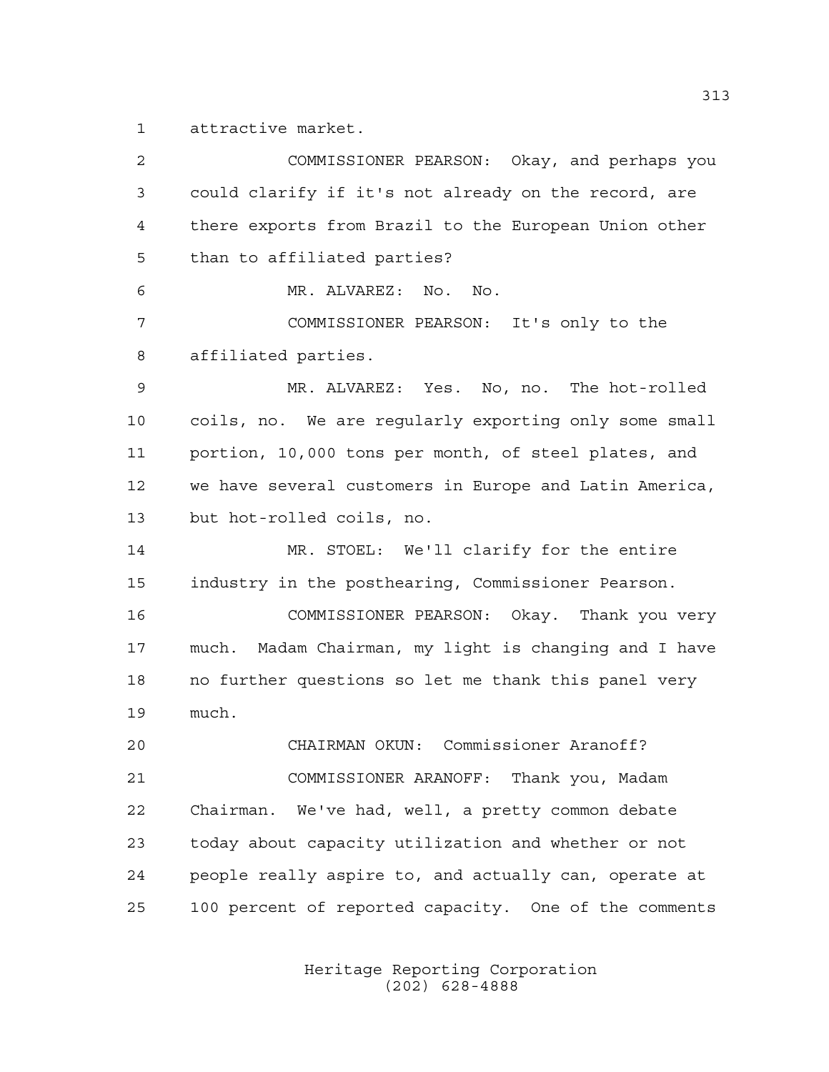attractive market.

 COMMISSIONER PEARSON: Okay, and perhaps you could clarify if it's not already on the record, are there exports from Brazil to the European Union other than to affiliated parties? MR. ALVAREZ: No. No. COMMISSIONER PEARSON: It's only to the affiliated parties. MR. ALVAREZ: Yes. No, no. The hot-rolled coils, no. We are regularly exporting only some small portion, 10,000 tons per month, of steel plates, and we have several customers in Europe and Latin America, but hot-rolled coils, no. MR. STOEL: We'll clarify for the entire industry in the posthearing, Commissioner Pearson. COMMISSIONER PEARSON: Okay. Thank you very much. Madam Chairman, my light is changing and I have no further questions so let me thank this panel very much. CHAIRMAN OKUN: Commissioner Aranoff? COMMISSIONER ARANOFF: Thank you, Madam Chairman. We've had, well, a pretty common debate today about capacity utilization and whether or not people really aspire to, and actually can, operate at 100 percent of reported capacity. One of the comments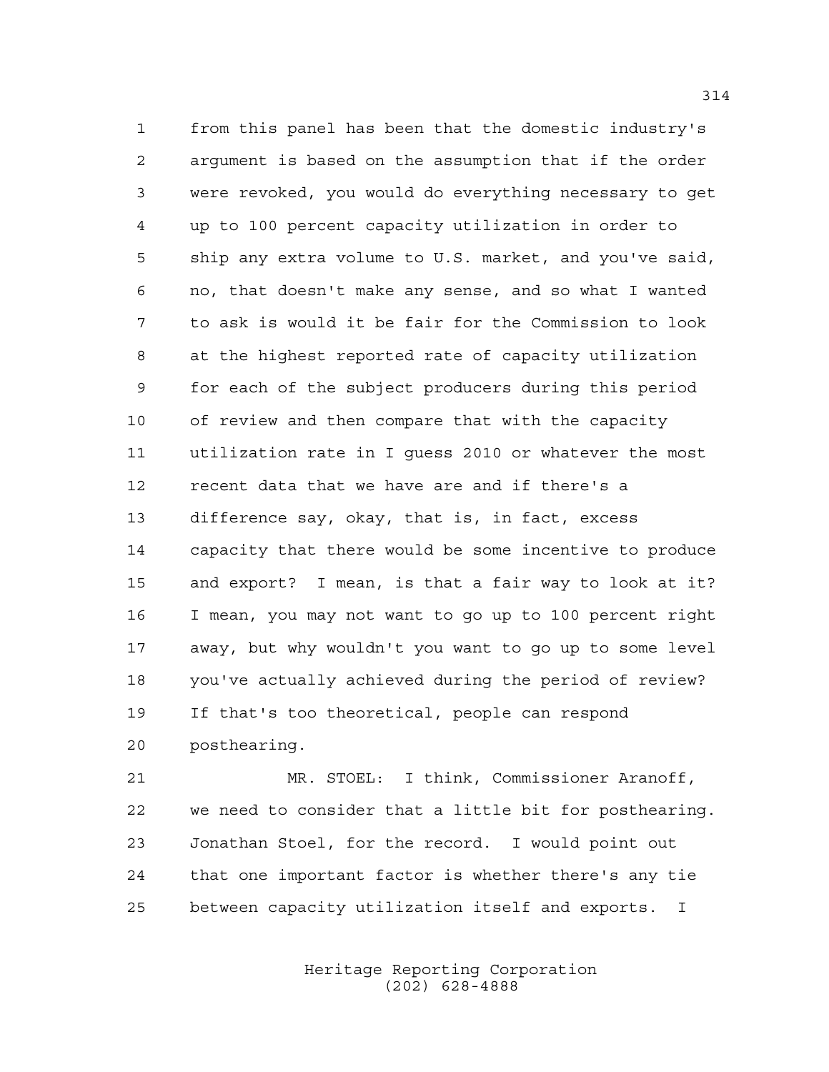from this panel has been that the domestic industry's argument is based on the assumption that if the order were revoked, you would do everything necessary to get up to 100 percent capacity utilization in order to ship any extra volume to U.S. market, and you've said, no, that doesn't make any sense, and so what I wanted to ask is would it be fair for the Commission to look at the highest reported rate of capacity utilization for each of the subject producers during this period of review and then compare that with the capacity utilization rate in I guess 2010 or whatever the most recent data that we have are and if there's a difference say, okay, that is, in fact, excess capacity that there would be some incentive to produce and export? I mean, is that a fair way to look at it? I mean, you may not want to go up to 100 percent right away, but why wouldn't you want to go up to some level you've actually achieved during the period of review? If that's too theoretical, people can respond posthearing.

 MR. STOEL: I think, Commissioner Aranoff, we need to consider that a little bit for posthearing. Jonathan Stoel, for the record. I would point out that one important factor is whether there's any tie between capacity utilization itself and exports. I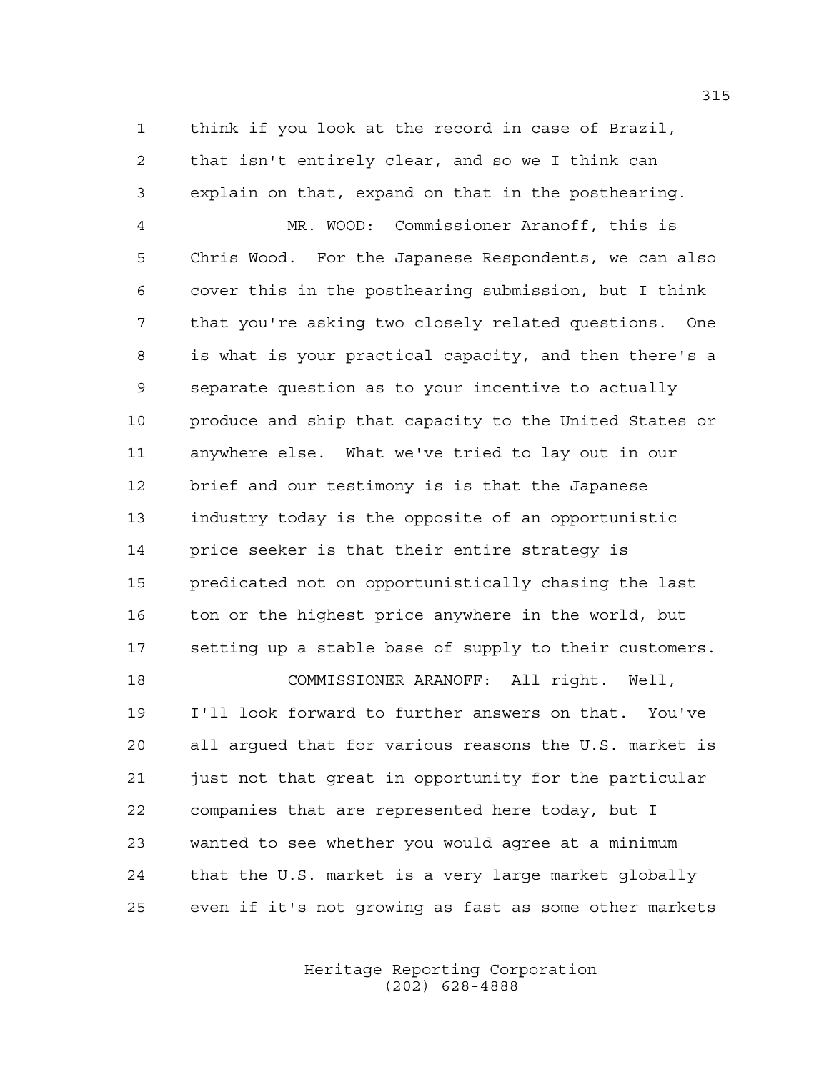think if you look at the record in case of Brazil, that isn't entirely clear, and so we I think can explain on that, expand on that in the posthearing.

 MR. WOOD: Commissioner Aranoff, this is Chris Wood. For the Japanese Respondents, we can also cover this in the posthearing submission, but I think that you're asking two closely related questions. One is what is your practical capacity, and then there's a separate question as to your incentive to actually 10 produce and ship that capacity to the United States or anywhere else. What we've tried to lay out in our brief and our testimony is is that the Japanese industry today is the opposite of an opportunistic price seeker is that their entire strategy is predicated not on opportunistically chasing the last 16 ton or the highest price anywhere in the world, but setting up a stable base of supply to their customers. COMMISSIONER ARANOFF: All right. Well, I'll look forward to further answers on that. You've all argued that for various reasons the U.S. market is just not that great in opportunity for the particular companies that are represented here today, but I

 wanted to see whether you would agree at a minimum that the U.S. market is a very large market globally even if it's not growing as fast as some other markets

> Heritage Reporting Corporation (202) 628-4888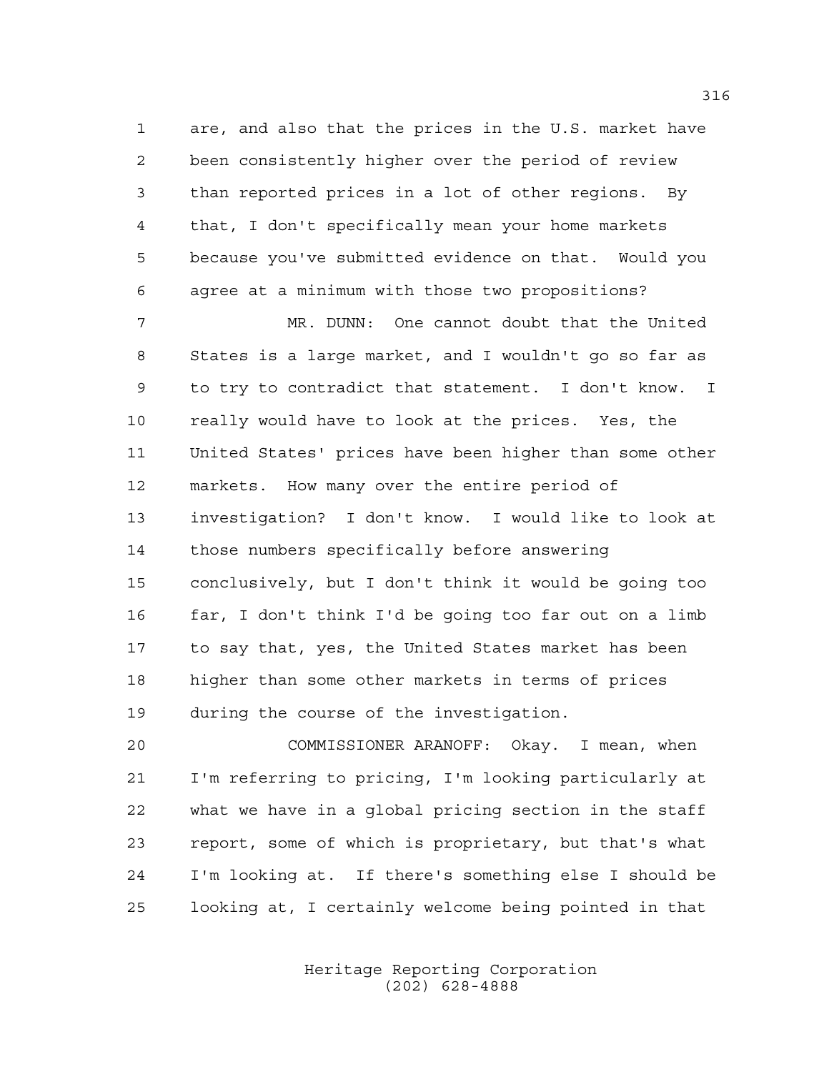are, and also that the prices in the U.S. market have been consistently higher over the period of review than reported prices in a lot of other regions. By that, I don't specifically mean your home markets because you've submitted evidence on that. Would you agree at a minimum with those two propositions?

 MR. DUNN: One cannot doubt that the United States is a large market, and I wouldn't go so far as to try to contradict that statement. I don't know. I really would have to look at the prices. Yes, the United States' prices have been higher than some other markets. How many over the entire period of investigation? I don't know. I would like to look at those numbers specifically before answering conclusively, but I don't think it would be going too far, I don't think I'd be going too far out on a limb to say that, yes, the United States market has been higher than some other markets in terms of prices during the course of the investigation.

 COMMISSIONER ARANOFF: Okay. I mean, when I'm referring to pricing, I'm looking particularly at what we have in a global pricing section in the staff report, some of which is proprietary, but that's what I'm looking at. If there's something else I should be looking at, I certainly welcome being pointed in that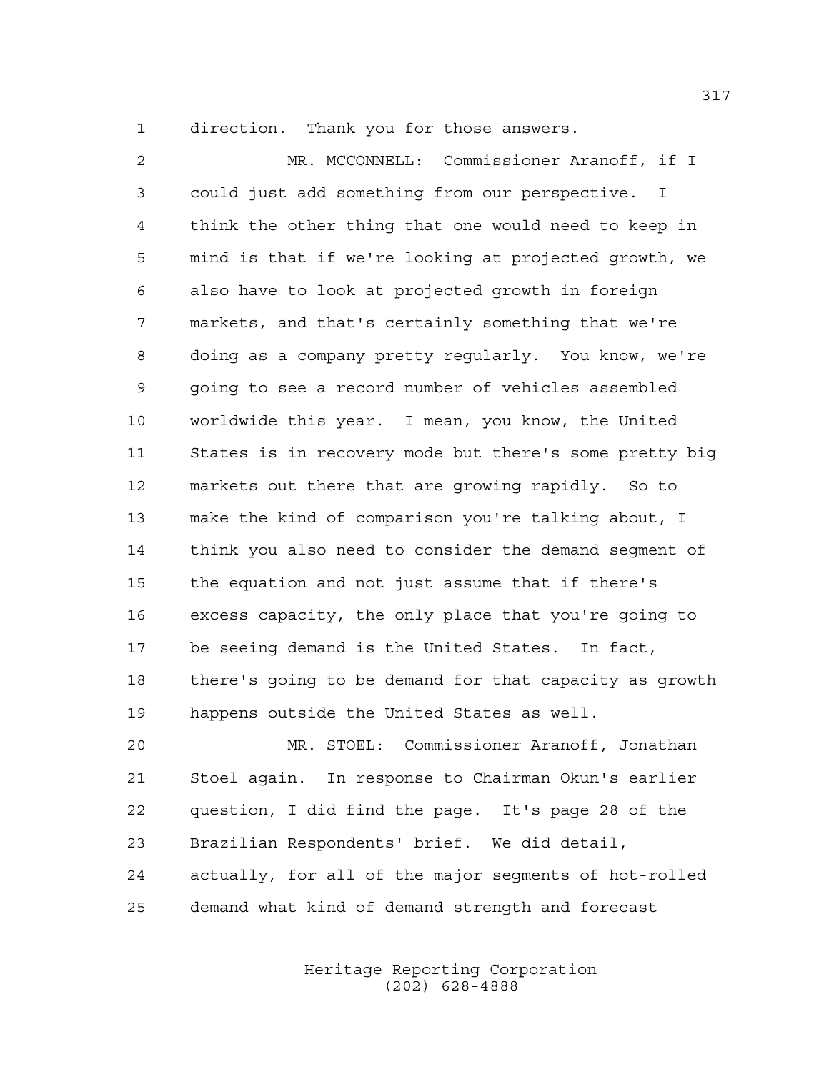direction. Thank you for those answers.

 MR. MCCONNELL: Commissioner Aranoff, if I could just add something from our perspective. I think the other thing that one would need to keep in mind is that if we're looking at projected growth, we also have to look at projected growth in foreign markets, and that's certainly something that we're doing as a company pretty regularly. You know, we're going to see a record number of vehicles assembled worldwide this year. I mean, you know, the United States is in recovery mode but there's some pretty big markets out there that are growing rapidly. So to make the kind of comparison you're talking about, I think you also need to consider the demand segment of the equation and not just assume that if there's excess capacity, the only place that you're going to be seeing demand is the United States. In fact, there's going to be demand for that capacity as growth happens outside the United States as well.

 MR. STOEL: Commissioner Aranoff, Jonathan Stoel again. In response to Chairman Okun's earlier question, I did find the page. It's page 28 of the Brazilian Respondents' brief. We did detail, actually, for all of the major segments of hot-rolled demand what kind of demand strength and forecast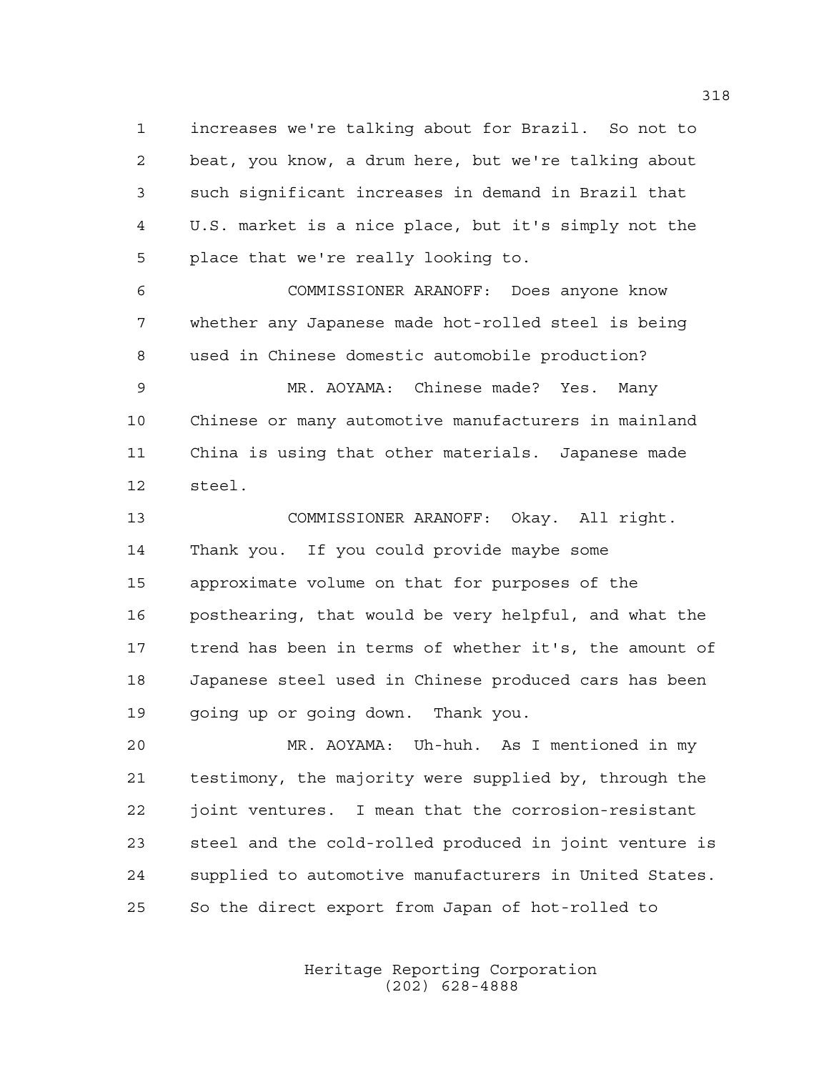increases we're talking about for Brazil. So not to beat, you know, a drum here, but we're talking about such significant increases in demand in Brazil that U.S. market is a nice place, but it's simply not the place that we're really looking to.

 COMMISSIONER ARANOFF: Does anyone know whether any Japanese made hot-rolled steel is being used in Chinese domestic automobile production?

 MR. AOYAMA: Chinese made? Yes. Many Chinese or many automotive manufacturers in mainland China is using that other materials. Japanese made steel.

 COMMISSIONER ARANOFF: Okay. All right. Thank you. If you could provide maybe some approximate volume on that for purposes of the posthearing, that would be very helpful, and what the trend has been in terms of whether it's, the amount of Japanese steel used in Chinese produced cars has been going up or going down. Thank you.

 MR. AOYAMA: Uh-huh. As I mentioned in my testimony, the majority were supplied by, through the joint ventures. I mean that the corrosion-resistant steel and the cold-rolled produced in joint venture is supplied to automotive manufacturers in United States. So the direct export from Japan of hot-rolled to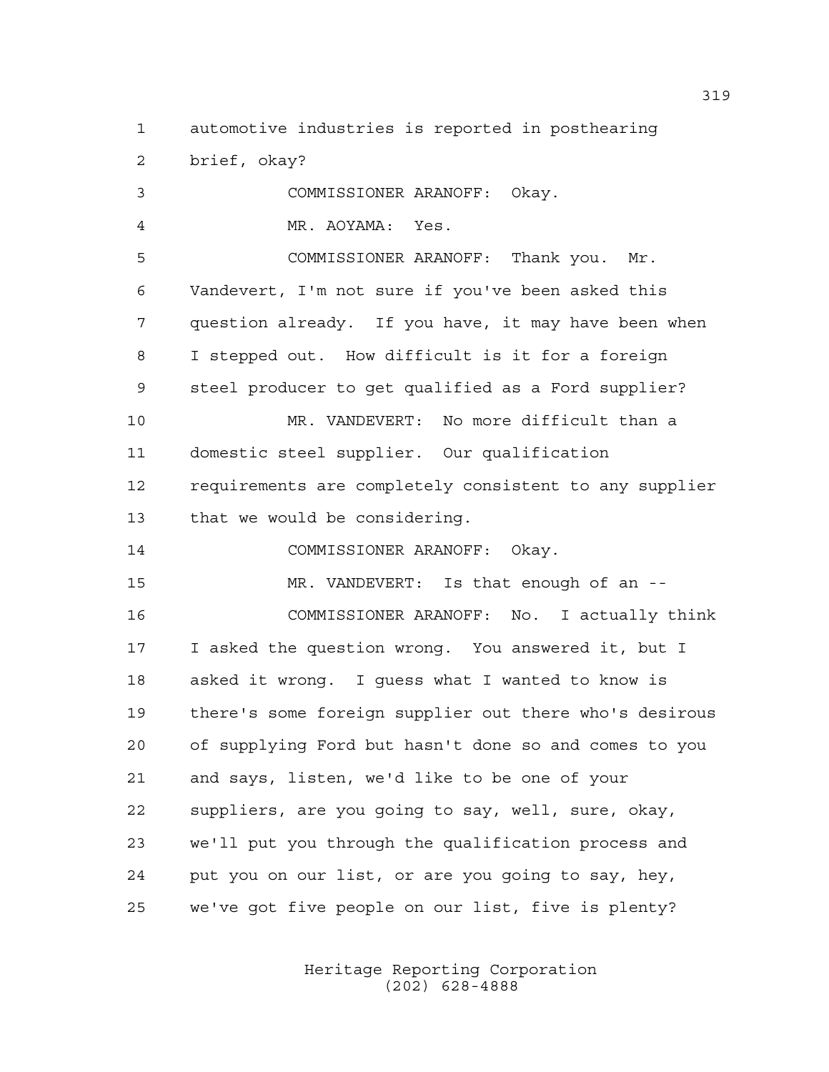automotive industries is reported in posthearing

brief, okay?

 COMMISSIONER ARANOFF: Okay. MR. AOYAMA: Yes. COMMISSIONER ARANOFF: Thank you. Mr. Vandevert, I'm not sure if you've been asked this question already. If you have, it may have been when I stepped out. How difficult is it for a foreign steel producer to get qualified as a Ford supplier? MR. VANDEVERT: No more difficult than a domestic steel supplier. Our qualification requirements are completely consistent to any supplier that we would be considering. COMMISSIONER ARANOFF: Okay. MR. VANDEVERT: Is that enough of an -- COMMISSIONER ARANOFF: No. I actually think I asked the question wrong. You answered it, but I asked it wrong. I guess what I wanted to know is there's some foreign supplier out there who's desirous of supplying Ford but hasn't done so and comes to you and says, listen, we'd like to be one of your suppliers, are you going to say, well, sure, okay, we'll put you through the qualification process and put you on our list, or are you going to say, hey, we've got five people on our list, five is plenty?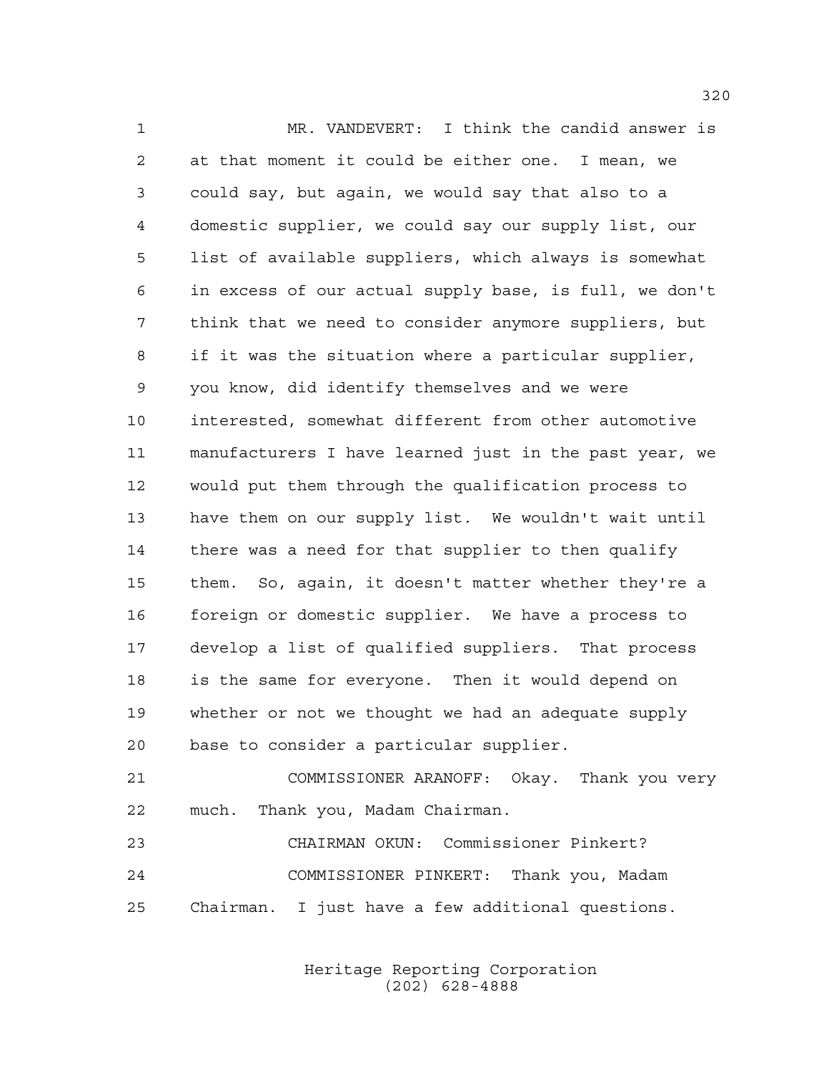MR. VANDEVERT: I think the candid answer is at that moment it could be either one. I mean, we could say, but again, we would say that also to a domestic supplier, we could say our supply list, our list of available suppliers, which always is somewhat in excess of our actual supply base, is full, we don't think that we need to consider anymore suppliers, but if it was the situation where a particular supplier, you know, did identify themselves and we were interested, somewhat different from other automotive manufacturers I have learned just in the past year, we would put them through the qualification process to have them on our supply list. We wouldn't wait until there was a need for that supplier to then qualify them. So, again, it doesn't matter whether they're a foreign or domestic supplier. We have a process to develop a list of qualified suppliers. That process is the same for everyone. Then it would depend on whether or not we thought we had an adequate supply base to consider a particular supplier.

 COMMISSIONER ARANOFF: Okay. Thank you very much. Thank you, Madam Chairman.

 CHAIRMAN OKUN: Commissioner Pinkert? COMMISSIONER PINKERT: Thank you, Madam Chairman. I just have a few additional questions.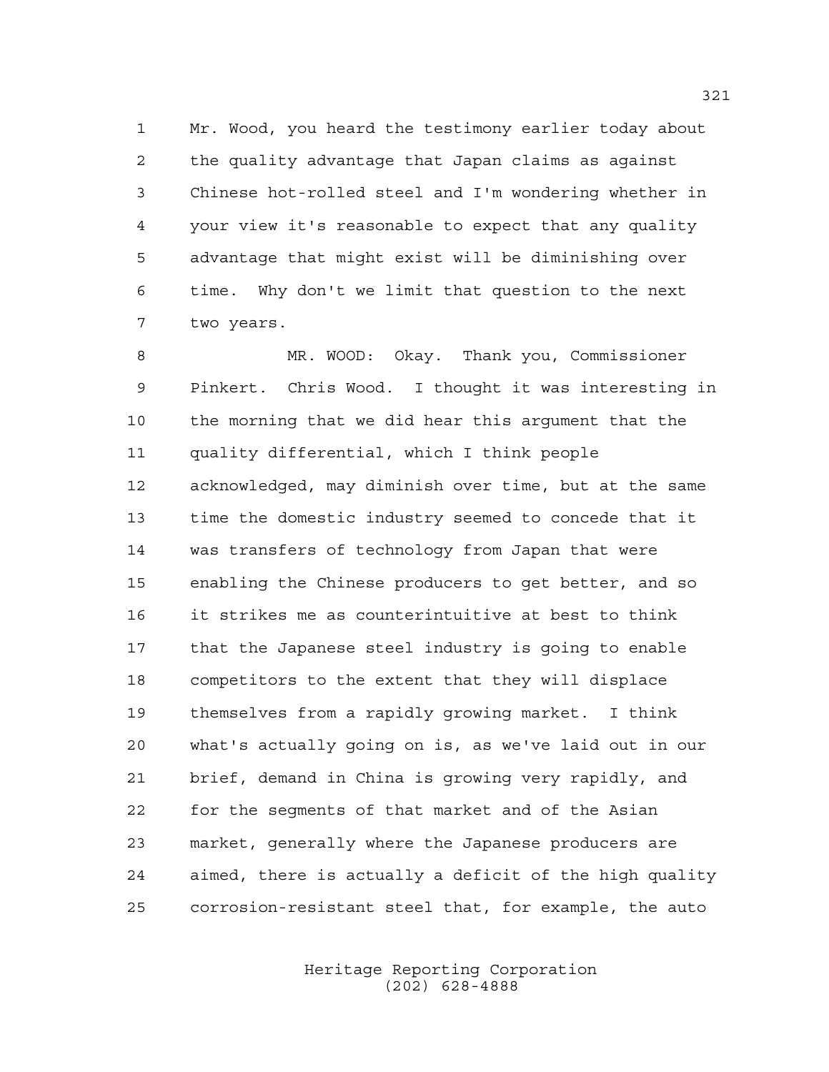Mr. Wood, you heard the testimony earlier today about the quality advantage that Japan claims as against Chinese hot-rolled steel and I'm wondering whether in your view it's reasonable to expect that any quality advantage that might exist will be diminishing over time. Why don't we limit that question to the next two years.

 MR. WOOD: Okay. Thank you, Commissioner Pinkert. Chris Wood. I thought it was interesting in the morning that we did hear this argument that the quality differential, which I think people acknowledged, may diminish over time, but at the same time the domestic industry seemed to concede that it was transfers of technology from Japan that were enabling the Chinese producers to get better, and so it strikes me as counterintuitive at best to think that the Japanese steel industry is going to enable competitors to the extent that they will displace themselves from a rapidly growing market. I think what's actually going on is, as we've laid out in our brief, demand in China is growing very rapidly, and for the segments of that market and of the Asian market, generally where the Japanese producers are aimed, there is actually a deficit of the high quality corrosion-resistant steel that, for example, the auto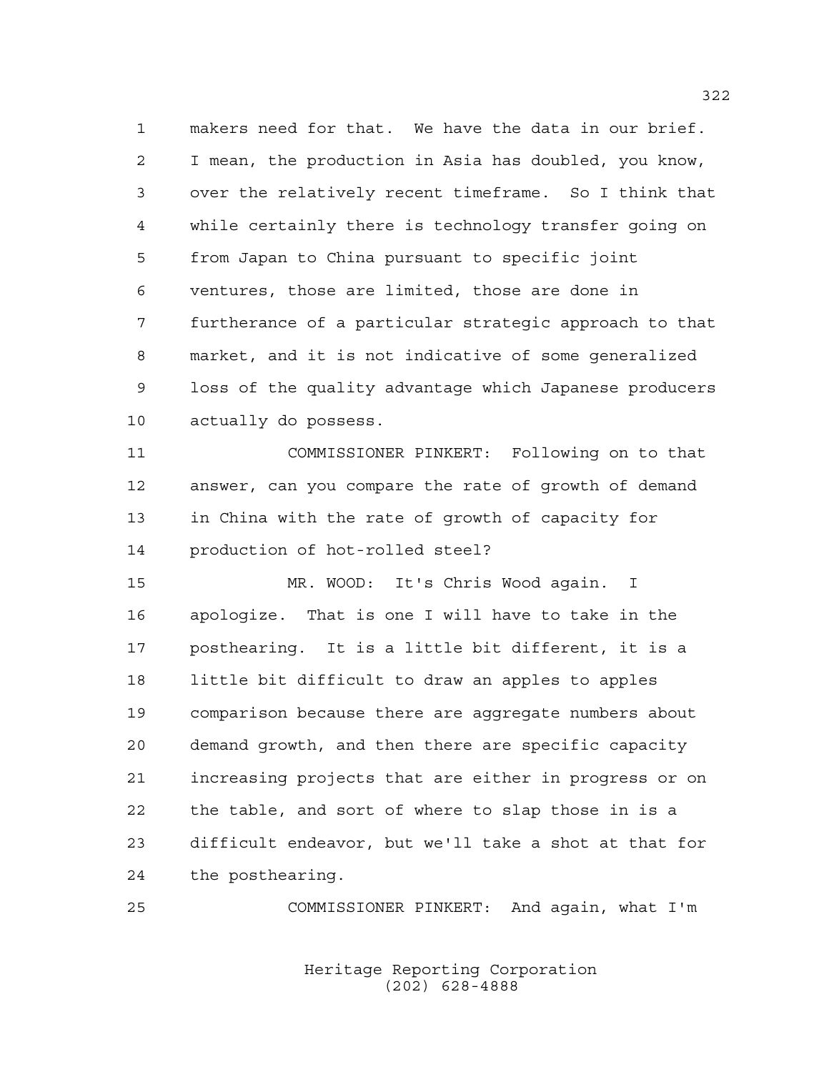makers need for that. We have the data in our brief. I mean, the production in Asia has doubled, you know, over the relatively recent timeframe. So I think that while certainly there is technology transfer going on from Japan to China pursuant to specific joint ventures, those are limited, those are done in furtherance of a particular strategic approach to that market, and it is not indicative of some generalized loss of the quality advantage which Japanese producers actually do possess.

 COMMISSIONER PINKERT: Following on to that answer, can you compare the rate of growth of demand in China with the rate of growth of capacity for production of hot-rolled steel?

 MR. WOOD: It's Chris Wood again. I apologize. That is one I will have to take in the posthearing. It is a little bit different, it is a little bit difficult to draw an apples to apples comparison because there are aggregate numbers about demand growth, and then there are specific capacity increasing projects that are either in progress or on the table, and sort of where to slap those in is a difficult endeavor, but we'll take a shot at that for the posthearing.

COMMISSIONER PINKERT: And again, what I'm

Heritage Reporting Corporation (202) 628-4888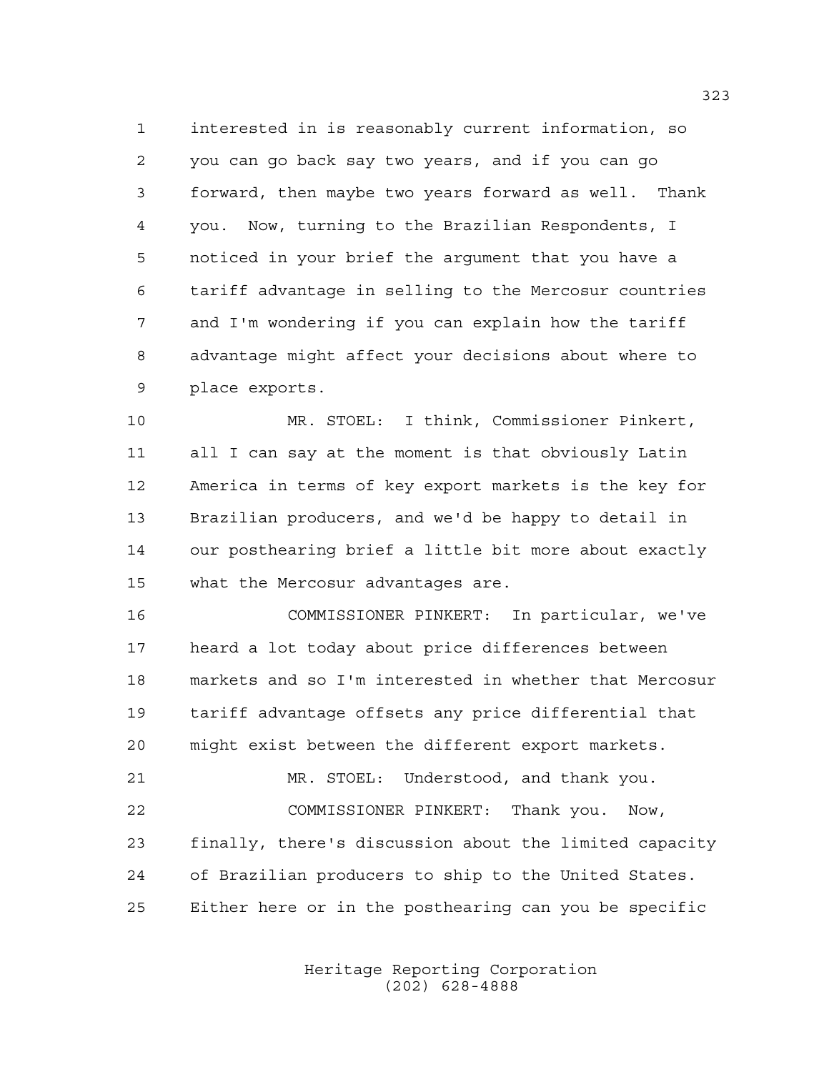interested in is reasonably current information, so you can go back say two years, and if you can go forward, then maybe two years forward as well. Thank you. Now, turning to the Brazilian Respondents, I noticed in your brief the argument that you have a tariff advantage in selling to the Mercosur countries and I'm wondering if you can explain how the tariff advantage might affect your decisions about where to place exports.

 MR. STOEL: I think, Commissioner Pinkert, all I can say at the moment is that obviously Latin America in terms of key export markets is the key for Brazilian producers, and we'd be happy to detail in our posthearing brief a little bit more about exactly what the Mercosur advantages are.

 COMMISSIONER PINKERT: In particular, we've heard a lot today about price differences between markets and so I'm interested in whether that Mercosur tariff advantage offsets any price differential that might exist between the different export markets.

 MR. STOEL: Understood, and thank you. COMMISSIONER PINKERT: Thank you. Now, finally, there's discussion about the limited capacity of Brazilian producers to ship to the United States. Either here or in the posthearing can you be specific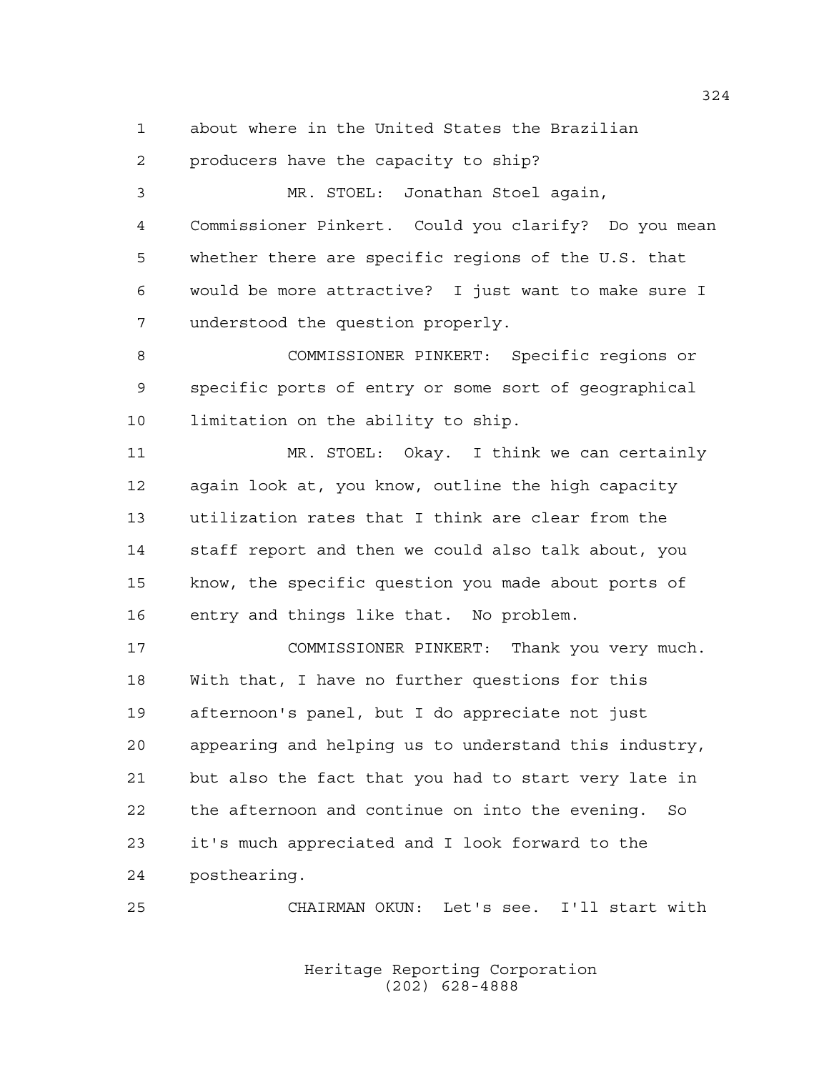about where in the United States the Brazilian

producers have the capacity to ship?

 MR. STOEL: Jonathan Stoel again, Commissioner Pinkert. Could you clarify? Do you mean whether there are specific regions of the U.S. that would be more attractive? I just want to make sure I understood the question properly.

 COMMISSIONER PINKERT: Specific regions or specific ports of entry or some sort of geographical limitation on the ability to ship.

 MR. STOEL: Okay. I think we can certainly again look at, you know, outline the high capacity utilization rates that I think are clear from the staff report and then we could also talk about, you know, the specific question you made about ports of entry and things like that. No problem.

 COMMISSIONER PINKERT: Thank you very much. With that, I have no further questions for this afternoon's panel, but I do appreciate not just appearing and helping us to understand this industry, but also the fact that you had to start very late in the afternoon and continue on into the evening. So it's much appreciated and I look forward to the posthearing.

CHAIRMAN OKUN: Let's see. I'll start with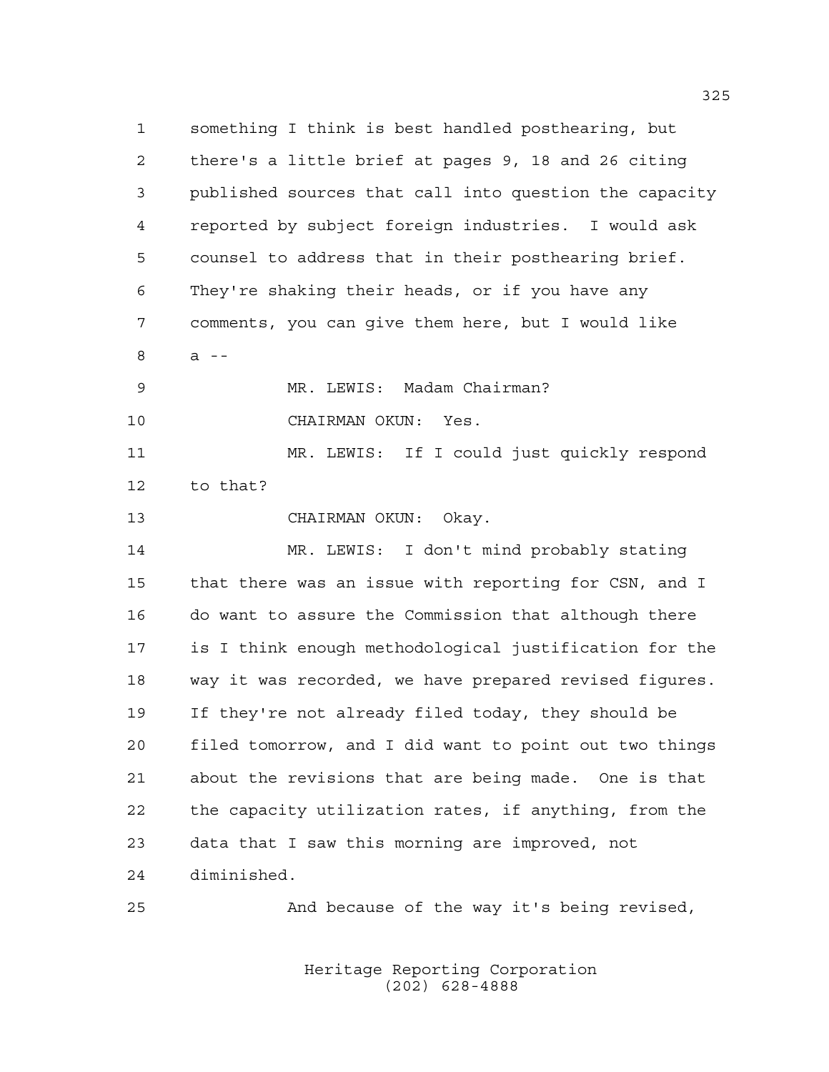something I think is best handled posthearing, but there's a little brief at pages 9, 18 and 26 citing published sources that call into question the capacity reported by subject foreign industries. I would ask counsel to address that in their posthearing brief. They're shaking their heads, or if you have any comments, you can give them here, but I would like a -- MR. LEWIS: Madam Chairman? CHAIRMAN OKUN: Yes. MR. LEWIS: If I could just quickly respond to that? CHAIRMAN OKUN: Okay. MR. LEWIS: I don't mind probably stating that there was an issue with reporting for CSN, and I do want to assure the Commission that although there is I think enough methodological justification for the way it was recorded, we have prepared revised figures. If they're not already filed today, they should be filed tomorrow, and I did want to point out two things about the revisions that are being made. One is that the capacity utilization rates, if anything, from the data that I saw this morning are improved, not diminished. And because of the way it's being revised,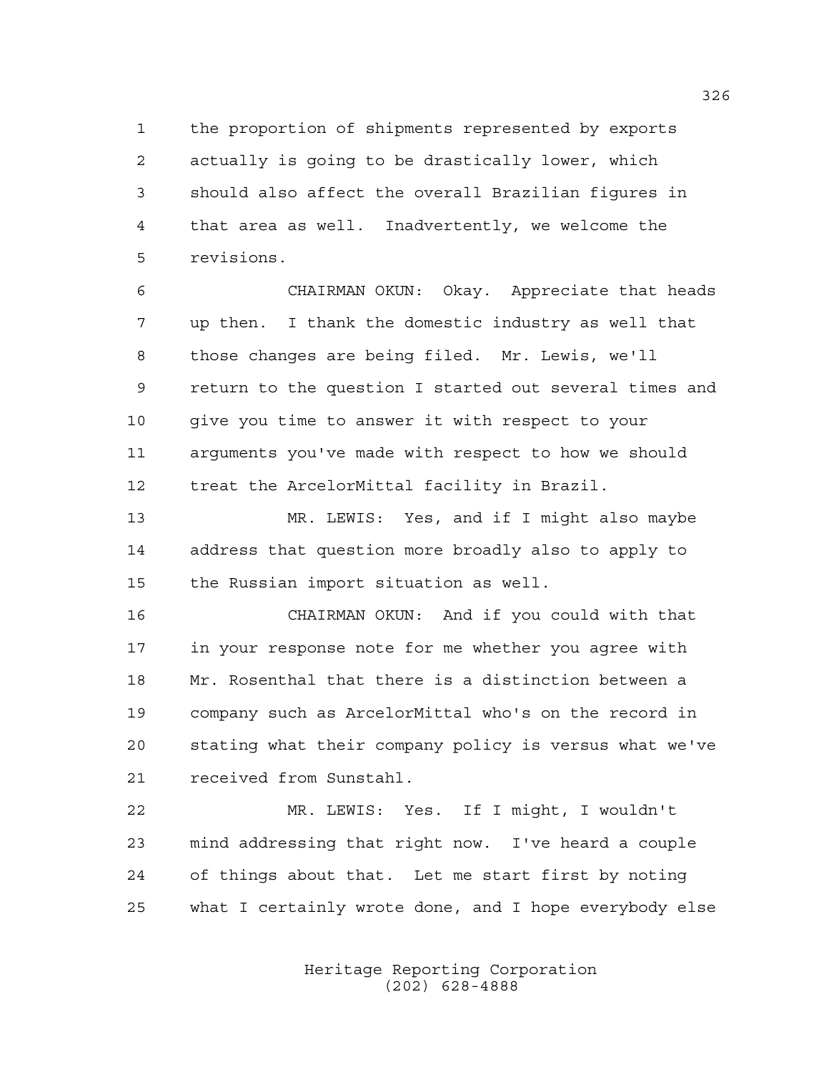the proportion of shipments represented by exports actually is going to be drastically lower, which should also affect the overall Brazilian figures in that area as well. Inadvertently, we welcome the revisions.

 CHAIRMAN OKUN: Okay. Appreciate that heads up then. I thank the domestic industry as well that those changes are being filed. Mr. Lewis, we'll return to the question I started out several times and give you time to answer it with respect to your arguments you've made with respect to how we should treat the ArcelorMittal facility in Brazil.

 MR. LEWIS: Yes, and if I might also maybe address that question more broadly also to apply to the Russian import situation as well.

 CHAIRMAN OKUN: And if you could with that in your response note for me whether you agree with Mr. Rosenthal that there is a distinction between a company such as ArcelorMittal who's on the record in stating what their company policy is versus what we've received from Sunstahl.

 MR. LEWIS: Yes. If I might, I wouldn't mind addressing that right now. I've heard a couple of things about that. Let me start first by noting what I certainly wrote done, and I hope everybody else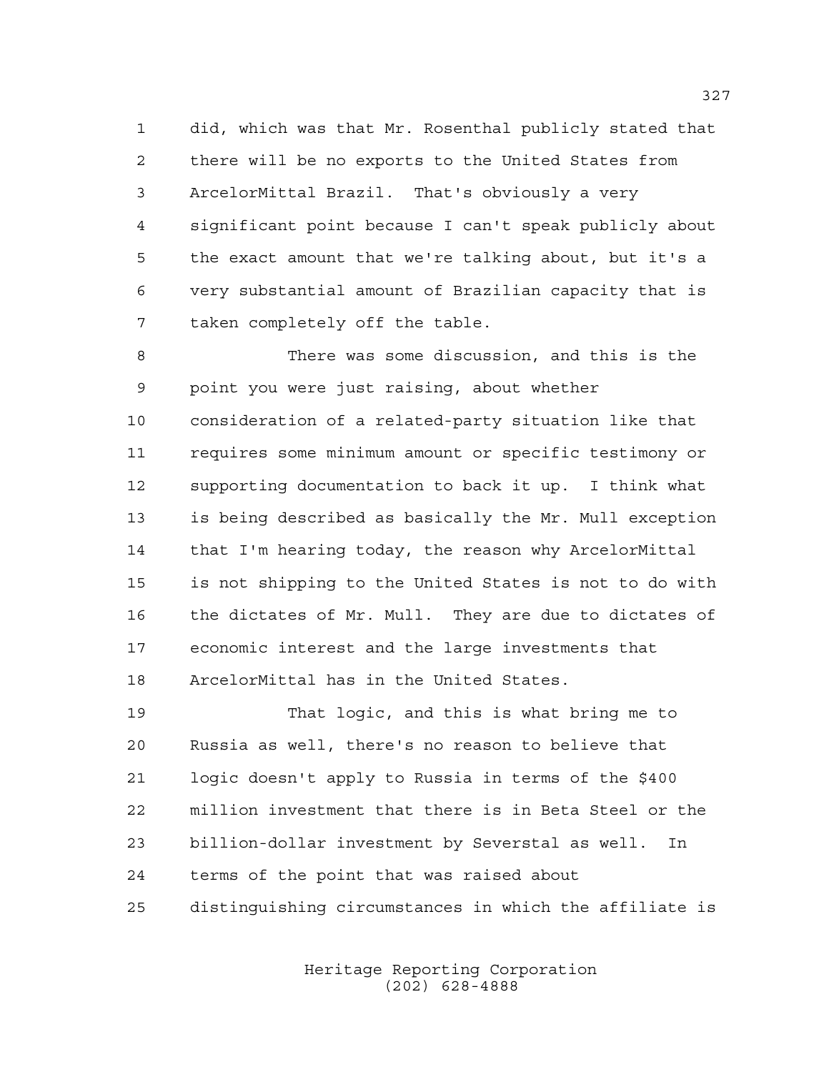did, which was that Mr. Rosenthal publicly stated that there will be no exports to the United States from ArcelorMittal Brazil. That's obviously a very significant point because I can't speak publicly about the exact amount that we're talking about, but it's a very substantial amount of Brazilian capacity that is taken completely off the table.

 There was some discussion, and this is the point you were just raising, about whether consideration of a related-party situation like that requires some minimum amount or specific testimony or supporting documentation to back it up. I think what is being described as basically the Mr. Mull exception that I'm hearing today, the reason why ArcelorMittal is not shipping to the United States is not to do with the dictates of Mr. Mull. They are due to dictates of economic interest and the large investments that ArcelorMittal has in the United States.

 That logic, and this is what bring me to Russia as well, there's no reason to believe that logic doesn't apply to Russia in terms of the \$400 million investment that there is in Beta Steel or the billion-dollar investment by Severstal as well. In terms of the point that was raised about distinguishing circumstances in which the affiliate is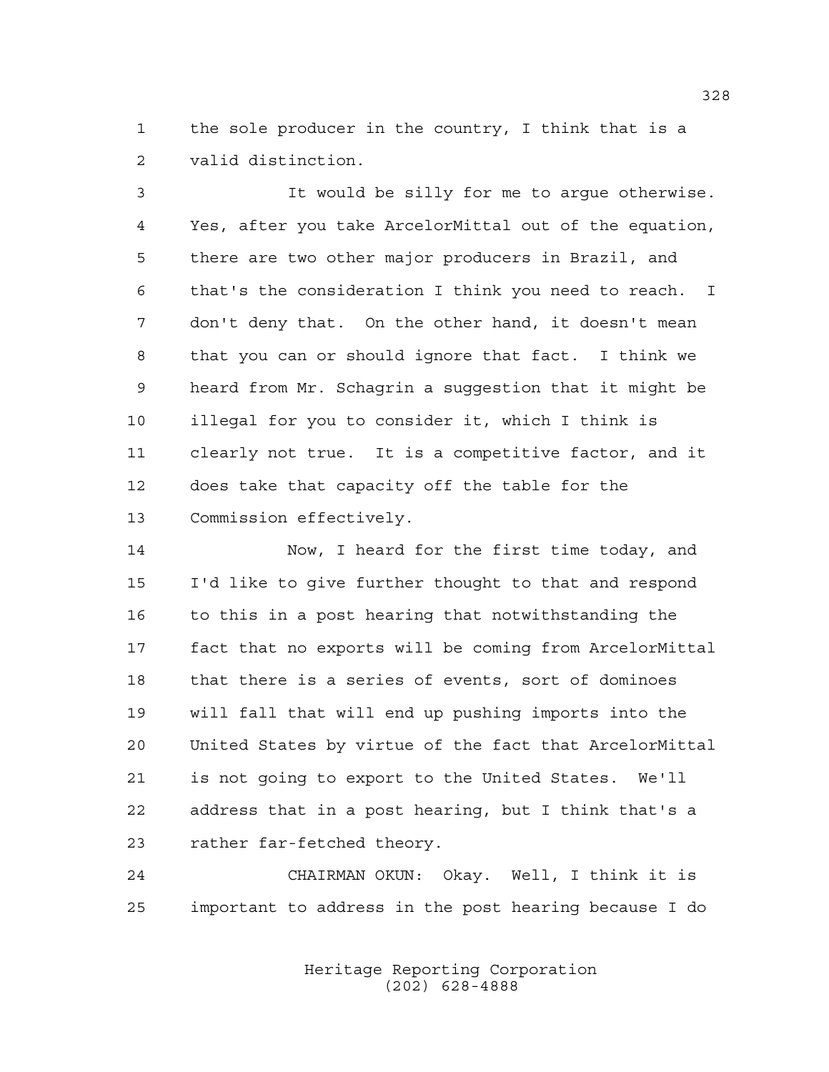the sole producer in the country, I think that is a valid distinction.

 It would be silly for me to argue otherwise. Yes, after you take ArcelorMittal out of the equation, there are two other major producers in Brazil, and that's the consideration I think you need to reach. I don't deny that. On the other hand, it doesn't mean that you can or should ignore that fact. I think we heard from Mr. Schagrin a suggestion that it might be illegal for you to consider it, which I think is clearly not true. It is a competitive factor, and it does take that capacity off the table for the Commission effectively.

 Now, I heard for the first time today, and I'd like to give further thought to that and respond 16 to this in a post hearing that notwithstanding the fact that no exports will be coming from ArcelorMittal that there is a series of events, sort of dominoes will fall that will end up pushing imports into the United States by virtue of the fact that ArcelorMittal is not going to export to the United States. We'll address that in a post hearing, but I think that's a rather far-fetched theory.

 CHAIRMAN OKUN: Okay. Well, I think it is important to address in the post hearing because I do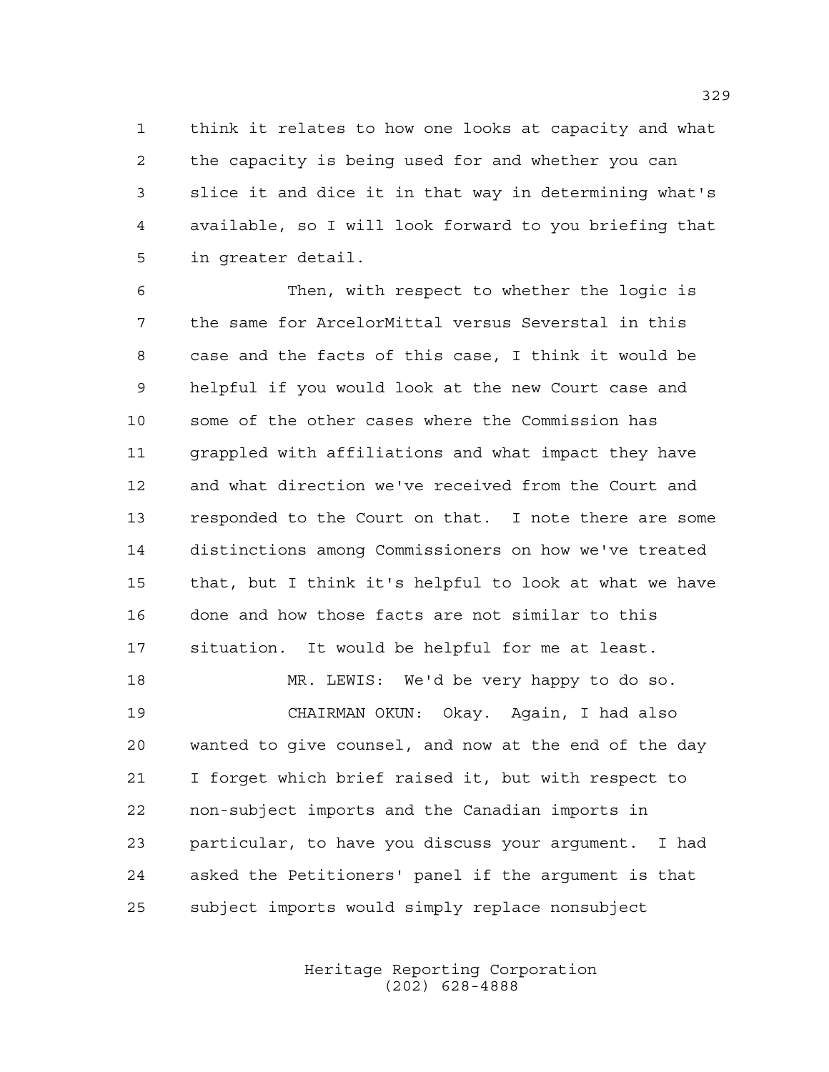think it relates to how one looks at capacity and what the capacity is being used for and whether you can slice it and dice it in that way in determining what's available, so I will look forward to you briefing that in greater detail.

 Then, with respect to whether the logic is the same for ArcelorMittal versus Severstal in this case and the facts of this case, I think it would be helpful if you would look at the new Court case and some of the other cases where the Commission has grappled with affiliations and what impact they have and what direction we've received from the Court and responded to the Court on that. I note there are some distinctions among Commissioners on how we've treated that, but I think it's helpful to look at what we have done and how those facts are not similar to this situation. It would be helpful for me at least. MR. LEWIS: We'd be very happy to do so. CHAIRMAN OKUN: Okay. Again, I had also wanted to give counsel, and now at the end of the day I forget which brief raised it, but with respect to

 non-subject imports and the Canadian imports in particular, to have you discuss your argument. I had asked the Petitioners' panel if the argument is that subject imports would simply replace nonsubject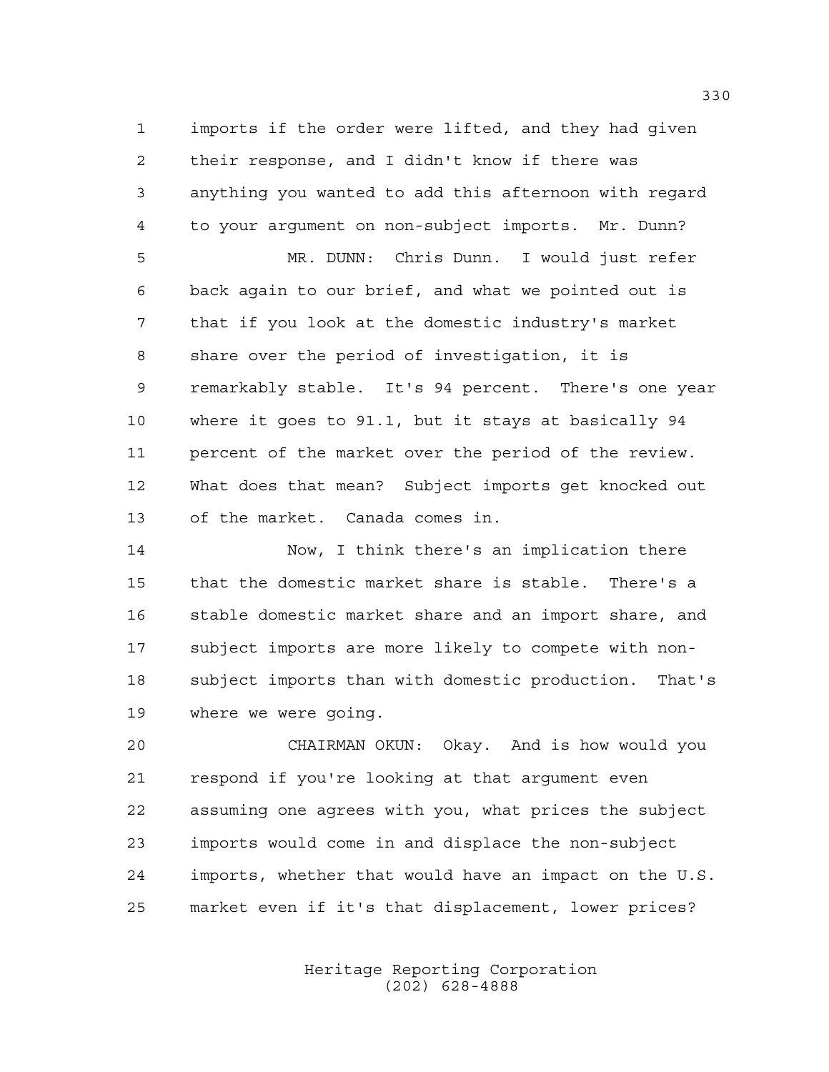imports if the order were lifted, and they had given their response, and I didn't know if there was anything you wanted to add this afternoon with regard to your argument on non-subject imports. Mr. Dunn?

 MR. DUNN: Chris Dunn. I would just refer back again to our brief, and what we pointed out is that if you look at the domestic industry's market share over the period of investigation, it is remarkably stable. It's 94 percent. There's one year where it goes to 91.1, but it stays at basically 94 percent of the market over the period of the review. What does that mean? Subject imports get knocked out of the market. Canada comes in.

 Now, I think there's an implication there that the domestic market share is stable. There's a stable domestic market share and an import share, and subject imports are more likely to compete with non- subject imports than with domestic production. That's where we were going.

 CHAIRMAN OKUN: Okay. And is how would you respond if you're looking at that argument even assuming one agrees with you, what prices the subject imports would come in and displace the non-subject imports, whether that would have an impact on the U.S. market even if it's that displacement, lower prices?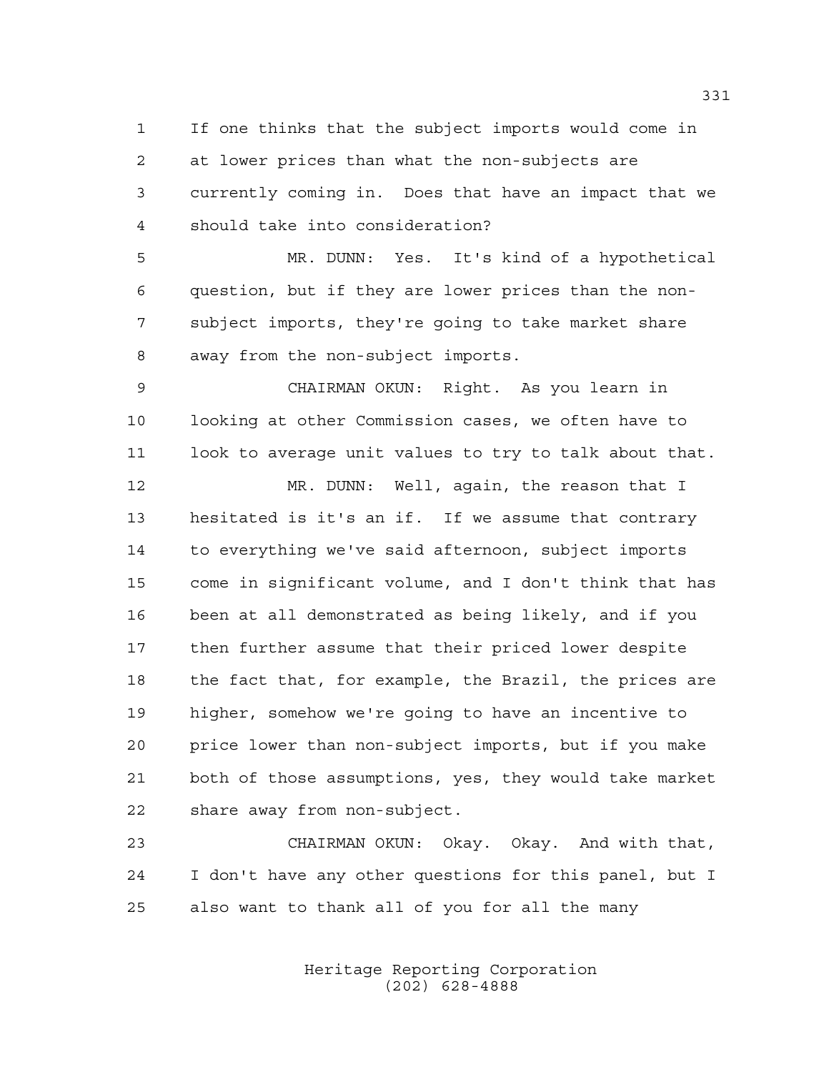If one thinks that the subject imports would come in at lower prices than what the non-subjects are currently coming in. Does that have an impact that we should take into consideration?

 MR. DUNN: Yes. It's kind of a hypothetical question, but if they are lower prices than the non- subject imports, they're going to take market share away from the non-subject imports.

 CHAIRMAN OKUN: Right. As you learn in looking at other Commission cases, we often have to look to average unit values to try to talk about that.

 MR. DUNN: Well, again, the reason that I hesitated is it's an if. If we assume that contrary to everything we've said afternoon, subject imports come in significant volume, and I don't think that has been at all demonstrated as being likely, and if you then further assume that their priced lower despite the fact that, for example, the Brazil, the prices are higher, somehow we're going to have an incentive to price lower than non-subject imports, but if you make both of those assumptions, yes, they would take market share away from non-subject.

 CHAIRMAN OKUN: Okay. Okay. And with that, I don't have any other questions for this panel, but I also want to thank all of you for all the many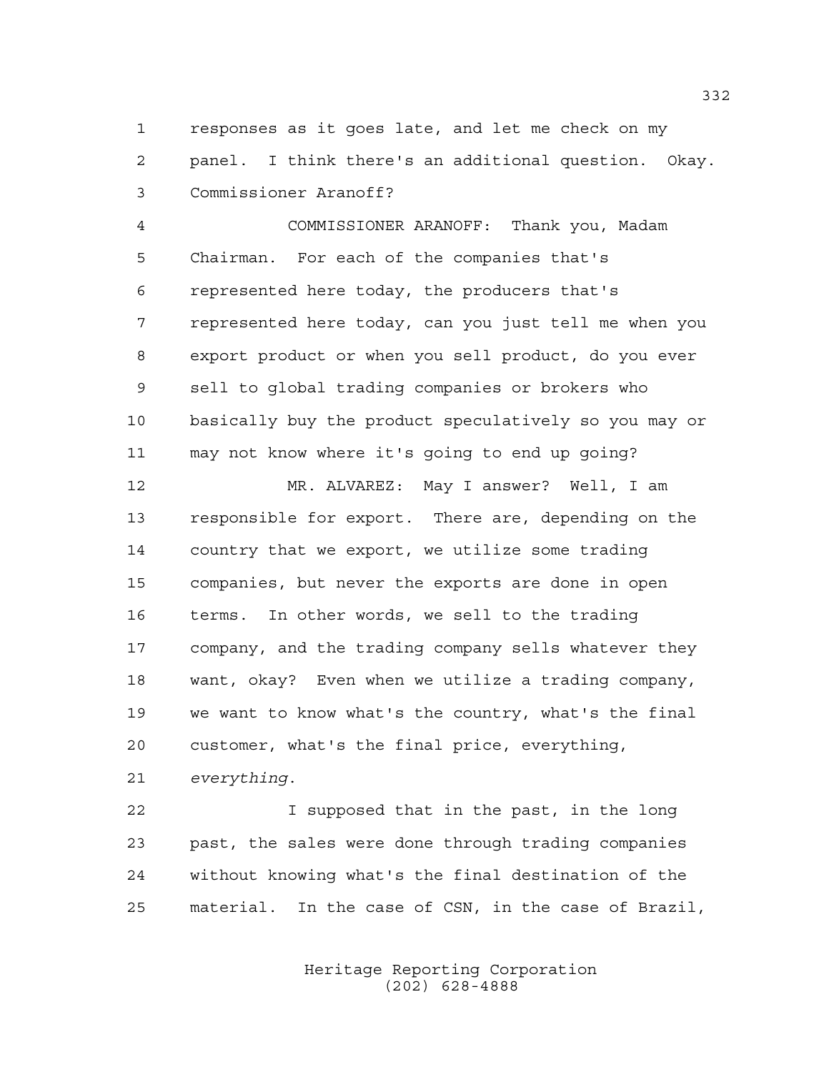responses as it goes late, and let me check on my panel. I think there's an additional question. Okay. Commissioner Aranoff?

 COMMISSIONER ARANOFF: Thank you, Madam Chairman. For each of the companies that's represented here today, the producers that's represented here today, can you just tell me when you export product or when you sell product, do you ever sell to global trading companies or brokers who basically buy the product speculatively so you may or may not know where it's going to end up going?

 MR. ALVAREZ: May I answer? Well, I am responsible for export. There are, depending on the country that we export, we utilize some trading companies, but never the exports are done in open terms. In other words, we sell to the trading company, and the trading company sells whatever they want, okay? Even when we utilize a trading company, we want to know what's the country, what's the final customer, what's the final price, everything, *everything*.

 I supposed that in the past, in the long past, the sales were done through trading companies without knowing what's the final destination of the material. In the case of CSN, in the case of Brazil,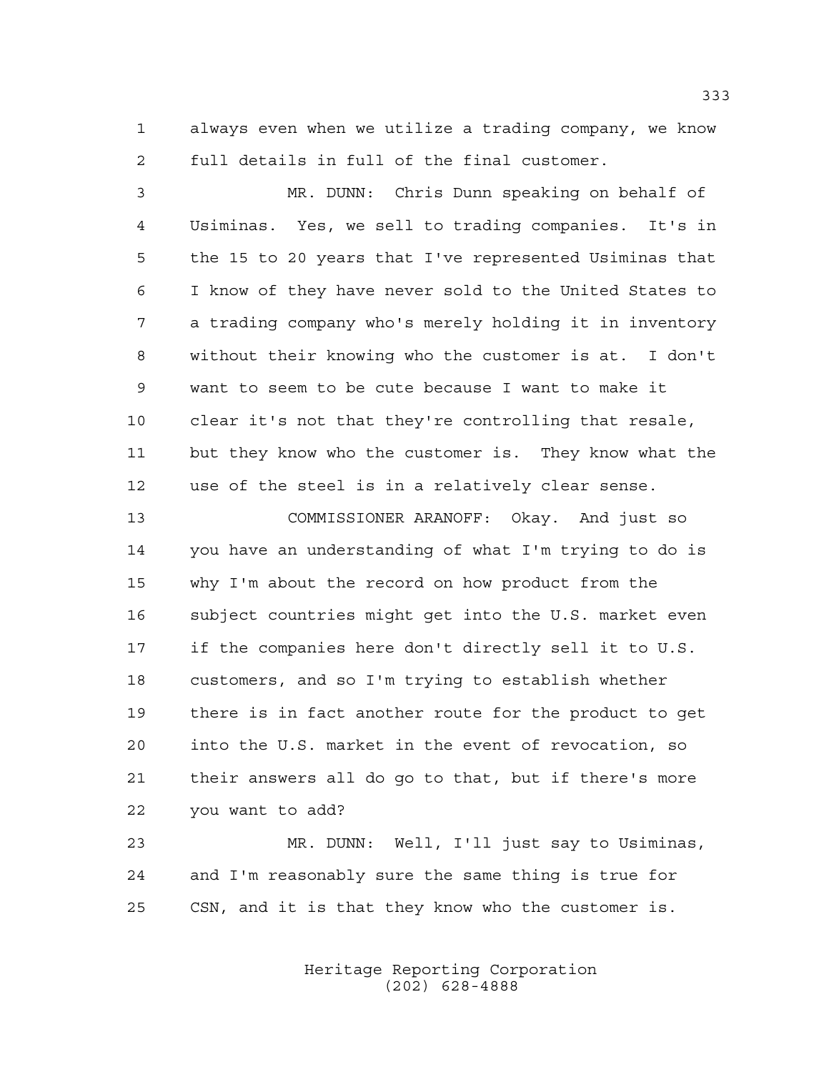always even when we utilize a trading company, we know full details in full of the final customer.

 MR. DUNN: Chris Dunn speaking on behalf of Usiminas. Yes, we sell to trading companies. It's in the 15 to 20 years that I've represented Usiminas that I know of they have never sold to the United States to a trading company who's merely holding it in inventory without their knowing who the customer is at. I don't want to seem to be cute because I want to make it clear it's not that they're controlling that resale, but they know who the customer is. They know what the use of the steel is in a relatively clear sense.

 COMMISSIONER ARANOFF: Okay. And just so you have an understanding of what I'm trying to do is why I'm about the record on how product from the subject countries might get into the U.S. market even if the companies here don't directly sell it to U.S. customers, and so I'm trying to establish whether there is in fact another route for the product to get into the U.S. market in the event of revocation, so their answers all do go to that, but if there's more you want to add?

 MR. DUNN: Well, I'll just say to Usiminas, and I'm reasonably sure the same thing is true for CSN, and it is that they know who the customer is.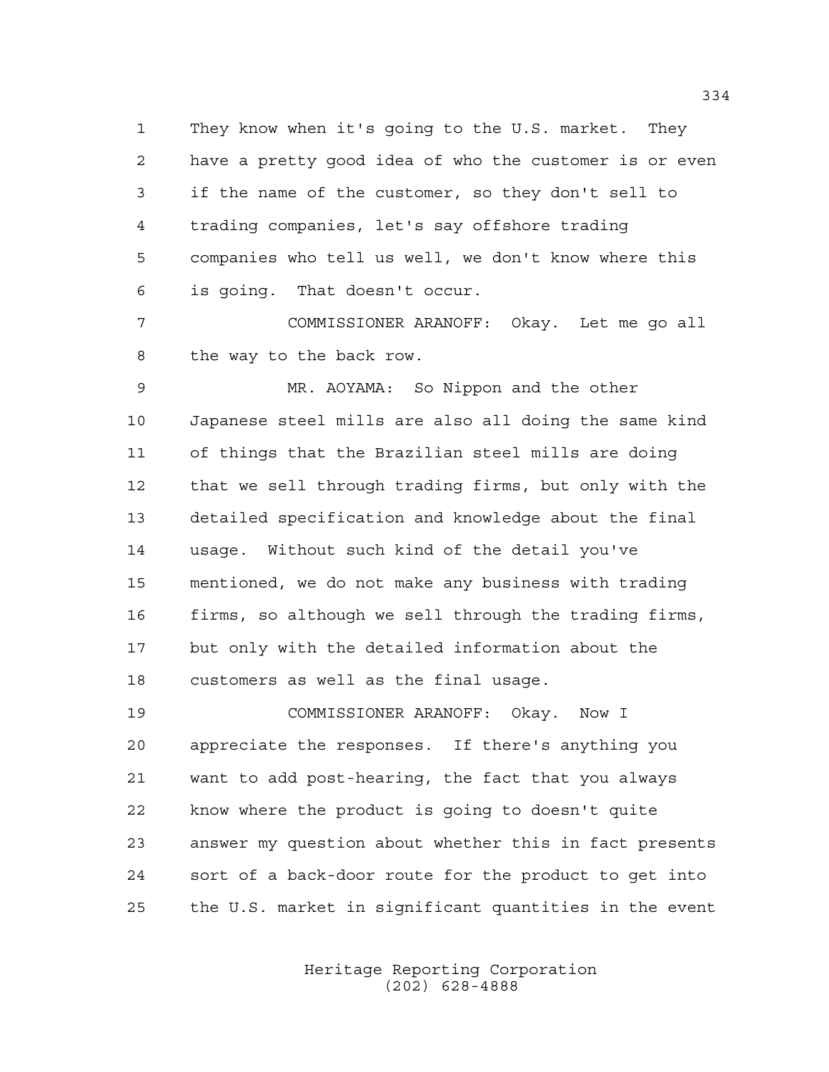They know when it's going to the U.S. market. They have a pretty good idea of who the customer is or even if the name of the customer, so they don't sell to trading companies, let's say offshore trading companies who tell us well, we don't know where this is going. That doesn't occur.

 COMMISSIONER ARANOFF: Okay. Let me go all the way to the back row.

 MR. AOYAMA: So Nippon and the other Japanese steel mills are also all doing the same kind of things that the Brazilian steel mills are doing that we sell through trading firms, but only with the detailed specification and knowledge about the final usage. Without such kind of the detail you've mentioned, we do not make any business with trading firms, so although we sell through the trading firms, but only with the detailed information about the customers as well as the final usage.

 COMMISSIONER ARANOFF: Okay. Now I appreciate the responses. If there's anything you want to add post-hearing, the fact that you always know where the product is going to doesn't quite answer my question about whether this in fact presents sort of a back-door route for the product to get into the U.S. market in significant quantities in the event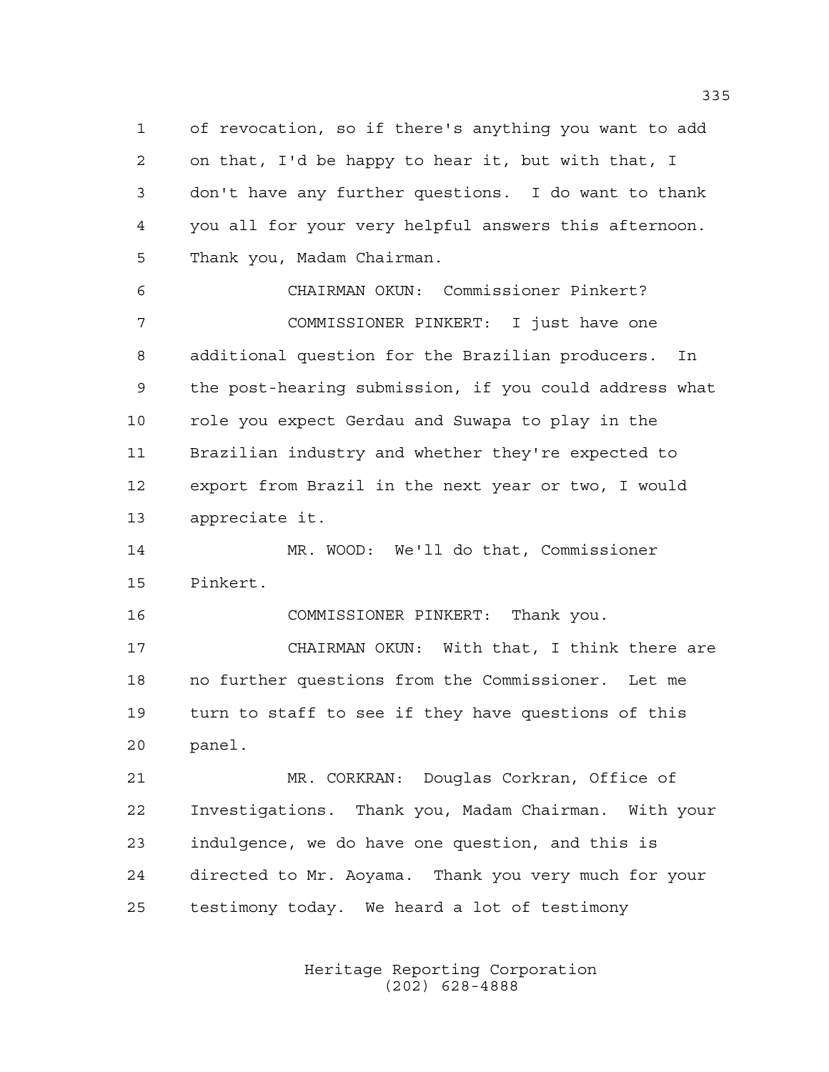of revocation, so if there's anything you want to add on that, I'd be happy to hear it, but with that, I don't have any further questions. I do want to thank you all for your very helpful answers this afternoon. Thank you, Madam Chairman.

 CHAIRMAN OKUN: Commissioner Pinkert? COMMISSIONER PINKERT: I just have one additional question for the Brazilian producers. In the post-hearing submission, if you could address what role you expect Gerdau and Suwapa to play in the Brazilian industry and whether they're expected to export from Brazil in the next year or two, I would appreciate it.

 MR. WOOD: We'll do that, Commissioner Pinkert.

COMMISSIONER PINKERT: Thank you.

 CHAIRMAN OKUN: With that, I think there are no further questions from the Commissioner. Let me turn to staff to see if they have questions of this panel.

 MR. CORKRAN: Douglas Corkran, Office of Investigations. Thank you, Madam Chairman. With your indulgence, we do have one question, and this is directed to Mr. Aoyama. Thank you very much for your testimony today. We heard a lot of testimony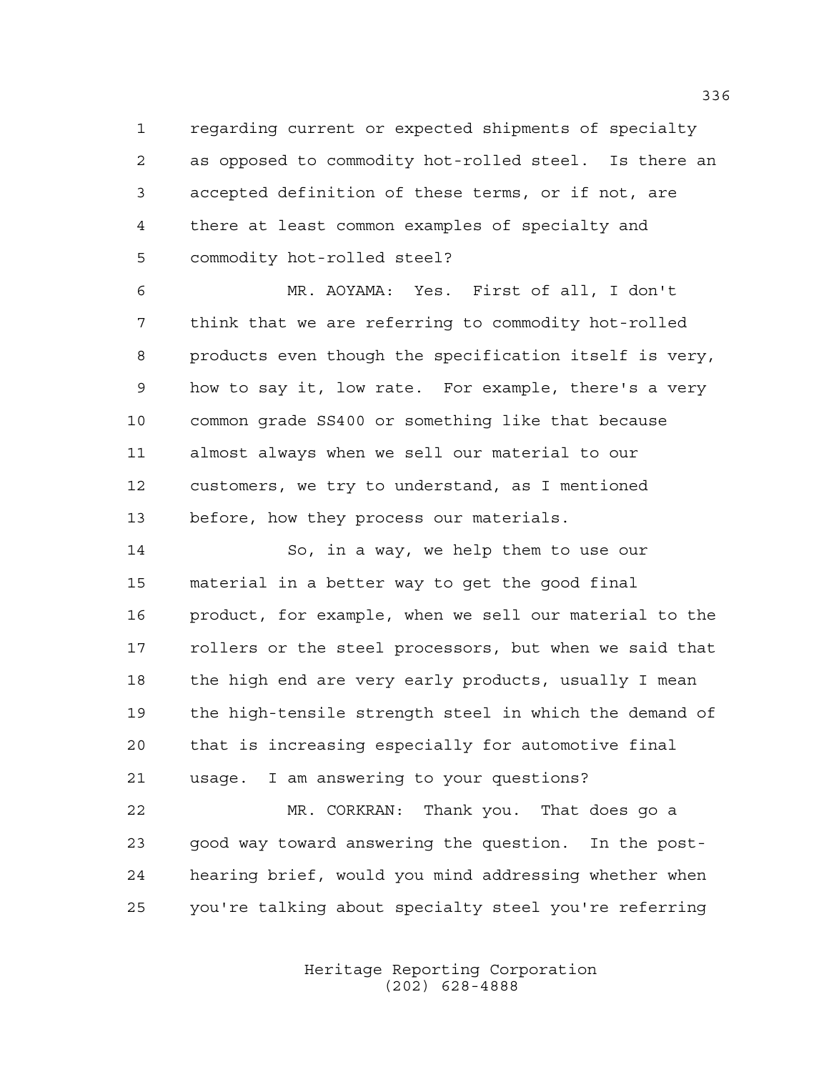regarding current or expected shipments of specialty as opposed to commodity hot-rolled steel. Is there an accepted definition of these terms, or if not, are there at least common examples of specialty and commodity hot-rolled steel?

 MR. AOYAMA: Yes. First of all, I don't think that we are referring to commodity hot-rolled products even though the specification itself is very, how to say it, low rate. For example, there's a very common grade SS400 or something like that because almost always when we sell our material to our customers, we try to understand, as I mentioned before, how they process our materials.

 So, in a way, we help them to use our material in a better way to get the good final product, for example, when we sell our material to the rollers or the steel processors, but when we said that the high end are very early products, usually I mean the high-tensile strength steel in which the demand of that is increasing especially for automotive final usage. I am answering to your questions?

 MR. CORKRAN: Thank you. That does go a good way toward answering the question. In the post- hearing brief, would you mind addressing whether when you're talking about specialty steel you're referring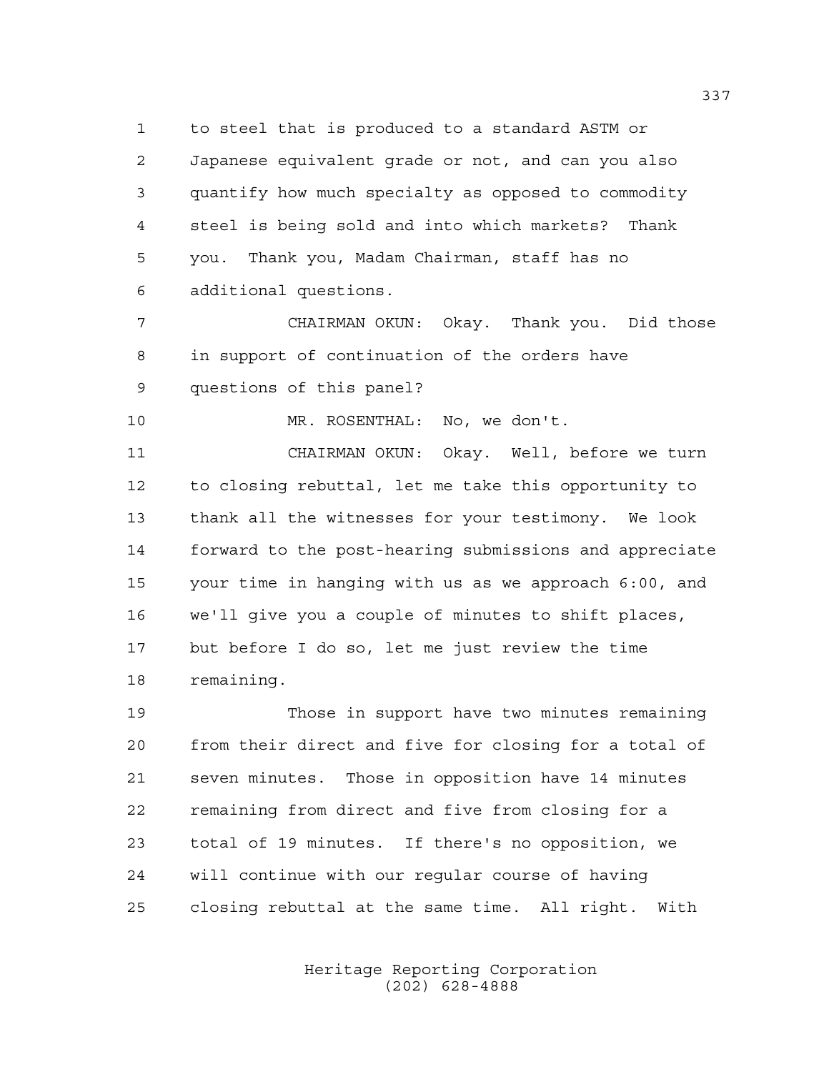to steel that is produced to a standard ASTM or Japanese equivalent grade or not, and can you also quantify how much specialty as opposed to commodity steel is being sold and into which markets? Thank you. Thank you, Madam Chairman, staff has no additional questions.

 CHAIRMAN OKUN: Okay. Thank you. Did those in support of continuation of the orders have questions of this panel?

MR. ROSENTHAL: No, we don't.

 CHAIRMAN OKUN: Okay. Well, before we turn to closing rebuttal, let me take this opportunity to thank all the witnesses for your testimony. We look forward to the post-hearing submissions and appreciate your time in hanging with us as we approach 6:00, and we'll give you a couple of minutes to shift places, but before I do so, let me just review the time remaining.

 Those in support have two minutes remaining from their direct and five for closing for a total of seven minutes. Those in opposition have 14 minutes remaining from direct and five from closing for a total of 19 minutes. If there's no opposition, we will continue with our regular course of having closing rebuttal at the same time. All right. With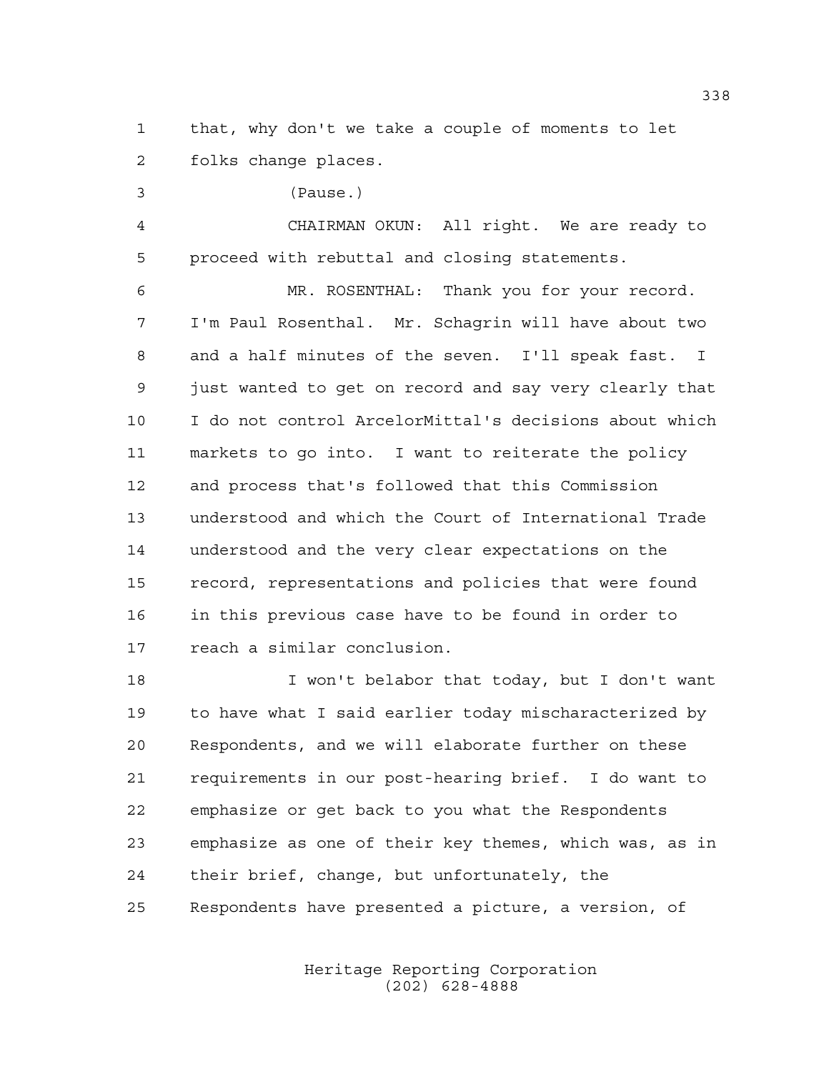that, why don't we take a couple of moments to let folks change places.

(Pause.)

 CHAIRMAN OKUN: All right. We are ready to proceed with rebuttal and closing statements.

 MR. ROSENTHAL: Thank you for your record. I'm Paul Rosenthal. Mr. Schagrin will have about two and a half minutes of the seven. I'll speak fast. I just wanted to get on record and say very clearly that I do not control ArcelorMittal's decisions about which markets to go into. I want to reiterate the policy and process that's followed that this Commission understood and which the Court of International Trade understood and the very clear expectations on the record, representations and policies that were found in this previous case have to be found in order to reach a similar conclusion.

 I won't belabor that today, but I don't want to have what I said earlier today mischaracterized by Respondents, and we will elaborate further on these requirements in our post-hearing brief. I do want to emphasize or get back to you what the Respondents emphasize as one of their key themes, which was, as in their brief, change, but unfortunately, the Respondents have presented a picture, a version, of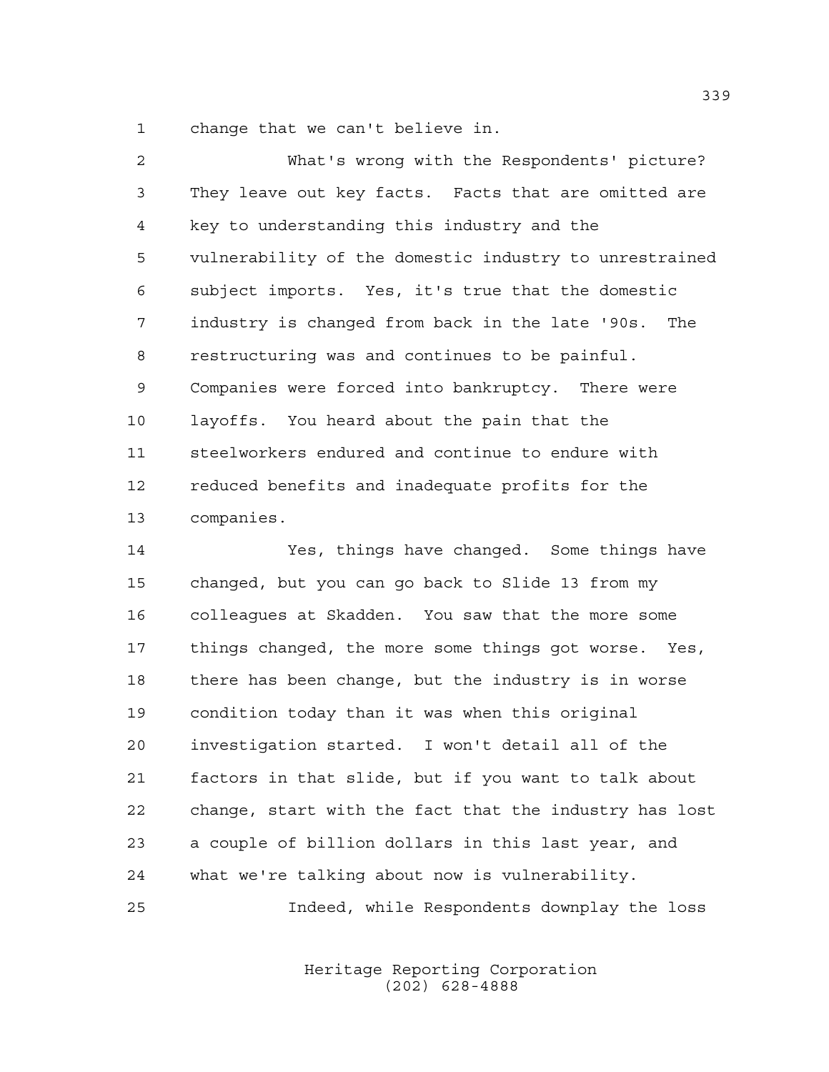change that we can't believe in.

| $\mathfrak{D}$ | What's wrong with the Respondents' picture?            |
|----------------|--------------------------------------------------------|
| 3              | They leave out key facts. Facts that are omitted are   |
| 4              | key to understanding this industry and the             |
| 5              | vulnerability of the domestic industry to unrestrained |
| 6              | subject imports. Yes, it's true that the domestic      |
| 7              | industry is changed from back in the late '90s. The    |
| 8              | restructuring was and continues to be painful.         |
| 9              | Companies were forced into bankruptcy. There were      |
| 10             | layoffs. You heard about the pain that the             |
| 11             | steelworkers endured and continue to endure with       |
| 12             | reduced benefits and inadequate profits for the        |
| 13             | companies.                                             |

 Yes, things have changed. Some things have changed, but you can go back to Slide 13 from my colleagues at Skadden. You saw that the more some things changed, the more some things got worse. Yes, there has been change, but the industry is in worse condition today than it was when this original investigation started. I won't detail all of the factors in that slide, but if you want to talk about change, start with the fact that the industry has lost a couple of billion dollars in this last year, and what we're talking about now is vulnerability. Indeed, while Respondents downplay the loss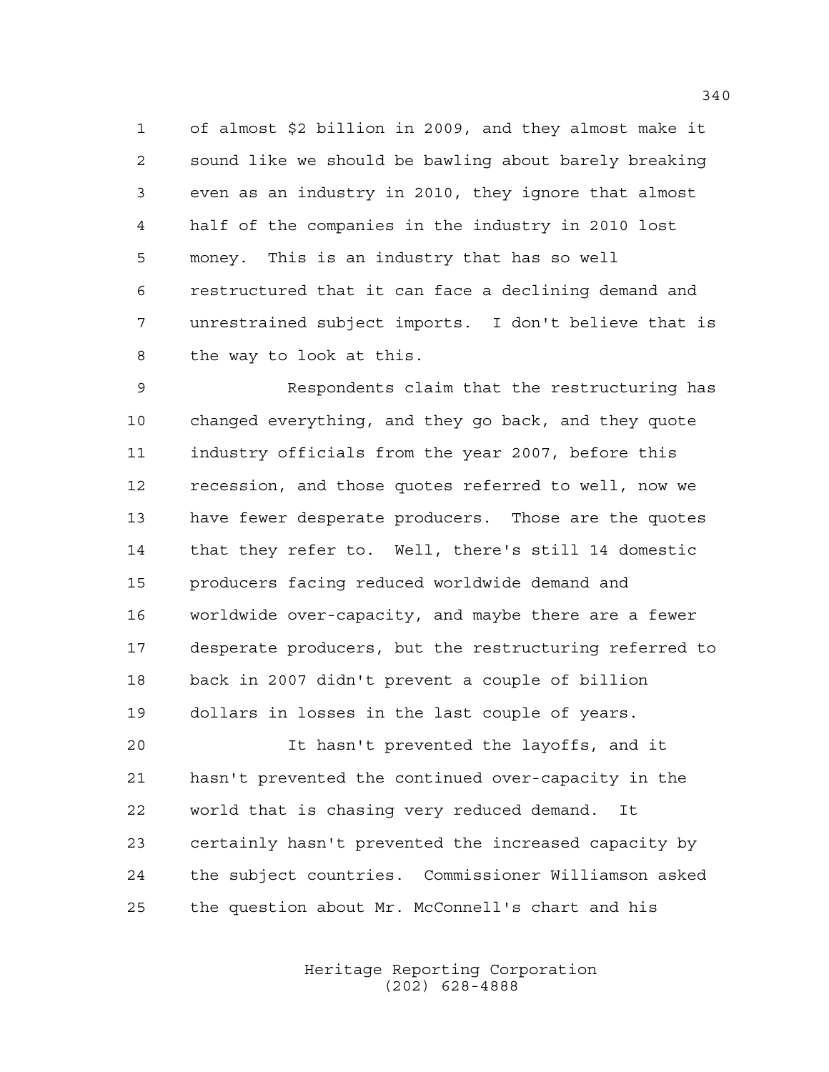of almost \$2 billion in 2009, and they almost make it sound like we should be bawling about barely breaking even as an industry in 2010, they ignore that almost half of the companies in the industry in 2010 lost money. This is an industry that has so well restructured that it can face a declining demand and unrestrained subject imports. I don't believe that is the way to look at this.

 Respondents claim that the restructuring has changed everything, and they go back, and they quote industry officials from the year 2007, before this recession, and those quotes referred to well, now we have fewer desperate producers. Those are the quotes that they refer to. Well, there's still 14 domestic producers facing reduced worldwide demand and worldwide over-capacity, and maybe there are a fewer desperate producers, but the restructuring referred to back in 2007 didn't prevent a couple of billion dollars in losses in the last couple of years.

 It hasn't prevented the layoffs, and it hasn't prevented the continued over-capacity in the world that is chasing very reduced demand. It certainly hasn't prevented the increased capacity by the subject countries. Commissioner Williamson asked the question about Mr. McConnell's chart and his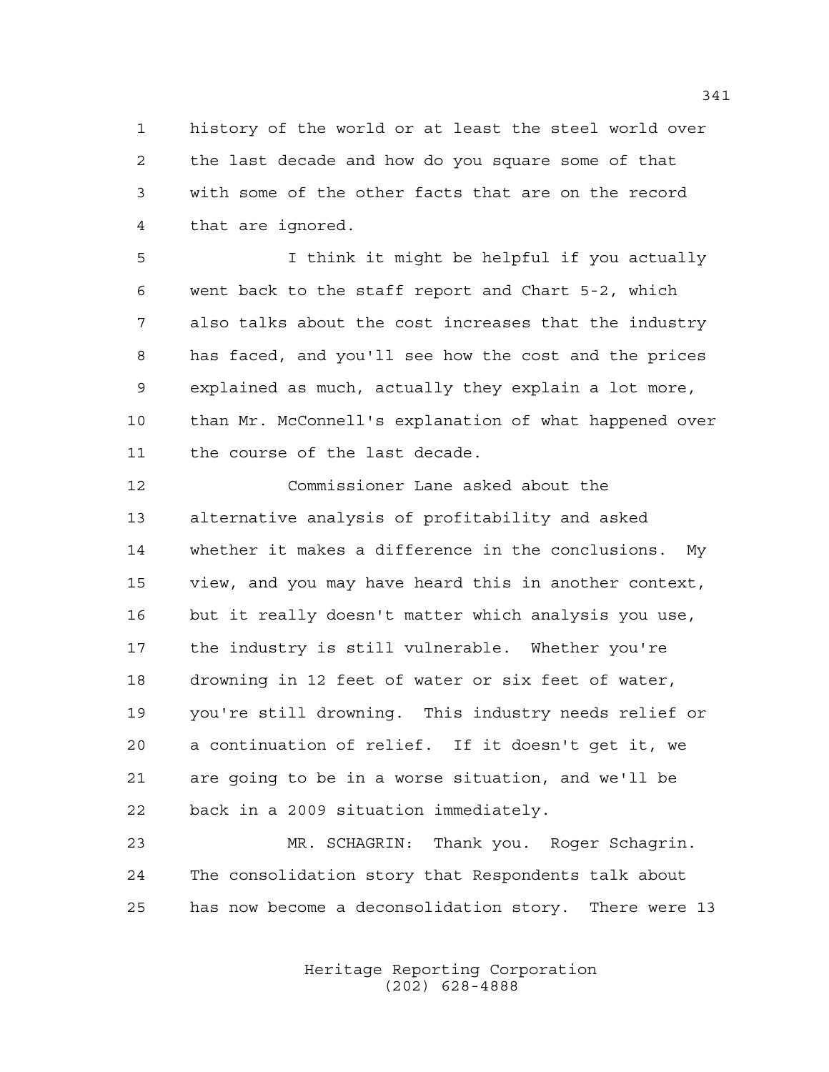history of the world or at least the steel world over the last decade and how do you square some of that with some of the other facts that are on the record that are ignored.

 I think it might be helpful if you actually went back to the staff report and Chart 5-2, which also talks about the cost increases that the industry has faced, and you'll see how the cost and the prices explained as much, actually they explain a lot more, than Mr. McConnell's explanation of what happened over the course of the last decade.

 Commissioner Lane asked about the alternative analysis of profitability and asked whether it makes a difference in the conclusions. My view, and you may have heard this in another context, but it really doesn't matter which analysis you use, the industry is still vulnerable. Whether you're drowning in 12 feet of water or six feet of water, you're still drowning. This industry needs relief or a continuation of relief. If it doesn't get it, we are going to be in a worse situation, and we'll be back in a 2009 situation immediately.

 MR. SCHAGRIN: Thank you. Roger Schagrin. The consolidation story that Respondents talk about has now become a deconsolidation story. There were 13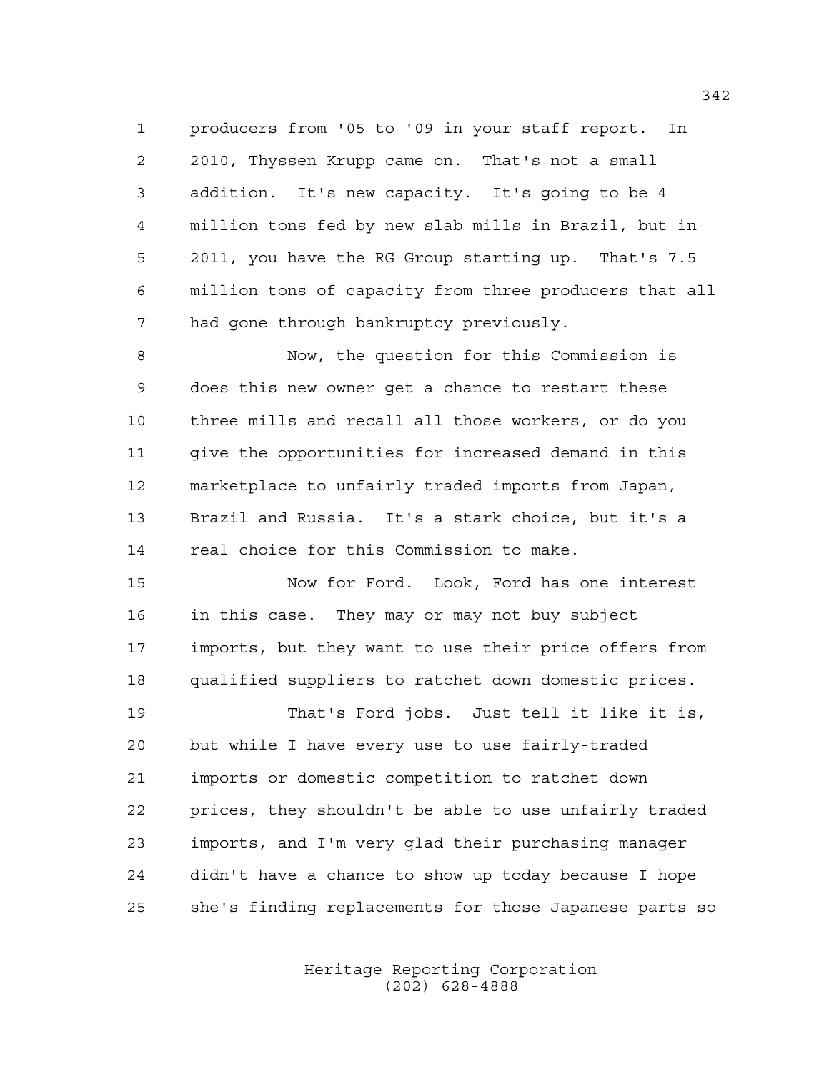producers from '05 to '09 in your staff report. In 2010, Thyssen Krupp came on. That's not a small addition. It's new capacity. It's going to be 4 million tons fed by new slab mills in Brazil, but in 2011, you have the RG Group starting up. That's 7.5 million tons of capacity from three producers that all had gone through bankruptcy previously.

 Now, the question for this Commission is does this new owner get a chance to restart these three mills and recall all those workers, or do you give the opportunities for increased demand in this marketplace to unfairly traded imports from Japan, Brazil and Russia. It's a stark choice, but it's a real choice for this Commission to make.

 Now for Ford. Look, Ford has one interest in this case. They may or may not buy subject imports, but they want to use their price offers from qualified suppliers to ratchet down domestic prices.

 That's Ford jobs. Just tell it like it is, but while I have every use to use fairly-traded imports or domestic competition to ratchet down prices, they shouldn't be able to use unfairly traded imports, and I'm very glad their purchasing manager didn't have a chance to show up today because I hope she's finding replacements for those Japanese parts so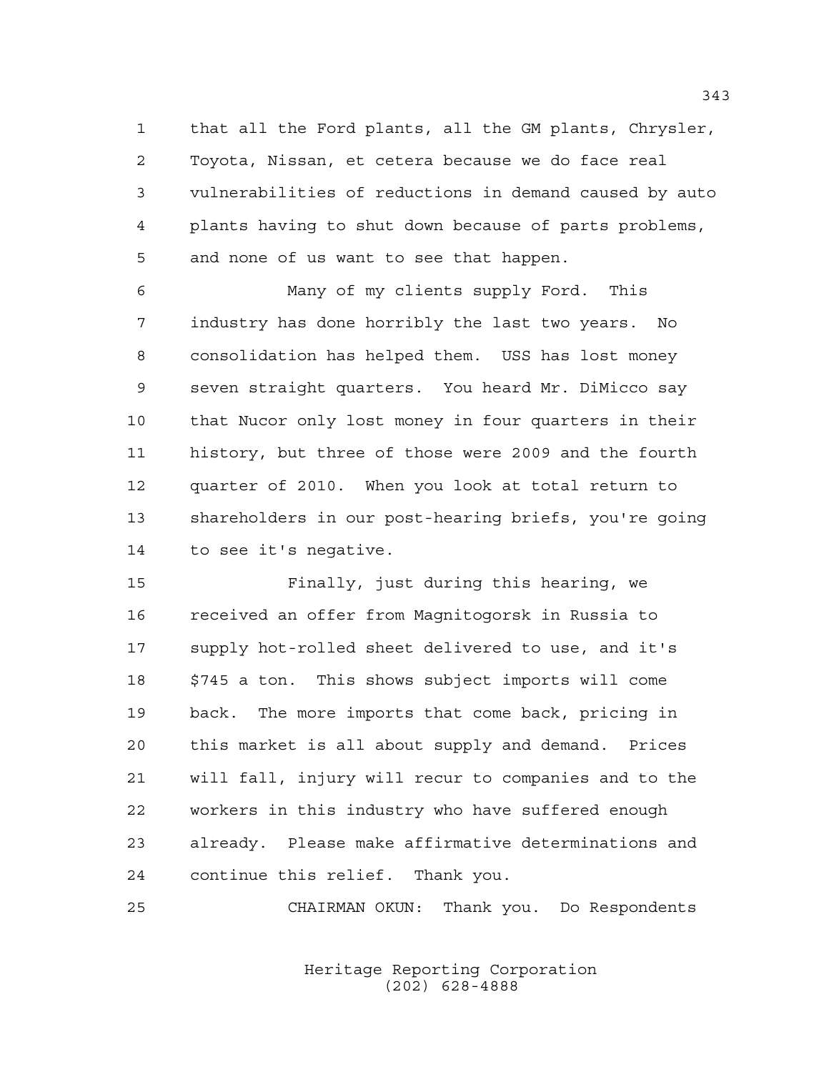that all the Ford plants, all the GM plants, Chrysler, Toyota, Nissan, et cetera because we do face real vulnerabilities of reductions in demand caused by auto plants having to shut down because of parts problems, and none of us want to see that happen.

 Many of my clients supply Ford. This industry has done horribly the last two years. No consolidation has helped them. USS has lost money seven straight quarters. You heard Mr. DiMicco say that Nucor only lost money in four quarters in their history, but three of those were 2009 and the fourth quarter of 2010. When you look at total return to shareholders in our post-hearing briefs, you're going to see it's negative.

 Finally, just during this hearing, we received an offer from Magnitogorsk in Russia to supply hot-rolled sheet delivered to use, and it's \$745 a ton. This shows subject imports will come back. The more imports that come back, pricing in this market is all about supply and demand. Prices will fall, injury will recur to companies and to the workers in this industry who have suffered enough already. Please make affirmative determinations and continue this relief. Thank you.

CHAIRMAN OKUN: Thank you. Do Respondents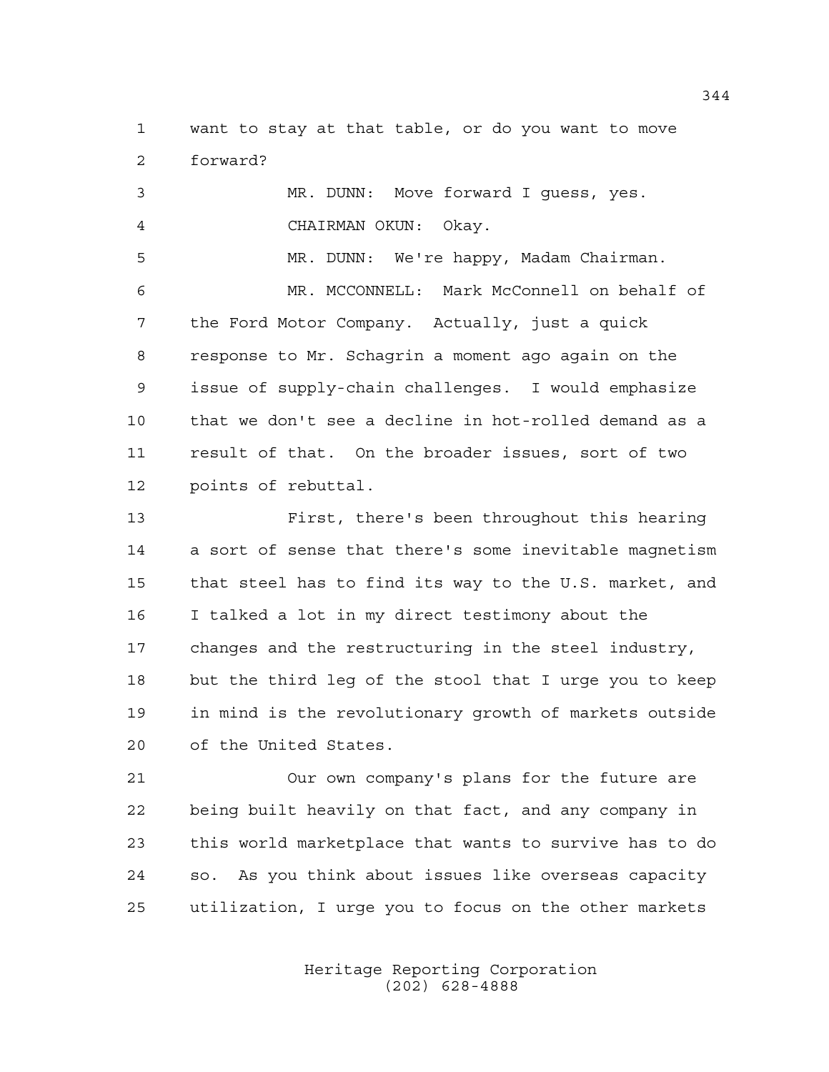want to stay at that table, or do you want to move forward?

 MR. DUNN: Move forward I guess, yes. CHAIRMAN OKUN: Okay. MR. DUNN: We're happy, Madam Chairman. MR. MCCONNELL: Mark McConnell on behalf of the Ford Motor Company. Actually, just a quick response to Mr. Schagrin a moment ago again on the issue of supply-chain challenges. I would emphasize that we don't see a decline in hot-rolled demand as a result of that. On the broader issues, sort of two points of rebuttal. First, there's been throughout this hearing a sort of sense that there's some inevitable magnetism

 that steel has to find its way to the U.S. market, and I talked a lot in my direct testimony about the changes and the restructuring in the steel industry, but the third leg of the stool that I urge you to keep in mind is the revolutionary growth of markets outside of the United States.

 Our own company's plans for the future are being built heavily on that fact, and any company in this world marketplace that wants to survive has to do so. As you think about issues like overseas capacity utilization, I urge you to focus on the other markets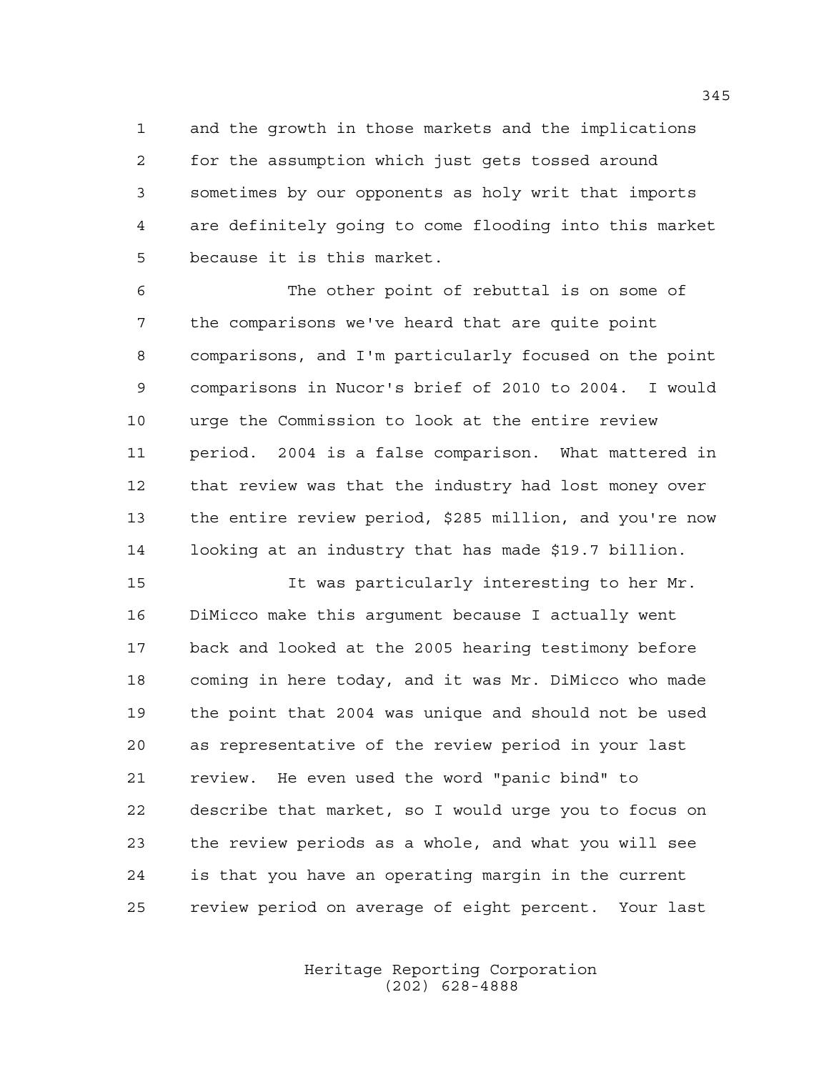and the growth in those markets and the implications for the assumption which just gets tossed around sometimes by our opponents as holy writ that imports are definitely going to come flooding into this market because it is this market.

 The other point of rebuttal is on some of the comparisons we've heard that are quite point comparisons, and I'm particularly focused on the point comparisons in Nucor's brief of 2010 to 2004. I would urge the Commission to look at the entire review period. 2004 is a false comparison. What mattered in that review was that the industry had lost money over the entire review period, \$285 million, and you're now looking at an industry that has made \$19.7 billion.

 It was particularly interesting to her Mr. DiMicco make this argument because I actually went back and looked at the 2005 hearing testimony before coming in here today, and it was Mr. DiMicco who made the point that 2004 was unique and should not be used as representative of the review period in your last review. He even used the word "panic bind" to describe that market, so I would urge you to focus on the review periods as a whole, and what you will see is that you have an operating margin in the current review period on average of eight percent. Your last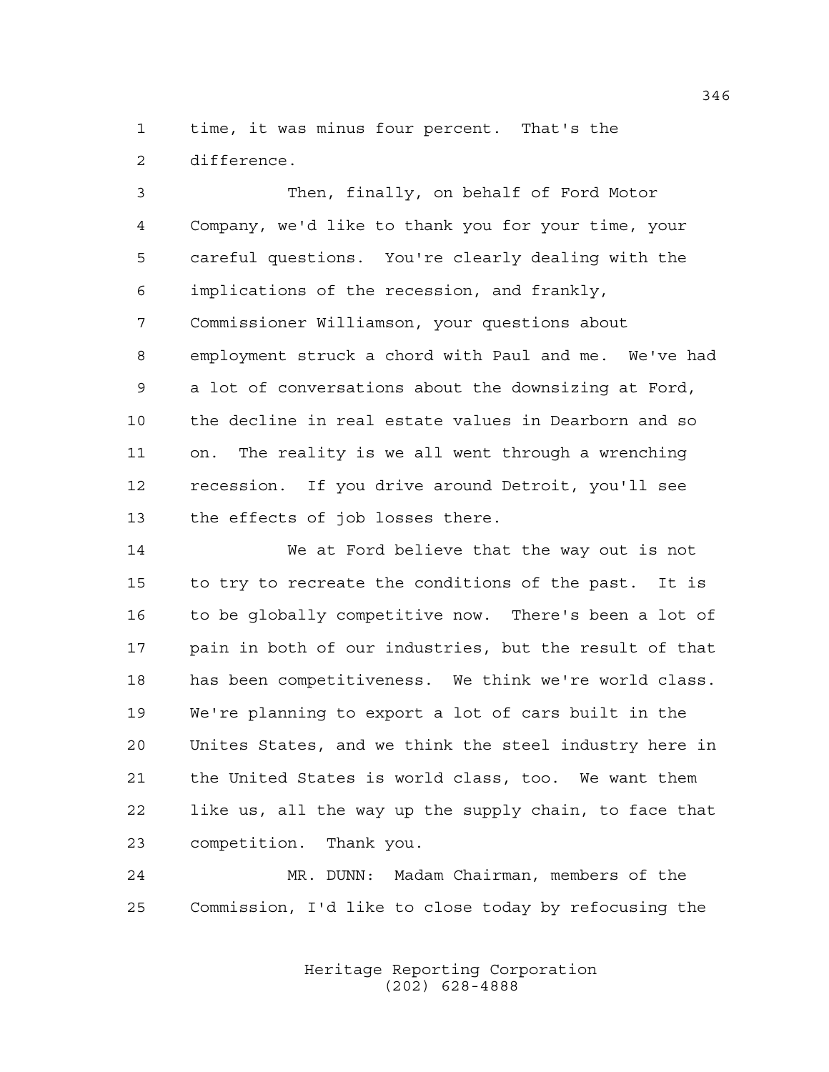time, it was minus four percent. That's the difference.

 Then, finally, on behalf of Ford Motor Company, we'd like to thank you for your time, your careful questions. You're clearly dealing with the implications of the recession, and frankly, Commissioner Williamson, your questions about employment struck a chord with Paul and me. We've had a lot of conversations about the downsizing at Ford, the decline in real estate values in Dearborn and so on. The reality is we all went through a wrenching recession. If you drive around Detroit, you'll see the effects of job losses there.

 We at Ford believe that the way out is not to try to recreate the conditions of the past. It is to be globally competitive now. There's been a lot of pain in both of our industries, but the result of that has been competitiveness. We think we're world class. We're planning to export a lot of cars built in the Unites States, and we think the steel industry here in the United States is world class, too. We want them like us, all the way up the supply chain, to face that competition. Thank you.

 MR. DUNN: Madam Chairman, members of the Commission, I'd like to close today by refocusing the

> Heritage Reporting Corporation (202) 628-4888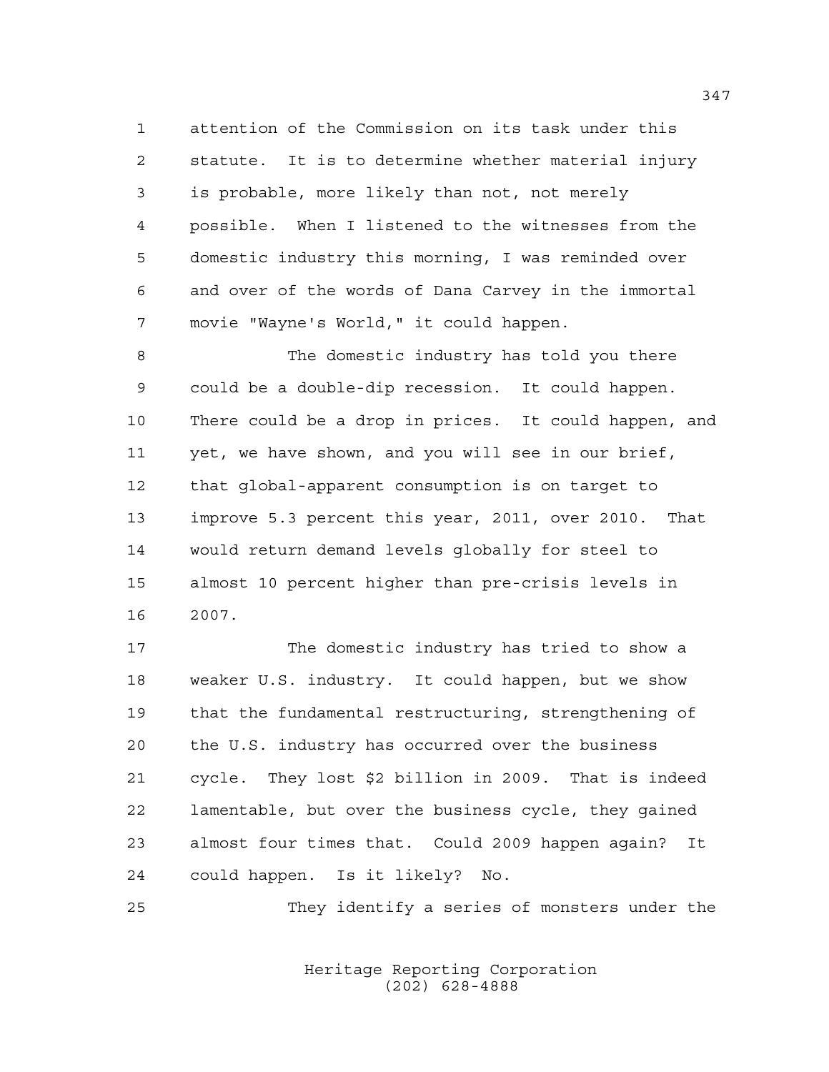attention of the Commission on its task under this statute. It is to determine whether material injury is probable, more likely than not, not merely possible. When I listened to the witnesses from the domestic industry this morning, I was reminded over and over of the words of Dana Carvey in the immortal movie "Wayne's World," it could happen.

 The domestic industry has told you there could be a double-dip recession. It could happen. There could be a drop in prices. It could happen, and yet, we have shown, and you will see in our brief, that global-apparent consumption is on target to improve 5.3 percent this year, 2011, over 2010. That would return demand levels globally for steel to almost 10 percent higher than pre-crisis levels in 2007.

 The domestic industry has tried to show a weaker U.S. industry. It could happen, but we show that the fundamental restructuring, strengthening of the U.S. industry has occurred over the business cycle. They lost \$2 billion in 2009. That is indeed lamentable, but over the business cycle, they gained almost four times that. Could 2009 happen again? It could happen. Is it likely? No.

They identify a series of monsters under the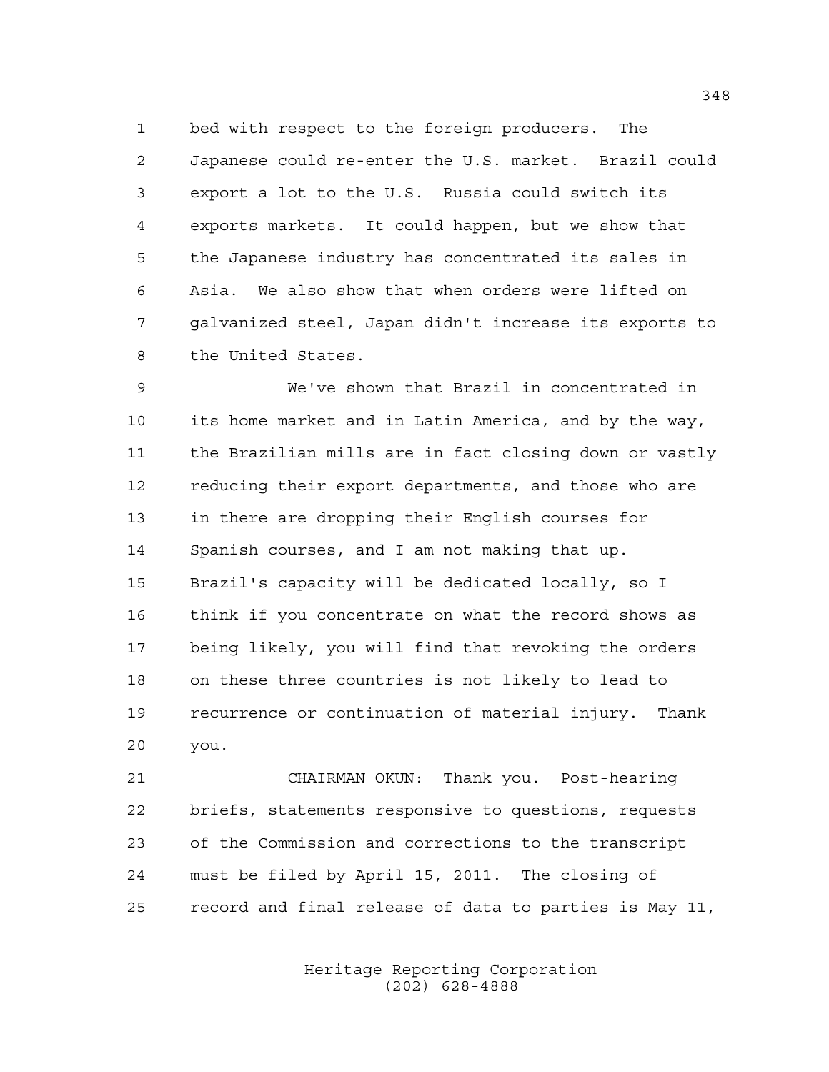bed with respect to the foreign producers. The Japanese could re-enter the U.S. market. Brazil could export a lot to the U.S. Russia could switch its exports markets. It could happen, but we show that the Japanese industry has concentrated its sales in Asia. We also show that when orders were lifted on galvanized steel, Japan didn't increase its exports to the United States.

 We've shown that Brazil in concentrated in its home market and in Latin America, and by the way, the Brazilian mills are in fact closing down or vastly reducing their export departments, and those who are in there are dropping their English courses for Spanish courses, and I am not making that up. Brazil's capacity will be dedicated locally, so I think if you concentrate on what the record shows as being likely, you will find that revoking the orders on these three countries is not likely to lead to recurrence or continuation of material injury. Thank you.

 CHAIRMAN OKUN: Thank you. Post-hearing briefs, statements responsive to questions, requests of the Commission and corrections to the transcript must be filed by April 15, 2011. The closing of record and final release of data to parties is May 11,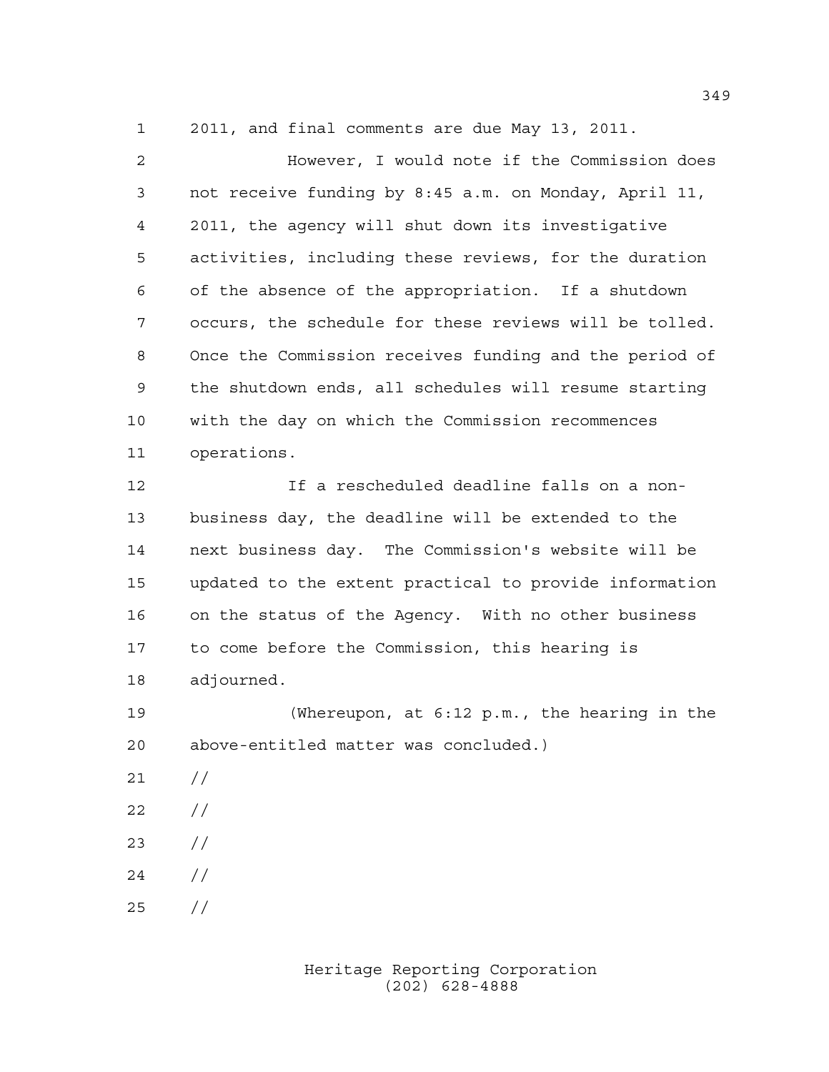2011, and final comments are due May 13, 2011.

 However, I would note if the Commission does not receive funding by 8:45 a.m. on Monday, April 11, 2011, the agency will shut down its investigative activities, including these reviews, for the duration of the absence of the appropriation. If a shutdown occurs, the schedule for these reviews will be tolled. Once the Commission receives funding and the period of the shutdown ends, all schedules will resume starting with the day on which the Commission recommences operations. If a rescheduled deadline falls on a non- business day, the deadline will be extended to the next business day. The Commission's website will be updated to the extent practical to provide information on the status of the Agency. With no other business to come before the Commission, this hearing is adjourned. (Whereupon, at 6:12 p.m., the hearing in the above-entitled matter was concluded.)  $21 /$  $22 / /$  // //

//